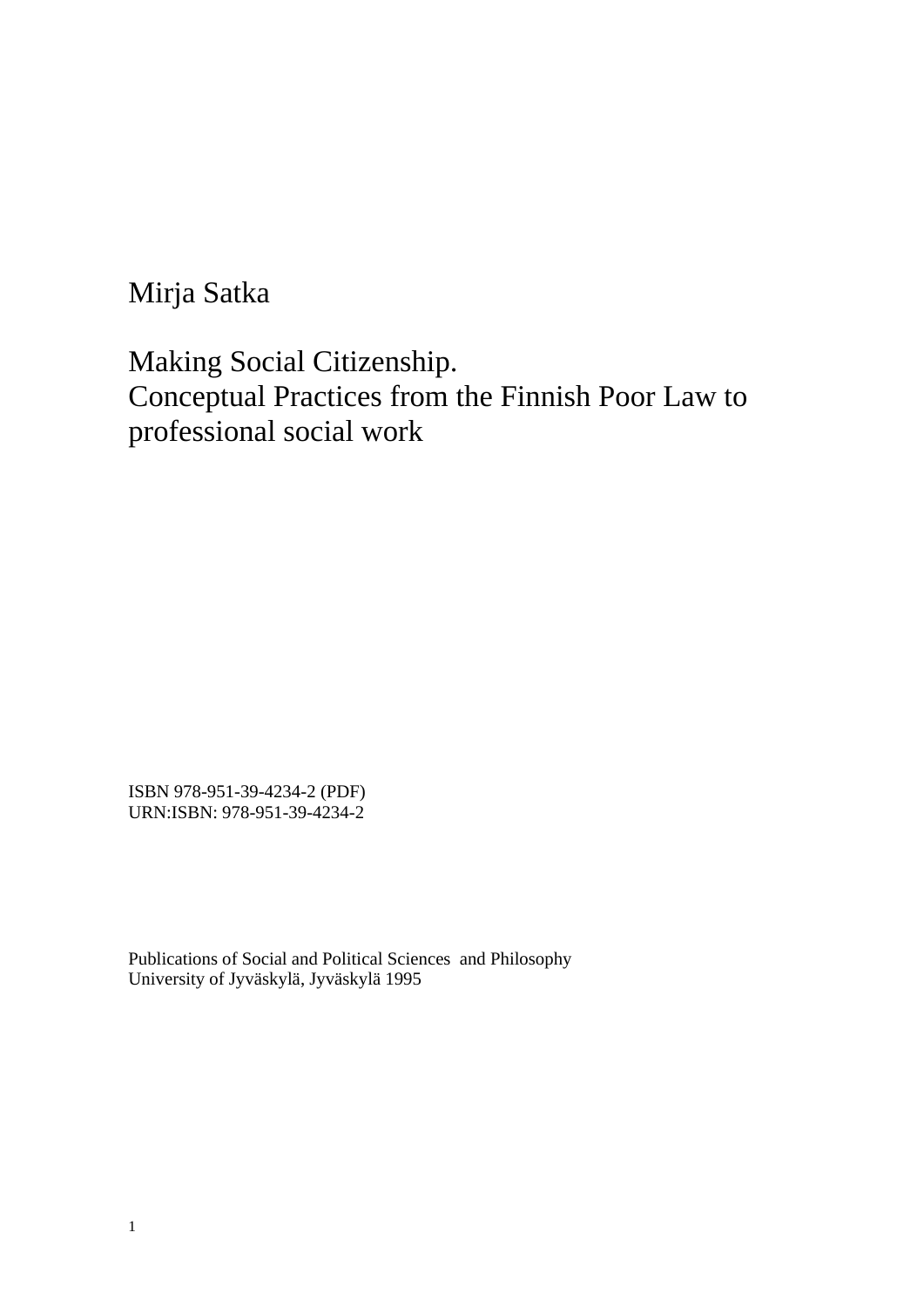Mirja Satka

Making Social Citizenship. Conceptual Practices from the Finnish Poor Law to professional social work

ISBN 978-951-39-4234-2 (PDF) URN:ISBN: 978-951-39-4234-2

Publications of Social and Political Sciences and Philosophy University of Jyväskylä, Jyväskylä 1995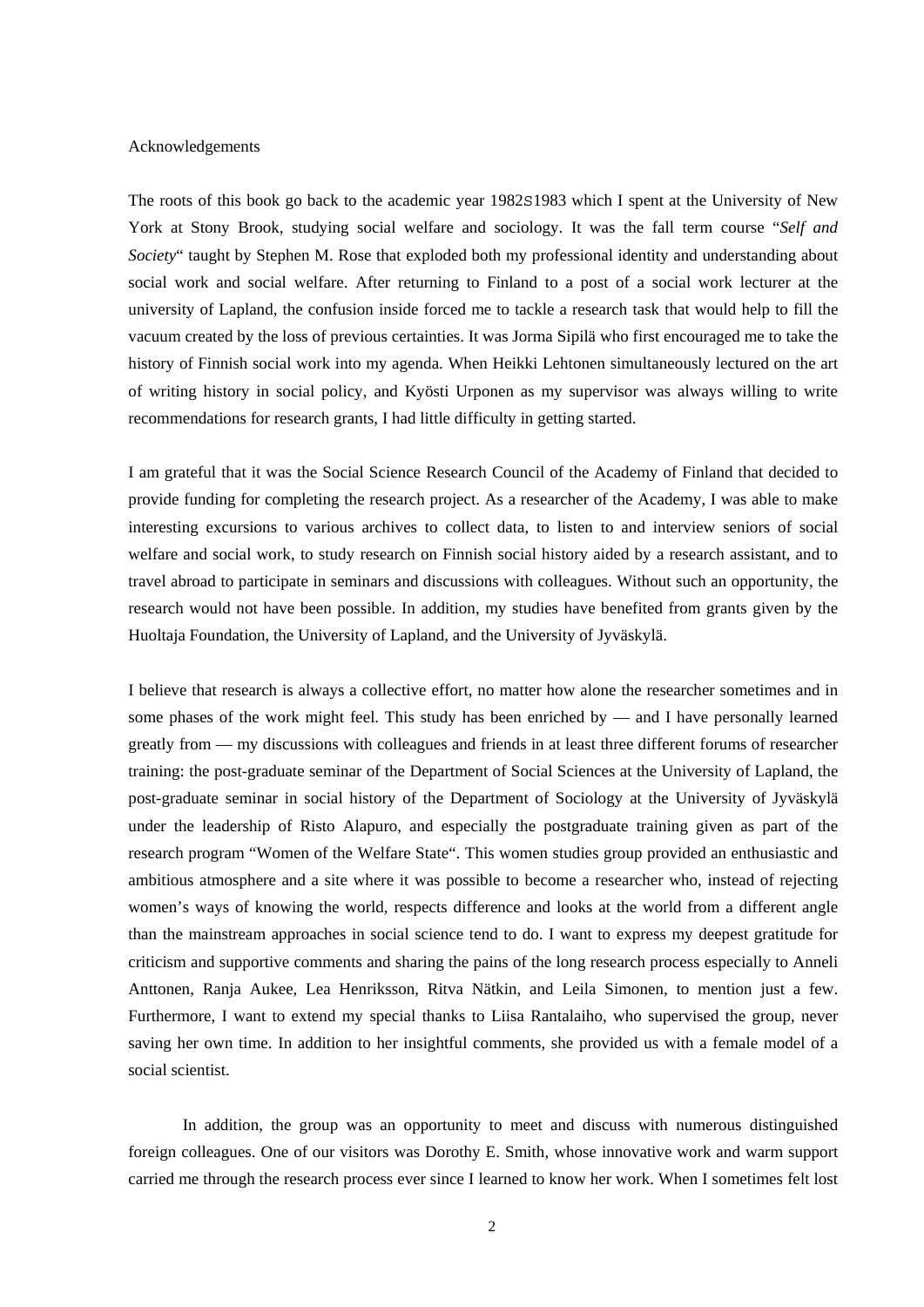#### Acknowledgements

The roots of this book go back to the academic year 1982S1983 which I spent at the University of New York at Stony Brook, studying social welfare and sociology. It was the fall term course "*Self and Society*" taught by Stephen M. Rose that exploded both my professional identity and understanding about social work and social welfare. After returning to Finland to a post of a social work lecturer at the university of Lapland, the confusion inside forced me to tackle a research task that would help to fill the vacuum created by the loss of previous certainties. It was Jorma Sipilä who first encouraged me to take the history of Finnish social work into my agenda. When Heikki Lehtonen simultaneously lectured on the art of writing history in social policy, and Kyösti Urponen as my supervisor was always willing to write recommendations for research grants, I had little difficulty in getting started.

I am grateful that it was the Social Science Research Council of the Academy of Finland that decided to provide funding for completing the research project. As a researcher of the Academy, I was able to make interesting excursions to various archives to collect data, to listen to and interview seniors of social welfare and social work, to study research on Finnish social history aided by a research assistant, and to travel abroad to participate in seminars and discussions with colleagues. Without such an opportunity, the research would not have been possible. In addition, my studies have benefited from grants given by the Huoltaja Foundation, the University of Lapland, and the University of Jyväskylä.

I believe that research is always a collective effort, no matter how alone the researcher sometimes and in some phases of the work might feel. This study has been enriched by — and I have personally learned greatly from — my discussions with colleagues and friends in at least three different forums of researcher training: the post-graduate seminar of the Department of Social Sciences at the University of Lapland, the post-graduate seminar in social history of the Department of Sociology at the University of Jyväskylä under the leadership of Risto Alapuro, and especially the postgraduate training given as part of the research program "Women of the Welfare State". This women studies group provided an enthusiastic and ambitious atmosphere and a site where it was possible to become a researcher who, instead of rejecting women's ways of knowing the world, respects difference and looks at the world from a different angle than the mainstream approaches in social science tend to do. I want to express my deepest gratitude for criticism and supportive comments and sharing the pains of the long research process especially to Anneli Anttonen, Ranja Aukee, Lea Henriksson, Ritva Nätkin, and Leila Simonen, to mention just a few. Furthermore, I want to extend my special thanks to Liisa Rantalaiho, who supervised the group, never saving her own time. In addition to her insightful comments, she provided us with a female model of a social scientist.

 In addition, the group was an opportunity to meet and discuss with numerous distinguished foreign colleagues. One of our visitors was Dorothy E. Smith, whose innovative work and warm support carried me through the research process ever since I learned to know her work. When I sometimes felt lost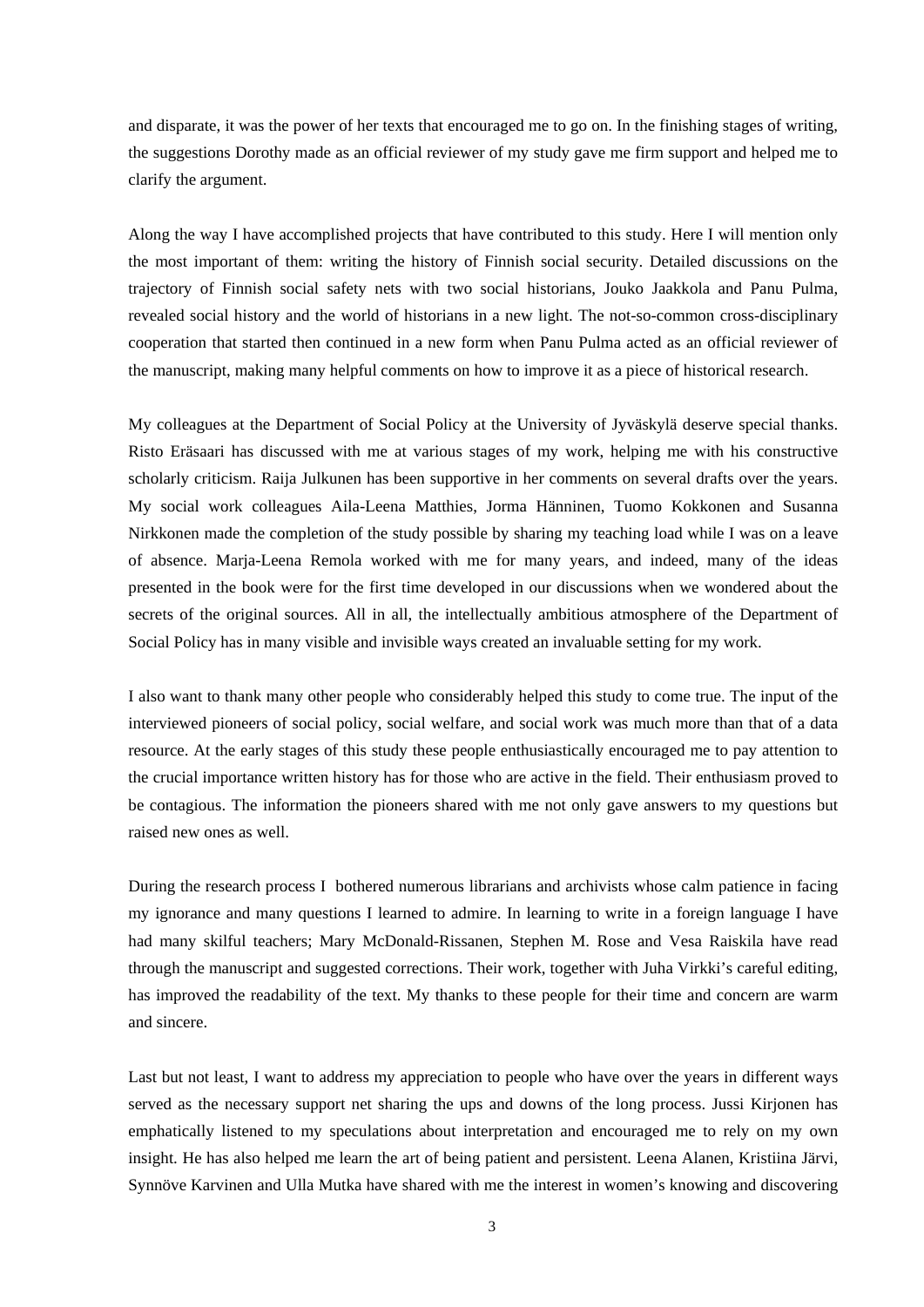and disparate, it was the power of her texts that encouraged me to go on. In the finishing stages of writing, the suggestions Dorothy made as an official reviewer of my study gave me firm support and helped me to clarify the argument.

Along the way I have accomplished projects that have contributed to this study. Here I will mention only the most important of them: writing the history of Finnish social security. Detailed discussions on the trajectory of Finnish social safety nets with two social historians, Jouko Jaakkola and Panu Pulma, revealed social history and the world of historians in a new light. The not-so-common cross-disciplinary cooperation that started then continued in a new form when Panu Pulma acted as an official reviewer of the manuscript, making many helpful comments on how to improve it as a piece of historical research.

My colleagues at the Department of Social Policy at the University of Jyväskylä deserve special thanks. Risto Eräsaari has discussed with me at various stages of my work, helping me with his constructive scholarly criticism. Raija Julkunen has been supportive in her comments on several drafts over the years. My social work colleagues Aila-Leena Matthies, Jorma Hänninen, Tuomo Kokkonen and Susanna Nirkkonen made the completion of the study possible by sharing my teaching load while I was on a leave of absence. Marja-Leena Remola worked with me for many years, and indeed, many of the ideas presented in the book were for the first time developed in our discussions when we wondered about the secrets of the original sources. All in all, the intellectually ambitious atmosphere of the Department of Social Policy has in many visible and invisible ways created an invaluable setting for my work.

I also want to thank many other people who considerably helped this study to come true. The input of the interviewed pioneers of social policy, social welfare, and social work was much more than that of a data resource. At the early stages of this study these people enthusiastically encouraged me to pay attention to the crucial importance written history has for those who are active in the field. Their enthusiasm proved to be contagious. The information the pioneers shared with me not only gave answers to my questions but raised new ones as well.

During the research process I bothered numerous librarians and archivists whose calm patience in facing my ignorance and many questions I learned to admire. In learning to write in a foreign language I have had many skilful teachers; Mary McDonald-Rissanen, Stephen M. Rose and Vesa Raiskila have read through the manuscript and suggested corrections. Their work, together with Juha Virkki's careful editing, has improved the readability of the text. My thanks to these people for their time and concern are warm and sincere.

Last but not least, I want to address my appreciation to people who have over the years in different ways served as the necessary support net sharing the ups and downs of the long process. Jussi Kirjonen has emphatically listened to my speculations about interpretation and encouraged me to rely on my own insight. He has also helped me learn the art of being patient and persistent. Leena Alanen, Kristiina Järvi, Synnöve Karvinen and Ulla Mutka have shared with me the interest in women's knowing and discovering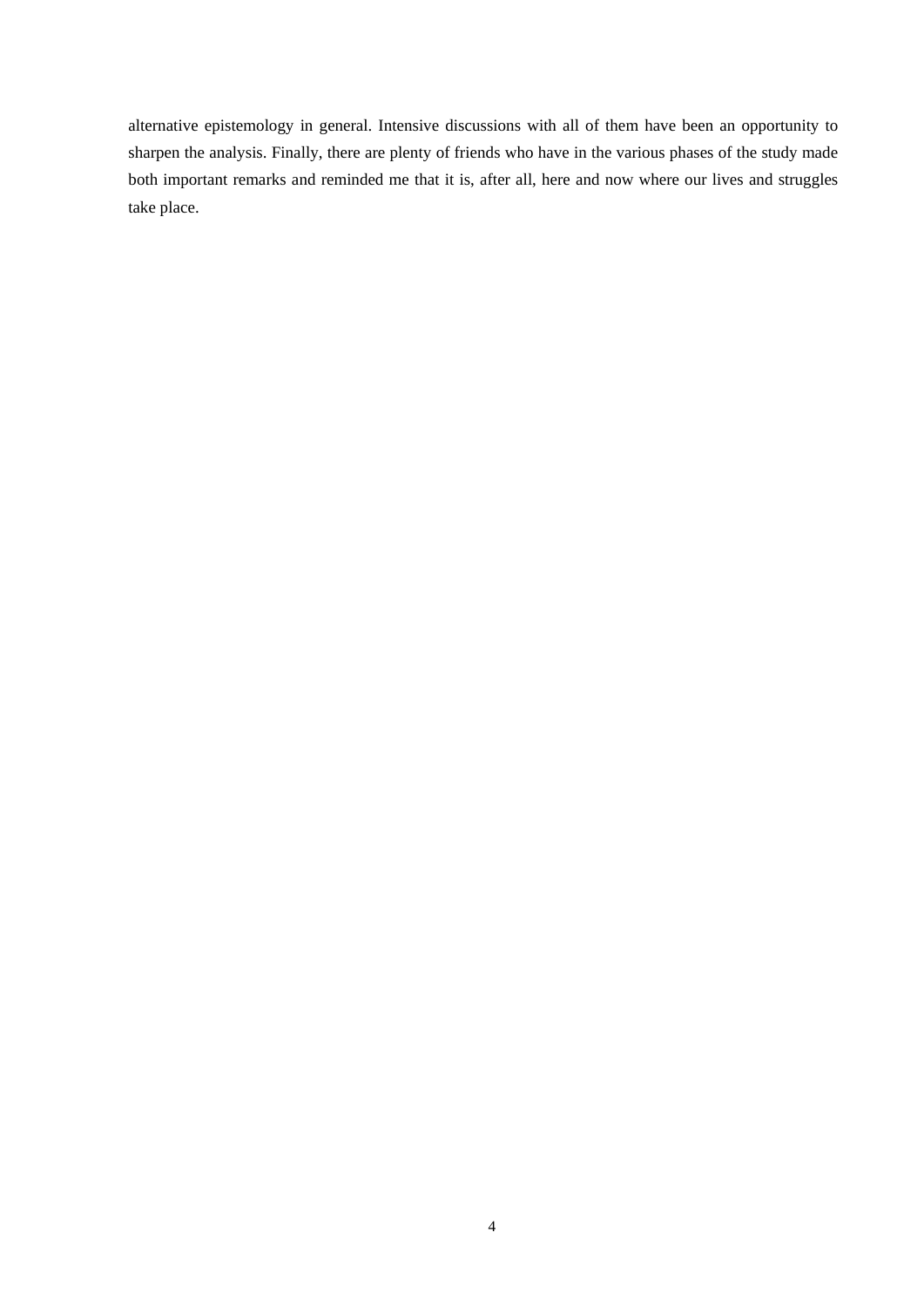alternative epistemology in general. Intensive discussions with all of them have been an opportunity to sharpen the analysis. Finally, there are plenty of friends who have in the various phases of the study made both important remarks and reminded me that it is, after all, here and now where our lives and struggles take place.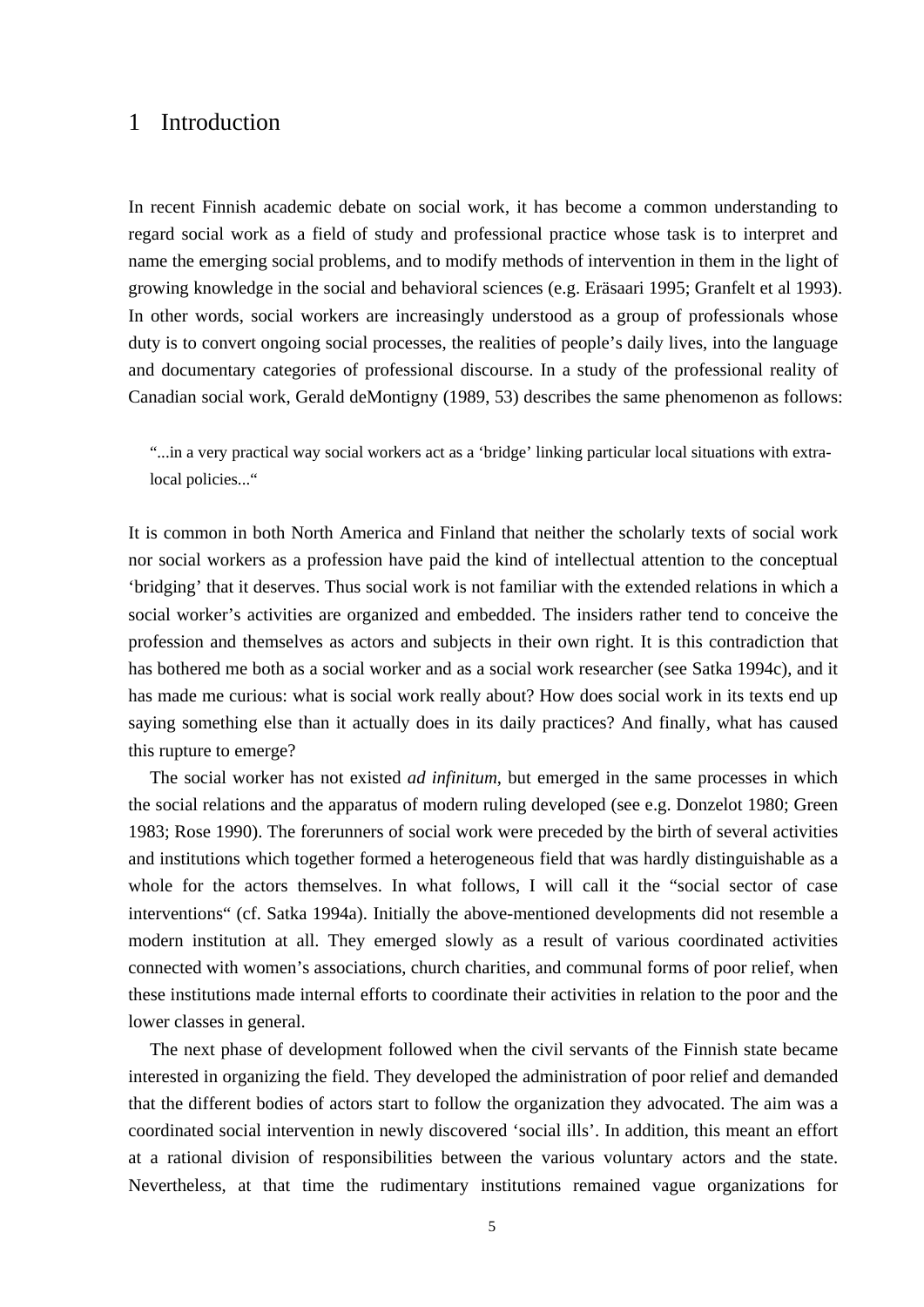# 1 Introduction

In recent Finnish academic debate on social work, it has become a common understanding to regard social work as a field of study and professional practice whose task is to interpret and name the emerging social problems, and to modify methods of intervention in them in the light of growing knowledge in the social and behavioral sciences (e.g. Eräsaari 1995; Granfelt et al 1993). In other words, social workers are increasingly understood as a group of professionals whose duty is to convert ongoing social processes, the realities of people's daily lives, into the language and documentary categories of professional discourse. In a study of the professional reality of Canadian social work, Gerald deMontigny (1989, 53) describes the same phenomenon as follows:

"...in a very practical way social workers act as a 'bridge' linking particular local situations with extralocal policies..."

It is common in both North America and Finland that neither the scholarly texts of social work nor social workers as a profession have paid the kind of intellectual attention to the conceptual 'bridging' that it deserves. Thus social work is not familiar with the extended relations in which a social worker's activities are organized and embedded. The insiders rather tend to conceive the profession and themselves as actors and subjects in their own right. It is this contradiction that has bothered me both as a social worker and as a social work researcher (see Satka 1994c), and it has made me curious: what is social work really about? How does social work in its texts end up saying something else than it actually does in its daily practices? And finally, what has caused this rupture to emerge?

 The social worker has not existed *ad infinitum*, but emerged in the same processes in which the social relations and the apparatus of modern ruling developed (see e.g. Donzelot 1980; Green 1983; Rose 1990). The forerunners of social work were preceded by the birth of several activities and institutions which together formed a heterogeneous field that was hardly distinguishable as a whole for the actors themselves. In what follows, I will call it the "social sector of case interventions" (cf. Satka 1994a). Initially the above-mentioned developments did not resemble a modern institution at all. They emerged slowly as a result of various coordinated activities connected with women's associations, church charities, and communal forms of poor relief, when these institutions made internal efforts to coordinate their activities in relation to the poor and the lower classes in general.

 The next phase of development followed when the civil servants of the Finnish state became interested in organizing the field. They developed the administration of poor relief and demanded that the different bodies of actors start to follow the organization they advocated. The aim was a coordinated social intervention in newly discovered 'social ills'. In addition, this meant an effort at a rational division of responsibilities between the various voluntary actors and the state. Nevertheless, at that time the rudimentary institutions remained vague organizations for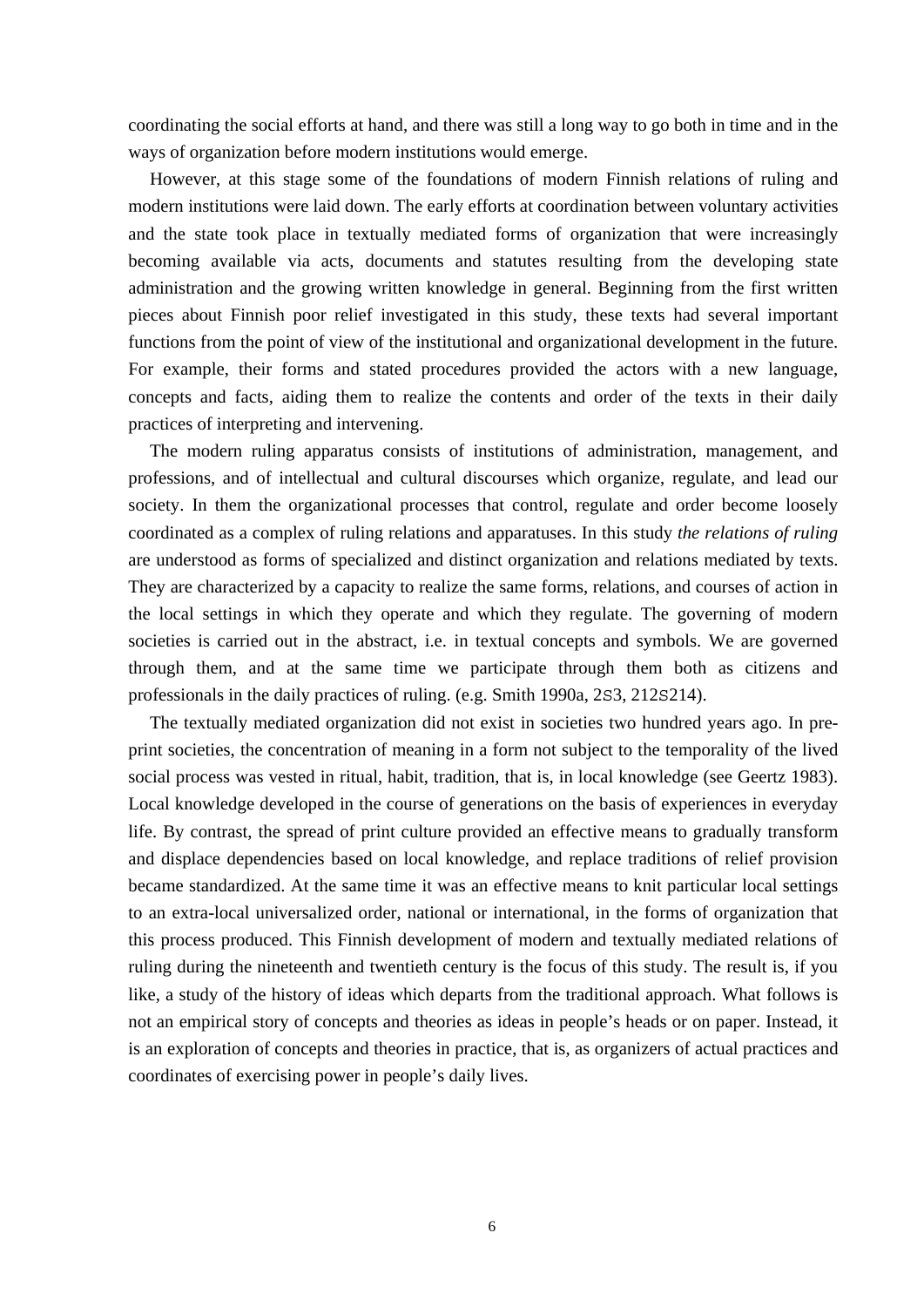coordinating the social efforts at hand, and there was still a long way to go both in time and in the ways of organization before modern institutions would emerge.

 However, at this stage some of the foundations of modern Finnish relations of ruling and modern institutions were laid down. The early efforts at coordination between voluntary activities and the state took place in textually mediated forms of organization that were increasingly becoming available via acts, documents and statutes resulting from the developing state administration and the growing written knowledge in general. Beginning from the first written pieces about Finnish poor relief investigated in this study, these texts had several important functions from the point of view of the institutional and organizational development in the future. For example, their forms and stated procedures provided the actors with a new language, concepts and facts, aiding them to realize the contents and order of the texts in their daily practices of interpreting and intervening.

 The modern ruling apparatus consists of institutions of administration, management, and professions, and of intellectual and cultural discourses which organize, regulate, and lead our society. In them the organizational processes that control, regulate and order become loosely coordinated as a complex of ruling relations and apparatuses. In this study *the relations of ruling* are understood as forms of specialized and distinct organization and relations mediated by texts. They are characterized by a capacity to realize the same forms, relations, and courses of action in the local settings in which they operate and which they regulate. The governing of modern societies is carried out in the abstract, i.e. in textual concepts and symbols. We are governed through them, and at the same time we participate through them both as citizens and professionals in the daily practices of ruling. (e.g. Smith 1990a, 2S3, 212S214).

 The textually mediated organization did not exist in societies two hundred years ago. In preprint societies, the concentration of meaning in a form not subject to the temporality of the lived social process was vested in ritual, habit, tradition, that is, in local knowledge (see Geertz 1983). Local knowledge developed in the course of generations on the basis of experiences in everyday life. By contrast, the spread of print culture provided an effective means to gradually transform and displace dependencies based on local knowledge, and replace traditions of relief provision became standardized. At the same time it was an effective means to knit particular local settings to an extra-local universalized order, national or international, in the forms of organization that this process produced. This Finnish development of modern and textually mediated relations of ruling during the nineteenth and twentieth century is the focus of this study. The result is, if you like, a study of the history of ideas which departs from the traditional approach. What follows is not an empirical story of concepts and theories as ideas in people's heads or on paper. Instead, it is an exploration of concepts and theories in practice, that is, as organizers of actual practices and coordinates of exercising power in people's daily lives.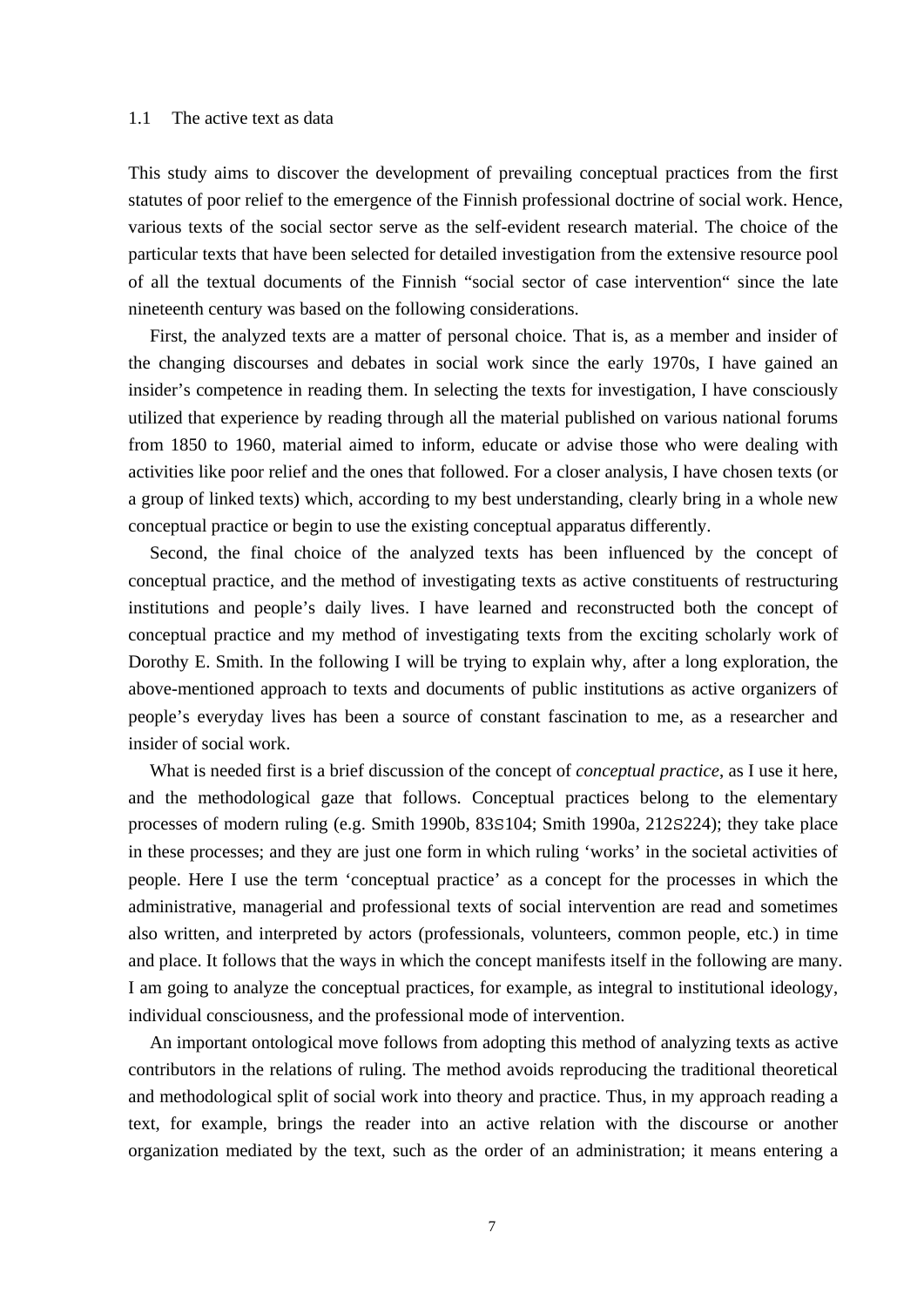### 1.1 The active text as data

This study aims to discover the development of prevailing conceptual practices from the first statutes of poor relief to the emergence of the Finnish professional doctrine of social work. Hence, various texts of the social sector serve as the self-evident research material. The choice of the particular texts that have been selected for detailed investigation from the extensive resource pool of all the textual documents of the Finnish "social sector of case intervention" since the late nineteenth century was based on the following considerations.

 First, the analyzed texts are a matter of personal choice. That is, as a member and insider of the changing discourses and debates in social work since the early 1970s, I have gained an insider's competence in reading them. In selecting the texts for investigation, I have consciously utilized that experience by reading through all the material published on various national forums from 1850 to 1960, material aimed to inform, educate or advise those who were dealing with activities like poor relief and the ones that followed. For a closer analysis, I have chosen texts (or a group of linked texts) which, according to my best understanding, clearly bring in a whole new conceptual practice or begin to use the existing conceptual apparatus differently.

 Second, the final choice of the analyzed texts has been influenced by the concept of conceptual practice, and the method of investigating texts as active constituents of restructuring institutions and people's daily lives. I have learned and reconstructed both the concept of conceptual practice and my method of investigating texts from the exciting scholarly work of Dorothy E. Smith. In the following I will be trying to explain why, after a long exploration, the above-mentioned approach to texts and documents of public institutions as active organizers of people's everyday lives has been a source of constant fascination to me, as a researcher and insider of social work.

 What is needed first is a brief discussion of the concept of *conceptual practice*, as I use it here, and the methodological gaze that follows. Conceptual practices belong to the elementary processes of modern ruling (e.g. Smith 1990b, 83S104; Smith 1990a, 212S224); they take place in these processes; and they are just one form in which ruling 'works' in the societal activities of people. Here I use the term 'conceptual practice' as a concept for the processes in which the administrative, managerial and professional texts of social intervention are read and sometimes also written, and interpreted by actors (professionals, volunteers, common people, etc.) in time and place. It follows that the ways in which the concept manifests itself in the following are many. I am going to analyze the conceptual practices, for example, as integral to institutional ideology, individual consciousness, and the professional mode of intervention.

 An important ontological move follows from adopting this method of analyzing texts as active contributors in the relations of ruling. The method avoids reproducing the traditional theoretical and methodological split of social work into theory and practice. Thus, in my approach reading a text, for example, brings the reader into an active relation with the discourse or another organization mediated by the text, such as the order of an administration; it means entering a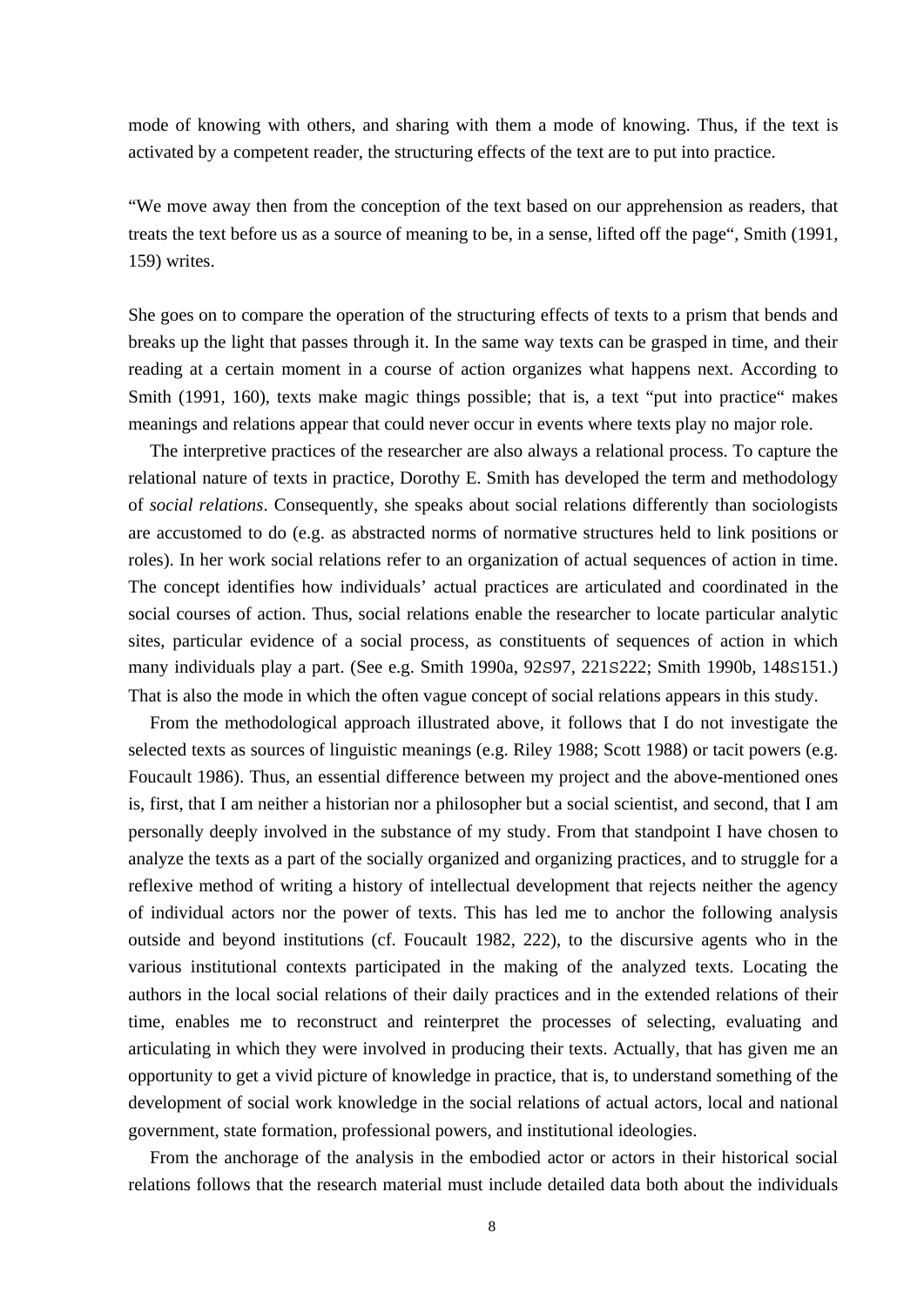mode of knowing with others, and sharing with them a mode of knowing. Thus, if the text is activated by a competent reader, the structuring effects of the text are to put into practice.

"We move away then from the conception of the text based on our apprehension as readers, that treats the text before us as a source of meaning to be, in a sense, lifted off the page", Smith (1991, 159) writes.

She goes on to compare the operation of the structuring effects of texts to a prism that bends and breaks up the light that passes through it. In the same way texts can be grasped in time, and their reading at a certain moment in a course of action organizes what happens next. According to Smith (1991, 160), texts make magic things possible; that is, a text "put into practice" makes meanings and relations appear that could never occur in events where texts play no major role.

 The interpretive practices of the researcher are also always a relational process. To capture the relational nature of texts in practice, Dorothy E. Smith has developed the term and methodology of *social relations*. Consequently, she speaks about social relations differently than sociologists are accustomed to do (e.g. as abstracted norms of normative structures held to link positions or roles). In her work social relations refer to an organization of actual sequences of action in time. The concept identifies how individuals' actual practices are articulated and coordinated in the social courses of action. Thus, social relations enable the researcher to locate particular analytic sites, particular evidence of a social process, as constituents of sequences of action in which many individuals play a part. (See e.g. Smith 1990a, 92S97, 221S222; Smith 1990b, 148S151.) That is also the mode in which the often vague concept of social relations appears in this study.

 From the methodological approach illustrated above, it follows that I do not investigate the selected texts as sources of linguistic meanings (e.g. Riley 1988; Scott 1988) or tacit powers (e.g. Foucault 1986). Thus, an essential difference between my project and the above-mentioned ones is, first, that I am neither a historian nor a philosopher but a social scientist, and second, that I am personally deeply involved in the substance of my study. From that standpoint I have chosen to analyze the texts as a part of the socially organized and organizing practices, and to struggle for a reflexive method of writing a history of intellectual development that rejects neither the agency of individual actors nor the power of texts. This has led me to anchor the following analysis outside and beyond institutions (cf. Foucault 1982, 222), to the discursive agents who in the various institutional contexts participated in the making of the analyzed texts. Locating the authors in the local social relations of their daily practices and in the extended relations of their time, enables me to reconstruct and reinterpret the processes of selecting, evaluating and articulating in which they were involved in producing their texts. Actually, that has given me an opportunity to get a vivid picture of knowledge in practice, that is, to understand something of the development of social work knowledge in the social relations of actual actors, local and national government, state formation, professional powers, and institutional ideologies.

 From the anchorage of the analysis in the embodied actor or actors in their historical social relations follows that the research material must include detailed data both about the individuals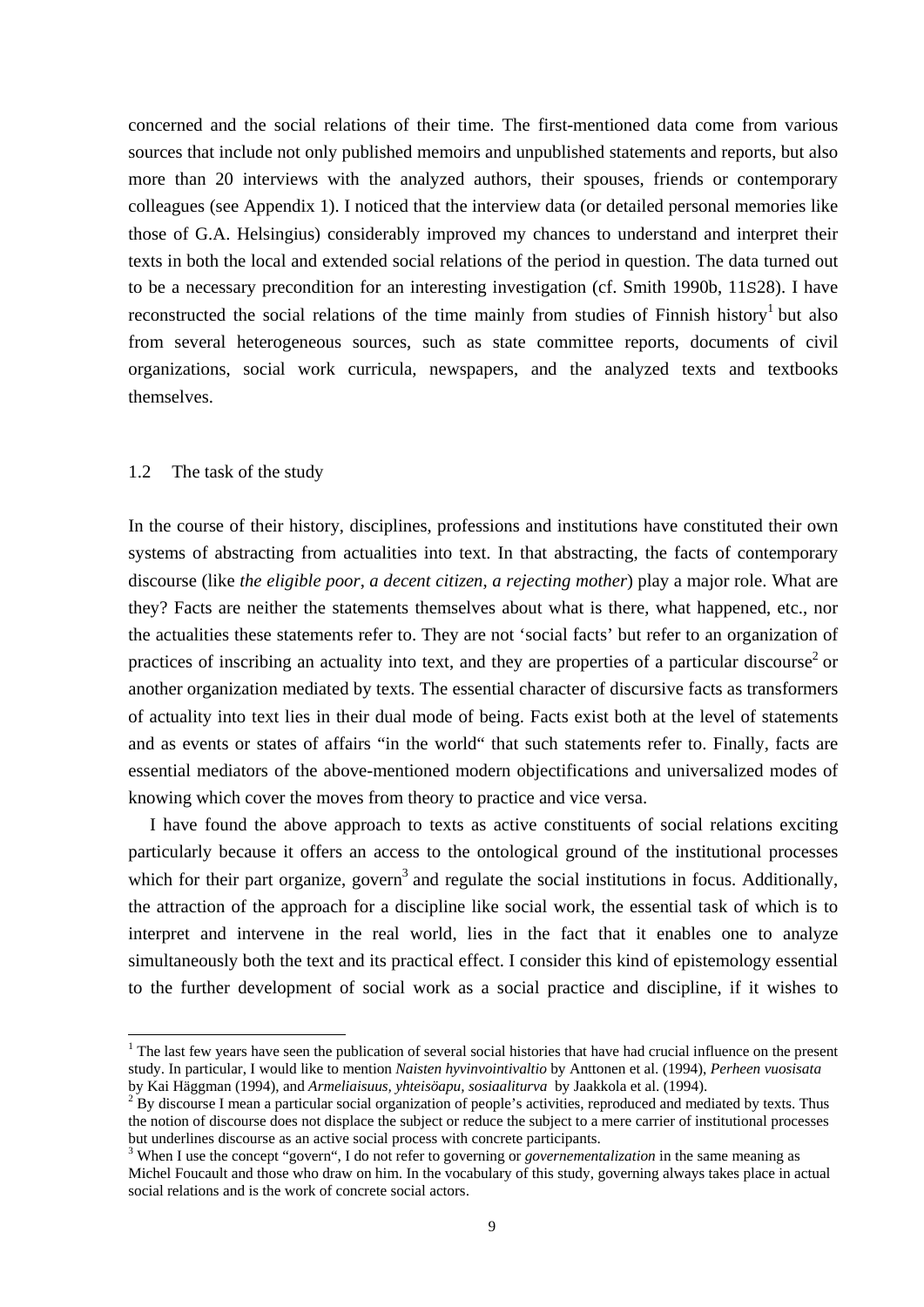concerned and the social relations of their time. The first-mentioned data come from various sources that include not only published memoirs and unpublished statements and reports, but also more than 20 interviews with the analyzed authors, their spouses, friends or contemporary colleagues (see Appendix 1). I noticed that the interview data (or detailed personal memories like those of G.A. Helsingius) considerably improved my chances to understand and interpret their texts in both the local and extended social relations of the period in question. The data turned out to be a necessary precondition for an interesting investigation (cf. Smith 1990b, 11S28). I have reconstructed the social relations of the time mainly from studies of Finnish history<sup>1</sup> but also from several heterogeneous sources, such as state committee reports, documents of civil organizations, social work curricula, newspapers, and the analyzed texts and textbooks themselves.

#### 1.2 The task of the study

-

In the course of their history, disciplines, professions and institutions have constituted their own systems of abstracting from actualities into text. In that abstracting, the facts of contemporary discourse (like *the eligible poor*, *a decent citizen*, *a rejecting mother*) play a major role. What are they? Facts are neither the statements themselves about what is there, what happened, etc., nor the actualities these statements refer to. They are not 'social facts' but refer to an organization of practices of inscribing an actuality into text, and they are properties of a particular discourse<sup>2</sup> or another organization mediated by texts. The essential character of discursive facts as transformers of actuality into text lies in their dual mode of being. Facts exist both at the level of statements and as events or states of affairs "in the world" that such statements refer to. Finally, facts are essential mediators of the above-mentioned modern objectifications and universalized modes of knowing which cover the moves from theory to practice and vice versa.

 I have found the above approach to texts as active constituents of social relations exciting particularly because it offers an access to the ontological ground of the institutional processes which for their part organize, govern<sup>3</sup> and regulate the social institutions in focus. Additionally, the attraction of the approach for a discipline like social work, the essential task of which is to interpret and intervene in the real world, lies in the fact that it enables one to analyze simultaneously both the text and its practical effect. I consider this kind of epistemology essential to the further development of social work as a social practice and discipline, if it wishes to

 $<sup>1</sup>$  The last few years have seen the publication of several social histories that have had crucial influence on the present</sup> study. In particular, I would like to mention *Naisten hyvinvointivaltio* by Anttonen et al. (1994), *Perheen vuosisata* by Kai Häggman (1994), and *Armeliaisuus, yhteisöapu, sosiaaliturva* by Jaakkola et al. (1994). 2

<sup>&</sup>lt;sup>2</sup> By discourse I mean a particular social organization of people's activities, reproduced and mediated by texts. Thus the notion of discourse does not displace the subject or reduce the subject to a mere carrier of institutional processes but underlines discourse as an active social process with concrete participants.

<sup>&</sup>lt;sup>3</sup> When I use the concept "govern", I do not refer to governing or *governementalization* in the same meaning as Michel Foucault and those who draw on him. In the vocabulary of this study, governing always takes place in actual social relations and is the work of concrete social actors.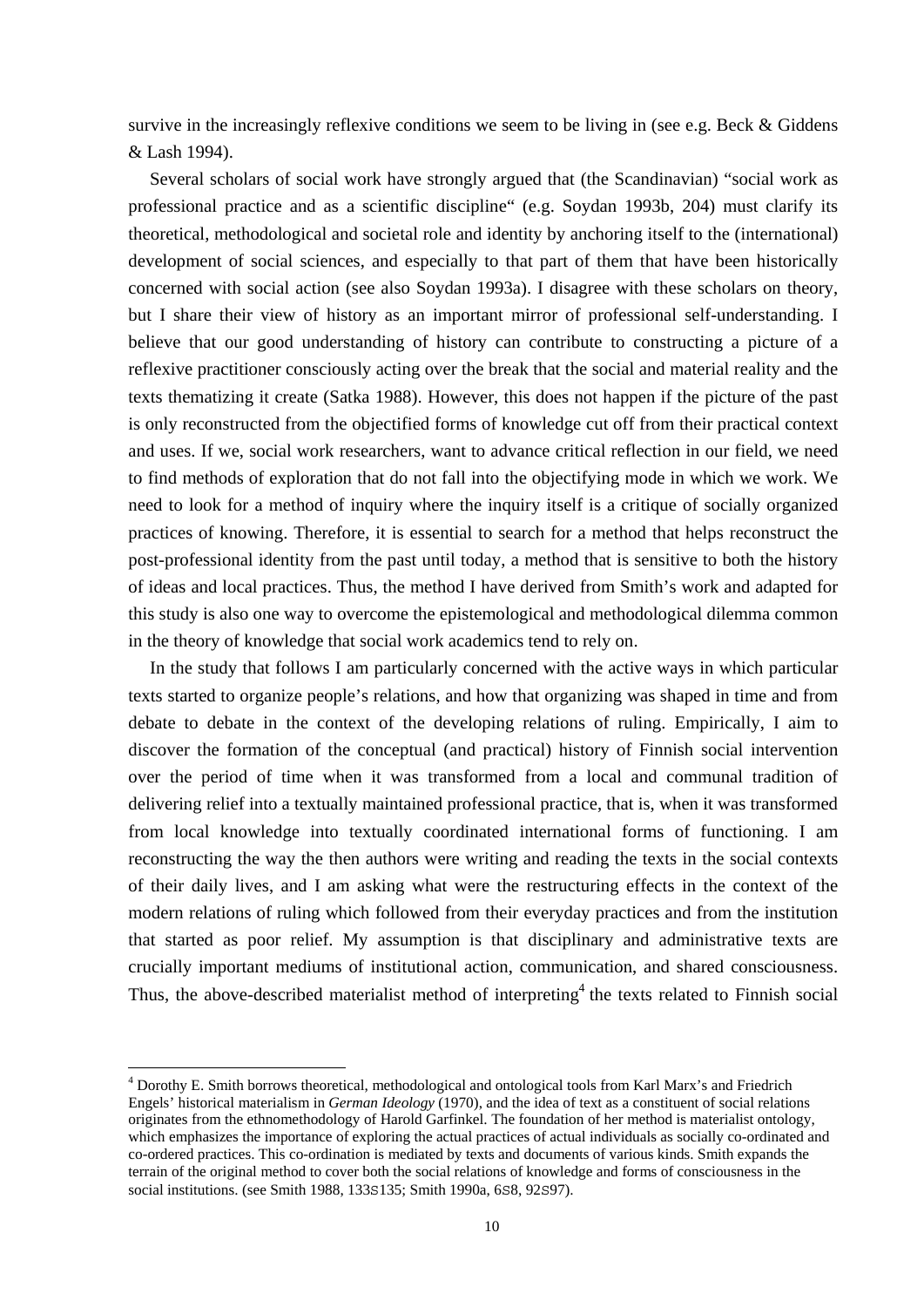survive in the increasingly reflexive conditions we seem to be living in (see e.g. Beck & Giddens & Lash 1994).

 Several scholars of social work have strongly argued that (the Scandinavian) "social work as professional practice and as a scientific discipline" (e.g. Soydan 1993b, 204) must clarify its theoretical, methodological and societal role and identity by anchoring itself to the (international) development of social sciences, and especially to that part of them that have been historically concerned with social action (see also Soydan 1993a). I disagree with these scholars on theory, but I share their view of history as an important mirror of professional self-understanding. I believe that our good understanding of history can contribute to constructing a picture of a reflexive practitioner consciously acting over the break that the social and material reality and the texts thematizing it create (Satka 1988). However, this does not happen if the picture of the past is only reconstructed from the objectified forms of knowledge cut off from their practical context and uses. If we, social work researchers, want to advance critical reflection in our field, we need to find methods of exploration that do not fall into the objectifying mode in which we work. We need to look for a method of inquiry where the inquiry itself is a critique of socially organized practices of knowing. Therefore, it is essential to search for a method that helps reconstruct the post-professional identity from the past until today, a method that is sensitive to both the history of ideas and local practices. Thus, the method I have derived from Smith's work and adapted for this study is also one way to overcome the epistemological and methodological dilemma common in the theory of knowledge that social work academics tend to rely on.

 In the study that follows I am particularly concerned with the active ways in which particular texts started to organize people's relations, and how that organizing was shaped in time and from debate to debate in the context of the developing relations of ruling. Empirically, I aim to discover the formation of the conceptual (and practical) history of Finnish social intervention over the period of time when it was transformed from a local and communal tradition of delivering relief into a textually maintained professional practice, that is, when it was transformed from local knowledge into textually coordinated international forms of functioning. I am reconstructing the way the then authors were writing and reading the texts in the social contexts of their daily lives, and I am asking what were the restructuring effects in the context of the modern relations of ruling which followed from their everyday practices and from the institution that started as poor relief. My assumption is that disciplinary and administrative texts are crucially important mediums of institutional action, communication, and shared consciousness. Thus, the above-described materialist method of interpreting<sup>4</sup> the texts related to Finnish social

<sup>&</sup>lt;sup>4</sup> Dorothy E. Smith borrows theoretical, methodological and ontological tools from Karl Marx's and Friedrich Engels' historical materialism in *German Ideology* (1970), and the idea of text as a constituent of social relations originates from the ethnomethodology of Harold Garfinkel. The foundation of her method is materialist ontology, which emphasizes the importance of exploring the actual practices of actual individuals as socially co-ordinated and co-ordered practices. This co-ordination is mediated by texts and documents of various kinds. Smith expands the terrain of the original method to cover both the social relations of knowledge and forms of consciousness in the social institutions. (see Smith 1988, 133S135; Smith 1990a, 6S8, 92S97).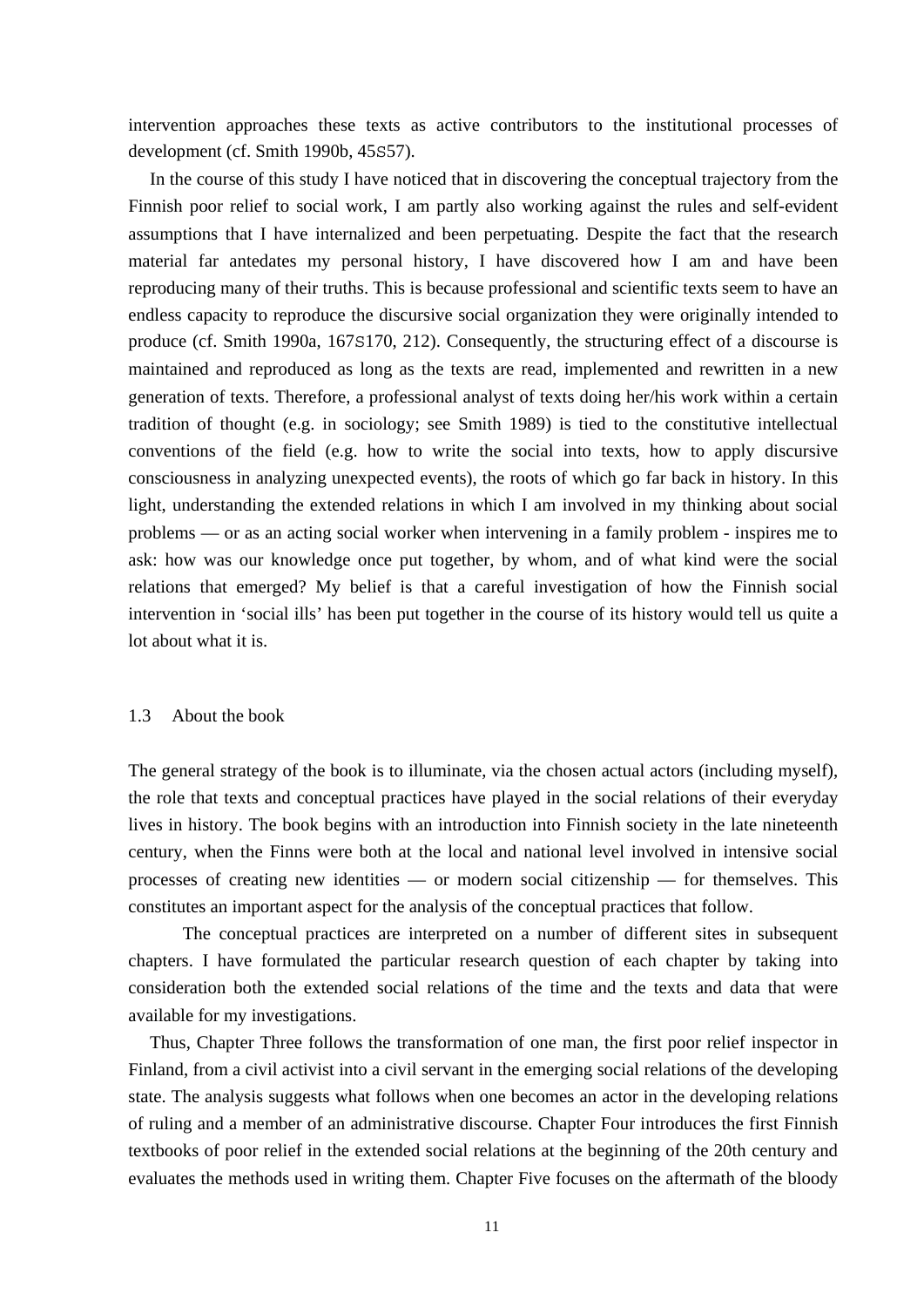intervention approaches these texts as active contributors to the institutional processes of development (cf. Smith 1990b, 45S57).

 In the course of this study I have noticed that in discovering the conceptual trajectory from the Finnish poor relief to social work, I am partly also working against the rules and self-evident assumptions that I have internalized and been perpetuating. Despite the fact that the research material far antedates my personal history, I have discovered how I am and have been reproducing many of their truths. This is because professional and scientific texts seem to have an endless capacity to reproduce the discursive social organization they were originally intended to produce (cf. Smith 1990a, 167S170, 212). Consequently, the structuring effect of a discourse is maintained and reproduced as long as the texts are read, implemented and rewritten in a new generation of texts. Therefore, a professional analyst of texts doing her/his work within a certain tradition of thought (e.g. in sociology; see Smith 1989) is tied to the constitutive intellectual conventions of the field (e.g. how to write the social into texts, how to apply discursive consciousness in analyzing unexpected events), the roots of which go far back in history. In this light, understanding the extended relations in which I am involved in my thinking about social problems — or as an acting social worker when intervening in a family problem - inspires me to ask: how was our knowledge once put together, by whom, and of what kind were the social relations that emerged? My belief is that a careful investigation of how the Finnish social intervention in 'social ills' has been put together in the course of its history would tell us quite a lot about what it is.

## 1.3 About the book

The general strategy of the book is to illuminate, via the chosen actual actors (including myself), the role that texts and conceptual practices have played in the social relations of their everyday lives in history. The book begins with an introduction into Finnish society in the late nineteenth century, when the Finns were both at the local and national level involved in intensive social processes of creating new identities — or modern social citizenship — for themselves. This constitutes an important aspect for the analysis of the conceptual practices that follow.

 The conceptual practices are interpreted on a number of different sites in subsequent chapters. I have formulated the particular research question of each chapter by taking into consideration both the extended social relations of the time and the texts and data that were available for my investigations.

 Thus, Chapter Three follows the transformation of one man, the first poor relief inspector in Finland, from a civil activist into a civil servant in the emerging social relations of the developing state. The analysis suggests what follows when one becomes an actor in the developing relations of ruling and a member of an administrative discourse. Chapter Four introduces the first Finnish textbooks of poor relief in the extended social relations at the beginning of the 20th century and evaluates the methods used in writing them. Chapter Five focuses on the aftermath of the bloody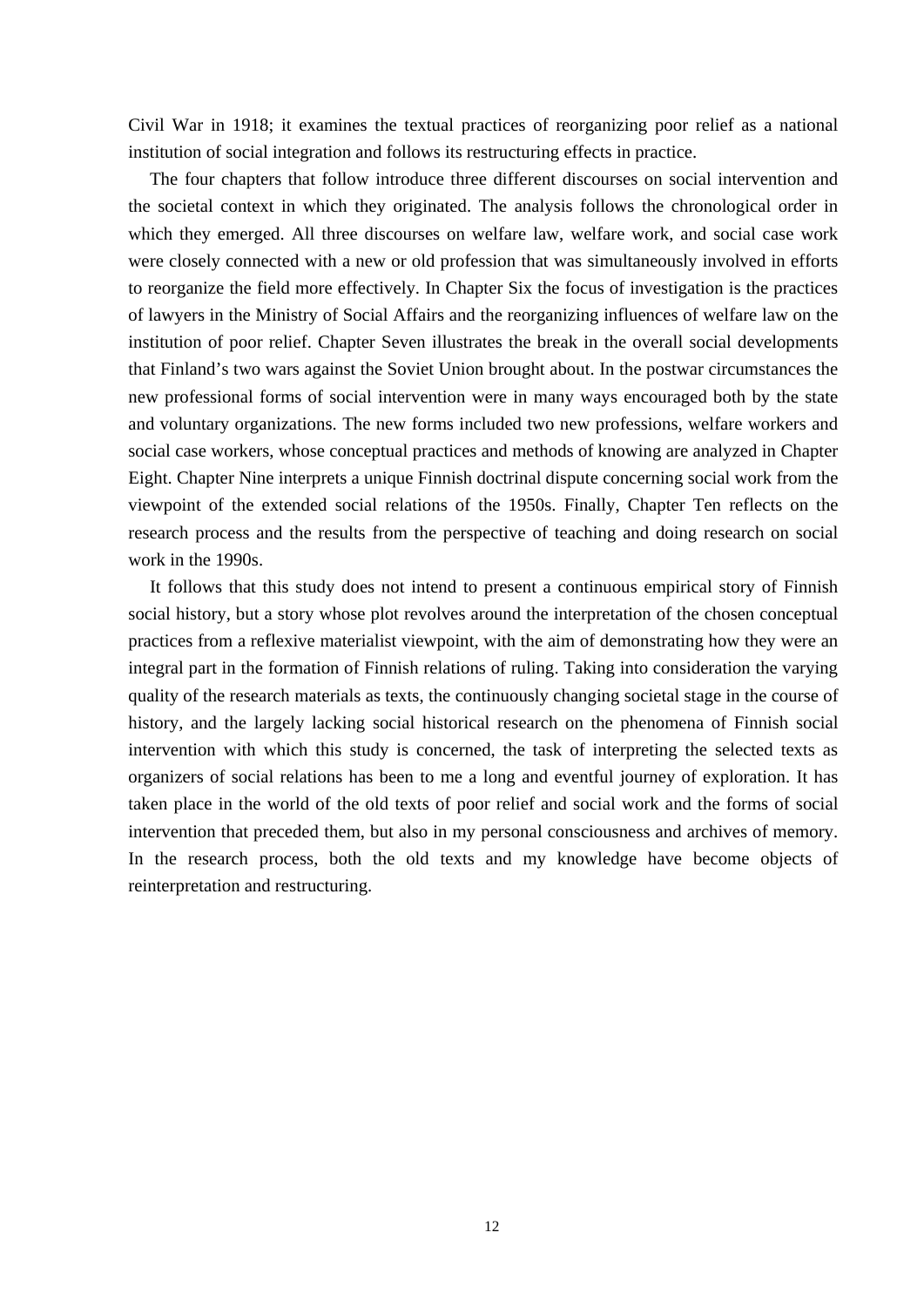Civil War in 1918; it examines the textual practices of reorganizing poor relief as a national institution of social integration and follows its restructuring effects in practice.

 The four chapters that follow introduce three different discourses on social intervention and the societal context in which they originated. The analysis follows the chronological order in which they emerged. All three discourses on welfare law, welfare work, and social case work were closely connected with a new or old profession that was simultaneously involved in efforts to reorganize the field more effectively. In Chapter Six the focus of investigation is the practices of lawyers in the Ministry of Social Affairs and the reorganizing influences of welfare law on the institution of poor relief. Chapter Seven illustrates the break in the overall social developments that Finland's two wars against the Soviet Union brought about. In the postwar circumstances the new professional forms of social intervention were in many ways encouraged both by the state and voluntary organizations. The new forms included two new professions, welfare workers and social case workers, whose conceptual practices and methods of knowing are analyzed in Chapter Eight. Chapter Nine interprets a unique Finnish doctrinal dispute concerning social work from the viewpoint of the extended social relations of the 1950s. Finally, Chapter Ten reflects on the research process and the results from the perspective of teaching and doing research on social work in the 1990s.

 It follows that this study does not intend to present a continuous empirical story of Finnish social history, but a story whose plot revolves around the interpretation of the chosen conceptual practices from a reflexive materialist viewpoint, with the aim of demonstrating how they were an integral part in the formation of Finnish relations of ruling. Taking into consideration the varying quality of the research materials as texts, the continuously changing societal stage in the course of history, and the largely lacking social historical research on the phenomena of Finnish social intervention with which this study is concerned, the task of interpreting the selected texts as organizers of social relations has been to me a long and eventful journey of exploration. It has taken place in the world of the old texts of poor relief and social work and the forms of social intervention that preceded them, but also in my personal consciousness and archives of memory. In the research process, both the old texts and my knowledge have become objects of reinterpretation and restructuring.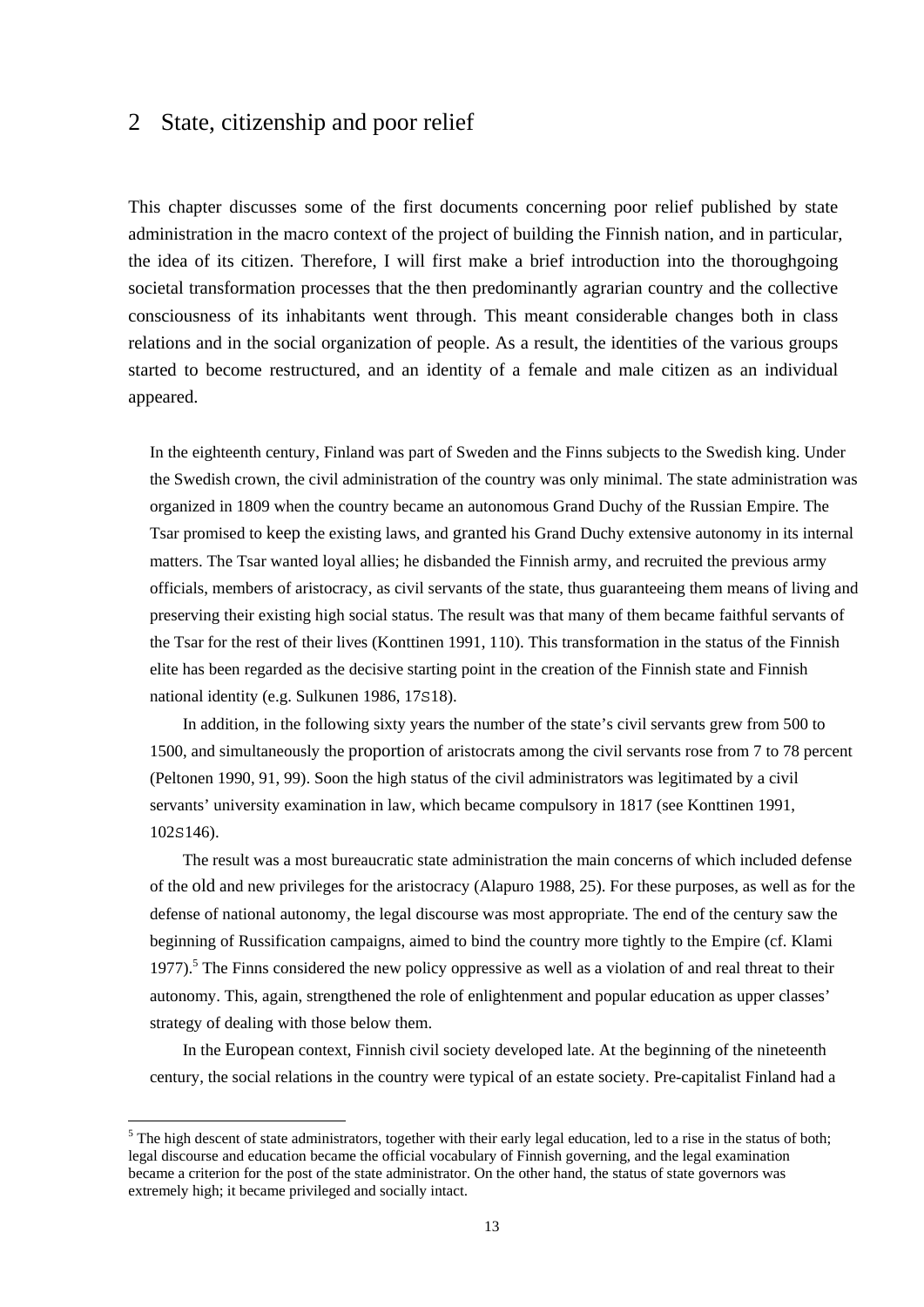# 2 State, citizenship and poor relief

This chapter discusses some of the first documents concerning poor relief published by state administration in the macro context of the project of building the Finnish nation, and in particular, the idea of its citizen. Therefore, I will first make a brief introduction into the thoroughgoing societal transformation processes that the then predominantly agrarian country and the collective consciousness of its inhabitants went through. This meant considerable changes both in class relations and in the social organization of people. As a result, the identities of the various groups started to become restructured, and an identity of a female and male citizen as an individual appeared.

In the eighteenth century, Finland was part of Sweden and the Finns subjects to the Swedish king. Under the Swedish crown, the civil administration of the country was only minimal. The state administration was organized in 1809 when the country became an autonomous Grand Duchy of the Russian Empire. The Tsar promised to keep the existing laws, and granted his Grand Duchy extensive autonomy in its internal matters. The Tsar wanted loyal allies; he disbanded the Finnish army, and recruited the previous army officials, members of aristocracy, as civil servants of the state, thus guaranteeing them means of living and preserving their existing high social status. The result was that many of them became faithful servants of the Tsar for the rest of their lives (Konttinen 1991, 110). This transformation in the status of the Finnish elite has been regarded as the decisive starting point in the creation of the Finnish state and Finnish national identity (e.g. Sulkunen 1986, 17S18).

 In addition, in the following sixty years the number of the state's civil servants grew from 500 to 1500, and simultaneously the proportion of aristocrats among the civil servants rose from 7 to 78 percent (Peltonen 1990, 91, 99). Soon the high status of the civil administrators was legitimated by a civil servants' university examination in law, which became compulsory in 1817 (see Konttinen 1991, 102S146).

 The result was a most bureaucratic state administration the main concerns of which included defense of the old and new privileges for the aristocracy (Alapuro 1988, 25). For these purposes, as well as for the defense of national autonomy, the legal discourse was most appropriate. The end of the century saw the beginning of Russification campaigns, aimed to bind the country more tightly to the Empire (cf. Klami 1977).<sup>5</sup> The Finns considered the new policy oppressive as well as a violation of and real threat to their autonomy. This, again, strengthened the role of enlightenment and popular education as upper classes' strategy of dealing with those below them.

 In the European context, Finnish civil society developed late. At the beginning of the nineteenth century, the social relations in the country were typical of an estate society. Pre-capitalist Finland had a

1

 $<sup>5</sup>$  The high descent of state administrators, together with their early legal education, led to a rise in the status of both;</sup> legal discourse and education became the official vocabulary of Finnish governing, and the legal examination became a criterion for the post of the state administrator. On the other hand, the status of state governors was extremely high; it became privileged and socially intact.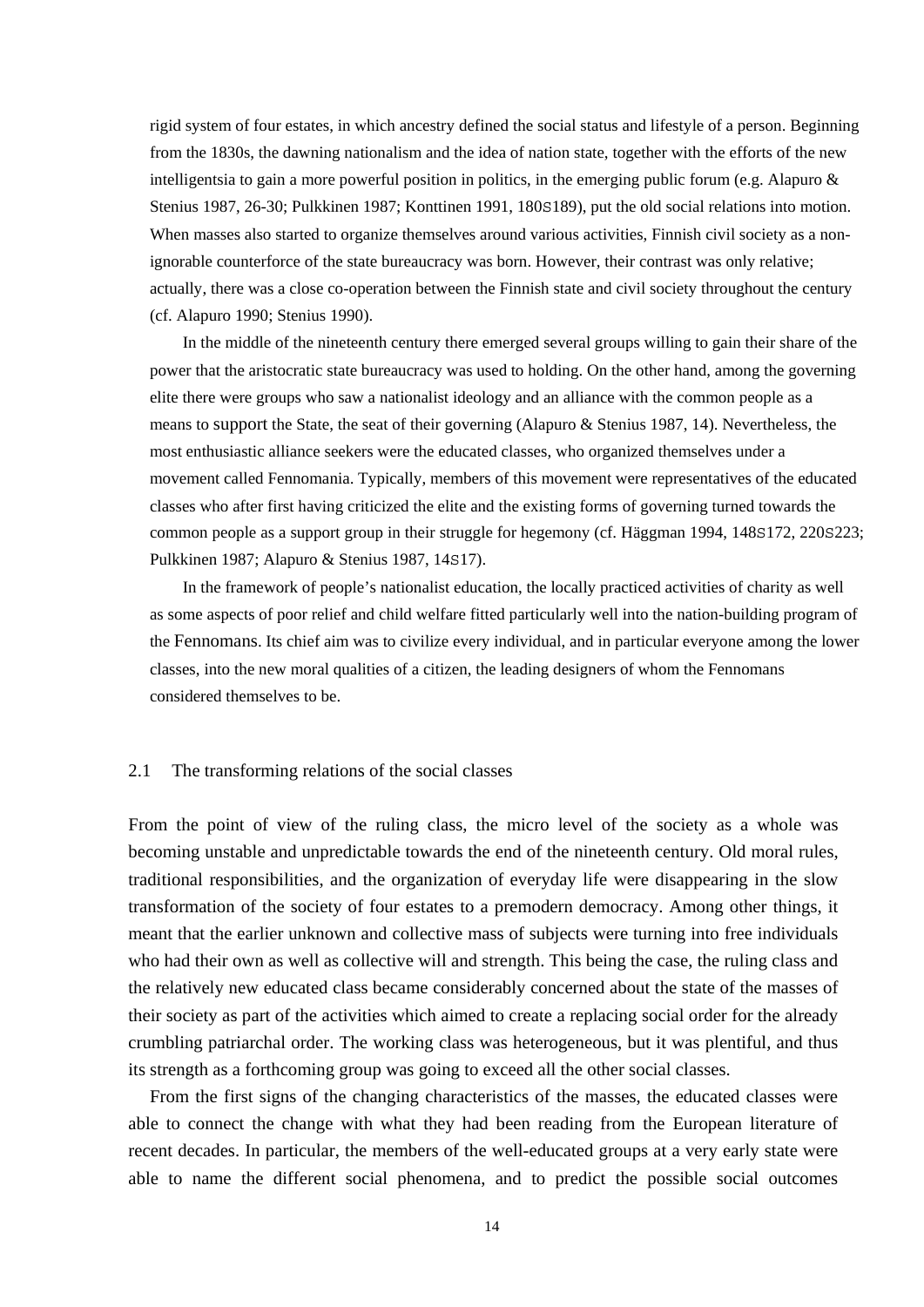rigid system of four estates, in which ancestry defined the social status and lifestyle of a person. Beginning from the 1830s, the dawning nationalism and the idea of nation state, together with the efforts of the new intelligentsia to gain a more powerful position in politics, in the emerging public forum (e.g. Alapuro & Stenius 1987, 26-30; Pulkkinen 1987; Konttinen 1991, 180S189), put the old social relations into motion. When masses also started to organize themselves around various activities, Finnish civil society as a nonignorable counterforce of the state bureaucracy was born. However, their contrast was only relative; actually, there was a close co-operation between the Finnish state and civil society throughout the century (cf. Alapuro 1990; Stenius 1990).

 In the middle of the nineteenth century there emerged several groups willing to gain their share of the power that the aristocratic state bureaucracy was used to holding. On the other hand, among the governing elite there were groups who saw a nationalist ideology and an alliance with the common people as a means to support the State, the seat of their governing (Alapuro & Stenius 1987, 14). Nevertheless, the most enthusiastic alliance seekers were the educated classes, who organized themselves under a movement called Fennomania. Typically, members of this movement were representatives of the educated classes who after first having criticized the elite and the existing forms of governing turned towards the common people as a support group in their struggle for hegemony (cf. Häggman 1994, 148S172, 220S223; Pulkkinen 1987; Alapuro & Stenius 1987, 14S17).

 In the framework of people's nationalist education, the locally practiced activities of charity as well as some aspects of poor relief and child welfare fitted particularly well into the nation-building program of the Fennomans. Its chief aim was to civilize every individual, and in particular everyone among the lower classes, into the new moral qualities of a citizen, the leading designers of whom the Fennomans considered themselves to be.

#### 2.1 The transforming relations of the social classes

From the point of view of the ruling class, the micro level of the society as a whole was becoming unstable and unpredictable towards the end of the nineteenth century. Old moral rules, traditional responsibilities, and the organization of everyday life were disappearing in the slow transformation of the society of four estates to a premodern democracy. Among other things, it meant that the earlier unknown and collective mass of subjects were turning into free individuals who had their own as well as collective will and strength. This being the case, the ruling class and the relatively new educated class became considerably concerned about the state of the masses of their society as part of the activities which aimed to create a replacing social order for the already crumbling patriarchal order. The working class was heterogeneous, but it was plentiful, and thus its strength as a forthcoming group was going to exceed all the other social classes.

 From the first signs of the changing characteristics of the masses, the educated classes were able to connect the change with what they had been reading from the European literature of recent decades. In particular, the members of the well-educated groups at a very early state were able to name the different social phenomena, and to predict the possible social outcomes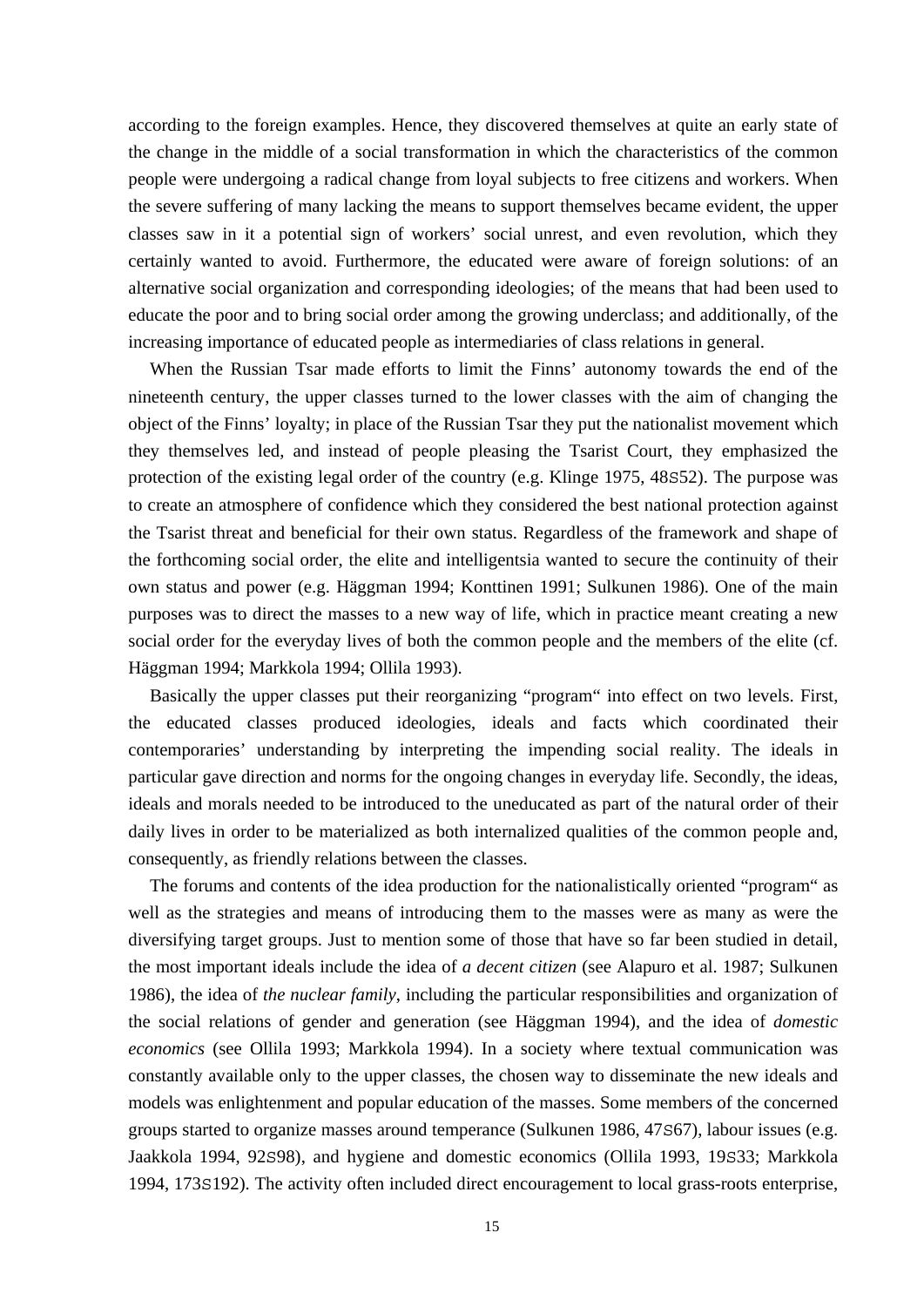according to the foreign examples. Hence, they discovered themselves at quite an early state of the change in the middle of a social transformation in which the characteristics of the common people were undergoing a radical change from loyal subjects to free citizens and workers. When the severe suffering of many lacking the means to support themselves became evident, the upper classes saw in it a potential sign of workers' social unrest, and even revolution, which they certainly wanted to avoid. Furthermore, the educated were aware of foreign solutions: of an alternative social organization and corresponding ideologies; of the means that had been used to educate the poor and to bring social order among the growing underclass; and additionally, of the increasing importance of educated people as intermediaries of class relations in general.

 When the Russian Tsar made efforts to limit the Finns' autonomy towards the end of the nineteenth century, the upper classes turned to the lower classes with the aim of changing the object of the Finns' loyalty; in place of the Russian Tsar they put the nationalist movement which they themselves led, and instead of people pleasing the Tsarist Court, they emphasized the protection of the existing legal order of the country (e.g. Klinge 1975, 48S52). The purpose was to create an atmosphere of confidence which they considered the best national protection against the Tsarist threat and beneficial for their own status. Regardless of the framework and shape of the forthcoming social order, the elite and intelligentsia wanted to secure the continuity of their own status and power (e.g. Häggman 1994; Konttinen 1991; Sulkunen 1986). One of the main purposes was to direct the masses to a new way of life, which in practice meant creating a new social order for the everyday lives of both the common people and the members of the elite (cf. Häggman 1994; Markkola 1994; Ollila 1993).

 Basically the upper classes put their reorganizing "program" into effect on two levels. First, the educated classes produced ideologies, ideals and facts which coordinated their contemporaries' understanding by interpreting the impending social reality. The ideals in particular gave direction and norms for the ongoing changes in everyday life. Secondly, the ideas, ideals and morals needed to be introduced to the uneducated as part of the natural order of their daily lives in order to be materialized as both internalized qualities of the common people and, consequently, as friendly relations between the classes.

 The forums and contents of the idea production for the nationalistically oriented "program" as well as the strategies and means of introducing them to the masses were as many as were the diversifying target groups. Just to mention some of those that have so far been studied in detail, the most important ideals include the idea of *a decent citizen* (see Alapuro et al. 1987; Sulkunen 1986), the idea of *the nuclear family*, including the particular responsibilities and organization of the social relations of gender and generation (see Häggman 1994), and the idea of *domestic economics* (see Ollila 1993; Markkola 1994). In a society where textual communication was constantly available only to the upper classes, the chosen way to disseminate the new ideals and models was enlightenment and popular education of the masses. Some members of the concerned groups started to organize masses around temperance (Sulkunen 1986, 47S67), labour issues (e.g. Jaakkola 1994, 92S98), and hygiene and domestic economics (Ollila 1993, 19S33; Markkola 1994, 173S192). The activity often included direct encouragement to local grass-roots enterprise,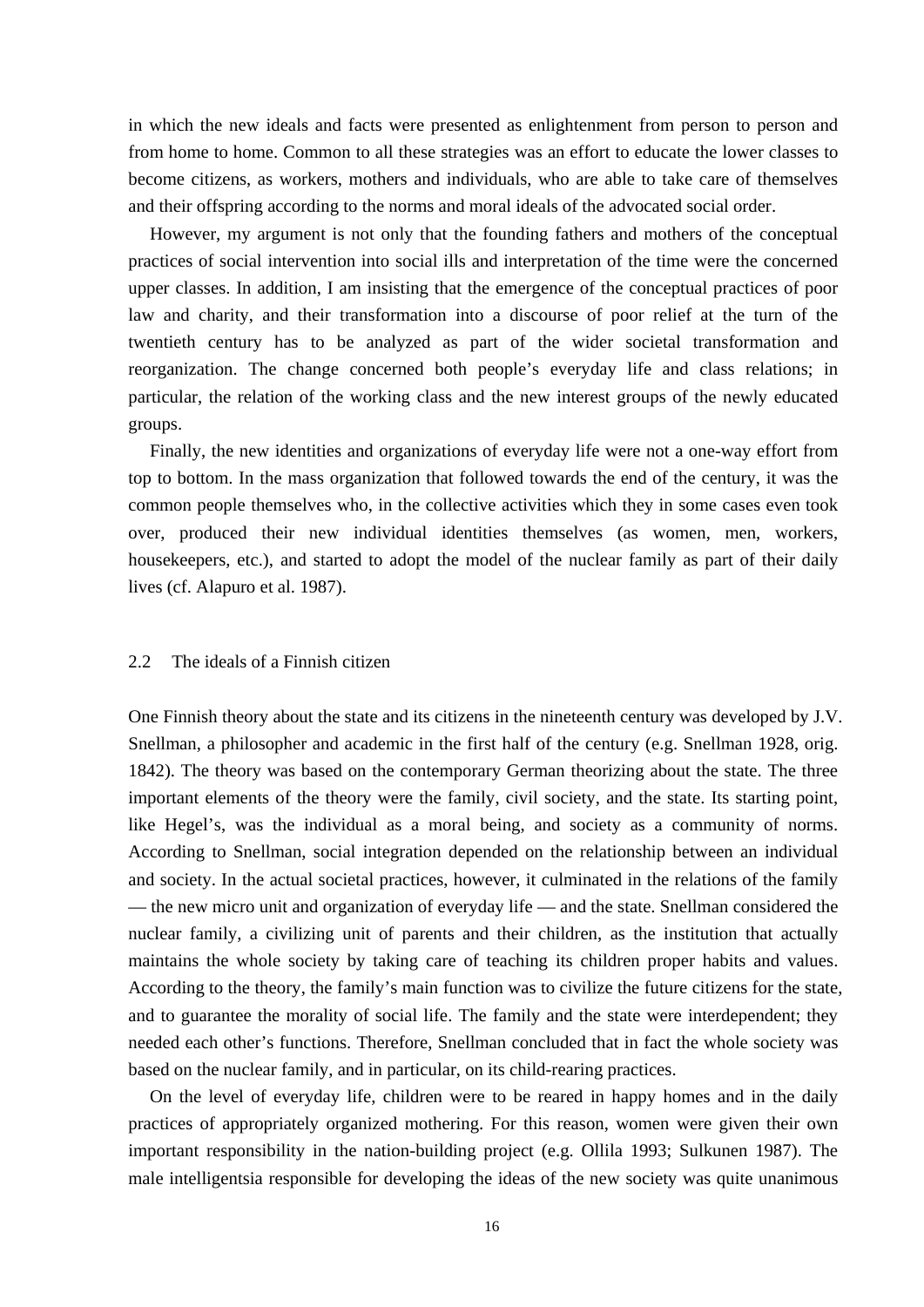in which the new ideals and facts were presented as enlightenment from person to person and from home to home. Common to all these strategies was an effort to educate the lower classes to become citizens, as workers, mothers and individuals, who are able to take care of themselves and their offspring according to the norms and moral ideals of the advocated social order.

 However, my argument is not only that the founding fathers and mothers of the conceptual practices of social intervention into social ills and interpretation of the time were the concerned upper classes. In addition, I am insisting that the emergence of the conceptual practices of poor law and charity, and their transformation into a discourse of poor relief at the turn of the twentieth century has to be analyzed as part of the wider societal transformation and reorganization. The change concerned both people's everyday life and class relations; in particular, the relation of the working class and the new interest groups of the newly educated groups.

 Finally, the new identities and organizations of everyday life were not a one-way effort from top to bottom. In the mass organization that followed towards the end of the century, it was the common people themselves who, in the collective activities which they in some cases even took over, produced their new individual identities themselves (as women, men, workers, housekeepers, etc.), and started to adopt the model of the nuclear family as part of their daily lives (cf. Alapuro et al. 1987).

## 2.2 The ideals of a Finnish citizen

One Finnish theory about the state and its citizens in the nineteenth century was developed by J.V. Snellman, a philosopher and academic in the first half of the century (e.g. Snellman 1928, orig. 1842). The theory was based on the contemporary German theorizing about the state. The three important elements of the theory were the family, civil society, and the state. Its starting point, like Hegel's, was the individual as a moral being, and society as a community of norms. According to Snellman, social integration depended on the relationship between an individual and society. In the actual societal practices, however, it culminated in the relations of the family — the new micro unit and organization of everyday life — and the state. Snellman considered the nuclear family, a civilizing unit of parents and their children, as the institution that actually maintains the whole society by taking care of teaching its children proper habits and values. According to the theory, the family's main function was to civilize the future citizens for the state, and to guarantee the morality of social life. The family and the state were interdependent; they needed each other's functions. Therefore, Snellman concluded that in fact the whole society was based on the nuclear family, and in particular, on its child-rearing practices.

 On the level of everyday life, children were to be reared in happy homes and in the daily practices of appropriately organized mothering. For this reason, women were given their own important responsibility in the nation-building project (e.g. Ollila 1993; Sulkunen 1987). The male intelligentsia responsible for developing the ideas of the new society was quite unanimous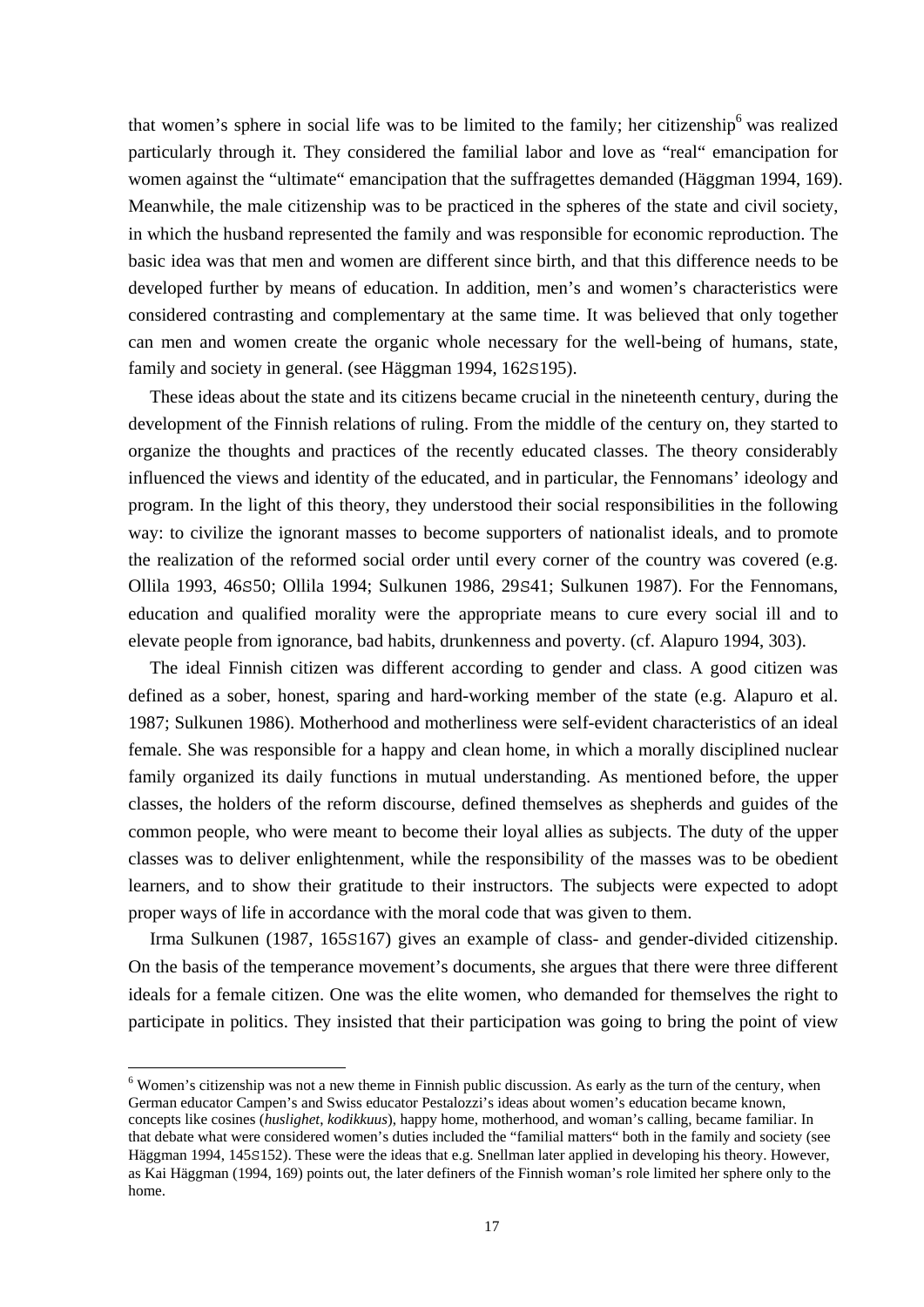that women's sphere in social life was to be limited to the family; her citizenship<sup>6</sup> was realized particularly through it. They considered the familial labor and love as "real" emancipation for women against the "ultimate" emancipation that the suffragettes demanded (Häggman 1994, 169). Meanwhile, the male citizenship was to be practiced in the spheres of the state and civil society, in which the husband represented the family and was responsible for economic reproduction. The basic idea was that men and women are different since birth, and that this difference needs to be developed further by means of education. In addition, men's and women's characteristics were considered contrasting and complementary at the same time. It was believed that only together can men and women create the organic whole necessary for the well-being of humans, state, family and society in general. (see Häggman 1994, 162s195).

 These ideas about the state and its citizens became crucial in the nineteenth century, during the development of the Finnish relations of ruling. From the middle of the century on, they started to organize the thoughts and practices of the recently educated classes. The theory considerably influenced the views and identity of the educated, and in particular, the Fennomans' ideology and program. In the light of this theory, they understood their social responsibilities in the following way: to civilize the ignorant masses to become supporters of nationalist ideals, and to promote the realization of the reformed social order until every corner of the country was covered (e.g. Ollila 1993, 46S50; Ollila 1994; Sulkunen 1986, 29S41; Sulkunen 1987). For the Fennomans, education and qualified morality were the appropriate means to cure every social ill and to elevate people from ignorance, bad habits, drunkenness and poverty. (cf. Alapuro 1994, 303).

 The ideal Finnish citizen was different according to gender and class. A good citizen was defined as a sober, honest, sparing and hard-working member of the state (e.g. Alapuro et al. 1987; Sulkunen 1986). Motherhood and motherliness were self-evident characteristics of an ideal female. She was responsible for a happy and clean home, in which a morally disciplined nuclear family organized its daily functions in mutual understanding. As mentioned before, the upper classes, the holders of the reform discourse, defined themselves as shepherds and guides of the common people, who were meant to become their loyal allies as subjects. The duty of the upper classes was to deliver enlightenment, while the responsibility of the masses was to be obedient learners, and to show their gratitude to their instructors. The subjects were expected to adopt proper ways of life in accordance with the moral code that was given to them.

 Irma Sulkunen (1987, 165S167) gives an example of class- and gender-divided citizenship. On the basis of the temperance movement's documents, she argues that there were three different ideals for a female citizen. One was the elite women, who demanded for themselves the right to participate in politics. They insisted that their participation was going to bring the point of view

<sup>&</sup>lt;sup>6</sup> Women's citizenship was not a new theme in Finnish public discussion. As early as the turn of the century, when German educator Campen's and Swiss educator Pestalozzi's ideas about women's education became known, concepts like cosines (*huslighet*, *kodikkuus*), happy home, motherhood, and woman's calling, became familiar. In that debate what were considered women's duties included the "familial matters" both in the family and society (see Häggman 1994, 145S152). These were the ideas that e.g. Snellman later applied in developing his theory. However, as Kai Häggman (1994, 169) points out, the later definers of the Finnish woman's role limited her sphere only to the home.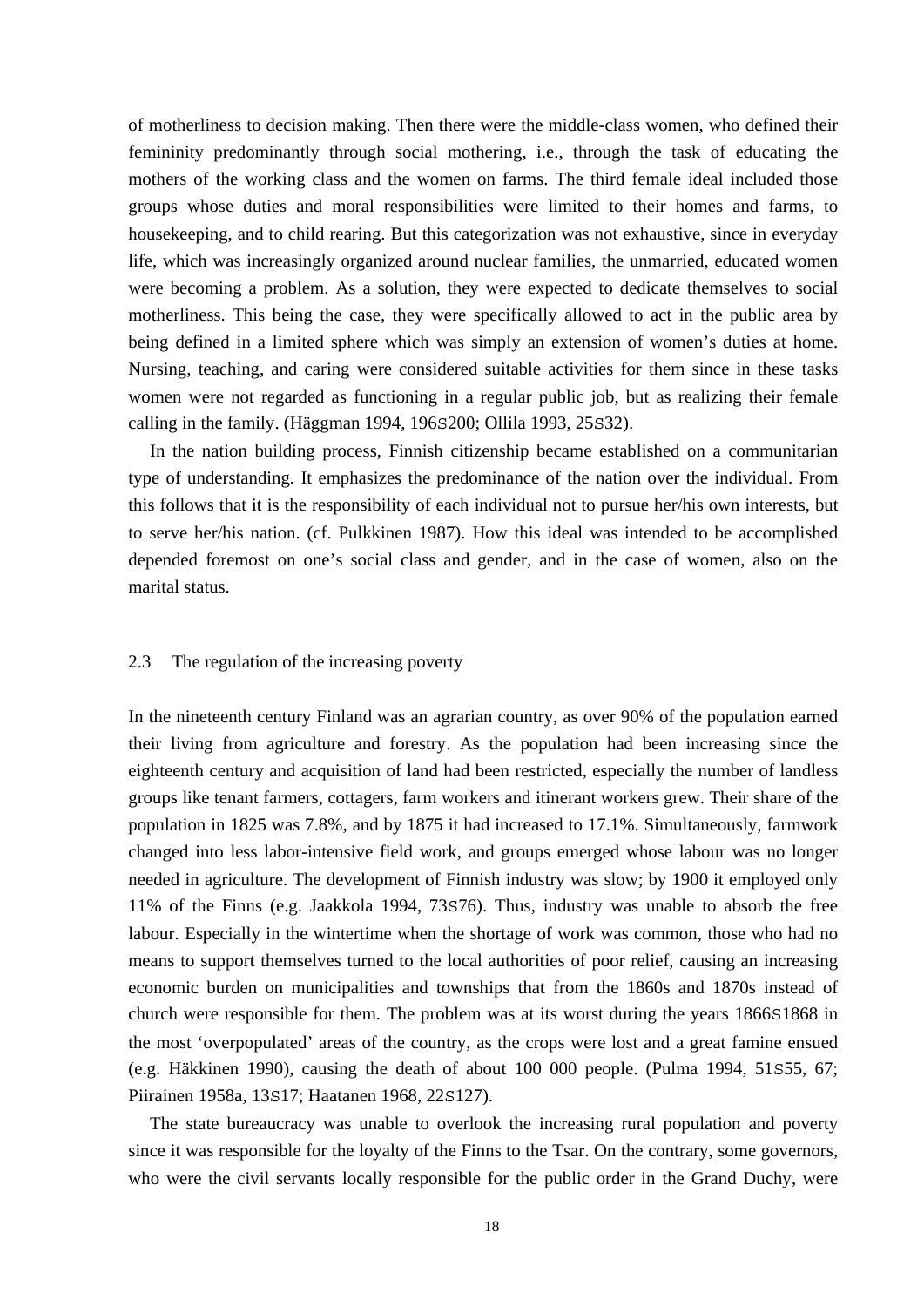of motherliness to decision making. Then there were the middle-class women, who defined their femininity predominantly through social mothering, i.e., through the task of educating the mothers of the working class and the women on farms. The third female ideal included those groups whose duties and moral responsibilities were limited to their homes and farms, to housekeeping, and to child rearing. But this categorization was not exhaustive, since in everyday life, which was increasingly organized around nuclear families, the unmarried, educated women were becoming a problem. As a solution, they were expected to dedicate themselves to social motherliness. This being the case, they were specifically allowed to act in the public area by being defined in a limited sphere which was simply an extension of women's duties at home. Nursing, teaching, and caring were considered suitable activities for them since in these tasks women were not regarded as functioning in a regular public job, but as realizing their female calling in the family. (Häggman 1994, 196S200; Ollila 1993, 25S32).

 In the nation building process, Finnish citizenship became established on a communitarian type of understanding. It emphasizes the predominance of the nation over the individual. From this follows that it is the responsibility of each individual not to pursue her/his own interests, but to serve her/his nation. (cf. Pulkkinen 1987). How this ideal was intended to be accomplished depended foremost on one's social class and gender, and in the case of women, also on the marital status.

#### 2.3 The regulation of the increasing poverty

In the nineteenth century Finland was an agrarian country, as over 90% of the population earned their living from agriculture and forestry. As the population had been increasing since the eighteenth century and acquisition of land had been restricted, especially the number of landless groups like tenant farmers, cottagers, farm workers and itinerant workers grew. Their share of the population in 1825 was 7.8%, and by 1875 it had increased to 17.1%. Simultaneously, farmwork changed into less labor-intensive field work, and groups emerged whose labour was no longer needed in agriculture. The development of Finnish industry was slow; by 1900 it employed only 11% of the Finns (e.g. Jaakkola 1994, 73S76). Thus, industry was unable to absorb the free labour. Especially in the wintertime when the shortage of work was common, those who had no means to support themselves turned to the local authorities of poor relief, causing an increasing economic burden on municipalities and townships that from the 1860s and 1870s instead of church were responsible for them. The problem was at its worst during the years 1866S1868 in the most 'overpopulated' areas of the country, as the crops were lost and a great famine ensued (e.g. Häkkinen 1990), causing the death of about 100 000 people. (Pulma 1994, 51S55, 67; Piirainen 1958a, 13S17; Haatanen 1968, 22S127).

 The state bureaucracy was unable to overlook the increasing rural population and poverty since it was responsible for the loyalty of the Finns to the Tsar. On the contrary, some governors, who were the civil servants locally responsible for the public order in the Grand Duchy, were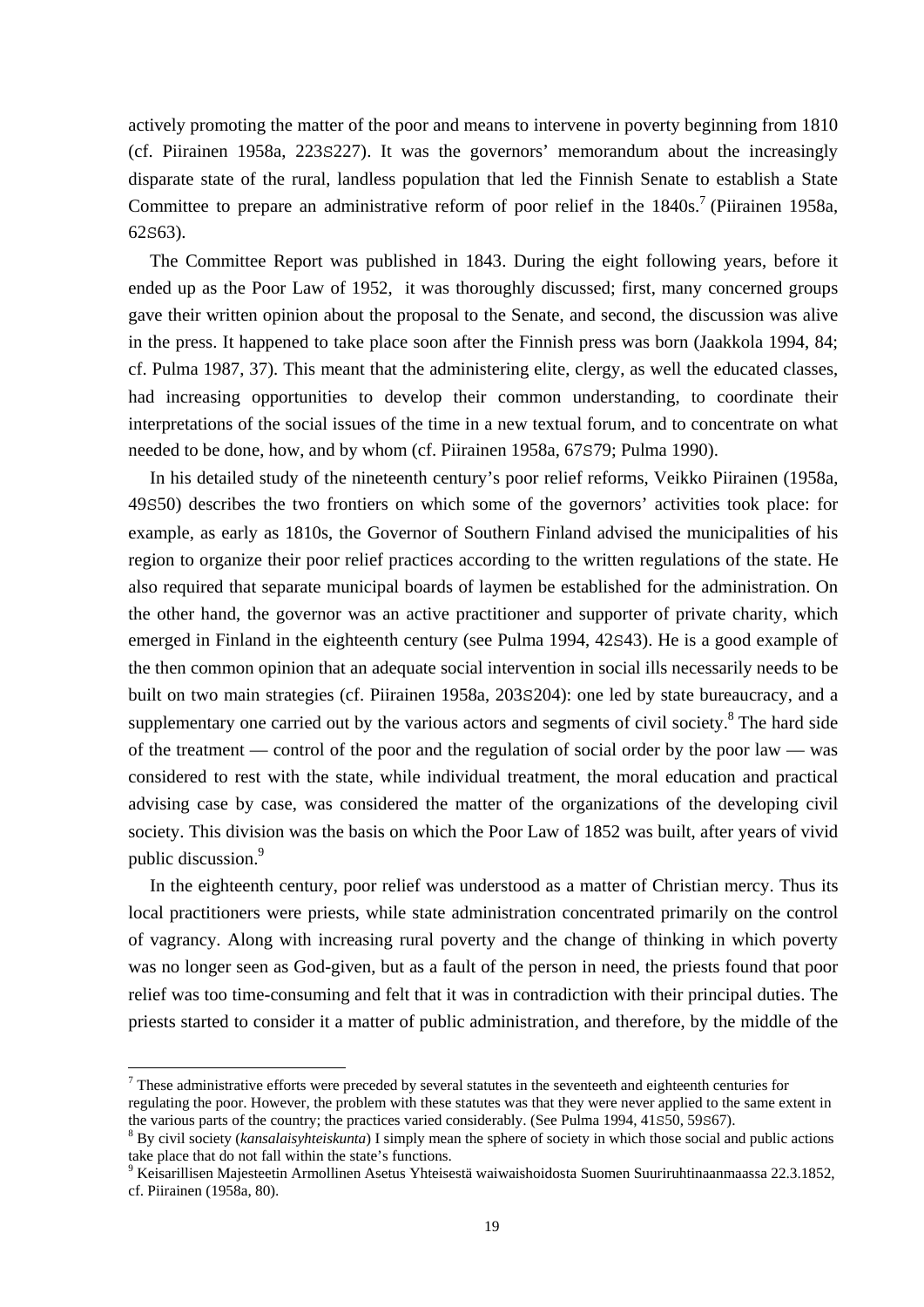actively promoting the matter of the poor and means to intervene in poverty beginning from 1810 (cf. Piirainen 1958a, 223S227). It was the governors' memorandum about the increasingly disparate state of the rural, landless population that led the Finnish Senate to establish a State Committee to prepare an administrative reform of poor relief in the  $1840s$ .<sup>7</sup> (Piirainen 1958a, 62S63).

 The Committee Report was published in 1843. During the eight following years, before it ended up as the Poor Law of 1952, it was thoroughly discussed; first, many concerned groups gave their written opinion about the proposal to the Senate, and second, the discussion was alive in the press. It happened to take place soon after the Finnish press was born (Jaakkola 1994, 84; cf. Pulma 1987, 37). This meant that the administering elite, clergy, as well the educated classes, had increasing opportunities to develop their common understanding, to coordinate their interpretations of the social issues of the time in a new textual forum, and to concentrate on what needed to be done, how, and by whom (cf. Piirainen 1958a, 67S79; Pulma 1990).

 In his detailed study of the nineteenth century's poor relief reforms, Veikko Piirainen (1958a, 49S50) describes the two frontiers on which some of the governors' activities took place: for example, as early as 1810s, the Governor of Southern Finland advised the municipalities of his region to organize their poor relief practices according to the written regulations of the state. He also required that separate municipal boards of laymen be established for the administration. On the other hand, the governor was an active practitioner and supporter of private charity, which emerged in Finland in the eighteenth century (see Pulma 1994, 42S43). He is a good example of the then common opinion that an adequate social intervention in social ills necessarily needs to be built on two main strategies (cf. Piirainen 1958a, 203S204): one led by state bureaucracy, and a supplementary one carried out by the various actors and segments of civil society. $8$  The hard side of the treatment — control of the poor and the regulation of social order by the poor law — was considered to rest with the state, while individual treatment, the moral education and practical advising case by case, was considered the matter of the organizations of the developing civil society. This division was the basis on which the Poor Law of 1852 was built, after years of vivid public discussion.<sup>9</sup>

In the eighteenth century, poor relief was understood as a matter of Christian mercy. Thus its local practitioners were priests, while state administration concentrated primarily on the control of vagrancy. Along with increasing rural poverty and the change of thinking in which poverty was no longer seen as God-given, but as a fault of the person in need, the priests found that poor relief was too time-consuming and felt that it was in contradiction with their principal duties. The priests started to consider it a matter of public administration, and therefore, by the middle of the

 $<sup>7</sup>$  These administrative efforts were preceded by several statutes in the seventeeth and eighteenth centuries for</sup> regulating the poor. However, the problem with these statutes was that they were never applied to the same extent in

the various parts of the country; the practices varied considerably. (See Pulma 1994, 41s50, 59s67).<br><sup>8</sup> By civil society (*kansalaisyhteiskunta*) I simply mean the sphere of society in which those social and public action take place that do not fall within the state's functions.

<sup>9</sup> Keisarillisen Majesteetin Armollinen Asetus Yhteisestä waiwaishoidosta Suomen Suuriruhtinaanmaassa 22.3.1852, cf. Piirainen (1958a, 80).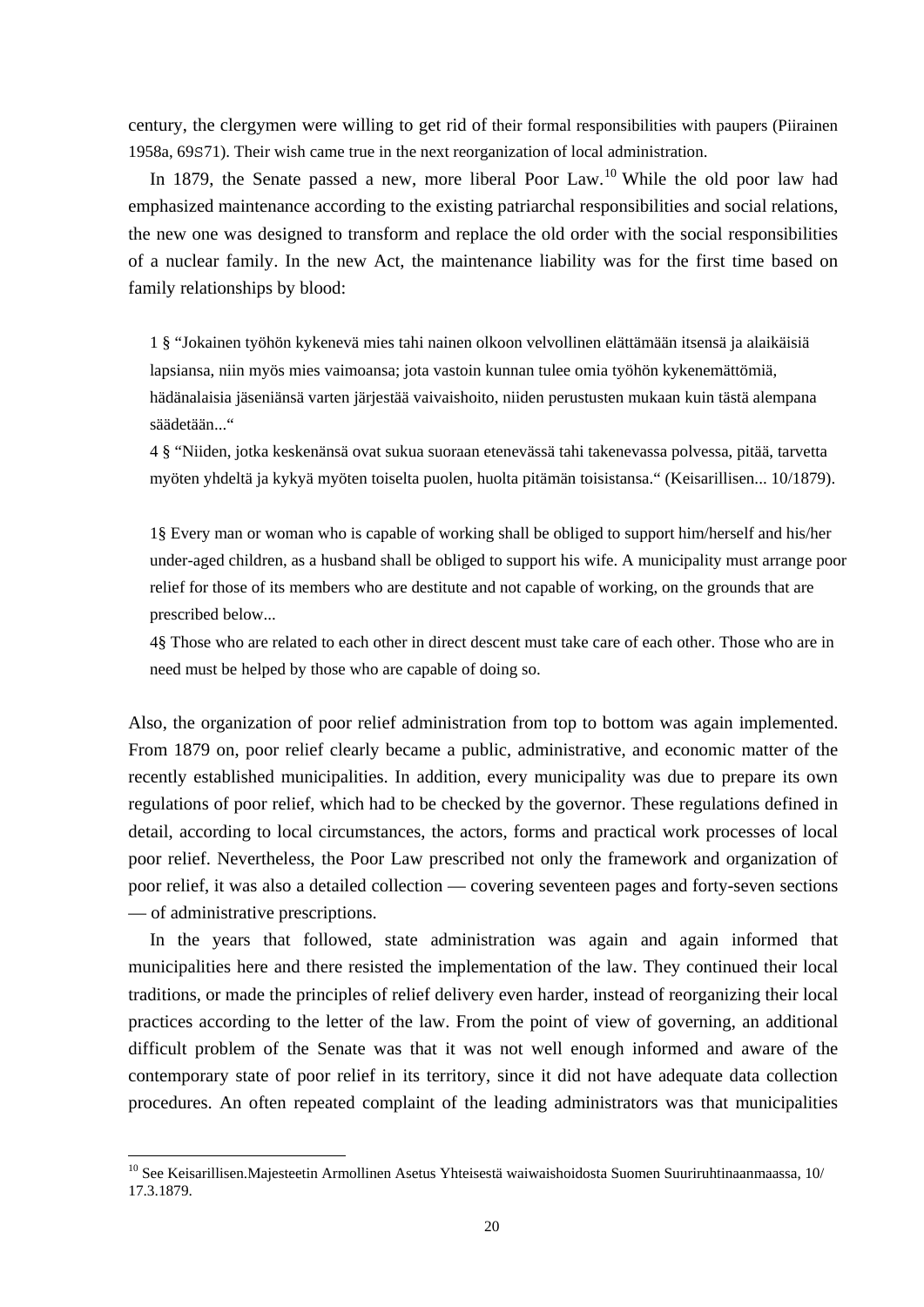century, the clergymen were willing to get rid of their formal responsibilities with paupers (Piirainen 1958a, 69S71). Their wish came true in the next reorganization of local administration.

In 1879, the Senate passed a new, more liberal Poor Law.<sup>10</sup> While the old poor law had emphasized maintenance according to the existing patriarchal responsibilities and social relations, the new one was designed to transform and replace the old order with the social responsibilities of a nuclear family. In the new Act, the maintenance liability was for the first time based on family relationships by blood:

1 § "Jokainen työhön kykenevä mies tahi nainen olkoon velvollinen elättämään itsensä ja alaikäisiä lapsiansa, niin myös mies vaimoansa; jota vastoin kunnan tulee omia työhön kykenemättömiä, hädänalaisia jäseniänsä varten järjestää vaivaishoito, niiden perustusten mukaan kuin tästä alempana säädetään..."

4 § "Niiden, jotka keskenänsä ovat sukua suoraan etenevässä tahi takenevassa polvessa, pitää, tarvetta myöten yhdeltä ja kykyä myöten toiselta puolen, huolta pitämän toisistansa." (Keisarillisen... 10/1879).

1§ Every man or woman who is capable of working shall be obliged to support him/herself and his/her under-aged children, as a husband shall be obliged to support his wife. A municipality must arrange poor relief for those of its members who are destitute and not capable of working, on the grounds that are prescribed below...

4§ Those who are related to each other in direct descent must take care of each other. Those who are in need must be helped by those who are capable of doing so.

Also, the organization of poor relief administration from top to bottom was again implemented. From 1879 on, poor relief clearly became a public, administrative, and economic matter of the recently established municipalities. In addition, every municipality was due to prepare its own regulations of poor relief, which had to be checked by the governor. These regulations defined in detail, according to local circumstances, the actors, forms and practical work processes of local poor relief. Nevertheless, the Poor Law prescribed not only the framework and organization of poor relief, it was also a detailed collection — covering seventeen pages and forty-seven sections — of administrative prescriptions.

 In the years that followed, state administration was again and again informed that municipalities here and there resisted the implementation of the law. They continued their local traditions, or made the principles of relief delivery even harder, instead of reorganizing their local practices according to the letter of the law. From the point of view of governing, an additional difficult problem of the Senate was that it was not well enough informed and aware of the contemporary state of poor relief in its territory, since it did not have adequate data collection procedures. An often repeated complaint of the leading administrators was that municipalities

 $10$  See Keisarillisen. Majesteetin Armollinen Asetus Yhteisestä waiwaishoidosta Suomen Suuriruhtinaanmaassa, 10/ 17.3.1879.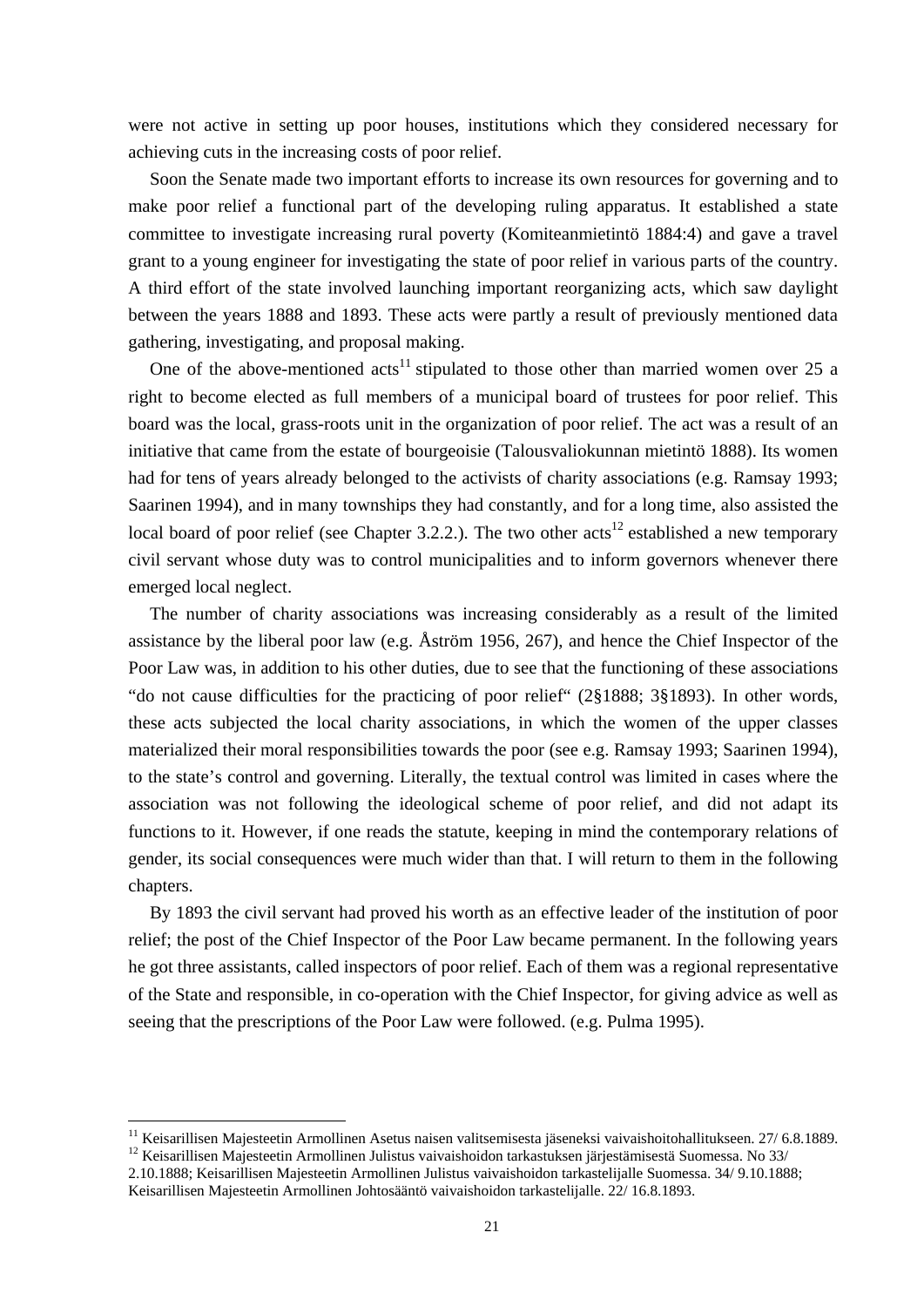were not active in setting up poor houses, institutions which they considered necessary for achieving cuts in the increasing costs of poor relief.

 Soon the Senate made two important efforts to increase its own resources for governing and to make poor relief a functional part of the developing ruling apparatus. It established a state committee to investigate increasing rural poverty (Komiteanmietintö 1884:4) and gave a travel grant to a young engineer for investigating the state of poor relief in various parts of the country. A third effort of the state involved launching important reorganizing acts, which saw daylight between the years 1888 and 1893. These acts were partly a result of previously mentioned data gathering, investigating, and proposal making.

One of the above-mentioned  $acts<sup>11</sup> stipulated to those other than married women over 25 a$ right to become elected as full members of a municipal board of trustees for poor relief. This board was the local, grass-roots unit in the organization of poor relief. The act was a result of an initiative that came from the estate of bourgeoisie (Talousvaliokunnan mietintö 1888). Its women had for tens of years already belonged to the activists of charity associations (e.g. Ramsay 1993; Saarinen 1994), and in many townships they had constantly, and for a long time, also assisted the local board of poor relief (see Chapter 3.2.2.). The two other  $\arctan^{12}$  established a new temporary civil servant whose duty was to control municipalities and to inform governors whenever there emerged local neglect.

 The number of charity associations was increasing considerably as a result of the limited assistance by the liberal poor law (e.g. Åström 1956, 267), and hence the Chief Inspector of the Poor Law was, in addition to his other duties, due to see that the functioning of these associations "do not cause difficulties for the practicing of poor relief" (2§1888; 3§1893). In other words, these acts subjected the local charity associations, in which the women of the upper classes materialized their moral responsibilities towards the poor (see e.g. Ramsay 1993; Saarinen 1994), to the state's control and governing. Literally, the textual control was limited in cases where the association was not following the ideological scheme of poor relief, and did not adapt its functions to it. However, if one reads the statute, keeping in mind the contemporary relations of gender, its social consequences were much wider than that. I will return to them in the following chapters.

 By 1893 the civil servant had proved his worth as an effective leader of the institution of poor relief; the post of the Chief Inspector of the Poor Law became permanent. In the following years he got three assistants, called inspectors of poor relief. Each of them was a regional representative of the State and responsible, in co-operation with the Chief Inspector, for giving advice as well as seeing that the prescriptions of the Poor Law were followed. (e.g. Pulma 1995).

1

<sup>11</sup> Keisarillisen Majesteetin Armollinen Asetus naisen valitsemisesta jäseneksi vaivaishoitohallitukseen. 27/ 6.8.1889.

<sup>12</sup> Keisarillisen Majesteetin Armollinen Julistus vaivaishoidon tarkastuksen järjestämisestä Suomessa. No 33/ 2.10.1888; Keisarillisen Majesteetin Armollinen Julistus vaivaishoidon tarkastelijalle Suomessa. 34/ 9.10.1888;

Keisarillisen Majesteetin Armollinen Johtosääntö vaivaishoidon tarkastelijalle. 22/ 16.8.1893.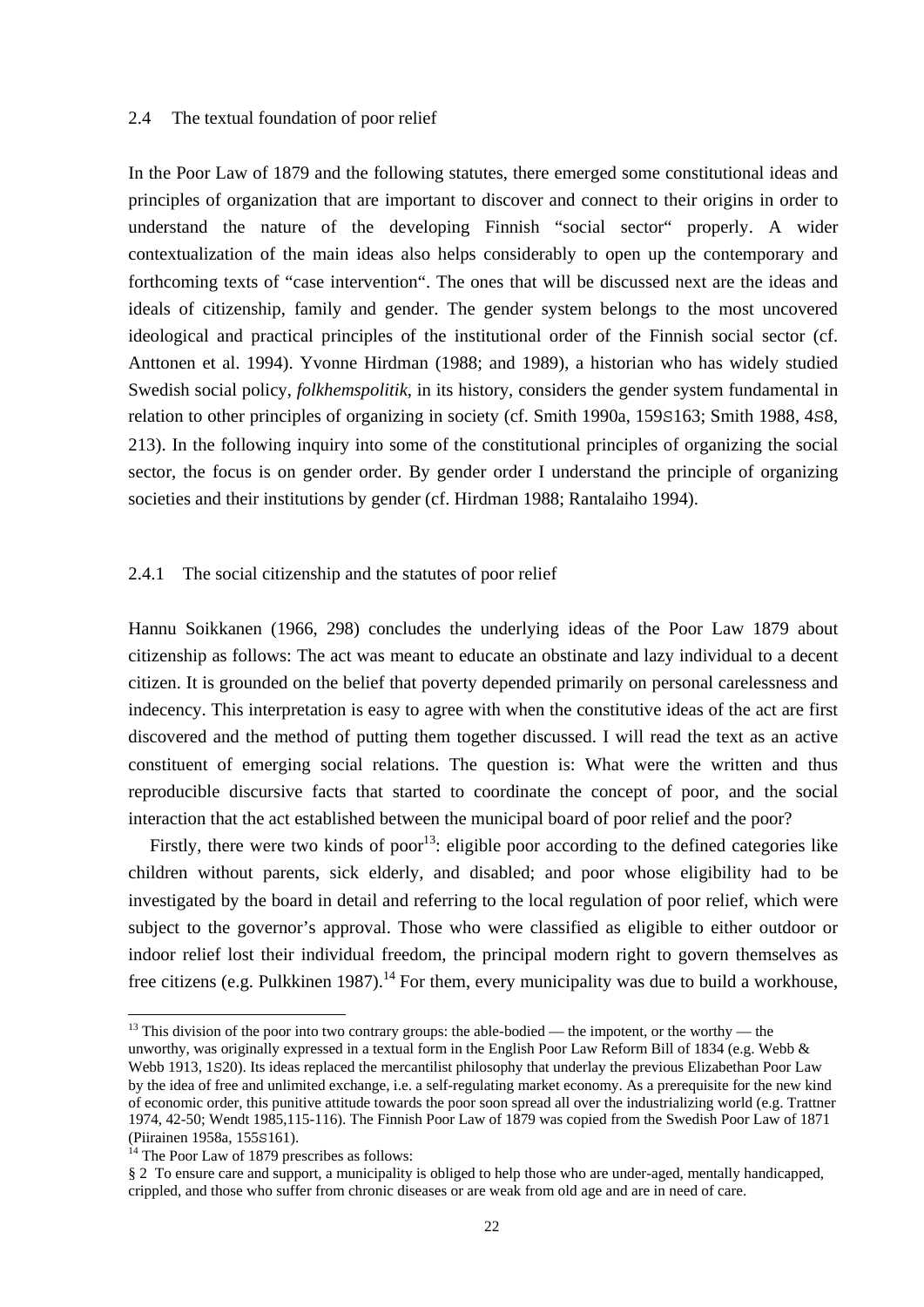#### 2.4 The textual foundation of poor relief

In the Poor Law of 1879 and the following statutes, there emerged some constitutional ideas and principles of organization that are important to discover and connect to their origins in order to understand the nature of the developing Finnish "social sector" properly. A wider contextualization of the main ideas also helps considerably to open up the contemporary and forthcoming texts of "case intervention". The ones that will be discussed next are the ideas and ideals of citizenship, family and gender. The gender system belongs to the most uncovered ideological and practical principles of the institutional order of the Finnish social sector (cf. Anttonen et al. 1994). Yvonne Hirdman (1988; and 1989), a historian who has widely studied Swedish social policy, *folkhemspolitik*, in its history, considers the gender system fundamental in relation to other principles of organizing in society (cf. Smith 1990a, 159S163; Smith 1988, 4S8, 213). In the following inquiry into some of the constitutional principles of organizing the social sector, the focus is on gender order. By gender order I understand the principle of organizing societies and their institutions by gender (cf. Hirdman 1988; Rantalaiho 1994).

## 2.4.1 The social citizenship and the statutes of poor relief

Hannu Soikkanen (1966, 298) concludes the underlying ideas of the Poor Law 1879 about citizenship as follows: The act was meant to educate an obstinate and lazy individual to a decent citizen. It is grounded on the belief that poverty depended primarily on personal carelessness and indecency. This interpretation is easy to agree with when the constitutive ideas of the act are first discovered and the method of putting them together discussed. I will read the text as an active constituent of emerging social relations. The question is: What were the written and thus reproducible discursive facts that started to coordinate the concept of poor, and the social interaction that the act established between the municipal board of poor relief and the poor?

Firstly, there were two kinds of poor<sup>13</sup>: eligible poor according to the defined categories like children without parents, sick elderly, and disabled; and poor whose eligibility had to be investigated by the board in detail and referring to the local regulation of poor relief, which were subject to the governor's approval. Those who were classified as eligible to either outdoor or indoor relief lost their individual freedom, the principal modern right to govern themselves as free citizens (e.g. Pulkkinen 1987).<sup>14</sup> For them, every municipality was due to build a workhouse,

unworthy, was originally expressed in a textual form in the English Poor Law Reform Bill of 1834 (e.g. Webb & Webb 1913, 1s20). Its ideas replaced the mercantilist philosophy that underlay the previous Elizabethan Poor Law by the idea of free and unlimited exchange, i.e. a self-regulating market economy. As a prerequisite for the new kind of economic order, this punitive attitude towards the poor soon spread all over the industrializing world (e.g. Trattner 1974, 42-50; Wendt 1985,115-116). The Finnish Poor Law of 1879 was copied from the Swedish Poor Law of 1871 (Piirainen 1958a, 155S161). 14 The Poor Law of 1879 prescribes as follows:

 $13$  This division of the poor into two contrary groups: the able-bodied — the impotent, or the worthy — the

<sup>§ 2</sup> To ensure care and support, a municipality is obliged to help those who are under-aged, mentally handicapped, crippled, and those who suffer from chronic diseases or are weak from old age and are in need of care.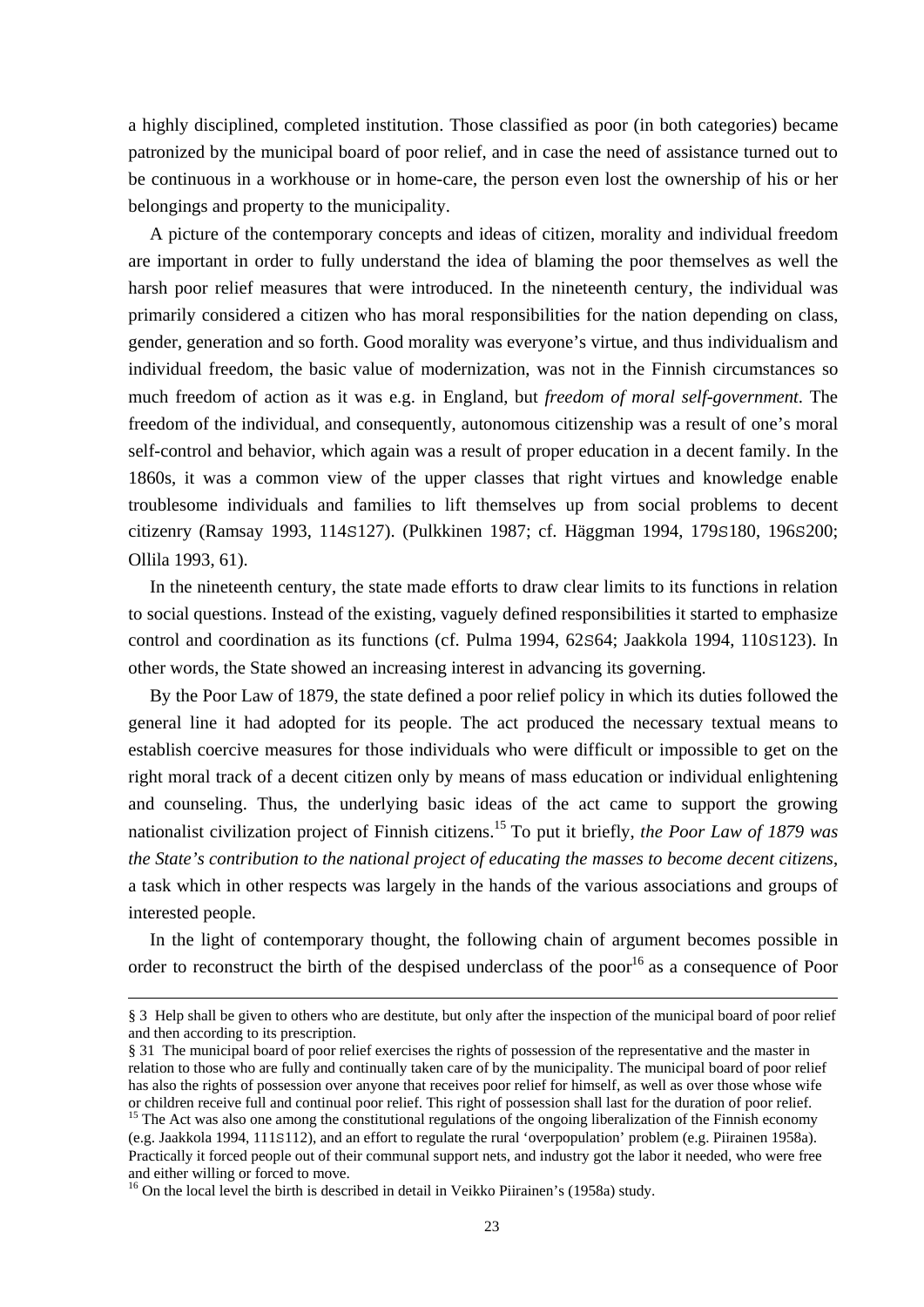a highly disciplined, completed institution. Those classified as poor (in both categories) became patronized by the municipal board of poor relief, and in case the need of assistance turned out to be continuous in a workhouse or in home-care, the person even lost the ownership of his or her belongings and property to the municipality.

 A picture of the contemporary concepts and ideas of citizen, morality and individual freedom are important in order to fully understand the idea of blaming the poor themselves as well the harsh poor relief measures that were introduced. In the nineteenth century, the individual was primarily considered a citizen who has moral responsibilities for the nation depending on class, gender, generation and so forth. Good morality was everyone's virtue, and thus individualism and individual freedom, the basic value of modernization, was not in the Finnish circumstances so much freedom of action as it was e.g. in England, but *freedom of moral self-government*. The freedom of the individual, and consequently, autonomous citizenship was a result of one's moral self-control and behavior, which again was a result of proper education in a decent family. In the 1860s, it was a common view of the upper classes that right virtues and knowledge enable troublesome individuals and families to lift themselves up from social problems to decent citizenry (Ramsay 1993, 114S127). (Pulkkinen 1987; cf. Häggman 1994, 179S180, 196S200; Ollila 1993, 61).

 In the nineteenth century, the state made efforts to draw clear limits to its functions in relation to social questions. Instead of the existing, vaguely defined responsibilities it started to emphasize control and coordination as its functions (cf. Pulma 1994, 62S64; Jaakkola 1994, 110S123). In other words, the State showed an increasing interest in advancing its governing.

 By the Poor Law of 1879, the state defined a poor relief policy in which its duties followed the general line it had adopted for its people. The act produced the necessary textual means to establish coercive measures for those individuals who were difficult or impossible to get on the right moral track of a decent citizen only by means of mass education or individual enlightening and counseling. Thus, the underlying basic ideas of the act came to support the growing nationalist civilization project of Finnish citizens.15 To put it briefly, *the Poor Law of 1879 was the State's contribution to the national project of educating the masses to become decent citizens*, a task which in other respects was largely in the hands of the various associations and groups of interested people.

 In the light of contemporary thought, the following chain of argument becomes possible in order to reconstruct the birth of the despised underclass of the poor<sup>16</sup> as a consequence of Poor

 <sup>§ 3</sup> Help shall be given to others who are destitute, but only after the inspection of the municipal board of poor relief and then according to its prescription.

<sup>§ 31</sup> The municipal board of poor relief exercises the rights of possession of the representative and the master in relation to those who are fully and continually taken care of by the municipality. The municipal board of poor relief has also the rights of possession over anyone that receives poor relief for himself, as well as over those whose wife or children receive full and continual poor relief. This right of possession shall last for the duration of poor relief.  $15$  The Act was also one among the constitutional regulations of the ongoing liberalization of the Finnish economy

<sup>(</sup>e.g. Jaakkola 1994, 111S112), and an effort to regulate the rural 'overpopulation' problem (e.g. Piirainen 1958a). Practically it forced people out of their communal support nets, and industry got the labor it needed, who were free and either willing or forced to move.

<sup>&</sup>lt;sup>16</sup> On the local level the birth is described in detail in Veikko Piirainen's (1958a) study.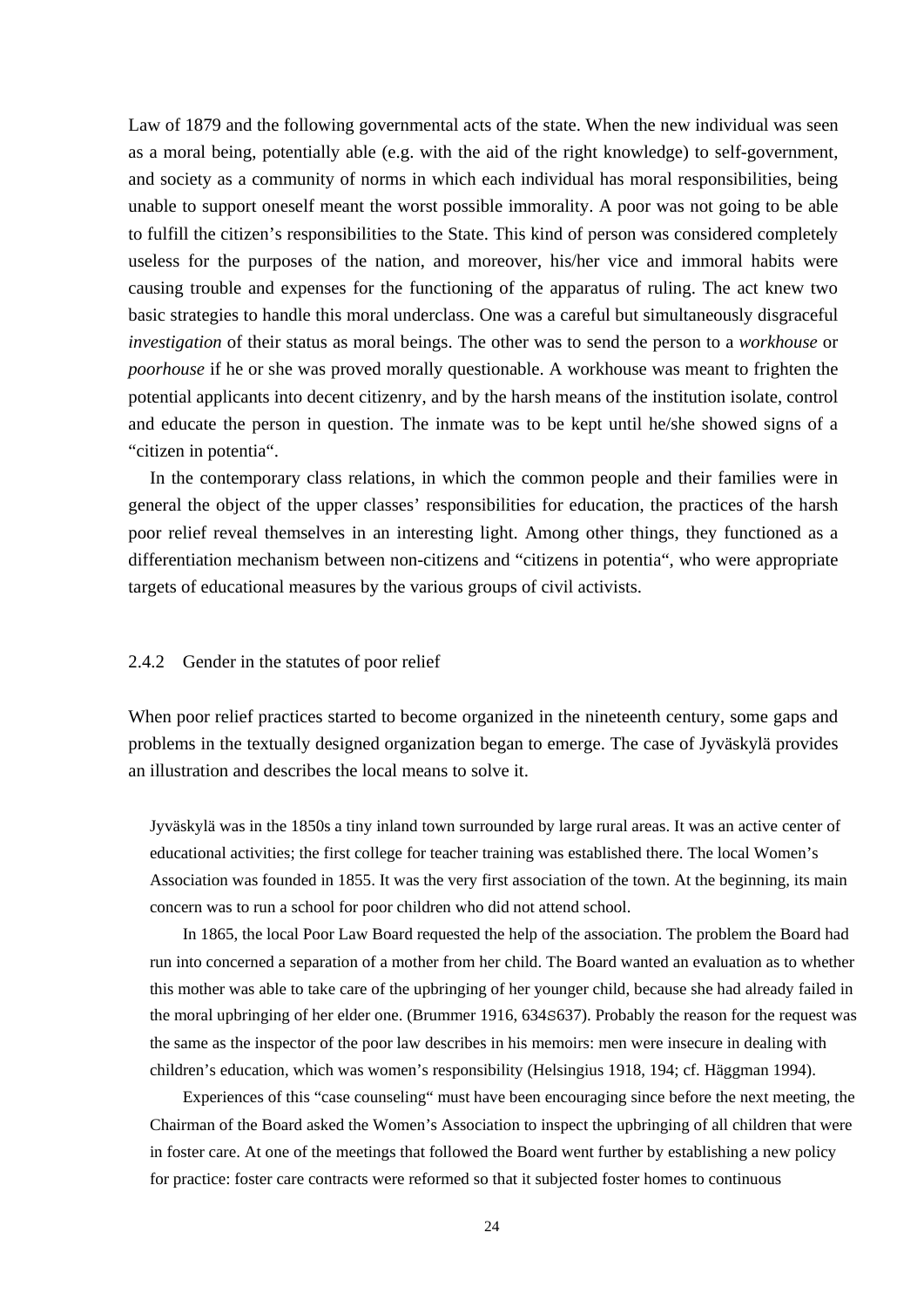Law of 1879 and the following governmental acts of the state. When the new individual was seen as a moral being, potentially able (e.g. with the aid of the right knowledge) to self-government, and society as a community of norms in which each individual has moral responsibilities, being unable to support oneself meant the worst possible immorality. A poor was not going to be able to fulfill the citizen's responsibilities to the State. This kind of person was considered completely useless for the purposes of the nation, and moreover, his/her vice and immoral habits were causing trouble and expenses for the functioning of the apparatus of ruling. The act knew two basic strategies to handle this moral underclass. One was a careful but simultaneously disgraceful *investigation* of their status as moral beings. The other was to send the person to a *workhouse* or *poorhouse* if he or she was proved morally questionable. A workhouse was meant to frighten the potential applicants into decent citizenry, and by the harsh means of the institution isolate, control and educate the person in question. The inmate was to be kept until he/she showed signs of a "citizen in potentia".

 In the contemporary class relations, in which the common people and their families were in general the object of the upper classes' responsibilities for education, the practices of the harsh poor relief reveal themselves in an interesting light. Among other things, they functioned as a differentiation mechanism between non-citizens and "citizens in potentia", who were appropriate targets of educational measures by the various groups of civil activists.

#### 2.4.2 Gender in the statutes of poor relief

When poor relief practices started to become organized in the nineteenth century, some gaps and problems in the textually designed organization began to emerge. The case of Jyväskylä provides an illustration and describes the local means to solve it.

Jyväskylä was in the 1850s a tiny inland town surrounded by large rural areas. It was an active center of educational activities; the first college for teacher training was established there. The local Women's Association was founded in 1855. It was the very first association of the town. At the beginning, its main concern was to run a school for poor children who did not attend school.

 In 1865, the local Poor Law Board requested the help of the association. The problem the Board had run into concerned a separation of a mother from her child. The Board wanted an evaluation as to whether this mother was able to take care of the upbringing of her younger child, because she had already failed in the moral upbringing of her elder one. (Brummer 1916, 634S637). Probably the reason for the request was the same as the inspector of the poor law describes in his memoirs: men were insecure in dealing with children's education, which was women's responsibility (Helsingius 1918, 194; cf. Häggman 1994).

 Experiences of this "case counseling" must have been encouraging since before the next meeting, the Chairman of the Board asked the Women's Association to inspect the upbringing of all children that were in foster care. At one of the meetings that followed the Board went further by establishing a new policy for practice: foster care contracts were reformed so that it subjected foster homes to continuous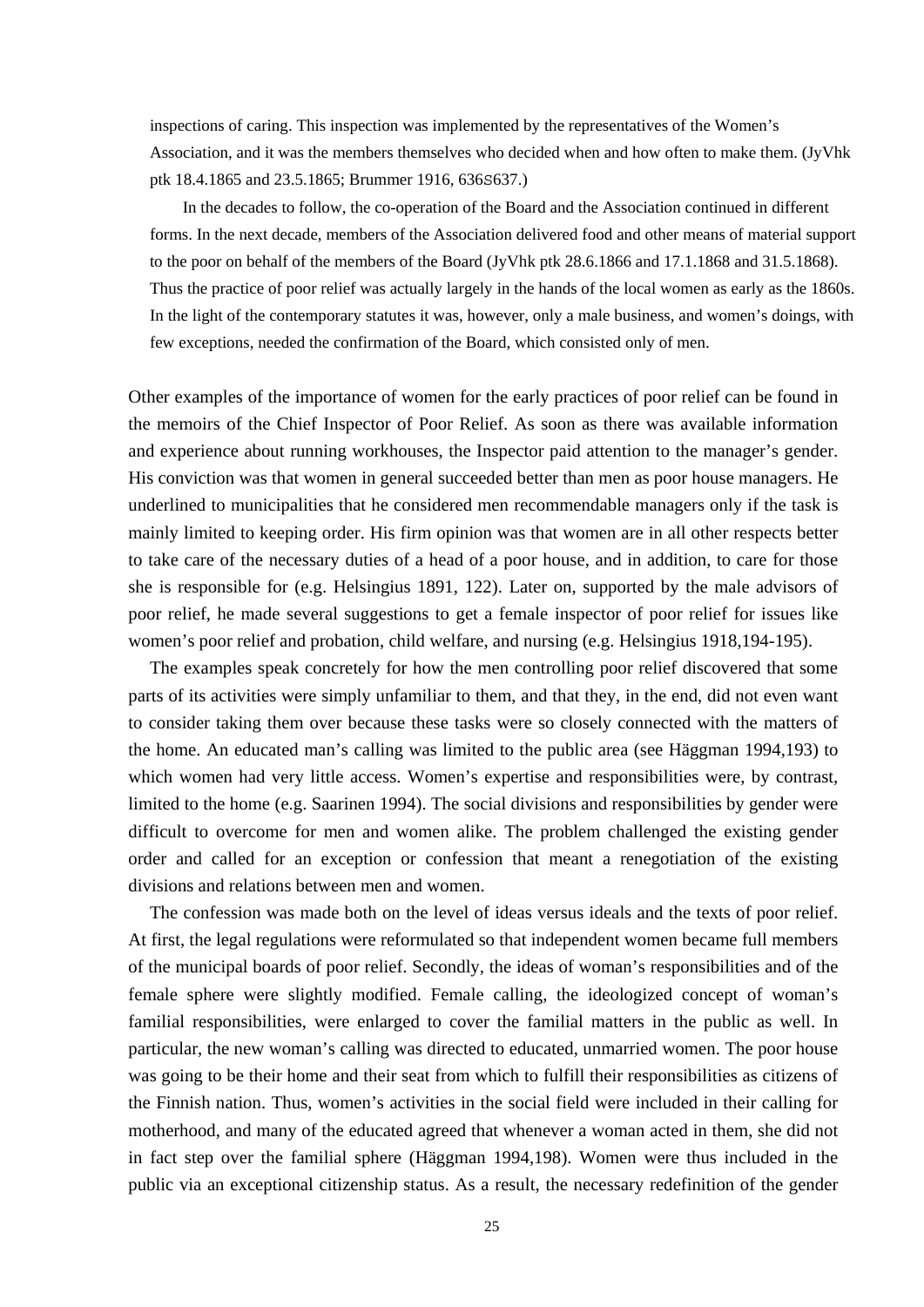inspections of caring. This inspection was implemented by the representatives of the Women's Association, and it was the members themselves who decided when and how often to make them. (JyVhk ptk 18.4.1865 and 23.5.1865; Brummer 1916, 636S637.)

 In the decades to follow, the co-operation of the Board and the Association continued in different forms. In the next decade, members of the Association delivered food and other means of material support to the poor on behalf of the members of the Board (JyVhk ptk 28.6.1866 and 17.1.1868 and 31.5.1868). Thus the practice of poor relief was actually largely in the hands of the local women as early as the 1860s. In the light of the contemporary statutes it was, however, only a male business, and women's doings, with few exceptions, needed the confirmation of the Board, which consisted only of men.

Other examples of the importance of women for the early practices of poor relief can be found in the memoirs of the Chief Inspector of Poor Relief. As soon as there was available information and experience about running workhouses, the Inspector paid attention to the manager's gender. His conviction was that women in general succeeded better than men as poor house managers. He underlined to municipalities that he considered men recommendable managers only if the task is mainly limited to keeping order. His firm opinion was that women are in all other respects better to take care of the necessary duties of a head of a poor house, and in addition, to care for those she is responsible for (e.g. Helsingius 1891, 122). Later on, supported by the male advisors of poor relief, he made several suggestions to get a female inspector of poor relief for issues like women's poor relief and probation, child welfare, and nursing (e.g. Helsingius 1918,194-195).

 The examples speak concretely for how the men controlling poor relief discovered that some parts of its activities were simply unfamiliar to them, and that they, in the end, did not even want to consider taking them over because these tasks were so closely connected with the matters of the home. An educated man's calling was limited to the public area (see Häggman 1994,193) to which women had very little access. Women's expertise and responsibilities were, by contrast, limited to the home (e.g. Saarinen 1994). The social divisions and responsibilities by gender were difficult to overcome for men and women alike. The problem challenged the existing gender order and called for an exception or confession that meant a renegotiation of the existing divisions and relations between men and women.

 The confession was made both on the level of ideas versus ideals and the texts of poor relief. At first, the legal regulations were reformulated so that independent women became full members of the municipal boards of poor relief. Secondly, the ideas of woman's responsibilities and of the female sphere were slightly modified. Female calling, the ideologized concept of woman's familial responsibilities, were enlarged to cover the familial matters in the public as well. In particular, the new woman's calling was directed to educated, unmarried women. The poor house was going to be their home and their seat from which to fulfill their responsibilities as citizens of the Finnish nation. Thus, women's activities in the social field were included in their calling for motherhood, and many of the educated agreed that whenever a woman acted in them, she did not in fact step over the familial sphere (Häggman 1994,198). Women were thus included in the public via an exceptional citizenship status. As a result, the necessary redefinition of the gender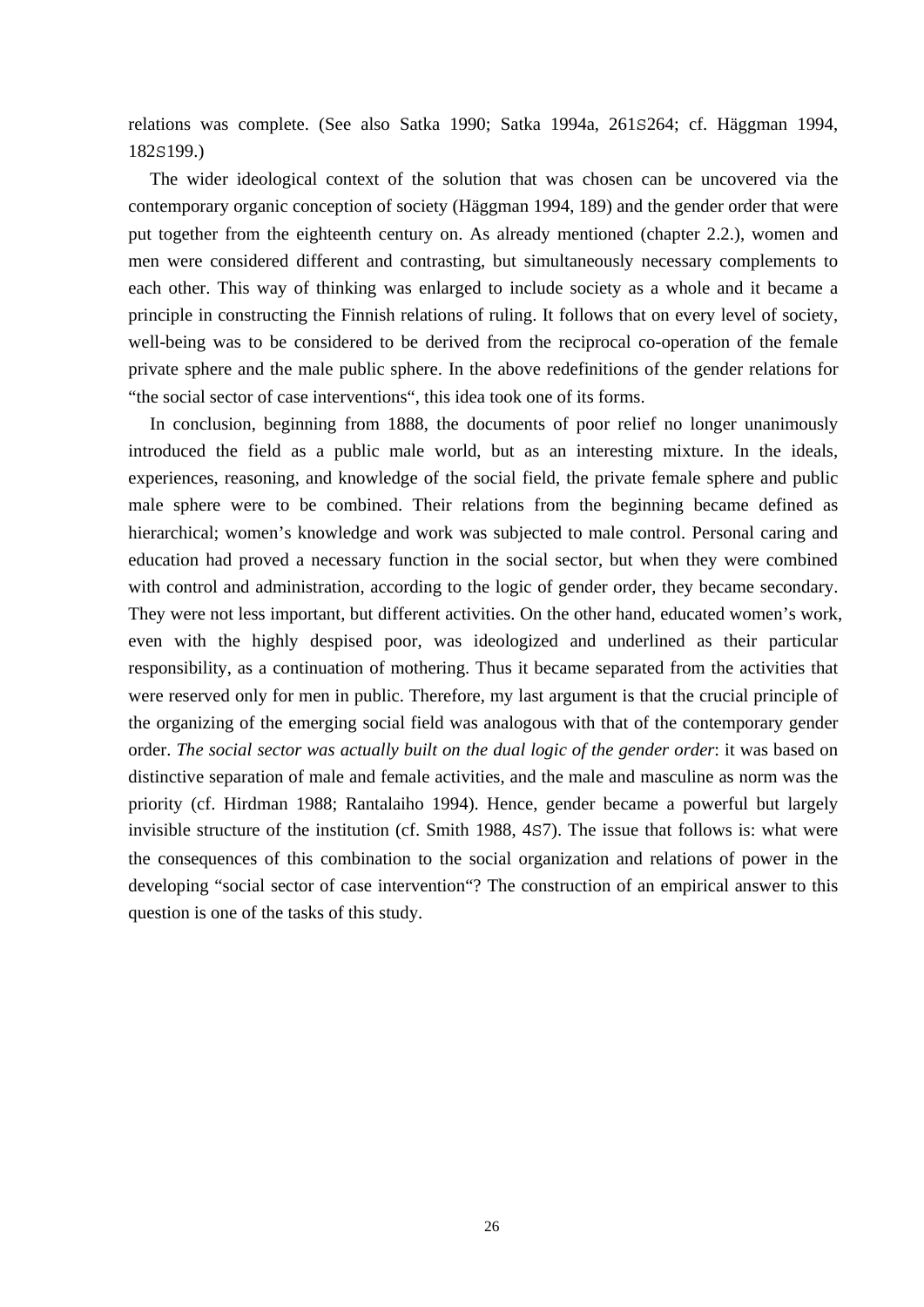relations was complete. (See also Satka 1990; Satka 1994a, 261S264; cf. Häggman 1994, 182S199.)

 The wider ideological context of the solution that was chosen can be uncovered via the contemporary organic conception of society (Häggman 1994, 189) and the gender order that were put together from the eighteenth century on. As already mentioned (chapter 2.2.), women and men were considered different and contrasting, but simultaneously necessary complements to each other. This way of thinking was enlarged to include society as a whole and it became a principle in constructing the Finnish relations of ruling. It follows that on every level of society, well-being was to be considered to be derived from the reciprocal co-operation of the female private sphere and the male public sphere. In the above redefinitions of the gender relations for "the social sector of case interventions", this idea took one of its forms.

 In conclusion, beginning from 1888, the documents of poor relief no longer unanimously introduced the field as a public male world, but as an interesting mixture. In the ideals, experiences, reasoning, and knowledge of the social field, the private female sphere and public male sphere were to be combined. Their relations from the beginning became defined as hierarchical; women's knowledge and work was subjected to male control. Personal caring and education had proved a necessary function in the social sector, but when they were combined with control and administration, according to the logic of gender order, they became secondary. They were not less important, but different activities. On the other hand, educated women's work, even with the highly despised poor, was ideologized and underlined as their particular responsibility, as a continuation of mothering. Thus it became separated from the activities that were reserved only for men in public. Therefore, my last argument is that the crucial principle of the organizing of the emerging social field was analogous with that of the contemporary gender order. *The social sector was actually built on the dual logic of the gender order*: it was based on distinctive separation of male and female activities, and the male and masculine as norm was the priority (cf. Hirdman 1988; Rantalaiho 1994). Hence, gender became a powerful but largely invisible structure of the institution (cf. Smith 1988, 4S7). The issue that follows is: what were the consequences of this combination to the social organization and relations of power in the developing "social sector of case intervention"? The construction of an empirical answer to this question is one of the tasks of this study.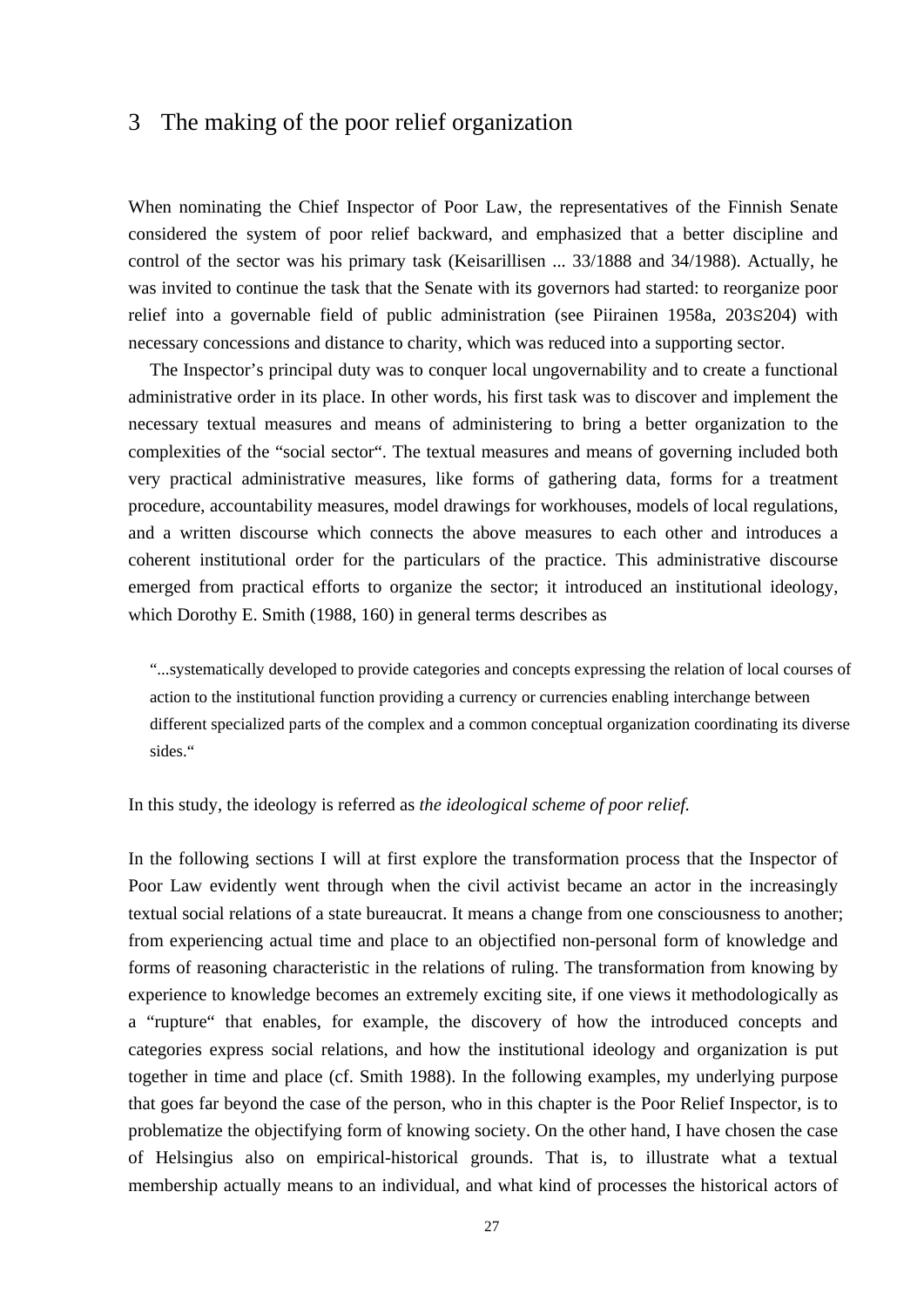## 3 The making of the poor relief organization

When nominating the Chief Inspector of Poor Law, the representatives of the Finnish Senate considered the system of poor relief backward, and emphasized that a better discipline and control of the sector was his primary task (Keisarillisen ... 33/1888 and 34/1988). Actually, he was invited to continue the task that the Senate with its governors had started: to reorganize poor relief into a governable field of public administration (see Piirainen 1958a, 203S204) with necessary concessions and distance to charity, which was reduced into a supporting sector.

 The Inspector's principal duty was to conquer local ungovernability and to create a functional administrative order in its place. In other words, his first task was to discover and implement the necessary textual measures and means of administering to bring a better organization to the complexities of the "social sector". The textual measures and means of governing included both very practical administrative measures, like forms of gathering data, forms for a treatment procedure, accountability measures, model drawings for workhouses, models of local regulations, and a written discourse which connects the above measures to each other and introduces a coherent institutional order for the particulars of the practice. This administrative discourse emerged from practical efforts to organize the sector; it introduced an institutional ideology, which Dorothy E. Smith (1988, 160) in general terms describes as

"...systematically developed to provide categories and concepts expressing the relation of local courses of action to the institutional function providing a currency or currencies enabling interchange between different specialized parts of the complex and a common conceptual organization coordinating its diverse sides."

### In this study, the ideology is referred as *the ideological scheme of poor relief.*

In the following sections I will at first explore the transformation process that the Inspector of Poor Law evidently went through when the civil activist became an actor in the increasingly textual social relations of a state bureaucrat. It means a change from one consciousness to another; from experiencing actual time and place to an objectified non-personal form of knowledge and forms of reasoning characteristic in the relations of ruling. The transformation from knowing by experience to knowledge becomes an extremely exciting site, if one views it methodologically as a "rupture" that enables, for example, the discovery of how the introduced concepts and categories express social relations, and how the institutional ideology and organization is put together in time and place (cf. Smith 1988). In the following examples, my underlying purpose that goes far beyond the case of the person, who in this chapter is the Poor Relief Inspector, is to problematize the objectifying form of knowing society. On the other hand, I have chosen the case of Helsingius also on empirical-historical grounds. That is, to illustrate what a textual membership actually means to an individual, and what kind of processes the historical actors of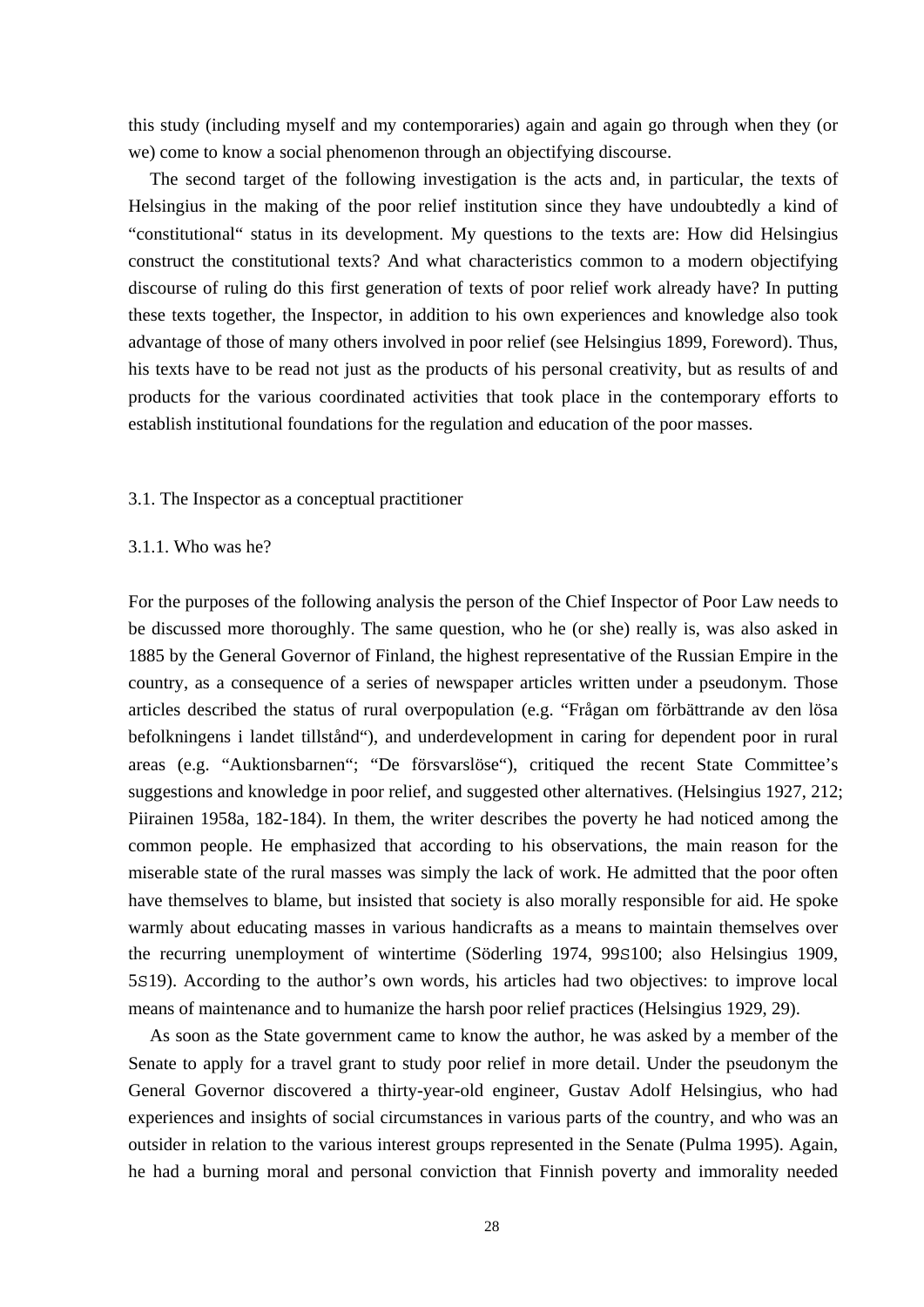this study (including myself and my contemporaries) again and again go through when they (or we) come to know a social phenomenon through an objectifying discourse.

 The second target of the following investigation is the acts and, in particular, the texts of Helsingius in the making of the poor relief institution since they have undoubtedly a kind of "constitutional" status in its development. My questions to the texts are: How did Helsingius construct the constitutional texts? And what characteristics common to a modern objectifying discourse of ruling do this first generation of texts of poor relief work already have? In putting these texts together, the Inspector, in addition to his own experiences and knowledge also took advantage of those of many others involved in poor relief (see Helsingius 1899, Foreword). Thus, his texts have to be read not just as the products of his personal creativity, but as results of and products for the various coordinated activities that took place in the contemporary efforts to establish institutional foundations for the regulation and education of the poor masses.

## 3.1. The Inspector as a conceptual practitioner

#### 3.1.1. Who was he?

For the purposes of the following analysis the person of the Chief Inspector of Poor Law needs to be discussed more thoroughly. The same question, who he (or she) really is, was also asked in 1885 by the General Governor of Finland, the highest representative of the Russian Empire in the country, as a consequence of a series of newspaper articles written under a pseudonym. Those articles described the status of rural overpopulation (e.g. "Frågan om förbättrande av den lösa befolkningens i landet tillstånd"), and underdevelopment in caring for dependent poor in rural areas (e.g. "Auktionsbarnen"; "De försvarslöse"), critiqued the recent State Committee's suggestions and knowledge in poor relief, and suggested other alternatives. (Helsingius 1927, 212; Piirainen 1958a, 182-184). In them, the writer describes the poverty he had noticed among the common people. He emphasized that according to his observations, the main reason for the miserable state of the rural masses was simply the lack of work. He admitted that the poor often have themselves to blame, but insisted that society is also morally responsible for aid. He spoke warmly about educating masses in various handicrafts as a means to maintain themselves over the recurring unemployment of wintertime (Söderling 1974, 99S100; also Helsingius 1909, 5S19). According to the author's own words, his articles had two objectives: to improve local means of maintenance and to humanize the harsh poor relief practices (Helsingius 1929, 29).

 As soon as the State government came to know the author, he was asked by a member of the Senate to apply for a travel grant to study poor relief in more detail. Under the pseudonym the General Governor discovered a thirty-year-old engineer, Gustav Adolf Helsingius, who had experiences and insights of social circumstances in various parts of the country, and who was an outsider in relation to the various interest groups represented in the Senate (Pulma 1995). Again, he had a burning moral and personal conviction that Finnish poverty and immorality needed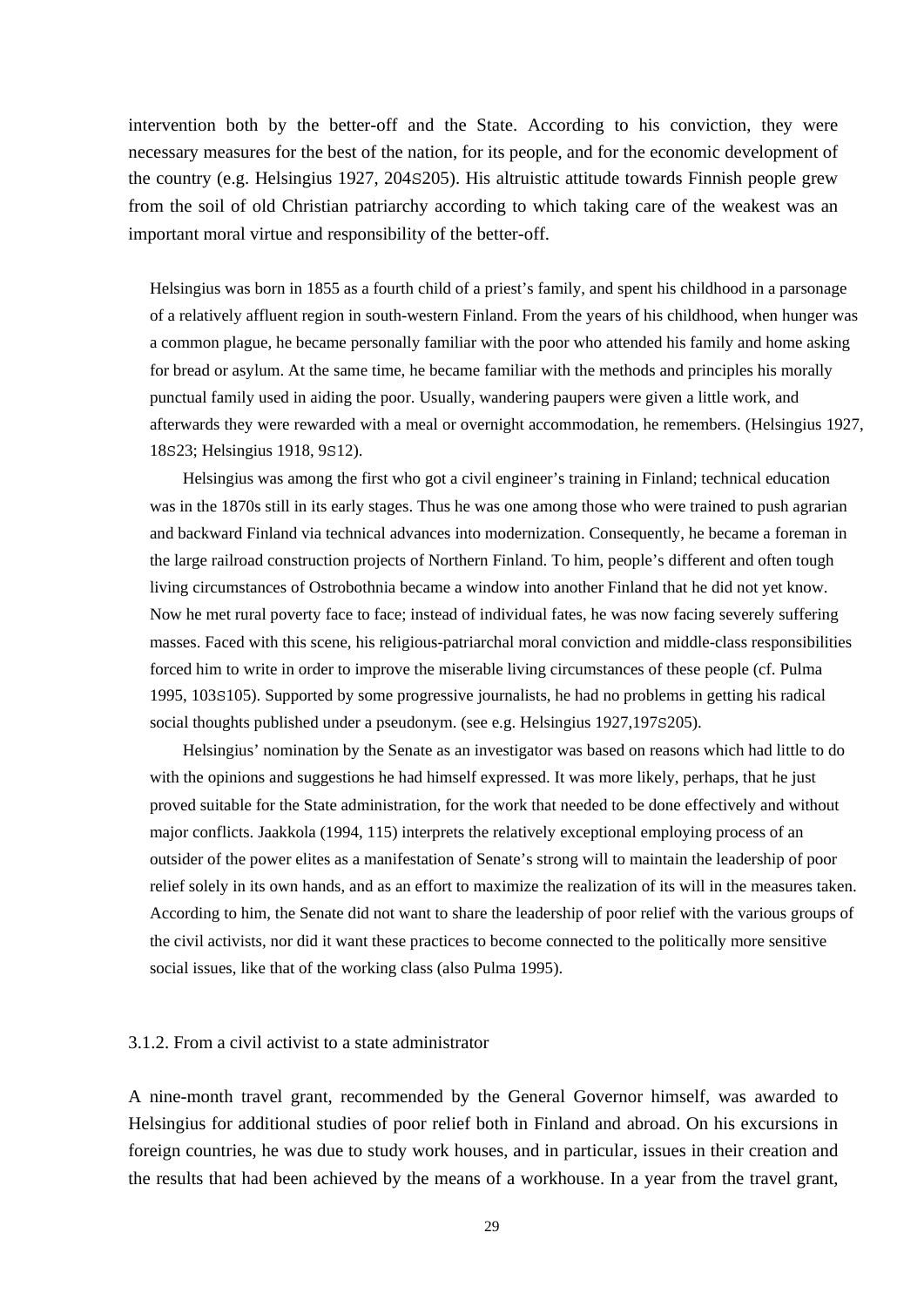intervention both by the better-off and the State. According to his conviction, they were necessary measures for the best of the nation, for its people, and for the economic development of the country (e.g. Helsingius 1927, 204S205). His altruistic attitude towards Finnish people grew from the soil of old Christian patriarchy according to which taking care of the weakest was an important moral virtue and responsibility of the better-off.

Helsingius was born in 1855 as a fourth child of a priest's family, and spent his childhood in a parsonage of a relatively affluent region in south-western Finland. From the years of his childhood, when hunger was a common plague, he became personally familiar with the poor who attended his family and home asking for bread or asylum. At the same time, he became familiar with the methods and principles his morally punctual family used in aiding the poor. Usually, wandering paupers were given a little work, and afterwards they were rewarded with a meal or overnight accommodation, he remembers. (Helsingius 1927, 18S23; Helsingius 1918, 9S12).

 Helsingius was among the first who got a civil engineer's training in Finland; technical education was in the 1870s still in its early stages. Thus he was one among those who were trained to push agrarian and backward Finland via technical advances into modernization. Consequently, he became a foreman in the large railroad construction projects of Northern Finland. To him, people's different and often tough living circumstances of Ostrobothnia became a window into another Finland that he did not yet know. Now he met rural poverty face to face; instead of individual fates, he was now facing severely suffering masses. Faced with this scene, his religious-patriarchal moral conviction and middle-class responsibilities forced him to write in order to improve the miserable living circumstances of these people (cf. Pulma 1995, 103S105). Supported by some progressive journalists, he had no problems in getting his radical social thoughts published under a pseudonym. (see e.g. Helsingius 1927,197s205).

 Helsingius' nomination by the Senate as an investigator was based on reasons which had little to do with the opinions and suggestions he had himself expressed. It was more likely, perhaps, that he just proved suitable for the State administration, for the work that needed to be done effectively and without major conflicts. Jaakkola (1994, 115) interprets the relatively exceptional employing process of an outsider of the power elites as a manifestation of Senate's strong will to maintain the leadership of poor relief solely in its own hands, and as an effort to maximize the realization of its will in the measures taken. According to him, the Senate did not want to share the leadership of poor relief with the various groups of the civil activists, nor did it want these practices to become connected to the politically more sensitive social issues, like that of the working class (also Pulma 1995).

### 3.1.2. From a civil activist to a state administrator

A nine-month travel grant, recommended by the General Governor himself, was awarded to Helsingius for additional studies of poor relief both in Finland and abroad. On his excursions in foreign countries, he was due to study work houses, and in particular, issues in their creation and the results that had been achieved by the means of a workhouse. In a year from the travel grant,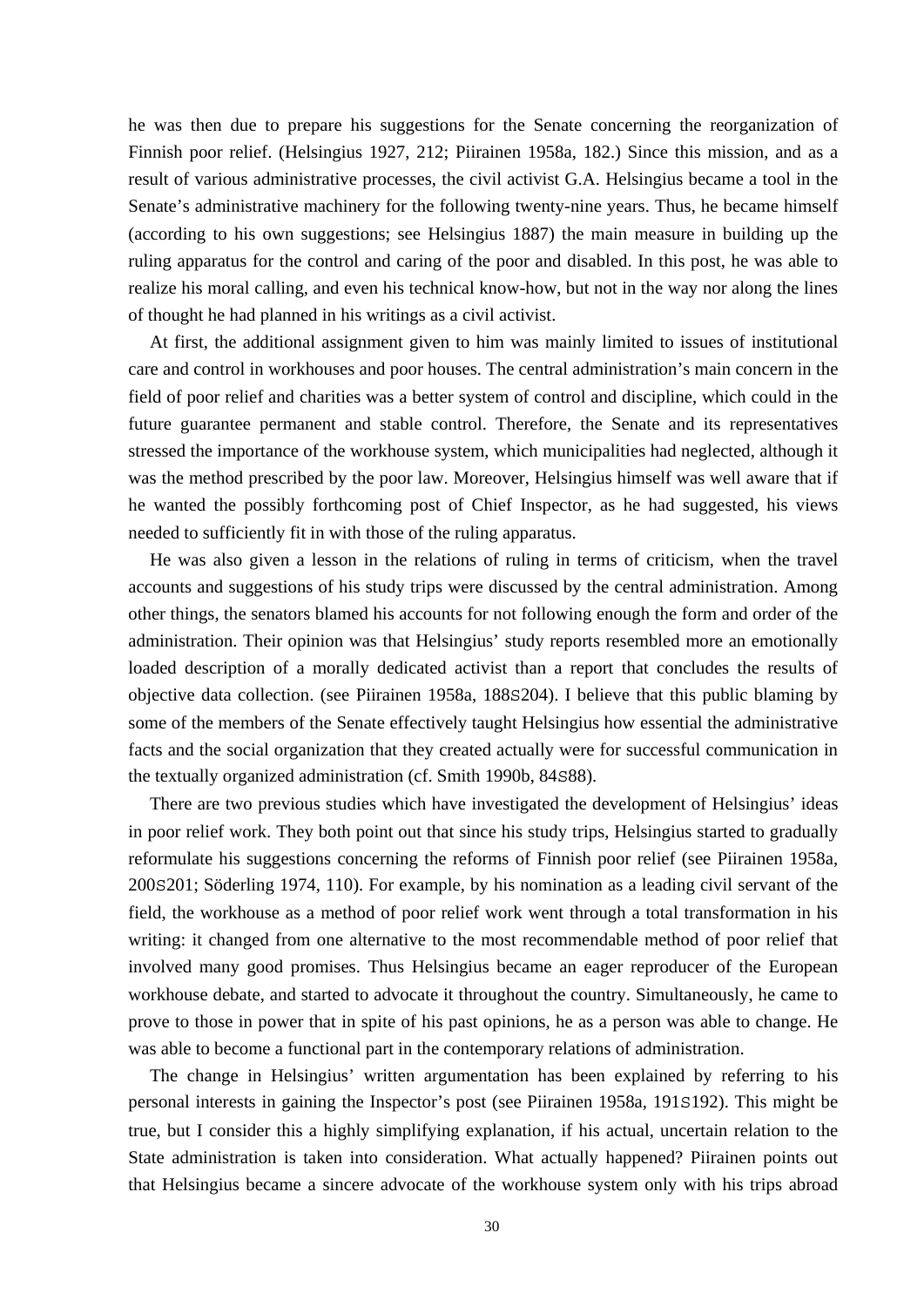he was then due to prepare his suggestions for the Senate concerning the reorganization of Finnish poor relief. (Helsingius 1927, 212; Piirainen 1958a, 182.) Since this mission, and as a result of various administrative processes, the civil activist G.A. Helsingius became a tool in the Senate's administrative machinery for the following twenty-nine years. Thus, he became himself (according to his own suggestions; see Helsingius 1887) the main measure in building up the ruling apparatus for the control and caring of the poor and disabled. In this post, he was able to realize his moral calling, and even his technical know-how, but not in the way nor along the lines of thought he had planned in his writings as a civil activist.

 At first, the additional assignment given to him was mainly limited to issues of institutional care and control in workhouses and poor houses. The central administration's main concern in the field of poor relief and charities was a better system of control and discipline, which could in the future guarantee permanent and stable control. Therefore, the Senate and its representatives stressed the importance of the workhouse system, which municipalities had neglected, although it was the method prescribed by the poor law. Moreover, Helsingius himself was well aware that if he wanted the possibly forthcoming post of Chief Inspector, as he had suggested, his views needed to sufficiently fit in with those of the ruling apparatus.

 He was also given a lesson in the relations of ruling in terms of criticism, when the travel accounts and suggestions of his study trips were discussed by the central administration. Among other things, the senators blamed his accounts for not following enough the form and order of the administration. Their opinion was that Helsingius' study reports resembled more an emotionally loaded description of a morally dedicated activist than a report that concludes the results of objective data collection. (see Piirainen 1958a, 188S204). I believe that this public blaming by some of the members of the Senate effectively taught Helsingius how essential the administrative facts and the social organization that they created actually were for successful communication in the textually organized administration (cf. Smith 1990b, 84S88).

 There are two previous studies which have investigated the development of Helsingius' ideas in poor relief work. They both point out that since his study trips, Helsingius started to gradually reformulate his suggestions concerning the reforms of Finnish poor relief (see Piirainen 1958a, 200S201; Söderling 1974, 110). For example, by his nomination as a leading civil servant of the field, the workhouse as a method of poor relief work went through a total transformation in his writing: it changed from one alternative to the most recommendable method of poor relief that involved many good promises. Thus Helsingius became an eager reproducer of the European workhouse debate, and started to advocate it throughout the country. Simultaneously, he came to prove to those in power that in spite of his past opinions, he as a person was able to change. He was able to become a functional part in the contemporary relations of administration.

 The change in Helsingius' written argumentation has been explained by referring to his personal interests in gaining the Inspector's post (see Piirainen 1958a, 191S192). This might be true, but I consider this a highly simplifying explanation, if his actual, uncertain relation to the State administration is taken into consideration. What actually happened? Piirainen points out that Helsingius became a sincere advocate of the workhouse system only with his trips abroad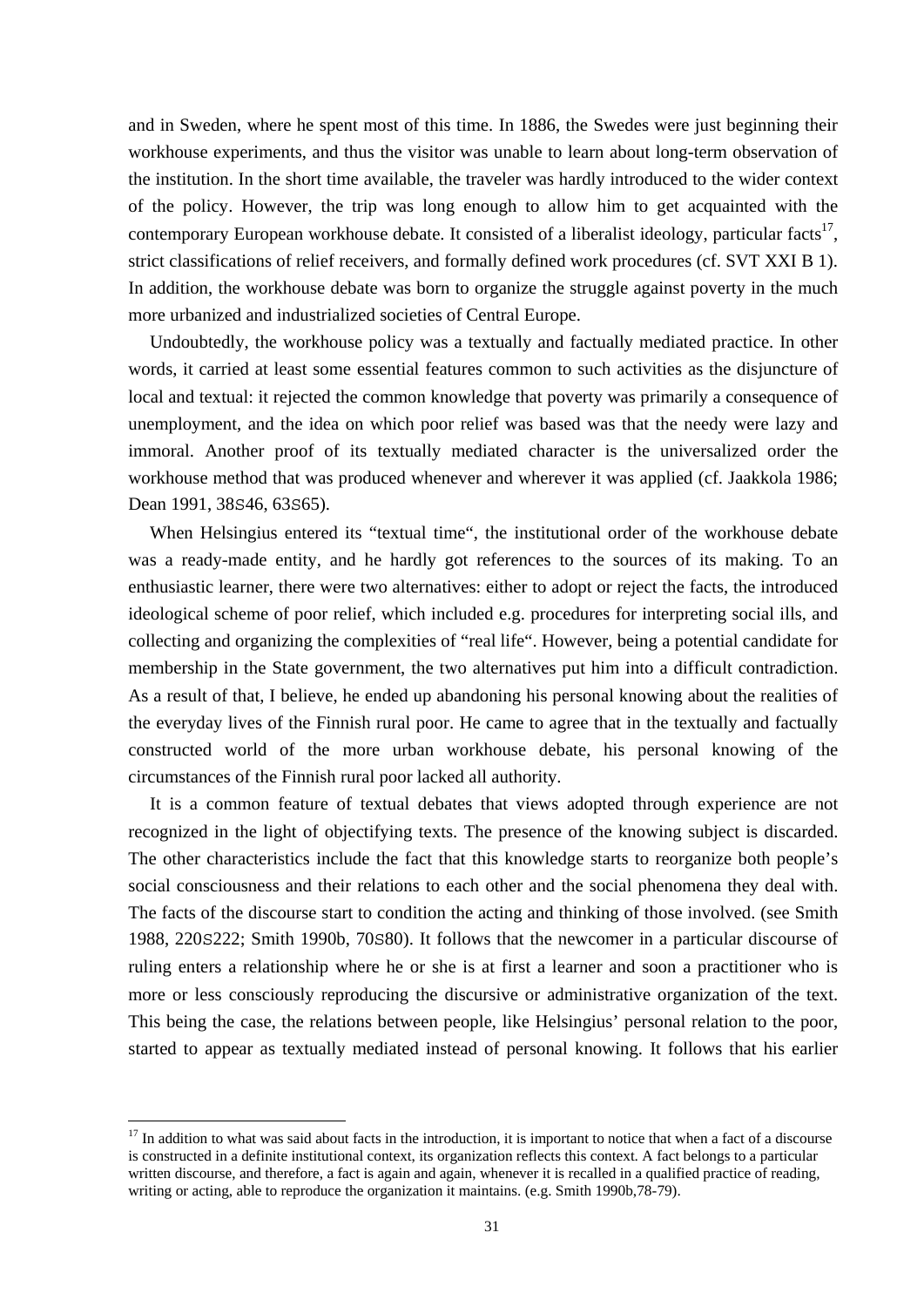and in Sweden, where he spent most of this time. In 1886, the Swedes were just beginning their workhouse experiments, and thus the visitor was unable to learn about long-term observation of the institution. In the short time available, the traveler was hardly introduced to the wider context of the policy. However, the trip was long enough to allow him to get acquainted with the contemporary European workhouse debate. It consisted of a liberalist ideology, particular facts<sup>17</sup>, strict classifications of relief receivers, and formally defined work procedures (cf. SVT XXI B 1). In addition, the workhouse debate was born to organize the struggle against poverty in the much more urbanized and industrialized societies of Central Europe.

 Undoubtedly, the workhouse policy was a textually and factually mediated practice. In other words, it carried at least some essential features common to such activities as the disjuncture of local and textual: it rejected the common knowledge that poverty was primarily a consequence of unemployment, and the idea on which poor relief was based was that the needy were lazy and immoral. Another proof of its textually mediated character is the universalized order the workhouse method that was produced whenever and wherever it was applied (cf. Jaakkola 1986; Dean 1991, 38S46, 63S65).

 When Helsingius entered its "textual time", the institutional order of the workhouse debate was a ready-made entity, and he hardly got references to the sources of its making. To an enthusiastic learner, there were two alternatives: either to adopt or reject the facts, the introduced ideological scheme of poor relief, which included e.g. procedures for interpreting social ills, and collecting and organizing the complexities of "real life". However, being a potential candidate for membership in the State government, the two alternatives put him into a difficult contradiction. As a result of that, I believe, he ended up abandoning his personal knowing about the realities of the everyday lives of the Finnish rural poor. He came to agree that in the textually and factually constructed world of the more urban workhouse debate, his personal knowing of the circumstances of the Finnish rural poor lacked all authority.

 It is a common feature of textual debates that views adopted through experience are not recognized in the light of objectifying texts. The presence of the knowing subject is discarded. The other characteristics include the fact that this knowledge starts to reorganize both people's social consciousness and their relations to each other and the social phenomena they deal with. The facts of the discourse start to condition the acting and thinking of those involved. (see Smith 1988, 220S222; Smith 1990b, 70S80). It follows that the newcomer in a particular discourse of ruling enters a relationship where he or she is at first a learner and soon a practitioner who is more or less consciously reproducing the discursive or administrative organization of the text. This being the case, the relations between people, like Helsingius' personal relation to the poor, started to appear as textually mediated instead of personal knowing. It follows that his earlier

1

 $17$  In addition to what was said about facts in the introduction, it is important to notice that when a fact of a discourse is constructed in a definite institutional context, its organization reflects this context. A fact belongs to a particular written discourse, and therefore, a fact is again and again, whenever it is recalled in a qualified practice of reading, writing or acting, able to reproduce the organization it maintains. (e.g. Smith 1990b,78-79).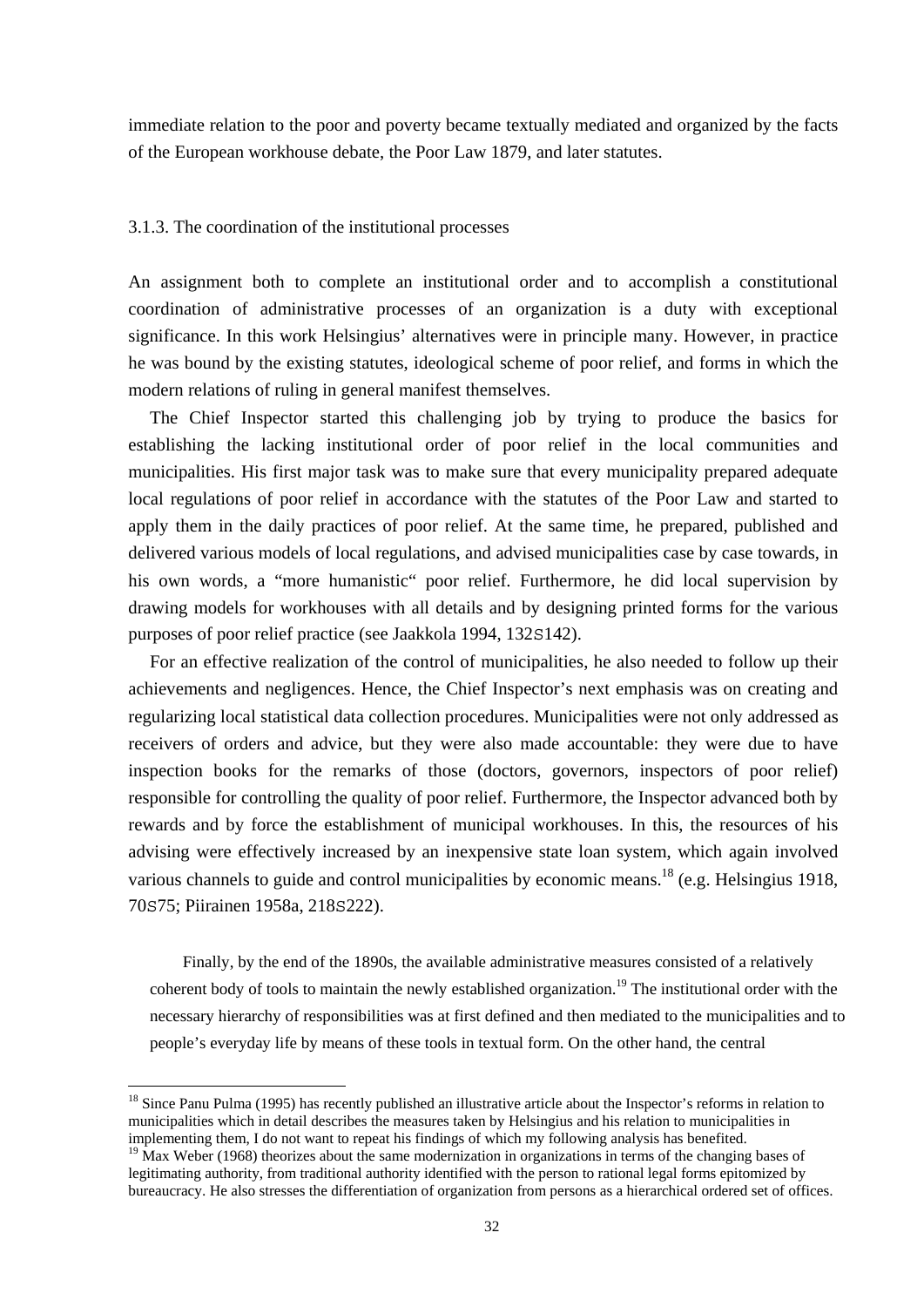immediate relation to the poor and poverty became textually mediated and organized by the facts of the European workhouse debate, the Poor Law 1879, and later statutes.

#### 3.1.3. The coordination of the institutional processes

An assignment both to complete an institutional order and to accomplish a constitutional coordination of administrative processes of an organization is a duty with exceptional significance. In this work Helsingius' alternatives were in principle many. However, in practice he was bound by the existing statutes, ideological scheme of poor relief, and forms in which the modern relations of ruling in general manifest themselves.

 The Chief Inspector started this challenging job by trying to produce the basics for establishing the lacking institutional order of poor relief in the local communities and municipalities. His first major task was to make sure that every municipality prepared adequate local regulations of poor relief in accordance with the statutes of the Poor Law and started to apply them in the daily practices of poor relief. At the same time, he prepared, published and delivered various models of local regulations, and advised municipalities case by case towards, in his own words, a "more humanistic" poor relief. Furthermore, he did local supervision by drawing models for workhouses with all details and by designing printed forms for the various purposes of poor relief practice (see Jaakkola 1994, 132S142).

 For an effective realization of the control of municipalities, he also needed to follow up their achievements and negligences. Hence, the Chief Inspector's next emphasis was on creating and regularizing local statistical data collection procedures. Municipalities were not only addressed as receivers of orders and advice, but they were also made accountable: they were due to have inspection books for the remarks of those (doctors, governors, inspectors of poor relief) responsible for controlling the quality of poor relief. Furthermore, the Inspector advanced both by rewards and by force the establishment of municipal workhouses. In this, the resources of his advising were effectively increased by an inexpensive state loan system, which again involved various channels to guide and control municipalities by economic means.<sup>18</sup> (e.g. Helsingius 1918, 70S75; Piirainen 1958a, 218S222).

Finally, by the end of the 1890s, the available administrative measures consisted of a relatively coherent body of tools to maintain the newly established organization.19 The institutional order with the necessary hierarchy of responsibilities was at first defined and then mediated to the municipalities and to people's everyday life by means of these tools in textual form. On the other hand, the central

<sup>&</sup>lt;sup>18</sup> Since Panu Pulma (1995) has recently published an illustrative article about the Inspector's reforms in relation to municipalities which in detail describes the measures taken by Helsingius and his relation to municipalities in implementing them, I do not want to repeat his findings of which my following analysis has benefited.

 $19$  Max Weber (1968) theorizes about the same modernization in organizations in terms of the changing bases of legitimating authority, from traditional authority identified with the person to rational legal forms epitomized by bureaucracy. He also stresses the differentiation of organization from persons as a hierarchical ordered set of offices.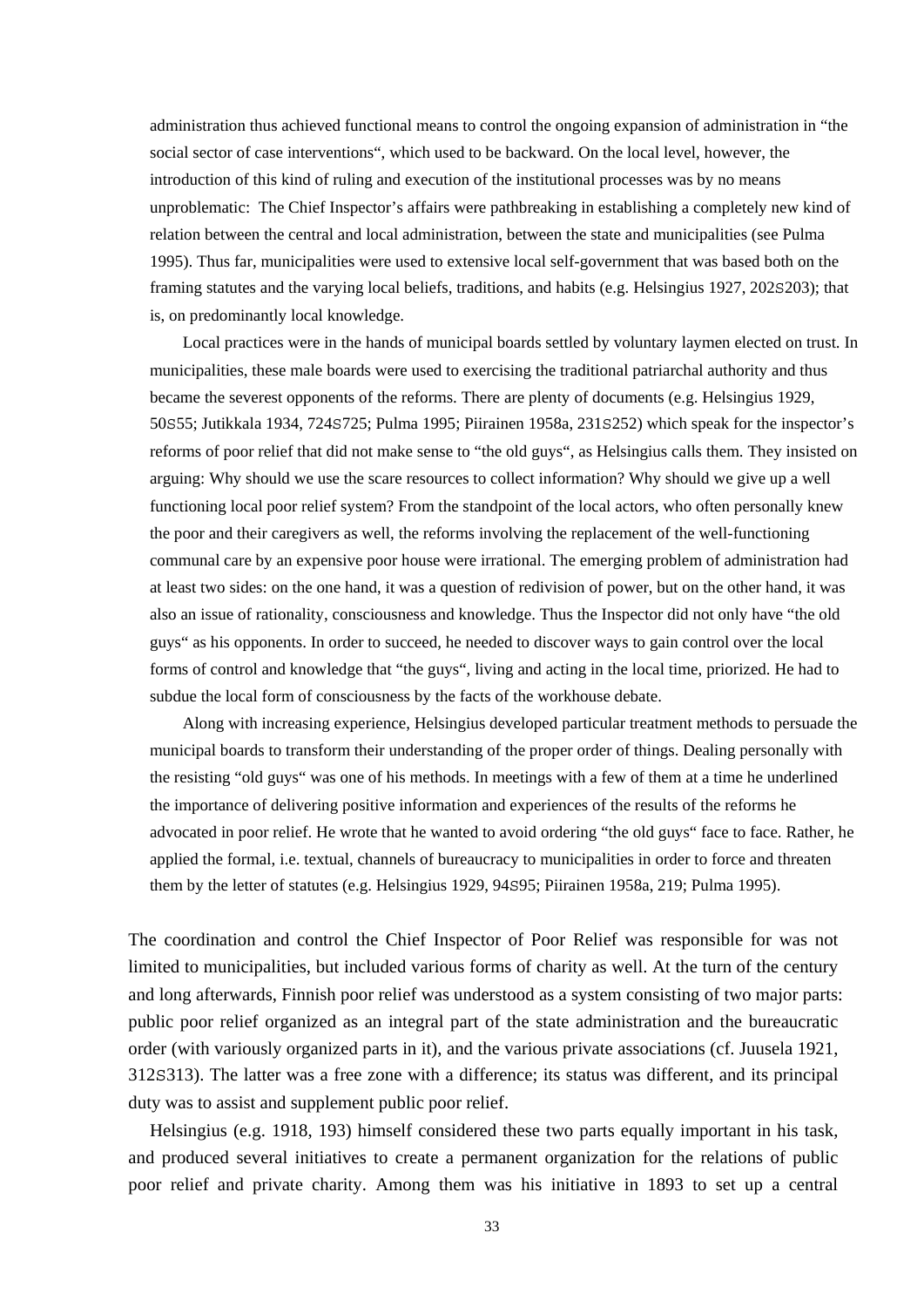administration thus achieved functional means to control the ongoing expansion of administration in "the social sector of case interventions", which used to be backward. On the local level, however, the introduction of this kind of ruling and execution of the institutional processes was by no means unproblematic: The Chief Inspector's affairs were pathbreaking in establishing a completely new kind of relation between the central and local administration, between the state and municipalities (see Pulma 1995). Thus far, municipalities were used to extensive local self-government that was based both on the framing statutes and the varying local beliefs, traditions, and habits (e.g. Helsingius 1927, 202S203); that is, on predominantly local knowledge.

 Local practices were in the hands of municipal boards settled by voluntary laymen elected on trust. In municipalities, these male boards were used to exercising the traditional patriarchal authority and thus became the severest opponents of the reforms. There are plenty of documents (e.g. Helsingius 1929, 50S55; Jutikkala 1934, 724S725; Pulma 1995; Piirainen 1958a, 231S252) which speak for the inspector's reforms of poor relief that did not make sense to "the old guys", as Helsingius calls them. They insisted on arguing: Why should we use the scare resources to collect information? Why should we give up a well functioning local poor relief system? From the standpoint of the local actors, who often personally knew the poor and their caregivers as well, the reforms involving the replacement of the well-functioning communal care by an expensive poor house were irrational. The emerging problem of administration had at least two sides: on the one hand, it was a question of redivision of power, but on the other hand, it was also an issue of rationality, consciousness and knowledge. Thus the Inspector did not only have "the old guys" as his opponents. In order to succeed, he needed to discover ways to gain control over the local forms of control and knowledge that "the guys", living and acting in the local time, priorized. He had to subdue the local form of consciousness by the facts of the workhouse debate.

 Along with increasing experience, Helsingius developed particular treatment methods to persuade the municipal boards to transform their understanding of the proper order of things. Dealing personally with the resisting "old guys" was one of his methods. In meetings with a few of them at a time he underlined the importance of delivering positive information and experiences of the results of the reforms he advocated in poor relief. He wrote that he wanted to avoid ordering "the old guys" face to face. Rather, he applied the formal, i.e. textual, channels of bureaucracy to municipalities in order to force and threaten them by the letter of statutes (e.g. Helsingius 1929, 94S95; Piirainen 1958a, 219; Pulma 1995).

The coordination and control the Chief Inspector of Poor Relief was responsible for was not limited to municipalities, but included various forms of charity as well. At the turn of the century and long afterwards, Finnish poor relief was understood as a system consisting of two major parts: public poor relief organized as an integral part of the state administration and the bureaucratic order (with variously organized parts in it), and the various private associations (cf. Juusela 1921, 312S313). The latter was a free zone with a difference; its status was different, and its principal duty was to assist and supplement public poor relief.

 Helsingius (e.g. 1918, 193) himself considered these two parts equally important in his task, and produced several initiatives to create a permanent organization for the relations of public poor relief and private charity. Among them was his initiative in 1893 to set up a central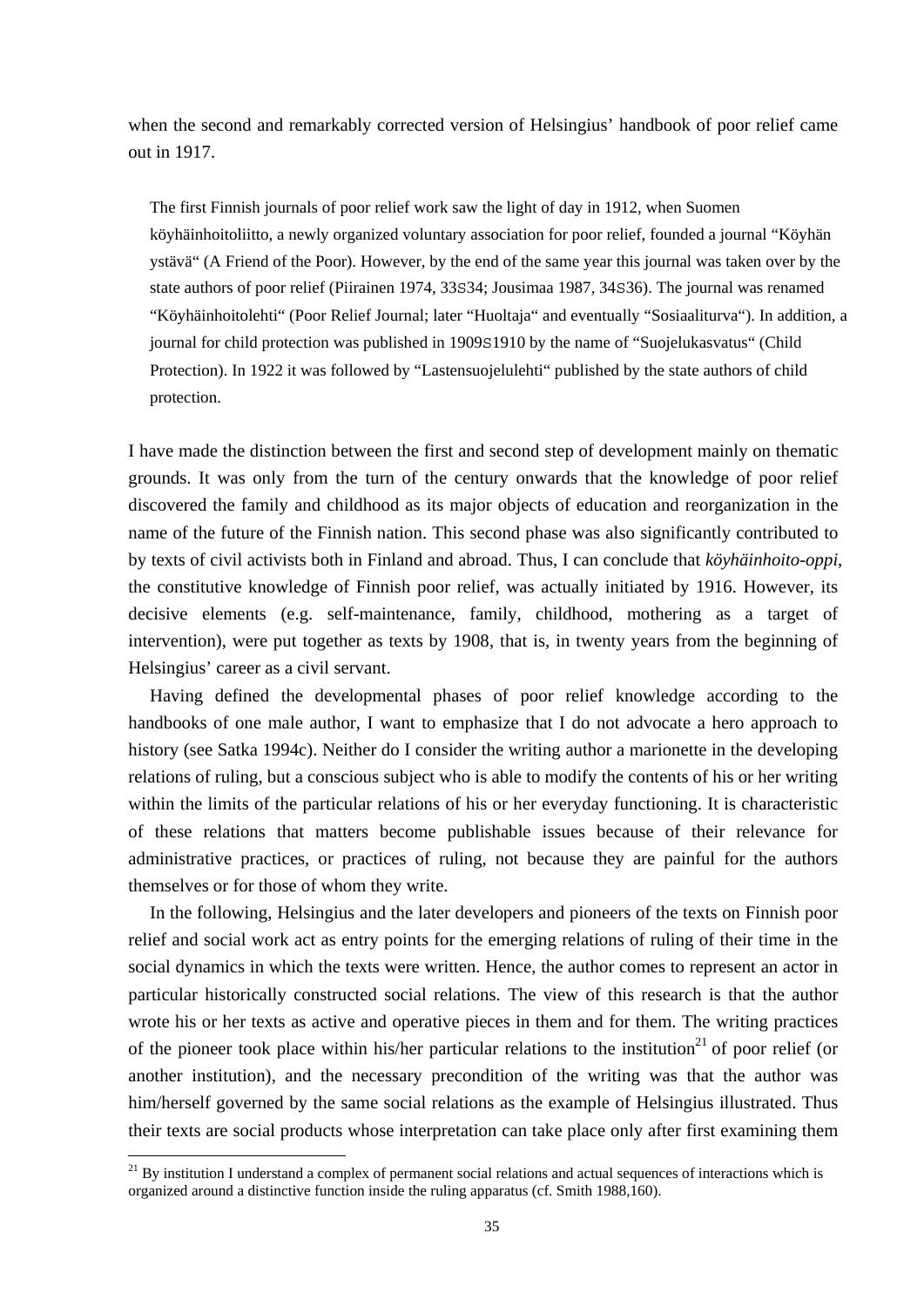when the second and remarkably corrected version of Helsingius' handbook of poor relief came out in 1917.

The first Finnish journals of poor relief work saw the light of day in 1912, when Suomen köyhäinhoitoliitto, a newly organized voluntary association for poor relief, founded a journal "Köyhän ystävä" (A Friend of the Poor). However, by the end of the same year this journal was taken over by the state authors of poor relief (Piirainen 1974, 33S34; Jousimaa 1987, 34S36). The journal was renamed "Köyhäinhoitolehti" (Poor Relief Journal; later "Huoltaja" and eventually "Sosiaaliturva"). In addition, a journal for child protection was published in 1909S1910 by the name of "Suojelukasvatus" (Child Protection). In 1922 it was followed by "Lastensuojelulehti" published by the state authors of child protection.

I have made the distinction between the first and second step of development mainly on thematic grounds. It was only from the turn of the century onwards that the knowledge of poor relief discovered the family and childhood as its major objects of education and reorganization in the name of the future of the Finnish nation. This second phase was also significantly contributed to by texts of civil activists both in Finland and abroad. Thus, I can conclude that *köyhäinhoito-oppi*, the constitutive knowledge of Finnish poor relief, was actually initiated by 1916. However, its decisive elements (e.g. self-maintenance, family, childhood, mothering as a target of intervention), were put together as texts by 1908, that is, in twenty years from the beginning of Helsingius' career as a civil servant.

 Having defined the developmental phases of poor relief knowledge according to the handbooks of one male author, I want to emphasize that I do not advocate a hero approach to history (see Satka 1994c). Neither do I consider the writing author a marionette in the developing relations of ruling, but a conscious subject who is able to modify the contents of his or her writing within the limits of the particular relations of his or her everyday functioning. It is characteristic of these relations that matters become publishable issues because of their relevance for administrative practices, or practices of ruling, not because they are painful for the authors themselves or for those of whom they write.

 In the following, Helsingius and the later developers and pioneers of the texts on Finnish poor relief and social work act as entry points for the emerging relations of ruling of their time in the social dynamics in which the texts were written. Hence, the author comes to represent an actor in particular historically constructed social relations. The view of this research is that the author wrote his or her texts as active and operative pieces in them and for them. The writing practices of the pioneer took place within his/her particular relations to the institution<sup>21</sup> of poor relief (or another institution), and the necessary precondition of the writing was that the author was him/herself governed by the same social relations as the example of Helsingius illustrated. Thus their texts are social products whose interpretation can take place only after first examining them

 $^{21}$  By institution I understand a complex of permanent social relations and actual sequences of interactions which is organized around a distinctive function inside the ruling apparatus (cf. Smith 1988,160).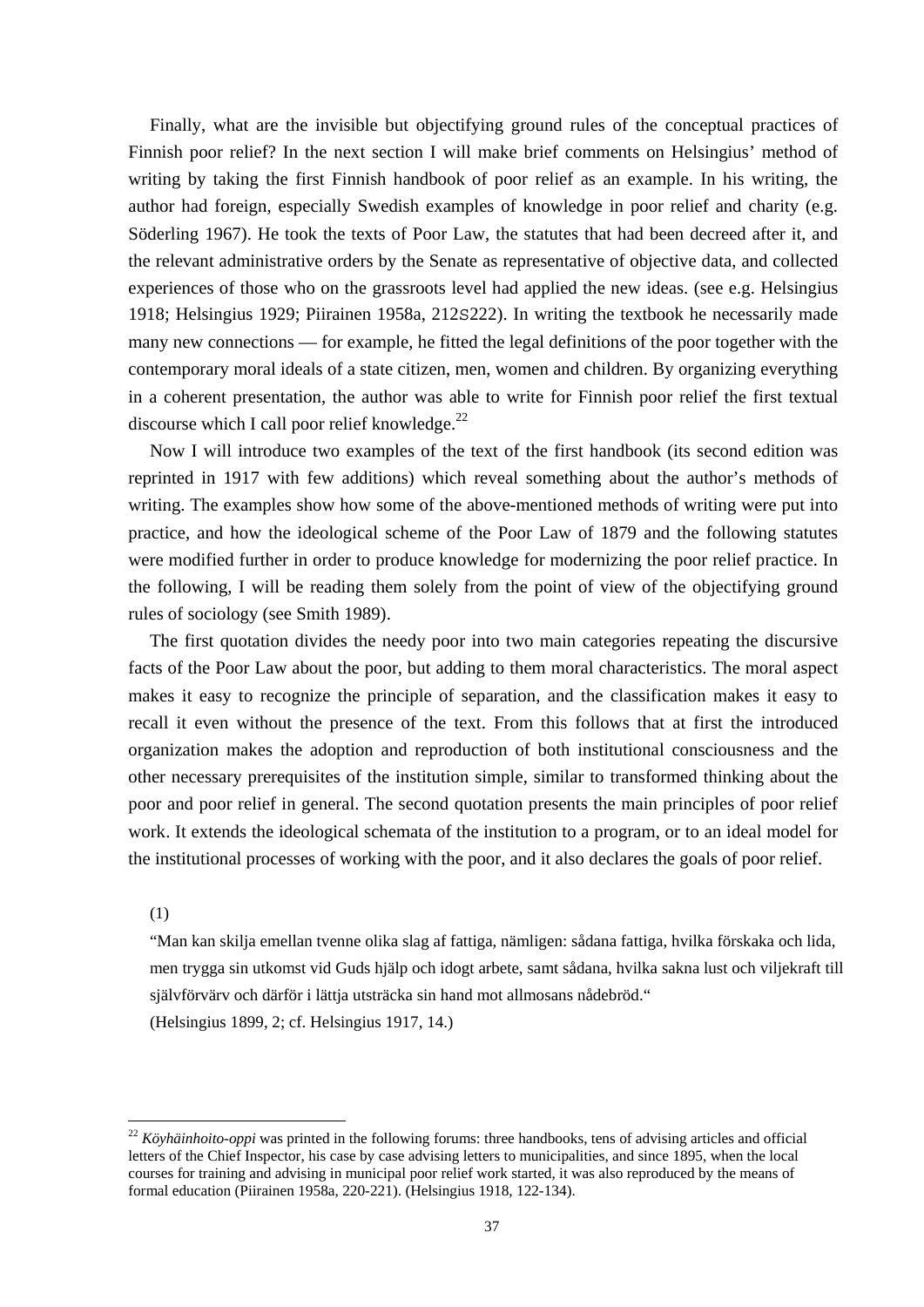Finally, what are the invisible but objectifying ground rules of the conceptual practices of Finnish poor relief? In the next section I will make brief comments on Helsingius' method of writing by taking the first Finnish handbook of poor relief as an example. In his writing, the author had foreign, especially Swedish examples of knowledge in poor relief and charity (e.g. Söderling 1967). He took the texts of Poor Law, the statutes that had been decreed after it, and the relevant administrative orders by the Senate as representative of objective data, and collected experiences of those who on the grassroots level had applied the new ideas. (see e.g. Helsingius 1918; Helsingius 1929; Piirainen 1958a, 212S222). In writing the textbook he necessarily made many new connections — for example, he fitted the legal definitions of the poor together with the contemporary moral ideals of a state citizen, men, women and children. By organizing everything in a coherent presentation, the author was able to write for Finnish poor relief the first textual discourse which I call poor relief knowledge. $^{22}$ 

 Now I will introduce two examples of the text of the first handbook (its second edition was reprinted in 1917 with few additions) which reveal something about the author's methods of writing. The examples show how some of the above-mentioned methods of writing were put into practice, and how the ideological scheme of the Poor Law of 1879 and the following statutes were modified further in order to produce knowledge for modernizing the poor relief practice. In the following, I will be reading them solely from the point of view of the objectifying ground rules of sociology (see Smith 1989).

 The first quotation divides the needy poor into two main categories repeating the discursive facts of the Poor Law about the poor, but adding to them moral characteristics. The moral aspect makes it easy to recognize the principle of separation, and the classification makes it easy to recall it even without the presence of the text. From this follows that at first the introduced organization makes the adoption and reproduction of both institutional consciousness and the other necessary prerequisites of the institution simple, similar to transformed thinking about the poor and poor relief in general. The second quotation presents the main principles of poor relief work. It extends the ideological schemata of the institution to a program, or to an ideal model for the institutional processes of working with the poor, and it also declares the goals of poor relief.

#### (1)

1

"Man kan skilja emellan tvenne olika slag af fattiga, nämligen: sådana fattiga, hvilka förskaka och lida, men trygga sin utkomst vid Guds hjälp och idogt arbete, samt sådana, hvilka sakna lust och viljekraft till självförvärv och därför i lättja utsträcka sin hand mot allmosans nådebröd." (Helsingius 1899, 2; cf. Helsingius 1917, 14.)

<sup>22</sup> *Köyhäinhoito-oppi* was printed in the following forums: three handbooks, tens of advising articles and official letters of the Chief Inspector, his case by case advising letters to municipalities, and since 1895, when the local courses for training and advising in municipal poor relief work started, it was also reproduced by the means of formal education (Piirainen 1958a, 220-221). (Helsingius 1918, 122-134).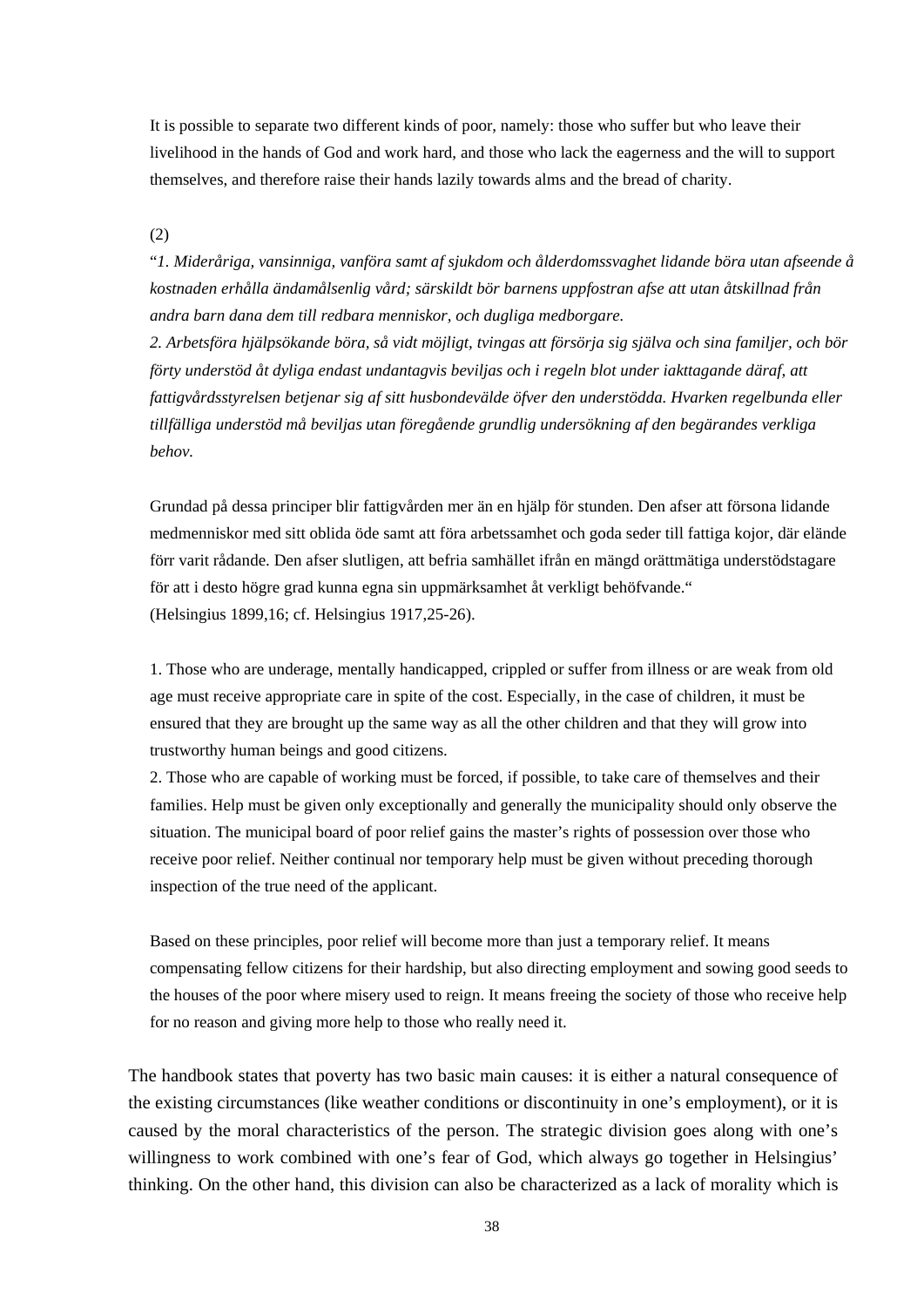It is possible to separate two different kinds of poor, namely: those who suffer but who leave their livelihood in the hands of God and work hard, and those who lack the eagerness and the will to support themselves, and therefore raise their hands lazily towards alms and the bread of charity.

(2)

"*1. Mideråriga, vansinniga, vanföra samt af sjukdom och ålderdomssvaghet lidande böra utan afseende å kostnaden erhålla ändamålsenlig vård; särskildt bör barnens uppfostran afse att utan åtskillnad från andra barn dana dem till redbara menniskor, och dugliga medborgare.* 

*2. Arbetsföra hjälpsökande böra, så vidt möjligt, tvingas att försörja sig själva och sina familjer, och bör förty understöd åt dyliga endast undantagvis beviljas och i regeln blot under iakttagande däraf, att fattigvårdsstyrelsen betjenar sig af sitt husbondevälde öfver den understödda. Hvarken regelbunda eller tillfälliga understöd må beviljas utan föregående grundlig undersökning af den begärandes verkliga behov.*

Grundad på dessa principer blir fattigvården mer än en hjälp för stunden. Den afser att försona lidande medmenniskor med sitt oblida öde samt att föra arbetssamhet och goda seder till fattiga kojor, där elände förr varit rådande. Den afser slutligen, att befria samhället ifrån en mängd orättmätiga understödstagare för att i desto högre grad kunna egna sin uppmärksamhet åt verkligt behöfvande." (Helsingius 1899,16; cf. Helsingius 1917,25-26).

1. Those who are underage, mentally handicapped, crippled or suffer from illness or are weak from old age must receive appropriate care in spite of the cost. Especially, in the case of children, it must be ensured that they are brought up the same way as all the other children and that they will grow into trustworthy human beings and good citizens.

2. Those who are capable of working must be forced, if possible, to take care of themselves and their families. Help must be given only exceptionally and generally the municipality should only observe the situation. The municipal board of poor relief gains the master's rights of possession over those who receive poor relief. Neither continual nor temporary help must be given without preceding thorough inspection of the true need of the applicant.

Based on these principles, poor relief will become more than just a temporary relief. It means compensating fellow citizens for their hardship, but also directing employment and sowing good seeds to the houses of the poor where misery used to reign. It means freeing the society of those who receive help for no reason and giving more help to those who really need it.

The handbook states that poverty has two basic main causes: it is either a natural consequence of the existing circumstances (like weather conditions or discontinuity in one's employment), or it is caused by the moral characteristics of the person. The strategic division goes along with one's willingness to work combined with one's fear of God, which always go together in Helsingius' thinking. On the other hand, this division can also be characterized as a lack of morality which is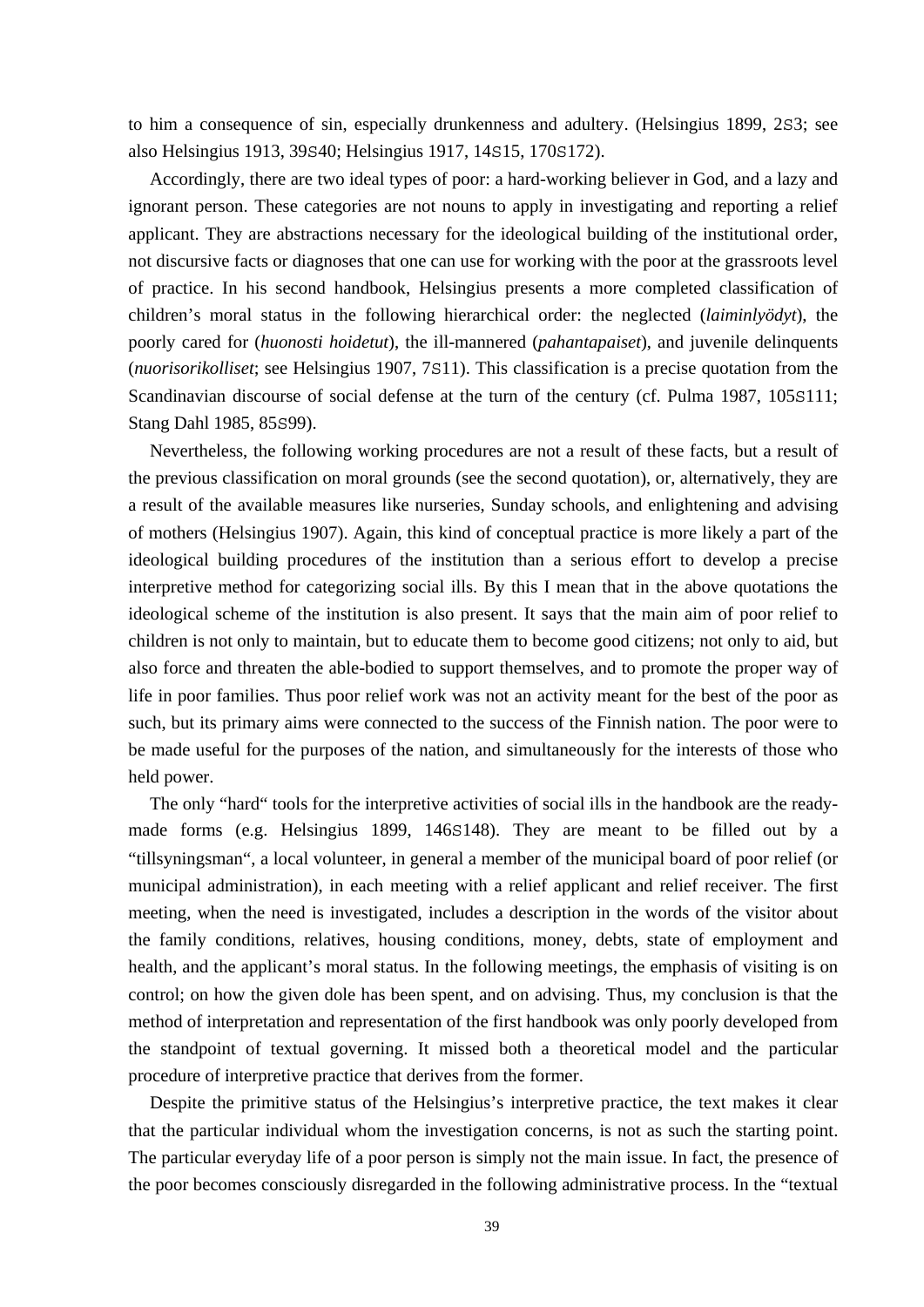to him a consequence of sin, especially drunkenness and adultery. (Helsingius 1899, 2S3; see also Helsingius 1913, 39S40; Helsingius 1917, 14S15, 170S172).

 Accordingly, there are two ideal types of poor: a hard-working believer in God, and a lazy and ignorant person. These categories are not nouns to apply in investigating and reporting a relief applicant. They are abstractions necessary for the ideological building of the institutional order, not discursive facts or diagnoses that one can use for working with the poor at the grassroots level of practice. In his second handbook, Helsingius presents a more completed classification of children's moral status in the following hierarchical order: the neglected (*laiminlyödyt*), the poorly cared for (*huonosti hoidetut*), the ill-mannered (*pahantapaiset*), and juvenile delinquents (*nuorisorikolliset*; see Helsingius 1907, 7S11). This classification is a precise quotation from the Scandinavian discourse of social defense at the turn of the century (cf. Pulma 1987, 105S111; Stang Dahl 1985, 85S99).

 Nevertheless, the following working procedures are not a result of these facts, but a result of the previous classification on moral grounds (see the second quotation), or, alternatively, they are a result of the available measures like nurseries, Sunday schools, and enlightening and advising of mothers (Helsingius 1907). Again, this kind of conceptual practice is more likely a part of the ideological building procedures of the institution than a serious effort to develop a precise interpretive method for categorizing social ills. By this I mean that in the above quotations the ideological scheme of the institution is also present. It says that the main aim of poor relief to children is not only to maintain, but to educate them to become good citizens; not only to aid, but also force and threaten the able-bodied to support themselves, and to promote the proper way of life in poor families. Thus poor relief work was not an activity meant for the best of the poor as such, but its primary aims were connected to the success of the Finnish nation. The poor were to be made useful for the purposes of the nation, and simultaneously for the interests of those who held power.

 The only "hard" tools for the interpretive activities of social ills in the handbook are the readymade forms (e.g. Helsingius 1899, 146S148). They are meant to be filled out by a "tillsyningsman", a local volunteer, in general a member of the municipal board of poor relief (or municipal administration), in each meeting with a relief applicant and relief receiver. The first meeting, when the need is investigated, includes a description in the words of the visitor about the family conditions, relatives, housing conditions, money, debts, state of employment and health, and the applicant's moral status. In the following meetings, the emphasis of visiting is on control; on how the given dole has been spent, and on advising. Thus, my conclusion is that the method of interpretation and representation of the first handbook was only poorly developed from the standpoint of textual governing. It missed both a theoretical model and the particular procedure of interpretive practice that derives from the former.

 Despite the primitive status of the Helsingius's interpretive practice, the text makes it clear that the particular individual whom the investigation concerns, is not as such the starting point. The particular everyday life of a poor person is simply not the main issue. In fact, the presence of the poor becomes consciously disregarded in the following administrative process. In the "textual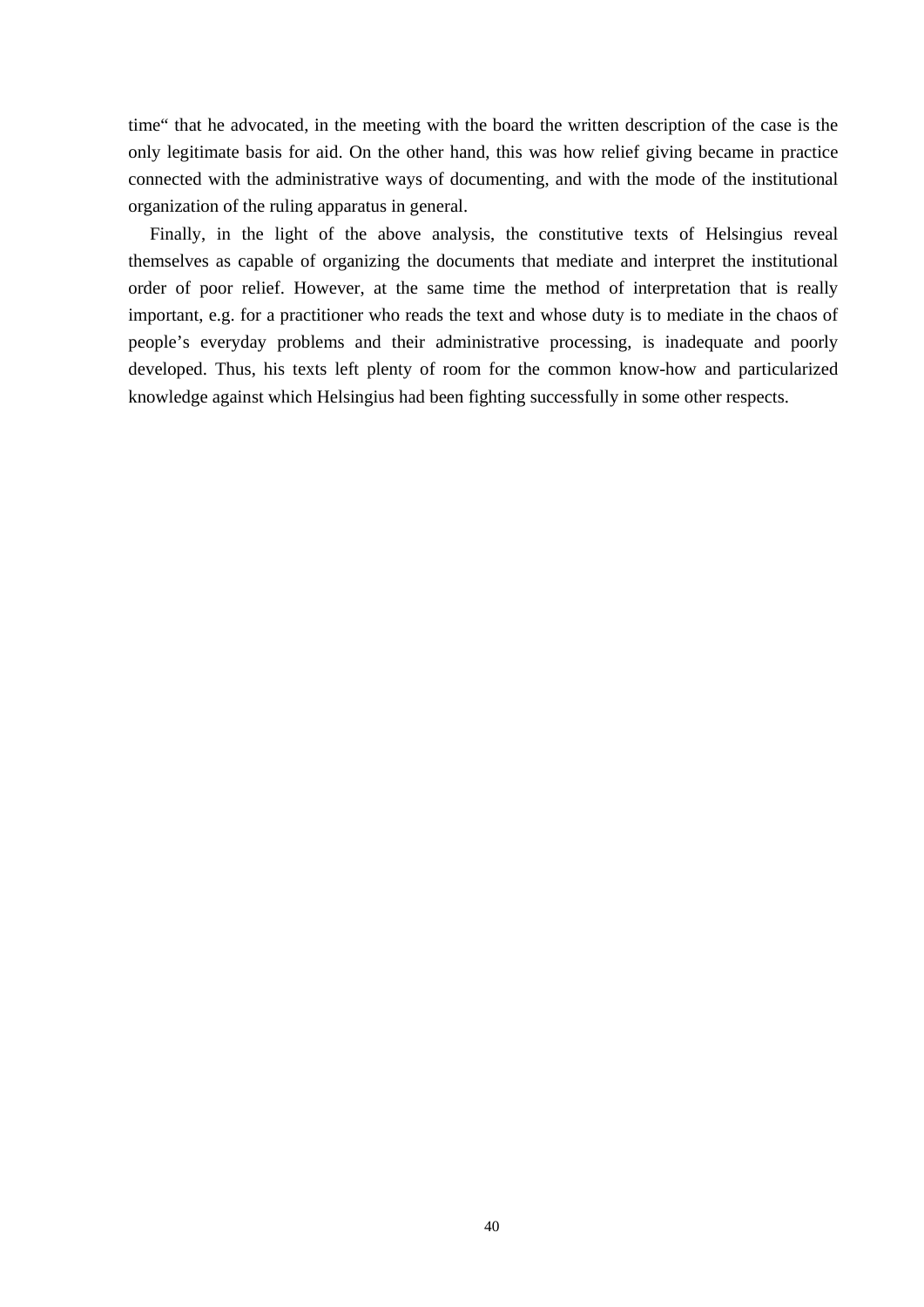time" that he advocated, in the meeting with the board the written description of the case is the only legitimate basis for aid. On the other hand, this was how relief giving became in practice connected with the administrative ways of documenting, and with the mode of the institutional organization of the ruling apparatus in general.

 Finally, in the light of the above analysis, the constitutive texts of Helsingius reveal themselves as capable of organizing the documents that mediate and interpret the institutional order of poor relief. However, at the same time the method of interpretation that is really important, e.g. for a practitioner who reads the text and whose duty is to mediate in the chaos of people's everyday problems and their administrative processing, is inadequate and poorly developed. Thus, his texts left plenty of room for the common know-how and particularized knowledge against which Helsingius had been fighting successfully in some other respects.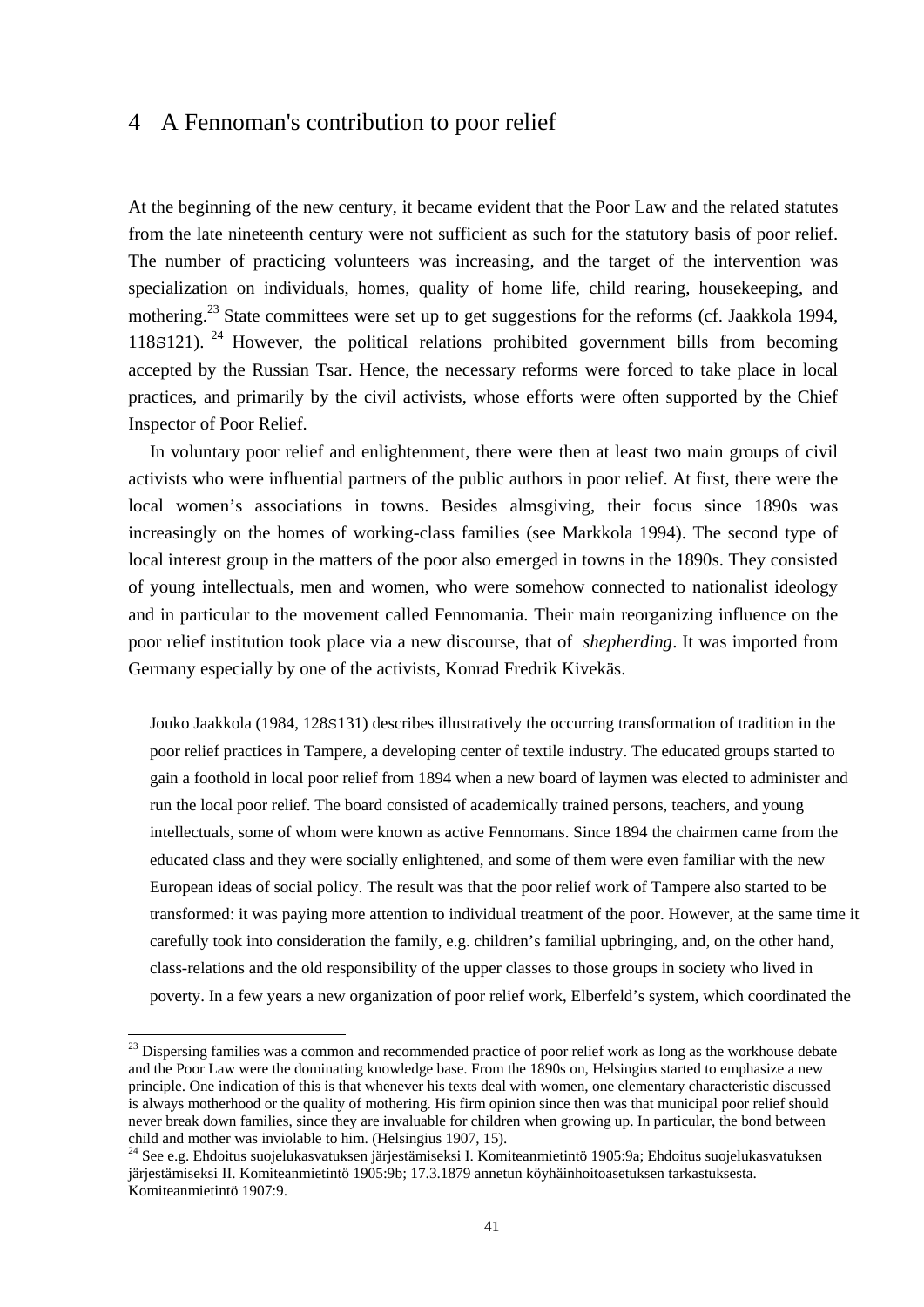# 4 A Fennoman's contribution to poor relief

At the beginning of the new century, it became evident that the Poor Law and the related statutes from the late nineteenth century were not sufficient as such for the statutory basis of poor relief. The number of practicing volunteers was increasing, and the target of the intervention was specialization on individuals, homes, quality of home life, child rearing, housekeeping, and mothering.<sup>23</sup> State committees were set up to get suggestions for the reforms (cf. Jaakkola 1994, 118S121). 24 However, the political relations prohibited government bills from becoming accepted by the Russian Tsar. Hence, the necessary reforms were forced to take place in local practices, and primarily by the civil activists, whose efforts were often supported by the Chief Inspector of Poor Relief.

 In voluntary poor relief and enlightenment, there were then at least two main groups of civil activists who were influential partners of the public authors in poor relief. At first, there were the local women's associations in towns. Besides almsgiving, their focus since 1890s was increasingly on the homes of working-class families (see Markkola 1994). The second type of local interest group in the matters of the poor also emerged in towns in the 1890s. They consisted of young intellectuals, men and women, who were somehow connected to nationalist ideology and in particular to the movement called Fennomania. Their main reorganizing influence on the poor relief institution took place via a new discourse, that of *shepherding*. It was imported from Germany especially by one of the activists, Konrad Fredrik Kivekäs.

Jouko Jaakkola (1984, 128S131) describes illustratively the occurring transformation of tradition in the poor relief practices in Tampere, a developing center of textile industry. The educated groups started to gain a foothold in local poor relief from 1894 when a new board of laymen was elected to administer and run the local poor relief. The board consisted of academically trained persons, teachers, and young intellectuals, some of whom were known as active Fennomans. Since 1894 the chairmen came from the educated class and they were socially enlightened, and some of them were even familiar with the new European ideas of social policy. The result was that the poor relief work of Tampere also started to be transformed: it was paying more attention to individual treatment of the poor. However, at the same time it carefully took into consideration the family, e.g. children's familial upbringing, and, on the other hand, class-relations and the old responsibility of the upper classes to those groups in society who lived in poverty. In a few years a new organization of poor relief work, Elberfeld's system, which coordinated the

-

<sup>&</sup>lt;sup>23</sup> Dispersing families was a common and recommended practice of poor relief work as long as the workhouse debate and the Poor Law were the dominating knowledge base. From the 1890s on, Helsingius started to emphasize a new principle. One indication of this is that whenever his texts deal with women, one elementary characteristic discussed is always motherhood or the quality of mothering. His firm opinion since then was that municipal poor relief should never break down families, since they are invaluable for children when growing up. In particular, the bond between child and mother was inviolable to him. (Helsingius 1907, 15).

<sup>24</sup> See e.g. Ehdoitus suojelukasvatuksen järjestämiseksi I. Komiteanmietintö 1905:9a; Ehdoitus suojelukasvatuksen järjestämiseksi II. Komiteanmietintö 1905:9b; 17.3.1879 annetun köyhäinhoitoasetuksen tarkastuksesta. Komiteanmietintö 1907:9.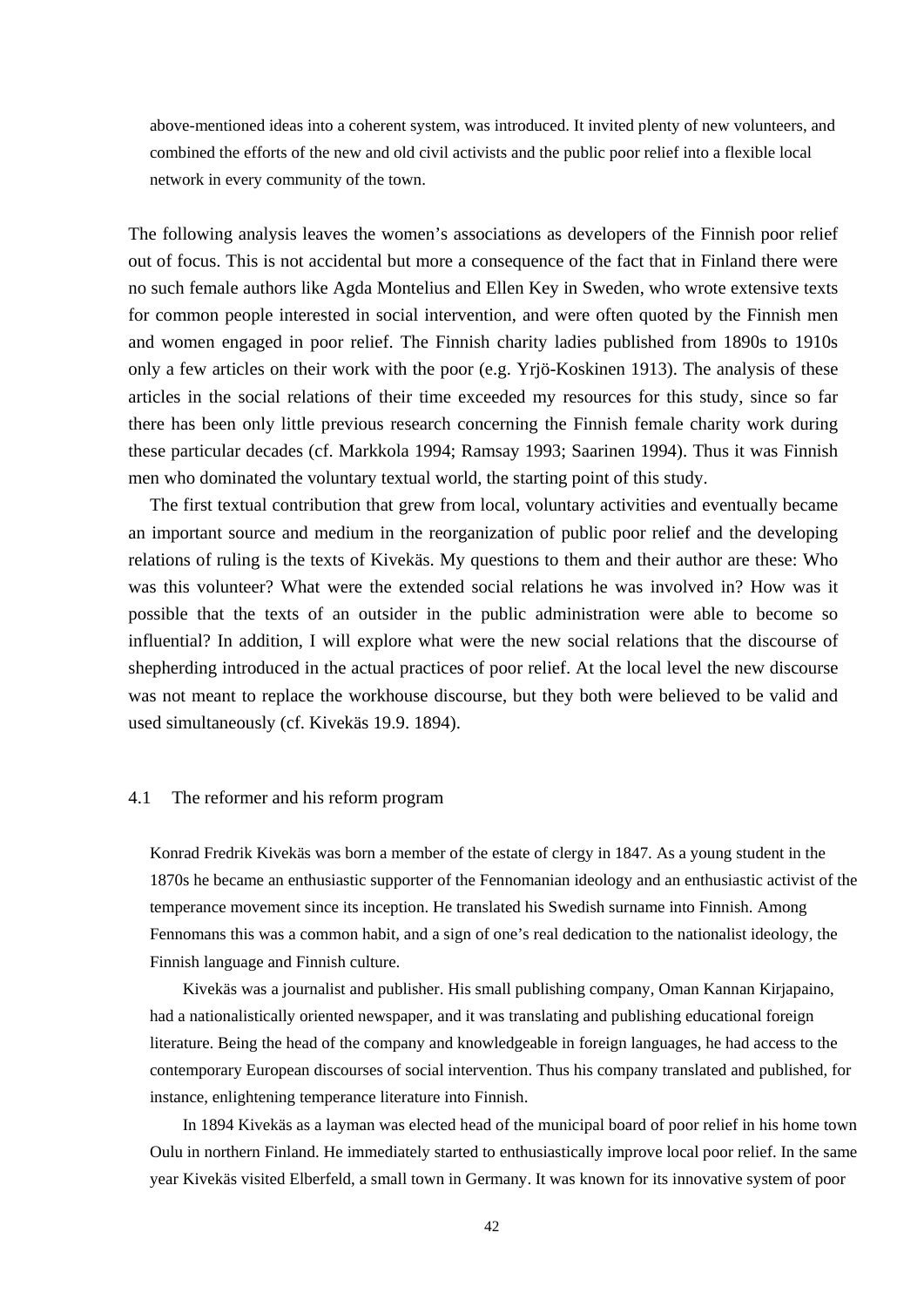above-mentioned ideas into a coherent system, was introduced. It invited plenty of new volunteers, and combined the efforts of the new and old civil activists and the public poor relief into a flexible local network in every community of the town.

The following analysis leaves the women's associations as developers of the Finnish poor relief out of focus. This is not accidental but more a consequence of the fact that in Finland there were no such female authors like Agda Montelius and Ellen Key in Sweden, who wrote extensive texts for common people interested in social intervention, and were often quoted by the Finnish men and women engaged in poor relief. The Finnish charity ladies published from 1890s to 1910s only a few articles on their work with the poor (e.g. Yrjö-Koskinen 1913). The analysis of these articles in the social relations of their time exceeded my resources for this study, since so far there has been only little previous research concerning the Finnish female charity work during these particular decades (cf. Markkola 1994; Ramsay 1993; Saarinen 1994). Thus it was Finnish men who dominated the voluntary textual world, the starting point of this study.

 The first textual contribution that grew from local, voluntary activities and eventually became an important source and medium in the reorganization of public poor relief and the developing relations of ruling is the texts of Kivekäs. My questions to them and their author are these: Who was this volunteer? What were the extended social relations he was involved in? How was it possible that the texts of an outsider in the public administration were able to become so influential? In addition, I will explore what were the new social relations that the discourse of shepherding introduced in the actual practices of poor relief. At the local level the new discourse was not meant to replace the workhouse discourse, but they both were believed to be valid and used simultaneously (cf. Kivekäs 19.9. 1894).

### 4.1 The reformer and his reform program

Konrad Fredrik Kivekäs was born a member of the estate of clergy in 1847. As a young student in the 1870s he became an enthusiastic supporter of the Fennomanian ideology and an enthusiastic activist of the temperance movement since its inception. He translated his Swedish surname into Finnish. Among Fennomans this was a common habit, and a sign of one's real dedication to the nationalist ideology, the Finnish language and Finnish culture.

 Kivekäs was a journalist and publisher. His small publishing company, Oman Kannan Kirjapaino, had a nationalistically oriented newspaper, and it was translating and publishing educational foreign literature. Being the head of the company and knowledgeable in foreign languages, he had access to the contemporary European discourses of social intervention. Thus his company translated and published, for instance, enlightening temperance literature into Finnish.

 In 1894 Kivekäs as a layman was elected head of the municipal board of poor relief in his home town Oulu in northern Finland. He immediately started to enthusiastically improve local poor relief. In the same year Kivekäs visited Elberfeld, a small town in Germany. It was known for its innovative system of poor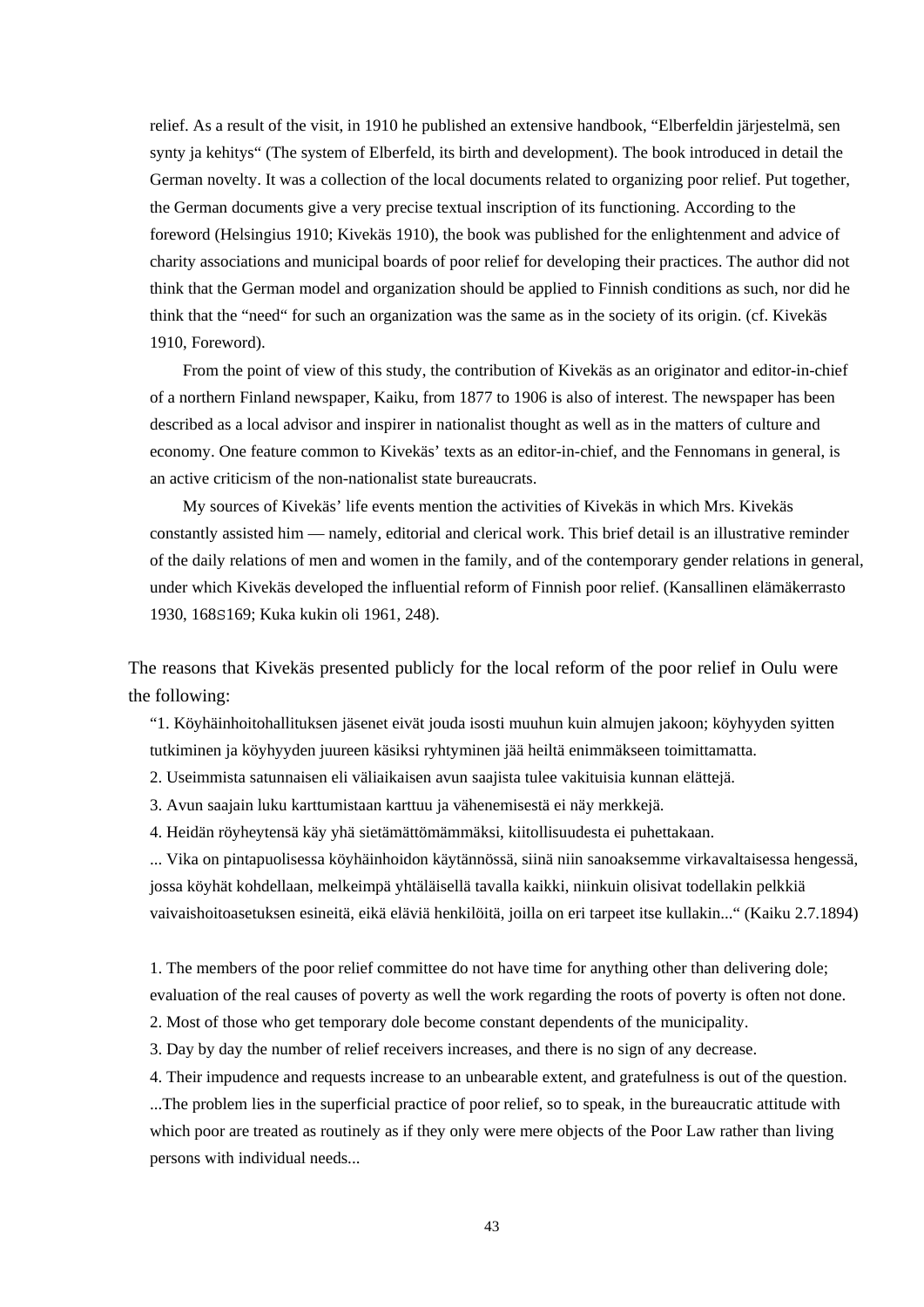relief. As a result of the visit, in 1910 he published an extensive handbook, "Elberfeldin järjestelmä, sen synty ja kehitys" (The system of Elberfeld, its birth and development). The book introduced in detail the German novelty. It was a collection of the local documents related to organizing poor relief. Put together, the German documents give a very precise textual inscription of its functioning. According to the foreword (Helsingius 1910; Kivekäs 1910), the book was published for the enlightenment and advice of charity associations and municipal boards of poor relief for developing their practices. The author did not think that the German model and organization should be applied to Finnish conditions as such, nor did he think that the "need" for such an organization was the same as in the society of its origin. (cf. Kivekäs 1910, Foreword).

 From the point of view of this study, the contribution of Kivekäs as an originator and editor-in-chief of a northern Finland newspaper, Kaiku, from 1877 to 1906 is also of interest. The newspaper has been described as a local advisor and inspirer in nationalist thought as well as in the matters of culture and economy. One feature common to Kivekäs' texts as an editor-in-chief, and the Fennomans in general, is an active criticism of the non-nationalist state bureaucrats.

 My sources of Kivekäs' life events mention the activities of Kivekäs in which Mrs. Kivekäs constantly assisted him — namely, editorial and clerical work. This brief detail is an illustrative reminder of the daily relations of men and women in the family, and of the contemporary gender relations in general, under which Kivekäs developed the influential reform of Finnish poor relief. (Kansallinen elämäkerrasto 1930, 168S169; Kuka kukin oli 1961, 248).

The reasons that Kivekäs presented publicly for the local reform of the poor relief in Oulu were the following:

"1. Köyhäinhoitohallituksen jäsenet eivät jouda isosti muuhun kuin almujen jakoon; köyhyyden syitten tutkiminen ja köyhyyden juureen käsiksi ryhtyminen jää heiltä enimmäkseen toimittamatta.

2. Useimmista satunnaisen eli väliaikaisen avun saajista tulee vakituisia kunnan elättejä.

3. Avun saajain luku karttumistaan karttuu ja vähenemisestä ei näy merkkejä.

4. Heidän röyheytensä käy yhä sietämättömämmäksi, kiitollisuudesta ei puhettakaan.

... Vika on pintapuolisessa köyhäinhoidon käytännössä, siinä niin sanoaksemme virkavaltaisessa hengessä, jossa köyhät kohdellaan, melkeimpä yhtäläisellä tavalla kaikki, niinkuin olisivat todellakin pelkkiä vaivaishoitoasetuksen esineitä, eikä eläviä henkilöitä, joilla on eri tarpeet itse kullakin..." (Kaiku 2.7.1894)

1. The members of the poor relief committee do not have time for anything other than delivering dole; evaluation of the real causes of poverty as well the work regarding the roots of poverty is often not done.

2. Most of those who get temporary dole become constant dependents of the municipality.

3. Day by day the number of relief receivers increases, and there is no sign of any decrease.

4. Their impudence and requests increase to an unbearable extent, and gratefulness is out of the question.

...The problem lies in the superficial practice of poor relief, so to speak, in the bureaucratic attitude with which poor are treated as routinely as if they only were mere objects of the Poor Law rather than living persons with individual needs...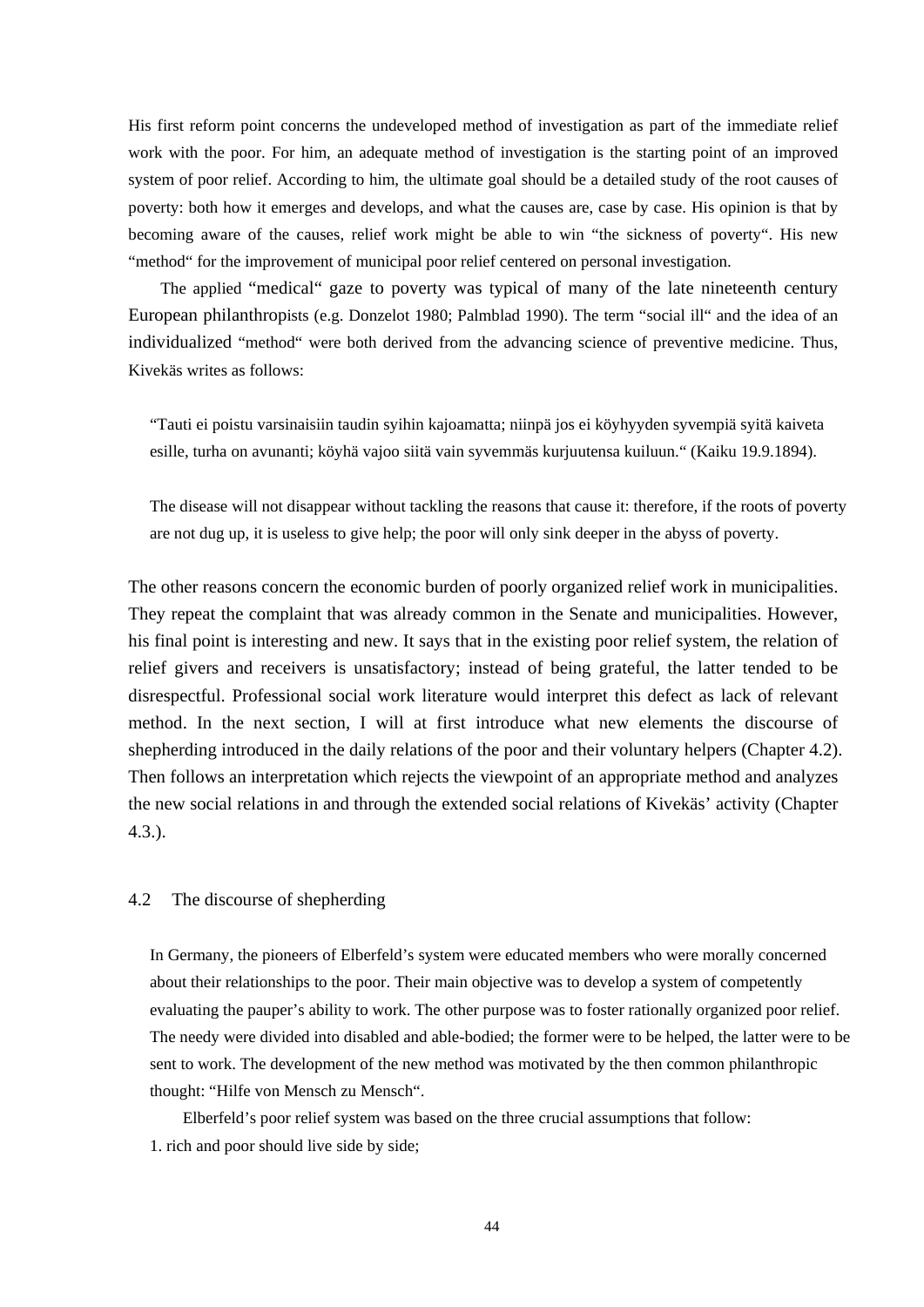His first reform point concerns the undeveloped method of investigation as part of the immediate relief work with the poor. For him, an adequate method of investigation is the starting point of an improved system of poor relief. According to him, the ultimate goal should be a detailed study of the root causes of poverty: both how it emerges and develops, and what the causes are, case by case. His opinion is that by becoming aware of the causes, relief work might be able to win "the sickness of poverty". His new "method" for the improvement of municipal poor relief centered on personal investigation.

 The applied "medical" gaze to poverty was typical of many of the late nineteenth century European philanthropists (e.g. Donzelot 1980; Palmblad 1990). The term "social ill" and the idea of an individualized "method" were both derived from the advancing science of preventive medicine. Thus, Kivekäs writes as follows:

"Tauti ei poistu varsinaisiin taudin syihin kajoamatta; niinpä jos ei köyhyyden syvempiä syitä kaiveta esille, turha on avunanti; köyhä vajoo siitä vain syvemmäs kurjuutensa kuiluun." (Kaiku 19.9.1894).

The disease will not disappear without tackling the reasons that cause it: therefore, if the roots of poverty are not dug up, it is useless to give help; the poor will only sink deeper in the abyss of poverty.

The other reasons concern the economic burden of poorly organized relief work in municipalities. They repeat the complaint that was already common in the Senate and municipalities. However, his final point is interesting and new. It says that in the existing poor relief system, the relation of relief givers and receivers is unsatisfactory; instead of being grateful, the latter tended to be disrespectful. Professional social work literature would interpret this defect as lack of relevant method. In the next section, I will at first introduce what new elements the discourse of shepherding introduced in the daily relations of the poor and their voluntary helpers (Chapter 4.2). Then follows an interpretation which rejects the viewpoint of an appropriate method and analyzes the new social relations in and through the extended social relations of Kivekäs' activity (Chapter 4.3.).

#### 4.2 The discourse of shepherding

In Germany, the pioneers of Elberfeld's system were educated members who were morally concerned about their relationships to the poor. Their main objective was to develop a system of competently evaluating the pauper's ability to work. The other purpose was to foster rationally organized poor relief. The needy were divided into disabled and able-bodied; the former were to be helped, the latter were to be sent to work. The development of the new method was motivated by the then common philanthropic thought: "Hilfe von Mensch zu Mensch".

 Elberfeld's poor relief system was based on the three crucial assumptions that follow: 1. rich and poor should live side by side;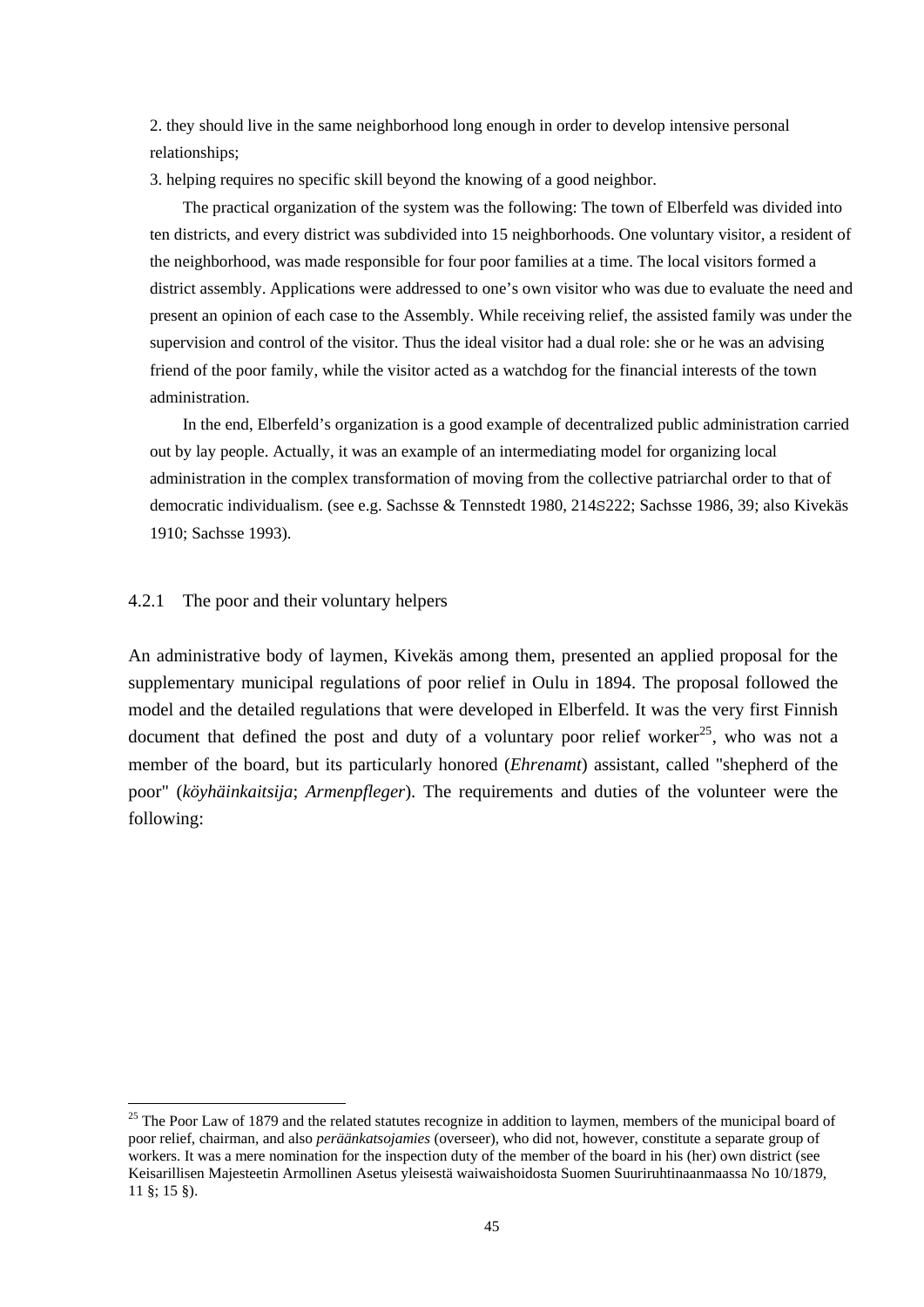2. they should live in the same neighborhood long enough in order to develop intensive personal relationships;

3. helping requires no specific skill beyond the knowing of a good neighbor.

 The practical organization of the system was the following: The town of Elberfeld was divided into ten districts, and every district was subdivided into 15 neighborhoods. One voluntary visitor, a resident of the neighborhood, was made responsible for four poor families at a time. The local visitors formed a district assembly. Applications were addressed to one's own visitor who was due to evaluate the need and present an opinion of each case to the Assembly. While receiving relief, the assisted family was under the supervision and control of the visitor. Thus the ideal visitor had a dual role: she or he was an advising friend of the poor family, while the visitor acted as a watchdog for the financial interests of the town administration.

 In the end, Elberfeld's organization is a good example of decentralized public administration carried out by lay people. Actually, it was an example of an intermediating model for organizing local administration in the complex transformation of moving from the collective patriarchal order to that of democratic individualism. (see e.g. Sachsse & Tennstedt 1980, 214S222; Sachsse 1986, 39; also Kivekäs 1910; Sachsse 1993).

## 4.2.1 The poor and their voluntary helpers

-

An administrative body of laymen, Kivekäs among them, presented an applied proposal for the supplementary municipal regulations of poor relief in Oulu in 1894. The proposal followed the model and the detailed regulations that were developed in Elberfeld. It was the very first Finnish document that defined the post and duty of a voluntary poor relief worker<sup>25</sup>, who was not a member of the board, but its particularly honored (*Ehrenamt*) assistant, called "shepherd of the poor" (*köyhäinkaitsija*; *Armenpfleger*). The requirements and duties of the volunteer were the following:

 $25$  The Poor Law of 1879 and the related statutes recognize in addition to laymen, members of the municipal board of poor relief, chairman, and also *peräänkatsojamies* (overseer), who did not, however, constitute a separate group of workers. It was a mere nomination for the inspection duty of the member of the board in his (her) own district (see Keisarillisen Majesteetin Armollinen Asetus yleisestä waiwaishoidosta Suomen Suuriruhtinaanmaassa No 10/1879, 11 §; 15 §).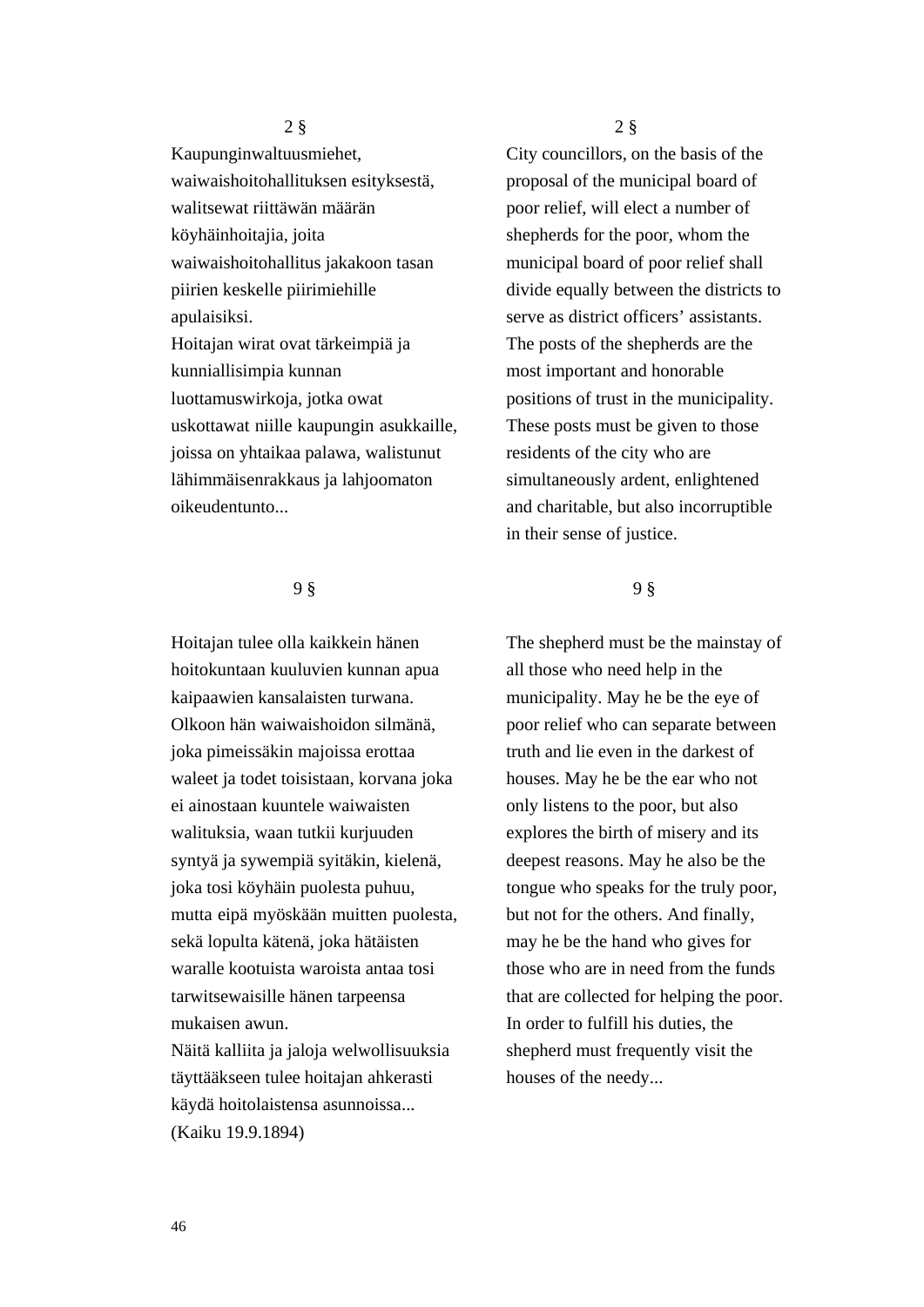2 §

Kaupunginwaltuusmiehet, waiwaishoitohallituksen esityksestä, walitsewat riittäwän määrän köyhäinhoitajia, joita waiwaishoitohallitus jakakoon tasan piirien keskelle piirimiehille apulaisiksi. Hoitajan wirat ovat tärkeimpiä ja kunniallisimpia kunnan luottamuswirkoja, jotka owat uskottawat niille kaupungin asukkaille, joissa on yhtaikaa palawa, walistunut lähimmäisenrakkaus ja lahjoomaton oikeudentunto...

## 9 §

Hoitajan tulee olla kaikkein hänen hoitokuntaan kuuluvien kunnan apua kaipaawien kansalaisten turwana. Olkoon hän waiwaishoidon silmänä, joka pimeissäkin majoissa erottaa waleet ja todet toisistaan, korvana joka ei ainostaan kuuntele waiwaisten walituksia, waan tutkii kurjuuden syntyä ja sywempiä syitäkin, kielenä, joka tosi köyhäin puolesta puhuu, mutta eipä myöskään muitten puolesta, sekä lopulta kätenä, joka hätäisten waralle kootuista waroista antaa tosi tarwitsewaisille hänen tarpeensa mukaisen awun.

Näitä kalliita ja jaloja welwollisuuksia täyttääkseen tulee hoitajan ahkerasti käydä hoitolaistensa asunnoissa... (Kaiku 19.9.1894)

2 §

City councillors, on the basis of the proposal of the municipal board of poor relief, will elect a number of shepherds for the poor, whom the municipal board of poor relief shall divide equally between the districts to serve as district officers' assistants. The posts of the shepherds are the most important and honorable positions of trust in the municipality. These posts must be given to those residents of the city who are simultaneously ardent, enlightened and charitable, but also incorruptible in their sense of justice.

## 9 §

The shepherd must be the mainstay of all those who need help in the municipality. May he be the eye of poor relief who can separate between truth and lie even in the darkest of houses. May he be the ear who not only listens to the poor, but also explores the birth of misery and its deepest reasons. May he also be the tongue who speaks for the truly poor, but not for the others. And finally, may he be the hand who gives for those who are in need from the funds that are collected for helping the poor. In order to fulfill his duties, the shepherd must frequently visit the houses of the needy...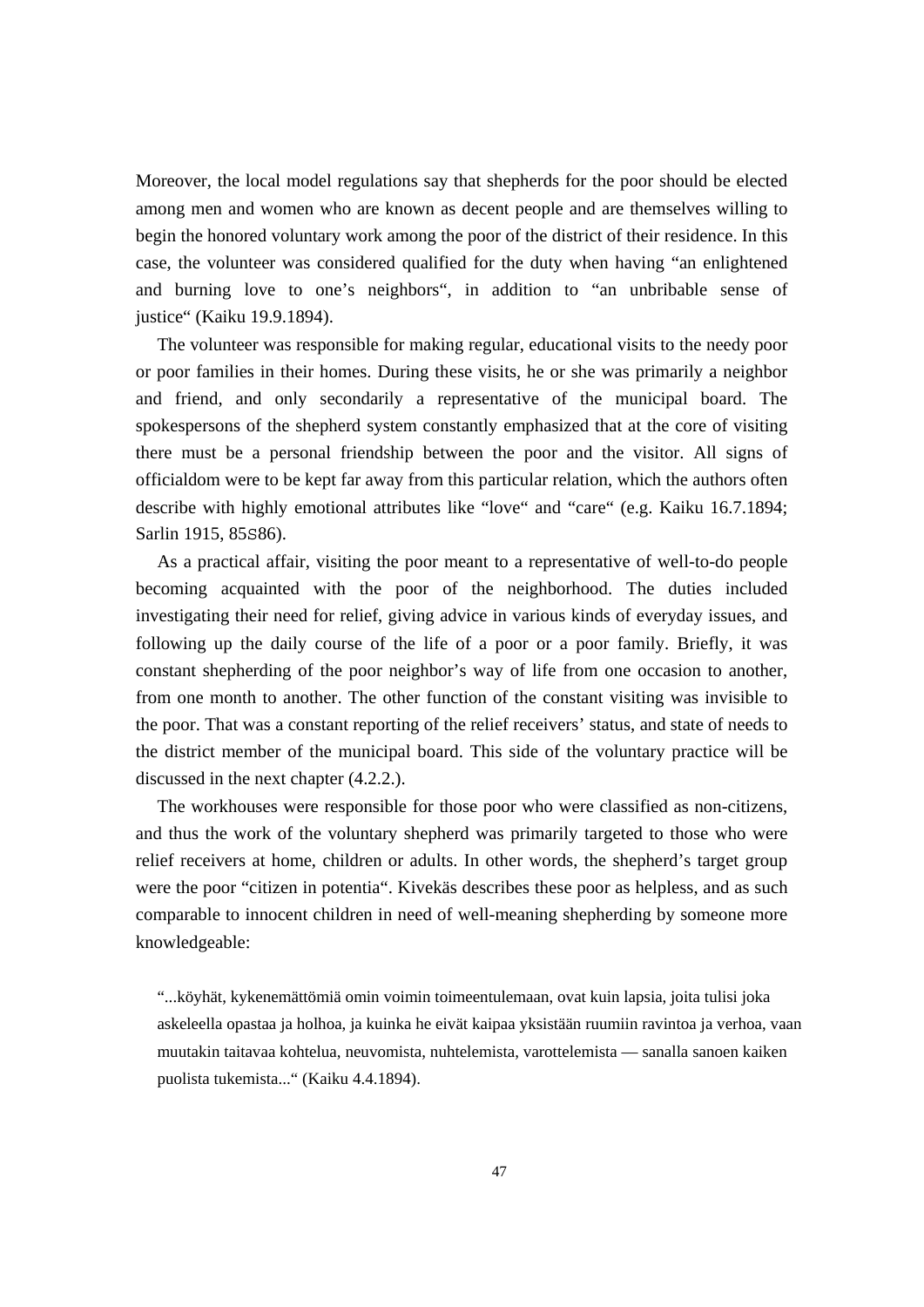Moreover, the local model regulations say that shepherds for the poor should be elected among men and women who are known as decent people and are themselves willing to begin the honored voluntary work among the poor of the district of their residence. In this case, the volunteer was considered qualified for the duty when having "an enlightened and burning love to one's neighbors", in addition to "an unbribable sense of justice" (Kaiku 19.9.1894).

 The volunteer was responsible for making regular, educational visits to the needy poor or poor families in their homes. During these visits, he or she was primarily a neighbor and friend, and only secondarily a representative of the municipal board. The spokespersons of the shepherd system constantly emphasized that at the core of visiting there must be a personal friendship between the poor and the visitor. All signs of officialdom were to be kept far away from this particular relation, which the authors often describe with highly emotional attributes like "love" and "care" (e.g. Kaiku 16.7.1894; Sarlin 1915, 85S86).

 As a practical affair, visiting the poor meant to a representative of well-to-do people becoming acquainted with the poor of the neighborhood. The duties included investigating their need for relief, giving advice in various kinds of everyday issues, and following up the daily course of the life of a poor or a poor family. Briefly, it was constant shepherding of the poor neighbor's way of life from one occasion to another, from one month to another. The other function of the constant visiting was invisible to the poor. That was a constant reporting of the relief receivers' status, and state of needs to the district member of the municipal board. This side of the voluntary practice will be discussed in the next chapter (4.2.2.).

 The workhouses were responsible for those poor who were classified as non-citizens, and thus the work of the voluntary shepherd was primarily targeted to those who were relief receivers at home, children or adults. In other words, the shepherd's target group were the poor "citizen in potentia". Kivekäs describes these poor as helpless, and as such comparable to innocent children in need of well-meaning shepherding by someone more knowledgeable:

"...köyhät, kykenemättömiä omin voimin toimeentulemaan, ovat kuin lapsia, joita tulisi joka askeleella opastaa ja holhoa, ja kuinka he eivät kaipaa yksistään ruumiin ravintoa ja verhoa, vaan muutakin taitavaa kohtelua, neuvomista, nuhtelemista, varottelemista — sanalla sanoen kaiken puolista tukemista..." (Kaiku 4.4.1894).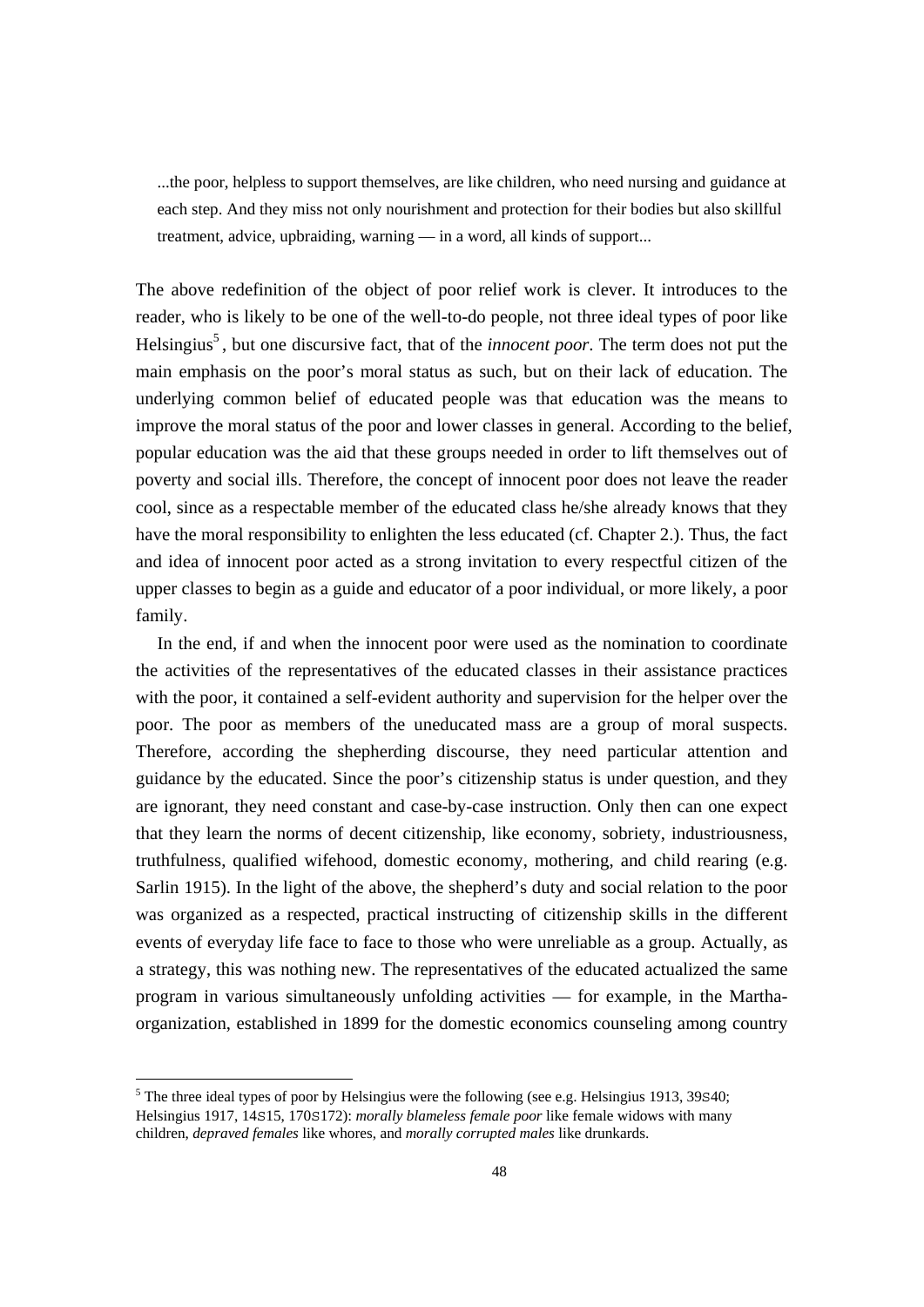...the poor, helpless to support themselves, are like children, who need nursing and guidance at each step. And they miss not only nourishment and protection for their bodies but also skillful treatment, advice, upbraiding, warning — in a word, all kinds of support...

The above redefinition of the object of poor relief work is clever. It introduces to the reader, who is likely to be one of the well-to-do people, not three ideal types of poor like Helsingius<sup>5</sup>, but one discursive fact, that of the *innocent poor*. The term does not put the main emphasis on the poor's moral status as such, but on their lack of education. The underlying common belief of educated people was that education was the means to improve the moral status of the poor and lower classes in general. According to the belief, popular education was the aid that these groups needed in order to lift themselves out of poverty and social ills. Therefore, the concept of innocent poor does not leave the reader cool, since as a respectable member of the educated class he/she already knows that they have the moral responsibility to enlighten the less educated (cf. Chapter 2.). Thus, the fact and idea of innocent poor acted as a strong invitation to every respectful citizen of the upper classes to begin as a guide and educator of a poor individual, or more likely, a poor family.

 In the end, if and when the innocent poor were used as the nomination to coordinate the activities of the representatives of the educated classes in their assistance practices with the poor, it contained a self-evident authority and supervision for the helper over the poor. The poor as members of the uneducated mass are a group of moral suspects. Therefore, according the shepherding discourse, they need particular attention and guidance by the educated. Since the poor's citizenship status is under question, and they are ignorant, they need constant and case-by-case instruction. Only then can one expect that they learn the norms of decent citizenship, like economy, sobriety, industriousness, truthfulness, qualified wifehood, domestic economy, mothering, and child rearing (e.g. Sarlin 1915). In the light of the above, the shepherd's duty and social relation to the poor was organized as a respected, practical instructing of citizenship skills in the different events of everyday life face to face to those who were unreliable as a group. Actually, as a strategy, this was nothing new. The representatives of the educated actualized the same program in various simultaneously unfolding activities — for example, in the Marthaorganization, established in 1899 for the domestic economics counseling among country

 $\overline{a}$ 

 $<sup>5</sup>$  The three ideal types of poor by Helsingius were the following (see e.g. Helsingius 1913, 39 $\pm$ 40;</sup> Helsingius 1917, 14S15, 170S172): *morally blameless female poor* like female widows with many children, *depraved females* like whores, and *morally corrupted males* like drunkards.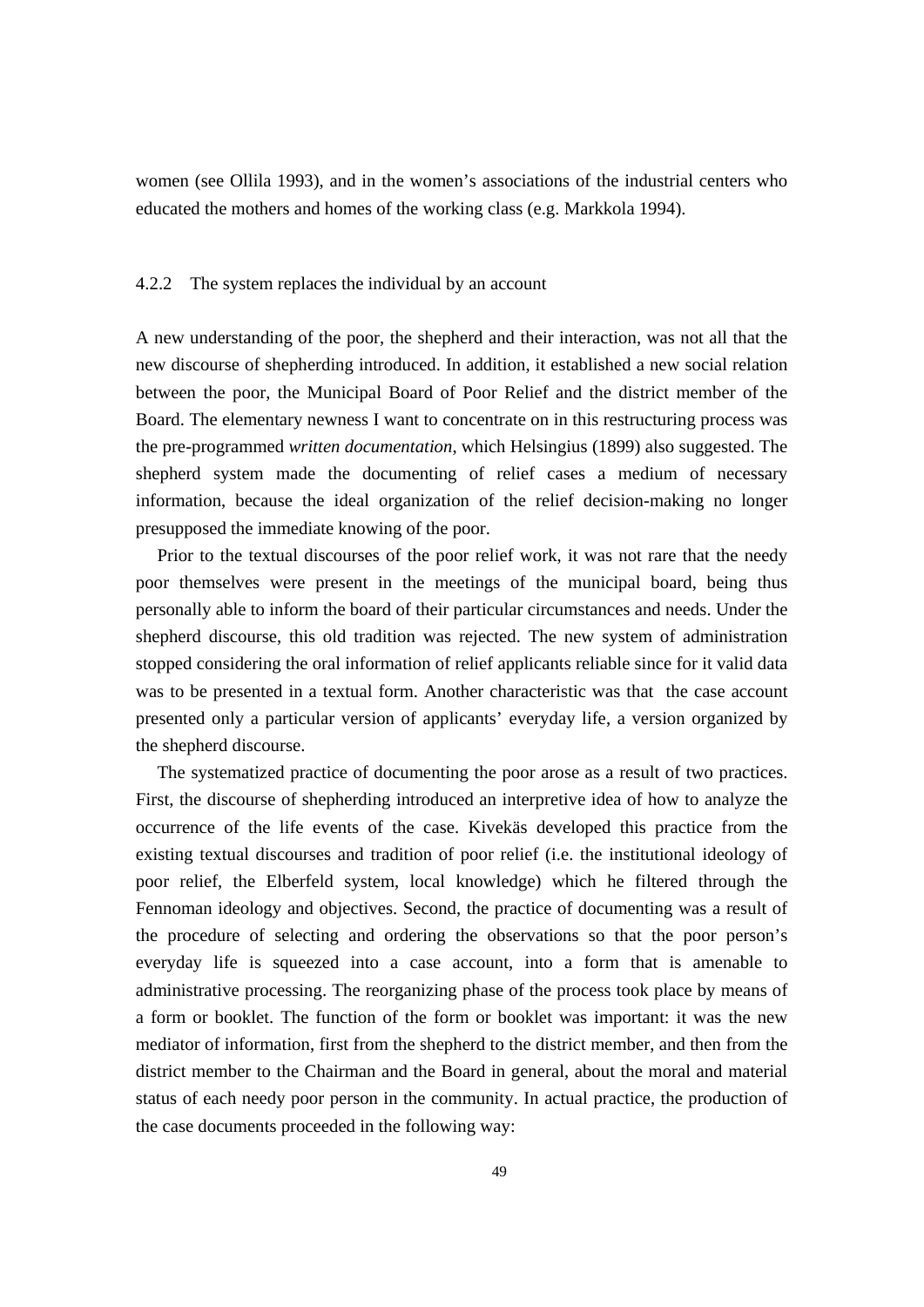women (see Ollila 1993), and in the women's associations of the industrial centers who educated the mothers and homes of the working class (e.g. Markkola 1994).

## 4.2.2 The system replaces the individual by an account

A new understanding of the poor, the shepherd and their interaction, was not all that the new discourse of shepherding introduced. In addition, it established a new social relation between the poor, the Municipal Board of Poor Relief and the district member of the Board. The elementary newness I want to concentrate on in this restructuring process was the pre-programmed *written documentation*, which Helsingius (1899) also suggested. The shepherd system made the documenting of relief cases a medium of necessary information, because the ideal organization of the relief decision-making no longer presupposed the immediate knowing of the poor.

 Prior to the textual discourses of the poor relief work, it was not rare that the needy poor themselves were present in the meetings of the municipal board, being thus personally able to inform the board of their particular circumstances and needs. Under the shepherd discourse, this old tradition was rejected. The new system of administration stopped considering the oral information of relief applicants reliable since for it valid data was to be presented in a textual form. Another characteristic was that the case account presented only a particular version of applicants' everyday life, a version organized by the shepherd discourse.

 The systematized practice of documenting the poor arose as a result of two practices. First, the discourse of shepherding introduced an interpretive idea of how to analyze the occurrence of the life events of the case. Kivekäs developed this practice from the existing textual discourses and tradition of poor relief (i.e. the institutional ideology of poor relief, the Elberfeld system, local knowledge) which he filtered through the Fennoman ideology and objectives. Second, the practice of documenting was a result of the procedure of selecting and ordering the observations so that the poor person's everyday life is squeezed into a case account, into a form that is amenable to administrative processing. The reorganizing phase of the process took place by means of a form or booklet. The function of the form or booklet was important: it was the new mediator of information, first from the shepherd to the district member, and then from the district member to the Chairman and the Board in general, about the moral and material status of each needy poor person in the community. In actual practice, the production of the case documents proceeded in the following way: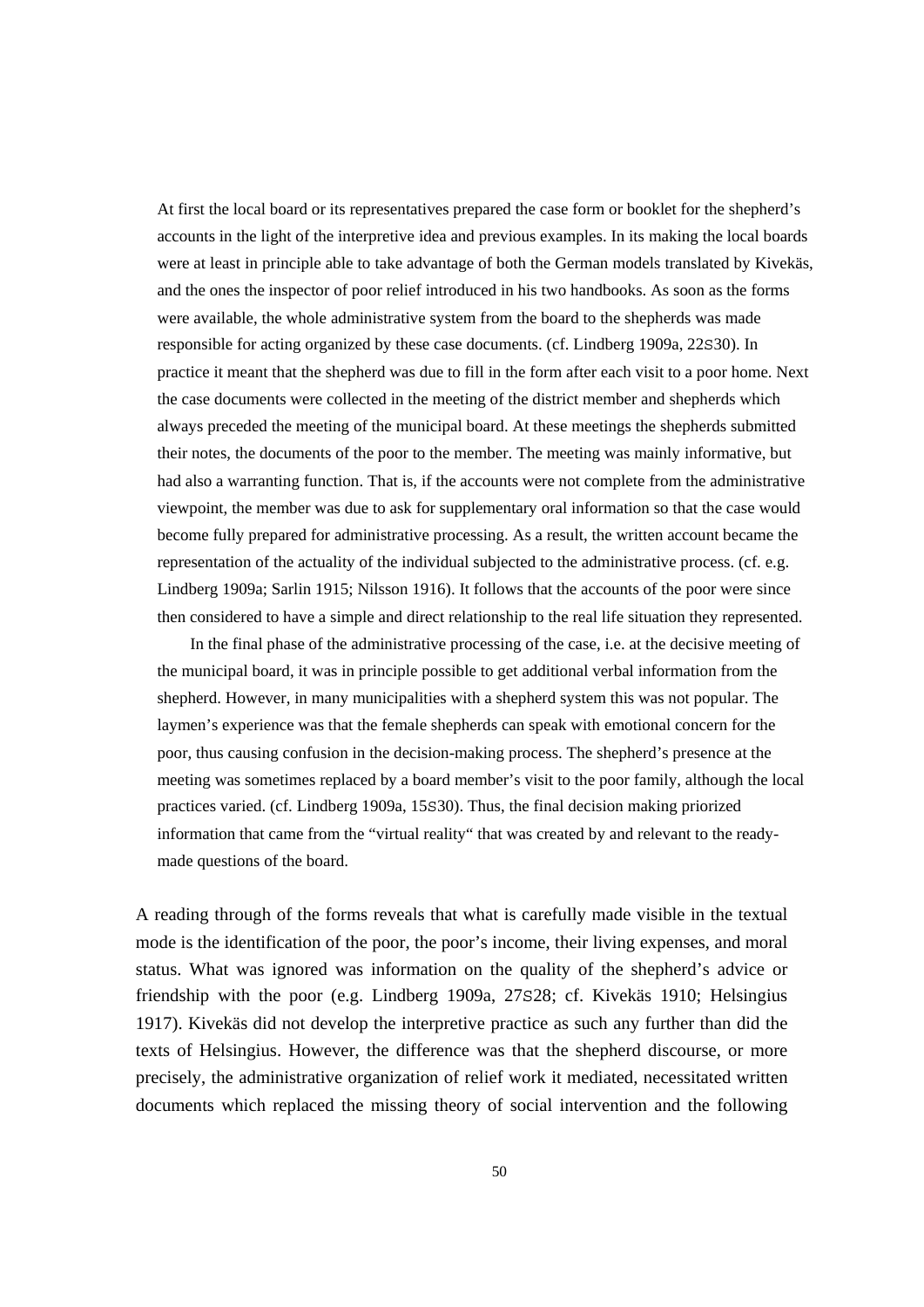At first the local board or its representatives prepared the case form or booklet for the shepherd's accounts in the light of the interpretive idea and previous examples. In its making the local boards were at least in principle able to take advantage of both the German models translated by Kivekäs, and the ones the inspector of poor relief introduced in his two handbooks. As soon as the forms were available, the whole administrative system from the board to the shepherds was made responsible for acting organized by these case documents. (cf. Lindberg 1909a, 22S30). In practice it meant that the shepherd was due to fill in the form after each visit to a poor home. Next the case documents were collected in the meeting of the district member and shepherds which always preceded the meeting of the municipal board. At these meetings the shepherds submitted their notes, the documents of the poor to the member. The meeting was mainly informative, but had also a warranting function. That is, if the accounts were not complete from the administrative viewpoint, the member was due to ask for supplementary oral information so that the case would become fully prepared for administrative processing. As a result, the written account became the representation of the actuality of the individual subjected to the administrative process. (cf. e.g. Lindberg 1909a; Sarlin 1915; Nilsson 1916). It follows that the accounts of the poor were since then considered to have a simple and direct relationship to the real life situation they represented.

 In the final phase of the administrative processing of the case, i.e. at the decisive meeting of the municipal board, it was in principle possible to get additional verbal information from the shepherd. However, in many municipalities with a shepherd system this was not popular. The laymen's experience was that the female shepherds can speak with emotional concern for the poor, thus causing confusion in the decision-making process. The shepherd's presence at the meeting was sometimes replaced by a board member's visit to the poor family, although the local practices varied. (cf. Lindberg 1909a, 15S30). Thus, the final decision making priorized information that came from the "virtual reality" that was created by and relevant to the readymade questions of the board.

A reading through of the forms reveals that what is carefully made visible in the textual mode is the identification of the poor, the poor's income, their living expenses, and moral status. What was ignored was information on the quality of the shepherd's advice or friendship with the poor (e.g. Lindberg 1909a, 27S28; cf. Kivekäs 1910; Helsingius 1917). Kivekäs did not develop the interpretive practice as such any further than did the texts of Helsingius. However, the difference was that the shepherd discourse, or more precisely, the administrative organization of relief work it mediated, necessitated written documents which replaced the missing theory of social intervention and the following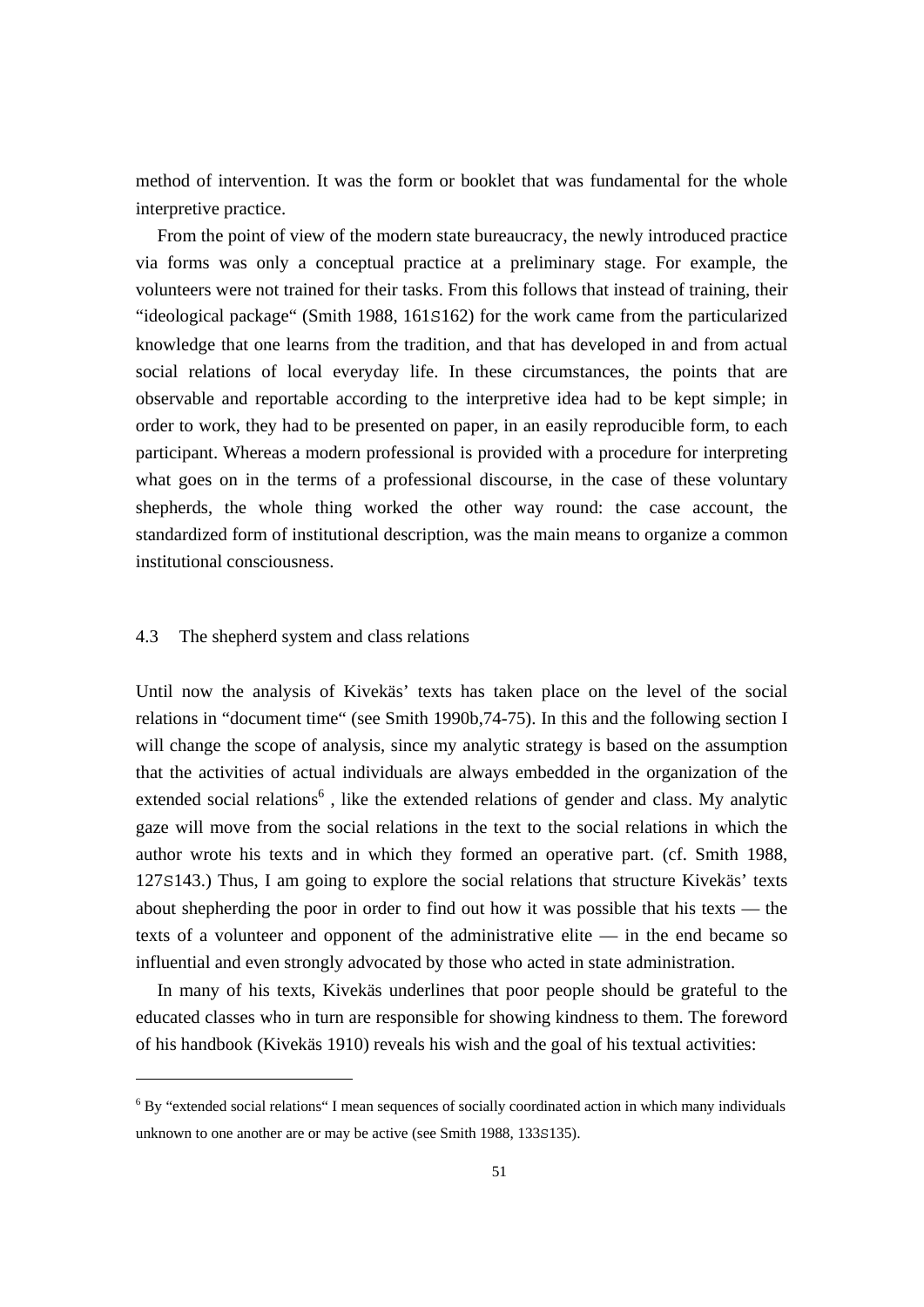method of intervention. It was the form or booklet that was fundamental for the whole interpretive practice.

 From the point of view of the modern state bureaucracy, the newly introduced practice via forms was only a conceptual practice at a preliminary stage. For example, the volunteers were not trained for their tasks. From this follows that instead of training, their "ideological package" (Smith 1988, 161S162) for the work came from the particularized knowledge that one learns from the tradition, and that has developed in and from actual social relations of local everyday life. In these circumstances, the points that are observable and reportable according to the interpretive idea had to be kept simple; in order to work, they had to be presented on paper, in an easily reproducible form, to each participant. Whereas a modern professional is provided with a procedure for interpreting what goes on in the terms of a professional discourse, in the case of these voluntary shepherds, the whole thing worked the other way round: the case account, the standardized form of institutional description, was the main means to organize a common institutional consciousness.

## 4.3 The shepherd system and class relations

Until now the analysis of Kivekäs' texts has taken place on the level of the social relations in "document time" (see Smith 1990b,74-75). In this and the following section I will change the scope of analysis, since my analytic strategy is based on the assumption that the activities of actual individuals are always embedded in the organization of the extended social relations<sup>6</sup>, like the extended relations of gender and class. My analytic gaze will move from the social relations in the text to the social relations in which the author wrote his texts and in which they formed an operative part. (cf. Smith 1988, 127S143.) Thus, I am going to explore the social relations that structure Kivekäs' texts about shepherding the poor in order to find out how it was possible that his texts — the texts of a volunteer and opponent of the administrative elite — in the end became so influential and even strongly advocated by those who acted in state administration.

 In many of his texts, Kivekäs underlines that poor people should be grateful to the educated classes who in turn are responsible for showing kindness to them. The foreword of his handbook (Kivekäs 1910) reveals his wish and the goal of his textual activities:

<sup>&</sup>lt;sup>6</sup> By "extended social relations" I mean sequences of socially coordinated action in which many individuals unknown to one another are or may be active (see Smith 1988, 133s135).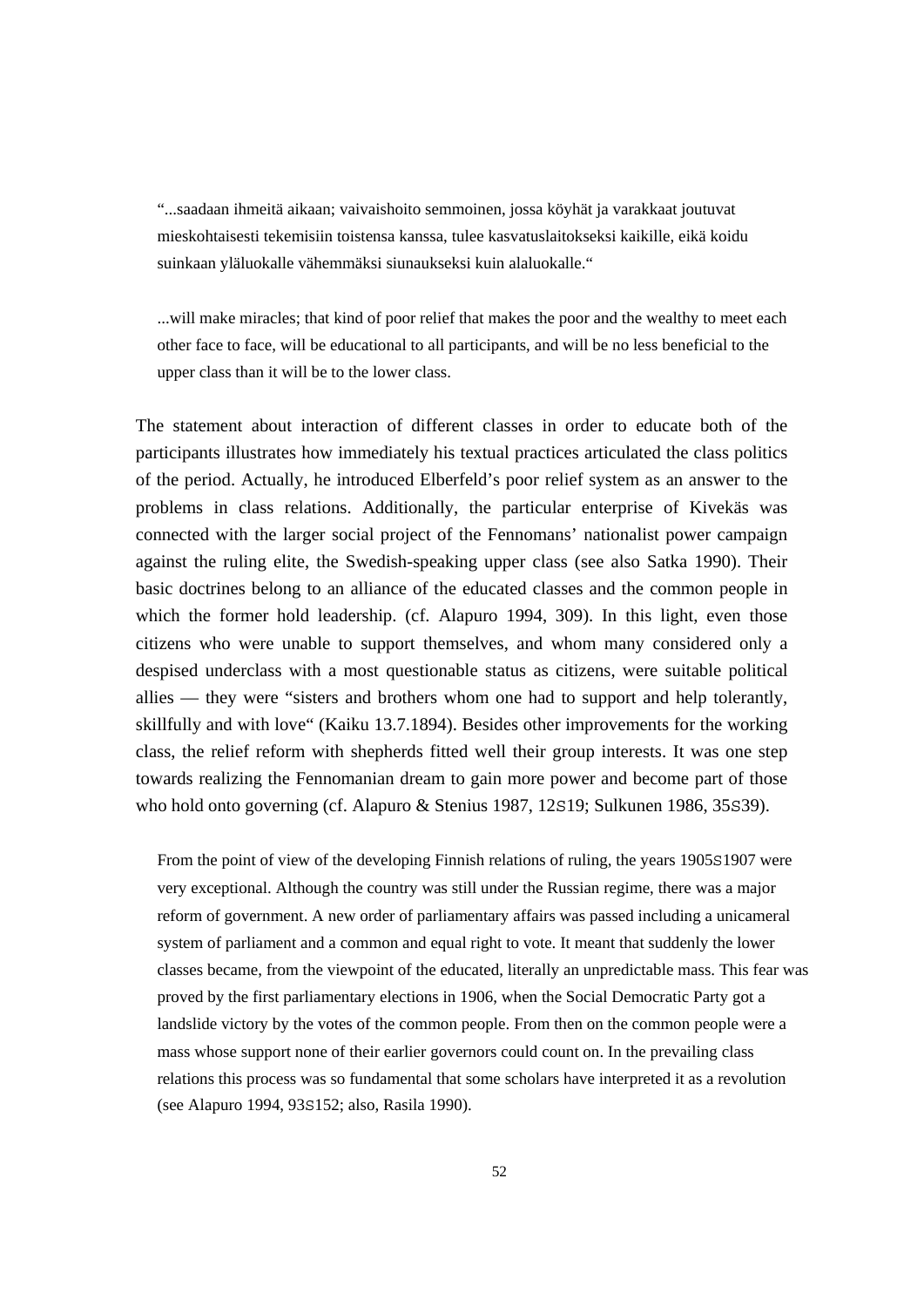"...saadaan ihmeitä aikaan; vaivaishoito semmoinen, jossa köyhät ja varakkaat joutuvat mieskohtaisesti tekemisiin toistensa kanssa, tulee kasvatuslaitokseksi kaikille, eikä koidu suinkaan yläluokalle vähemmäksi siunaukseksi kuin alaluokalle."

...will make miracles; that kind of poor relief that makes the poor and the wealthy to meet each other face to face, will be educational to all participants, and will be no less beneficial to the upper class than it will be to the lower class.

The statement about interaction of different classes in order to educate both of the participants illustrates how immediately his textual practices articulated the class politics of the period. Actually, he introduced Elberfeld's poor relief system as an answer to the problems in class relations. Additionally, the particular enterprise of Kivekäs was connected with the larger social project of the Fennomans' nationalist power campaign against the ruling elite, the Swedish-speaking upper class (see also Satka 1990). Their basic doctrines belong to an alliance of the educated classes and the common people in which the former hold leadership. (cf. Alapuro 1994, 309). In this light, even those citizens who were unable to support themselves, and whom many considered only a despised underclass with a most questionable status as citizens, were suitable political allies — they were "sisters and brothers whom one had to support and help tolerantly, skillfully and with love" (Kaiku 13.7.1894). Besides other improvements for the working class, the relief reform with shepherds fitted well their group interests. It was one step towards realizing the Fennomanian dream to gain more power and become part of those who hold onto governing (cf. Alapuro & Stenius 1987, 12S19; Sulkunen 1986, 35S39).

From the point of view of the developing Finnish relations of ruling, the years 1905S1907 were very exceptional. Although the country was still under the Russian regime, there was a major reform of government. A new order of parliamentary affairs was passed including a unicameral system of parliament and a common and equal right to vote. It meant that suddenly the lower classes became, from the viewpoint of the educated, literally an unpredictable mass. This fear was proved by the first parliamentary elections in 1906, when the Social Democratic Party got a landslide victory by the votes of the common people. From then on the common people were a mass whose support none of their earlier governors could count on. In the prevailing class relations this process was so fundamental that some scholars have interpreted it as a revolution (see Alapuro 1994, 93S152; also, Rasila 1990).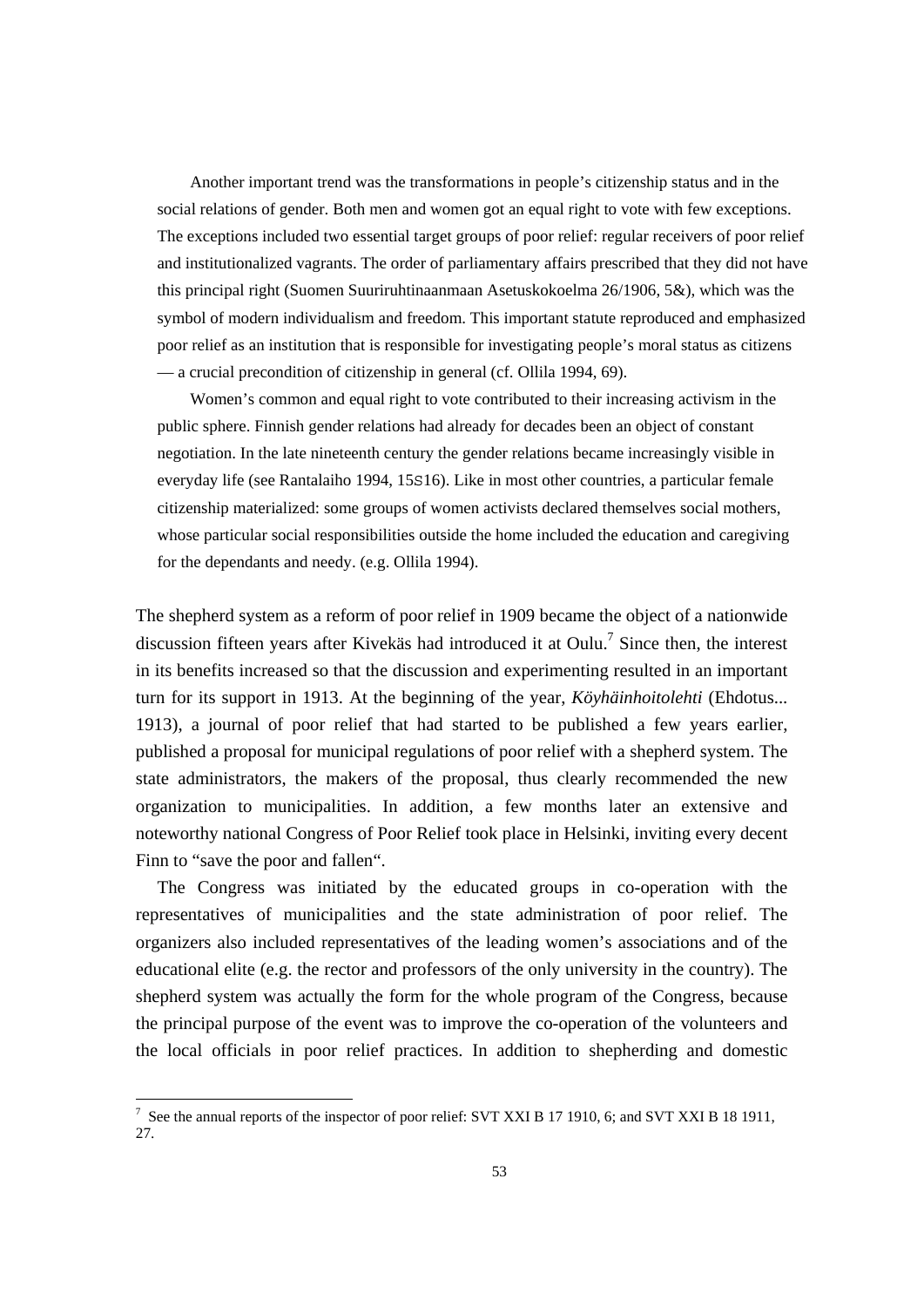Another important trend was the transformations in people's citizenship status and in the social relations of gender. Both men and women got an equal right to vote with few exceptions. The exceptions included two essential target groups of poor relief: regular receivers of poor relief and institutionalized vagrants. The order of parliamentary affairs prescribed that they did not have this principal right (Suomen Suuriruhtinaanmaan Asetuskokoelma 26/1906, 5&), which was the symbol of modern individualism and freedom. This important statute reproduced and emphasized poor relief as an institution that is responsible for investigating people's moral status as citizens — a crucial precondition of citizenship in general (cf. Ollila 1994, 69).

 Women's common and equal right to vote contributed to their increasing activism in the public sphere. Finnish gender relations had already for decades been an object of constant negotiation. In the late nineteenth century the gender relations became increasingly visible in everyday life (see Rantalaiho 1994, 15S16). Like in most other countries, a particular female citizenship materialized: some groups of women activists declared themselves social mothers, whose particular social responsibilities outside the home included the education and caregiving for the dependants and needy. (e.g. Ollila 1994).

The shepherd system as a reform of poor relief in 1909 became the object of a nationwide discussion fifteen years after Kivekäs had introduced it at Oulu.<sup>7</sup> Since then, the interest in its benefits increased so that the discussion and experimenting resulted in an important turn for its support in 1913. At the beginning of the year, *Köyhäinhoitolehti* (Ehdotus... 1913), a journal of poor relief that had started to be published a few years earlier, published a proposal for municipal regulations of poor relief with a shepherd system. The state administrators, the makers of the proposal, thus clearly recommended the new organization to municipalities. In addition, a few months later an extensive and noteworthy national Congress of Poor Relief took place in Helsinki, inviting every decent Finn to "save the poor and fallen".

 The Congress was initiated by the educated groups in co-operation with the representatives of municipalities and the state administration of poor relief. The organizers also included representatives of the leading women's associations and of the educational elite (e.g. the rector and professors of the only university in the country). The shepherd system was actually the form for the whole program of the Congress, because the principal purpose of the event was to improve the co-operation of the volunteers and the local officials in poor relief practices. In addition to shepherding and domestic

<sup>&</sup>lt;sup>7</sup> See the annual reports of the inspector of poor relief: SVT XXI B 17 1910, 6; and SVT XXI B 18 1911, 27.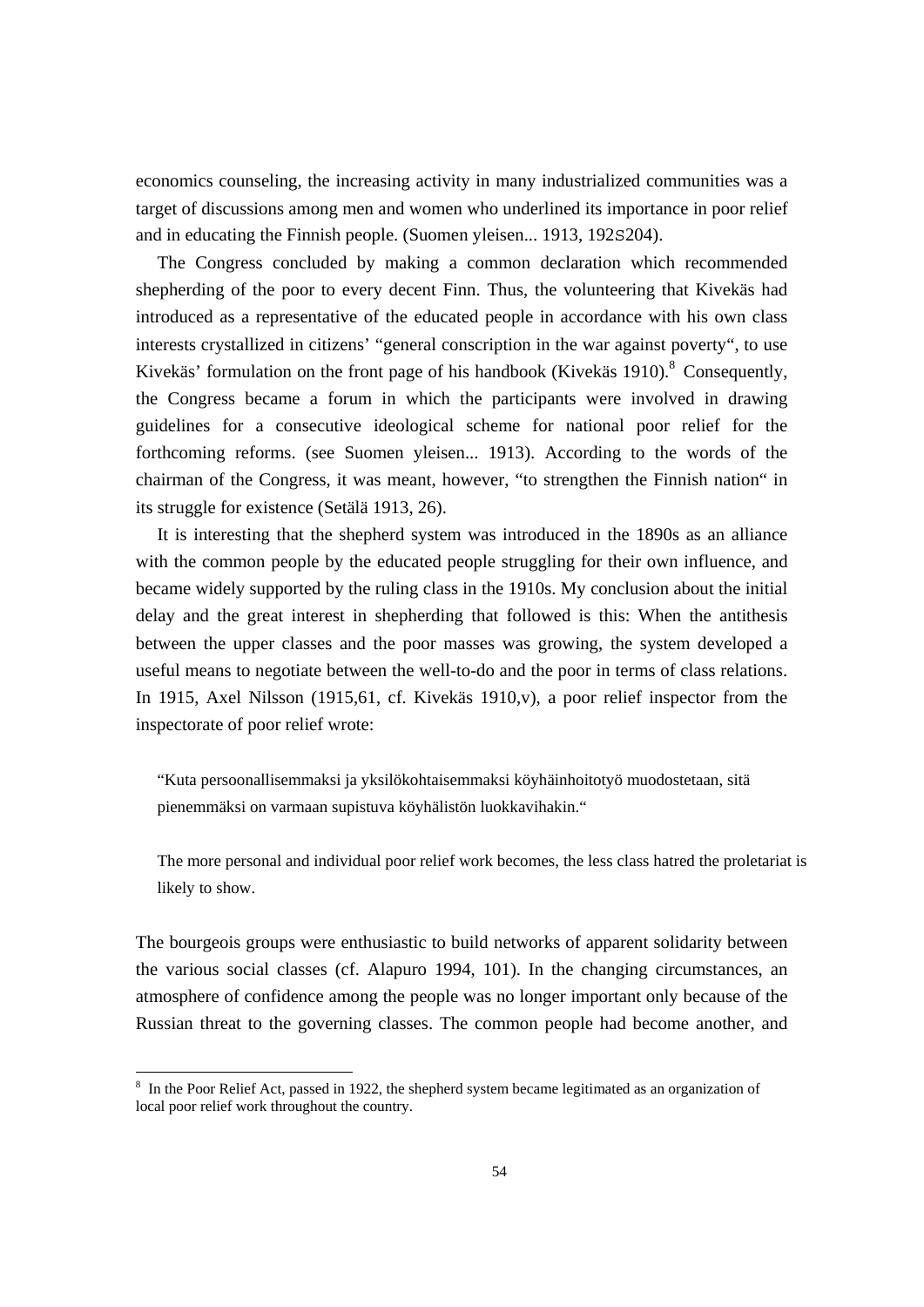economics counseling, the increasing activity in many industrialized communities was a target of discussions among men and women who underlined its importance in poor relief and in educating the Finnish people. (Suomen yleisen... 1913, 192S204).

 The Congress concluded by making a common declaration which recommended shepherding of the poor to every decent Finn. Thus, the volunteering that Kivekäs had introduced as a representative of the educated people in accordance with his own class interests crystallized in citizens' "general conscription in the war against poverty", to use Kivekäs' formulation on the front page of his handbook (Kivekäs 1910).<sup>8</sup> Consequently, the Congress became a forum in which the participants were involved in drawing guidelines for a consecutive ideological scheme for national poor relief for the forthcoming reforms. (see Suomen yleisen... 1913). According to the words of the chairman of the Congress, it was meant, however, "to strengthen the Finnish nation" in its struggle for existence (Setälä 1913, 26).

 It is interesting that the shepherd system was introduced in the 1890s as an alliance with the common people by the educated people struggling for their own influence, and became widely supported by the ruling class in the 1910s. My conclusion about the initial delay and the great interest in shepherding that followed is this: When the antithesis between the upper classes and the poor masses was growing, the system developed a useful means to negotiate between the well-to-do and the poor in terms of class relations. In 1915, Axel Nilsson (1915,61, cf. Kivekäs 1910,v), a poor relief inspector from the inspectorate of poor relief wrote:

"Kuta persoonallisemmaksi ja yksilökohtaisemmaksi köyhäinhoitotyö muodostetaan, sitä pienemmäksi on varmaan supistuva köyhälistön luokkavihakin."

The more personal and individual poor relief work becomes, the less class hatred the proletariat is likely to show.

The bourgeois groups were enthusiastic to build networks of apparent solidarity between the various social classes (cf. Alapuro 1994, 101). In the changing circumstances, an atmosphere of confidence among the people was no longer important only because of the Russian threat to the governing classes. The common people had become another, and

<sup>&</sup>lt;sup>8</sup> In the Poor Relief Act, passed in 1922, the shepherd system became legitimated as an organization of local poor relief work throughout the country.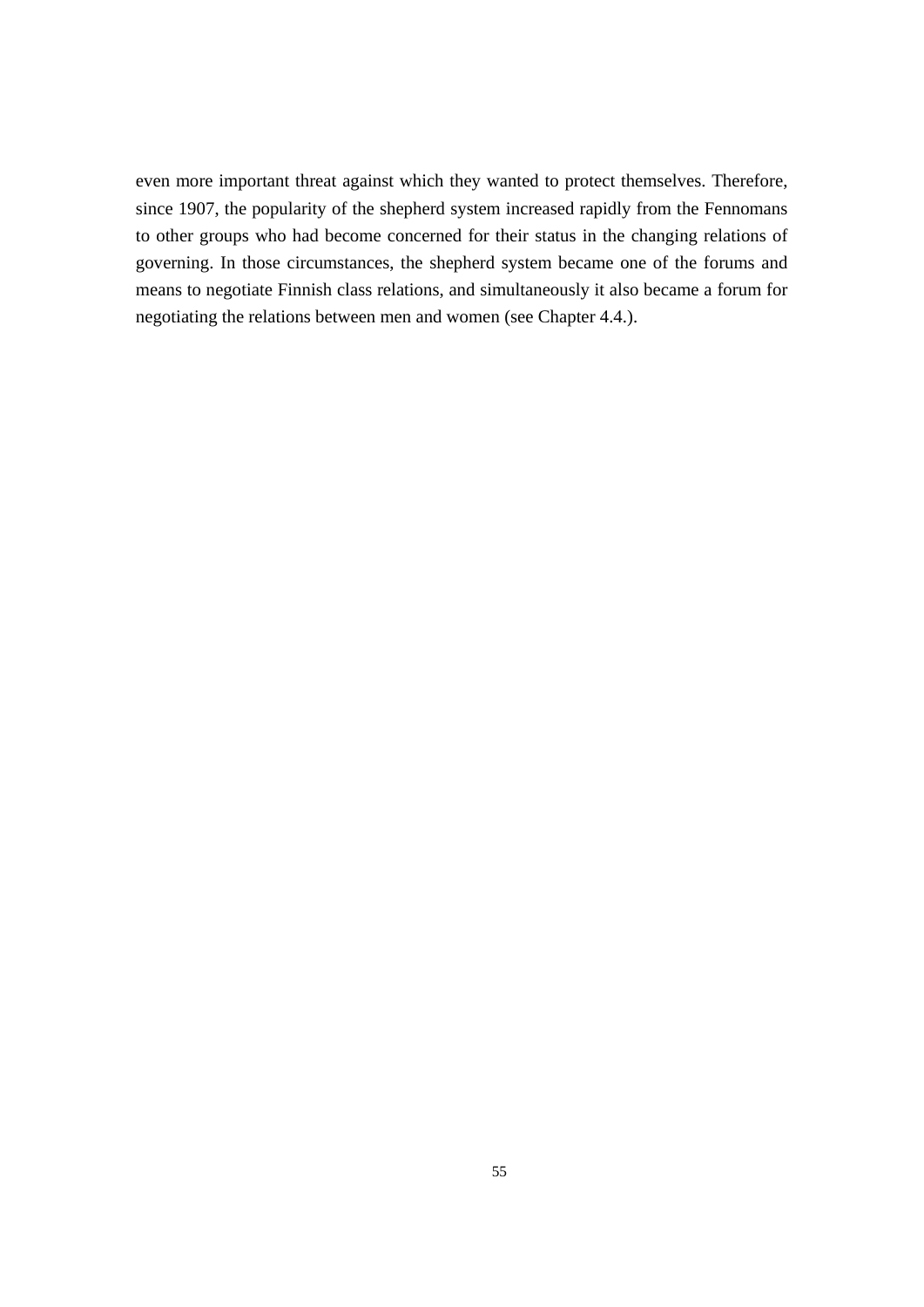even more important threat against which they wanted to protect themselves. Therefore, since 1907, the popularity of the shepherd system increased rapidly from the Fennomans to other groups who had become concerned for their status in the changing relations of governing. In those circumstances, the shepherd system became one of the forums and means to negotiate Finnish class relations, and simultaneously it also became a forum for negotiating the relations between men and women (see Chapter 4.4.).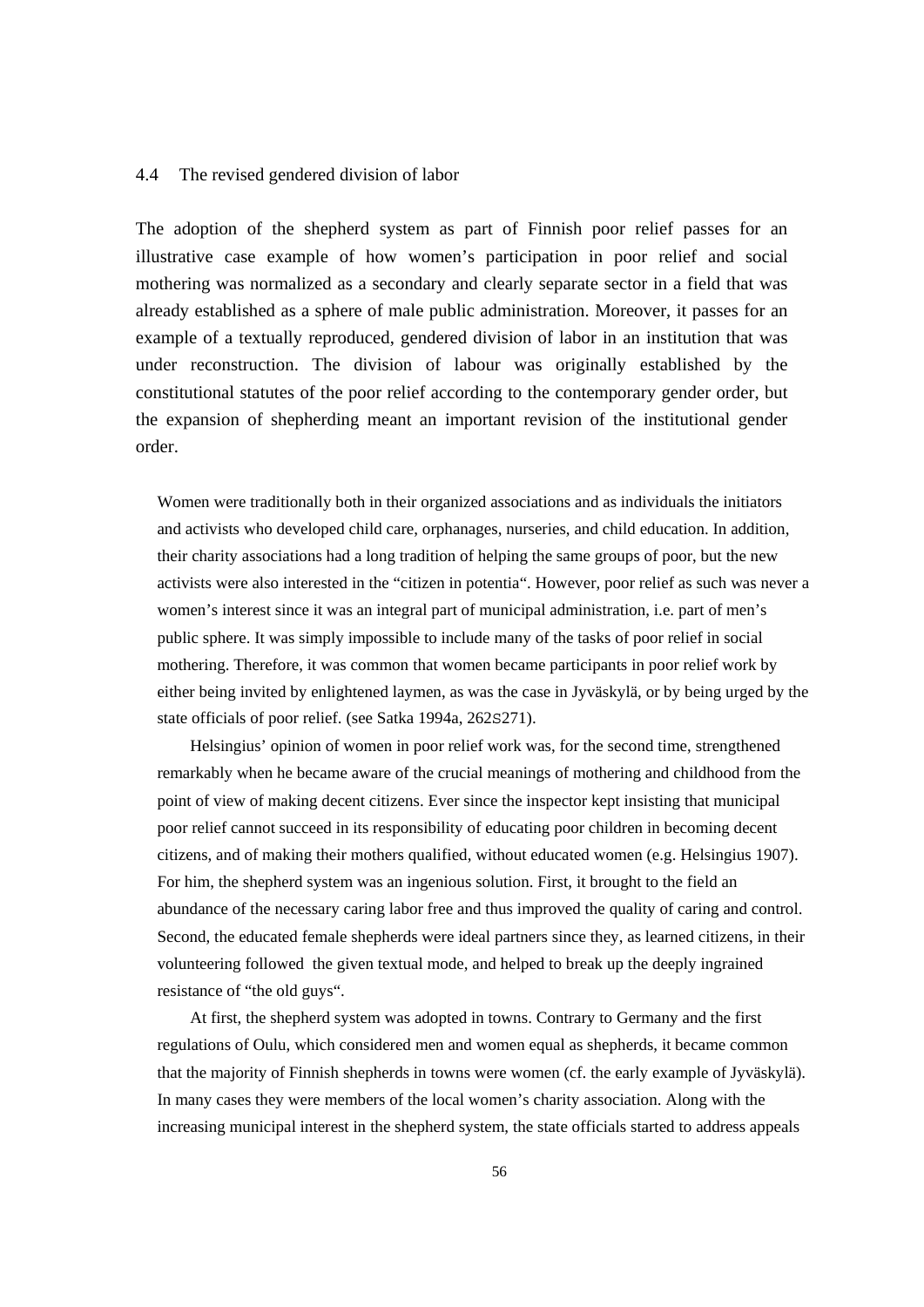#### 4.4 The revised gendered division of labor

The adoption of the shepherd system as part of Finnish poor relief passes for an illustrative case example of how women's participation in poor relief and social mothering was normalized as a secondary and clearly separate sector in a field that was already established as a sphere of male public administration. Moreover, it passes for an example of a textually reproduced, gendered division of labor in an institution that was under reconstruction. The division of labour was originally established by the constitutional statutes of the poor relief according to the contemporary gender order, but the expansion of shepherding meant an important revision of the institutional gender order.

Women were traditionally both in their organized associations and as individuals the initiators and activists who developed child care, orphanages, nurseries, and child education. In addition, their charity associations had a long tradition of helping the same groups of poor, but the new activists were also interested in the "citizen in potentia". However, poor relief as such was never a women's interest since it was an integral part of municipal administration, i.e. part of men's public sphere. It was simply impossible to include many of the tasks of poor relief in social mothering. Therefore, it was common that women became participants in poor relief work by either being invited by enlightened laymen, as was the case in Jyväskylä, or by being urged by the state officials of poor relief. (see Satka 1994a, 262S271).

 Helsingius' opinion of women in poor relief work was, for the second time, strengthened remarkably when he became aware of the crucial meanings of mothering and childhood from the point of view of making decent citizens. Ever since the inspector kept insisting that municipal poor relief cannot succeed in its responsibility of educating poor children in becoming decent citizens, and of making their mothers qualified, without educated women (e.g. Helsingius 1907). For him, the shepherd system was an ingenious solution. First, it brought to the field an abundance of the necessary caring labor free and thus improved the quality of caring and control. Second, the educated female shepherds were ideal partners since they, as learned citizens, in their volunteering followed the given textual mode, and helped to break up the deeply ingrained resistance of "the old guys".

 At first, the shepherd system was adopted in towns. Contrary to Germany and the first regulations of Oulu, which considered men and women equal as shepherds, it became common that the majority of Finnish shepherds in towns were women (cf. the early example of Jyväskylä). In many cases they were members of the local women's charity association. Along with the increasing municipal interest in the shepherd system, the state officials started to address appeals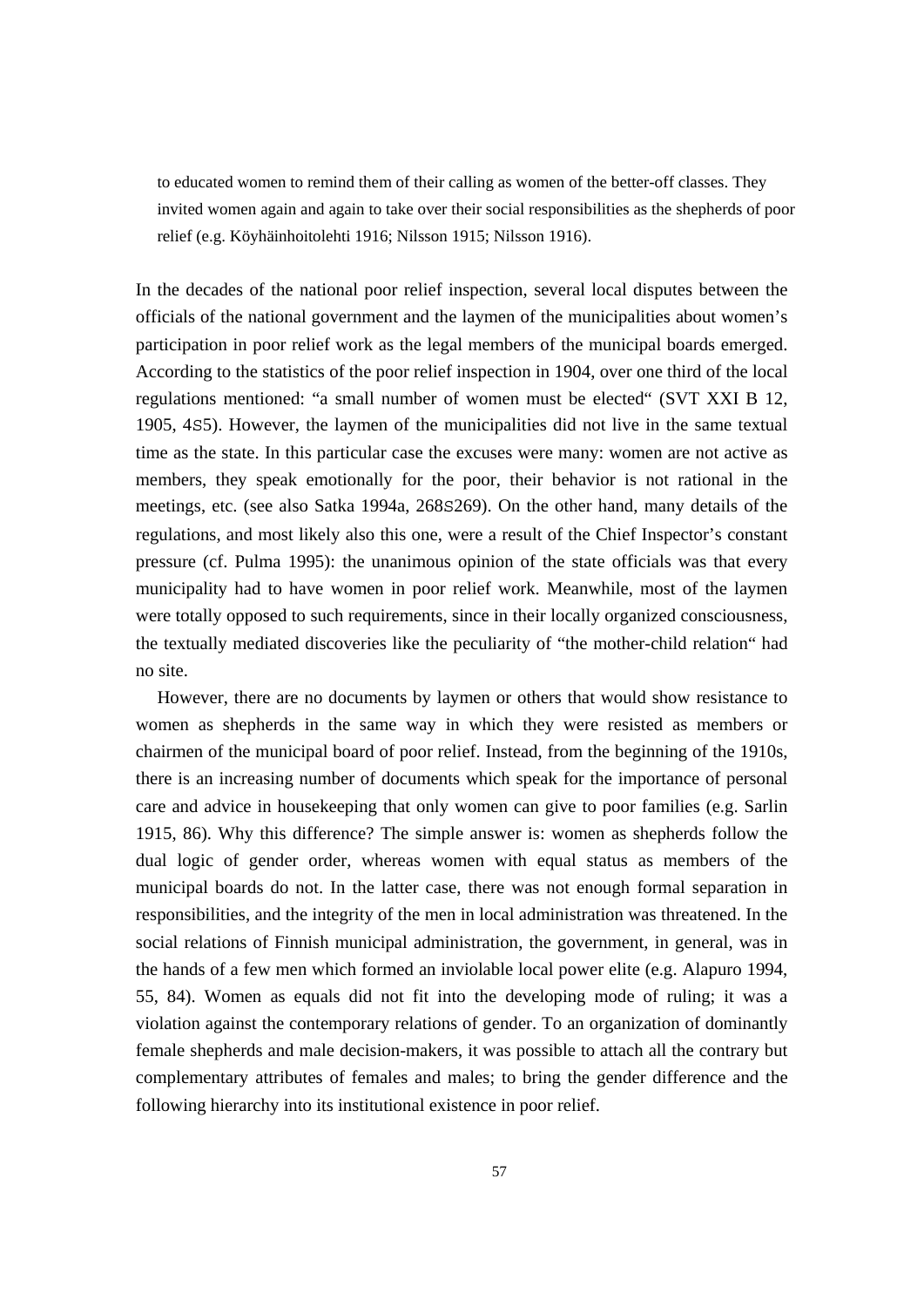to educated women to remind them of their calling as women of the better-off classes. They invited women again and again to take over their social responsibilities as the shepherds of poor relief (e.g. Köyhäinhoitolehti 1916; Nilsson 1915; Nilsson 1916).

In the decades of the national poor relief inspection, several local disputes between the officials of the national government and the laymen of the municipalities about women's participation in poor relief work as the legal members of the municipal boards emerged. According to the statistics of the poor relief inspection in 1904, over one third of the local regulations mentioned: "a small number of women must be elected" (SVT XXI B 12, 1905, 4S5). However, the laymen of the municipalities did not live in the same textual time as the state. In this particular case the excuses were many: women are not active as members, they speak emotionally for the poor, their behavior is not rational in the meetings, etc. (see also Satka 1994a, 268S269). On the other hand, many details of the regulations, and most likely also this one, were a result of the Chief Inspector's constant pressure (cf. Pulma 1995): the unanimous opinion of the state officials was that every municipality had to have women in poor relief work. Meanwhile, most of the laymen were totally opposed to such requirements, since in their locally organized consciousness, the textually mediated discoveries like the peculiarity of "the mother-child relation" had no site.

 However, there are no documents by laymen or others that would show resistance to women as shepherds in the same way in which they were resisted as members or chairmen of the municipal board of poor relief. Instead, from the beginning of the 1910s, there is an increasing number of documents which speak for the importance of personal care and advice in housekeeping that only women can give to poor families (e.g. Sarlin 1915, 86). Why this difference? The simple answer is: women as shepherds follow the dual logic of gender order, whereas women with equal status as members of the municipal boards do not. In the latter case, there was not enough formal separation in responsibilities, and the integrity of the men in local administration was threatened. In the social relations of Finnish municipal administration, the government, in general, was in the hands of a few men which formed an inviolable local power elite (e.g. Alapuro 1994, 55, 84). Women as equals did not fit into the developing mode of ruling; it was a violation against the contemporary relations of gender. To an organization of dominantly female shepherds and male decision-makers, it was possible to attach all the contrary but complementary attributes of females and males; to bring the gender difference and the following hierarchy into its institutional existence in poor relief.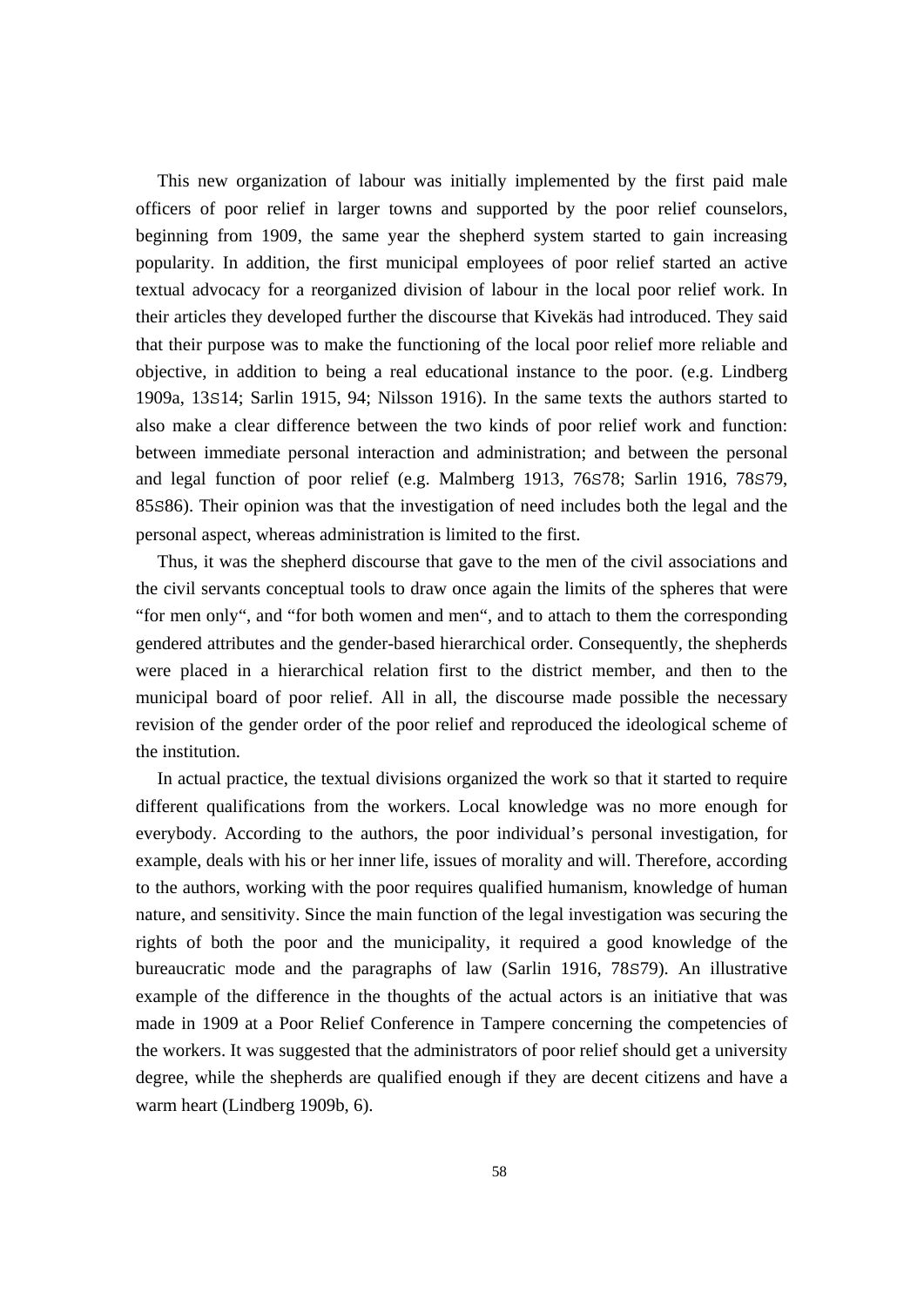This new organization of labour was initially implemented by the first paid male officers of poor relief in larger towns and supported by the poor relief counselors, beginning from 1909, the same year the shepherd system started to gain increasing popularity. In addition, the first municipal employees of poor relief started an active textual advocacy for a reorganized division of labour in the local poor relief work. In their articles they developed further the discourse that Kivekäs had introduced. They said that their purpose was to make the functioning of the local poor relief more reliable and objective, in addition to being a real educational instance to the poor. (e.g. Lindberg 1909a, 13S14; Sarlin 1915, 94; Nilsson 1916). In the same texts the authors started to also make a clear difference between the two kinds of poor relief work and function: between immediate personal interaction and administration; and between the personal and legal function of poor relief (e.g. Malmberg 1913, 76S78; Sarlin 1916, 78S79, 85S86). Their opinion was that the investigation of need includes both the legal and the personal aspect, whereas administration is limited to the first.

 Thus, it was the shepherd discourse that gave to the men of the civil associations and the civil servants conceptual tools to draw once again the limits of the spheres that were "for men only", and "for both women and men", and to attach to them the corresponding gendered attributes and the gender-based hierarchical order. Consequently, the shepherds were placed in a hierarchical relation first to the district member, and then to the municipal board of poor relief. All in all, the discourse made possible the necessary revision of the gender order of the poor relief and reproduced the ideological scheme of the institution.

 In actual practice, the textual divisions organized the work so that it started to require different qualifications from the workers. Local knowledge was no more enough for everybody. According to the authors, the poor individual's personal investigation, for example, deals with his or her inner life, issues of morality and will. Therefore, according to the authors, working with the poor requires qualified humanism, knowledge of human nature, and sensitivity. Since the main function of the legal investigation was securing the rights of both the poor and the municipality, it required a good knowledge of the bureaucratic mode and the paragraphs of law (Sarlin 1916, 78S79). An illustrative example of the difference in the thoughts of the actual actors is an initiative that was made in 1909 at a Poor Relief Conference in Tampere concerning the competencies of the workers. It was suggested that the administrators of poor relief should get a university degree, while the shepherds are qualified enough if they are decent citizens and have a warm heart (Lindberg 1909b, 6).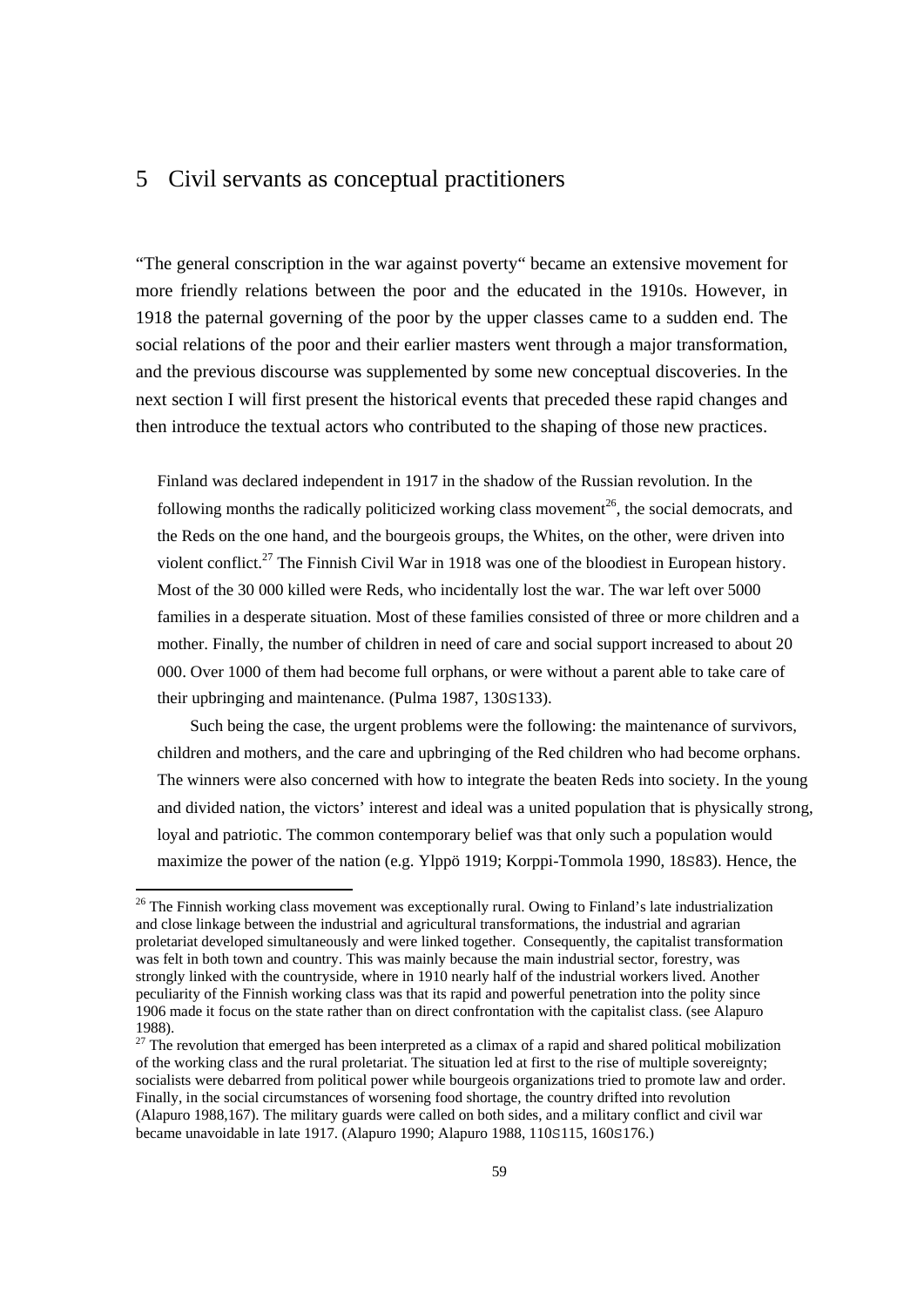## 5 Civil servants as conceptual practitioners

"The general conscription in the war against poverty" became an extensive movement for more friendly relations between the poor and the educated in the 1910s. However, in 1918 the paternal governing of the poor by the upper classes came to a sudden end. The social relations of the poor and their earlier masters went through a major transformation, and the previous discourse was supplemented by some new conceptual discoveries. In the next section I will first present the historical events that preceded these rapid changes and then introduce the textual actors who contributed to the shaping of those new practices.

Finland was declared independent in 1917 in the shadow of the Russian revolution. In the following months the radically politicized working class movement<sup>26</sup>, the social democrats, and the Reds on the one hand, and the bourgeois groups, the Whites, on the other, were driven into violent conflict.27 The Finnish Civil War in 1918 was one of the bloodiest in European history. Most of the 30 000 killed were Reds, who incidentally lost the war. The war left over 5000 families in a desperate situation. Most of these families consisted of three or more children and a mother. Finally, the number of children in need of care and social support increased to about 20 000. Over 1000 of them had become full orphans, or were without a parent able to take care of their upbringing and maintenance. (Pulma 1987, 130S133).

 Such being the case, the urgent problems were the following: the maintenance of survivors, children and mothers, and the care and upbringing of the Red children who had become orphans. The winners were also concerned with how to integrate the beaten Reds into society. In the young and divided nation, the victors' interest and ideal was a united population that is physically strong, loyal and patriotic. The common contemporary belief was that only such a population would maximize the power of the nation (e.g. Ylppö 1919; Korppi-Tommola 1990, 18S83). Hence, the

 $\overline{a}$ 

<sup>&</sup>lt;sup>26</sup> The Finnish working class movement was exceptionally rural. Owing to Finland's late industrialization and close linkage between the industrial and agricultural transformations, the industrial and agrarian proletariat developed simultaneously and were linked together. Consequently, the capitalist transformation was felt in both town and country. This was mainly because the main industrial sector, forestry, was strongly linked with the countryside, where in 1910 nearly half of the industrial workers lived. Another peculiarity of the Finnish working class was that its rapid and powerful penetration into the polity since 1906 made it focus on the state rather than on direct confrontation with the capitalist class. (see Alapuro 1988).

 $27$  The revolution that emerged has been interpreted as a climax of a rapid and shared political mobilization of the working class and the rural proletariat. The situation led at first to the rise of multiple sovereignty; socialists were debarred from political power while bourgeois organizations tried to promote law and order. Finally, in the social circumstances of worsening food shortage, the country drifted into revolution (Alapuro 1988,167). The military guards were called on both sides, and a military conflict and civil war became unavoidable in late 1917. (Alapuro 1990; Alapuro 1988, 110S115, 160S176.)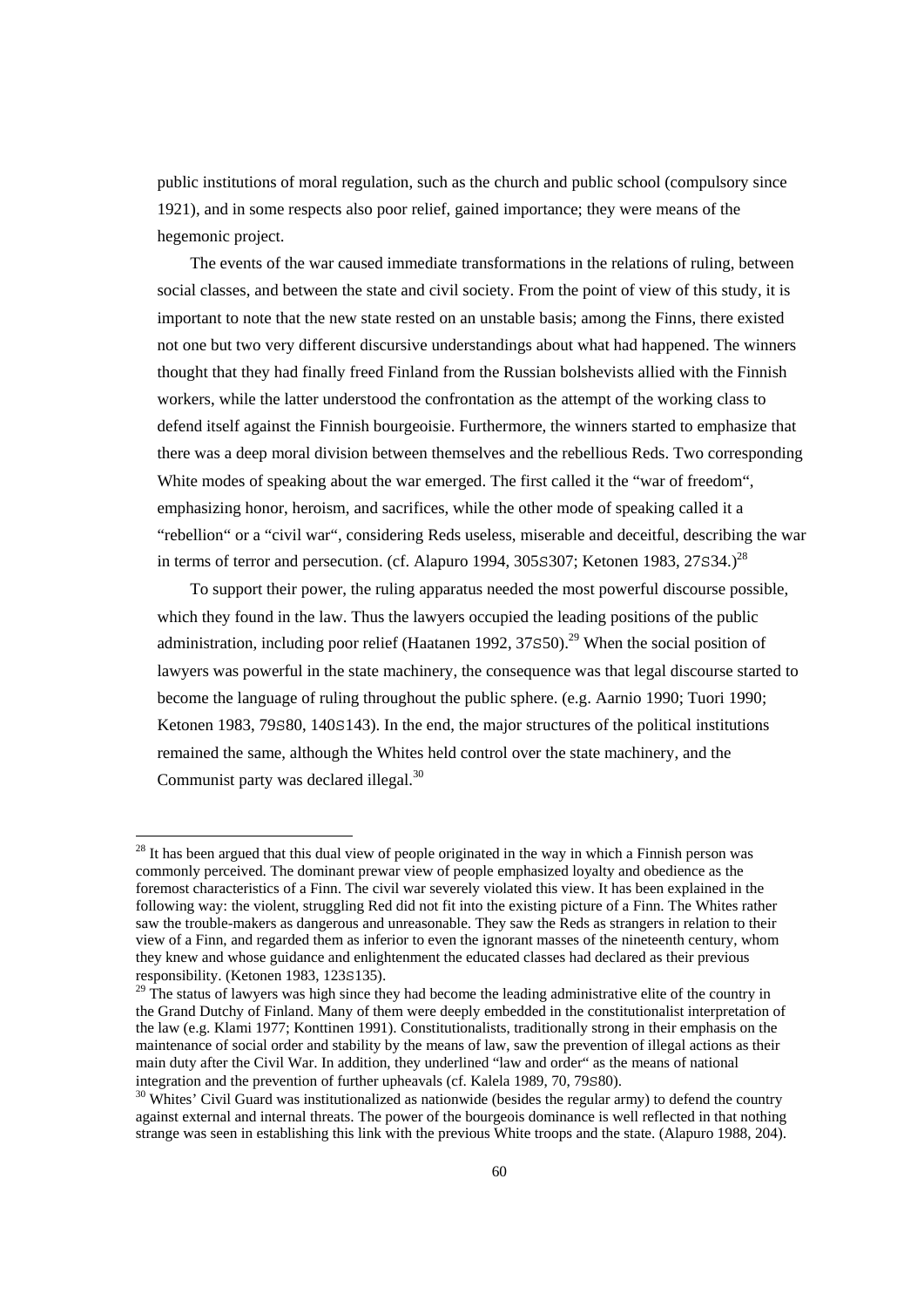public institutions of moral regulation, such as the church and public school (compulsory since 1921), and in some respects also poor relief, gained importance; they were means of the hegemonic project.

 The events of the war caused immediate transformations in the relations of ruling, between social classes, and between the state and civil society. From the point of view of this study, it is important to note that the new state rested on an unstable basis; among the Finns, there existed not one but two very different discursive understandings about what had happened. The winners thought that they had finally freed Finland from the Russian bolshevists allied with the Finnish workers, while the latter understood the confrontation as the attempt of the working class to defend itself against the Finnish bourgeoisie. Furthermore, the winners started to emphasize that there was a deep moral division between themselves and the rebellious Reds. Two corresponding White modes of speaking about the war emerged. The first called it the "war of freedom", emphasizing honor, heroism, and sacrifices, while the other mode of speaking called it a "rebellion" or a "civil war", considering Reds useless, miserable and deceitful, describing the war in terms of terror and persecution. (cf. Alapuro 1994, 305 $\sim$ 307; Ketonen 1983, 27 $\sim$ 34.)<sup>28</sup>

 To support their power, the ruling apparatus needed the most powerful discourse possible, which they found in the law. Thus the lawyers occupied the leading positions of the public administration, including poor relief (Haatanen 1992,  $37S50$ )<sup>29</sup> When the social position of lawyers was powerful in the state machinery, the consequence was that legal discourse started to become the language of ruling throughout the public sphere. (e.g. Aarnio 1990; Tuori 1990; Ketonen 1983, 79580, 1405143). In the end, the major structures of the political institutions remained the same, although the Whites held control over the state machinery, and the Communist party was declared illegal.<sup>30</sup>

<sup>&</sup>lt;sup>28</sup> It has been argued that this dual view of people originated in the way in which a Finnish person was commonly perceived. The dominant prewar view of people emphasized loyalty and obedience as the foremost characteristics of a Finn. The civil war severely violated this view. It has been explained in the following way: the violent, struggling Red did not fit into the existing picture of a Finn. The Whites rather saw the trouble-makers as dangerous and unreasonable. They saw the Reds as strangers in relation to their view of a Finn, and regarded them as inferior to even the ignorant masses of the nineteenth century, whom they knew and whose guidance and enlightenment the educated classes had declared as their previous responsibility. (Ketonen 1983, 123S135).<br><sup>29</sup> The status of lawyers was high since they had become the leading administrative elite of the country in

the Grand Dutchy of Finland. Many of them were deeply embedded in the constitutionalist interpretation of the law (e.g. Klami 1977; Konttinen 1991). Constitutionalists, traditionally strong in their emphasis on the maintenance of social order and stability by the means of law, saw the prevention of illegal actions as their main duty after the Civil War. In addition, they underlined "law and order" as the means of national integration and the prevention of further upheavals (cf. Kalela 1989, 70, 79 $\pm$ 80).<br><sup>30</sup> Whites' Civil Guard was institutionalized as nationwide (besides the regular army) to defend the country

against external and internal threats. The power of the bourgeois dominance is well reflected in that nothing strange was seen in establishing this link with the previous White troops and the state. (Alapuro 1988, 204).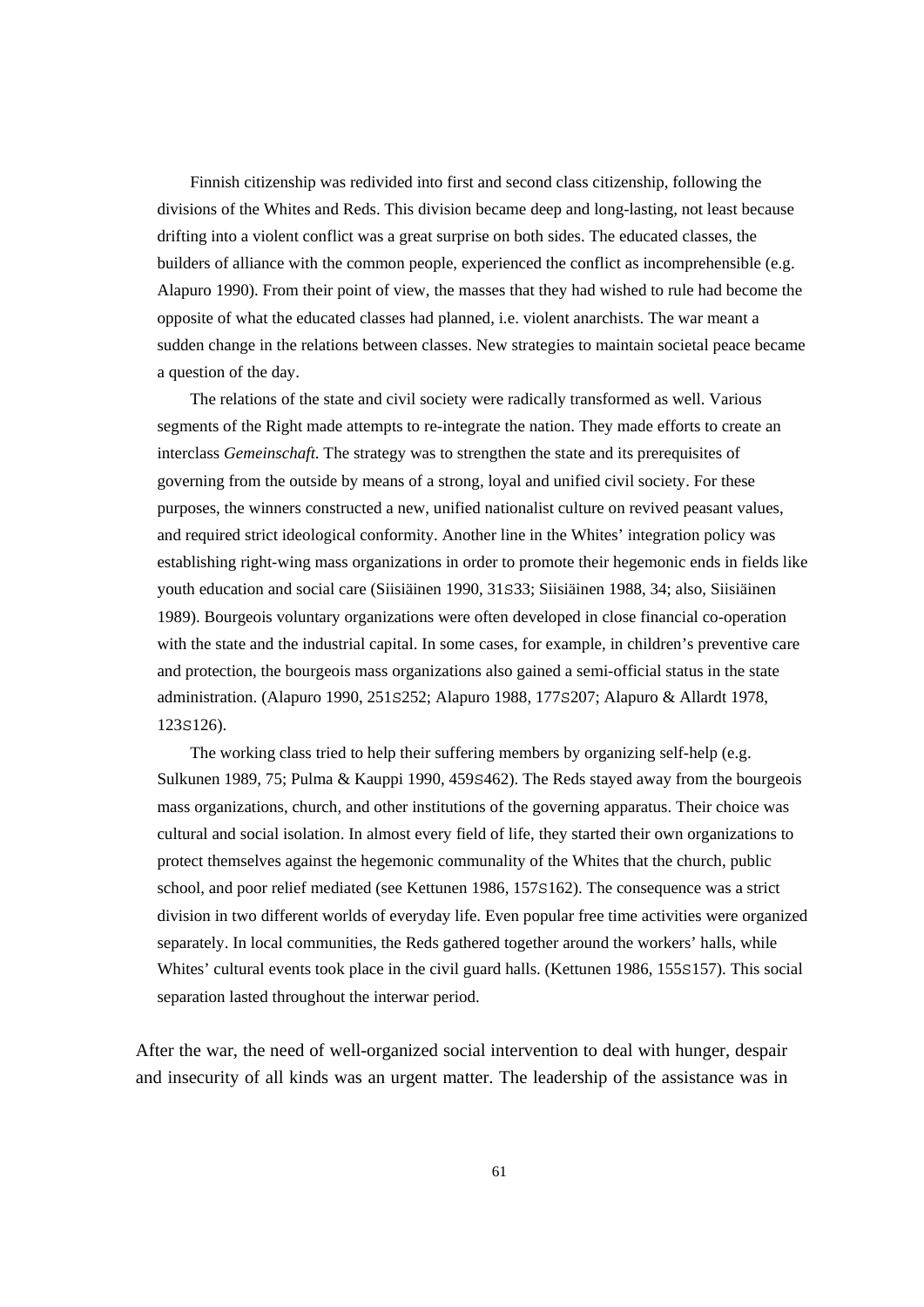Finnish citizenship was redivided into first and second class citizenship, following the divisions of the Whites and Reds. This division became deep and long-lasting, not least because drifting into a violent conflict was a great surprise on both sides. The educated classes, the builders of alliance with the common people, experienced the conflict as incomprehensible (e.g. Alapuro 1990). From their point of view, the masses that they had wished to rule had become the opposite of what the educated classes had planned, i.e. violent anarchists. The war meant a sudden change in the relations between classes. New strategies to maintain societal peace became a question of the day.

 The relations of the state and civil society were radically transformed as well. Various segments of the Right made attempts to re-integrate the nation. They made efforts to create an interclass *Gemeinschaft*. The strategy was to strengthen the state and its prerequisites of governing from the outside by means of a strong, loyal and unified civil society. For these purposes, the winners constructed a new, unified nationalist culture on revived peasant values, and required strict ideological conformity. Another line in the Whites' integration policy was establishing right-wing mass organizations in order to promote their hegemonic ends in fields like youth education and social care (Siisiäinen 1990, 31S33; Siisiäinen 1988, 34; also, Siisiäinen 1989). Bourgeois voluntary organizations were often developed in close financial co-operation with the state and the industrial capital. In some cases, for example, in children's preventive care and protection, the bourgeois mass organizations also gained a semi-official status in the state administration. (Alapuro 1990, 251S252; Alapuro 1988, 177S207; Alapuro & Allardt 1978, 123S126).

 The working class tried to help their suffering members by organizing self-help (e.g. Sulkunen 1989, 75; Pulma & Kauppi 1990, 459S462). The Reds stayed away from the bourgeois mass organizations, church, and other institutions of the governing apparatus. Their choice was cultural and social isolation. In almost every field of life, they started their own organizations to protect themselves against the hegemonic communality of the Whites that the church, public school, and poor relief mediated (see Kettunen 1986, 157S162). The consequence was a strict division in two different worlds of everyday life. Even popular free time activities were organized separately. In local communities, the Reds gathered together around the workers' halls, while Whites' cultural events took place in the civil guard halls. (Kettunen 1986, 155S157). This social separation lasted throughout the interwar period.

After the war, the need of well-organized social intervention to deal with hunger, despair and insecurity of all kinds was an urgent matter. The leadership of the assistance was in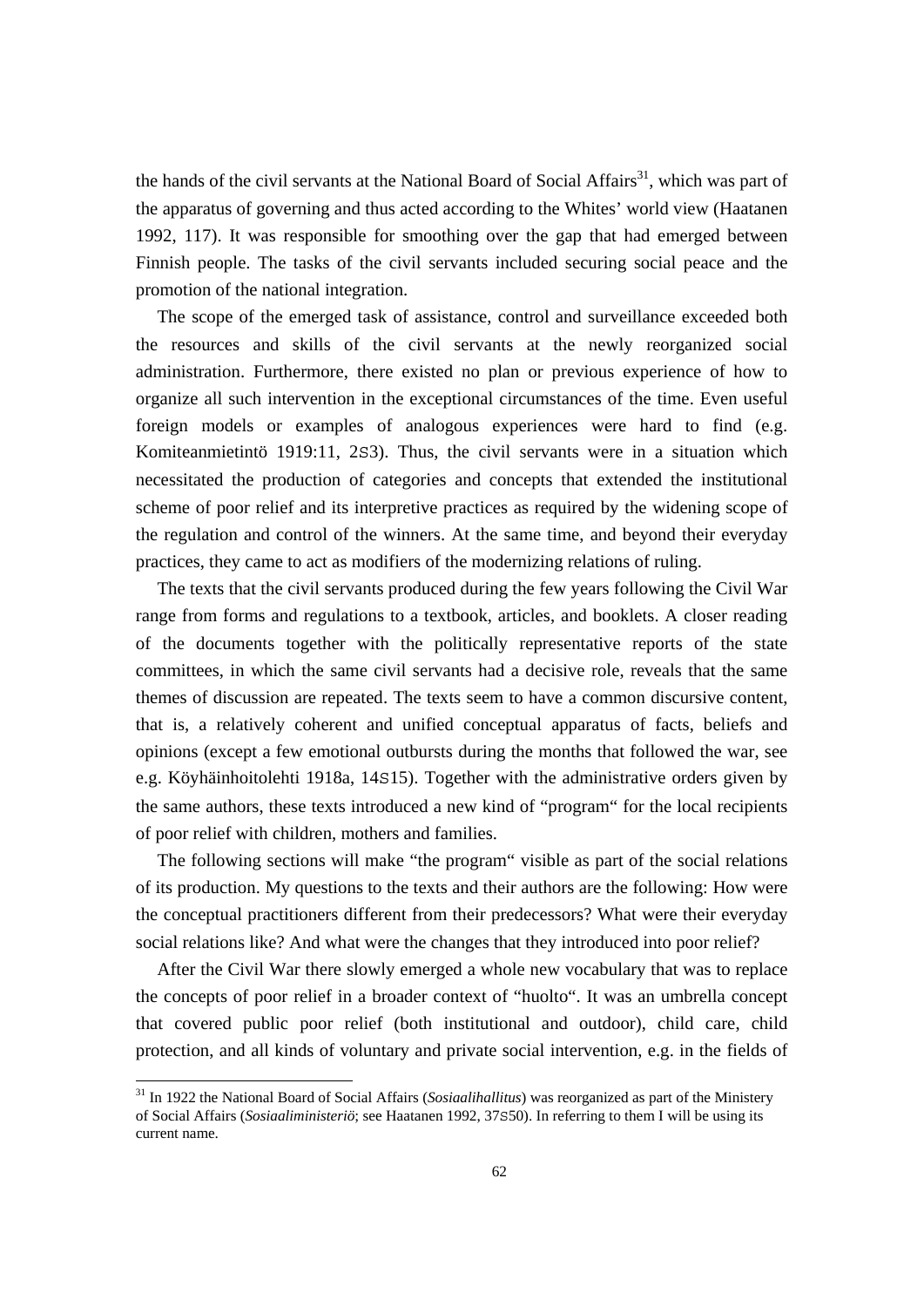the hands of the civil servants at the National Board of Social Affairs<sup>31</sup>, which was part of the apparatus of governing and thus acted according to the Whites' world view (Haatanen 1992, 117). It was responsible for smoothing over the gap that had emerged between Finnish people. The tasks of the civil servants included securing social peace and the promotion of the national integration.

 The scope of the emerged task of assistance, control and surveillance exceeded both the resources and skills of the civil servants at the newly reorganized social administration. Furthermore, there existed no plan or previous experience of how to organize all such intervention in the exceptional circumstances of the time. Even useful foreign models or examples of analogous experiences were hard to find (e.g. Komiteanmietintö 1919:11, 2S3). Thus, the civil servants were in a situation which necessitated the production of categories and concepts that extended the institutional scheme of poor relief and its interpretive practices as required by the widening scope of the regulation and control of the winners. At the same time, and beyond their everyday practices, they came to act as modifiers of the modernizing relations of ruling.

 The texts that the civil servants produced during the few years following the Civil War range from forms and regulations to a textbook, articles, and booklets. A closer reading of the documents together with the politically representative reports of the state committees, in which the same civil servants had a decisive role, reveals that the same themes of discussion are repeated. The texts seem to have a common discursive content, that is, a relatively coherent and unified conceptual apparatus of facts, beliefs and opinions (except a few emotional outbursts during the months that followed the war, see e.g. Köyhäinhoitolehti 1918a, 14S15). Together with the administrative orders given by the same authors, these texts introduced a new kind of "program" for the local recipients of poor relief with children, mothers and families.

 The following sections will make "the program" visible as part of the social relations of its production. My questions to the texts and their authors are the following: How were the conceptual practitioners different from their predecessors? What were their everyday social relations like? And what were the changes that they introduced into poor relief?

 After the Civil War there slowly emerged a whole new vocabulary that was to replace the concepts of poor relief in a broader context of "huolto". It was an umbrella concept that covered public poor relief (both institutional and outdoor), child care, child protection, and all kinds of voluntary and private social intervention, e.g. in the fields of

<sup>31</sup> In 1922 the National Board of Social Affairs (*Sosiaalihallitus*) was reorganized as part of the Ministery of Social Affairs (*Sosiaaliministeriö*; see Haatanen 1992, 37S50). In referring to them I will be using its current name.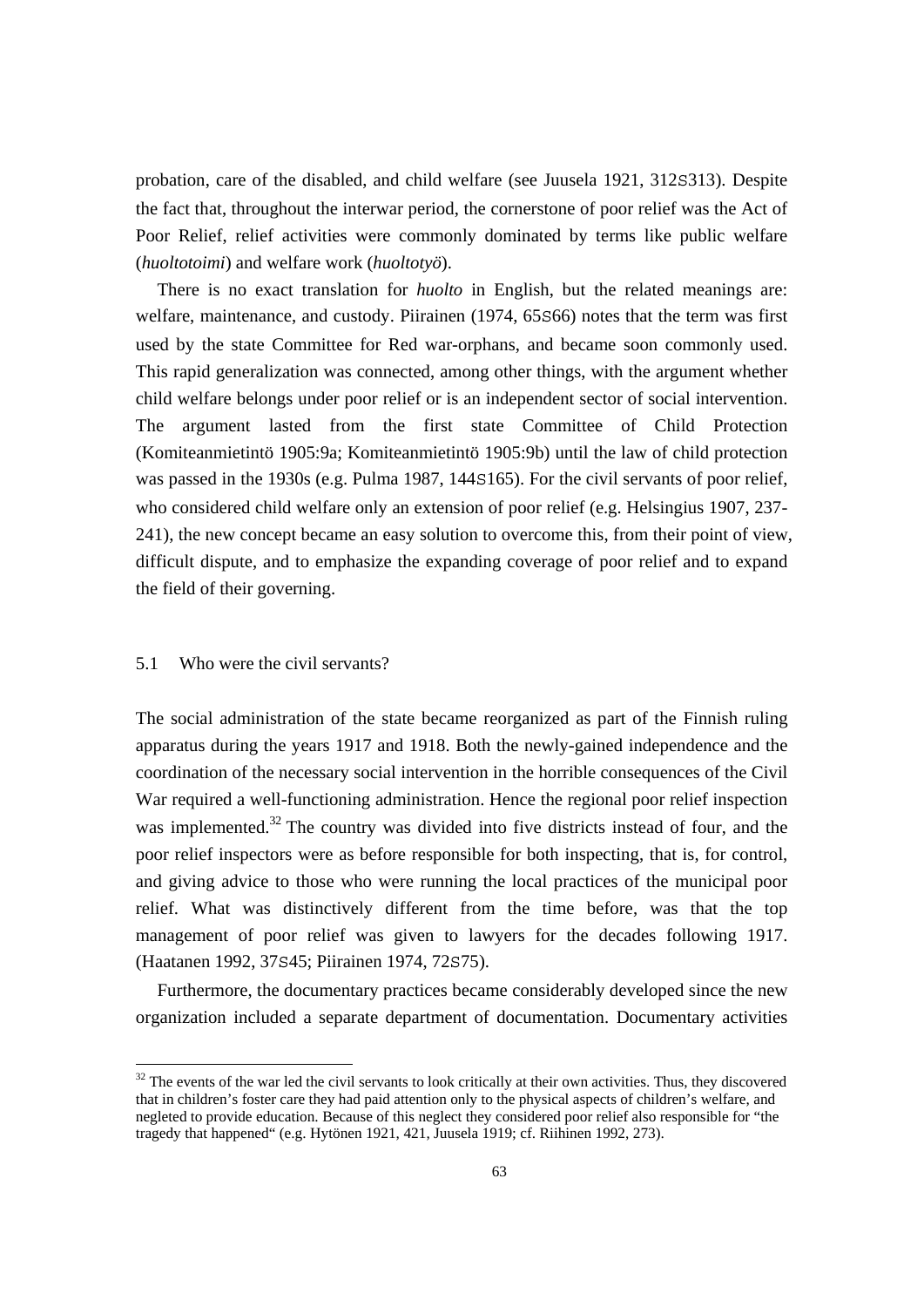probation, care of the disabled, and child welfare (see Juusela 1921, 312S313). Despite the fact that, throughout the interwar period, the cornerstone of poor relief was the Act of Poor Relief, relief activities were commonly dominated by terms like public welfare (*huoltotoimi*) and welfare work (*huoltotyö*).

 There is no exact translation for *huolto* in English, but the related meanings are: welfare, maintenance, and custody. Piirainen (1974, 65S66) notes that the term was first used by the state Committee for Red war-orphans, and became soon commonly used. This rapid generalization was connected, among other things, with the argument whether child welfare belongs under poor relief or is an independent sector of social intervention. The argument lasted from the first state Committee of Child Protection (Komiteanmietintö 1905:9a; Komiteanmietintö 1905:9b) until the law of child protection was passed in the 1930s (e.g. Pulma 1987, 144S165). For the civil servants of poor relief, who considered child welfare only an extension of poor relief (e.g. Helsingius 1907, 237- 241), the new concept became an easy solution to overcome this, from their point of view, difficult dispute, and to emphasize the expanding coverage of poor relief and to expand the field of their governing.

#### 5.1 Who were the civil servants?

The social administration of the state became reorganized as part of the Finnish ruling apparatus during the years 1917 and 1918. Both the newly-gained independence and the coordination of the necessary social intervention in the horrible consequences of the Civil War required a well-functioning administration. Hence the regional poor relief inspection was implemented.<sup>32</sup> The country was divided into five districts instead of four, and the poor relief inspectors were as before responsible for both inspecting, that is, for control, and giving advice to those who were running the local practices of the municipal poor relief. What was distinctively different from the time before, was that the top management of poor relief was given to lawyers for the decades following 1917. (Haatanen 1992, 37S45; Piirainen 1974, 72S75).

 Furthermore, the documentary practices became considerably developed since the new organization included a separate department of documentation. Documentary activities

<sup>&</sup>lt;sup>32</sup> The events of the war led the civil servants to look critically at their own activities. Thus, they discovered that in children's foster care they had paid attention only to the physical aspects of children's welfare, and negleted to provide education. Because of this neglect they considered poor relief also responsible for "the tragedy that happened" (e.g. Hytönen 1921, 421, Juusela 1919; cf. Riihinen 1992, 273).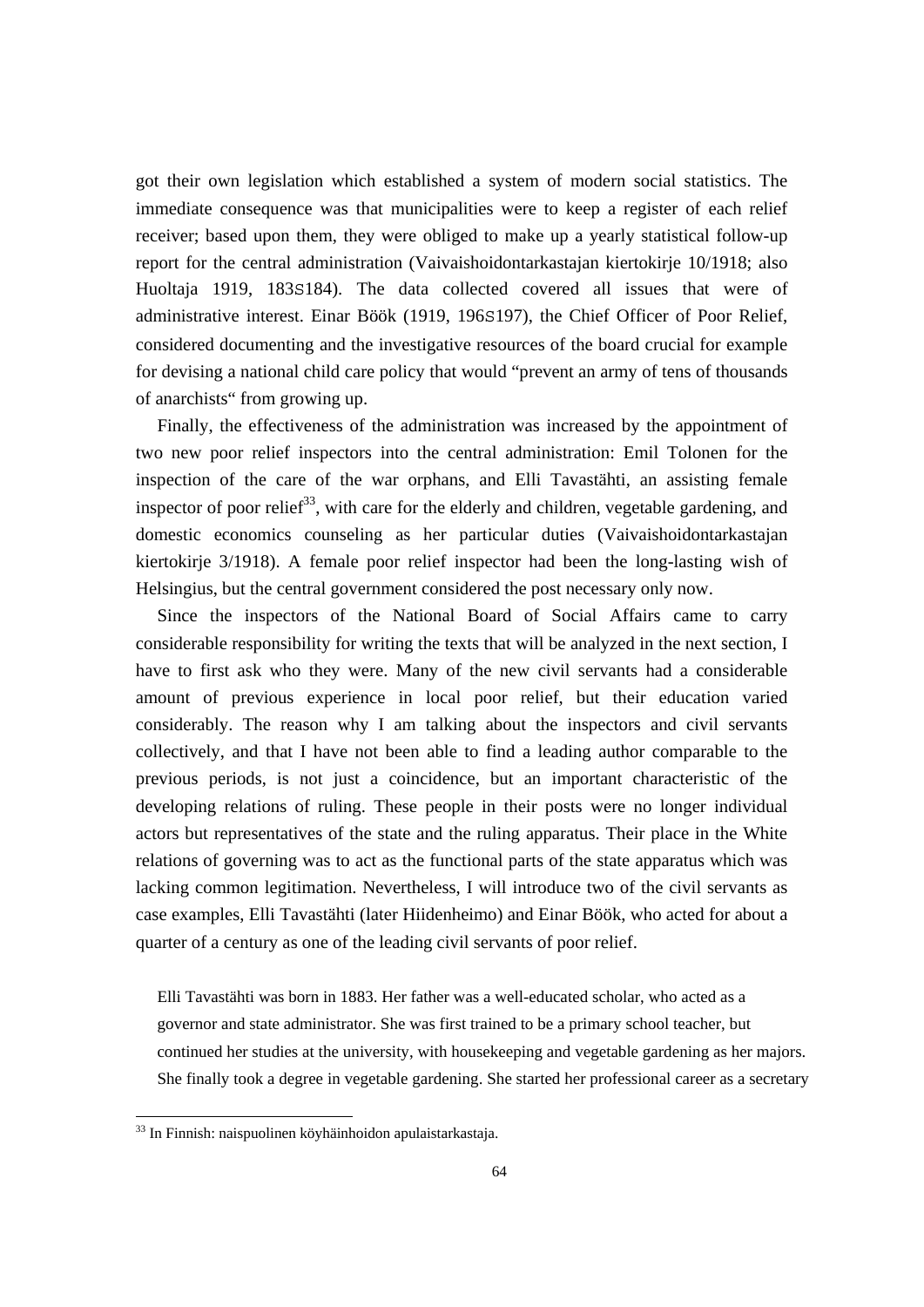got their own legislation which established a system of modern social statistics. The immediate consequence was that municipalities were to keep a register of each relief receiver; based upon them, they were obliged to make up a yearly statistical follow-up report for the central administration (Vaivaishoidontarkastajan kiertokirje 10/1918; also Huoltaja 1919, 183S184). The data collected covered all issues that were of administrative interest. Einar Böök (1919, 196S197), the Chief Officer of Poor Relief, considered documenting and the investigative resources of the board crucial for example for devising a national child care policy that would "prevent an army of tens of thousands of anarchists" from growing up.

 Finally, the effectiveness of the administration was increased by the appointment of two new poor relief inspectors into the central administration: Emil Tolonen for the inspection of the care of the war orphans, and Elli Tavastähti, an assisting female inspector of poor relief<sup>33</sup>, with care for the elderly and children, vegetable gardening, and domestic economics counseling as her particular duties (Vaivaishoidontarkastajan kiertokirje 3/1918). A female poor relief inspector had been the long-lasting wish of Helsingius, but the central government considered the post necessary only now.

 Since the inspectors of the National Board of Social Affairs came to carry considerable responsibility for writing the texts that will be analyzed in the next section, I have to first ask who they were. Many of the new civil servants had a considerable amount of previous experience in local poor relief, but their education varied considerably. The reason why I am talking about the inspectors and civil servants collectively, and that I have not been able to find a leading author comparable to the previous periods, is not just a coincidence, but an important characteristic of the developing relations of ruling. These people in their posts were no longer individual actors but representatives of the state and the ruling apparatus. Their place in the White relations of governing was to act as the functional parts of the state apparatus which was lacking common legitimation. Nevertheless, I will introduce two of the civil servants as case examples, Elli Tavastähti (later Hiidenheimo) and Einar Böök, who acted for about a quarter of a century as one of the leading civil servants of poor relief.

Elli Tavastähti was born in 1883. Her father was a well-educated scholar, who acted as a governor and state administrator. She was first trained to be a primary school teacher, but continued her studies at the university, with housekeeping and vegetable gardening as her majors. She finally took a degree in vegetable gardening. She started her professional career as a secretary

 $\overline{a}$ 

<sup>&</sup>lt;sup>33</sup> In Finnish: naispuolinen köyhäinhoidon apulaistarkastaja.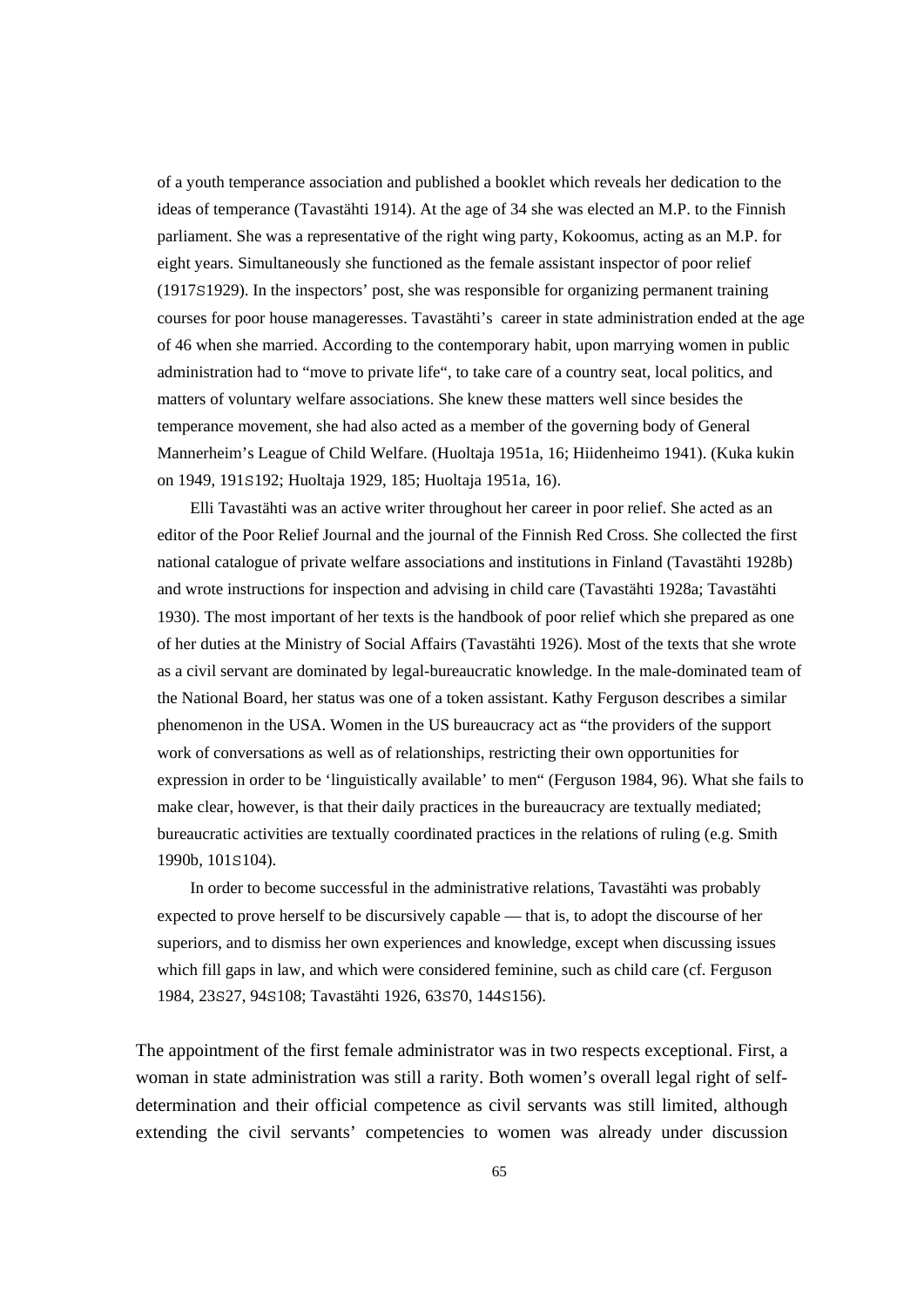of a youth temperance association and published a booklet which reveals her dedication to the ideas of temperance (Tavastähti 1914). At the age of 34 she was elected an M.P. to the Finnish parliament. She was a representative of the right wing party, Kokoomus, acting as an M.P. for eight years. Simultaneously she functioned as the female assistant inspector of poor relief (1917S1929). In the inspectors' post, she was responsible for organizing permanent training courses for poor house manageresses. Tavastähti's career in state administration ended at the age of 46 when she married. According to the contemporary habit, upon marrying women in public administration had to "move to private life", to take care of a country seat, local politics, and matters of voluntary welfare associations. She knew these matters well since besides the temperance movement, she had also acted as a member of the governing body of General Mannerheim's League of Child Welfare. (Huoltaja 1951a, 16; Hiidenheimo 1941). (Kuka kukin on 1949, 191S192; Huoltaja 1929, 185; Huoltaja 1951a, 16).

 Elli Tavastähti was an active writer throughout her career in poor relief. She acted as an editor of the Poor Relief Journal and the journal of the Finnish Red Cross. She collected the first national catalogue of private welfare associations and institutions in Finland (Tavastähti 1928b) and wrote instructions for inspection and advising in child care (Tavastähti 1928a; Tavastähti 1930). The most important of her texts is the handbook of poor relief which she prepared as one of her duties at the Ministry of Social Affairs (Tavastähti 1926). Most of the texts that she wrote as a civil servant are dominated by legal-bureaucratic knowledge. In the male-dominated team of the National Board, her status was one of a token assistant. Kathy Ferguson describes a similar phenomenon in the USA. Women in the US bureaucracy act as "the providers of the support work of conversations as well as of relationships, restricting their own opportunities for expression in order to be 'linguistically available' to men" (Ferguson 1984, 96). What she fails to make clear, however, is that their daily practices in the bureaucracy are textually mediated; bureaucratic activities are textually coordinated practices in the relations of ruling (e.g. Smith 1990b, 101S104).

 In order to become successful in the administrative relations, Tavastähti was probably expected to prove herself to be discursively capable — that is, to adopt the discourse of her superiors, and to dismiss her own experiences and knowledge, except when discussing issues which fill gaps in law, and which were considered feminine, such as child care (cf. Ferguson 1984, 23S27, 94S108; Tavastähti 1926, 63S70, 144S156).

The appointment of the first female administrator was in two respects exceptional. First, a woman in state administration was still a rarity. Both women's overall legal right of selfdetermination and their official competence as civil servants was still limited, although extending the civil servants' competencies to women was already under discussion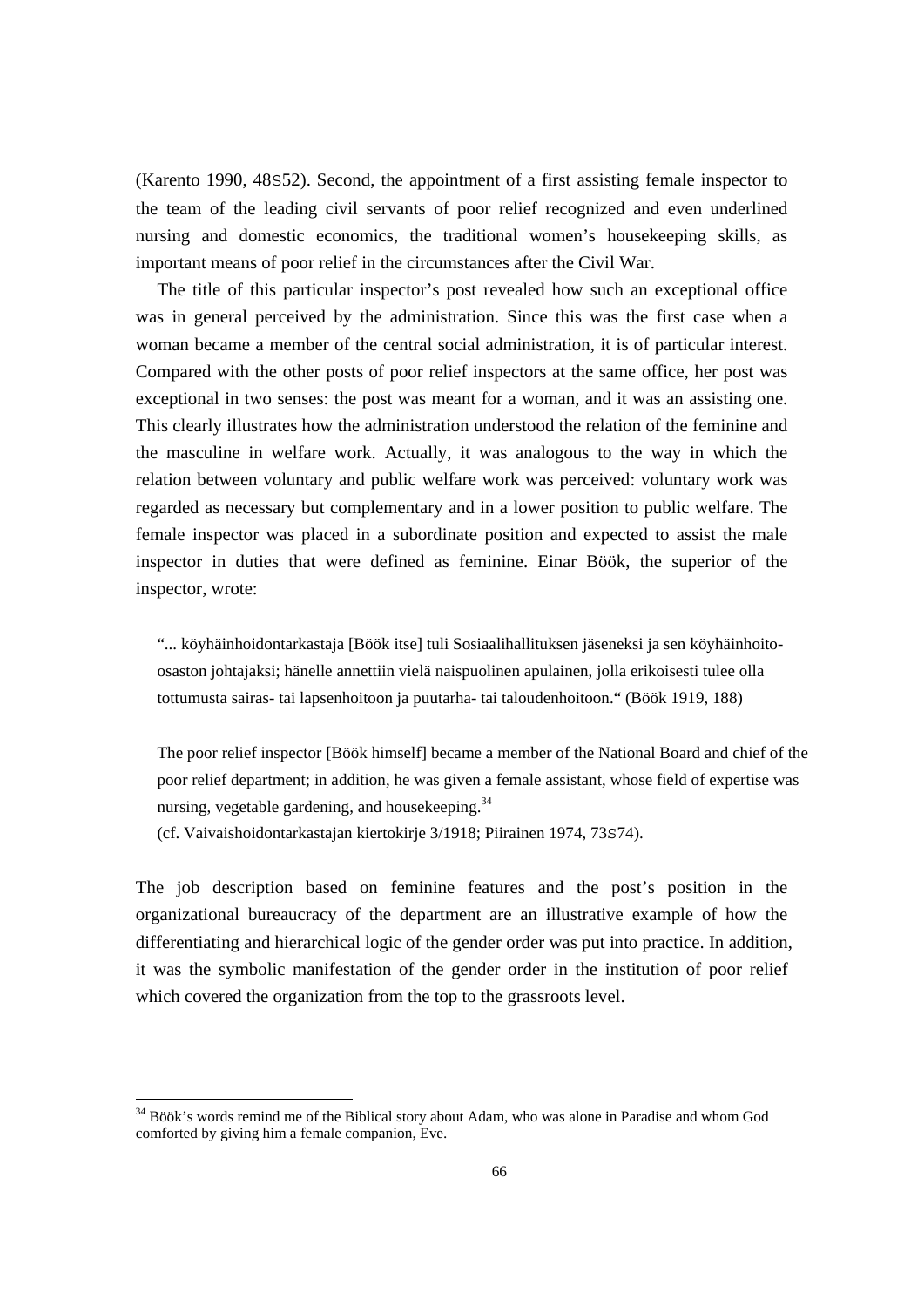(Karento 1990, 48S52). Second, the appointment of a first assisting female inspector to the team of the leading civil servants of poor relief recognized and even underlined nursing and domestic economics, the traditional women's housekeeping skills, as important means of poor relief in the circumstances after the Civil War.

 The title of this particular inspector's post revealed how such an exceptional office was in general perceived by the administration. Since this was the first case when a woman became a member of the central social administration, it is of particular interest. Compared with the other posts of poor relief inspectors at the same office, her post was exceptional in two senses: the post was meant for a woman, and it was an assisting one. This clearly illustrates how the administration understood the relation of the feminine and the masculine in welfare work. Actually, it was analogous to the way in which the relation between voluntary and public welfare work was perceived: voluntary work was regarded as necessary but complementary and in a lower position to public welfare. The female inspector was placed in a subordinate position and expected to assist the male inspector in duties that were defined as feminine. Einar Böök, the superior of the inspector, wrote:

"... köyhäinhoidontarkastaja [Böök itse] tuli Sosiaalihallituksen jäseneksi ja sen köyhäinhoitoosaston johtajaksi; hänelle annettiin vielä naispuolinen apulainen, jolla erikoisesti tulee olla tottumusta sairas- tai lapsenhoitoon ja puutarha- tai taloudenhoitoon." (Böök 1919, 188)

The poor relief inspector [Böök himself] became a member of the National Board and chief of the poor relief department; in addition, he was given a female assistant, whose field of expertise was nursing, vegetable gardening, and house keeping.  $34$ 

(cf. Vaivaishoidontarkastajan kiertokirje 3/1918; Piirainen 1974, 73S74).

The job description based on feminine features and the post's position in the organizational bureaucracy of the department are an illustrative example of how the differentiating and hierarchical logic of the gender order was put into practice. In addition, it was the symbolic manifestation of the gender order in the institution of poor relief which covered the organization from the top to the grassroots level.

<sup>&</sup>lt;sup>34</sup> Böök's words remind me of the Biblical story about Adam, who was alone in Paradise and whom God comforted by giving him a female companion, Eve.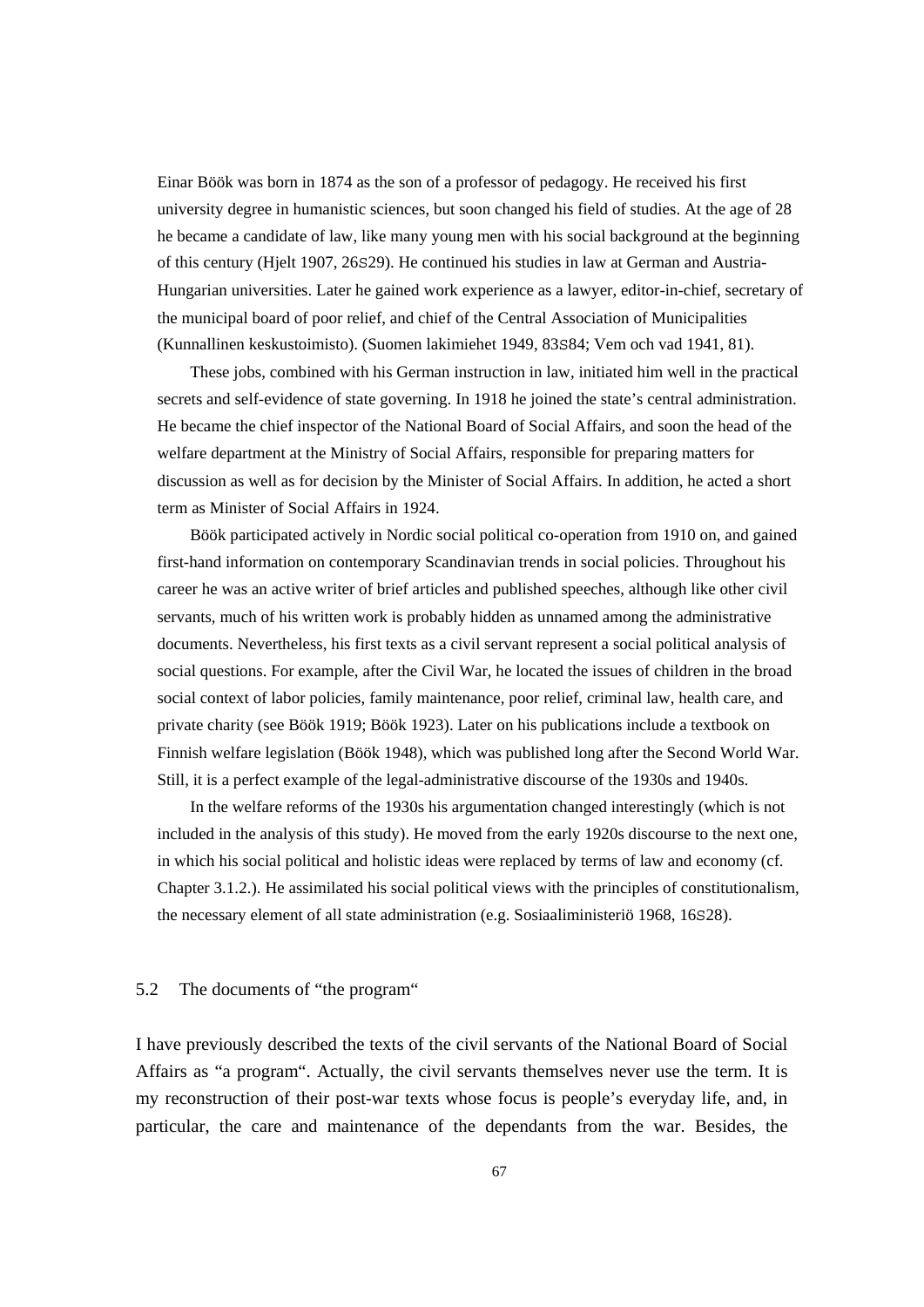Einar Böök was born in 1874 as the son of a professor of pedagogy. He received his first university degree in humanistic sciences, but soon changed his field of studies. At the age of 28 he became a candidate of law, like many young men with his social background at the beginning of this century (Hjelt 1907, 26S29). He continued his studies in law at German and Austria-Hungarian universities. Later he gained work experience as a lawyer, editor-in-chief, secretary of the municipal board of poor relief, and chief of the Central Association of Municipalities (Kunnallinen keskustoimisto). (Suomen lakimiehet 1949, 83S84; Vem och vad 1941, 81).

 These jobs, combined with his German instruction in law, initiated him well in the practical secrets and self-evidence of state governing. In 1918 he joined the state's central administration. He became the chief inspector of the National Board of Social Affairs, and soon the head of the welfare department at the Ministry of Social Affairs, responsible for preparing matters for discussion as well as for decision by the Minister of Social Affairs. In addition, he acted a short term as Minister of Social Affairs in 1924.

 Böök participated actively in Nordic social political co-operation from 1910 on, and gained first-hand information on contemporary Scandinavian trends in social policies. Throughout his career he was an active writer of brief articles and published speeches, although like other civil servants, much of his written work is probably hidden as unnamed among the administrative documents. Nevertheless, his first texts as a civil servant represent a social political analysis of social questions. For example, after the Civil War, he located the issues of children in the broad social context of labor policies, family maintenance, poor relief, criminal law, health care, and private charity (see Böök 1919; Böök 1923). Later on his publications include a textbook on Finnish welfare legislation (Böök 1948), which was published long after the Second World War. Still, it is a perfect example of the legal-administrative discourse of the 1930s and 1940s.

 In the welfare reforms of the 1930s his argumentation changed interestingly (which is not included in the analysis of this study). He moved from the early 1920s discourse to the next one, in which his social political and holistic ideas were replaced by terms of law and economy (cf. Chapter 3.1.2.). He assimilated his social political views with the principles of constitutionalism, the necessary element of all state administration (e.g. Sosiaaliministeriö 1968, 16S28).

#### 5.2 The documents of "the program"

I have previously described the texts of the civil servants of the National Board of Social Affairs as "a program". Actually, the civil servants themselves never use the term. It is my reconstruction of their post-war texts whose focus is people's everyday life, and, in particular, the care and maintenance of the dependants from the war. Besides, the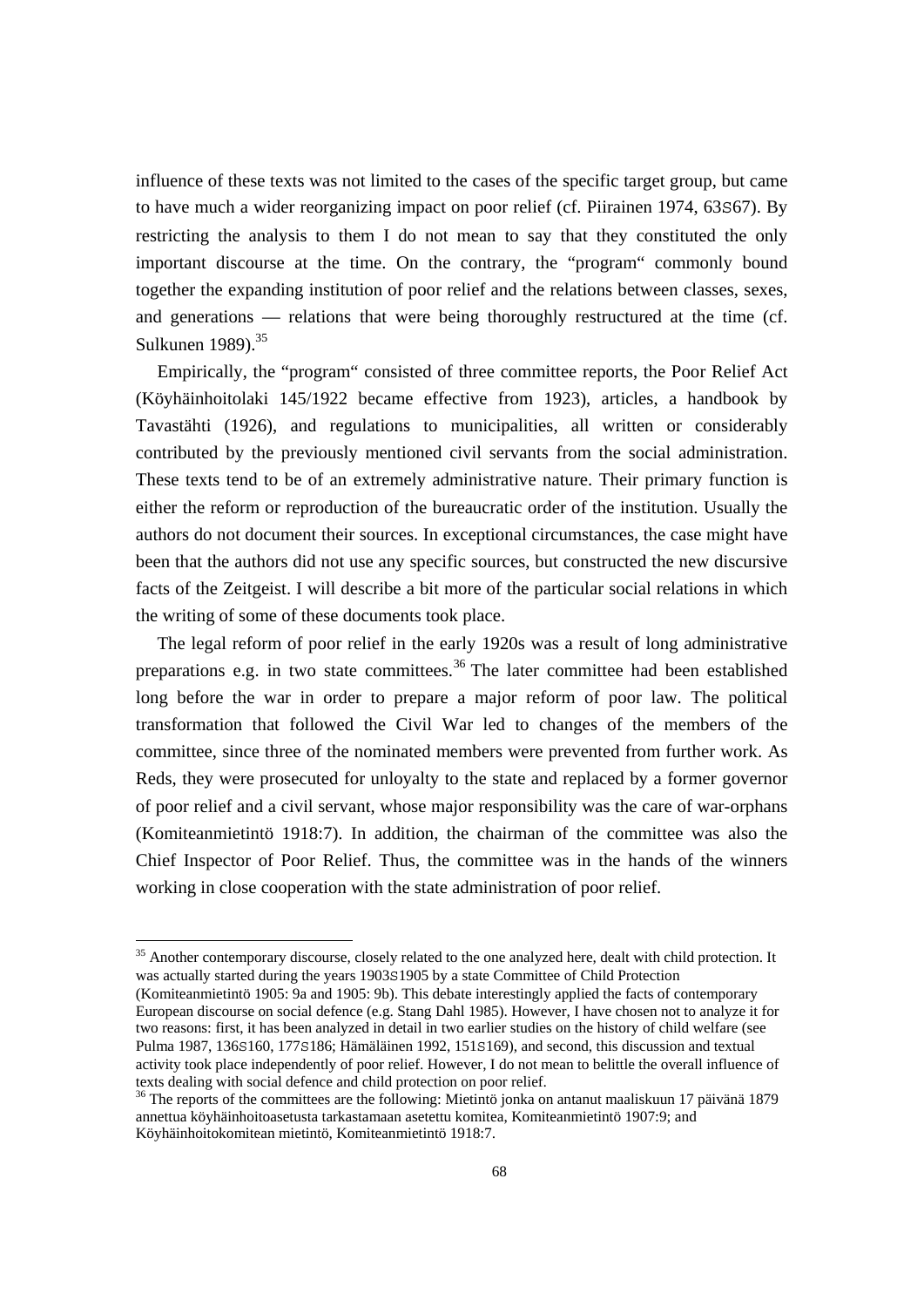influence of these texts was not limited to the cases of the specific target group, but came to have much a wider reorganizing impact on poor relief (cf. Piirainen 1974, 63S67). By restricting the analysis to them I do not mean to say that they constituted the only important discourse at the time. On the contrary, the "program" commonly bound together the expanding institution of poor relief and the relations between classes, sexes, and generations — relations that were being thoroughly restructured at the time (cf. Sulkunen 1989).<sup>35</sup>

 Empirically, the "program" consisted of three committee reports, the Poor Relief Act (Köyhäinhoitolaki 145/1922 became effective from 1923), articles, a handbook by Tavastähti (1926), and regulations to municipalities, all written or considerably contributed by the previously mentioned civil servants from the social administration. These texts tend to be of an extremely administrative nature. Their primary function is either the reform or reproduction of the bureaucratic order of the institution. Usually the authors do not document their sources. In exceptional circumstances, the case might have been that the authors did not use any specific sources, but constructed the new discursive facts of the Zeitgeist. I will describe a bit more of the particular social relations in which the writing of some of these documents took place.

 The legal reform of poor relief in the early 1920s was a result of long administrative preparations e.g. in two state committees.<sup>36</sup> The later committee had been established long before the war in order to prepare a major reform of poor law. The political transformation that followed the Civil War led to changes of the members of the committee, since three of the nominated members were prevented from further work. As Reds, they were prosecuted for unloyalty to the state and replaced by a former governor of poor relief and a civil servant, whose major responsibility was the care of war-orphans (Komiteanmietintö 1918:7). In addition, the chairman of the committee was also the Chief Inspector of Poor Relief. Thus, the committee was in the hands of the winners working in close cooperation with the state administration of poor relief.

<sup>&</sup>lt;sup>35</sup> Another contemporary discourse, closely related to the one analyzed here, dealt with child protection. It was actually started during the years 1903S1905 by a state Committee of Child Protection (Komiteanmietintö 1905: 9a and 1905: 9b). This debate interestingly applied the facts of contemporary European discourse on social defence (e.g. Stang Dahl 1985). However, I have chosen not to analyze it for two reasons: first, it has been analyzed in detail in two earlier studies on the history of child welfare (see Pulma 1987, 136S160, 177S186; Hämäläinen 1992, 151S169), and second, this discussion and textual activity took place independently of poor relief. However, I do not mean to belittle the overall influence of texts dealing with social defence and child protection on poor relief.

<sup>36</sup> The reports of the committees are the following: Mietintö jonka on antanut maaliskuun 17 päivänä 1879 annettua köyhäinhoitoasetusta tarkastamaan asetettu komitea, Komiteanmietintö 1907:9; and Köyhäinhoitokomitean mietintö, Komiteanmietintö 1918:7.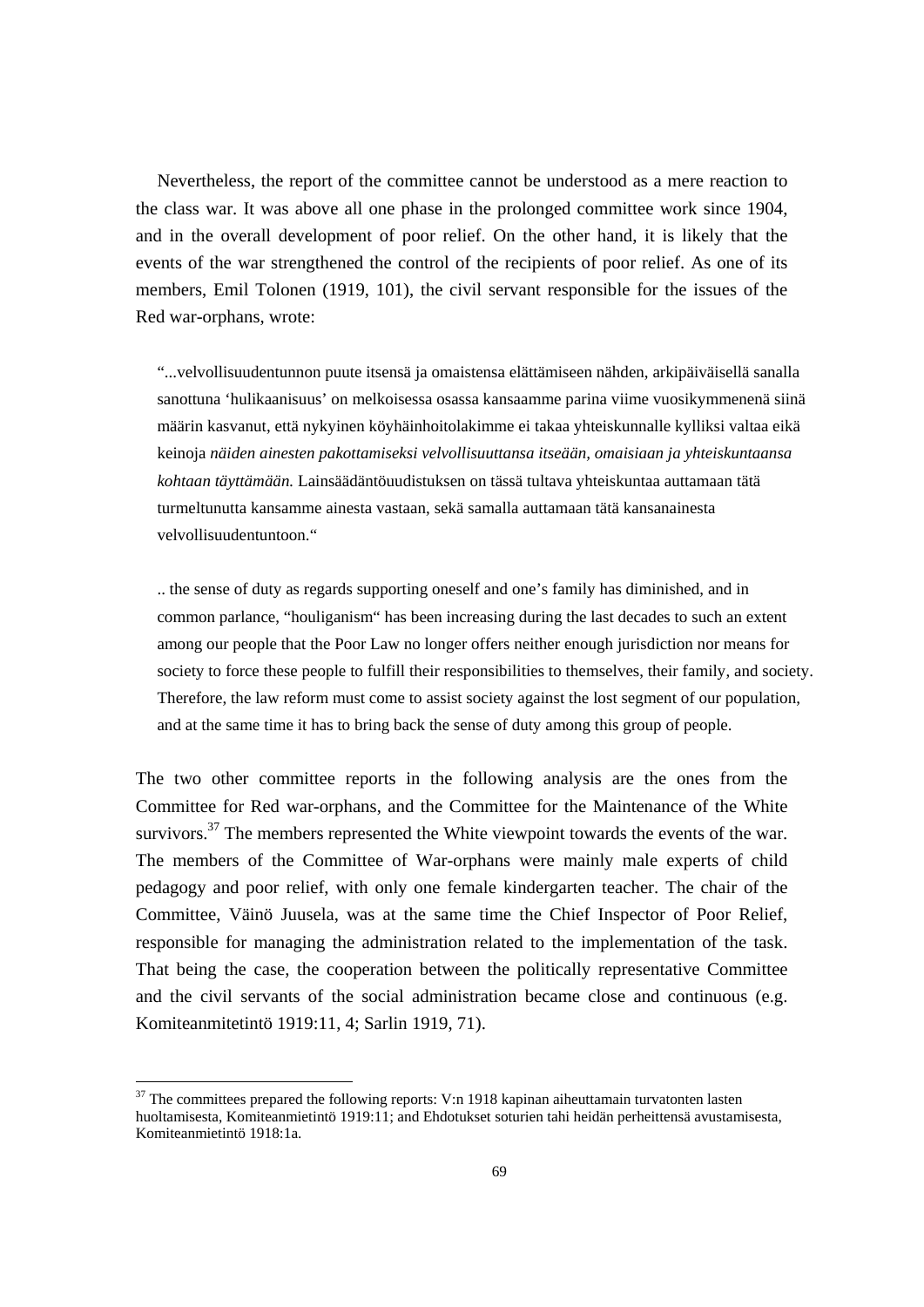Nevertheless, the report of the committee cannot be understood as a mere reaction to the class war. It was above all one phase in the prolonged committee work since 1904, and in the overall development of poor relief. On the other hand, it is likely that the events of the war strengthened the control of the recipients of poor relief. As one of its members, Emil Tolonen (1919, 101), the civil servant responsible for the issues of the Red war-orphans, wrote:

"...velvollisuudentunnon puute itsensä ja omaistensa elättämiseen nähden, arkipäiväisellä sanalla sanottuna 'hulikaanisuus' on melkoisessa osassa kansaamme parina viime vuosikymmenenä siinä määrin kasvanut, että nykyinen köyhäinhoitolakimme ei takaa yhteiskunnalle kylliksi valtaa eikä keinoja *näiden ainesten pakottamiseksi velvollisuuttansa itseään, omaisiaan ja yhteiskuntaansa kohtaan täyttämään.* Lainsäädäntöuudistuksen on tässä tultava yhteiskuntaa auttamaan tätä turmeltunutta kansamme ainesta vastaan, sekä samalla auttamaan tätä kansanainesta velvollisuudentuntoon."

.. the sense of duty as regards supporting oneself and one's family has diminished, and in common parlance, "houliganism" has been increasing during the last decades to such an extent among our people that the Poor Law no longer offers neither enough jurisdiction nor means for society to force these people to fulfill their responsibilities to themselves, their family, and society. Therefore, the law reform must come to assist society against the lost segment of our population, and at the same time it has to bring back the sense of duty among this group of people.

The two other committee reports in the following analysis are the ones from the Committee for Red war-orphans, and the Committee for the Maintenance of the White survivors.<sup>37</sup> The members represented the White viewpoint towards the events of the war. The members of the Committee of War-orphans were mainly male experts of child pedagogy and poor relief, with only one female kindergarten teacher. The chair of the Committee, Väinö Juusela, was at the same time the Chief Inspector of Poor Relief, responsible for managing the administration related to the implementation of the task. That being the case, the cooperation between the politically representative Committee and the civil servants of the social administration became close and continuous (e.g. Komiteanmitetintö 1919:11, 4; Sarlin 1919, 71).

 $37$  The committees prepared the following reports: V:n 1918 kapinan aiheuttamain turvatonten lasten huoltamisesta, Komiteanmietintö 1919:11; and Ehdotukset soturien tahi heidän perheittensä avustamisesta, Komiteanmietintö 1918:1a.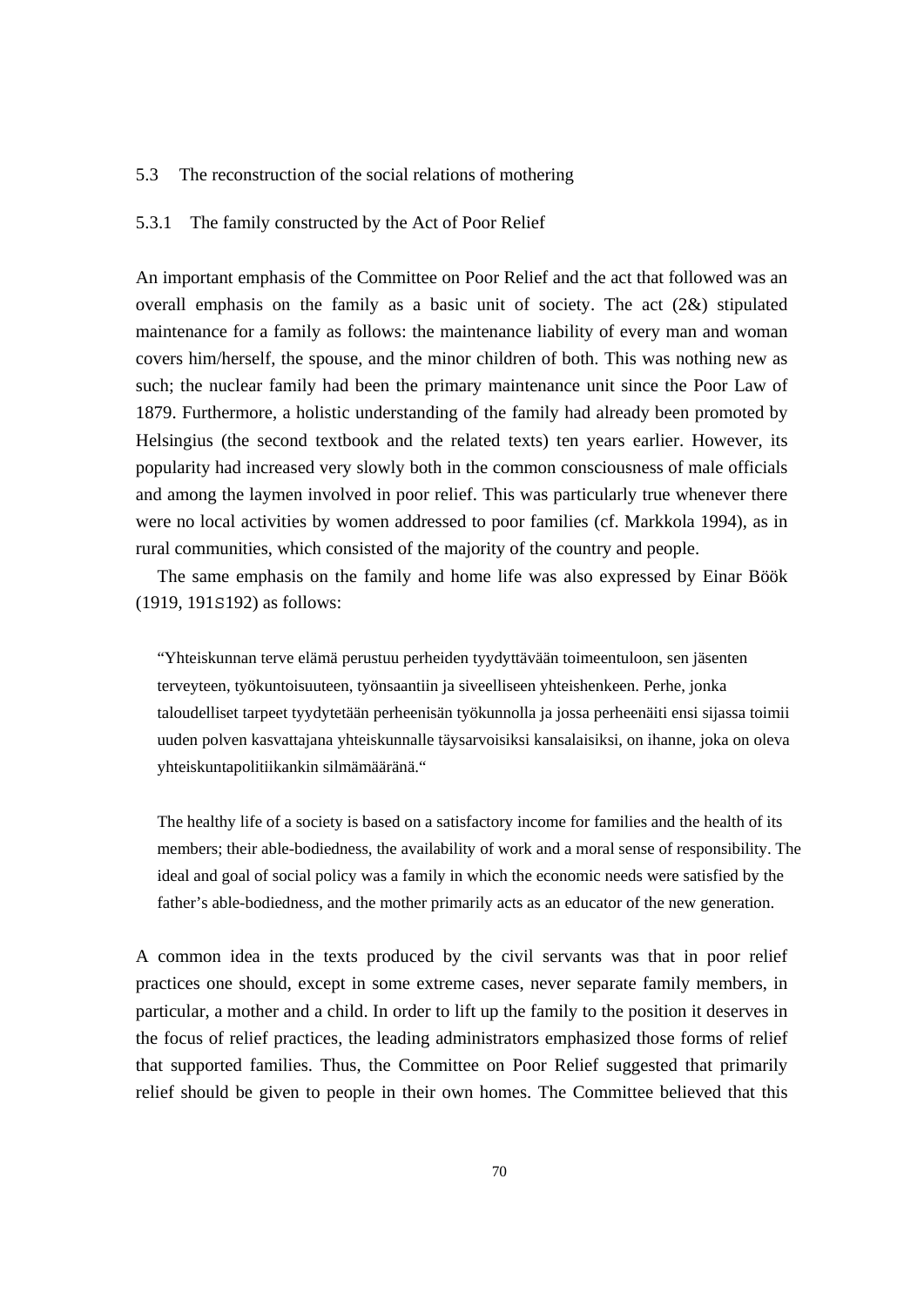#### 5.3 The reconstruction of the social relations of mothering

## 5.3.1 The family constructed by the Act of Poor Relief

An important emphasis of the Committee on Poor Relief and the act that followed was an overall emphasis on the family as a basic unit of society. The act  $(2\&)$  stipulated maintenance for a family as follows: the maintenance liability of every man and woman covers him/herself, the spouse, and the minor children of both. This was nothing new as such; the nuclear family had been the primary maintenance unit since the Poor Law of 1879. Furthermore, a holistic understanding of the family had already been promoted by Helsingius (the second textbook and the related texts) ten years earlier. However, its popularity had increased very slowly both in the common consciousness of male officials and among the laymen involved in poor relief. This was particularly true whenever there were no local activities by women addressed to poor families (cf. Markkola 1994), as in rural communities, which consisted of the majority of the country and people.

 The same emphasis on the family and home life was also expressed by Einar Böök (1919, 191S192) as follows:

"Yhteiskunnan terve elämä perustuu perheiden tyydyttävään toimeentuloon, sen jäsenten terveyteen, työkuntoisuuteen, työnsaantiin ja siveelliseen yhteishenkeen. Perhe, jonka taloudelliset tarpeet tyydytetään perheenisän työkunnolla ja jossa perheenäiti ensi sijassa toimii uuden polven kasvattajana yhteiskunnalle täysarvoisiksi kansalaisiksi, on ihanne, joka on oleva yhteiskuntapolitiikankin silmämääränä."

The healthy life of a society is based on a satisfactory income for families and the health of its members; their able-bodiedness, the availability of work and a moral sense of responsibility. The ideal and goal of social policy was a family in which the economic needs were satisfied by the father's able-bodiedness, and the mother primarily acts as an educator of the new generation.

A common idea in the texts produced by the civil servants was that in poor relief practices one should, except in some extreme cases, never separate family members, in particular, a mother and a child. In order to lift up the family to the position it deserves in the focus of relief practices, the leading administrators emphasized those forms of relief that supported families. Thus, the Committee on Poor Relief suggested that primarily relief should be given to people in their own homes. The Committee believed that this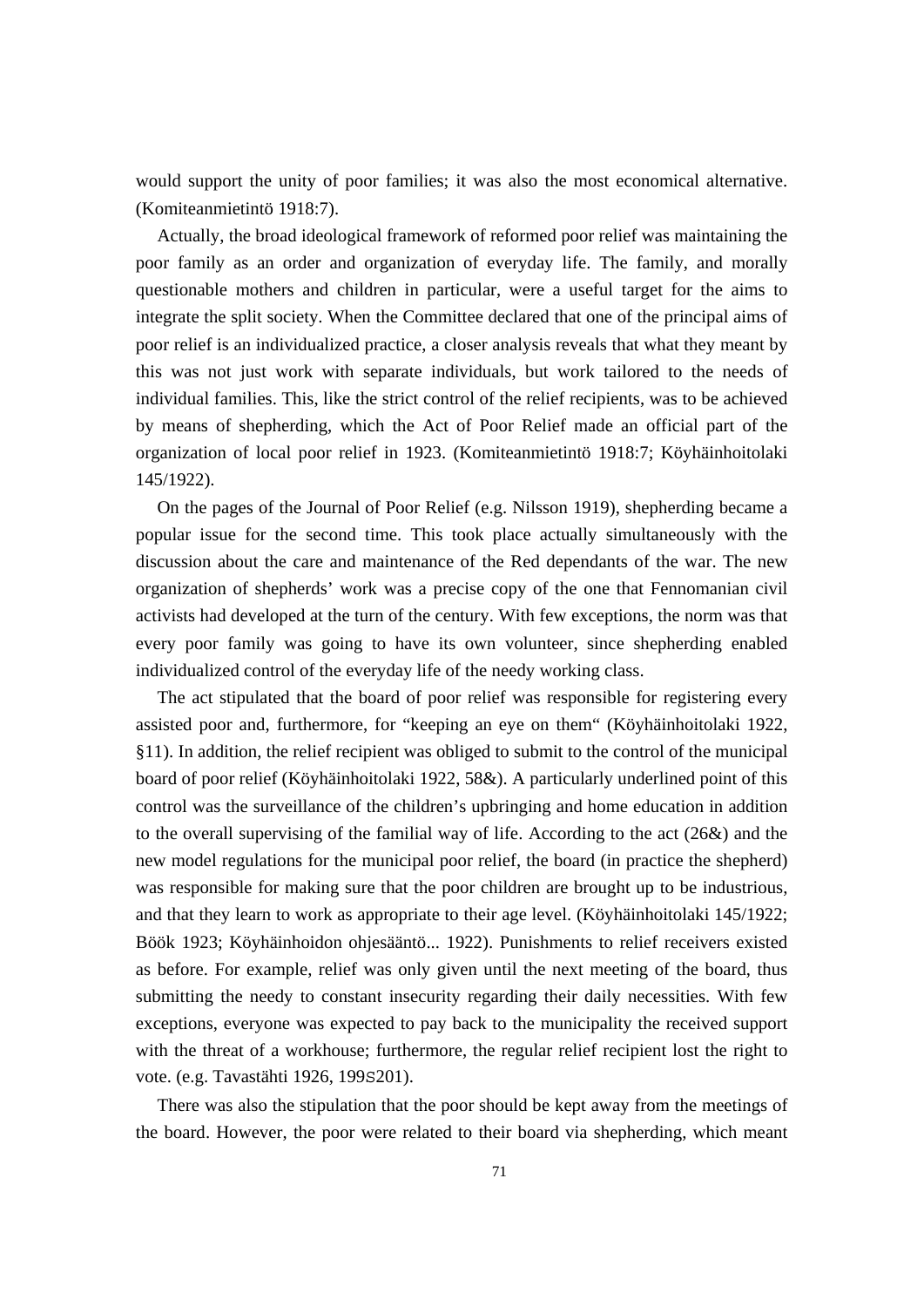would support the unity of poor families; it was also the most economical alternative. (Komiteanmietintö 1918:7).

 Actually, the broad ideological framework of reformed poor relief was maintaining the poor family as an order and organization of everyday life. The family, and morally questionable mothers and children in particular, were a useful target for the aims to integrate the split society. When the Committee declared that one of the principal aims of poor relief is an individualized practice, a closer analysis reveals that what they meant by this was not just work with separate individuals, but work tailored to the needs of individual families. This, like the strict control of the relief recipients, was to be achieved by means of shepherding, which the Act of Poor Relief made an official part of the organization of local poor relief in 1923. (Komiteanmietintö 1918:7; Köyhäinhoitolaki 145/1922).

 On the pages of the Journal of Poor Relief (e.g. Nilsson 1919), shepherding became a popular issue for the second time. This took place actually simultaneously with the discussion about the care and maintenance of the Red dependants of the war. The new organization of shepherds' work was a precise copy of the one that Fennomanian civil activists had developed at the turn of the century. With few exceptions, the norm was that every poor family was going to have its own volunteer, since shepherding enabled individualized control of the everyday life of the needy working class.

 The act stipulated that the board of poor relief was responsible for registering every assisted poor and, furthermore, for "keeping an eye on them" (Köyhäinhoitolaki 1922, §11). In addition, the relief recipient was obliged to submit to the control of the municipal board of poor relief (Köyhäinhoitolaki 1922, 58&). A particularly underlined point of this control was the surveillance of the children's upbringing and home education in addition to the overall supervising of the familial way of life. According to the act (26&) and the new model regulations for the municipal poor relief, the board (in practice the shepherd) was responsible for making sure that the poor children are brought up to be industrious, and that they learn to work as appropriate to their age level. (Köyhäinhoitolaki 145/1922; Böök 1923; Köyhäinhoidon ohjesääntö... 1922). Punishments to relief receivers existed as before. For example, relief was only given until the next meeting of the board, thus submitting the needy to constant insecurity regarding their daily necessities. With few exceptions, everyone was expected to pay back to the municipality the received support with the threat of a workhouse; furthermore, the regular relief recipient lost the right to vote. (e.g. Tavastähti 1926, 199S201).

 There was also the stipulation that the poor should be kept away from the meetings of the board. However, the poor were related to their board via shepherding, which meant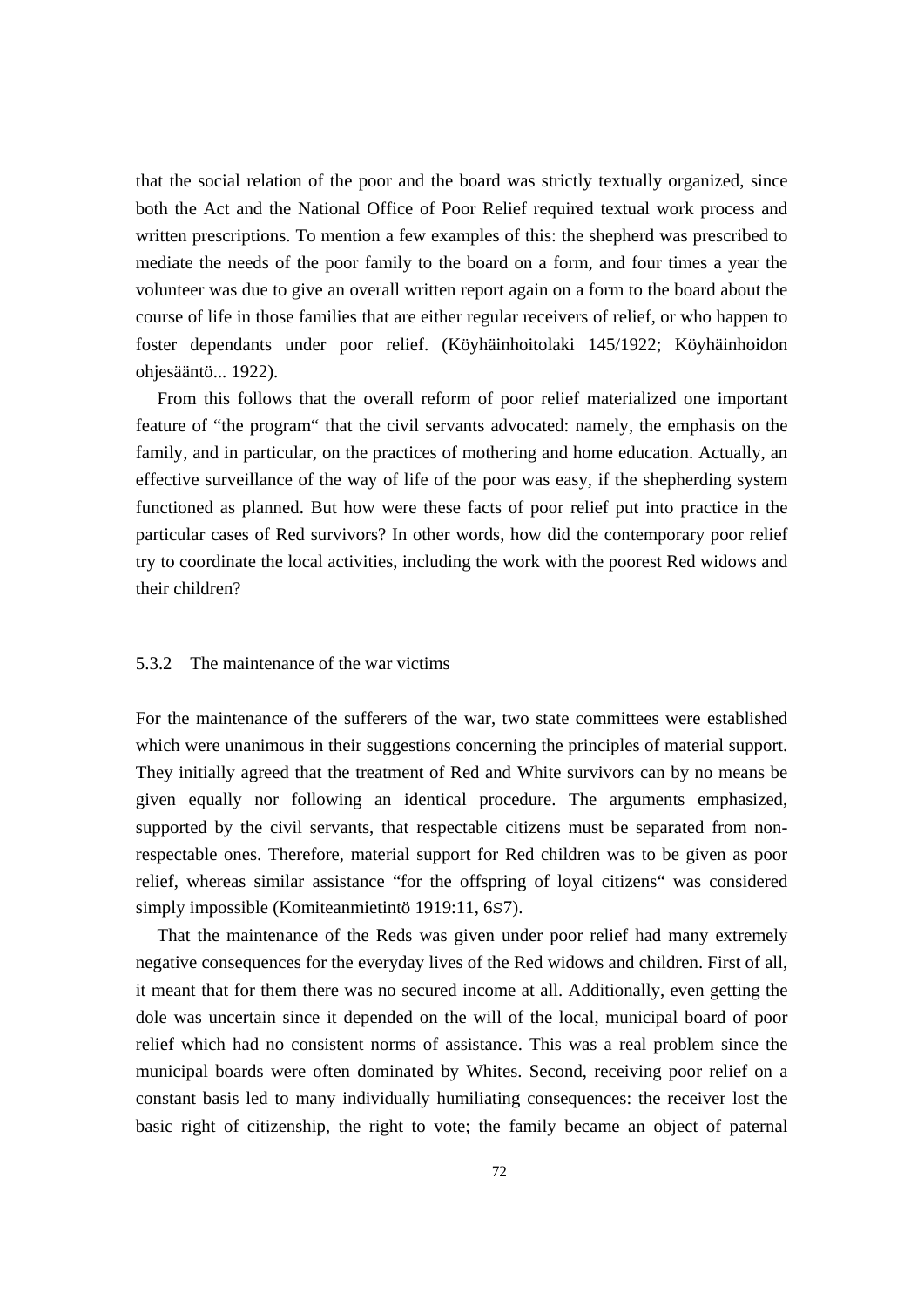that the social relation of the poor and the board was strictly textually organized, since both the Act and the National Office of Poor Relief required textual work process and written prescriptions. To mention a few examples of this: the shepherd was prescribed to mediate the needs of the poor family to the board on a form, and four times a year the volunteer was due to give an overall written report again on a form to the board about the course of life in those families that are either regular receivers of relief, or who happen to foster dependants under poor relief. (Köyhäinhoitolaki 145/1922; Köyhäinhoidon ohjesääntö... 1922).

 From this follows that the overall reform of poor relief materialized one important feature of "the program" that the civil servants advocated: namely, the emphasis on the family, and in particular, on the practices of mothering and home education. Actually, an effective surveillance of the way of life of the poor was easy, if the shepherding system functioned as planned. But how were these facts of poor relief put into practice in the particular cases of Red survivors? In other words, how did the contemporary poor relief try to coordinate the local activities, including the work with the poorest Red widows and their children?

## 5.3.2 The maintenance of the war victims

For the maintenance of the sufferers of the war, two state committees were established which were unanimous in their suggestions concerning the principles of material support. They initially agreed that the treatment of Red and White survivors can by no means be given equally nor following an identical procedure. The arguments emphasized, supported by the civil servants, that respectable citizens must be separated from nonrespectable ones. Therefore, material support for Red children was to be given as poor relief, whereas similar assistance "for the offspring of loyal citizens" was considered simply impossible (Komiteanmietintö 1919:11, 6S7).

 That the maintenance of the Reds was given under poor relief had many extremely negative consequences for the everyday lives of the Red widows and children. First of all, it meant that for them there was no secured income at all. Additionally, even getting the dole was uncertain since it depended on the will of the local, municipal board of poor relief which had no consistent norms of assistance. This was a real problem since the municipal boards were often dominated by Whites. Second, receiving poor relief on a constant basis led to many individually humiliating consequences: the receiver lost the basic right of citizenship, the right to vote; the family became an object of paternal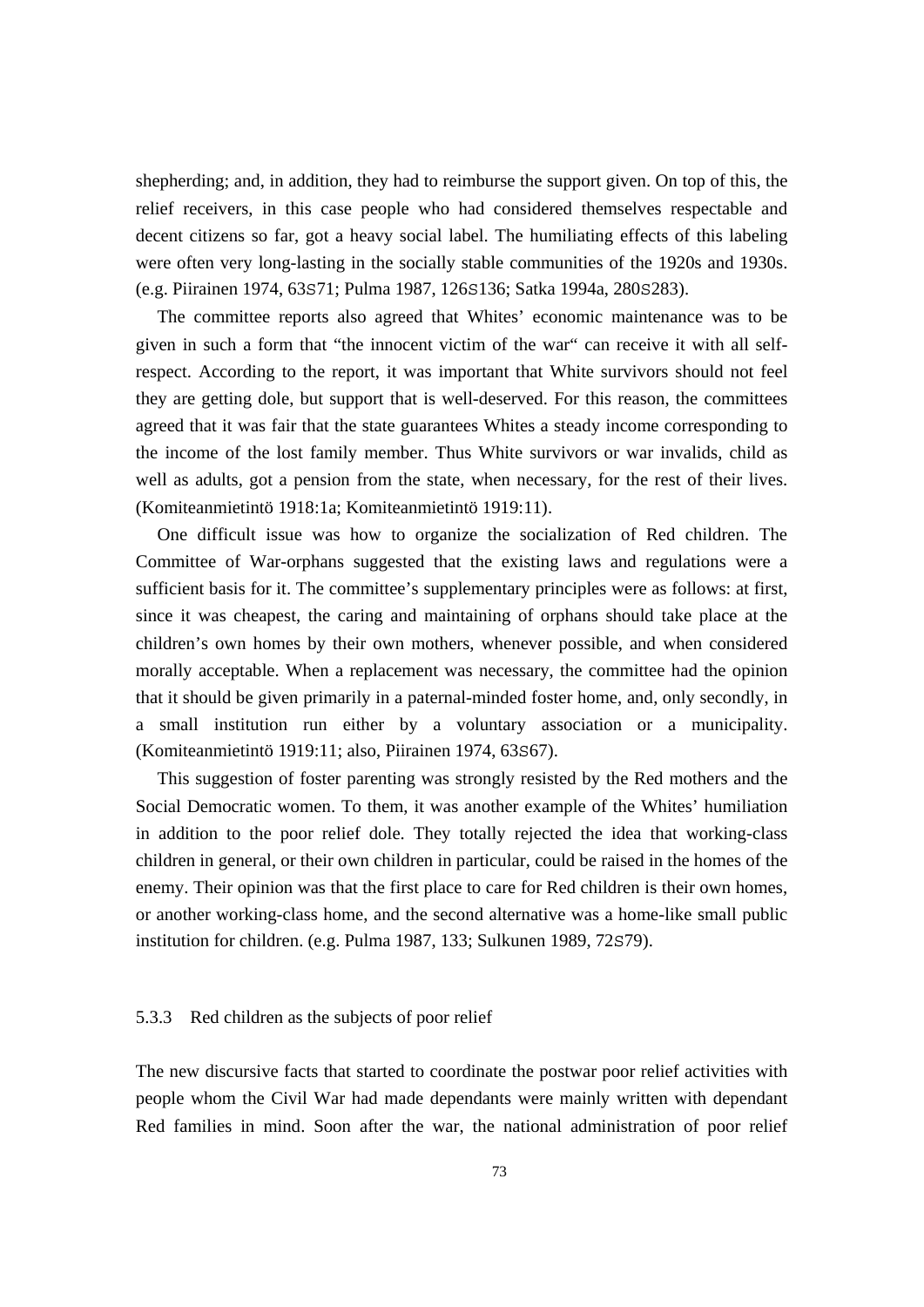shepherding; and, in addition, they had to reimburse the support given. On top of this, the relief receivers, in this case people who had considered themselves respectable and decent citizens so far, got a heavy social label. The humiliating effects of this labeling were often very long-lasting in the socially stable communities of the 1920s and 1930s. (e.g. Piirainen 1974, 63S71; Pulma 1987, 126S136; Satka 1994a, 280S283).

 The committee reports also agreed that Whites' economic maintenance was to be given in such a form that "the innocent victim of the war" can receive it with all selfrespect. According to the report, it was important that White survivors should not feel they are getting dole, but support that is well-deserved. For this reason, the committees agreed that it was fair that the state guarantees Whites a steady income corresponding to the income of the lost family member. Thus White survivors or war invalids, child as well as adults, got a pension from the state, when necessary, for the rest of their lives. (Komiteanmietintö 1918:1a; Komiteanmietintö 1919:11).

 One difficult issue was how to organize the socialization of Red children. The Committee of War-orphans suggested that the existing laws and regulations were a sufficient basis for it. The committee's supplementary principles were as follows: at first, since it was cheapest, the caring and maintaining of orphans should take place at the children's own homes by their own mothers, whenever possible, and when considered morally acceptable. When a replacement was necessary, the committee had the opinion that it should be given primarily in a paternal-minded foster home, and, only secondly, in a small institution run either by a voluntary association or a municipality. (Komiteanmietintö 1919:11; also, Piirainen 1974, 63S67).

 This suggestion of foster parenting was strongly resisted by the Red mothers and the Social Democratic women. To them, it was another example of the Whites' humiliation in addition to the poor relief dole. They totally rejected the idea that working-class children in general, or their own children in particular, could be raised in the homes of the enemy. Their opinion was that the first place to care for Red children is their own homes, or another working-class home, and the second alternative was a home-like small public institution for children. (e.g. Pulma 1987, 133; Sulkunen 1989, 72S79).

#### 5.3.3 Red children as the subjects of poor relief

The new discursive facts that started to coordinate the postwar poor relief activities with people whom the Civil War had made dependants were mainly written with dependant Red families in mind. Soon after the war, the national administration of poor relief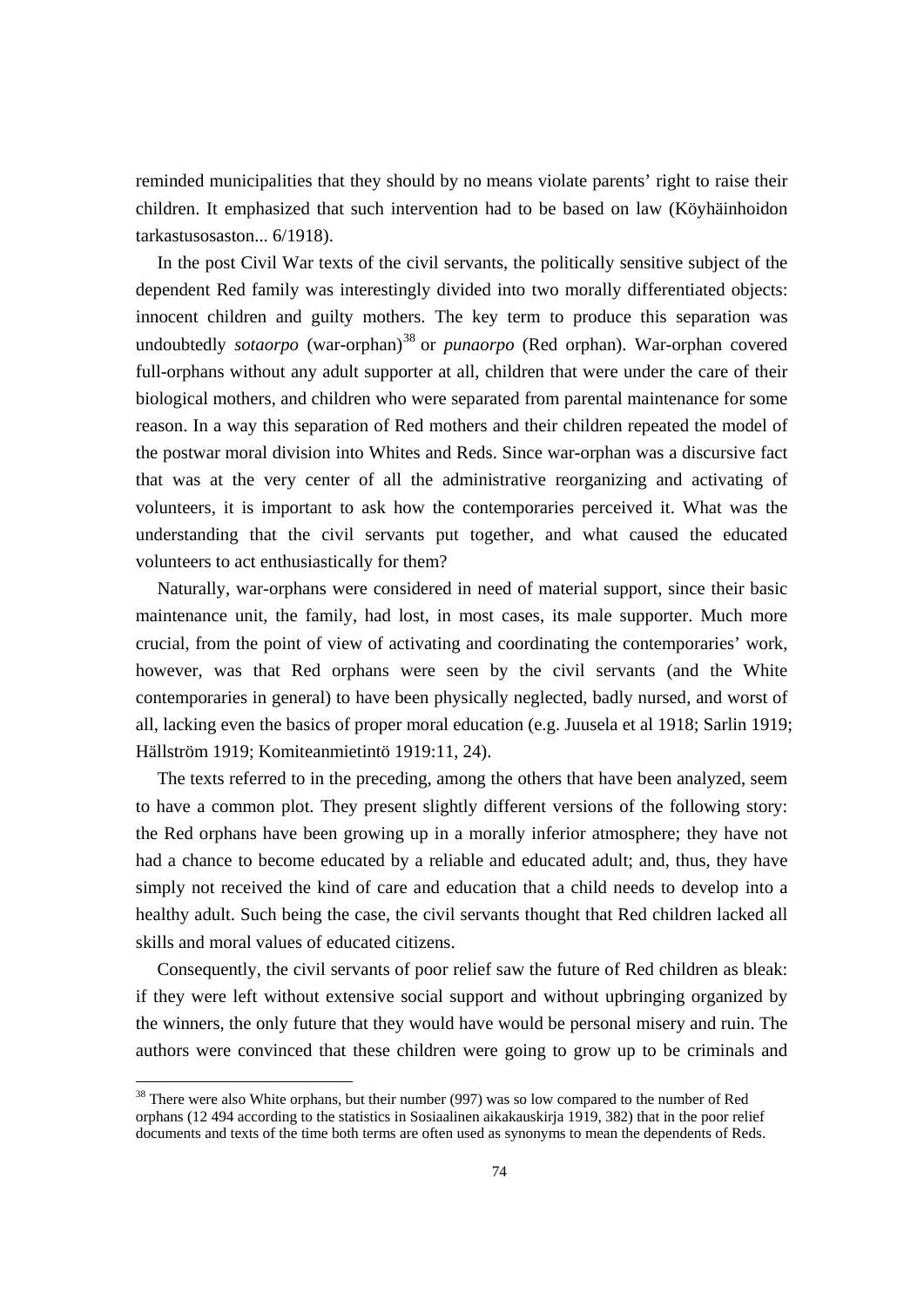reminded municipalities that they should by no means violate parents' right to raise their children. It emphasized that such intervention had to be based on law (Köyhäinhoidon tarkastusosaston... 6/1918).

 In the post Civil War texts of the civil servants, the politically sensitive subject of the dependent Red family was interestingly divided into two morally differentiated objects: innocent children and guilty mothers. The key term to produce this separation was undoubtedly *sotaorpo* (war-orphan)<sup>38</sup> or *punaorpo* (Red orphan). War-orphan covered full-orphans without any adult supporter at all, children that were under the care of their biological mothers, and children who were separated from parental maintenance for some reason. In a way this separation of Red mothers and their children repeated the model of the postwar moral division into Whites and Reds. Since war-orphan was a discursive fact that was at the very center of all the administrative reorganizing and activating of volunteers, it is important to ask how the contemporaries perceived it. What was the understanding that the civil servants put together, and what caused the educated volunteers to act enthusiastically for them?

 Naturally, war-orphans were considered in need of material support, since their basic maintenance unit, the family, had lost, in most cases, its male supporter. Much more crucial, from the point of view of activating and coordinating the contemporaries' work, however, was that Red orphans were seen by the civil servants (and the White contemporaries in general) to have been physically neglected, badly nursed, and worst of all, lacking even the basics of proper moral education (e.g. Juusela et al 1918; Sarlin 1919; Hällström 1919; Komiteanmietintö 1919:11, 24).

 The texts referred to in the preceding, among the others that have been analyzed, seem to have a common plot. They present slightly different versions of the following story: the Red orphans have been growing up in a morally inferior atmosphere; they have not had a chance to become educated by a reliable and educated adult; and, thus, they have simply not received the kind of care and education that a child needs to develop into a healthy adult. Such being the case, the civil servants thought that Red children lacked all skills and moral values of educated citizens.

 Consequently, the civil servants of poor relief saw the future of Red children as bleak: if they were left without extensive social support and without upbringing organized by the winners, the only future that they would have would be personal misery and ruin. The authors were convinced that these children were going to grow up to be criminals and

 $38$  There were also White orphans, but their number (997) was so low compared to the number of Red orphans (12 494 according to the statistics in Sosiaalinen aikakauskirja 1919, 382) that in the poor relief documents and texts of the time both terms are often used as synonyms to mean the dependents of Reds.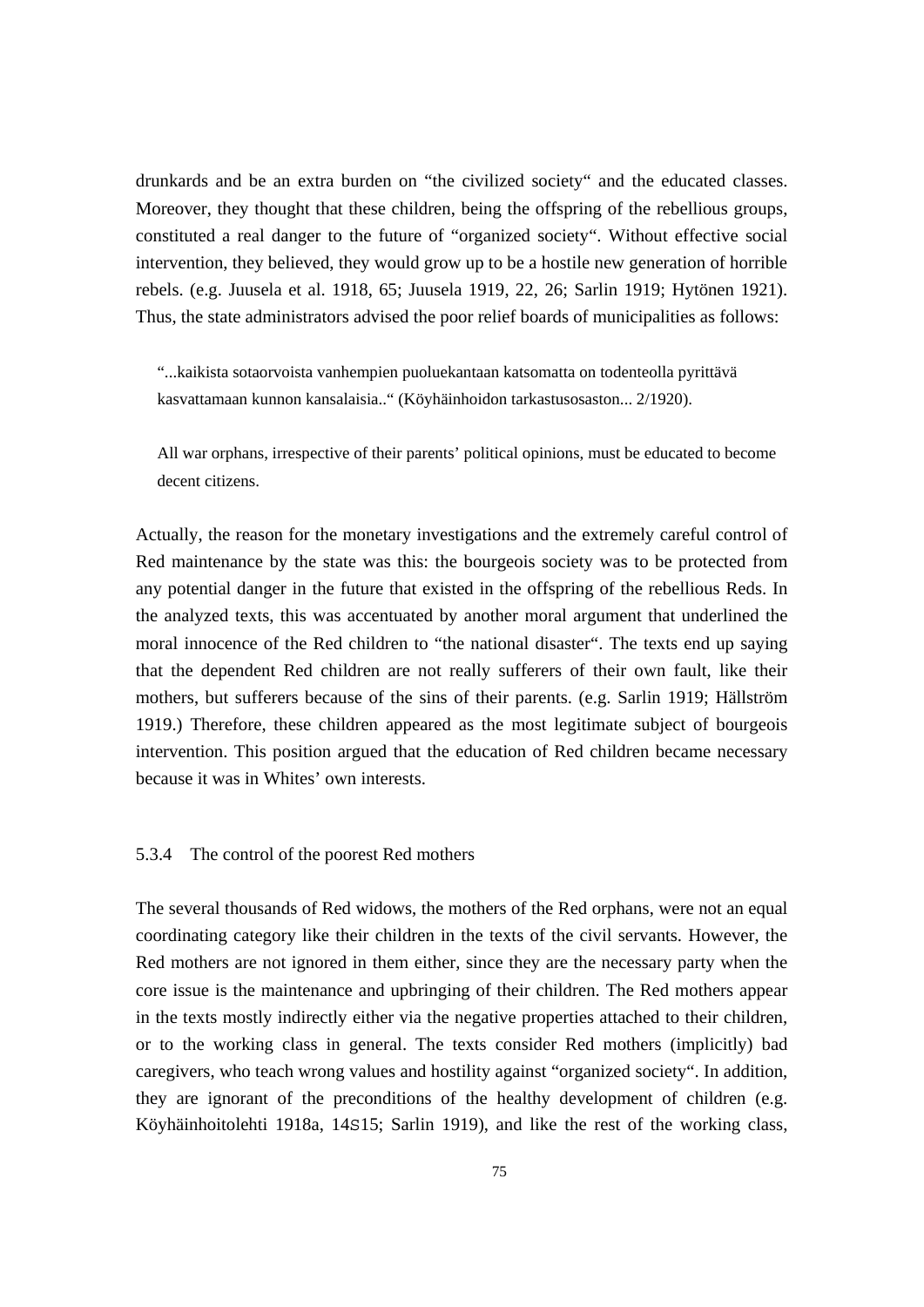drunkards and be an extra burden on "the civilized society" and the educated classes. Moreover, they thought that these children, being the offspring of the rebellious groups, constituted a real danger to the future of "organized society". Without effective social intervention, they believed, they would grow up to be a hostile new generation of horrible rebels. (e.g. Juusela et al. 1918, 65; Juusela 1919, 22, 26; Sarlin 1919; Hytönen 1921). Thus, the state administrators advised the poor relief boards of municipalities as follows:

"...kaikista sotaorvoista vanhempien puoluekantaan katsomatta on todenteolla pyrittävä kasvattamaan kunnon kansalaisia.." (Köyhäinhoidon tarkastusosaston... 2/1920).

All war orphans, irrespective of their parents' political opinions, must be educated to become decent citizens.

Actually, the reason for the monetary investigations and the extremely careful control of Red maintenance by the state was this: the bourgeois society was to be protected from any potential danger in the future that existed in the offspring of the rebellious Reds. In the analyzed texts, this was accentuated by another moral argument that underlined the moral innocence of the Red children to "the national disaster". The texts end up saying that the dependent Red children are not really sufferers of their own fault, like their mothers, but sufferers because of the sins of their parents. (e.g. Sarlin 1919; Hällström 1919.) Therefore, these children appeared as the most legitimate subject of bourgeois intervention. This position argued that the education of Red children became necessary because it was in Whites' own interests.

#### 5.3.4 The control of the poorest Red mothers

The several thousands of Red widows, the mothers of the Red orphans, were not an equal coordinating category like their children in the texts of the civil servants. However, the Red mothers are not ignored in them either, since they are the necessary party when the core issue is the maintenance and upbringing of their children. The Red mothers appear in the texts mostly indirectly either via the negative properties attached to their children, or to the working class in general. The texts consider Red mothers (implicitly) bad caregivers, who teach wrong values and hostility against "organized society". In addition, they are ignorant of the preconditions of the healthy development of children (e.g. Köyhäinhoitolehti 1918a, 14S15; Sarlin 1919), and like the rest of the working class,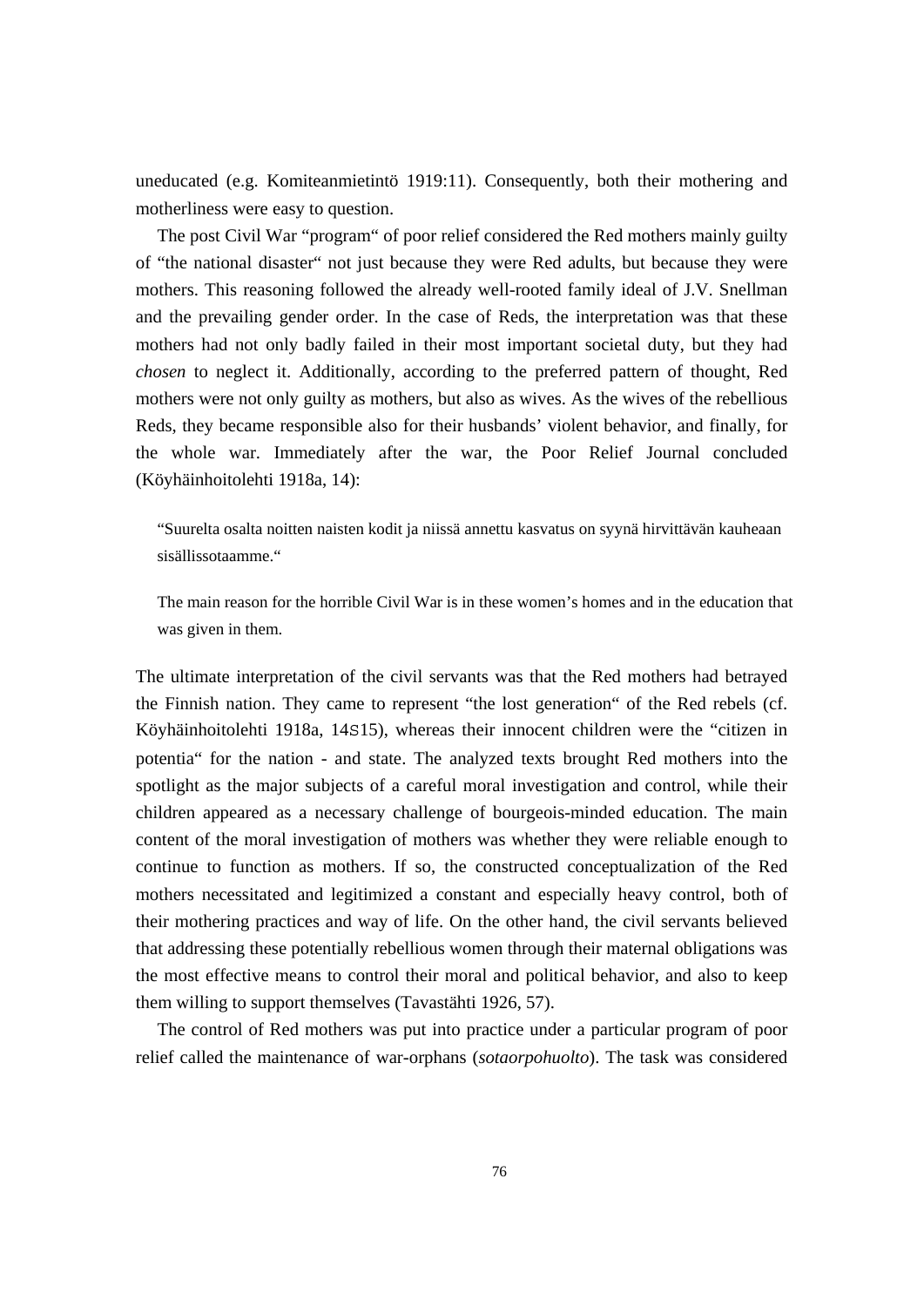uneducated (e.g. Komiteanmietintö 1919:11). Consequently, both their mothering and motherliness were easy to question.

 The post Civil War "program" of poor relief considered the Red mothers mainly guilty of "the national disaster" not just because they were Red adults, but because they were mothers. This reasoning followed the already well-rooted family ideal of J.V. Snellman and the prevailing gender order. In the case of Reds, the interpretation was that these mothers had not only badly failed in their most important societal duty, but they had *chosen* to neglect it. Additionally, according to the preferred pattern of thought, Red mothers were not only guilty as mothers, but also as wives. As the wives of the rebellious Reds, they became responsible also for their husbands' violent behavior, and finally, for the whole war. Immediately after the war, the Poor Relief Journal concluded (Köyhäinhoitolehti 1918a, 14):

"Suurelta osalta noitten naisten kodit ja niissä annettu kasvatus on syynä hirvittävän kauheaan sisällissotaamme."

The main reason for the horrible Civil War is in these women's homes and in the education that was given in them.

The ultimate interpretation of the civil servants was that the Red mothers had betrayed the Finnish nation. They came to represent "the lost generation" of the Red rebels (cf. Köyhäinhoitolehti 1918a, 14S15), whereas their innocent children were the "citizen in potentia" for the nation - and state. The analyzed texts brought Red mothers into the spotlight as the major subjects of a careful moral investigation and control, while their children appeared as a necessary challenge of bourgeois-minded education. The main content of the moral investigation of mothers was whether they were reliable enough to continue to function as mothers. If so, the constructed conceptualization of the Red mothers necessitated and legitimized a constant and especially heavy control, both of their mothering practices and way of life. On the other hand, the civil servants believed that addressing these potentially rebellious women through their maternal obligations was the most effective means to control their moral and political behavior, and also to keep them willing to support themselves (Tavastähti 1926, 57).

 The control of Red mothers was put into practice under a particular program of poor relief called the maintenance of war-orphans (*sotaorpohuolto*). The task was considered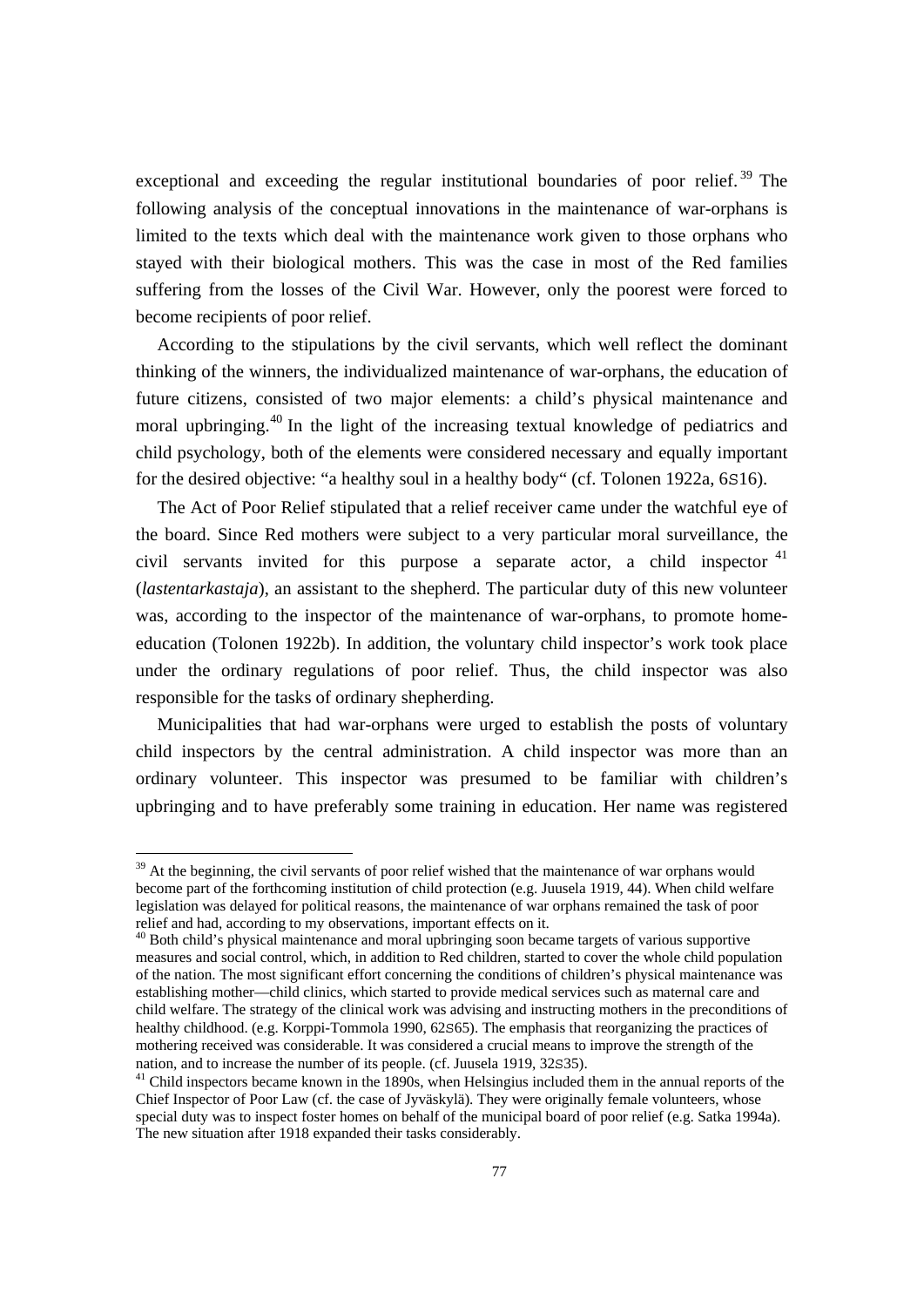exceptional and exceeding the regular institutional boundaries of poor relief.<sup>39</sup> The following analysis of the conceptual innovations in the maintenance of war-orphans is limited to the texts which deal with the maintenance work given to those orphans who stayed with their biological mothers. This was the case in most of the Red families suffering from the losses of the Civil War. However, only the poorest were forced to become recipients of poor relief.

 According to the stipulations by the civil servants, which well reflect the dominant thinking of the winners, the individualized maintenance of war-orphans, the education of future citizens, consisted of two major elements: a child's physical maintenance and moral upbringing.<sup>40</sup> In the light of the increasing textual knowledge of pediatrics and child psychology, both of the elements were considered necessary and equally important for the desired objective: "a healthy soul in a healthy body" (cf. Tolonen 1922a, 6S16).

 The Act of Poor Relief stipulated that a relief receiver came under the watchful eye of the board. Since Red mothers were subject to a very particular moral surveillance, the civil servants invited for this purpose a separate actor, a child inspector  $41$ (*lastentarkastaja*), an assistant to the shepherd. The particular duty of this new volunteer was, according to the inspector of the maintenance of war-orphans, to promote homeeducation (Tolonen 1922b). In addition, the voluntary child inspector's work took place under the ordinary regulations of poor relief. Thus, the child inspector was also responsible for the tasks of ordinary shepherding.

 Municipalities that had war-orphans were urged to establish the posts of voluntary child inspectors by the central administration. A child inspector was more than an ordinary volunteer. This inspector was presumed to be familiar with children's upbringing and to have preferably some training in education. Her name was registered

<sup>&</sup>lt;sup>39</sup> At the beginning, the civil servants of poor relief wished that the maintenance of war orphans would become part of the forthcoming institution of child protection (e.g. Juusela 1919, 44). When child welfare legislation was delayed for political reasons, the maintenance of war orphans remained the task of poor relief and had, according to my observations, important effects on it.

<sup>&</sup>lt;sup>40</sup> Both child's physical maintenance and moral upbringing soon became targets of various supportive measures and social control, which, in addition to Red children, started to cover the whole child population of the nation. The most significant effort concerning the conditions of children's physical maintenance was establishing mother—child clinics, which started to provide medical services such as maternal care and child welfare. The strategy of the clinical work was advising and instructing mothers in the preconditions of healthy childhood. (e.g. Korppi-Tommola 1990, 62S65). The emphasis that reorganizing the practices of mothering received was considerable. It was considered a crucial means to improve the strength of the nation, and to increase the number of its people. (cf. Juusela 1919, 32S35).<br><sup>41</sup> Child inspectors became known in the 1890s, when Helsingius included them in the annual reports of the

Chief Inspector of Poor Law (cf. the case of Jyväskylä). They were originally female volunteers, whose special duty was to inspect foster homes on behalf of the municipal board of poor relief (e.g. Satka 1994a). The new situation after 1918 expanded their tasks considerably.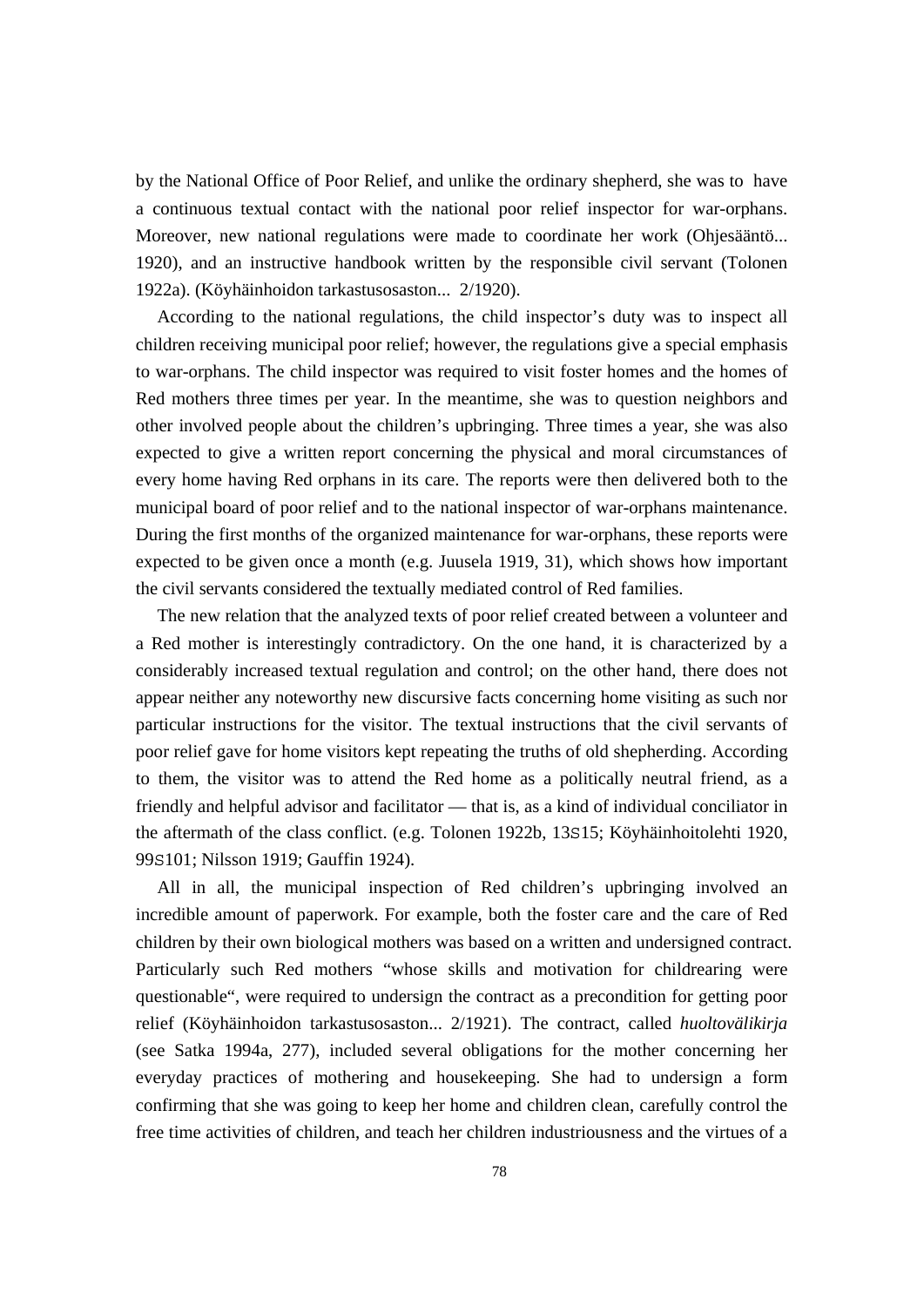by the National Office of Poor Relief, and unlike the ordinary shepherd, she was to have a continuous textual contact with the national poor relief inspector for war-orphans. Moreover, new national regulations were made to coordinate her work (Ohjesääntö... 1920), and an instructive handbook written by the responsible civil servant (Tolonen 1922a). (Köyhäinhoidon tarkastusosaston... 2/1920).

 According to the national regulations, the child inspector's duty was to inspect all children receiving municipal poor relief; however, the regulations give a special emphasis to war-orphans. The child inspector was required to visit foster homes and the homes of Red mothers three times per year. In the meantime, she was to question neighbors and other involved people about the children's upbringing. Three times a year, she was also expected to give a written report concerning the physical and moral circumstances of every home having Red orphans in its care. The reports were then delivered both to the municipal board of poor relief and to the national inspector of war-orphans maintenance. During the first months of the organized maintenance for war-orphans, these reports were expected to be given once a month (e.g. Juusela 1919, 31), which shows how important the civil servants considered the textually mediated control of Red families.

 The new relation that the analyzed texts of poor relief created between a volunteer and a Red mother is interestingly contradictory. On the one hand, it is characterized by a considerably increased textual regulation and control; on the other hand, there does not appear neither any noteworthy new discursive facts concerning home visiting as such nor particular instructions for the visitor. The textual instructions that the civil servants of poor relief gave for home visitors kept repeating the truths of old shepherding. According to them, the visitor was to attend the Red home as a politically neutral friend, as a friendly and helpful advisor and facilitator — that is, as a kind of individual conciliator in the aftermath of the class conflict. (e.g. Tolonen 1922b, 13S15; Köyhäinhoitolehti 1920, 99S101; Nilsson 1919; Gauffin 1924).

 All in all, the municipal inspection of Red children's upbringing involved an incredible amount of paperwork. For example, both the foster care and the care of Red children by their own biological mothers was based on a written and undersigned contract. Particularly such Red mothers "whose skills and motivation for childrearing were questionable", were required to undersign the contract as a precondition for getting poor relief (Köyhäinhoidon tarkastusosaston... 2/1921). The contract, called *huoltovälikirja* (see Satka 1994a, 277), included several obligations for the mother concerning her everyday practices of mothering and housekeeping. She had to undersign a form confirming that she was going to keep her home and children clean, carefully control the free time activities of children, and teach her children industriousness and the virtues of a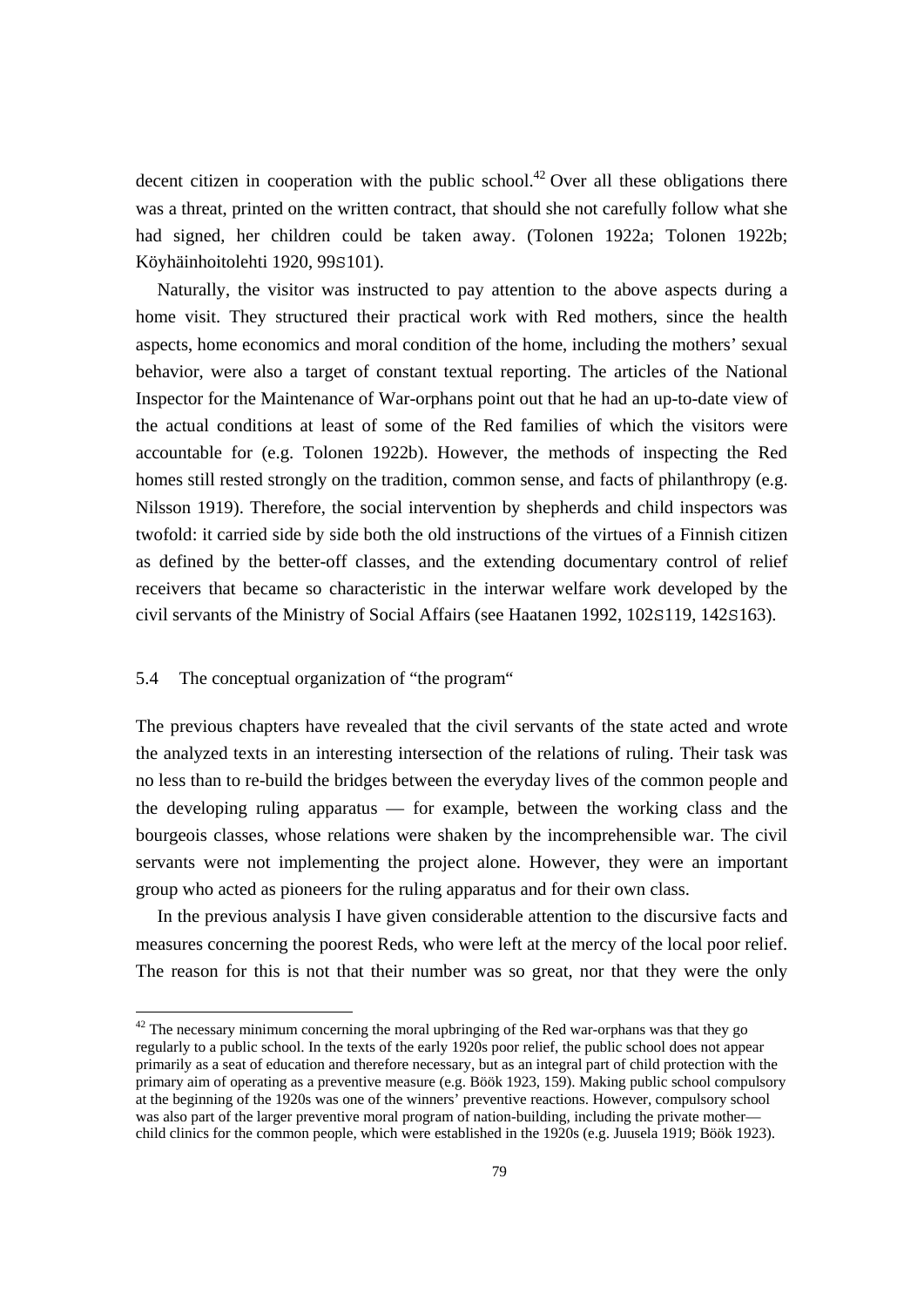decent citizen in cooperation with the public school.<sup>42</sup> Over all these obligations there was a threat, printed on the written contract, that should she not carefully follow what she had signed, her children could be taken away. (Tolonen 1922a; Tolonen 1922b; Köyhäinhoitolehti 1920, 99S101).

 Naturally, the visitor was instructed to pay attention to the above aspects during a home visit. They structured their practical work with Red mothers, since the health aspects, home economics and moral condition of the home, including the mothers' sexual behavior, were also a target of constant textual reporting. The articles of the National Inspector for the Maintenance of War-orphans point out that he had an up-to-date view of the actual conditions at least of some of the Red families of which the visitors were accountable for (e.g. Tolonen 1922b). However, the methods of inspecting the Red homes still rested strongly on the tradition, common sense, and facts of philanthropy (e.g. Nilsson 1919). Therefore, the social intervention by shepherds and child inspectors was twofold: it carried side by side both the old instructions of the virtues of a Finnish citizen as defined by the better-off classes, and the extending documentary control of relief receivers that became so characteristic in the interwar welfare work developed by the civil servants of the Ministry of Social Affairs (see Haatanen 1992, 102S119, 142S163).

## 5.4 The conceptual organization of "the program"

l

The previous chapters have revealed that the civil servants of the state acted and wrote the analyzed texts in an interesting intersection of the relations of ruling. Their task was no less than to re-build the bridges between the everyday lives of the common people and the developing ruling apparatus — for example, between the working class and the bourgeois classes, whose relations were shaken by the incomprehensible war. The civil servants were not implementing the project alone. However, they were an important group who acted as pioneers for the ruling apparatus and for their own class.

 In the previous analysis I have given considerable attention to the discursive facts and measures concerning the poorest Reds, who were left at the mercy of the local poor relief. The reason for this is not that their number was so great, nor that they were the only

 $42$  The necessary minimum concerning the moral upbringing of the Red war-orphans was that they go regularly to a public school. In the texts of the early 1920s poor relief, the public school does not appear primarily as a seat of education and therefore necessary, but as an integral part of child protection with the primary aim of operating as a preventive measure (e.g. Böök 1923, 159). Making public school compulsory at the beginning of the 1920s was one of the winners' preventive reactions. However, compulsory school was also part of the larger preventive moral program of nation-building, including the private mother child clinics for the common people, which were established in the 1920s (e.g. Juusela 1919; Böök 1923).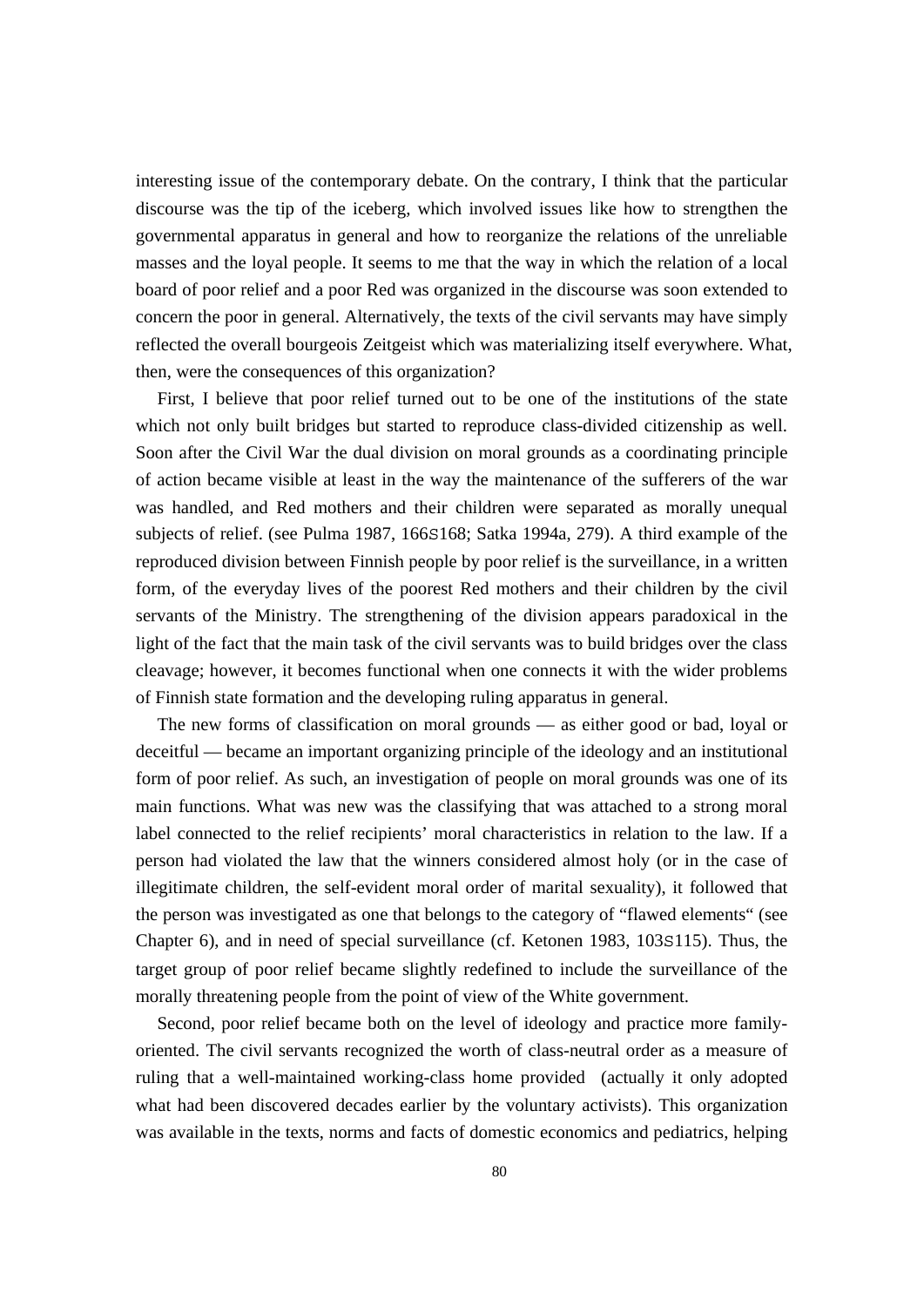interesting issue of the contemporary debate. On the contrary, I think that the particular discourse was the tip of the iceberg, which involved issues like how to strengthen the governmental apparatus in general and how to reorganize the relations of the unreliable masses and the loyal people. It seems to me that the way in which the relation of a local board of poor relief and a poor Red was organized in the discourse was soon extended to concern the poor in general. Alternatively, the texts of the civil servants may have simply reflected the overall bourgeois Zeitgeist which was materializing itself everywhere. What, then, were the consequences of this organization?

 First, I believe that poor relief turned out to be one of the institutions of the state which not only built bridges but started to reproduce class-divided citizenship as well. Soon after the Civil War the dual division on moral grounds as a coordinating principle of action became visible at least in the way the maintenance of the sufferers of the war was handled, and Red mothers and their children were separated as morally unequal subjects of relief. (see Pulma 1987, 166S168; Satka 1994a, 279). A third example of the reproduced division between Finnish people by poor relief is the surveillance, in a written form, of the everyday lives of the poorest Red mothers and their children by the civil servants of the Ministry. The strengthening of the division appears paradoxical in the light of the fact that the main task of the civil servants was to build bridges over the class cleavage; however, it becomes functional when one connects it with the wider problems of Finnish state formation and the developing ruling apparatus in general.

 The new forms of classification on moral grounds — as either good or bad, loyal or deceitful — became an important organizing principle of the ideology and an institutional form of poor relief. As such, an investigation of people on moral grounds was one of its main functions. What was new was the classifying that was attached to a strong moral label connected to the relief recipients' moral characteristics in relation to the law. If a person had violated the law that the winners considered almost holy (or in the case of illegitimate children, the self-evident moral order of marital sexuality), it followed that the person was investigated as one that belongs to the category of "flawed elements" (see Chapter 6), and in need of special surveillance (cf. Ketonen 1983, 103S115). Thus, the target group of poor relief became slightly redefined to include the surveillance of the morally threatening people from the point of view of the White government.

 Second, poor relief became both on the level of ideology and practice more familyoriented. The civil servants recognized the worth of class-neutral order as a measure of ruling that a well-maintained working-class home provided (actually it only adopted what had been discovered decades earlier by the voluntary activists). This organization was available in the texts, norms and facts of domestic economics and pediatrics, helping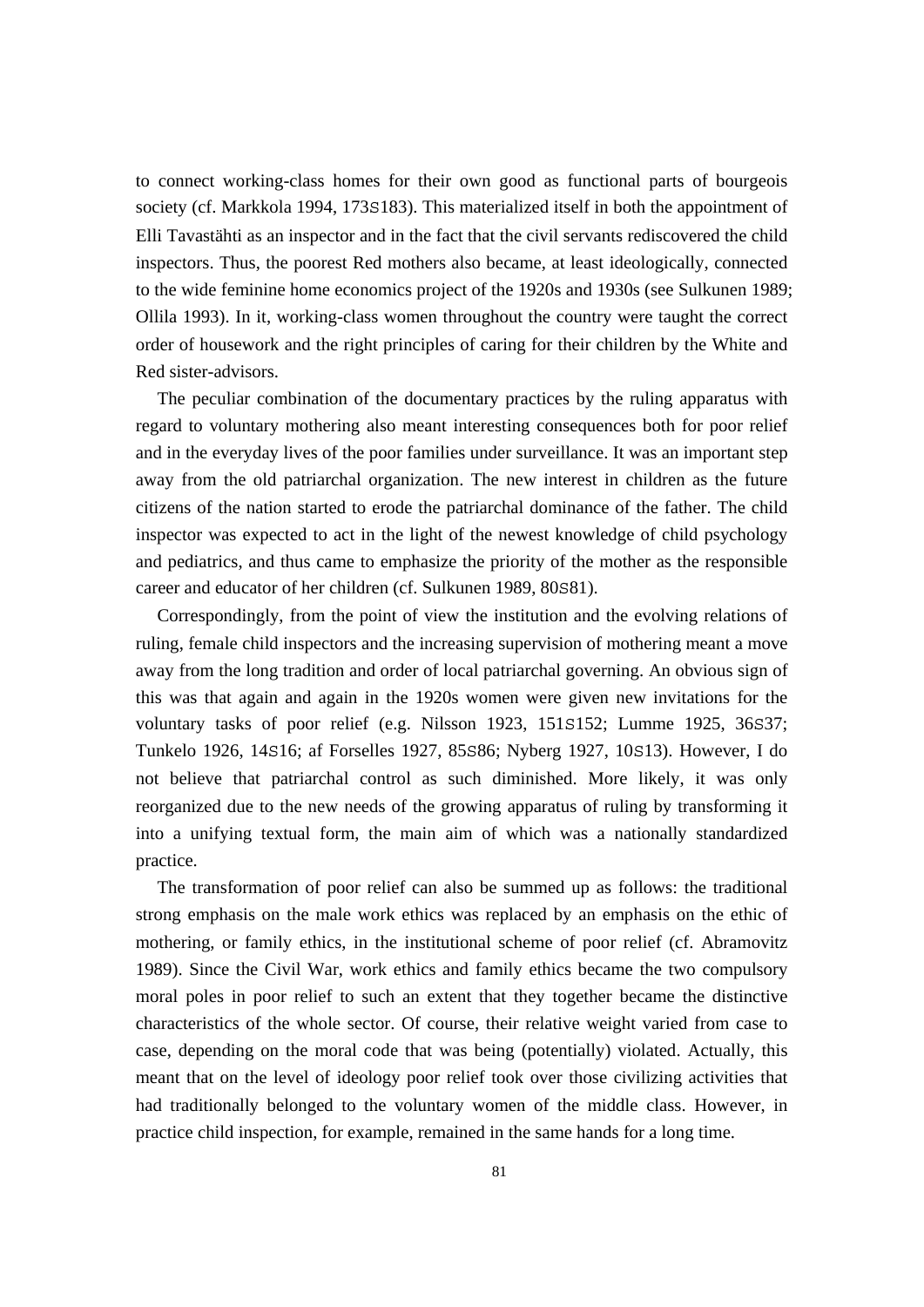to connect working-class homes for their own good as functional parts of bourgeois society (cf. Markkola 1994, 173S183). This materialized itself in both the appointment of Elli Tavastähti as an inspector and in the fact that the civil servants rediscovered the child inspectors. Thus, the poorest Red mothers also became, at least ideologically, connected to the wide feminine home economics project of the 1920s and 1930s (see Sulkunen 1989; Ollila 1993). In it, working-class women throughout the country were taught the correct order of housework and the right principles of caring for their children by the White and Red sister-advisors.

 The peculiar combination of the documentary practices by the ruling apparatus with regard to voluntary mothering also meant interesting consequences both for poor relief and in the everyday lives of the poor families under surveillance. It was an important step away from the old patriarchal organization. The new interest in children as the future citizens of the nation started to erode the patriarchal dominance of the father. The child inspector was expected to act in the light of the newest knowledge of child psychology and pediatrics, and thus came to emphasize the priority of the mother as the responsible career and educator of her children (cf. Sulkunen 1989, 80S81).

 Correspondingly, from the point of view the institution and the evolving relations of ruling, female child inspectors and the increasing supervision of mothering meant a move away from the long tradition and order of local patriarchal governing. An obvious sign of this was that again and again in the 1920s women were given new invitations for the voluntary tasks of poor relief (e.g. Nilsson 1923, 151S152; Lumme 1925, 36S37; Tunkelo 1926, 14S16; af Forselles 1927, 85S86; Nyberg 1927, 10S13). However, I do not believe that patriarchal control as such diminished. More likely, it was only reorganized due to the new needs of the growing apparatus of ruling by transforming it into a unifying textual form, the main aim of which was a nationally standardized practice.

 The transformation of poor relief can also be summed up as follows: the traditional strong emphasis on the male work ethics was replaced by an emphasis on the ethic of mothering, or family ethics, in the institutional scheme of poor relief (cf. Abramovitz 1989). Since the Civil War, work ethics and family ethics became the two compulsory moral poles in poor relief to such an extent that they together became the distinctive characteristics of the whole sector. Of course, their relative weight varied from case to case, depending on the moral code that was being (potentially) violated. Actually, this meant that on the level of ideology poor relief took over those civilizing activities that had traditionally belonged to the voluntary women of the middle class. However, in practice child inspection, for example, remained in the same hands for a long time.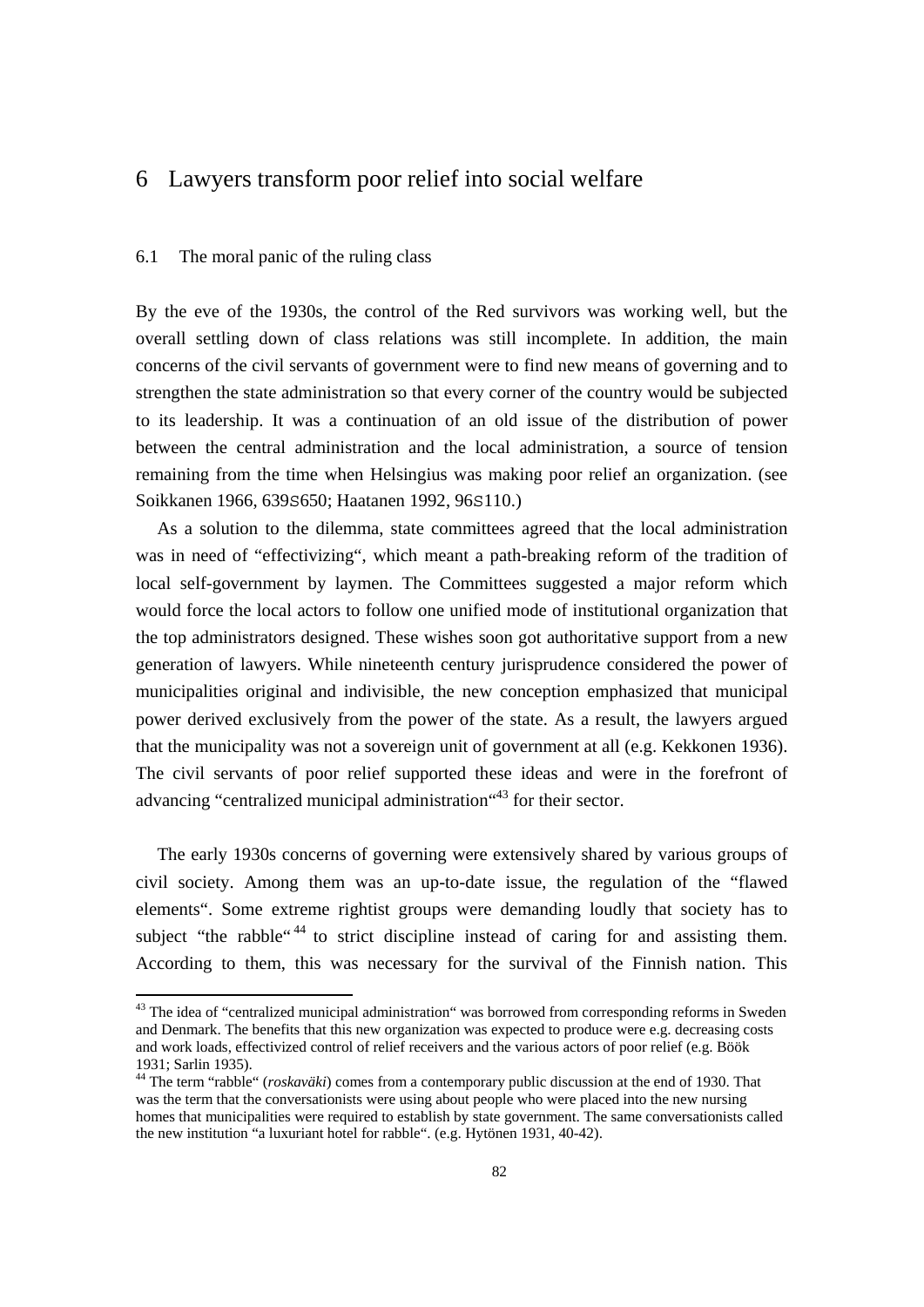# 6 Lawyers transform poor relief into social welfare

#### 6.1 The moral panic of the ruling class

By the eve of the 1930s, the control of the Red survivors was working well, but the overall settling down of class relations was still incomplete. In addition, the main concerns of the civil servants of government were to find new means of governing and to strengthen the state administration so that every corner of the country would be subjected to its leadership. It was a continuation of an old issue of the distribution of power between the central administration and the local administration, a source of tension remaining from the time when Helsingius was making poor relief an organization. (see Soikkanen 1966, 639S650; Haatanen 1992, 96S110.)

 As a solution to the dilemma, state committees agreed that the local administration was in need of "effectivizing", which meant a path-breaking reform of the tradition of local self-government by laymen. The Committees suggested a major reform which would force the local actors to follow one unified mode of institutional organization that the top administrators designed. These wishes soon got authoritative support from a new generation of lawyers. While nineteenth century jurisprudence considered the power of municipalities original and indivisible, the new conception emphasized that municipal power derived exclusively from the power of the state. As a result, the lawyers argued that the municipality was not a sovereign unit of government at all (e.g. Kekkonen 1936). The civil servants of poor relief supported these ideas and were in the forefront of advancing "centralized municipal administration"<sup>43</sup> for their sector.

 The early 1930s concerns of governing were extensively shared by various groups of civil society. Among them was an up-to-date issue, the regulation of the "flawed elements". Some extreme rightist groups were demanding loudly that society has to subject "the rabble"<sup>44</sup> to strict discipline instead of caring for and assisting them. According to them, this was necessary for the survival of the Finnish nation. This

<sup>&</sup>lt;sup>43</sup> The idea of "centralized municipal administration" was borrowed from corresponding reforms in Sweden and Denmark. The benefits that this new organization was expected to produce were e.g. decreasing costs and work loads, effectivized control of relief receivers and the various actors of poor relief (e.g. Böök 1931; Sarlin 1935).

<sup>44</sup> The term "rabble" (*roskaväki*) comes from a contemporary public discussion at the end of 1930. That was the term that the conversationists were using about people who were placed into the new nursing homes that municipalities were required to establish by state government. The same conversationists called the new institution "a luxuriant hotel for rabble". (e.g. Hytönen 1931, 40-42).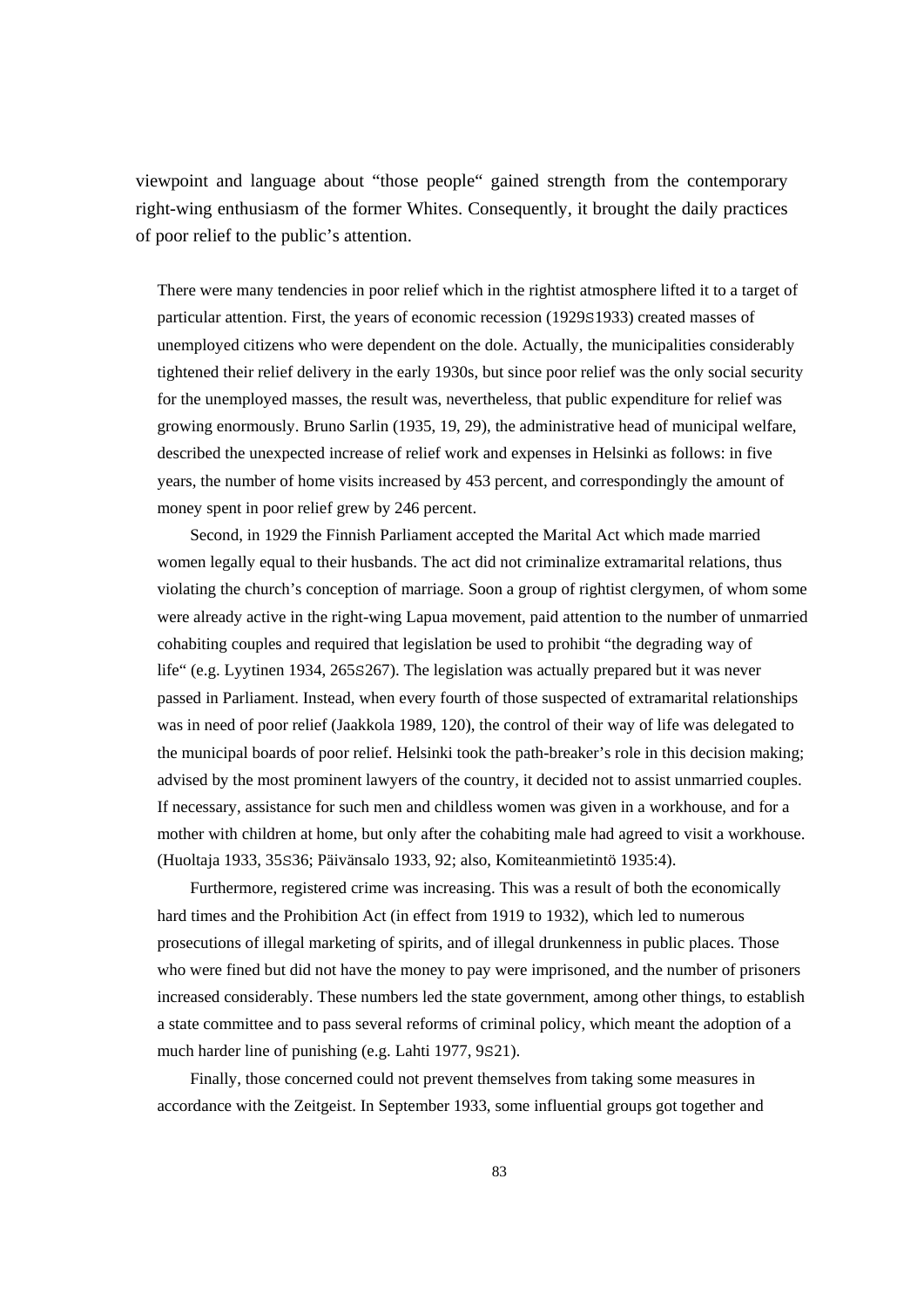viewpoint and language about "those people" gained strength from the contemporary right-wing enthusiasm of the former Whites. Consequently, it brought the daily practices of poor relief to the public's attention.

There were many tendencies in poor relief which in the rightist atmosphere lifted it to a target of particular attention. First, the years of economic recession (1929S1933) created masses of unemployed citizens who were dependent on the dole. Actually, the municipalities considerably tightened their relief delivery in the early 1930s, but since poor relief was the only social security for the unemployed masses, the result was, nevertheless, that public expenditure for relief was growing enormously. Bruno Sarlin (1935, 19, 29), the administrative head of municipal welfare, described the unexpected increase of relief work and expenses in Helsinki as follows: in five years, the number of home visits increased by 453 percent, and correspondingly the amount of money spent in poor relief grew by 246 percent.

 Second, in 1929 the Finnish Parliament accepted the Marital Act which made married women legally equal to their husbands. The act did not criminalize extramarital relations, thus violating the church's conception of marriage. Soon a group of rightist clergymen, of whom some were already active in the right-wing Lapua movement, paid attention to the number of unmarried cohabiting couples and required that legislation be used to prohibit "the degrading way of life" (e.g. Lyytinen 1934, 265S267). The legislation was actually prepared but it was never passed in Parliament. Instead, when every fourth of those suspected of extramarital relationships was in need of poor relief (Jaakkola 1989, 120), the control of their way of life was delegated to the municipal boards of poor relief. Helsinki took the path-breaker's role in this decision making; advised by the most prominent lawyers of the country, it decided not to assist unmarried couples. If necessary, assistance for such men and childless women was given in a workhouse, and for a mother with children at home, but only after the cohabiting male had agreed to visit a workhouse. (Huoltaja 1933, 35S36; Päivänsalo 1933, 92; also, Komiteanmietintö 1935:4).

 Furthermore, registered crime was increasing. This was a result of both the economically hard times and the Prohibition Act (in effect from 1919 to 1932), which led to numerous prosecutions of illegal marketing of spirits, and of illegal drunkenness in public places. Those who were fined but did not have the money to pay were imprisoned, and the number of prisoners increased considerably. These numbers led the state government, among other things, to establish a state committee and to pass several reforms of criminal policy, which meant the adoption of a much harder line of punishing (e.g. Lahti 1977, 9S21).

 Finally, those concerned could not prevent themselves from taking some measures in accordance with the Zeitgeist. In September 1933, some influential groups got together and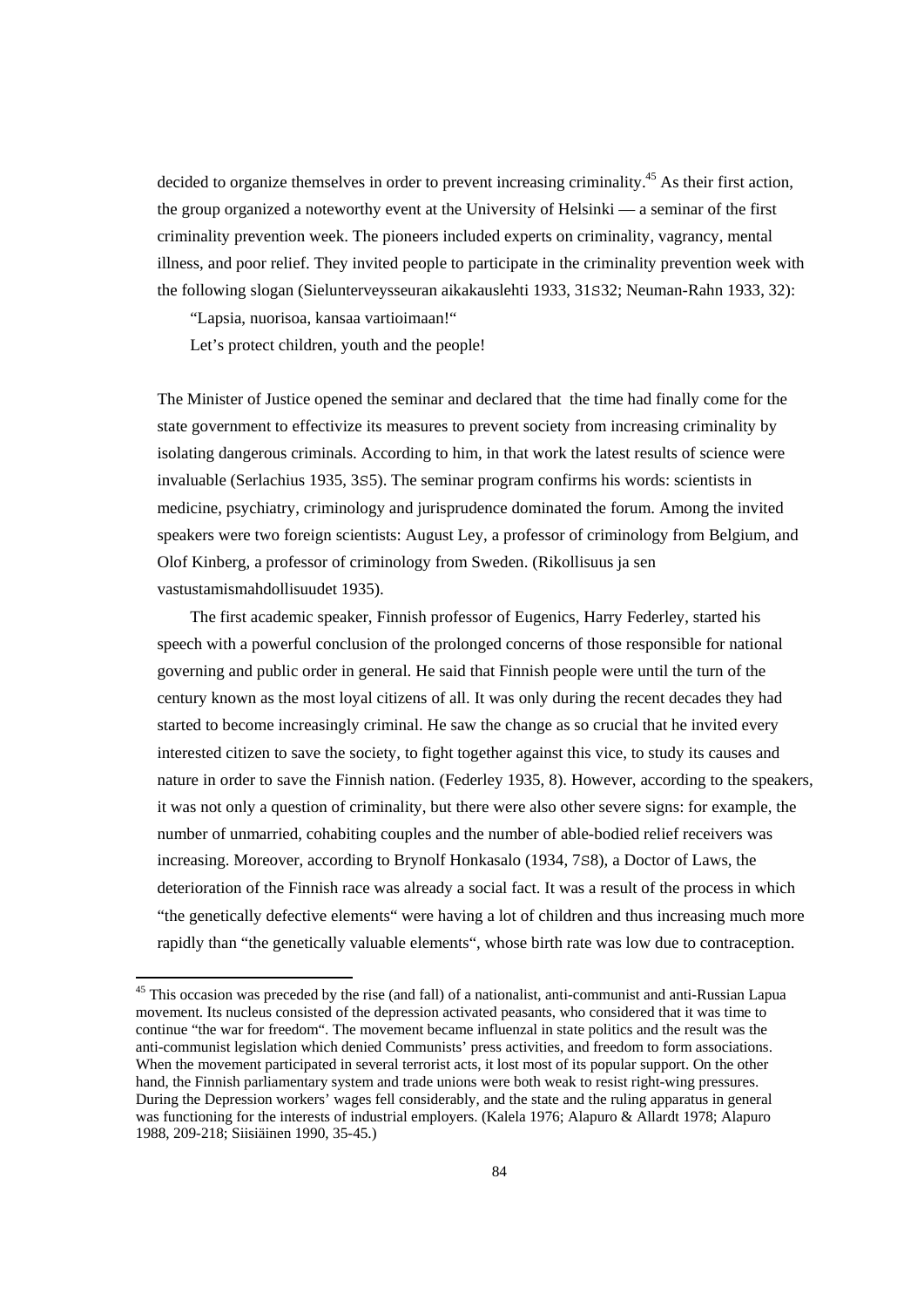decided to organize themselves in order to prevent increasing criminality.<sup>45</sup> As their first action, the group organized a noteworthy event at the University of Helsinki — a seminar of the first criminality prevention week. The pioneers included experts on criminality, vagrancy, mental illness, and poor relief. They invited people to participate in the criminality prevention week with the following slogan (Sielunterveysseuran aikakauslehti 1933, 31S32; Neuman-Rahn 1933, 32):

"Lapsia, nuorisoa, kansaa vartioimaan!"

Let's protect children, youth and the people!

The Minister of Justice opened the seminar and declared that the time had finally come for the state government to effectivize its measures to prevent society from increasing criminality by isolating dangerous criminals. According to him, in that work the latest results of science were invaluable (Serlachius 1935, 3S5). The seminar program confirms his words: scientists in medicine, psychiatry, criminology and jurisprudence dominated the forum. Among the invited speakers were two foreign scientists: August Ley, a professor of criminology from Belgium, and Olof Kinberg, a professor of criminology from Sweden. (Rikollisuus ja sen vastustamismahdollisuudet 1935).

 The first academic speaker, Finnish professor of Eugenics, Harry Federley, started his speech with a powerful conclusion of the prolonged concerns of those responsible for national governing and public order in general. He said that Finnish people were until the turn of the century known as the most loyal citizens of all. It was only during the recent decades they had started to become increasingly criminal. He saw the change as so crucial that he invited every interested citizen to save the society, to fight together against this vice, to study its causes and nature in order to save the Finnish nation. (Federley 1935, 8). However, according to the speakers, it was not only a question of criminality, but there were also other severe signs: for example, the number of unmarried, cohabiting couples and the number of able-bodied relief receivers was increasing. Moreover, according to Brynolf Honkasalo (1934, 7S8), a Doctor of Laws, the deterioration of the Finnish race was already a social fact. It was a result of the process in which "the genetically defective elements" were having a lot of children and thus increasing much more rapidly than "the genetically valuable elements", whose birth rate was low due to contraception.

<sup>&</sup>lt;sup>45</sup> This occasion was preceded by the rise (and fall) of a nationalist, anti-communist and anti-Russian Lapua movement. Its nucleus consisted of the depression activated peasants, who considered that it was time to continue "the war for freedom". The movement became influenzal in state politics and the result was the anti-communist legislation which denied Communists' press activities, and freedom to form associations. When the movement participated in several terrorist acts, it lost most of its popular support. On the other hand, the Finnish parliamentary system and trade unions were both weak to resist right-wing pressures. During the Depression workers' wages fell considerably, and the state and the ruling apparatus in general was functioning for the interests of industrial employers. (Kalela 1976; Alapuro & Allardt 1978; Alapuro 1988, 209-218; Siisiäinen 1990, 35-45.)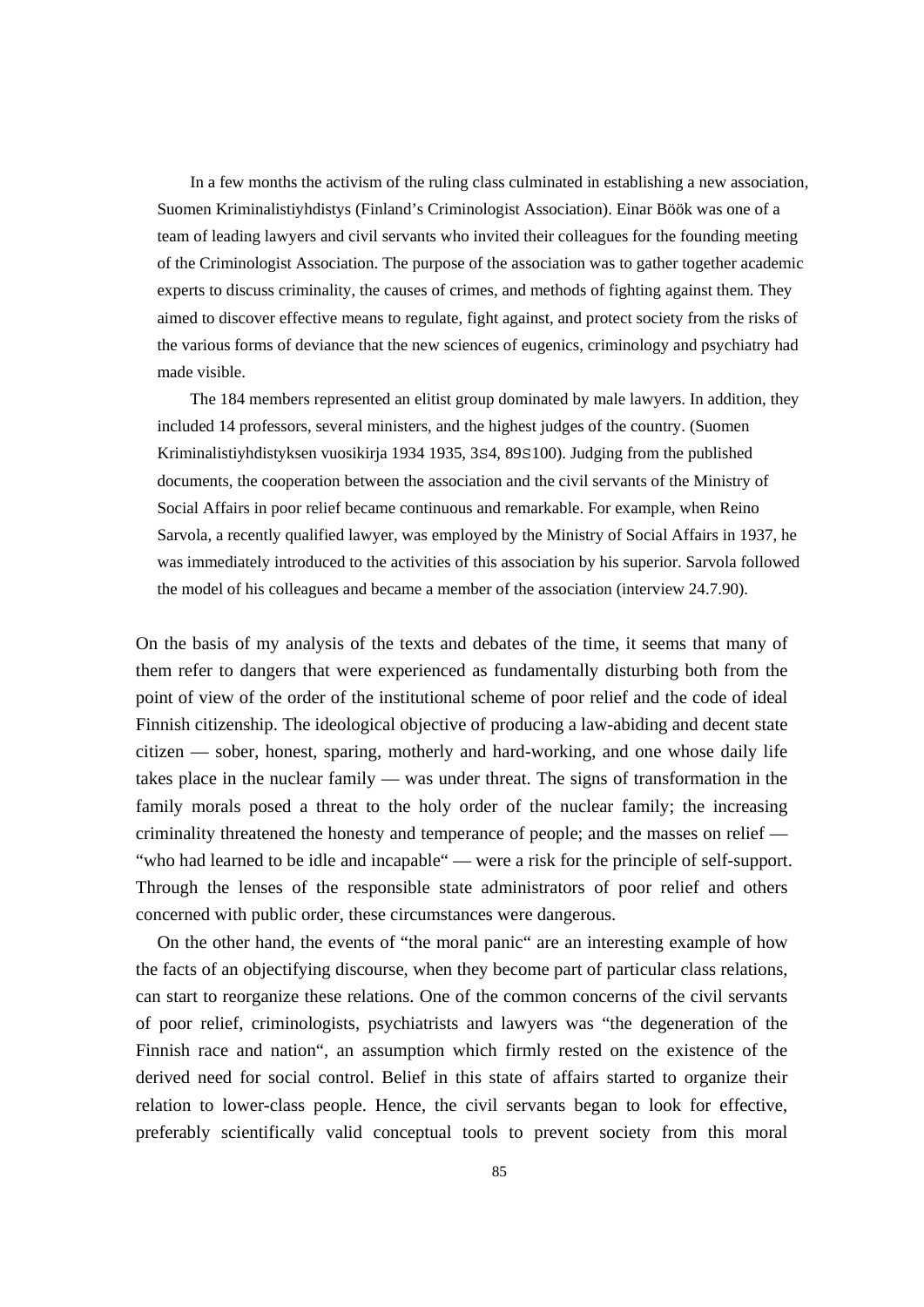In a few months the activism of the ruling class culminated in establishing a new association, Suomen Kriminalistiyhdistys (Finland's Criminologist Association). Einar Böök was one of a team of leading lawyers and civil servants who invited their colleagues for the founding meeting of the Criminologist Association. The purpose of the association was to gather together academic experts to discuss criminality, the causes of crimes, and methods of fighting against them. They aimed to discover effective means to regulate, fight against, and protect society from the risks of the various forms of deviance that the new sciences of eugenics, criminology and psychiatry had made visible.

 The 184 members represented an elitist group dominated by male lawyers. In addition, they included 14 professors, several ministers, and the highest judges of the country. (Suomen Kriminalistiyhdistyksen vuosikirja 1934 1935, 3S4, 89S100). Judging from the published documents, the cooperation between the association and the civil servants of the Ministry of Social Affairs in poor relief became continuous and remarkable. For example, when Reino Sarvola, a recently qualified lawyer, was employed by the Ministry of Social Affairs in 1937, he was immediately introduced to the activities of this association by his superior. Sarvola followed the model of his colleagues and became a member of the association (interview 24.7.90).

On the basis of my analysis of the texts and debates of the time, it seems that many of them refer to dangers that were experienced as fundamentally disturbing both from the point of view of the order of the institutional scheme of poor relief and the code of ideal Finnish citizenship. The ideological objective of producing a law-abiding and decent state citizen — sober, honest, sparing, motherly and hard-working, and one whose daily life takes place in the nuclear family — was under threat. The signs of transformation in the family morals posed a threat to the holy order of the nuclear family; the increasing criminality threatened the honesty and temperance of people; and the masses on relief — "who had learned to be idle and incapable" — were a risk for the principle of self-support. Through the lenses of the responsible state administrators of poor relief and others concerned with public order, these circumstances were dangerous.

 On the other hand, the events of "the moral panic" are an interesting example of how the facts of an objectifying discourse, when they become part of particular class relations, can start to reorganize these relations. One of the common concerns of the civil servants of poor relief, criminologists, psychiatrists and lawyers was "the degeneration of the Finnish race and nation", an assumption which firmly rested on the existence of the derived need for social control. Belief in this state of affairs started to organize their relation to lower-class people. Hence, the civil servants began to look for effective, preferably scientifically valid conceptual tools to prevent society from this moral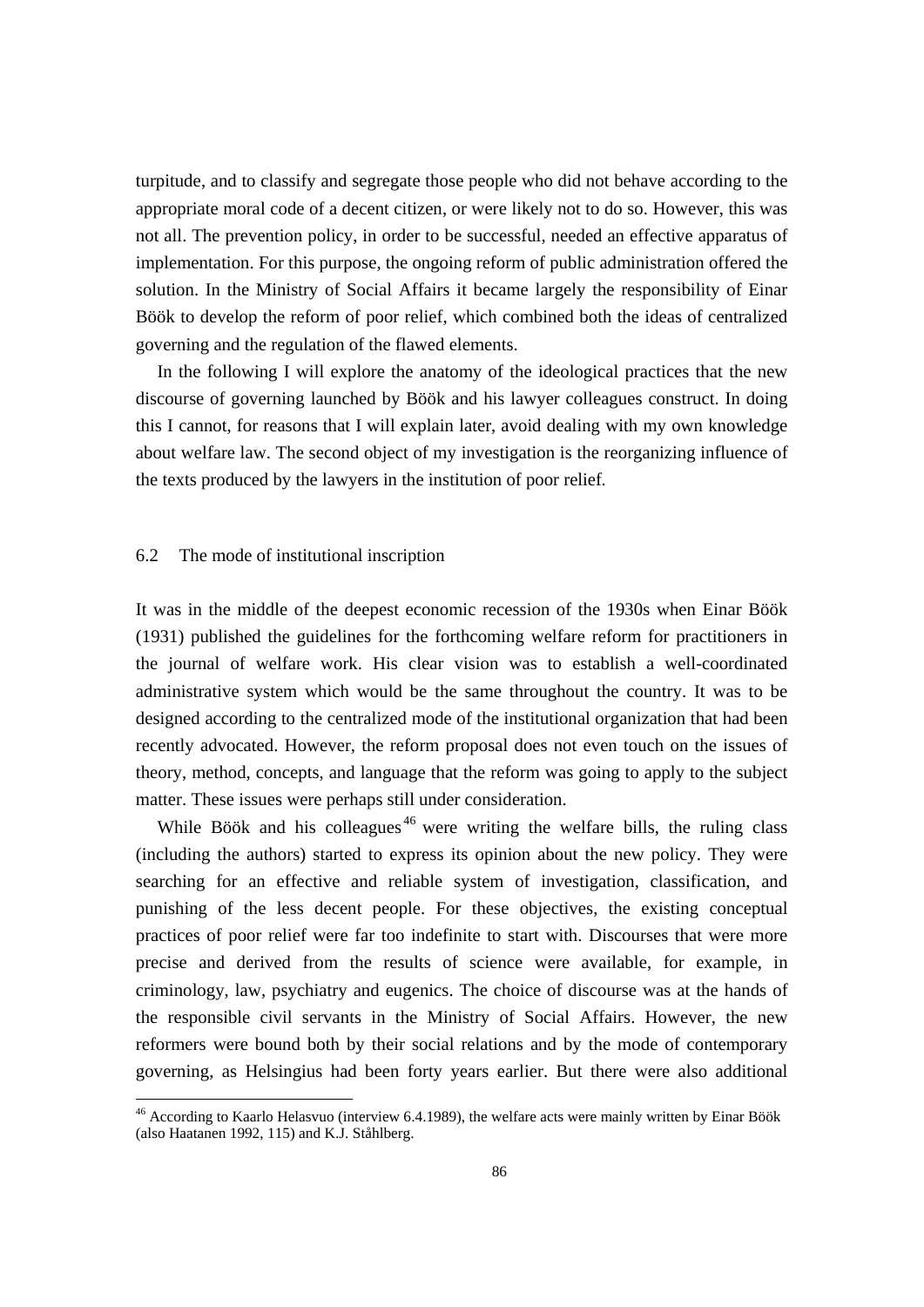turpitude, and to classify and segregate those people who did not behave according to the appropriate moral code of a decent citizen, or were likely not to do so. However, this was not all. The prevention policy, in order to be successful, needed an effective apparatus of implementation. For this purpose, the ongoing reform of public administration offered the solution. In the Ministry of Social Affairs it became largely the responsibility of Einar Böök to develop the reform of poor relief, which combined both the ideas of centralized governing and the regulation of the flawed elements.

 In the following I will explore the anatomy of the ideological practices that the new discourse of governing launched by Böök and his lawyer colleagues construct. In doing this I cannot, for reasons that I will explain later, avoid dealing with my own knowledge about welfare law. The second object of my investigation is the reorganizing influence of the texts produced by the lawyers in the institution of poor relief*.*

## 6.2 The mode of institutional inscription

It was in the middle of the deepest economic recession of the 1930s when Einar Böök (1931) published the guidelines for the forthcoming welfare reform for practitioners in the journal of welfare work. His clear vision was to establish a well-coordinated administrative system which would be the same throughout the country. It was to be designed according to the centralized mode of the institutional organization that had been recently advocated. However, the reform proposal does not even touch on the issues of theory, method, concepts, and language that the reform was going to apply to the subject matter. These issues were perhaps still under consideration.

While Böök and his colleagues<sup>46</sup> were writing the welfare bills, the ruling class (including the authors) started to express its opinion about the new policy. They were searching for an effective and reliable system of investigation, classification, and punishing of the less decent people. For these objectives, the existing conceptual practices of poor relief were far too indefinite to start with. Discourses that were more precise and derived from the results of science were available, for example, in criminology, law, psychiatry and eugenics. The choice of discourse was at the hands of the responsible civil servants in the Ministry of Social Affairs. However, the new reformers were bound both by their social relations and by the mode of contemporary governing, as Helsingius had been forty years earlier. But there were also additional

<sup>&</sup>lt;sup>46</sup> According to Kaarlo Helasvuo (interview 6.4.1989), the welfare acts were mainly written by Einar Böök (also Haatanen 1992, 115) and K.J. Ståhlberg.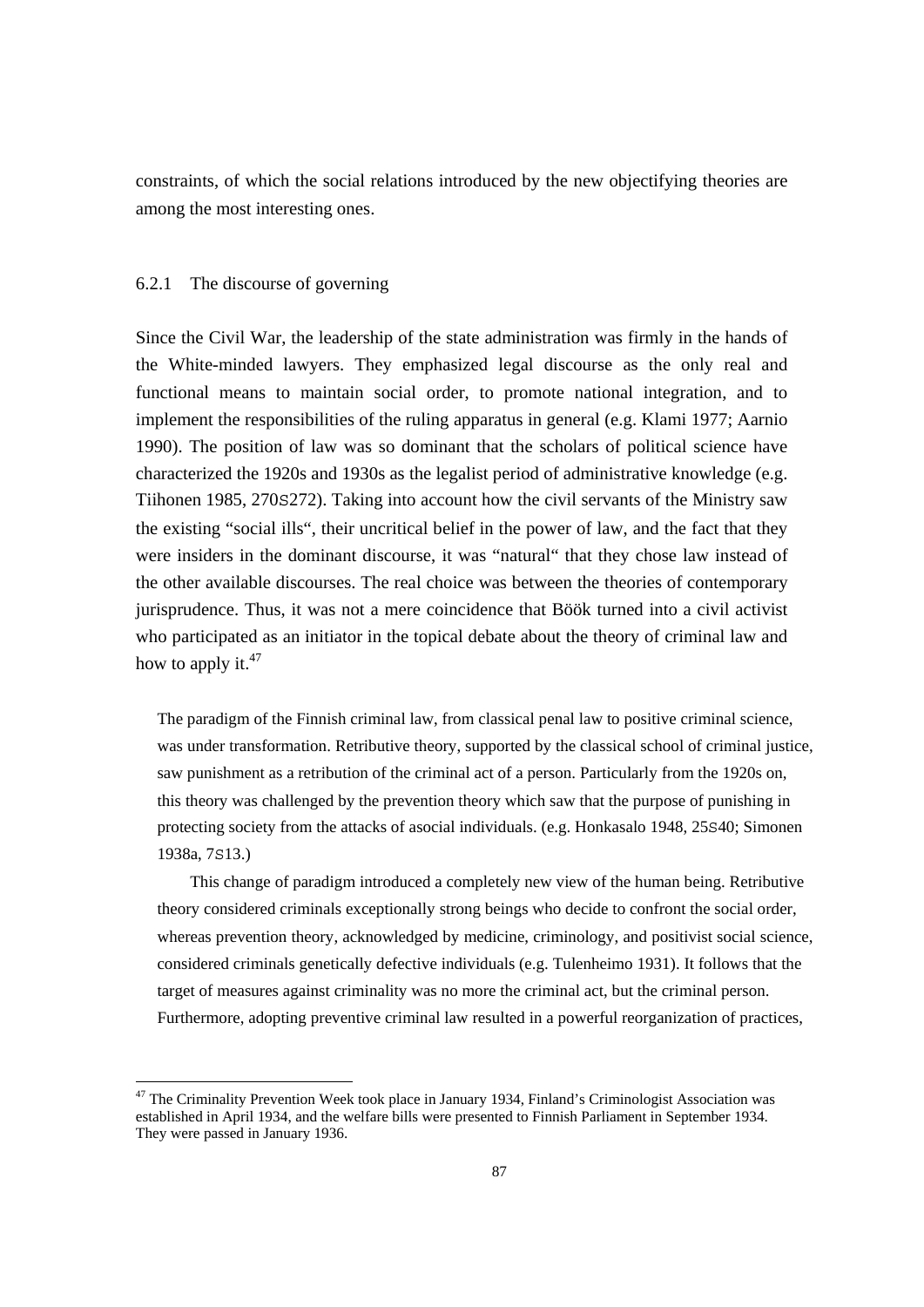constraints, of which the social relations introduced by the new objectifying theories are among the most interesting ones.

### 6.2.1 The discourse of governing

Since the Civil War, the leadership of the state administration was firmly in the hands of the White-minded lawyers. They emphasized legal discourse as the only real and functional means to maintain social order, to promote national integration, and to implement the responsibilities of the ruling apparatus in general (e.g. Klami 1977; Aarnio 1990). The position of law was so dominant that the scholars of political science have characterized the 1920s and 1930s as the legalist period of administrative knowledge (e.g. Tiihonen 1985, 270S272). Taking into account how the civil servants of the Ministry saw the existing "social ills", their uncritical belief in the power of law, and the fact that they were insiders in the dominant discourse, it was "natural" that they chose law instead of the other available discourses. The real choice was between the theories of contemporary jurisprudence. Thus, it was not a mere coincidence that Böök turned into a civil activist who participated as an initiator in the topical debate about the theory of criminal law and how to apply it. $47$ 

The paradigm of the Finnish criminal law, from classical penal law to positive criminal science, was under transformation. Retributive theory, supported by the classical school of criminal justice, saw punishment as a retribution of the criminal act of a person. Particularly from the 1920s on, this theory was challenged by the prevention theory which saw that the purpose of punishing in protecting society from the attacks of asocial individuals. (e.g. Honkasalo 1948, 25S40; Simonen 1938a, 7S13.)

 This change of paradigm introduced a completely new view of the human being. Retributive theory considered criminals exceptionally strong beings who decide to confront the social order, whereas prevention theory, acknowledged by medicine, criminology, and positivist social science, considered criminals genetically defective individuals (e.g. Tulenheimo 1931). It follows that the target of measures against criminality was no more the criminal act, but the criminal person. Furthermore, adopting preventive criminal law resulted in a powerful reorganization of practices,

<sup>&</sup>lt;sup>47</sup> The Criminality Prevention Week took place in January 1934, Finland's Criminologist Association was established in April 1934, and the welfare bills were presented to Finnish Parliament in September 1934. They were passed in January 1936.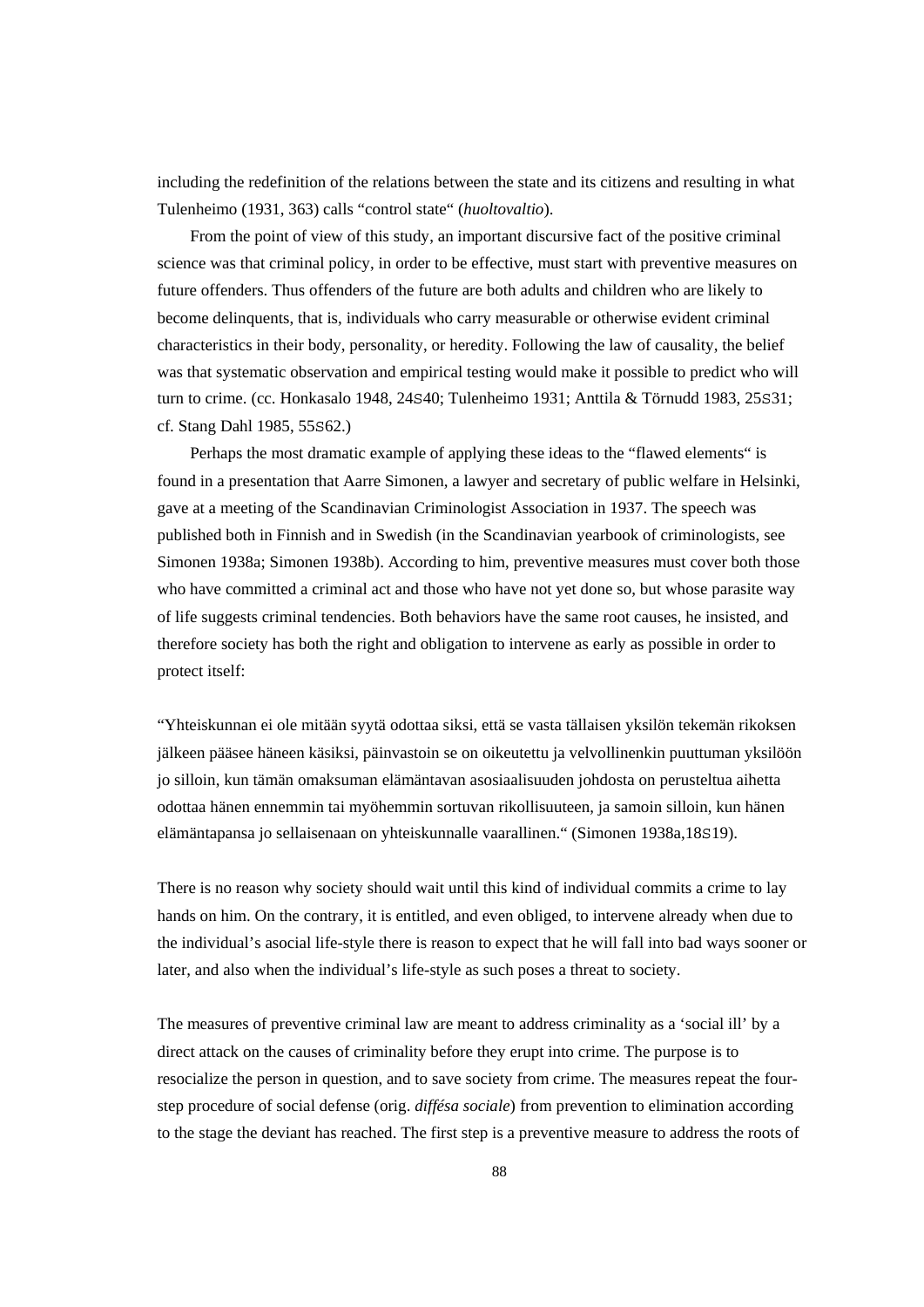including the redefinition of the relations between the state and its citizens and resulting in what Tulenheimo (1931, 363) calls "control state" (*huoltovaltio*).

 From the point of view of this study, an important discursive fact of the positive criminal science was that criminal policy, in order to be effective, must start with preventive measures on future offenders. Thus offenders of the future are both adults and children who are likely to become delinquents, that is, individuals who carry measurable or otherwise evident criminal characteristics in their body, personality, or heredity. Following the law of causality, the belief was that systematic observation and empirical testing would make it possible to predict who will turn to crime. (cc. Honkasalo 1948, 24S40; Tulenheimo 1931; Anttila & Törnudd 1983, 25S31; cf. Stang Dahl 1985, 55S62.)

 Perhaps the most dramatic example of applying these ideas to the "flawed elements" is found in a presentation that Aarre Simonen, a lawyer and secretary of public welfare in Helsinki, gave at a meeting of the Scandinavian Criminologist Association in 1937. The speech was published both in Finnish and in Swedish (in the Scandinavian yearbook of criminologists, see Simonen 1938a; Simonen 1938b). According to him, preventive measures must cover both those who have committed a criminal act and those who have not yet done so, but whose parasite way of life suggests criminal tendencies. Both behaviors have the same root causes, he insisted, and therefore society has both the right and obligation to intervene as early as possible in order to protect itself:

"Yhteiskunnan ei ole mitään syytä odottaa siksi, että se vasta tällaisen yksilön tekemän rikoksen jälkeen pääsee häneen käsiksi, päinvastoin se on oikeutettu ja velvollinenkin puuttuman yksilöön jo silloin, kun tämän omaksuman elämäntavan asosiaalisuuden johdosta on perusteltua aihetta odottaa hänen ennemmin tai myöhemmin sortuvan rikollisuuteen, ja samoin silloin, kun hänen elämäntapansa jo sellaisenaan on yhteiskunnalle vaarallinen." (Simonen 1938a,18S19).

There is no reason why society should wait until this kind of individual commits a crime to lay hands on him. On the contrary, it is entitled, and even obliged, to intervene already when due to the individual's asocial life-style there is reason to expect that he will fall into bad ways sooner or later, and also when the individual's life-style as such poses a threat to society.

The measures of preventive criminal law are meant to address criminality as a 'social ill' by a direct attack on the causes of criminality before they erupt into crime. The purpose is to resocialize the person in question, and to save society from crime. The measures repeat the fourstep procedure of social defense (orig. *diffésa sociale*) from prevention to elimination according to the stage the deviant has reached. The first step is a preventive measure to address the roots of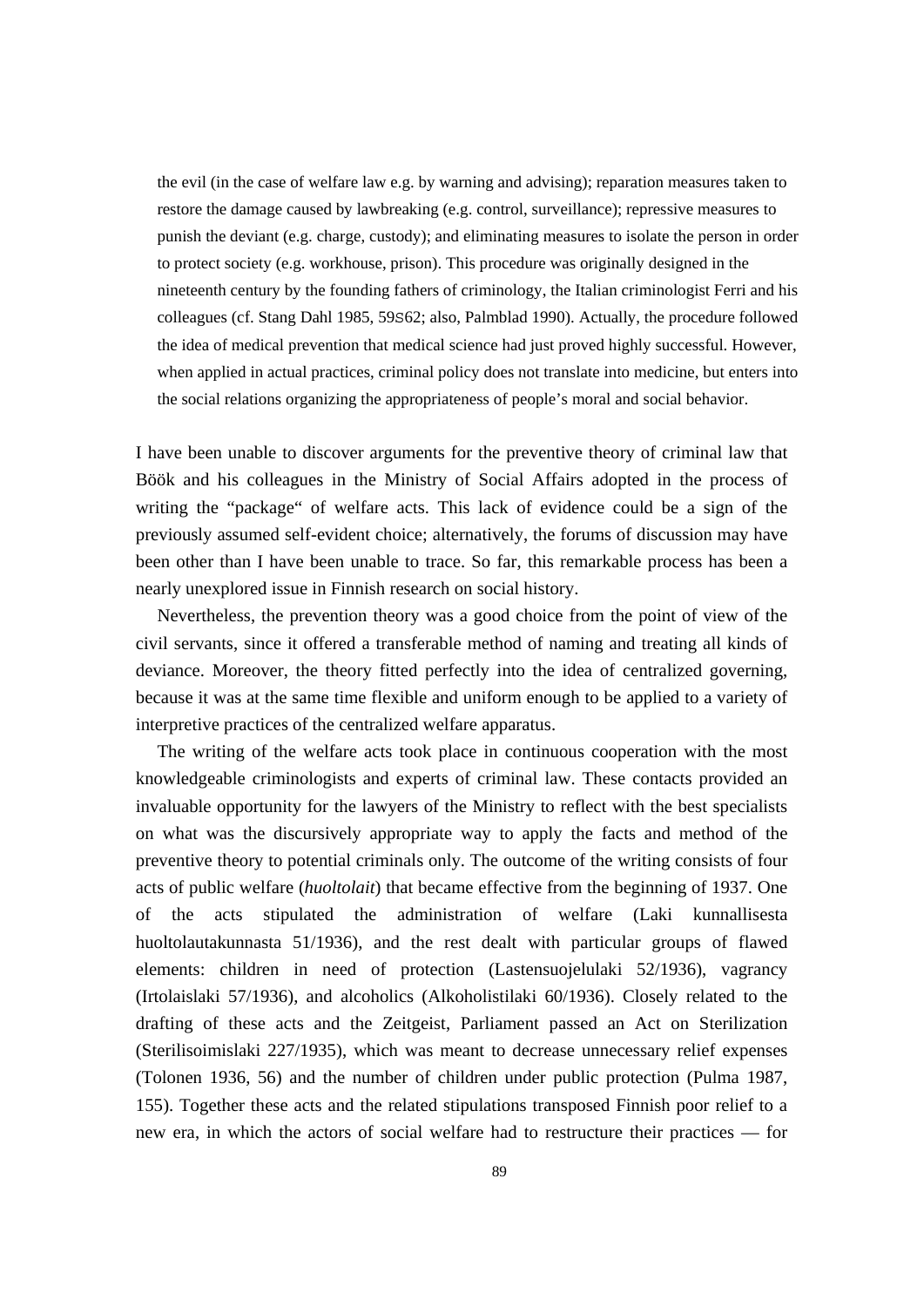the evil (in the case of welfare law e.g. by warning and advising); reparation measures taken to restore the damage caused by lawbreaking (e.g. control, surveillance); repressive measures to punish the deviant (e.g. charge, custody); and eliminating measures to isolate the person in order to protect society (e.g. workhouse, prison). This procedure was originally designed in the nineteenth century by the founding fathers of criminology, the Italian criminologist Ferri and his colleagues (cf. Stang Dahl 1985, 59S62; also, Palmblad 1990). Actually, the procedure followed the idea of medical prevention that medical science had just proved highly successful. However, when applied in actual practices, criminal policy does not translate into medicine, but enters into the social relations organizing the appropriateness of people's moral and social behavior.

I have been unable to discover arguments for the preventive theory of criminal law that Böök and his colleagues in the Ministry of Social Affairs adopted in the process of writing the "package" of welfare acts. This lack of evidence could be a sign of the previously assumed self-evident choice; alternatively, the forums of discussion may have been other than I have been unable to trace. So far, this remarkable process has been a nearly unexplored issue in Finnish research on social history.

 Nevertheless, the prevention theory was a good choice from the point of view of the civil servants, since it offered a transferable method of naming and treating all kinds of deviance. Moreover, the theory fitted perfectly into the idea of centralized governing, because it was at the same time flexible and uniform enough to be applied to a variety of interpretive practices of the centralized welfare apparatus.

 The writing of the welfare acts took place in continuous cooperation with the most knowledgeable criminologists and experts of criminal law. These contacts provided an invaluable opportunity for the lawyers of the Ministry to reflect with the best specialists on what was the discursively appropriate way to apply the facts and method of the preventive theory to potential criminals only. The outcome of the writing consists of four acts of public welfare (*huoltolait*) that became effective from the beginning of 1937. One of the acts stipulated the administration of welfare (Laki kunnallisesta huoltolautakunnasta 51/1936), and the rest dealt with particular groups of flawed elements: children in need of protection (Lastensuojelulaki 52/1936), vagrancy (Irtolaislaki 57/1936), and alcoholics (Alkoholistilaki 60/1936). Closely related to the drafting of these acts and the Zeitgeist, Parliament passed an Act on Sterilization (Sterilisoimislaki 227/1935), which was meant to decrease unnecessary relief expenses (Tolonen 1936, 56) and the number of children under public protection (Pulma 1987, 155). Together these acts and the related stipulations transposed Finnish poor relief to a new era, in which the actors of social welfare had to restructure their practices — for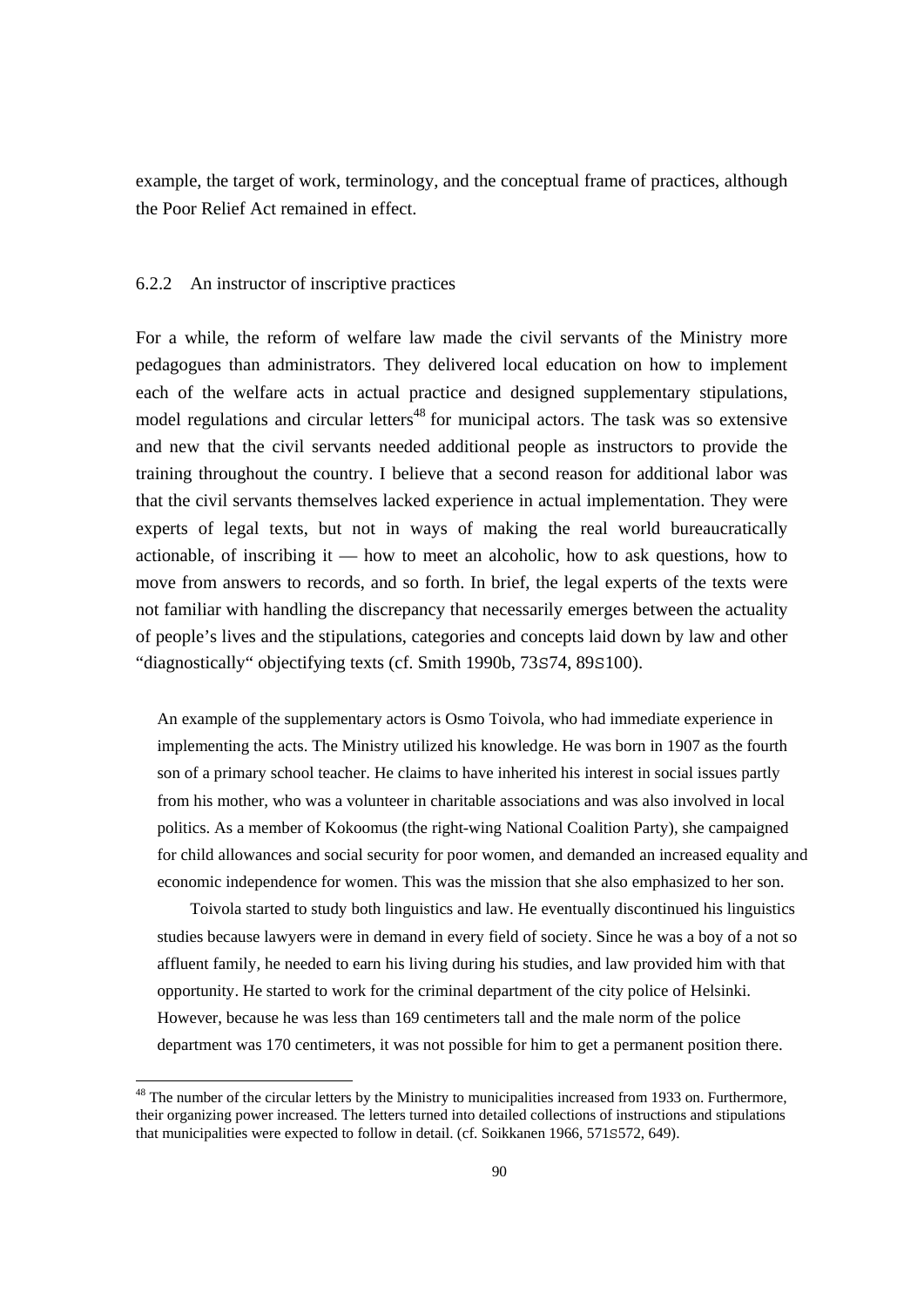example, the target of work, terminology, and the conceptual frame of practices, although the Poor Relief Act remained in effect.

## 6.2.2 An instructor of inscriptive practices

For a while, the reform of welfare law made the civil servants of the Ministry more pedagogues than administrators. They delivered local education on how to implement each of the welfare acts in actual practice and designed supplementary stipulations, model regulations and circular letters<sup>48</sup> for municipal actors. The task was so extensive and new that the civil servants needed additional people as instructors to provide the training throughout the country. I believe that a second reason for additional labor was that the civil servants themselves lacked experience in actual implementation. They were experts of legal texts, but not in ways of making the real world bureaucratically actionable, of inscribing it — how to meet an alcoholic, how to ask questions, how to move from answers to records, and so forth. In brief, the legal experts of the texts were not familiar with handling the discrepancy that necessarily emerges between the actuality of people's lives and the stipulations, categories and concepts laid down by law and other "diagnostically" objectifying texts (cf. Smith 1990b, 73S74, 89S100).

An example of the supplementary actors is Osmo Toivola, who had immediate experience in implementing the acts. The Ministry utilized his knowledge. He was born in 1907 as the fourth son of a primary school teacher. He claims to have inherited his interest in social issues partly from his mother, who was a volunteer in charitable associations and was also involved in local politics. As a member of Kokoomus (the right-wing National Coalition Party), she campaigned for child allowances and social security for poor women, and demanded an increased equality and economic independence for women. This was the mission that she also emphasized to her son.

 Toivola started to study both linguistics and law. He eventually discontinued his linguistics studies because lawyers were in demand in every field of society. Since he was a boy of a not so affluent family, he needed to earn his living during his studies, and law provided him with that opportunity. He started to work for the criminal department of the city police of Helsinki. However, because he was less than 169 centimeters tall and the male norm of the police department was 170 centimeters, it was not possible for him to get a permanent position there.

<sup>&</sup>lt;sup>48</sup> The number of the circular letters by the Ministry to municipalities increased from 1933 on. Furthermore, their organizing power increased. The letters turned into detailed collections of instructions and stipulations that municipalities were expected to follow in detail. (cf. Soikkanen 1966, 571S572, 649).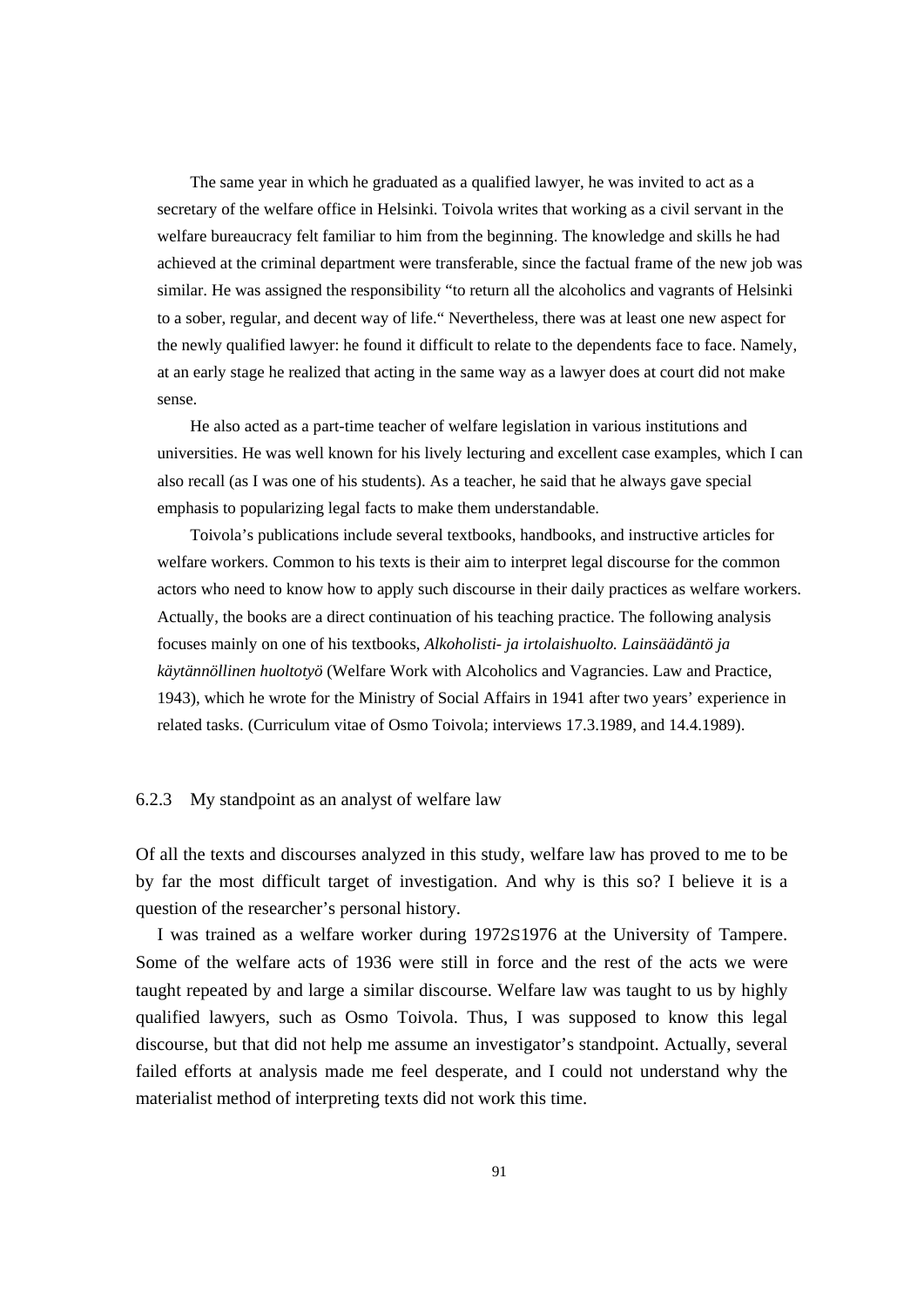The same year in which he graduated as a qualified lawyer, he was invited to act as a secretary of the welfare office in Helsinki. Toivola writes that working as a civil servant in the welfare bureaucracy felt familiar to him from the beginning. The knowledge and skills he had achieved at the criminal department were transferable, since the factual frame of the new job was similar. He was assigned the responsibility "to return all the alcoholics and vagrants of Helsinki to a sober, regular, and decent way of life." Nevertheless, there was at least one new aspect for the newly qualified lawyer: he found it difficult to relate to the dependents face to face. Namely, at an early stage he realized that acting in the same way as a lawyer does at court did not make sense.

 He also acted as a part-time teacher of welfare legislation in various institutions and universities. He was well known for his lively lecturing and excellent case examples, which I can also recall (as I was one of his students). As a teacher, he said that he always gave special emphasis to popularizing legal facts to make them understandable.

 Toivola's publications include several textbooks, handbooks, and instructive articles for welfare workers. Common to his texts is their aim to interpret legal discourse for the common actors who need to know how to apply such discourse in their daily practices as welfare workers. Actually, the books are a direct continuation of his teaching practice. The following analysis focuses mainly on one of his textbooks, *Alkoholisti- ja irtolaishuolto. Lainsäädäntö ja käytännöllinen huoltotyö* (Welfare Work with Alcoholics and Vagrancies. Law and Practice, 1943), which he wrote for the Ministry of Social Affairs in 1941 after two years' experience in related tasks. (Curriculum vitae of Osmo Toivola; interviews 17.3.1989, and 14.4.1989).

#### 6.2.3 My standpoint as an analyst of welfare law

Of all the texts and discourses analyzed in this study, welfare law has proved to me to be by far the most difficult target of investigation. And why is this so? I believe it is a question of the researcher's personal history.

 I was trained as a welfare worker during 1972S1976 at the University of Tampere. Some of the welfare acts of 1936 were still in force and the rest of the acts we were taught repeated by and large a similar discourse. Welfare law was taught to us by highly qualified lawyers, such as Osmo Toivola. Thus, I was supposed to know this legal discourse, but that did not help me assume an investigator's standpoint. Actually, several failed efforts at analysis made me feel desperate, and I could not understand why the materialist method of interpreting texts did not work this time.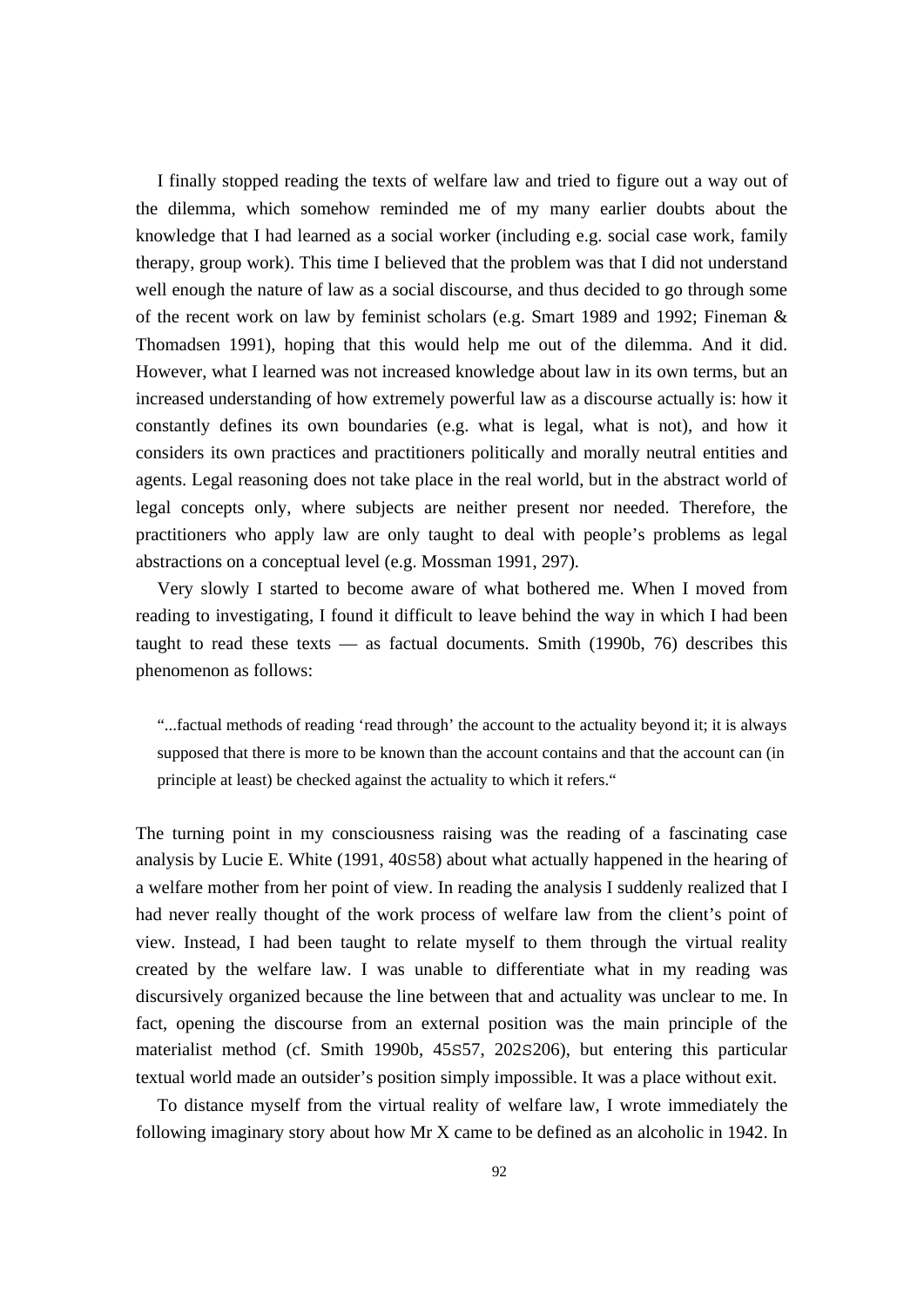I finally stopped reading the texts of welfare law and tried to figure out a way out of the dilemma, which somehow reminded me of my many earlier doubts about the knowledge that I had learned as a social worker (including e.g. social case work, family therapy, group work). This time I believed that the problem was that I did not understand well enough the nature of law as a social discourse, and thus decided to go through some of the recent work on law by feminist scholars (e.g. Smart 1989 and 1992; Fineman  $\&$ Thomadsen 1991), hoping that this would help me out of the dilemma. And it did. However, what I learned was not increased knowledge about law in its own terms, but an increased understanding of how extremely powerful law as a discourse actually is: how it constantly defines its own boundaries (e.g. what is legal, what is not), and how it considers its own practices and practitioners politically and morally neutral entities and agents. Legal reasoning does not take place in the real world, but in the abstract world of legal concepts only, where subjects are neither present nor needed. Therefore, the practitioners who apply law are only taught to deal with people's problems as legal abstractions on a conceptual level (e.g. Mossman 1991, 297).

 Very slowly I started to become aware of what bothered me. When I moved from reading to investigating, I found it difficult to leave behind the way in which I had been taught to read these texts  $-$  as factual documents. Smith (1990b, 76) describes this phenomenon as follows:

"...factual methods of reading 'read through' the account to the actuality beyond it; it is always supposed that there is more to be known than the account contains and that the account can (in principle at least) be checked against the actuality to which it refers."

The turning point in my consciousness raising was the reading of a fascinating case analysis by Lucie E. White (1991, 40S58) about what actually happened in the hearing of a welfare mother from her point of view. In reading the analysis I suddenly realized that I had never really thought of the work process of welfare law from the client's point of view. Instead, I had been taught to relate myself to them through the virtual reality created by the welfare law. I was unable to differentiate what in my reading was discursively organized because the line between that and actuality was unclear to me. In fact, opening the discourse from an external position was the main principle of the materialist method (cf. Smith 1990b, 45S57, 202S206), but entering this particular textual world made an outsider's position simply impossible. It was a place without exit.

 To distance myself from the virtual reality of welfare law, I wrote immediately the following imaginary story about how Mr X came to be defined as an alcoholic in 1942. In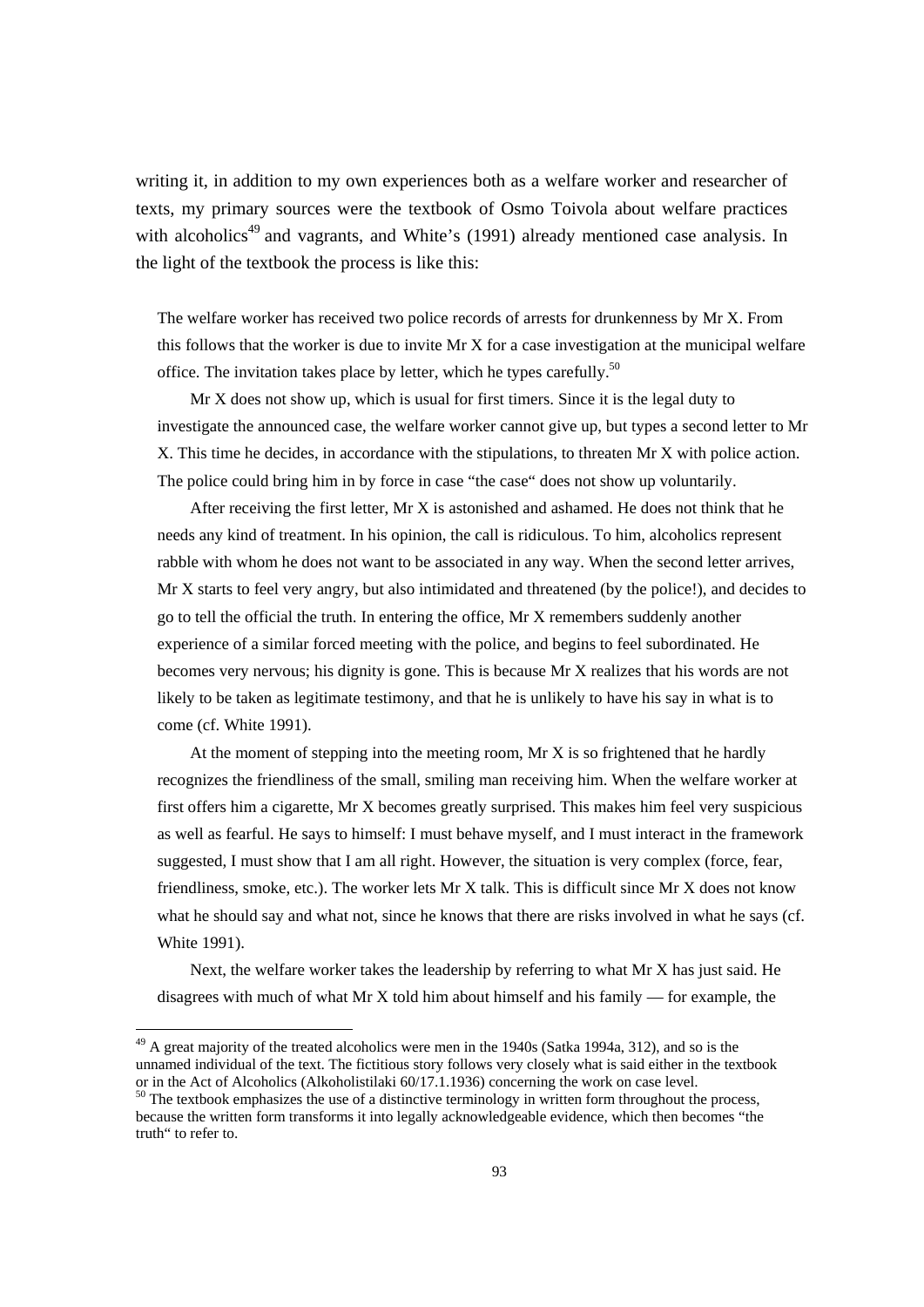writing it, in addition to my own experiences both as a welfare worker and researcher of texts, my primary sources were the textbook of Osmo Toivola about welfare practices with alcoholics<sup>49</sup> and vagrants, and White's (1991) already mentioned case analysis. In the light of the textbook the process is like this:

The welfare worker has received two police records of arrests for drunkenness by Mr X. From this follows that the worker is due to invite Mr X for a case investigation at the municipal welfare office. The invitation takes place by letter, which he types carefully.<sup>50</sup>

 Mr X does not show up, which is usual for first timers. Since it is the legal duty to investigate the announced case, the welfare worker cannot give up, but types a second letter to Mr X. This time he decides, in accordance with the stipulations, to threaten Mr X with police action. The police could bring him in by force in case "the case" does not show up voluntarily.

 After receiving the first letter, Mr X is astonished and ashamed. He does not think that he needs any kind of treatment. In his opinion, the call is ridiculous. To him, alcoholics represent rabble with whom he does not want to be associated in any way. When the second letter arrives, Mr X starts to feel very angry, but also intimidated and threatened (by the police!), and decides to go to tell the official the truth. In entering the office, Mr X remembers suddenly another experience of a similar forced meeting with the police, and begins to feel subordinated. He becomes very nervous; his dignity is gone. This is because Mr X realizes that his words are not likely to be taken as legitimate testimony, and that he is unlikely to have his say in what is to come (cf. White 1991).

 At the moment of stepping into the meeting room, Mr X is so frightened that he hardly recognizes the friendliness of the small, smiling man receiving him. When the welfare worker at first offers him a cigarette, Mr X becomes greatly surprised. This makes him feel very suspicious as well as fearful. He says to himself: I must behave myself, and I must interact in the framework suggested, I must show that I am all right. However, the situation is very complex (force, fear, friendliness, smoke, etc.). The worker lets Mr X talk. This is difficult since Mr X does not know what he should say and what not, since he knows that there are risks involved in what he says (cf. White 1991).

 Next, the welfare worker takes the leadership by referring to what Mr X has just said. He disagrees with much of what Mr X told him about himself and his family — for example, the

<sup>&</sup>lt;sup>49</sup> A great majority of the treated alcoholics were men in the 1940s (Satka 1994a, 312), and so is the unnamed individual of the text. The fictitious story follows very closely what is said either in the textbook or in the Act of Alcoholics (Alkoholistilaki 60/17.1.1936) concerning the work on case level.

<sup>&</sup>lt;sup>50</sup> The textbook emphasizes the use of a distinctive terminology in written form throughout the process, because the written form transforms it into legally acknowledgeable evidence, which then becomes "the truth" to refer to.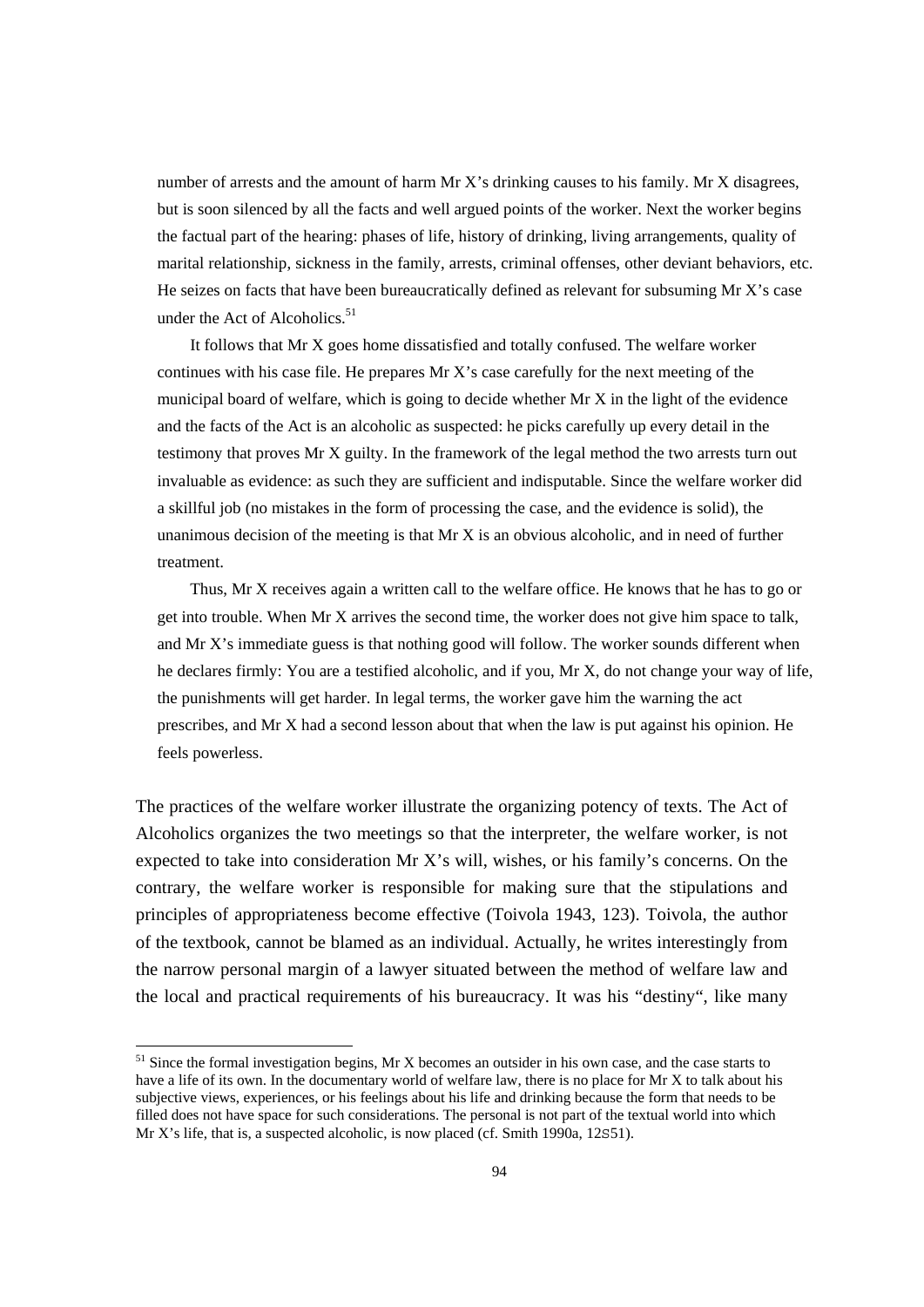number of arrests and the amount of harm  $Mr X's$  drinking causes to his family. Mr  $X$  disagrees, but is soon silenced by all the facts and well argued points of the worker. Next the worker begins the factual part of the hearing: phases of life, history of drinking, living arrangements, quality of marital relationship, sickness in the family, arrests, criminal offenses, other deviant behaviors, etc. He seizes on facts that have been bureaucratically defined as relevant for subsuming Mr X's case under the Act of Alcoholics.<sup>51</sup>

 It follows that Mr X goes home dissatisfied and totally confused. The welfare worker continues with his case file. He prepares Mr X's case carefully for the next meeting of the municipal board of welfare, which is going to decide whether Mr X in the light of the evidence and the facts of the Act is an alcoholic as suspected: he picks carefully up every detail in the testimony that proves Mr X guilty. In the framework of the legal method the two arrests turn out invaluable as evidence: as such they are sufficient and indisputable. Since the welfare worker did a skillful job (no mistakes in the form of processing the case, and the evidence is solid), the unanimous decision of the meeting is that  $Mr X$  is an obvious alcoholic, and in need of further treatment.

 Thus, Mr X receives again a written call to the welfare office. He knows that he has to go or get into trouble. When Mr X arrives the second time, the worker does not give him space to talk, and Mr X's immediate guess is that nothing good will follow. The worker sounds different when he declares firmly: You are a testified alcoholic, and if you, Mr X, do not change your way of life, the punishments will get harder. In legal terms, the worker gave him the warning the act prescribes, and Mr X had a second lesson about that when the law is put against his opinion. He feels powerless.

The practices of the welfare worker illustrate the organizing potency of texts. The Act of Alcoholics organizes the two meetings so that the interpreter, the welfare worker, is not expected to take into consideration Mr X's will, wishes, or his family's concerns. On the contrary, the welfare worker is responsible for making sure that the stipulations and principles of appropriateness become effective (Toivola 1943, 123). Toivola, the author of the textbook, cannot be blamed as an individual. Actually, he writes interestingly from the narrow personal margin of a lawyer situated between the method of welfare law and the local and practical requirements of his bureaucracy. It was his "destiny", like many

 $<sup>51</sup>$  Since the formal investigation begins, Mr X becomes an outsider in his own case, and the case starts to</sup> have a life of its own. In the documentary world of welfare law, there is no place for Mr X to talk about his subjective views, experiences, or his feelings about his life and drinking because the form that needs to be filled does not have space for such considerations. The personal is not part of the textual world into which Mr X's life, that is, a suspected alcoholic, is now placed (cf. Smith 1990a, 12S51).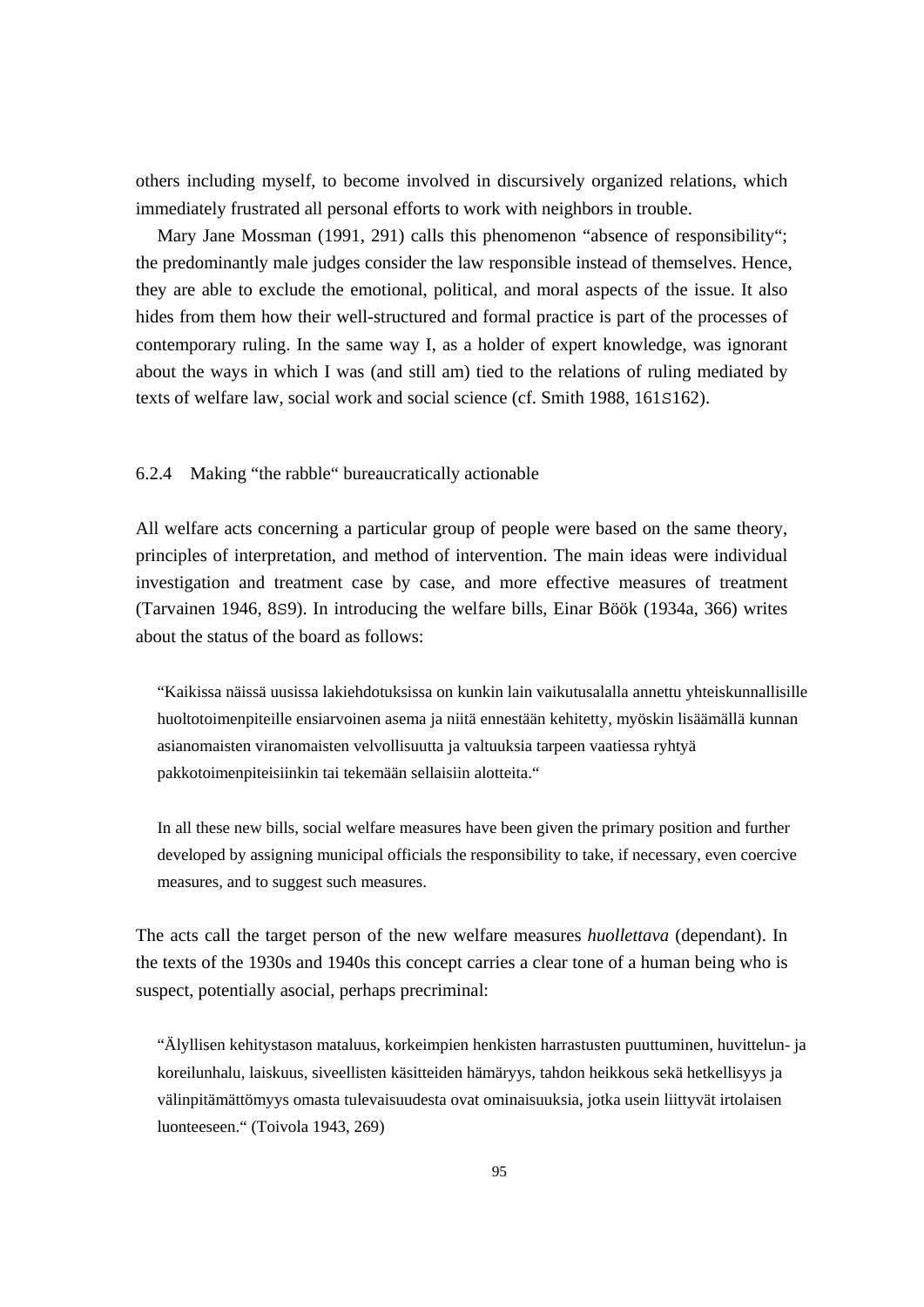others including myself, to become involved in discursively organized relations, which immediately frustrated all personal efforts to work with neighbors in trouble.

Mary Jane Mossman (1991, 291) calls this phenomenon "absence of responsibility"; the predominantly male judges consider the law responsible instead of themselves. Hence, they are able to exclude the emotional, political, and moral aspects of the issue. It also hides from them how their well-structured and formal practice is part of the processes of contemporary ruling. In the same way I, as a holder of expert knowledge, was ignorant about the ways in which I was (and still am) tied to the relations of ruling mediated by texts of welfare law, social work and social science (cf. Smith 1988, 161S162).

# 6.2.4 Making "the rabble" bureaucratically actionable

All welfare acts concerning a particular group of people were based on the same theory, principles of interpretation, and method of intervention. The main ideas were individual investigation and treatment case by case, and more effective measures of treatment (Tarvainen 1946, 8S9). In introducing the welfare bills, Einar Böök (1934a, 366) writes about the status of the board as follows:

"Kaikissa näissä uusissa lakiehdotuksissa on kunkin lain vaikutusalalla annettu yhteiskunnallisille huoltotoimenpiteille ensiarvoinen asema ja niitä ennestään kehitetty, myöskin lisäämällä kunnan asianomaisten viranomaisten velvollisuutta ja valtuuksia tarpeen vaatiessa ryhtyä pakkotoimenpiteisiinkin tai tekemään sellaisiin alotteita."

In all these new bills, social welfare measures have been given the primary position and further developed by assigning municipal officials the responsibility to take, if necessary, even coercive measures, and to suggest such measures.

The acts call the target person of the new welfare measures *huollettava* (dependant). In the texts of the 1930s and 1940s this concept carries a clear tone of a human being who is suspect, potentially asocial, perhaps precriminal:

"Älyllisen kehitystason mataluus, korkeimpien henkisten harrastusten puuttuminen, huvittelun- ja koreilunhalu, laiskuus, siveellisten käsitteiden hämäryys, tahdon heikkous sekä hetkellisyys ja välinpitämättömyys omasta tulevaisuudesta ovat ominaisuuksia, jotka usein liittyvät irtolaisen luonteeseen." (Toivola 1943, 269)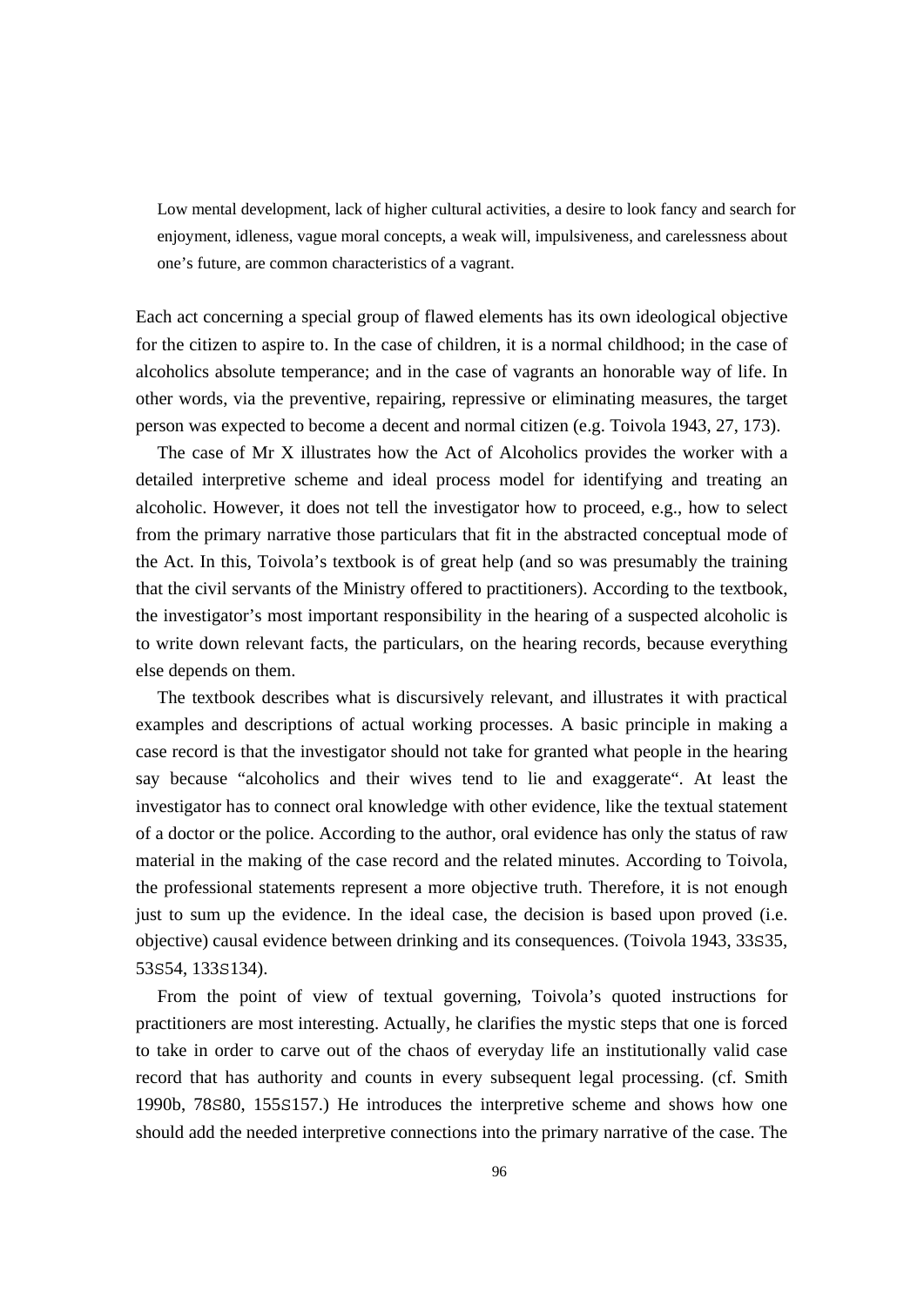Low mental development, lack of higher cultural activities, a desire to look fancy and search for enjoyment, idleness, vague moral concepts, a weak will, impulsiveness, and carelessness about one's future, are common characteristics of a vagrant.

Each act concerning a special group of flawed elements has its own ideological objective for the citizen to aspire to. In the case of children, it is a normal childhood; in the case of alcoholics absolute temperance; and in the case of vagrants an honorable way of life. In other words, via the preventive, repairing, repressive or eliminating measures, the target person was expected to become a decent and normal citizen (e.g. Toivola 1943, 27, 173).

 The case of Mr X illustrates how the Act of Alcoholics provides the worker with a detailed interpretive scheme and ideal process model for identifying and treating an alcoholic. However, it does not tell the investigator how to proceed, e.g., how to select from the primary narrative those particulars that fit in the abstracted conceptual mode of the Act. In this, Toivola's textbook is of great help (and so was presumably the training that the civil servants of the Ministry offered to practitioners). According to the textbook, the investigator's most important responsibility in the hearing of a suspected alcoholic is to write down relevant facts, the particulars, on the hearing records, because everything else depends on them.

 The textbook describes what is discursively relevant, and illustrates it with practical examples and descriptions of actual working processes. A basic principle in making a case record is that the investigator should not take for granted what people in the hearing say because "alcoholics and their wives tend to lie and exaggerate". At least the investigator has to connect oral knowledge with other evidence, like the textual statement of a doctor or the police. According to the author, oral evidence has only the status of raw material in the making of the case record and the related minutes. According to Toivola, the professional statements represent a more objective truth. Therefore, it is not enough just to sum up the evidence. In the ideal case, the decision is based upon proved (i.e. objective) causal evidence between drinking and its consequences. (Toivola 1943, 33S35, 53S54, 133S134).

 From the point of view of textual governing, Toivola's quoted instructions for practitioners are most interesting. Actually, he clarifies the mystic steps that one is forced to take in order to carve out of the chaos of everyday life an institutionally valid case record that has authority and counts in every subsequent legal processing. (cf. Smith 1990b, 78S80, 155S157.) He introduces the interpretive scheme and shows how one should add the needed interpretive connections into the primary narrative of the case. The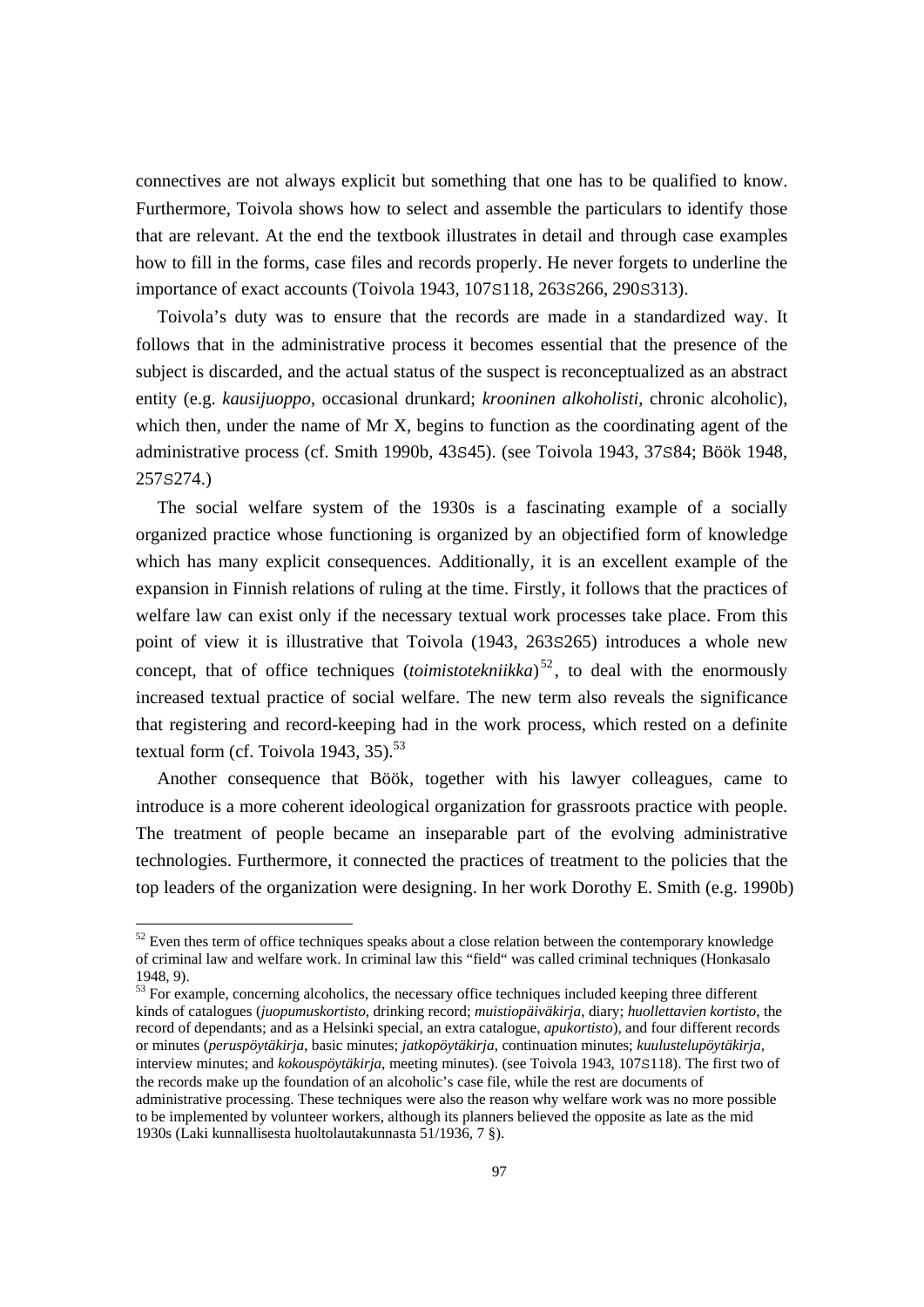connectives are not always explicit but something that one has to be qualified to know. Furthermore, Toivola shows how to select and assemble the particulars to identify those that are relevant. At the end the textbook illustrates in detail and through case examples how to fill in the forms, case files and records properly. He never forgets to underline the importance of exact accounts (Toivola 1943, 107S118, 263S266, 290S313).

 Toivola's duty was to ensure that the records are made in a standardized way. It follows that in the administrative process it becomes essential that the presence of the subject is discarded, and the actual status of the suspect is reconceptualized as an abstract entity (e.g. *kausijuoppo*, occasional drunkard; *krooninen alkoholisti*, chronic alcoholic), which then, under the name of Mr X, begins to function as the coordinating agent of the administrative process (cf. Smith 1990b, 43S45). (see Toivola 1943, 37S84; Böök 1948, 257S274.)

 The social welfare system of the 1930s is a fascinating example of a socially organized practice whose functioning is organized by an objectified form of knowledge which has many explicit consequences. Additionally, it is an excellent example of the expansion in Finnish relations of ruling at the time. Firstly, it follows that the practices of welfare law can exist only if the necessary textual work processes take place. From this point of view it is illustrative that Toivola (1943, 263S265) introduces a whole new concept, that of office techniques (*toimistotekniikka*) <sup>52</sup> , to deal with the enormously increased textual practice of social welfare. The new term also reveals the significance that registering and record-keeping had in the work process, which rested on a definite textual form (cf. Toivola 1943,  $35$ ).<sup>53</sup>

 Another consequence that Böök, together with his lawyer colleagues, came to introduce is a more coherent ideological organization for grassroots practice with people. The treatment of people became an inseparable part of the evolving administrative technologies. Furthermore, it connected the practices of treatment to the policies that the top leaders of the organization were designing. In her work Dorothy E. Smith (e.g. 1990b)

 $52$  Even thes term of office techniques speaks about a close relation between the contemporary knowledge of criminal law and welfare work. In criminal law this "field" was called criminal techniques (Honkasalo 1948, 9).

<sup>&</sup>lt;sup>53</sup> For example, concerning alcoholics, the necessary office techniques included keeping three different kinds of catalogues (*juopumuskortisto*, drinking record; *muistiopäiväkirja*, diary; *huollettavien kortisto*, the record of dependants; and as a Helsinki special, an extra catalogue, *apukortisto*), and four different records or minutes (*peruspöytäkirja*, basic minutes; *jatkopöytäkirja*, continuation minutes; *kuulustelupöytäkirja*, interview minutes; and *kokouspöytäkirja*, meeting minutes). (see Toivola 1943, 107S118). The first two of the records make up the foundation of an alcoholic's case file, while the rest are documents of administrative processing. These techniques were also the reason why welfare work was no more possible to be implemented by volunteer workers, although its planners believed the opposite as late as the mid 1930s (Laki kunnallisesta huoltolautakunnasta 51/1936, 7 §).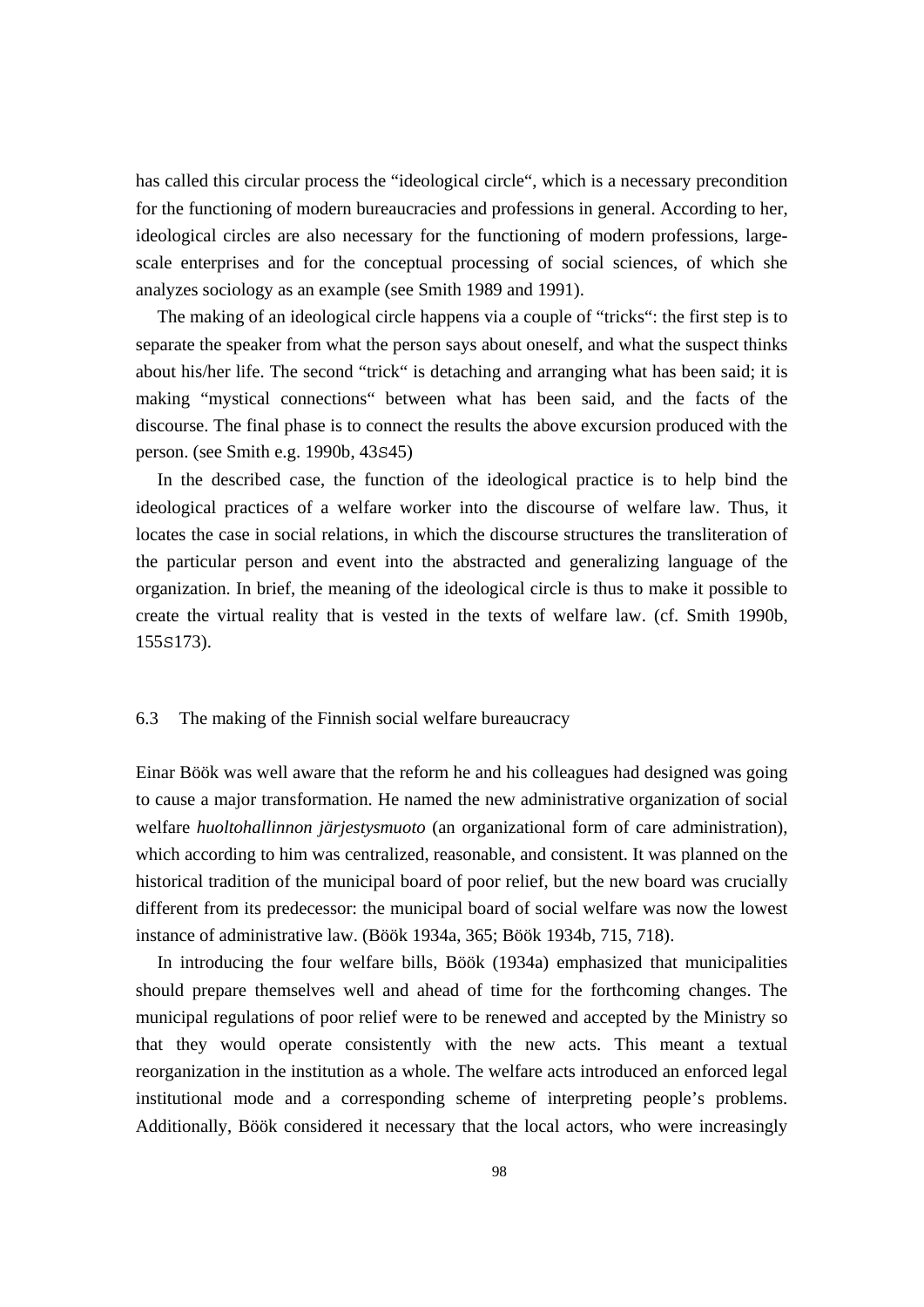has called this circular process the "ideological circle", which is a necessary precondition for the functioning of modern bureaucracies and professions in general. According to her, ideological circles are also necessary for the functioning of modern professions, largescale enterprises and for the conceptual processing of social sciences, of which she analyzes sociology as an example (see Smith 1989 and 1991).

 The making of an ideological circle happens via a couple of "tricks": the first step is to separate the speaker from what the person says about oneself, and what the suspect thinks about his/her life. The second "trick" is detaching and arranging what has been said; it is making "mystical connections" between what has been said, and the facts of the discourse. The final phase is to connect the results the above excursion produced with the person. (see Smith e.g. 1990b, 43S45)

 In the described case, the function of the ideological practice is to help bind the ideological practices of a welfare worker into the discourse of welfare law. Thus, it locates the case in social relations, in which the discourse structures the transliteration of the particular person and event into the abstracted and generalizing language of the organization. In brief, the meaning of the ideological circle is thus to make it possible to create the virtual reality that is vested in the texts of welfare law. (cf. Smith 1990b, 155S173).

#### 6.3 The making of the Finnish social welfare bureaucracy

Einar Böök was well aware that the reform he and his colleagues had designed was going to cause a major transformation. He named the new administrative organization of social welfare *huoltohallinnon järjestysmuoto* (an organizational form of care administration), which according to him was centralized, reasonable, and consistent. It was planned on the historical tradition of the municipal board of poor relief, but the new board was crucially different from its predecessor: the municipal board of social welfare was now the lowest instance of administrative law. (Böök 1934a, 365; Böök 1934b, 715, 718).

 In introducing the four welfare bills, Böök (1934a) emphasized that municipalities should prepare themselves well and ahead of time for the forthcoming changes. The municipal regulations of poor relief were to be renewed and accepted by the Ministry so that they would operate consistently with the new acts. This meant a textual reorganization in the institution as a whole. The welfare acts introduced an enforced legal institutional mode and a corresponding scheme of interpreting people's problems. Additionally, Böök considered it necessary that the local actors, who were increasingly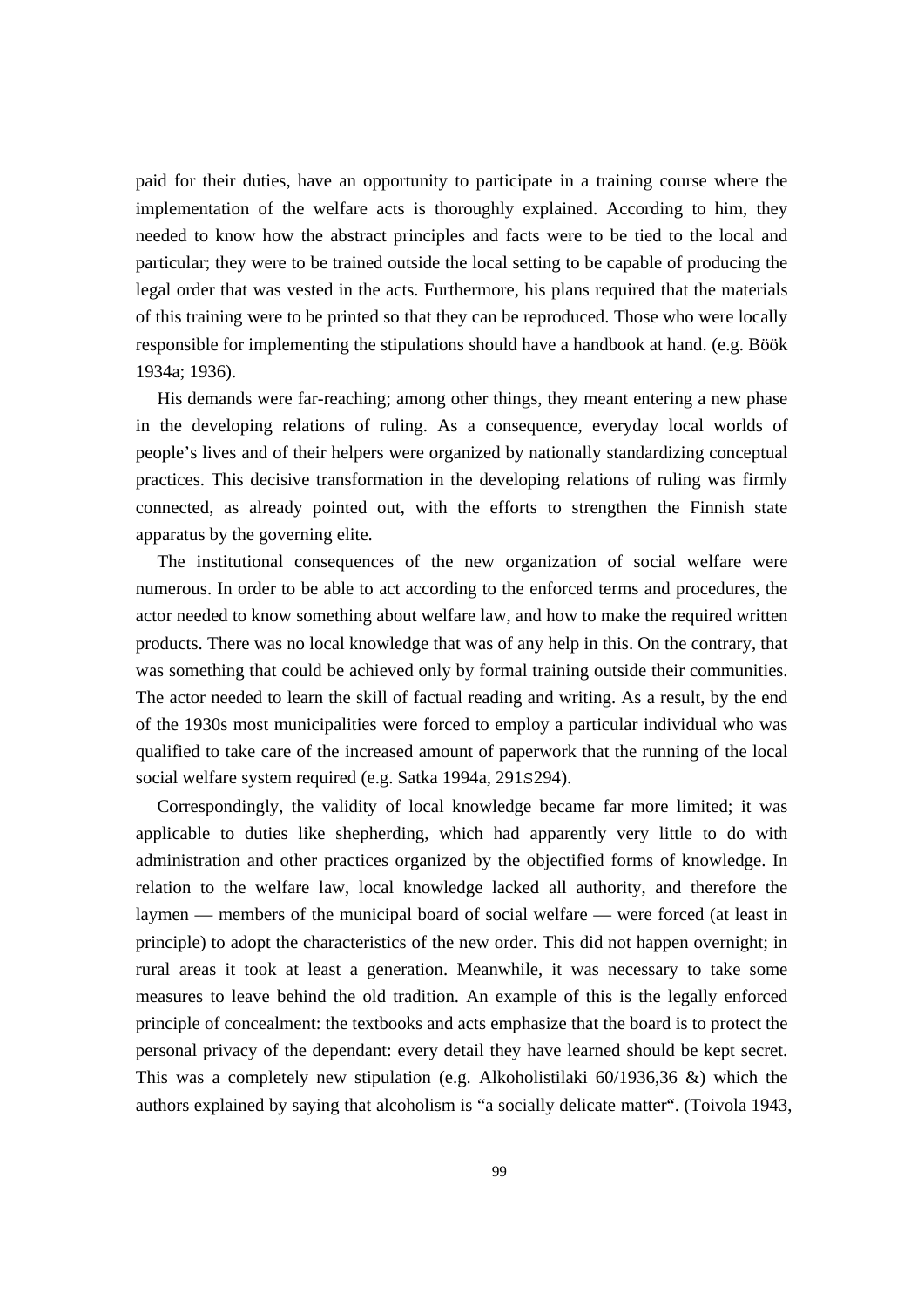paid for their duties, have an opportunity to participate in a training course where the implementation of the welfare acts is thoroughly explained. According to him, they needed to know how the abstract principles and facts were to be tied to the local and particular; they were to be trained outside the local setting to be capable of producing the legal order that was vested in the acts. Furthermore, his plans required that the materials of this training were to be printed so that they can be reproduced. Those who were locally responsible for implementing the stipulations should have a handbook at hand. (e.g. Böök 1934a; 1936).

 His demands were far-reaching; among other things, they meant entering a new phase in the developing relations of ruling. As a consequence, everyday local worlds of people's lives and of their helpers were organized by nationally standardizing conceptual practices. This decisive transformation in the developing relations of ruling was firmly connected, as already pointed out, with the efforts to strengthen the Finnish state apparatus by the governing elite.

 The institutional consequences of the new organization of social welfare were numerous. In order to be able to act according to the enforced terms and procedures, the actor needed to know something about welfare law, and how to make the required written products. There was no local knowledge that was of any help in this. On the contrary, that was something that could be achieved only by formal training outside their communities. The actor needed to learn the skill of factual reading and writing. As a result, by the end of the 1930s most municipalities were forced to employ a particular individual who was qualified to take care of the increased amount of paperwork that the running of the local social welfare system required (e.g. Satka 1994a, 291S294).

 Correspondingly, the validity of local knowledge became far more limited; it was applicable to duties like shepherding, which had apparently very little to do with administration and other practices organized by the objectified forms of knowledge. In relation to the welfare law, local knowledge lacked all authority, and therefore the laymen — members of the municipal board of social welfare — were forced (at least in principle) to adopt the characteristics of the new order. This did not happen overnight; in rural areas it took at least a generation. Meanwhile, it was necessary to take some measures to leave behind the old tradition. An example of this is the legally enforced principle of concealment: the textbooks and acts emphasize that the board is to protect the personal privacy of the dependant: every detail they have learned should be kept secret. This was a completely new stipulation (e.g. Alkoholistilaki  $60/1936,36 \&$ ) which the authors explained by saying that alcoholism is "a socially delicate matter". (Toivola 1943,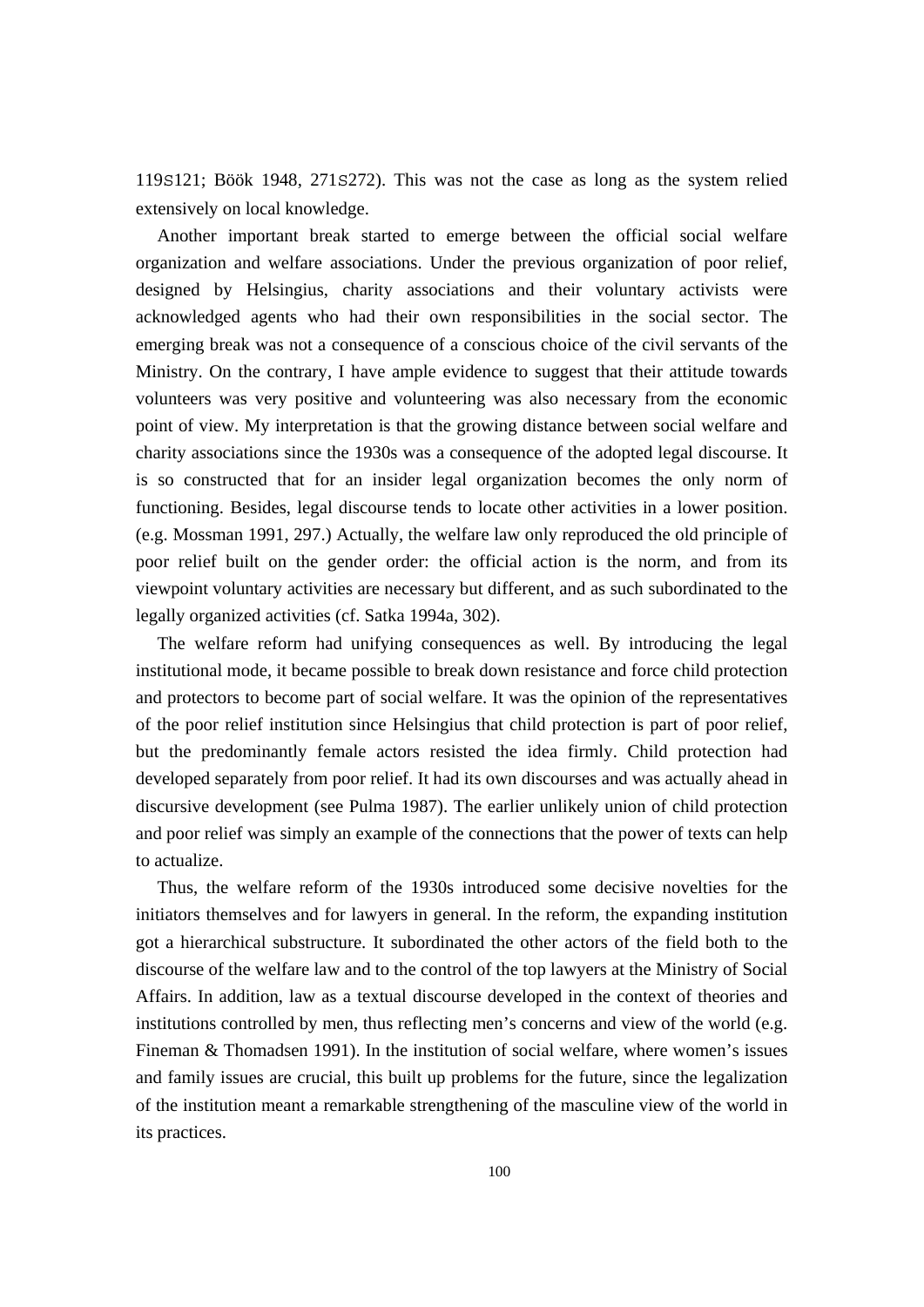119S121; Böök 1948, 271S272). This was not the case as long as the system relied extensively on local knowledge.

 Another important break started to emerge between the official social welfare organization and welfare associations. Under the previous organization of poor relief, designed by Helsingius, charity associations and their voluntary activists were acknowledged agents who had their own responsibilities in the social sector. The emerging break was not a consequence of a conscious choice of the civil servants of the Ministry. On the contrary, I have ample evidence to suggest that their attitude towards volunteers was very positive and volunteering was also necessary from the economic point of view. My interpretation is that the growing distance between social welfare and charity associations since the 1930s was a consequence of the adopted legal discourse. It is so constructed that for an insider legal organization becomes the only norm of functioning. Besides, legal discourse tends to locate other activities in a lower position. (e.g. Mossman 1991, 297.) Actually, the welfare law only reproduced the old principle of poor relief built on the gender order: the official action is the norm, and from its viewpoint voluntary activities are necessary but different, and as such subordinated to the legally organized activities (cf. Satka 1994a, 302).

 The welfare reform had unifying consequences as well. By introducing the legal institutional mode, it became possible to break down resistance and force child protection and protectors to become part of social welfare. It was the opinion of the representatives of the poor relief institution since Helsingius that child protection is part of poor relief, but the predominantly female actors resisted the idea firmly. Child protection had developed separately from poor relief. It had its own discourses and was actually ahead in discursive development (see Pulma 1987). The earlier unlikely union of child protection and poor relief was simply an example of the connections that the power of texts can help to actualize.

 Thus, the welfare reform of the 1930s introduced some decisive novelties for the initiators themselves and for lawyers in general. In the reform, the expanding institution got a hierarchical substructure. It subordinated the other actors of the field both to the discourse of the welfare law and to the control of the top lawyers at the Ministry of Social Affairs. In addition, law as a textual discourse developed in the context of theories and institutions controlled by men, thus reflecting men's concerns and view of the world (e.g. Fineman & Thomadsen 1991). In the institution of social welfare, where women's issues and family issues are crucial, this built up problems for the future, since the legalization of the institution meant a remarkable strengthening of the masculine view of the world in its practices.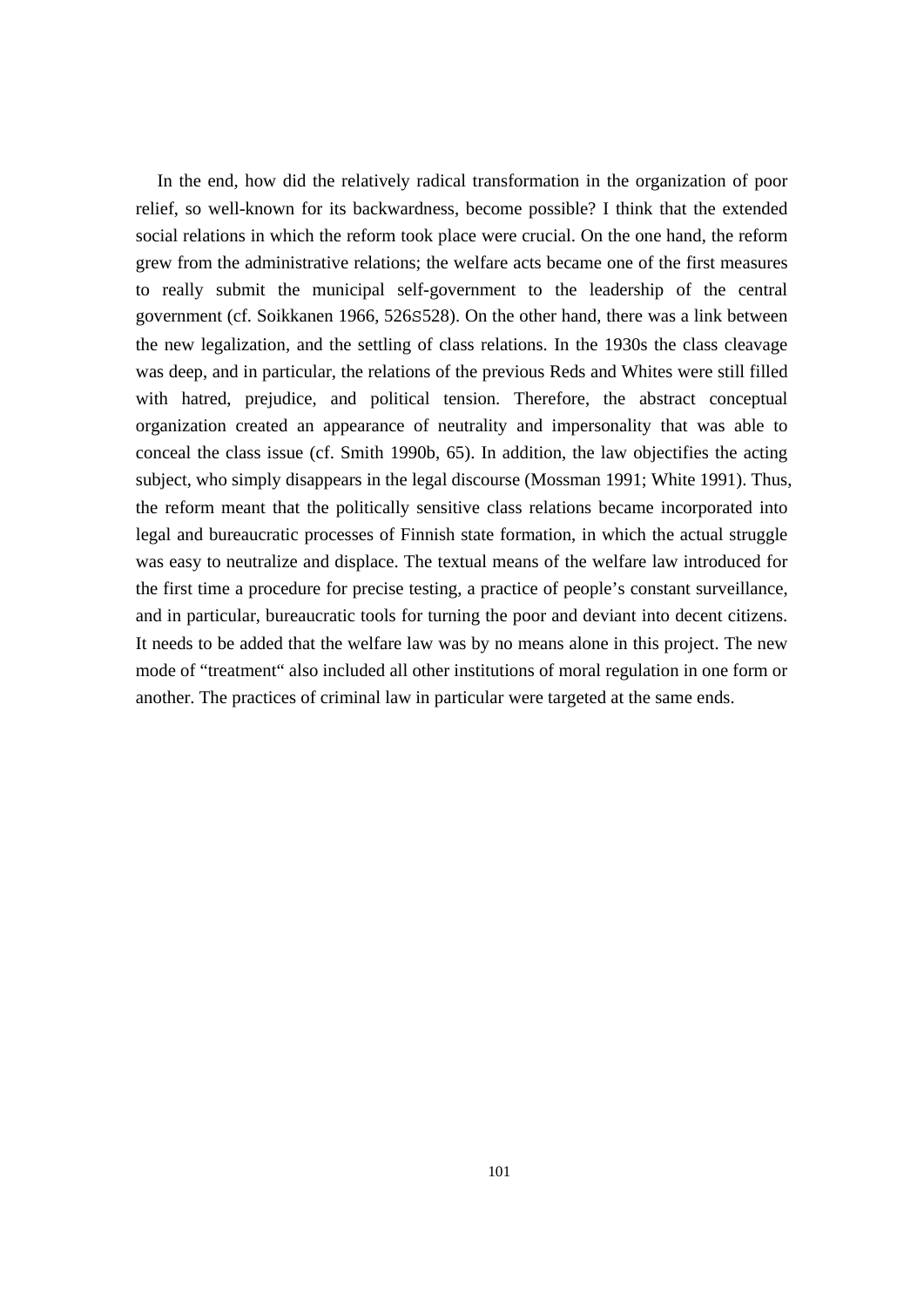In the end, how did the relatively radical transformation in the organization of poor relief, so well-known for its backwardness, become possible? I think that the extended social relations in which the reform took place were crucial. On the one hand, the reform grew from the administrative relations; the welfare acts became one of the first measures to really submit the municipal self-government to the leadership of the central government (cf. Soikkanen 1966, 526S528). On the other hand, there was a link between the new legalization, and the settling of class relations. In the 1930s the class cleavage was deep, and in particular, the relations of the previous Reds and Whites were still filled with hatred, prejudice, and political tension. Therefore, the abstract conceptual organization created an appearance of neutrality and impersonality that was able to conceal the class issue (cf. Smith 1990b, 65). In addition, the law objectifies the acting subject, who simply disappears in the legal discourse (Mossman 1991; White 1991). Thus, the reform meant that the politically sensitive class relations became incorporated into legal and bureaucratic processes of Finnish state formation, in which the actual struggle was easy to neutralize and displace. The textual means of the welfare law introduced for the first time a procedure for precise testing, a practice of people's constant surveillance, and in particular, bureaucratic tools for turning the poor and deviant into decent citizens. It needs to be added that the welfare law was by no means alone in this project. The new mode of "treatment" also included all other institutions of moral regulation in one form or another. The practices of criminal law in particular were targeted at the same ends.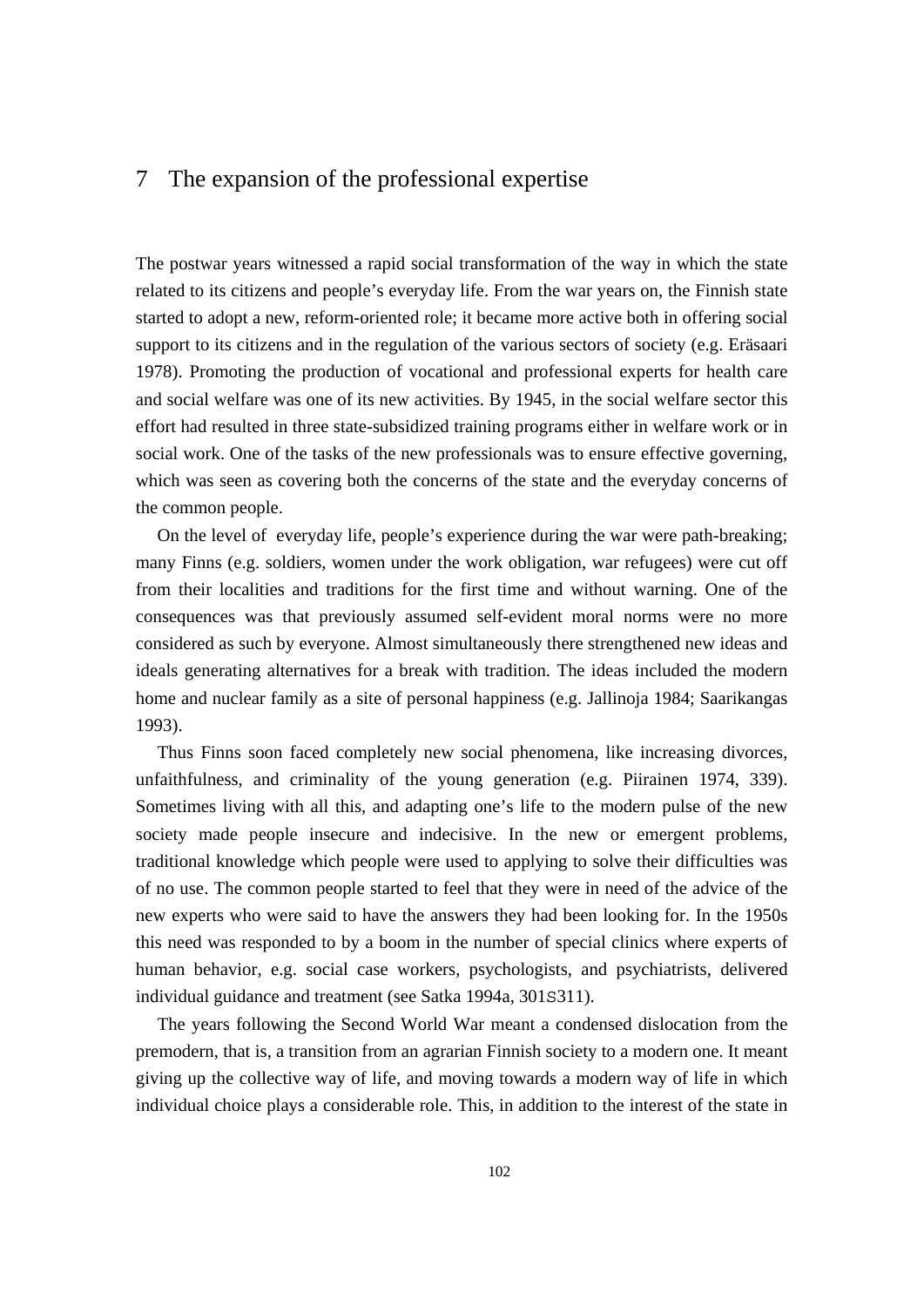# 7 The expansion of the professional expertise

The postwar years witnessed a rapid social transformation of the way in which the state related to its citizens and people's everyday life. From the war years on, the Finnish state started to adopt a new, reform-oriented role; it became more active both in offering social support to its citizens and in the regulation of the various sectors of society (e.g. Eräsaari 1978). Promoting the production of vocational and professional experts for health care and social welfare was one of its new activities. By 1945, in the social welfare sector this effort had resulted in three state-subsidized training programs either in welfare work or in social work. One of the tasks of the new professionals was to ensure effective governing, which was seen as covering both the concerns of the state and the everyday concerns of the common people.

 On the level of everyday life, people's experience during the war were path-breaking; many Finns (e.g. soldiers, women under the work obligation, war refugees) were cut off from their localities and traditions for the first time and without warning. One of the consequences was that previously assumed self-evident moral norms were no more considered as such by everyone. Almost simultaneously there strengthened new ideas and ideals generating alternatives for a break with tradition. The ideas included the modern home and nuclear family as a site of personal happiness (e.g. Jallinoja 1984; Saarikangas 1993).

 Thus Finns soon faced completely new social phenomena, like increasing divorces, unfaithfulness, and criminality of the young generation (e.g. Piirainen 1974, 339). Sometimes living with all this, and adapting one's life to the modern pulse of the new society made people insecure and indecisive. In the new or emergent problems, traditional knowledge which people were used to applying to solve their difficulties was of no use. The common people started to feel that they were in need of the advice of the new experts who were said to have the answers they had been looking for. In the 1950s this need was responded to by a boom in the number of special clinics where experts of human behavior, e.g. social case workers, psychologists, and psychiatrists, delivered individual guidance and treatment (see Satka 1994a, 301S311).

 The years following the Second World War meant a condensed dislocation from the premodern, that is, a transition from an agrarian Finnish society to a modern one. It meant giving up the collective way of life, and moving towards a modern way of life in which individual choice plays a considerable role. This, in addition to the interest of the state in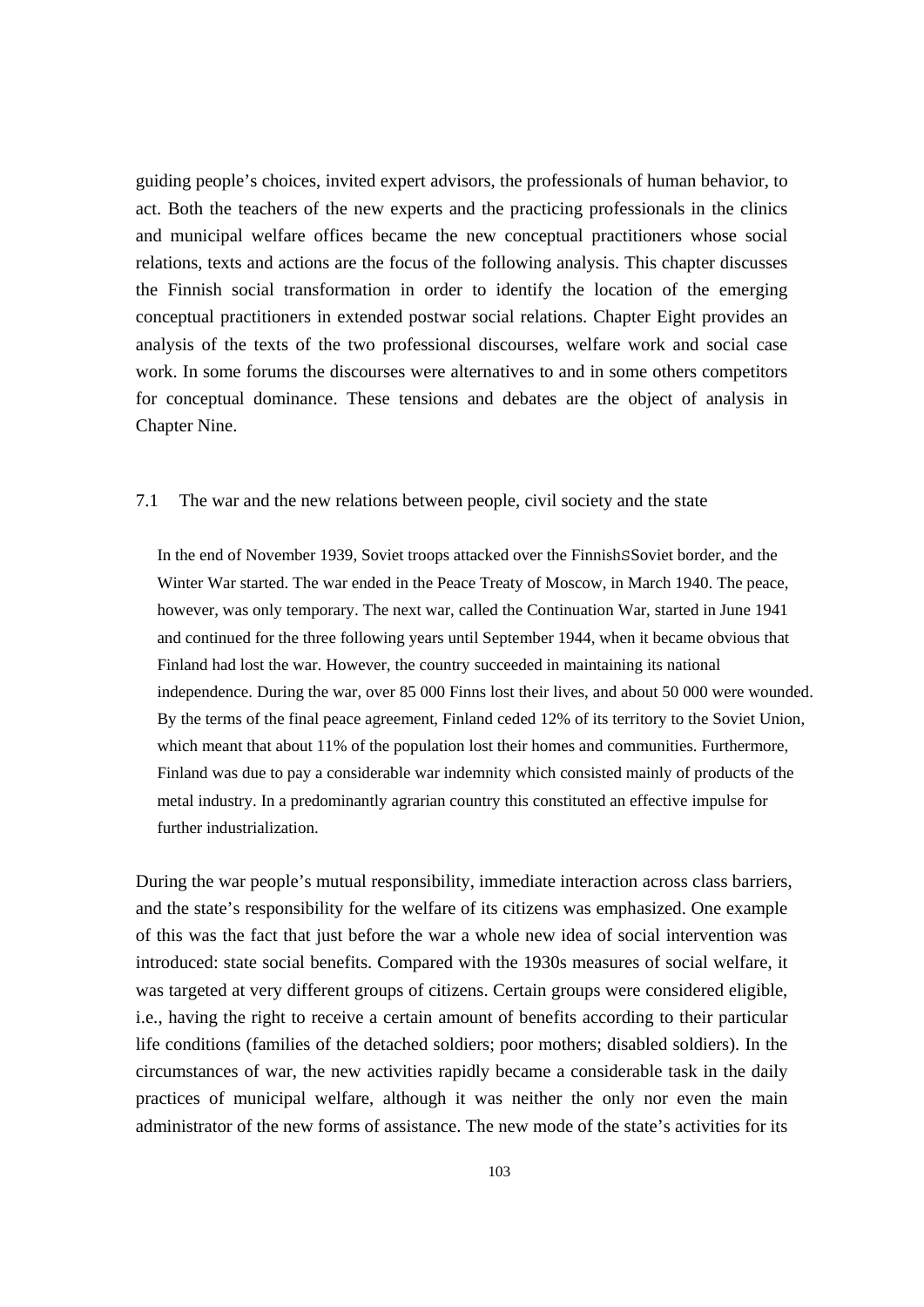guiding people's choices, invited expert advisors, the professionals of human behavior, to act. Both the teachers of the new experts and the practicing professionals in the clinics and municipal welfare offices became the new conceptual practitioners whose social relations, texts and actions are the focus of the following analysis. This chapter discusses the Finnish social transformation in order to identify the location of the emerging conceptual practitioners in extended postwar social relations. Chapter Eight provides an analysis of the texts of the two professional discourses, welfare work and social case work. In some forums the discourses were alternatives to and in some others competitors for conceptual dominance. These tensions and debates are the object of analysis in Chapter Nine.

### 7.1 The war and the new relations between people, civil society and the state

In the end of November 1939, Soviet troops attacked over the FinnishSSoviet border, and the Winter War started. The war ended in the Peace Treaty of Moscow, in March 1940. The peace, however, was only temporary. The next war, called the Continuation War, started in June 1941 and continued for the three following years until September 1944, when it became obvious that Finland had lost the war. However, the country succeeded in maintaining its national independence. During the war, over 85 000 Finns lost their lives, and about 50 000 were wounded. By the terms of the final peace agreement, Finland ceded 12% of its territory to the Soviet Union, which meant that about 11% of the population lost their homes and communities. Furthermore, Finland was due to pay a considerable war indemnity which consisted mainly of products of the metal industry. In a predominantly agrarian country this constituted an effective impulse for further industrialization.

During the war people's mutual responsibility, immediate interaction across class barriers, and the state's responsibility for the welfare of its citizens was emphasized. One example of this was the fact that just before the war a whole new idea of social intervention was introduced: state social benefits. Compared with the 1930s measures of social welfare, it was targeted at very different groups of citizens. Certain groups were considered eligible, i.e., having the right to receive a certain amount of benefits according to their particular life conditions (families of the detached soldiers; poor mothers; disabled soldiers). In the circumstances of war, the new activities rapidly became a considerable task in the daily practices of municipal welfare, although it was neither the only nor even the main administrator of the new forms of assistance. The new mode of the state's activities for its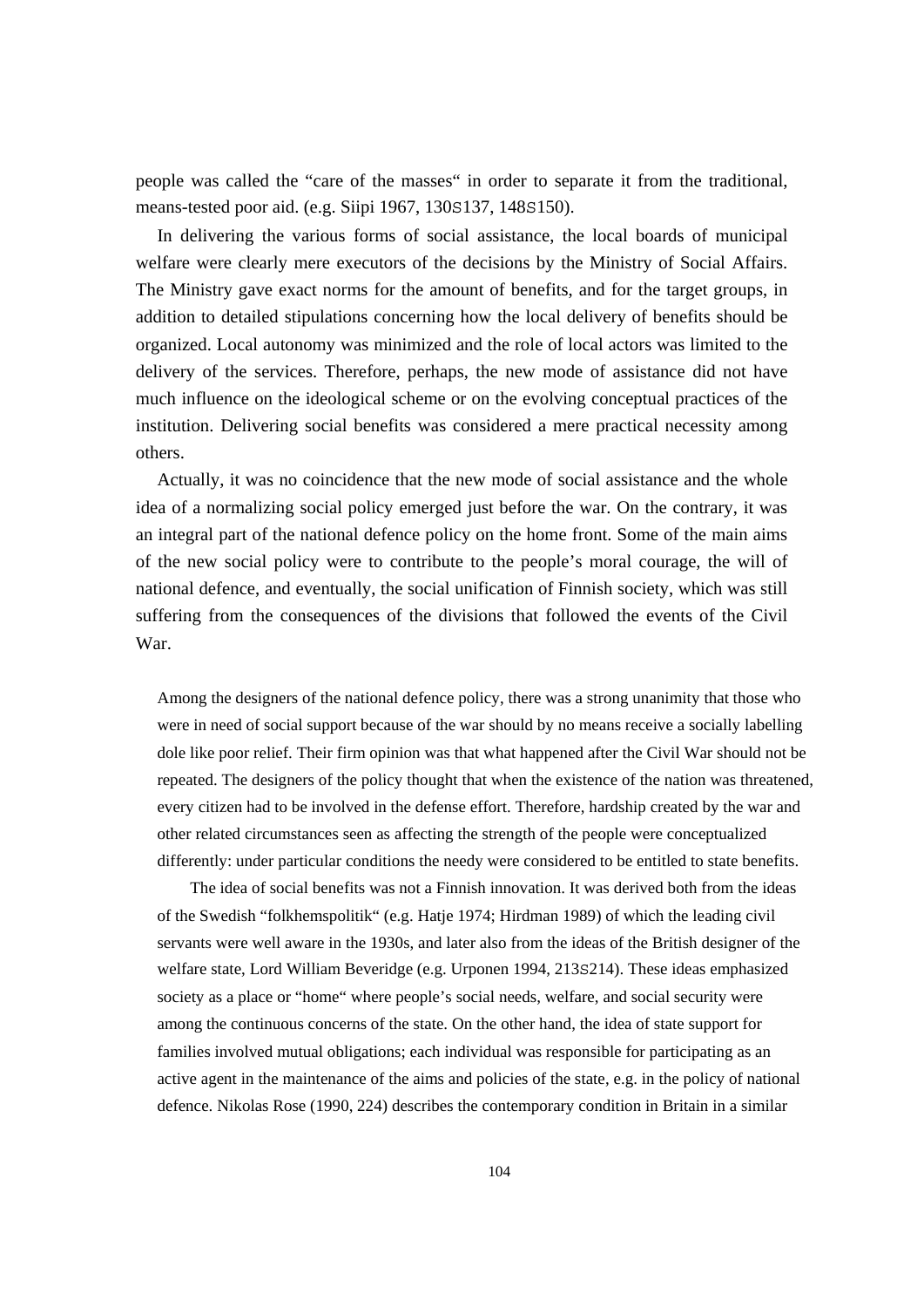people was called the "care of the masses" in order to separate it from the traditional, means-tested poor aid. (e.g. Siipi 1967, 130S137, 148S150).

 In delivering the various forms of social assistance, the local boards of municipal welfare were clearly mere executors of the decisions by the Ministry of Social Affairs. The Ministry gave exact norms for the amount of benefits, and for the target groups, in addition to detailed stipulations concerning how the local delivery of benefits should be organized. Local autonomy was minimized and the role of local actors was limited to the delivery of the services. Therefore, perhaps, the new mode of assistance did not have much influence on the ideological scheme or on the evolving conceptual practices of the institution. Delivering social benefits was considered a mere practical necessity among others.

 Actually, it was no coincidence that the new mode of social assistance and the whole idea of a normalizing social policy emerged just before the war. On the contrary, it was an integral part of the national defence policy on the home front. Some of the main aims of the new social policy were to contribute to the people's moral courage, the will of national defence, and eventually, the social unification of Finnish society, which was still suffering from the consequences of the divisions that followed the events of the Civil War.

Among the designers of the national defence policy, there was a strong unanimity that those who were in need of social support because of the war should by no means receive a socially labelling dole like poor relief. Their firm opinion was that what happened after the Civil War should not be repeated. The designers of the policy thought that when the existence of the nation was threatened, every citizen had to be involved in the defense effort. Therefore, hardship created by the war and other related circumstances seen as affecting the strength of the people were conceptualized differently: under particular conditions the needy were considered to be entitled to state benefits.

 The idea of social benefits was not a Finnish innovation. It was derived both from the ideas of the Swedish "folkhemspolitik" (e.g. Hatje 1974; Hirdman 1989) of which the leading civil servants were well aware in the 1930s, and later also from the ideas of the British designer of the welfare state, Lord William Beveridge (e.g. Urponen 1994, 213S214). These ideas emphasized society as a place or "home" where people's social needs, welfare, and social security were among the continuous concerns of the state. On the other hand, the idea of state support for families involved mutual obligations; each individual was responsible for participating as an active agent in the maintenance of the aims and policies of the state, e.g. in the policy of national defence. Nikolas Rose (1990, 224) describes the contemporary condition in Britain in a similar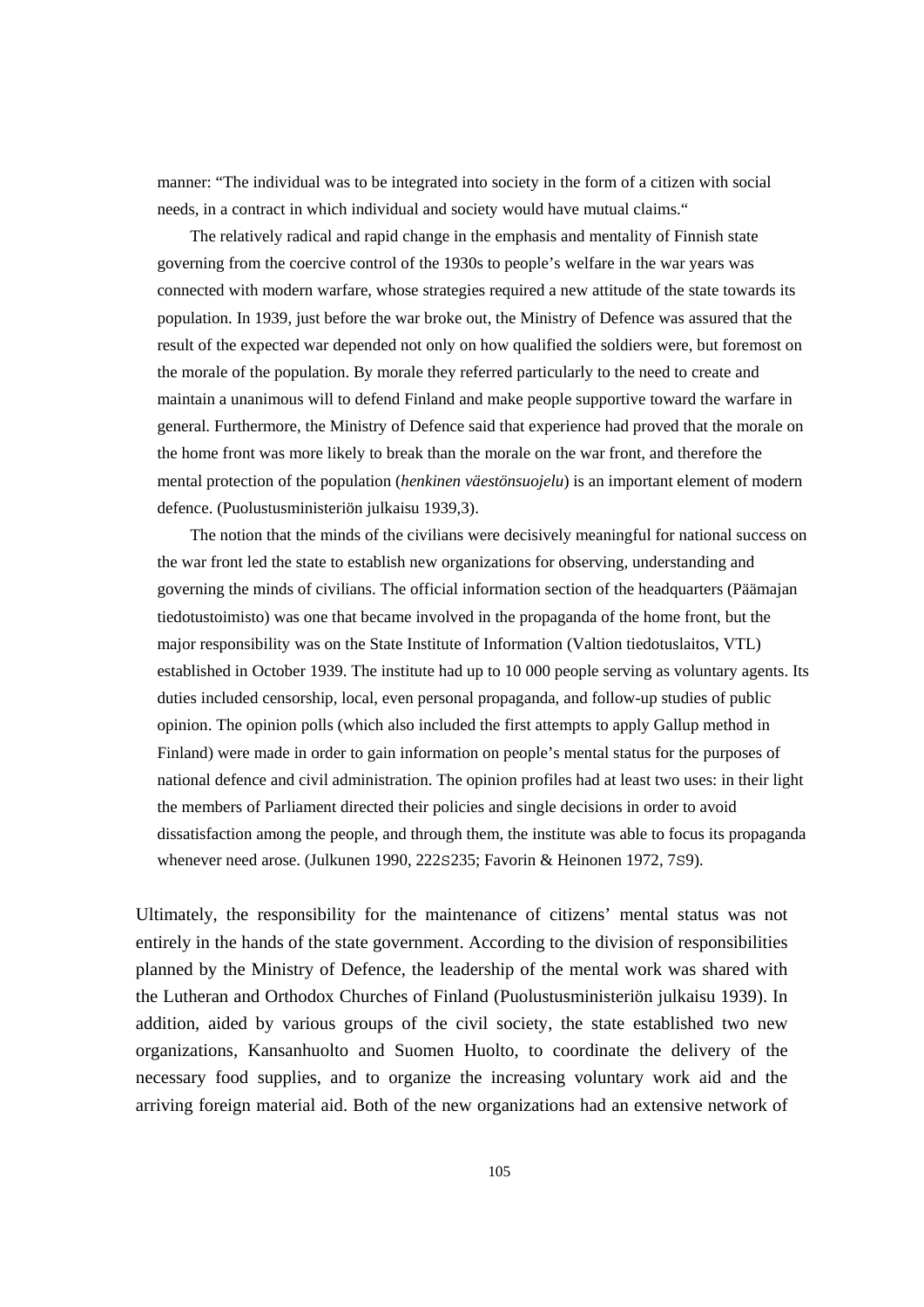manner: "The individual was to be integrated into society in the form of a citizen with social needs, in a contract in which individual and society would have mutual claims."

 The relatively radical and rapid change in the emphasis and mentality of Finnish state governing from the coercive control of the 1930s to people's welfare in the war years was connected with modern warfare, whose strategies required a new attitude of the state towards its population. In 1939, just before the war broke out, the Ministry of Defence was assured that the result of the expected war depended not only on how qualified the soldiers were, but foremost on the morale of the population. By morale they referred particularly to the need to create and maintain a unanimous will to defend Finland and make people supportive toward the warfare in general. Furthermore, the Ministry of Defence said that experience had proved that the morale on the home front was more likely to break than the morale on the war front, and therefore the mental protection of the population (*henkinen väestönsuojelu*) is an important element of modern defence. (Puolustusministeriön julkaisu 1939,3).

 The notion that the minds of the civilians were decisively meaningful for national success on the war front led the state to establish new organizations for observing, understanding and governing the minds of civilians. The official information section of the headquarters (Päämajan tiedotustoimisto) was one that became involved in the propaganda of the home front, but the major responsibility was on the State Institute of Information (Valtion tiedotuslaitos, VTL) established in October 1939. The institute had up to 10 000 people serving as voluntary agents. Its duties included censorship, local, even personal propaganda, and follow-up studies of public opinion. The opinion polls (which also included the first attempts to apply Gallup method in Finland) were made in order to gain information on people's mental status for the purposes of national defence and civil administration. The opinion profiles had at least two uses: in their light the members of Parliament directed their policies and single decisions in order to avoid dissatisfaction among the people, and through them, the institute was able to focus its propaganda whenever need arose. (Julkunen 1990, 222S235; Favorin & Heinonen 1972, 7S9).

Ultimately, the responsibility for the maintenance of citizens' mental status was not entirely in the hands of the state government. According to the division of responsibilities planned by the Ministry of Defence, the leadership of the mental work was shared with the Lutheran and Orthodox Churches of Finland (Puolustusministeriön julkaisu 1939). In addition, aided by various groups of the civil society, the state established two new organizations, Kansanhuolto and Suomen Huolto, to coordinate the delivery of the necessary food supplies, and to organize the increasing voluntary work aid and the arriving foreign material aid. Both of the new organizations had an extensive network of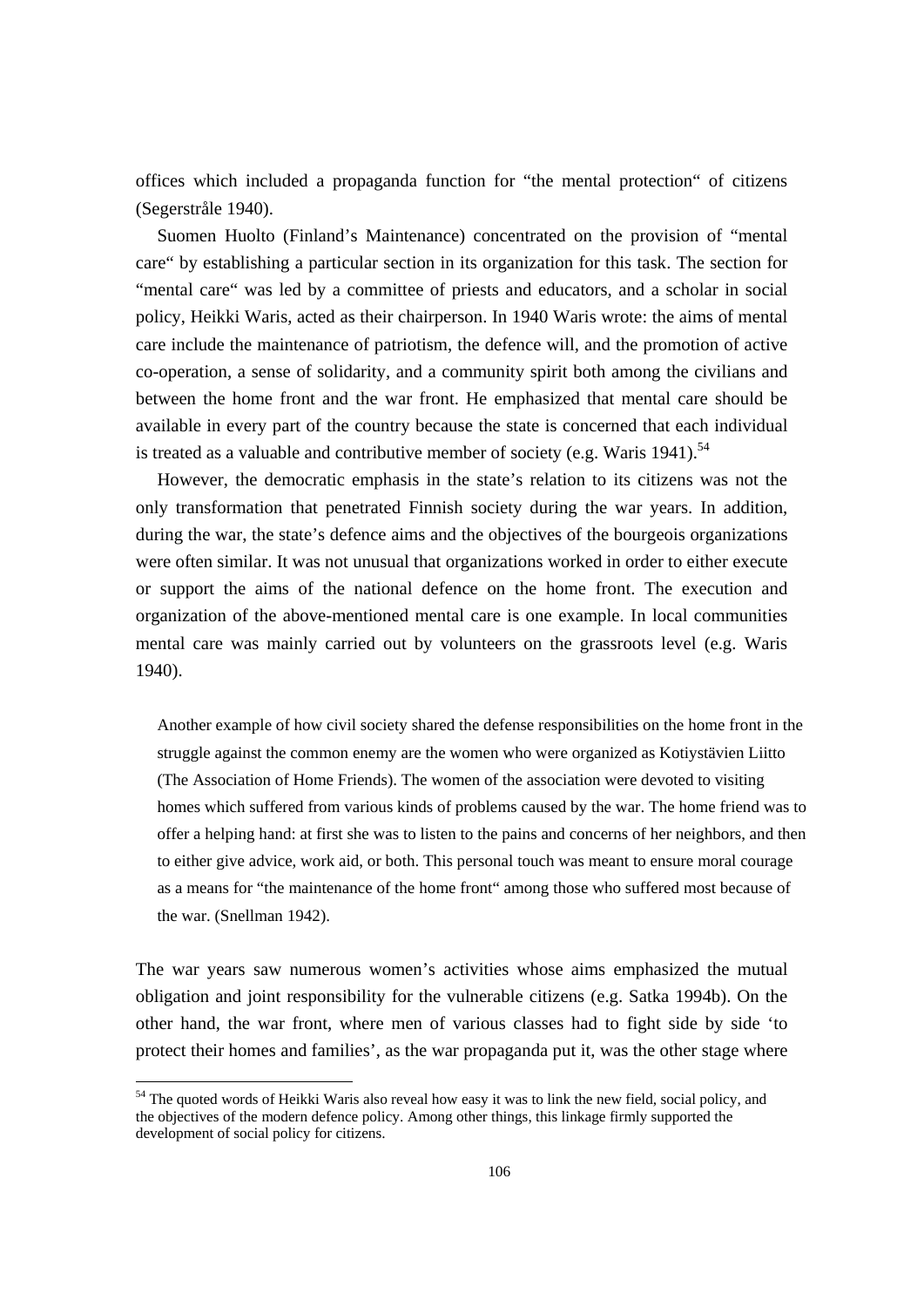offices which included a propaganda function for "the mental protection" of citizens (Segerstråle 1940).

 Suomen Huolto (Finland's Maintenance) concentrated on the provision of "mental care" by establishing a particular section in its organization for this task. The section for "mental care" was led by a committee of priests and educators, and a scholar in social policy, Heikki Waris, acted as their chairperson. In 1940 Waris wrote: the aims of mental care include the maintenance of patriotism, the defence will, and the promotion of active co-operation, a sense of solidarity, and a community spirit both among the civilians and between the home front and the war front. He emphasized that mental care should be available in every part of the country because the state is concerned that each individual is treated as a valuable and contributive member of society (e.g. Waris 1941).<sup>54</sup>

 However, the democratic emphasis in the state's relation to its citizens was not the only transformation that penetrated Finnish society during the war years. In addition, during the war, the state's defence aims and the objectives of the bourgeois organizations were often similar. It was not unusual that organizations worked in order to either execute or support the aims of the national defence on the home front. The execution and organization of the above-mentioned mental care is one example. In local communities mental care was mainly carried out by volunteers on the grassroots level (e.g. Waris 1940).

Another example of how civil society shared the defense responsibilities on the home front in the struggle against the common enemy are the women who were organized as Kotiystävien Liitto (The Association of Home Friends). The women of the association were devoted to visiting homes which suffered from various kinds of problems caused by the war. The home friend was to offer a helping hand: at first she was to listen to the pains and concerns of her neighbors, and then to either give advice, work aid, or both. This personal touch was meant to ensure moral courage as a means for "the maintenance of the home front" among those who suffered most because of the war. (Snellman 1942).

The war years saw numerous women's activities whose aims emphasized the mutual obligation and joint responsibility for the vulnerable citizens (e.g. Satka 1994b). On the other hand, the war front, where men of various classes had to fight side by side 'to protect their homes and families', as the war propaganda put it, was the other stage where

<sup>&</sup>lt;sup>54</sup> The quoted words of Heikki Waris also reveal how easy it was to link the new field, social policy, and the objectives of the modern defence policy. Among other things, this linkage firmly supported the development of social policy for citizens.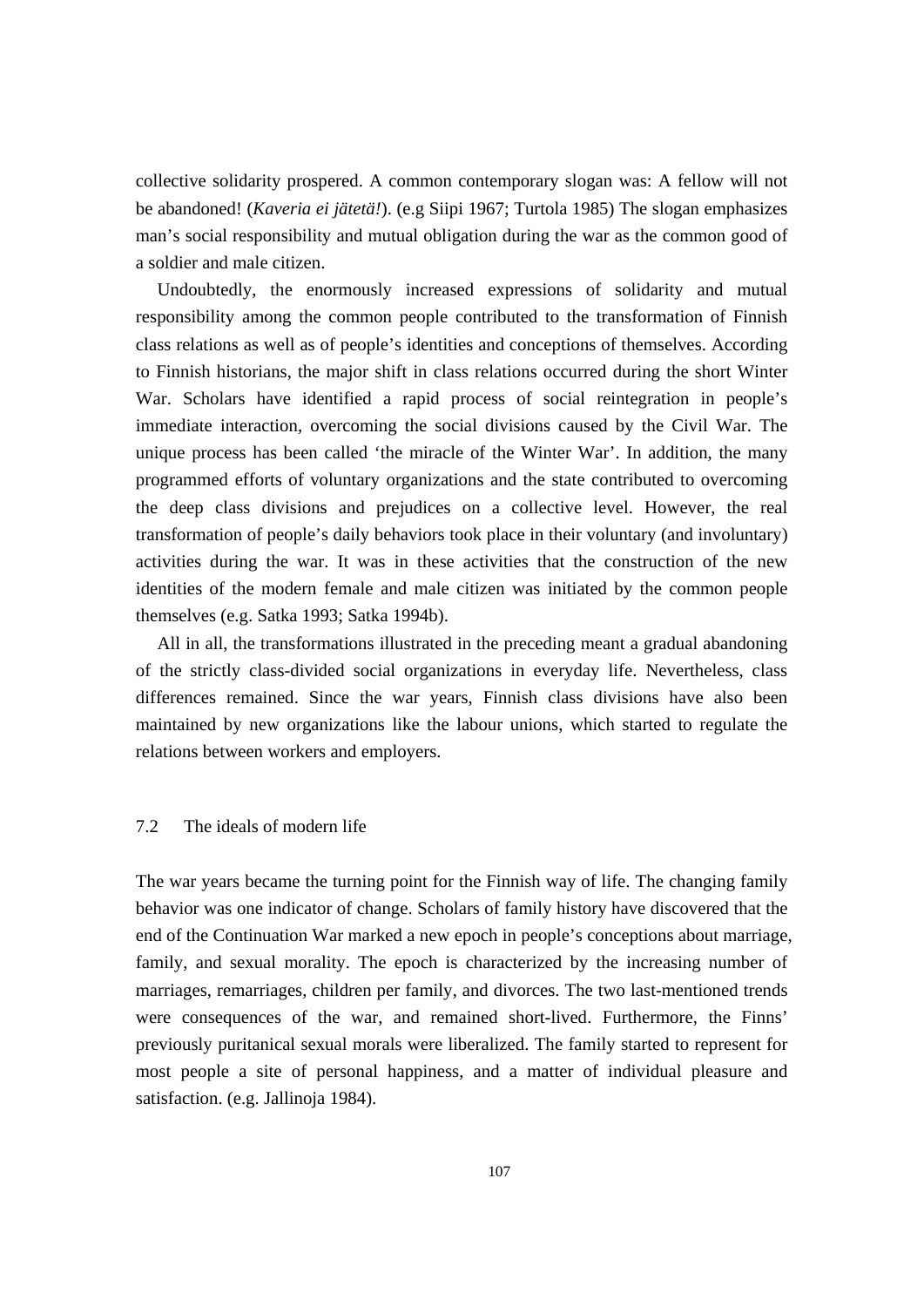collective solidarity prospered. A common contemporary slogan was: A fellow will not be abandoned! (*Kaveria ei jätetä!*). (e.g Siipi 1967; Turtola 1985) The slogan emphasizes man's social responsibility and mutual obligation during the war as the common good of a soldier and male citizen.

 Undoubtedly, the enormously increased expressions of solidarity and mutual responsibility among the common people contributed to the transformation of Finnish class relations as well as of people's identities and conceptions of themselves. According to Finnish historians, the major shift in class relations occurred during the short Winter War. Scholars have identified a rapid process of social reintegration in people's immediate interaction, overcoming the social divisions caused by the Civil War. The unique process has been called 'the miracle of the Winter War'. In addition, the many programmed efforts of voluntary organizations and the state contributed to overcoming the deep class divisions and prejudices on a collective level. However, the real transformation of people's daily behaviors took place in their voluntary (and involuntary) activities during the war. It was in these activities that the construction of the new identities of the modern female and male citizen was initiated by the common people themselves (e.g. Satka 1993; Satka 1994b).

 All in all, the transformations illustrated in the preceding meant a gradual abandoning of the strictly class-divided social organizations in everyday life. Nevertheless, class differences remained. Since the war years, Finnish class divisions have also been maintained by new organizations like the labour unions, which started to regulate the relations between workers and employers.

# 7.2 The ideals of modern life

The war years became the turning point for the Finnish way of life. The changing family behavior was one indicator of change. Scholars of family history have discovered that the end of the Continuation War marked a new epoch in people's conceptions about marriage, family, and sexual morality. The epoch is characterized by the increasing number of marriages, remarriages, children per family, and divorces. The two last-mentioned trends were consequences of the war, and remained short-lived. Furthermore, the Finns' previously puritanical sexual morals were liberalized. The family started to represent for most people a site of personal happiness, and a matter of individual pleasure and satisfaction. (e.g. Jallinoja 1984).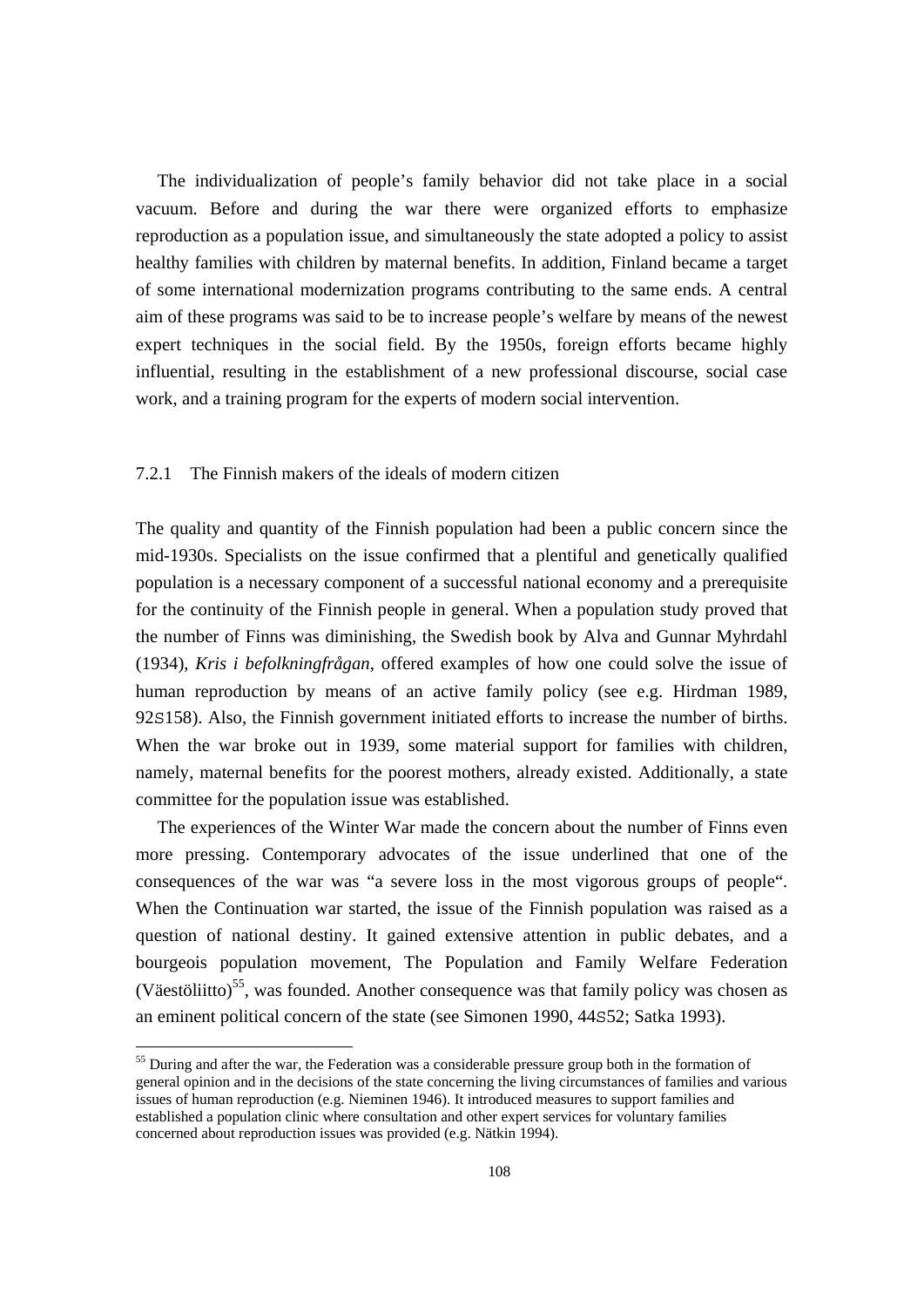The individualization of people's family behavior did not take place in a social vacuum. Before and during the war there were organized efforts to emphasize reproduction as a population issue, and simultaneously the state adopted a policy to assist healthy families with children by maternal benefits. In addition, Finland became a target of some international modernization programs contributing to the same ends. A central aim of these programs was said to be to increase people's welfare by means of the newest expert techniques in the social field. By the 1950s, foreign efforts became highly influential, resulting in the establishment of a new professional discourse, social case work, and a training program for the experts of modern social intervention.

# 7.2.1 The Finnish makers of the ideals of modern citizen

The quality and quantity of the Finnish population had been a public concern since the mid-1930s. Specialists on the issue confirmed that a plentiful and genetically qualified population is a necessary component of a successful national economy and a prerequisite for the continuity of the Finnish people in general. When a population study proved that the number of Finns was diminishing, the Swedish book by Alva and Gunnar Myhrdahl (1934), *Kris i befolkningfrågan*, offered examples of how one could solve the issue of human reproduction by means of an active family policy (see e.g. Hirdman 1989, 92S158). Also, the Finnish government initiated efforts to increase the number of births. When the war broke out in 1939, some material support for families with children, namely, maternal benefits for the poorest mothers, already existed. Additionally, a state committee for the population issue was established.

 The experiences of the Winter War made the concern about the number of Finns even more pressing. Contemporary advocates of the issue underlined that one of the consequences of the war was "a severe loss in the most vigorous groups of people". When the Continuation war started, the issue of the Finnish population was raised as a question of national destiny. It gained extensive attention in public debates, and a bourgeois population movement, The Population and Family Welfare Federation (Väestöliitto)<sup>55</sup>, was founded. Another consequence was that family policy was chosen as an eminent political concern of the state (see Simonen 1990, 44S52; Satka 1993).

<sup>&</sup>lt;sup>55</sup> During and after the war, the Federation was a considerable pressure group both in the formation of general opinion and in the decisions of the state concerning the living circumstances of families and various issues of human reproduction (e.g. Nieminen 1946). It introduced measures to support families and established a population clinic where consultation and other expert services for voluntary families concerned about reproduction issues was provided (e.g. Nätkin 1994).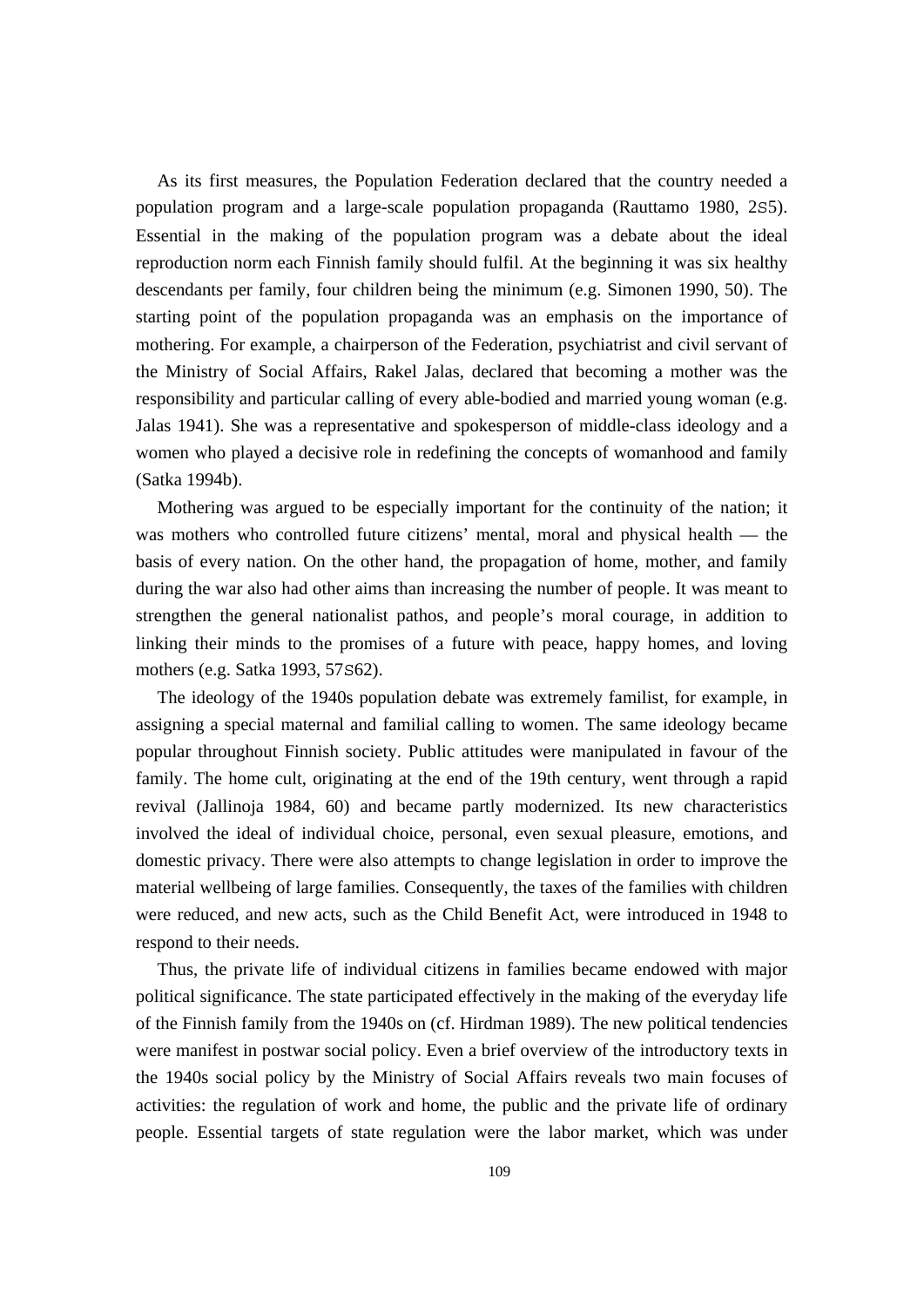As its first measures, the Population Federation declared that the country needed a population program and a large-scale population propaganda (Rauttamo 1980, 2S5). Essential in the making of the population program was a debate about the ideal reproduction norm each Finnish family should fulfil. At the beginning it was six healthy descendants per family, four children being the minimum (e.g. Simonen 1990, 50). The starting point of the population propaganda was an emphasis on the importance of mothering. For example, a chairperson of the Federation, psychiatrist and civil servant of the Ministry of Social Affairs, Rakel Jalas, declared that becoming a mother was the responsibility and particular calling of every able-bodied and married young woman (e.g. Jalas 1941). She was a representative and spokesperson of middle-class ideology and a women who played a decisive role in redefining the concepts of womanhood and family (Satka 1994b).

 Mothering was argued to be especially important for the continuity of the nation; it was mothers who controlled future citizens' mental, moral and physical health — the basis of every nation. On the other hand, the propagation of home, mother, and family during the war also had other aims than increasing the number of people. It was meant to strengthen the general nationalist pathos, and people's moral courage, in addition to linking their minds to the promises of a future with peace, happy homes, and loving mothers (e.g. Satka 1993, 57S62).

 The ideology of the 1940s population debate was extremely familist, for example, in assigning a special maternal and familial calling to women. The same ideology became popular throughout Finnish society. Public attitudes were manipulated in favour of the family. The home cult, originating at the end of the 19th century, went through a rapid revival (Jallinoja 1984, 60) and became partly modernized. Its new characteristics involved the ideal of individual choice, personal, even sexual pleasure, emotions, and domestic privacy. There were also attempts to change legislation in order to improve the material wellbeing of large families. Consequently, the taxes of the families with children were reduced, and new acts, such as the Child Benefit Act, were introduced in 1948 to respond to their needs.

 Thus, the private life of individual citizens in families became endowed with major political significance. The state participated effectively in the making of the everyday life of the Finnish family from the 1940s on (cf. Hirdman 1989). The new political tendencies were manifest in postwar social policy. Even a brief overview of the introductory texts in the 1940s social policy by the Ministry of Social Affairs reveals two main focuses of activities: the regulation of work and home, the public and the private life of ordinary people. Essential targets of state regulation were the labor market, which was under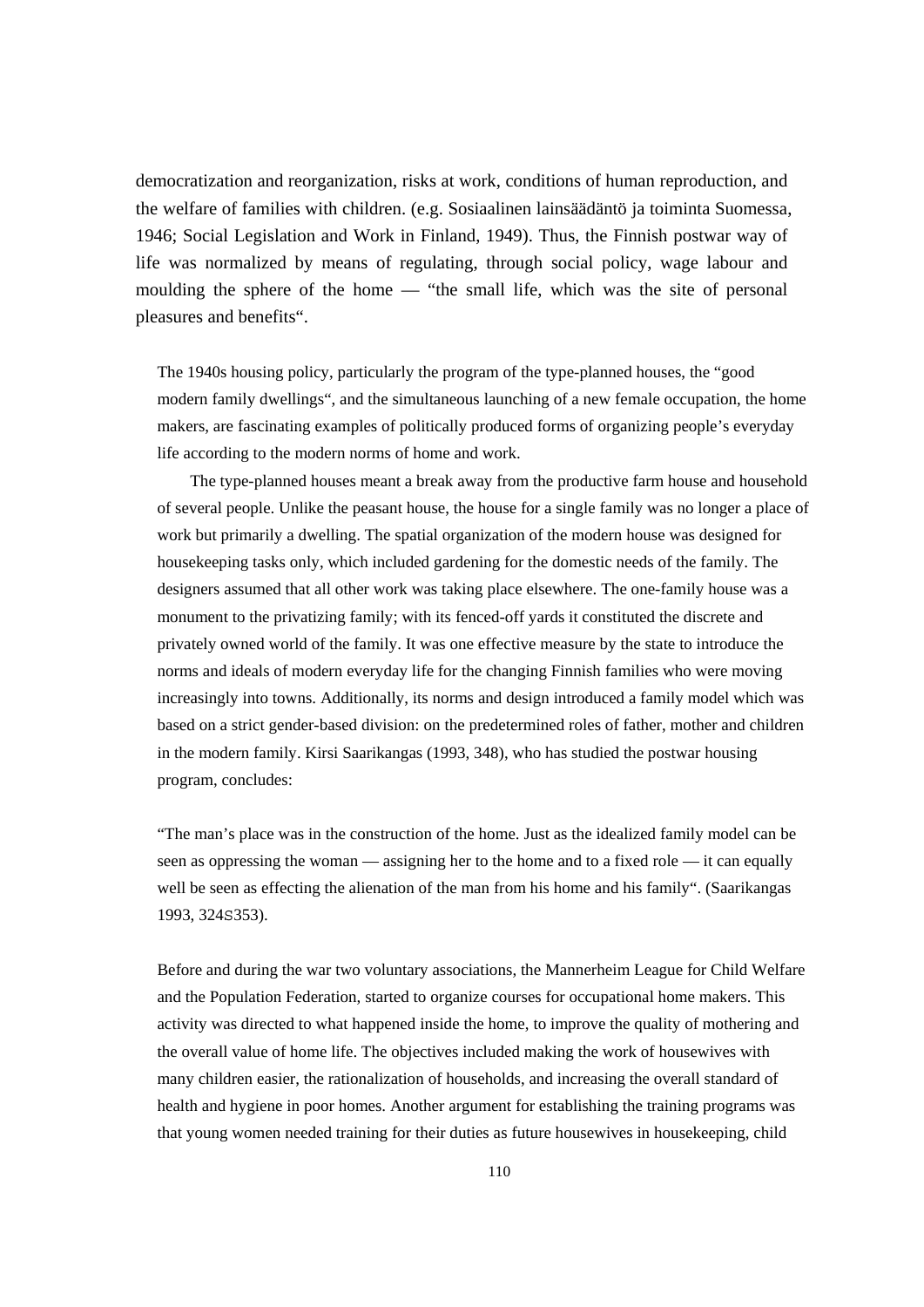democratization and reorganization, risks at work, conditions of human reproduction, and the welfare of families with children. (e.g. Sosiaalinen lainsäädäntö ja toiminta Suomessa, 1946; Social Legislation and Work in Finland, 1949). Thus, the Finnish postwar way of life was normalized by means of regulating, through social policy, wage labour and moulding the sphere of the home — "the small life, which was the site of personal pleasures and benefits".

The 1940s housing policy, particularly the program of the type-planned houses, the "good modern family dwellings", and the simultaneous launching of a new female occupation, the home makers, are fascinating examples of politically produced forms of organizing people's everyday life according to the modern norms of home and work.

 The type-planned houses meant a break away from the productive farm house and household of several people. Unlike the peasant house, the house for a single family was no longer a place of work but primarily a dwelling. The spatial organization of the modern house was designed for housekeeping tasks only, which included gardening for the domestic needs of the family. The designers assumed that all other work was taking place elsewhere. The one-family house was a monument to the privatizing family; with its fenced-off yards it constituted the discrete and privately owned world of the family. It was one effective measure by the state to introduce the norms and ideals of modern everyday life for the changing Finnish families who were moving increasingly into towns. Additionally, its norms and design introduced a family model which was based on a strict gender-based division: on the predetermined roles of father, mother and children in the modern family. Kirsi Saarikangas (1993, 348), who has studied the postwar housing program, concludes:

"The man's place was in the construction of the home. Just as the idealized family model can be seen as oppressing the woman — assigning her to the home and to a fixed role — it can equally well be seen as effecting the alienation of the man from his home and his family". (Saarikangas 1993, 324S353).

Before and during the war two voluntary associations, the Mannerheim League for Child Welfare and the Population Federation, started to organize courses for occupational home makers. This activity was directed to what happened inside the home, to improve the quality of mothering and the overall value of home life. The objectives included making the work of housewives with many children easier, the rationalization of households, and increasing the overall standard of health and hygiene in poor homes. Another argument for establishing the training programs was that young women needed training for their duties as future housewives in housekeeping, child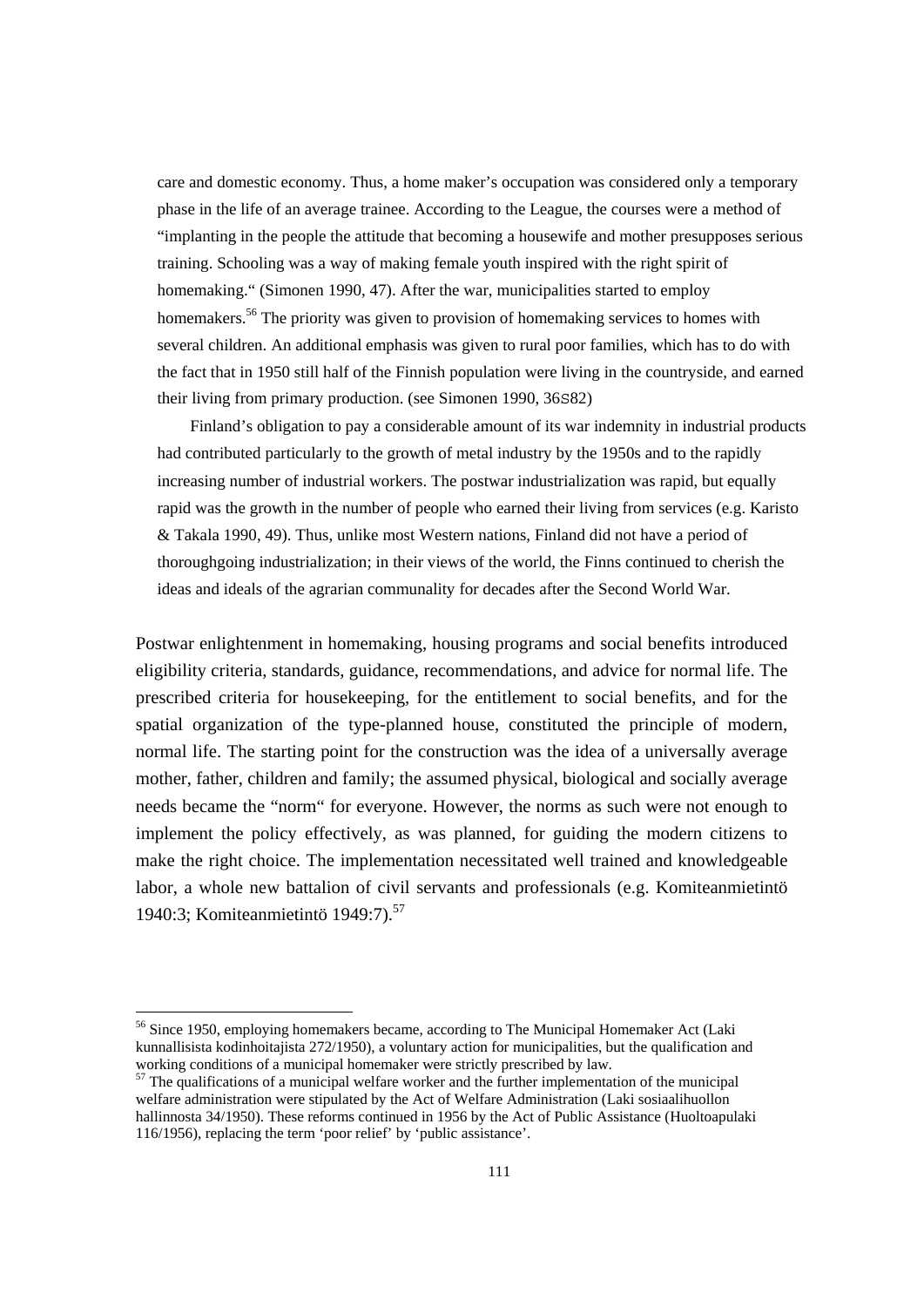care and domestic economy. Thus, a home maker's occupation was considered only a temporary phase in the life of an average trainee. According to the League, the courses were a method of "implanting in the people the attitude that becoming a housewife and mother presupposes serious training. Schooling was a way of making female youth inspired with the right spirit of homemaking." (Simonen 1990, 47). After the war, municipalities started to employ homemakers.<sup>56</sup> The priority was given to provision of homemaking services to homes with several children. An additional emphasis was given to rural poor families, which has to do with the fact that in 1950 still half of the Finnish population were living in the countryside, and earned their living from primary production. (see Simonen 1990, 36S82)

 Finland's obligation to pay a considerable amount of its war indemnity in industrial products had contributed particularly to the growth of metal industry by the 1950s and to the rapidly increasing number of industrial workers. The postwar industrialization was rapid, but equally rapid was the growth in the number of people who earned their living from services (e.g. Karisto & Takala 1990, 49). Thus, unlike most Western nations, Finland did not have a period of thoroughgoing industrialization; in their views of the world, the Finns continued to cherish the ideas and ideals of the agrarian communality for decades after the Second World War.

Postwar enlightenment in homemaking, housing programs and social benefits introduced eligibility criteria, standards, guidance, recommendations, and advice for normal life. The prescribed criteria for housekeeping, for the entitlement to social benefits, and for the spatial organization of the type-planned house, constituted the principle of modern, normal life. The starting point for the construction was the idea of a universally average mother, father, children and family; the assumed physical, biological and socially average needs became the "norm" for everyone. However, the norms as such were not enough to implement the policy effectively, as was planned, for guiding the modern citizens to make the right choice. The implementation necessitated well trained and knowledgeable labor, a whole new battalion of civil servants and professionals (e.g. Komiteanmietintö 1940:3: Komiteanmietintö 1949:7).<sup>57</sup>

l

<sup>&</sup>lt;sup>56</sup> Since 1950, employing homemakers became, according to The Municipal Homemaker Act (Laki kunnallisista kodinhoitajista 272/1950), a voluntary action for municipalities, but the qualification and working conditions of a municipal homemaker were strictly prescribed by law.

<sup>&</sup>lt;sup>57</sup> The qualifications of a municipal welfare worker and the further implementation of the municipal welfare administration were stipulated by the Act of Welfare Administration (Laki sosiaalihuollon hallinnosta 34/1950). These reforms continued in 1956 by the Act of Public Assistance (Huoltoapulaki 116/1956), replacing the term 'poor relief' by 'public assistance'.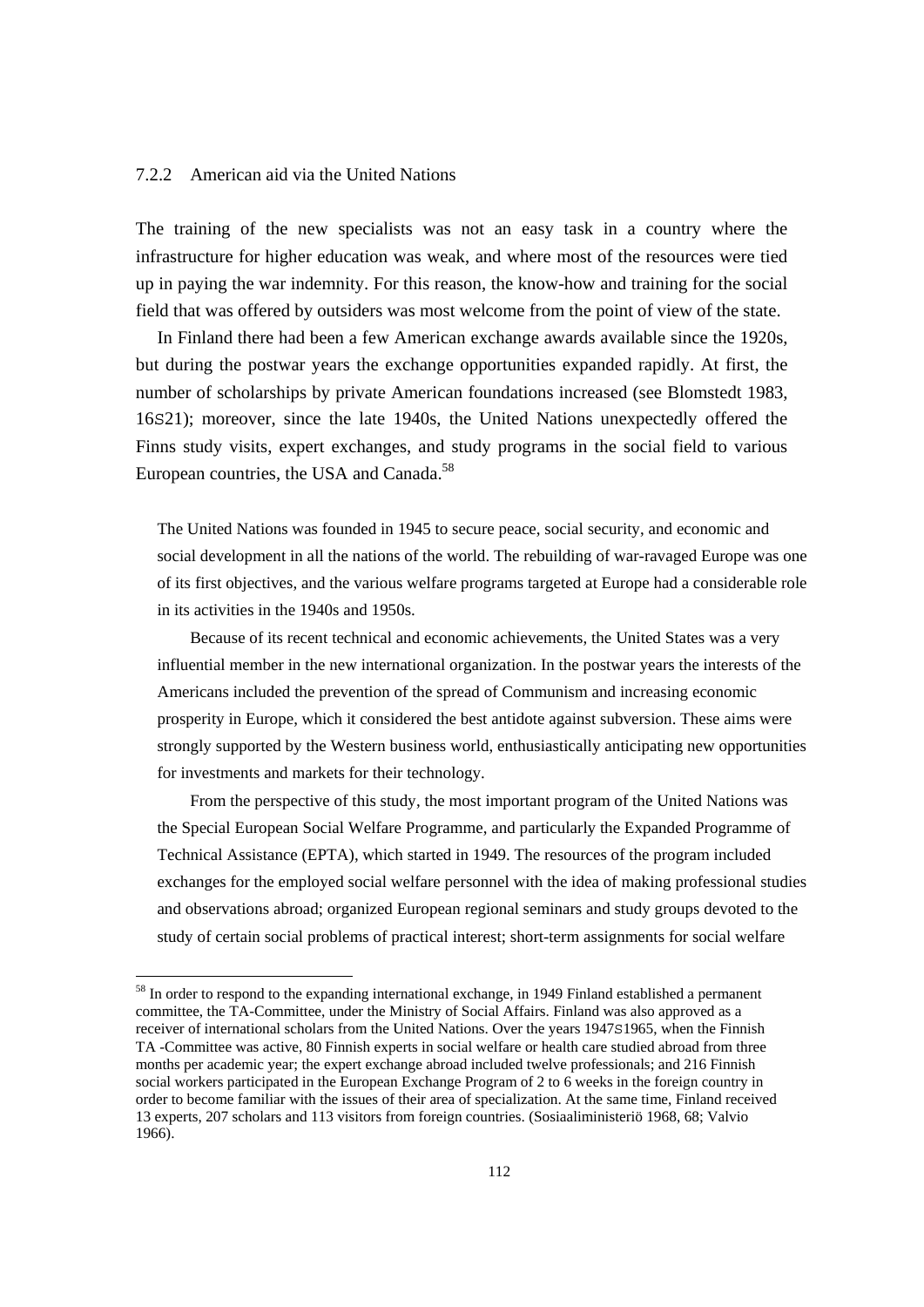#### 7.2.2 American aid via the United Nations

The training of the new specialists was not an easy task in a country where the infrastructure for higher education was weak, and where most of the resources were tied up in paying the war indemnity. For this reason, the know-how and training for the social field that was offered by outsiders was most welcome from the point of view of the state.

 In Finland there had been a few American exchange awards available since the 1920s, but during the postwar years the exchange opportunities expanded rapidly. At first, the number of scholarships by private American foundations increased (see Blomstedt 1983, 16S21); moreover, since the late 1940s, the United Nations unexpectedly offered the Finns study visits, expert exchanges, and study programs in the social field to various European countries, the USA and Canada.<sup>58</sup>

The United Nations was founded in 1945 to secure peace, social security, and economic and social development in all the nations of the world. The rebuilding of war-ravaged Europe was one of its first objectives, and the various welfare programs targeted at Europe had a considerable role in its activities in the 1940s and 1950s.

 Because of its recent technical and economic achievements, the United States was a very influential member in the new international organization. In the postwar years the interests of the Americans included the prevention of the spread of Communism and increasing economic prosperity in Europe, which it considered the best antidote against subversion. These aims were strongly supported by the Western business world, enthusiastically anticipating new opportunities for investments and markets for their technology.

 From the perspective of this study, the most important program of the United Nations was the Special European Social Welfare Programme, and particularly the Expanded Programme of Technical Assistance (EPTA), which started in 1949. The resources of the program included exchanges for the employed social welfare personnel with the idea of making professional studies and observations abroad; organized European regional seminars and study groups devoted to the study of certain social problems of practical interest; short-term assignments for social welfare

<sup>&</sup>lt;sup>58</sup> In order to respond to the expanding international exchange, in 1949 Finland established a permanent committee, the TA-Committee, under the Ministry of Social Affairs. Finland was also approved as a receiver of international scholars from the United Nations. Over the years 1947S1965, when the Finnish TA -Committee was active, 80 Finnish experts in social welfare or health care studied abroad from three months per academic year; the expert exchange abroad included twelve professionals; and 216 Finnish social workers participated in the European Exchange Program of 2 to 6 weeks in the foreign country in order to become familiar with the issues of their area of specialization. At the same time, Finland received 13 experts, 207 scholars and 113 visitors from foreign countries. (Sosiaaliministeriö 1968, 68; Valvio 1966).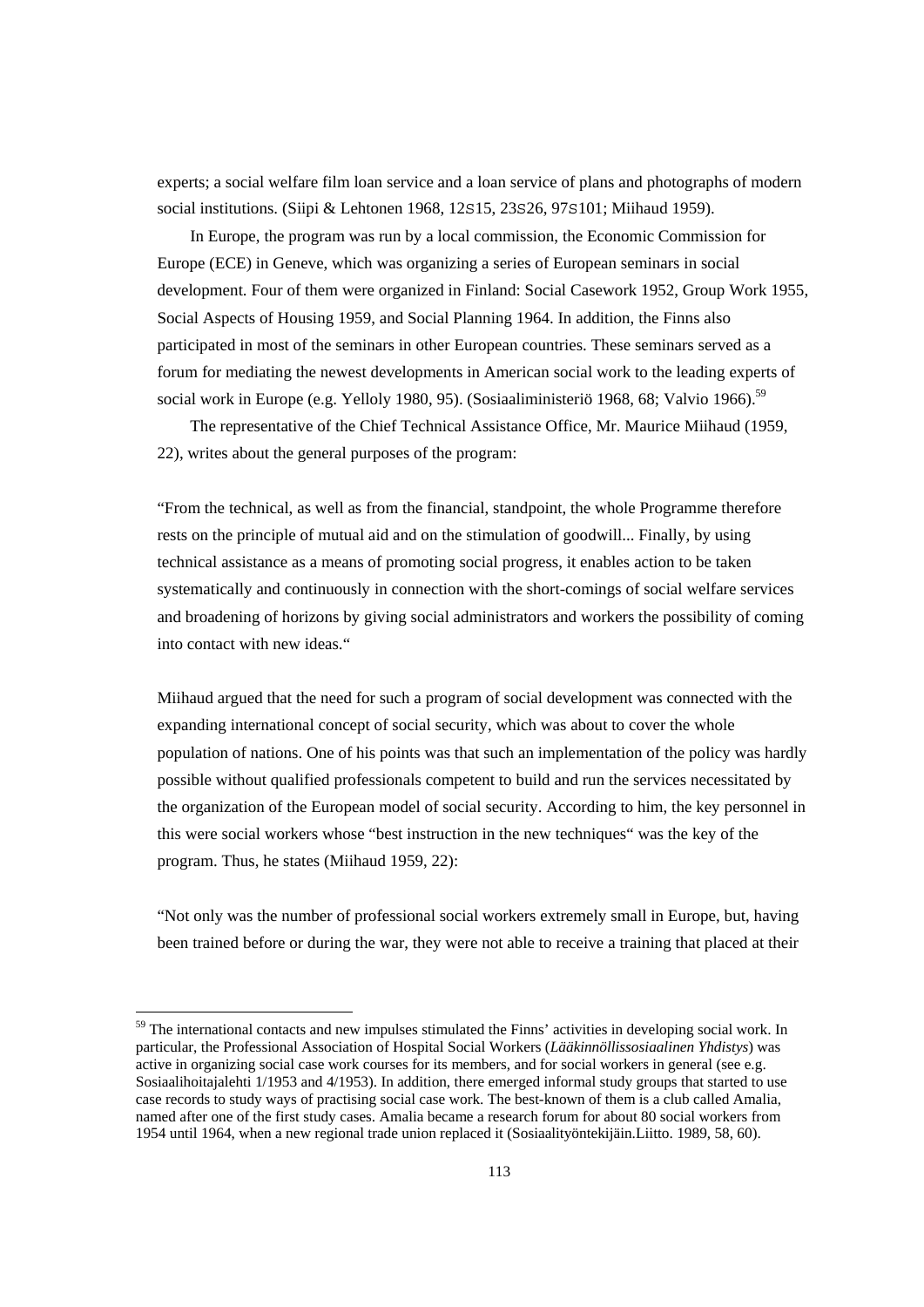experts; a social welfare film loan service and a loan service of plans and photographs of modern social institutions. (Siipi & Lehtonen 1968, 12S15, 23S26, 97S101; Miihaud 1959).

 In Europe, the program was run by a local commission, the Economic Commission for Europe (ECE) in Geneve, which was organizing a series of European seminars in social development. Four of them were organized in Finland: Social Casework 1952, Group Work 1955, Social Aspects of Housing 1959, and Social Planning 1964. In addition, the Finns also participated in most of the seminars in other European countries. These seminars served as a forum for mediating the newest developments in American social work to the leading experts of social work in Europe (e.g. Yelloly 1980, 95). (Sosiaaliministeriö 1968, 68; Valvio 1966).<sup>59</sup>

 The representative of the Chief Technical Assistance Office, Mr. Maurice Miihaud (1959, 22), writes about the general purposes of the program:

"From the technical, as well as from the financial, standpoint, the whole Programme therefore rests on the principle of mutual aid and on the stimulation of goodwill... Finally, by using technical assistance as a means of promoting social progress, it enables action to be taken systematically and continuously in connection with the short-comings of social welfare services and broadening of horizons by giving social administrators and workers the possibility of coming into contact with new ideas."

Miihaud argued that the need for such a program of social development was connected with the expanding international concept of social security, which was about to cover the whole population of nations. One of his points was that such an implementation of the policy was hardly possible without qualified professionals competent to build and run the services necessitated by the organization of the European model of social security. According to him, the key personnel in this were social workers whose "best instruction in the new techniques" was the key of the program. Thus, he states (Miihaud 1959, 22):

"Not only was the number of professional social workers extremely small in Europe, but, having been trained before or during the war, they were not able to receive a training that placed at their

l

<sup>&</sup>lt;sup>59</sup> The international contacts and new impulses stimulated the Finns' activities in developing social work. In particular, the Professional Association of Hospital Social Workers (*Lääkinnöllissosiaalinen Yhdistys*) was active in organizing social case work courses for its members, and for social workers in general (see e.g. Sosiaalihoitajalehti 1/1953 and 4/1953). In addition, there emerged informal study groups that started to use case records to study ways of practising social case work. The best-known of them is a club called Amalia, named after one of the first study cases. Amalia became a research forum for about 80 social workers from 1954 until 1964, when a new regional trade union replaced it (Sosiaalityöntekijäin.Liitto. 1989, 58, 60).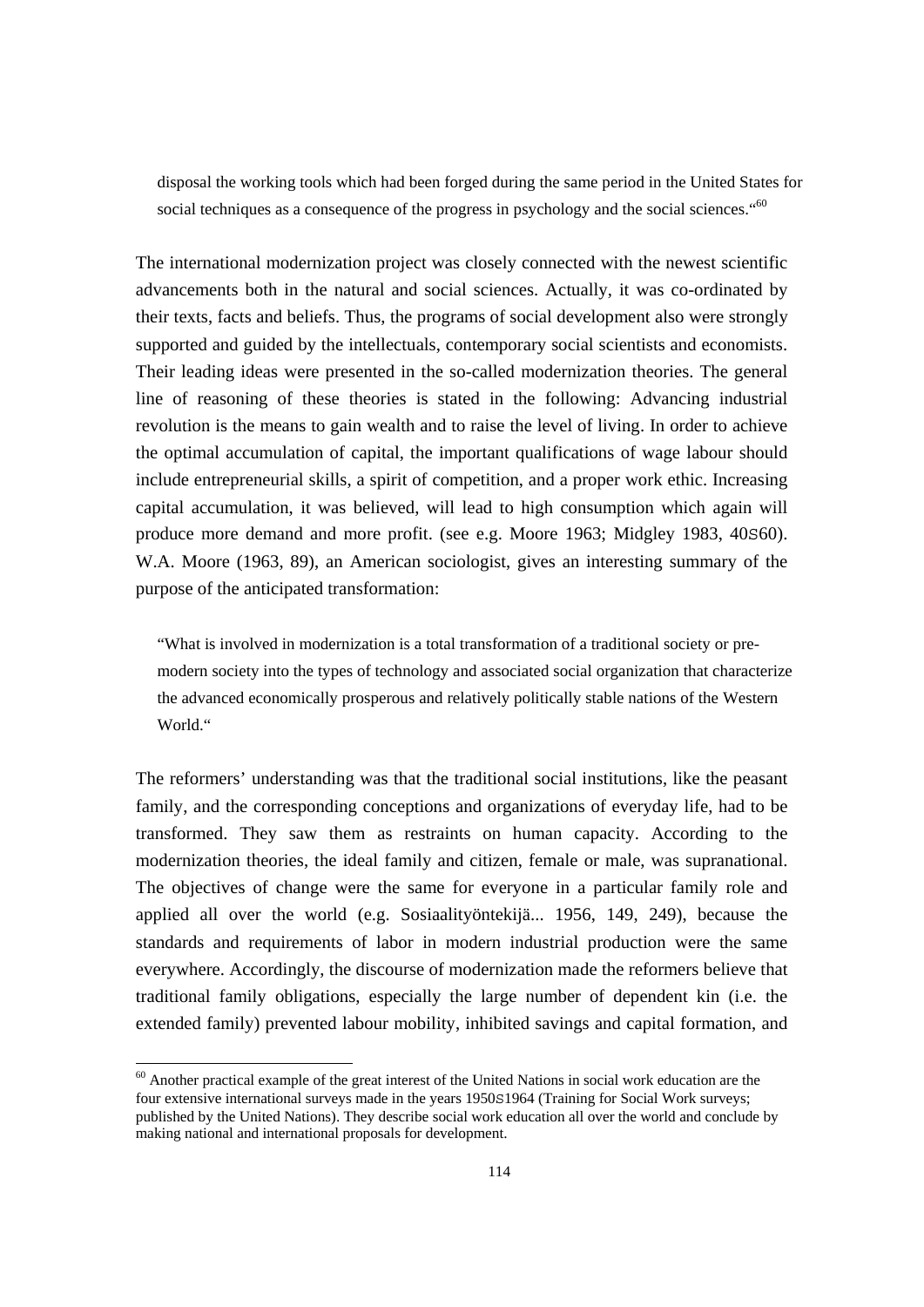disposal the working tools which had been forged during the same period in the United States for social techniques as a consequence of the progress in psychology and the social sciences."<sup>60</sup>

The international modernization project was closely connected with the newest scientific advancements both in the natural and social sciences. Actually, it was co-ordinated by their texts, facts and beliefs. Thus, the programs of social development also were strongly supported and guided by the intellectuals, contemporary social scientists and economists. Their leading ideas were presented in the so-called modernization theories. The general line of reasoning of these theories is stated in the following: Advancing industrial revolution is the means to gain wealth and to raise the level of living. In order to achieve the optimal accumulation of capital, the important qualifications of wage labour should include entrepreneurial skills, a spirit of competition, and a proper work ethic. Increasing capital accumulation, it was believed, will lead to high consumption which again will produce more demand and more profit. (see e.g. Moore 1963; Midgley 1983, 40S60). W.A. Moore (1963, 89), an American sociologist, gives an interesting summary of the purpose of the anticipated transformation:

"What is involved in modernization is a total transformation of a traditional society or premodern society into the types of technology and associated social organization that characterize the advanced economically prosperous and relatively politically stable nations of the Western World<sup>"</sup>

The reformers' understanding was that the traditional social institutions, like the peasant family, and the corresponding conceptions and organizations of everyday life, had to be transformed. They saw them as restraints on human capacity. According to the modernization theories, the ideal family and citizen, female or male, was supranational. The objectives of change were the same for everyone in a particular family role and applied all over the world (e.g. Sosiaalityöntekijä... 1956, 149, 249), because the standards and requirements of labor in modern industrial production were the same everywhere. Accordingly, the discourse of modernization made the reformers believe that traditional family obligations, especially the large number of dependent kin (i.e. the extended family) prevented labour mobility, inhibited savings and capital formation, and

 $60$  Another practical example of the great interest of the United Nations in social work education are the four extensive international surveys made in the years 1950S1964 (Training for Social Work surveys; published by the United Nations). They describe social work education all over the world and conclude by making national and international proposals for development.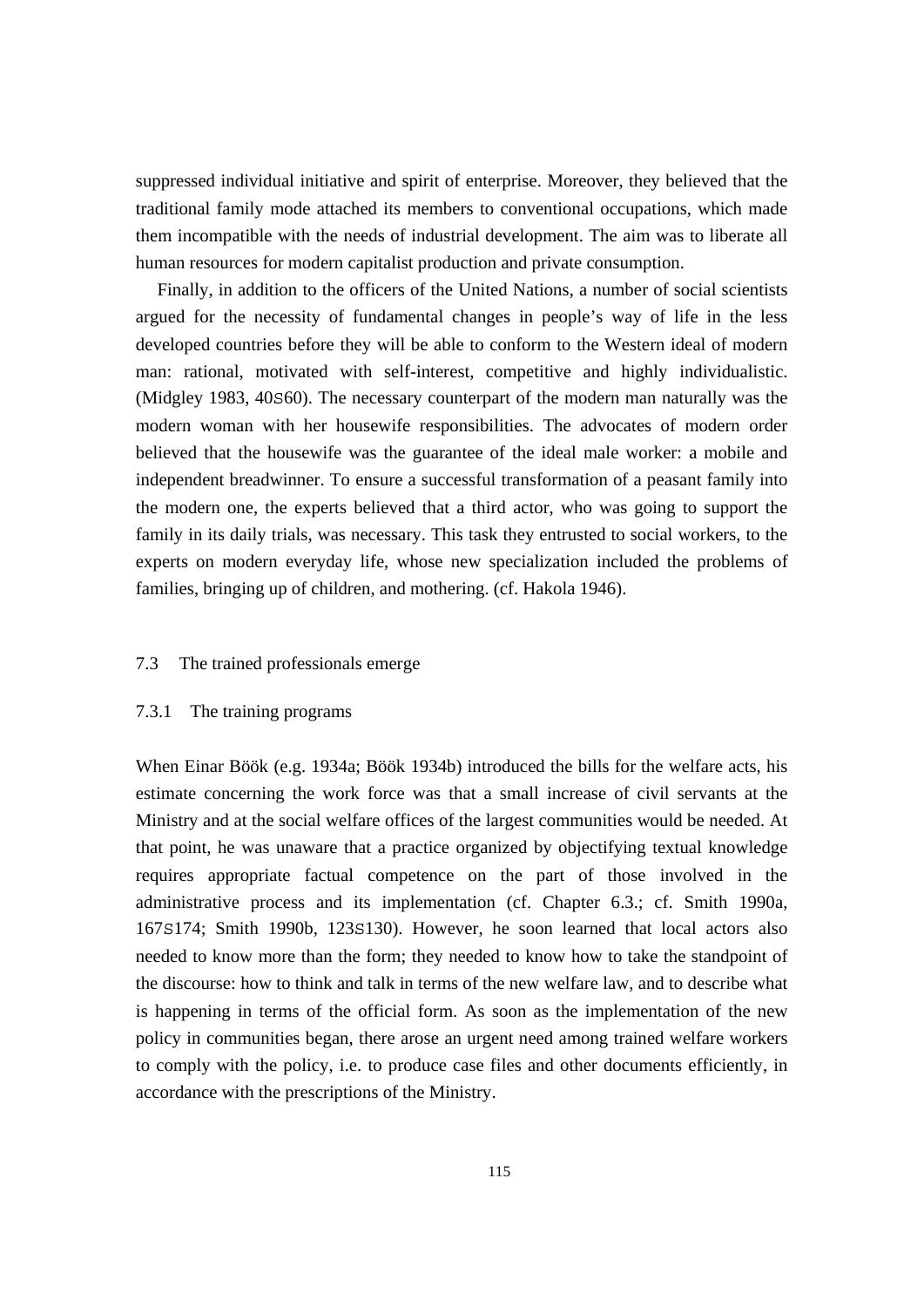suppressed individual initiative and spirit of enterprise. Moreover, they believed that the traditional family mode attached its members to conventional occupations, which made them incompatible with the needs of industrial development. The aim was to liberate all human resources for modern capitalist production and private consumption.

 Finally, in addition to the officers of the United Nations, a number of social scientists argued for the necessity of fundamental changes in people's way of life in the less developed countries before they will be able to conform to the Western ideal of modern man: rational, motivated with self-interest, competitive and highly individualistic. (Midgley 1983, 40S60). The necessary counterpart of the modern man naturally was the modern woman with her housewife responsibilities. The advocates of modern order believed that the housewife was the guarantee of the ideal male worker: a mobile and independent breadwinner. To ensure a successful transformation of a peasant family into the modern one, the experts believed that a third actor, who was going to support the family in its daily trials, was necessary. This task they entrusted to social workers, to the experts on modern everyday life, whose new specialization included the problems of families, bringing up of children, and mothering. (cf. Hakola 1946).

## 7.3 The trained professionals emerge

## 7.3.1 The training programs

When Einar Böök (e.g. 1934a; Böök 1934b) introduced the bills for the welfare acts, his estimate concerning the work force was that a small increase of civil servants at the Ministry and at the social welfare offices of the largest communities would be needed. At that point, he was unaware that a practice organized by objectifying textual knowledge requires appropriate factual competence on the part of those involved in the administrative process and its implementation (cf. Chapter 6.3.; cf. Smith 1990a, 167S174; Smith 1990b, 123S130). However, he soon learned that local actors also needed to know more than the form; they needed to know how to take the standpoint of the discourse: how to think and talk in terms of the new welfare law, and to describe what is happening in terms of the official form. As soon as the implementation of the new policy in communities began, there arose an urgent need among trained welfare workers to comply with the policy, i.e. to produce case files and other documents efficiently, in accordance with the prescriptions of the Ministry.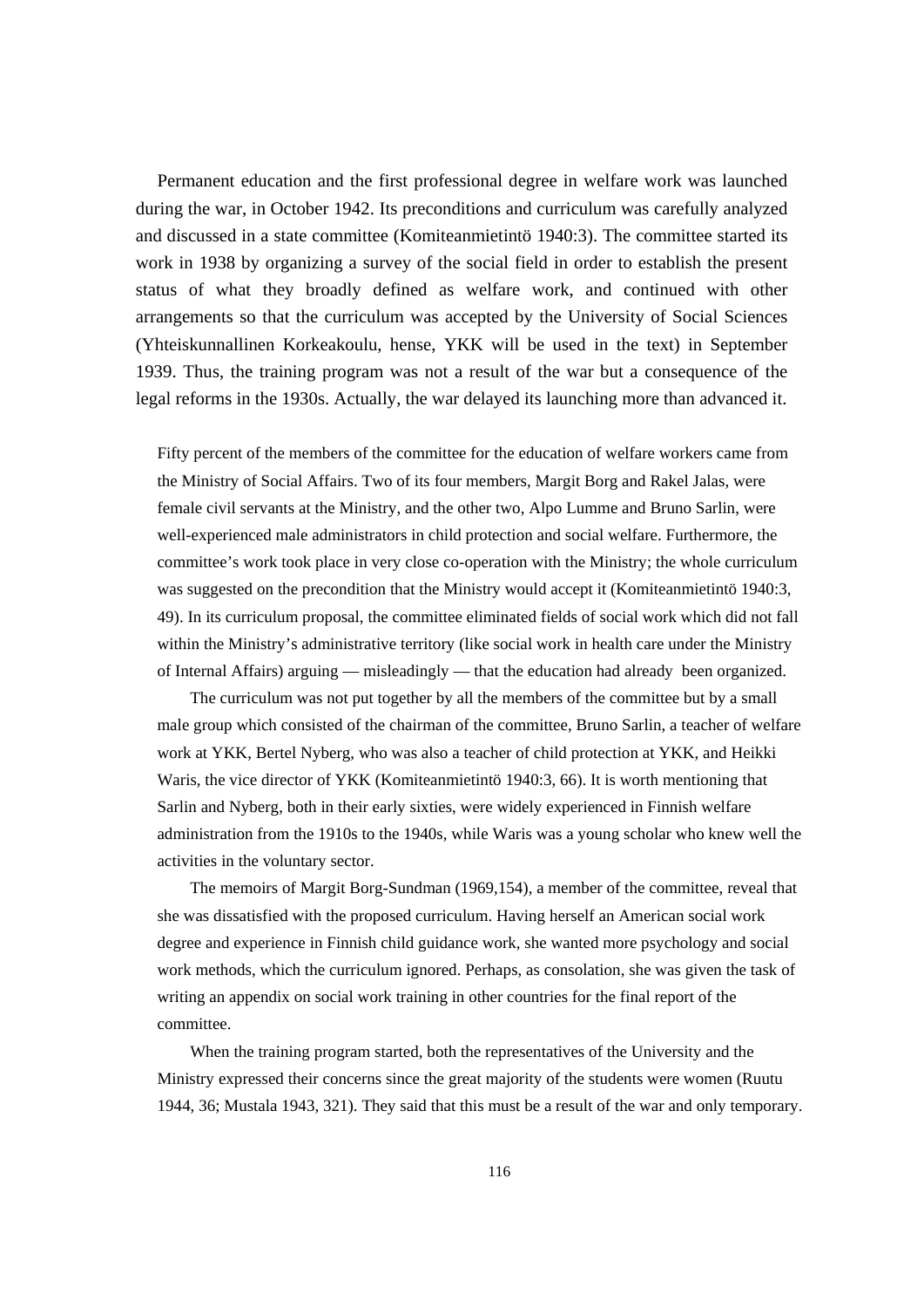Permanent education and the first professional degree in welfare work was launched during the war, in October 1942. Its preconditions and curriculum was carefully analyzed and discussed in a state committee (Komiteanmietintö 1940:3). The committee started its work in 1938 by organizing a survey of the social field in order to establish the present status of what they broadly defined as welfare work, and continued with other arrangements so that the curriculum was accepted by the University of Social Sciences (Yhteiskunnallinen Korkeakoulu, hense, YKK will be used in the text) in September 1939. Thus, the training program was not a result of the war but a consequence of the legal reforms in the 1930s. Actually, the war delayed its launching more than advanced it.

Fifty percent of the members of the committee for the education of welfare workers came from the Ministry of Social Affairs. Two of its four members, Margit Borg and Rakel Jalas, were female civil servants at the Ministry, and the other two, Alpo Lumme and Bruno Sarlin, were well-experienced male administrators in child protection and social welfare. Furthermore, the committee's work took place in very close co-operation with the Ministry; the whole curriculum was suggested on the precondition that the Ministry would accept it (Komiteanmietintö 1940:3, 49). In its curriculum proposal, the committee eliminated fields of social work which did not fall within the Ministry's administrative territory (like social work in health care under the Ministry of Internal Affairs) arguing — misleadingly — that the education had already been organized.

 The curriculum was not put together by all the members of the committee but by a small male group which consisted of the chairman of the committee, Bruno Sarlin, a teacher of welfare work at YKK, Bertel Nyberg, who was also a teacher of child protection at YKK, and Heikki Waris, the vice director of YKK (Komiteanmietintö 1940:3, 66). It is worth mentioning that Sarlin and Nyberg, both in their early sixties, were widely experienced in Finnish welfare administration from the 1910s to the 1940s, while Waris was a young scholar who knew well the activities in the voluntary sector.

 The memoirs of Margit Borg-Sundman (1969,154), a member of the committee, reveal that she was dissatisfied with the proposed curriculum. Having herself an American social work degree and experience in Finnish child guidance work, she wanted more psychology and social work methods, which the curriculum ignored. Perhaps, as consolation, she was given the task of writing an appendix on social work training in other countries for the final report of the committee.

 When the training program started, both the representatives of the University and the Ministry expressed their concerns since the great majority of the students were women (Ruutu 1944, 36; Mustala 1943, 321). They said that this must be a result of the war and only temporary.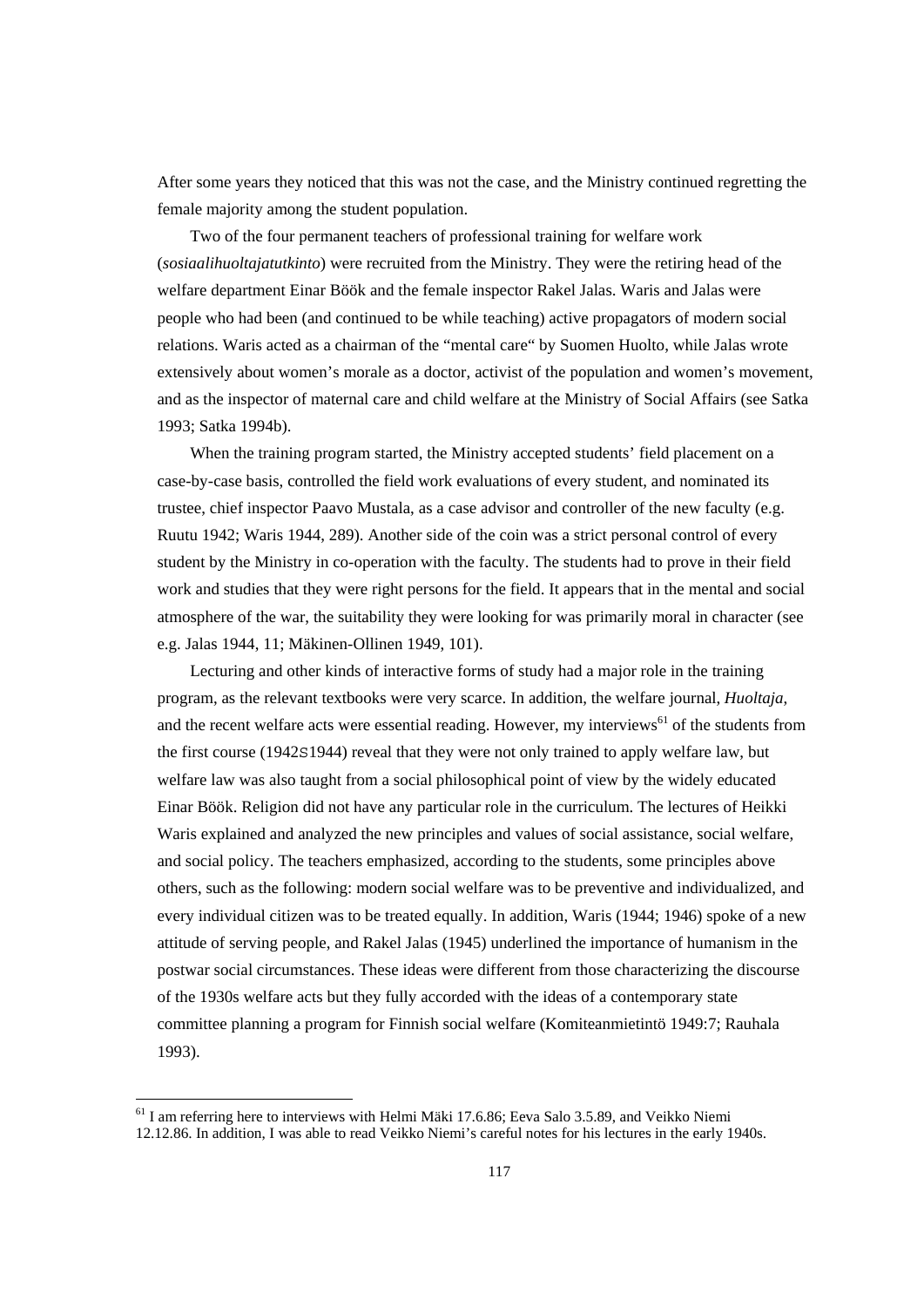After some years they noticed that this was not the case, and the Ministry continued regretting the female majority among the student population.

 Two of the four permanent teachers of professional training for welfare work (*sosiaalihuoltajatutkinto*) were recruited from the Ministry. They were the retiring head of the welfare department Einar Böök and the female inspector Rakel Jalas. Waris and Jalas were people who had been (and continued to be while teaching) active propagators of modern social relations. Waris acted as a chairman of the "mental care" by Suomen Huolto, while Jalas wrote extensively about women's morale as a doctor, activist of the population and women's movement, and as the inspector of maternal care and child welfare at the Ministry of Social Affairs (see Satka 1993; Satka 1994b).

 When the training program started, the Ministry accepted students' field placement on a case-by-case basis, controlled the field work evaluations of every student, and nominated its trustee, chief inspector Paavo Mustala, as a case advisor and controller of the new faculty (e.g. Ruutu 1942; Waris 1944, 289). Another side of the coin was a strict personal control of every student by the Ministry in co-operation with the faculty. The students had to prove in their field work and studies that they were right persons for the field. It appears that in the mental and social atmosphere of the war, the suitability they were looking for was primarily moral in character (see e.g. Jalas 1944, 11; Mäkinen-Ollinen 1949, 101).

 Lecturing and other kinds of interactive forms of study had a major role in the training program, as the relevant textbooks were very scarce. In addition, the welfare journal, *Huoltaja*, and the recent welfare acts were essential reading. However, my interviews<sup>61</sup> of the students from the first course (1942S1944) reveal that they were not only trained to apply welfare law, but welfare law was also taught from a social philosophical point of view by the widely educated Einar Böök. Religion did not have any particular role in the curriculum. The lectures of Heikki Waris explained and analyzed the new principles and values of social assistance, social welfare, and social policy. The teachers emphasized, according to the students, some principles above others, such as the following: modern social welfare was to be preventive and individualized, and every individual citizen was to be treated equally. In addition, Waris (1944; 1946) spoke of a new attitude of serving people, and Rakel Jalas (1945) underlined the importance of humanism in the postwar social circumstances. These ideas were different from those characterizing the discourse of the 1930s welfare acts but they fully accorded with the ideas of a contemporary state committee planning a program for Finnish social welfare (Komiteanmietintö 1949:7; Rauhala 1993).

<sup>&</sup>lt;sup>61</sup> I am referring here to interviews with Helmi Mäki 17.6.86; Eeva Salo 3.5.89, and Veikko Niemi 12.12.86. In addition, I was able to read Veikko Niemi's careful notes for his lectures in the early 1940s.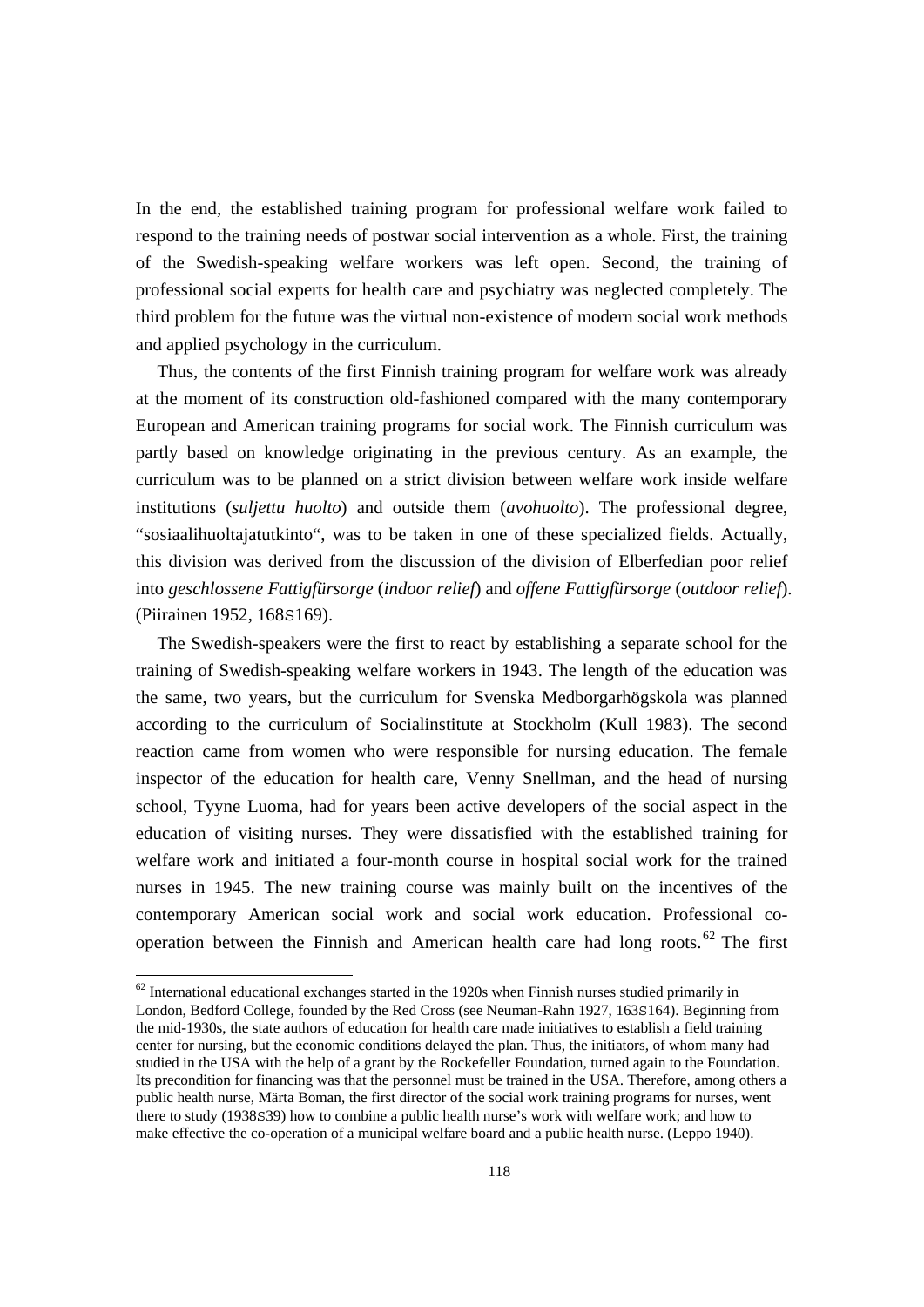In the end, the established training program for professional welfare work failed to respond to the training needs of postwar social intervention as a whole. First, the training of the Swedish-speaking welfare workers was left open. Second, the training of professional social experts for health care and psychiatry was neglected completely. The third problem for the future was the virtual non-existence of modern social work methods and applied psychology in the curriculum.

 Thus, the contents of the first Finnish training program for welfare work was already at the moment of its construction old-fashioned compared with the many contemporary European and American training programs for social work. The Finnish curriculum was partly based on knowledge originating in the previous century. As an example, the curriculum was to be planned on a strict division between welfare work inside welfare institutions (*suljettu huolto*) and outside them (*avohuolto*). The professional degree, "sosiaalihuoltajatutkinto", was to be taken in one of these specialized fields. Actually, this division was derived from the discussion of the division of Elberfedian poor relief into *geschlossene Fattigfürsorge* (*indoor relief*) and *offene Fattigfürsorge* (*outdoor relief*). (Piirainen 1952, 168S169).

 The Swedish-speakers were the first to react by establishing a separate school for the training of Swedish-speaking welfare workers in 1943. The length of the education was the same, two years, but the curriculum for Svenska Medborgarhögskola was planned according to the curriculum of Socialinstitute at Stockholm (Kull 1983). The second reaction came from women who were responsible for nursing education. The female inspector of the education for health care, Venny Snellman, and the head of nursing school, Tyyne Luoma, had for years been active developers of the social aspect in the education of visiting nurses. They were dissatisfied with the established training for welfare work and initiated a four-month course in hospital social work for the trained nurses in 1945. The new training course was mainly built on the incentives of the contemporary American social work and social work education. Professional cooperation between the Finnish and American health care had long roots. 62 The first

 $62$  International educational exchanges started in the 1920s when Finnish nurses studied primarily in London, Bedford College, founded by the Red Cross (see Neuman-Rahn 1927, 163S164). Beginning from the mid-1930s, the state authors of education for health care made initiatives to establish a field training center for nursing, but the economic conditions delayed the plan. Thus, the initiators, of whom many had studied in the USA with the help of a grant by the Rockefeller Foundation, turned again to the Foundation. Its precondition for financing was that the personnel must be trained in the USA. Therefore, among others a public health nurse, Märta Boman, the first director of the social work training programs for nurses, went there to study (1938S39) how to combine a public health nurse's work with welfare work; and how to make effective the co-operation of a municipal welfare board and a public health nurse. (Leppo 1940).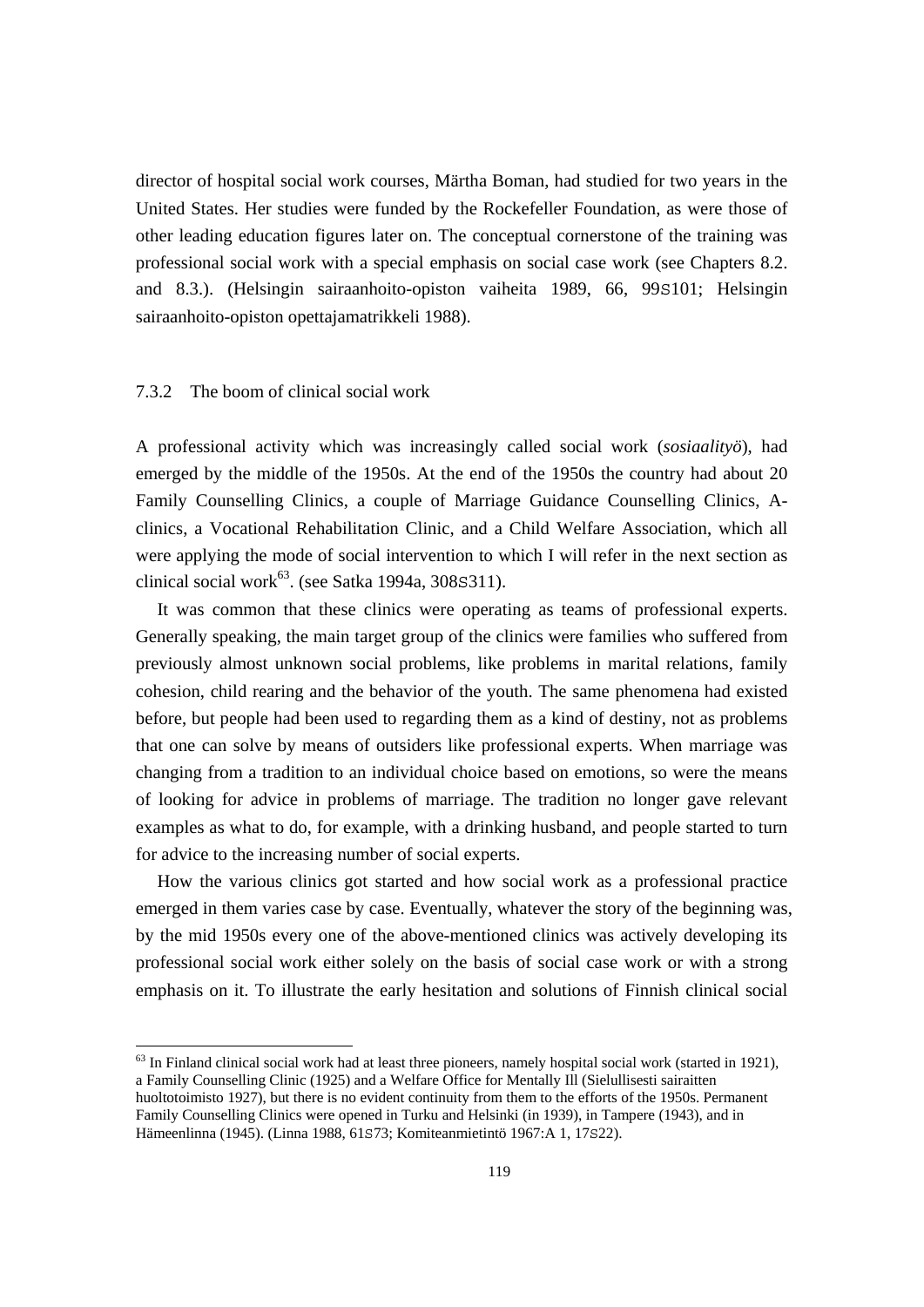director of hospital social work courses, Märtha Boman, had studied for two years in the United States. Her studies were funded by the Rockefeller Foundation, as were those of other leading education figures later on. The conceptual cornerstone of the training was professional social work with a special emphasis on social case work (see Chapters 8.2. and 8.3.). (Helsingin sairaanhoito-opiston vaiheita 1989, 66, 99S101; Helsingin sairaanhoito-opiston opettajamatrikkeli 1988).

# 7.3.2 The boom of clinical social work

A professional activity which was increasingly called social work (*sosiaalityö*), had emerged by the middle of the 1950s. At the end of the 1950s the country had about 20 Family Counselling Clinics, a couple of Marriage Guidance Counselling Clinics, Aclinics, a Vocational Rehabilitation Clinic, and a Child Welfare Association, which all were applying the mode of social intervention to which I will refer in the next section as clinical social work<sup>63</sup>. (see Satka 1994a, 308S311).

 It was common that these clinics were operating as teams of professional experts. Generally speaking, the main target group of the clinics were families who suffered from previously almost unknown social problems, like problems in marital relations, family cohesion, child rearing and the behavior of the youth. The same phenomena had existed before, but people had been used to regarding them as a kind of destiny, not as problems that one can solve by means of outsiders like professional experts. When marriage was changing from a tradition to an individual choice based on emotions, so were the means of looking for advice in problems of marriage. The tradition no longer gave relevant examples as what to do, for example, with a drinking husband, and people started to turn for advice to the increasing number of social experts.

 How the various clinics got started and how social work as a professional practice emerged in them varies case by case. Eventually, whatever the story of the beginning was, by the mid 1950s every one of the above-mentioned clinics was actively developing its professional social work either solely on the basis of social case work or with a strong emphasis on it. To illustrate the early hesitation and solutions of Finnish clinical social

 $63$  In Finland clinical social work had at least three pioneers, namely hospital social work (started in 1921), a Family Counselling Clinic (1925) and a Welfare Office for Mentally Ill (Sielullisesti sairaitten huoltotoimisto 1927), but there is no evident continuity from them to the efforts of the 1950s. Permanent Family Counselling Clinics were opened in Turku and Helsinki (in 1939), in Tampere (1943), and in Hämeenlinna (1945). (Linna 1988, 61S73; Komiteanmietintö 1967:A 1, 17S22).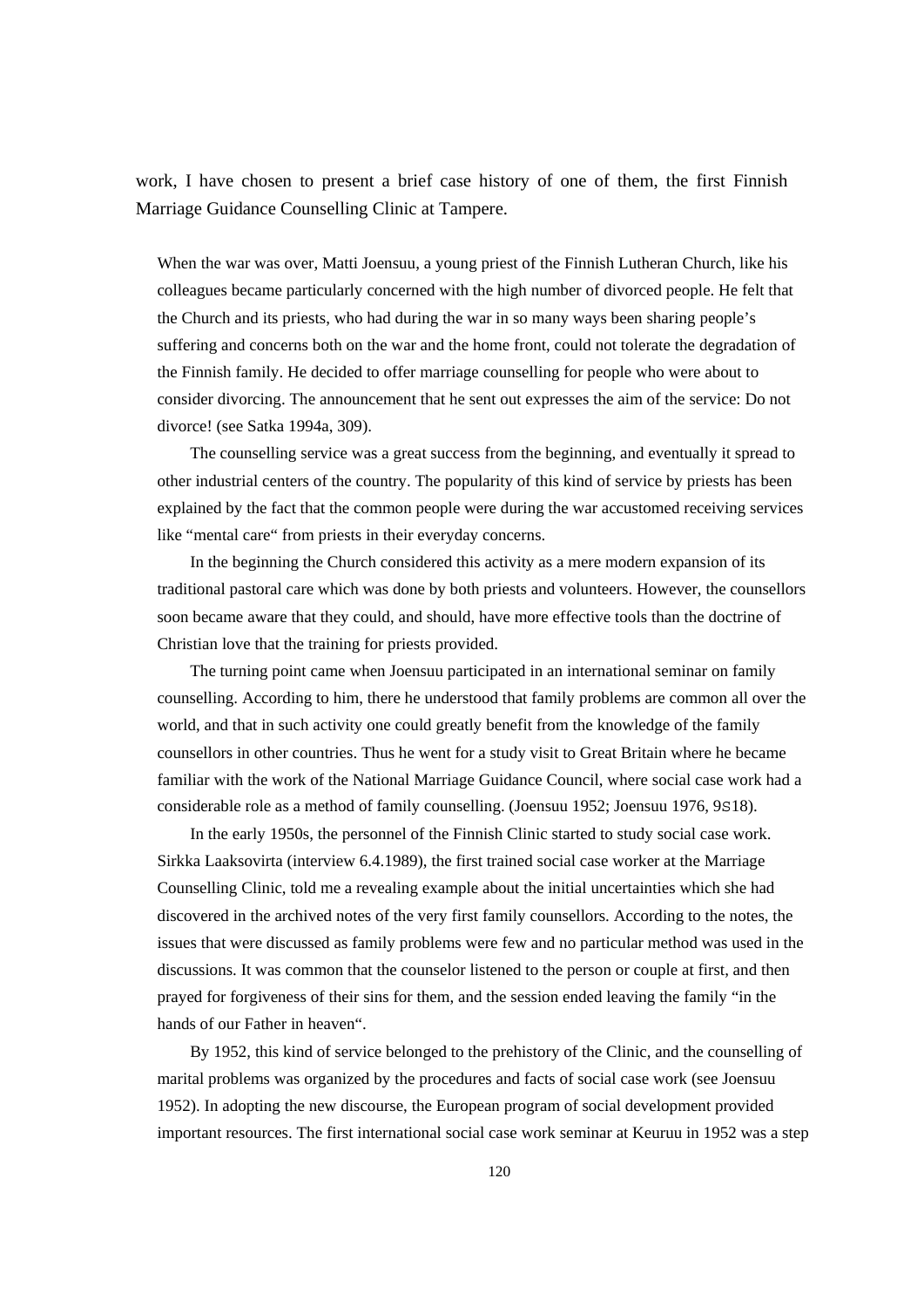work, I have chosen to present a brief case history of one of them, the first Finnish Marriage Guidance Counselling Clinic at Tampere.

When the war was over, Matti Joensuu, a young priest of the Finnish Lutheran Church, like his colleagues became particularly concerned with the high number of divorced people. He felt that the Church and its priests, who had during the war in so many ways been sharing people's suffering and concerns both on the war and the home front, could not tolerate the degradation of the Finnish family. He decided to offer marriage counselling for people who were about to consider divorcing. The announcement that he sent out expresses the aim of the service: Do not divorce! (see Satka 1994a, 309).

 The counselling service was a great success from the beginning, and eventually it spread to other industrial centers of the country. The popularity of this kind of service by priests has been explained by the fact that the common people were during the war accustomed receiving services like "mental care" from priests in their everyday concerns.

 In the beginning the Church considered this activity as a mere modern expansion of its traditional pastoral care which was done by both priests and volunteers. However, the counsellors soon became aware that they could, and should, have more effective tools than the doctrine of Christian love that the training for priests provided.

 The turning point came when Joensuu participated in an international seminar on family counselling. According to him, there he understood that family problems are common all over the world, and that in such activity one could greatly benefit from the knowledge of the family counsellors in other countries. Thus he went for a study visit to Great Britain where he became familiar with the work of the National Marriage Guidance Council, where social case work had a considerable role as a method of family counselling. (Joensuu 1952; Joensuu 1976, 9S18).

 In the early 1950s, the personnel of the Finnish Clinic started to study social case work. Sirkka Laaksovirta (interview 6.4.1989), the first trained social case worker at the Marriage Counselling Clinic, told me a revealing example about the initial uncertainties which she had discovered in the archived notes of the very first family counsellors. According to the notes, the issues that were discussed as family problems were few and no particular method was used in the discussions. It was common that the counselor listened to the person or couple at first, and then prayed for forgiveness of their sins for them, and the session ended leaving the family "in the hands of our Father in heaven".

 By 1952, this kind of service belonged to the prehistory of the Clinic, and the counselling of marital problems was organized by the procedures and facts of social case work (see Joensuu 1952). In adopting the new discourse, the European program of social development provided important resources. The first international social case work seminar at Keuruu in 1952 was a step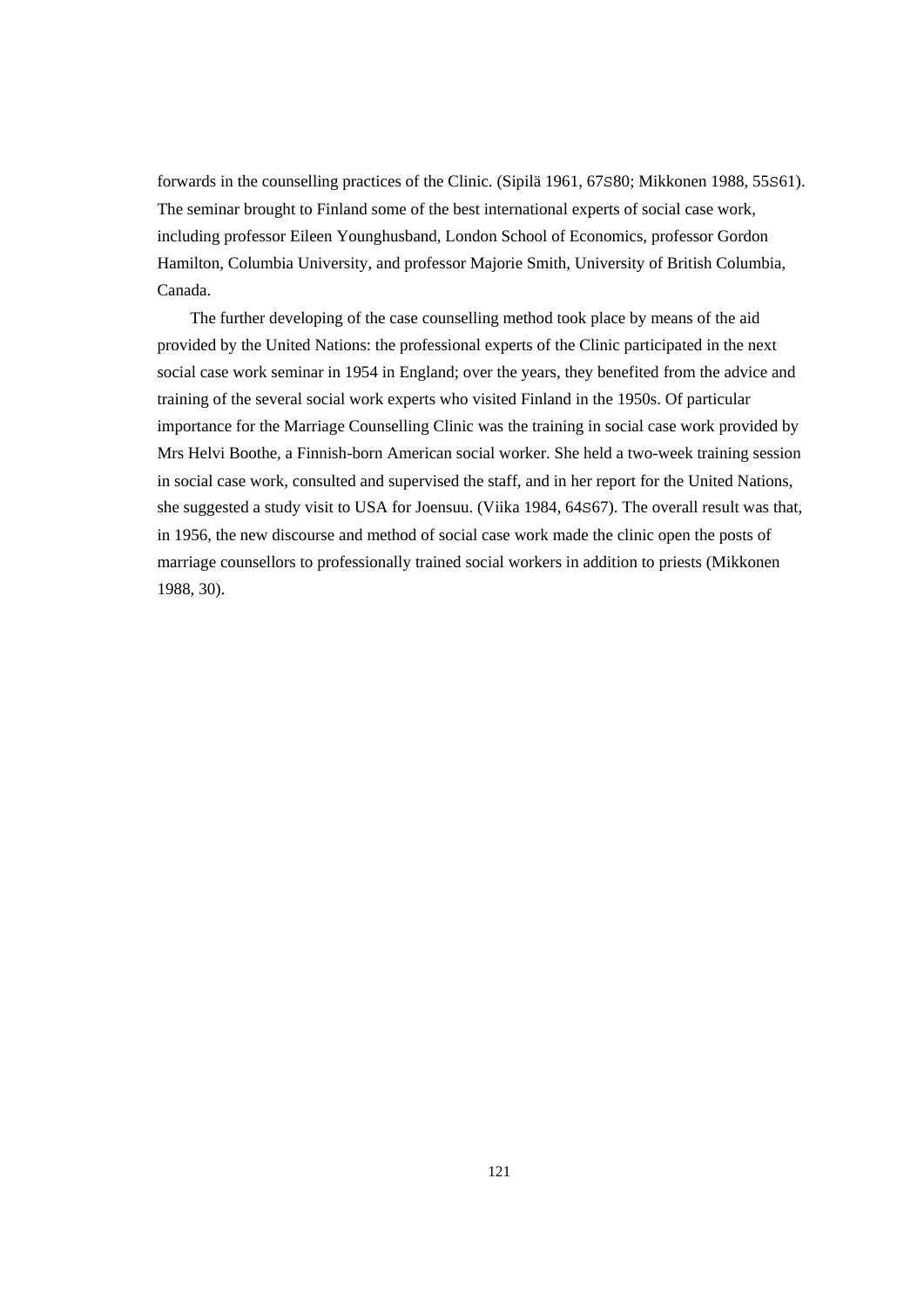forwards in the counselling practices of the Clinic. (Sipilä 1961, 67S80; Mikkonen 1988, 55S61). The seminar brought to Finland some of the best international experts of social case work, including professor Eileen Younghusband, London School of Economics, professor Gordon Hamilton, Columbia University, and professor Majorie Smith, University of British Columbia, Canada.

 The further developing of the case counselling method took place by means of the aid provided by the United Nations: the professional experts of the Clinic participated in the next social case work seminar in 1954 in England; over the years, they benefited from the advice and training of the several social work experts who visited Finland in the 1950s. Of particular importance for the Marriage Counselling Clinic was the training in social case work provided by Mrs Helvi Boothe, a Finnish-born American social worker. She held a two-week training session in social case work, consulted and supervised the staff, and in her report for the United Nations, she suggested a study visit to USA for Joensuu. (Viika 1984, 64S67). The overall result was that, in 1956, the new discourse and method of social case work made the clinic open the posts of marriage counsellors to professionally trained social workers in addition to priests (Mikkonen 1988, 30).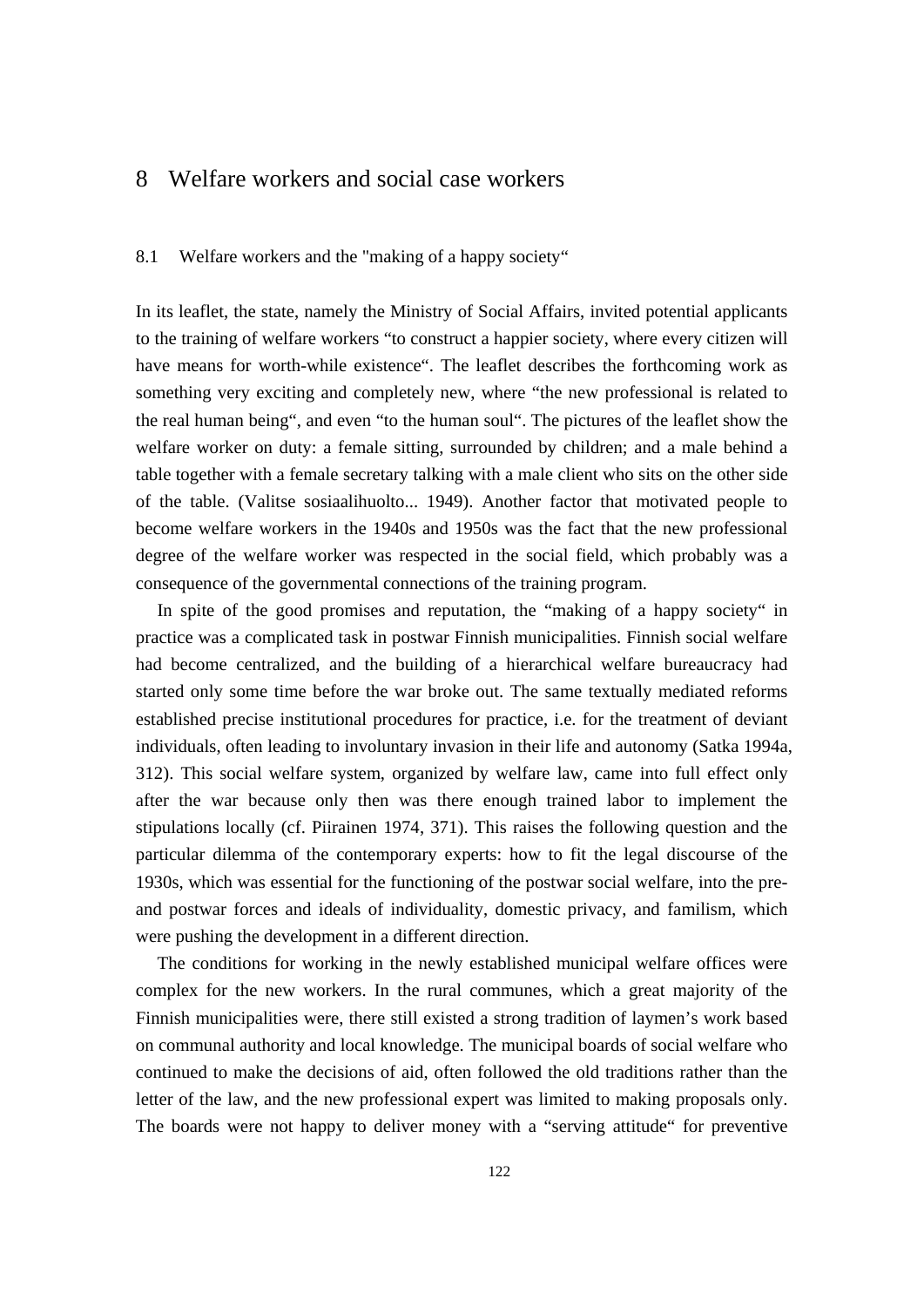# 8 Welfare workers and social case workers

# 8.1 Welfare workers and the "making of a happy society"

In its leaflet, the state, namely the Ministry of Social Affairs, invited potential applicants to the training of welfare workers "to construct a happier society, where every citizen will have means for worth-while existence". The leaflet describes the forthcoming work as something very exciting and completely new, where "the new professional is related to the real human being", and even "to the human soul". The pictures of the leaflet show the welfare worker on duty: a female sitting, surrounded by children; and a male behind a table together with a female secretary talking with a male client who sits on the other side of the table. (Valitse sosiaalihuolto... 1949). Another factor that motivated people to become welfare workers in the 1940s and 1950s was the fact that the new professional degree of the welfare worker was respected in the social field, which probably was a consequence of the governmental connections of the training program.

 In spite of the good promises and reputation, the "making of a happy society" in practice was a complicated task in postwar Finnish municipalities. Finnish social welfare had become centralized, and the building of a hierarchical welfare bureaucracy had started only some time before the war broke out. The same textually mediated reforms established precise institutional procedures for practice, i.e. for the treatment of deviant individuals, often leading to involuntary invasion in their life and autonomy (Satka 1994a, 312). This social welfare system, organized by welfare law, came into full effect only after the war because only then was there enough trained labor to implement the stipulations locally (cf. Piirainen 1974, 371). This raises the following question and the particular dilemma of the contemporary experts: how to fit the legal discourse of the 1930s, which was essential for the functioning of the postwar social welfare, into the preand postwar forces and ideals of individuality, domestic privacy, and familism, which were pushing the development in a different direction.

 The conditions for working in the newly established municipal welfare offices were complex for the new workers. In the rural communes, which a great majority of the Finnish municipalities were, there still existed a strong tradition of laymen's work based on communal authority and local knowledge. The municipal boards of social welfare who continued to make the decisions of aid, often followed the old traditions rather than the letter of the law, and the new professional expert was limited to making proposals only. The boards were not happy to deliver money with a "serving attitude" for preventive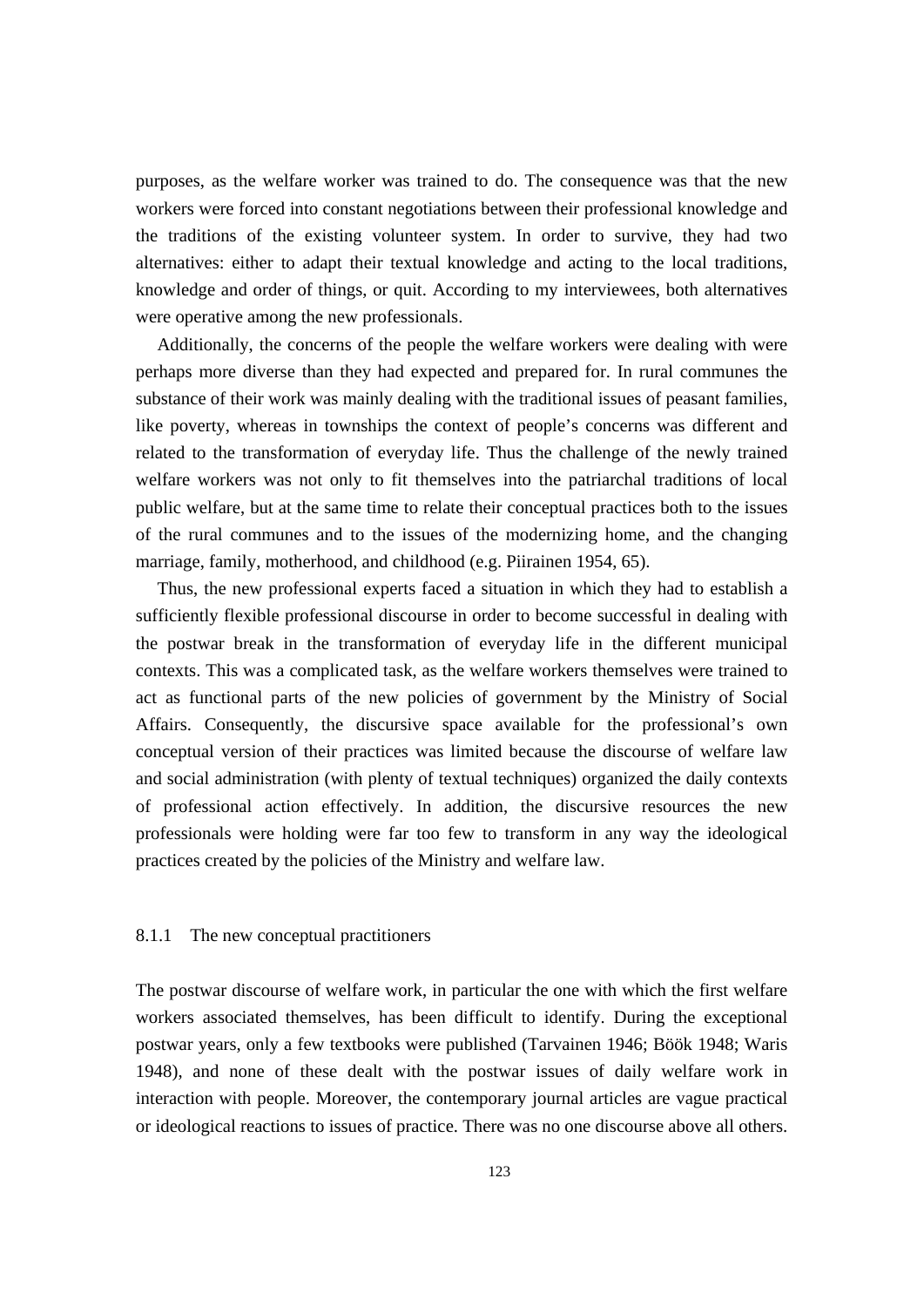purposes, as the welfare worker was trained to do. The consequence was that the new workers were forced into constant negotiations between their professional knowledge and the traditions of the existing volunteer system. In order to survive, they had two alternatives: either to adapt their textual knowledge and acting to the local traditions, knowledge and order of things, or quit. According to my interviewees, both alternatives were operative among the new professionals.

 Additionally, the concerns of the people the welfare workers were dealing with were perhaps more diverse than they had expected and prepared for. In rural communes the substance of their work was mainly dealing with the traditional issues of peasant families, like poverty, whereas in townships the context of people's concerns was different and related to the transformation of everyday life. Thus the challenge of the newly trained welfare workers was not only to fit themselves into the patriarchal traditions of local public welfare, but at the same time to relate their conceptual practices both to the issues of the rural communes and to the issues of the modernizing home, and the changing marriage, family, motherhood, and childhood (e.g. Piirainen 1954, 65).

 Thus, the new professional experts faced a situation in which they had to establish a sufficiently flexible professional discourse in order to become successful in dealing with the postwar break in the transformation of everyday life in the different municipal contexts. This was a complicated task, as the welfare workers themselves were trained to act as functional parts of the new policies of government by the Ministry of Social Affairs. Consequently, the discursive space available for the professional's own conceptual version of their practices was limited because the discourse of welfare law and social administration (with plenty of textual techniques) organized the daily contexts of professional action effectively. In addition, the discursive resources the new professionals were holding were far too few to transform in any way the ideological practices created by the policies of the Ministry and welfare law.

#### 8.1.1 The new conceptual practitioners

The postwar discourse of welfare work, in particular the one with which the first welfare workers associated themselves, has been difficult to identify. During the exceptional postwar years, only a few textbooks were published (Tarvainen 1946; Böök 1948; Waris 1948), and none of these dealt with the postwar issues of daily welfare work in interaction with people. Moreover, the contemporary journal articles are vague practical or ideological reactions to issues of practice. There was no one discourse above all others.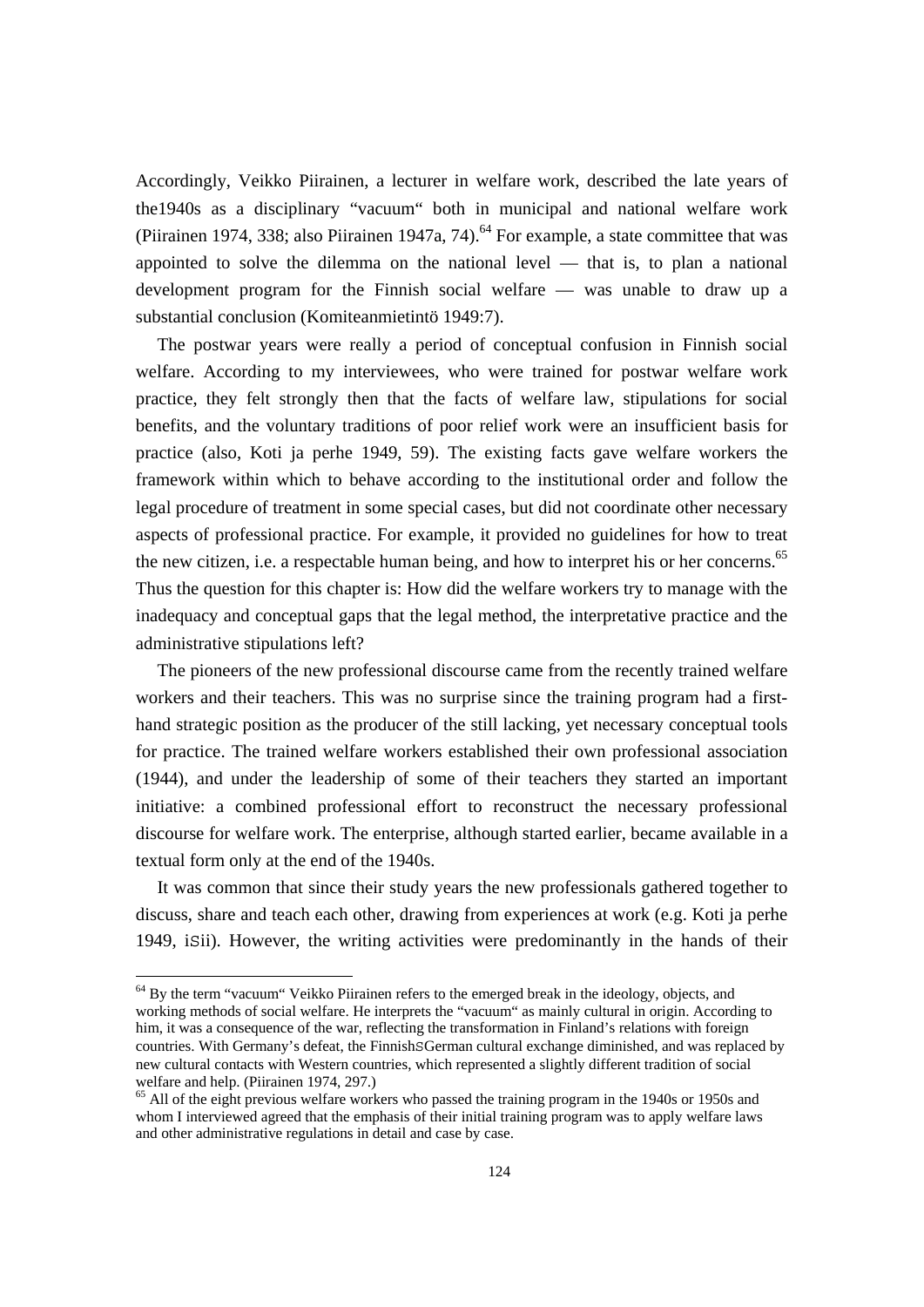Accordingly, Veikko Piirainen, a lecturer in welfare work, described the late years of the1940s as a disciplinary "vacuum" both in municipal and national welfare work (Piirainen 1974, 338; also Piirainen 1947a, 74).<sup>64</sup> For example, a state committee that was appointed to solve the dilemma on the national level — that is, to plan a national development program for the Finnish social welfare — was unable to draw up a substantial conclusion (Komiteanmietintö 1949:7).

 The postwar years were really a period of conceptual confusion in Finnish social welfare. According to my interviewees, who were trained for postwar welfare work practice, they felt strongly then that the facts of welfare law, stipulations for social benefits, and the voluntary traditions of poor relief work were an insufficient basis for practice (also, Koti ja perhe 1949, 59). The existing facts gave welfare workers the framework within which to behave according to the institutional order and follow the legal procedure of treatment in some special cases, but did not coordinate other necessary aspects of professional practice. For example, it provided no guidelines for how to treat the new citizen, i.e. a respectable human being, and how to interpret his or her concerns.<sup>65</sup> Thus the question for this chapter is: How did the welfare workers try to manage with the inadequacy and conceptual gaps that the legal method, the interpretative practice and the administrative stipulations left?

 The pioneers of the new professional discourse came from the recently trained welfare workers and their teachers. This was no surprise since the training program had a firsthand strategic position as the producer of the still lacking, yet necessary conceptual tools for practice. The trained welfare workers established their own professional association (1944), and under the leadership of some of their teachers they started an important initiative: a combined professional effort to reconstruct the necessary professional discourse for welfare work. The enterprise, although started earlier, became available in a textual form only at the end of the 1940s.

 It was common that since their study years the new professionals gathered together to discuss, share and teach each other, drawing from experiences at work (e.g. Koti ja perhe 1949, iSii). However, the writing activities were predominantly in the hands of their

<sup>&</sup>lt;sup>64</sup> By the term "vacuum" Veikko Piirainen refers to the emerged break in the ideology, objects, and working methods of social welfare. He interprets the "vacuum" as mainly cultural in origin. According to him, it was a consequence of the war, reflecting the transformation in Finland's relations with foreign countries. With Germany's defeat, the FinnishSGerman cultural exchange diminished, and was replaced by new cultural contacts with Western countries, which represented a slightly different tradition of social welfare and help. (Piirainen 1974, 297.)

<sup>&</sup>lt;sup>65</sup> All of the eight previous welfare workers who passed the training program in the 1940s or 1950s and whom I interviewed agreed that the emphasis of their initial training program was to apply welfare laws and other administrative regulations in detail and case by case.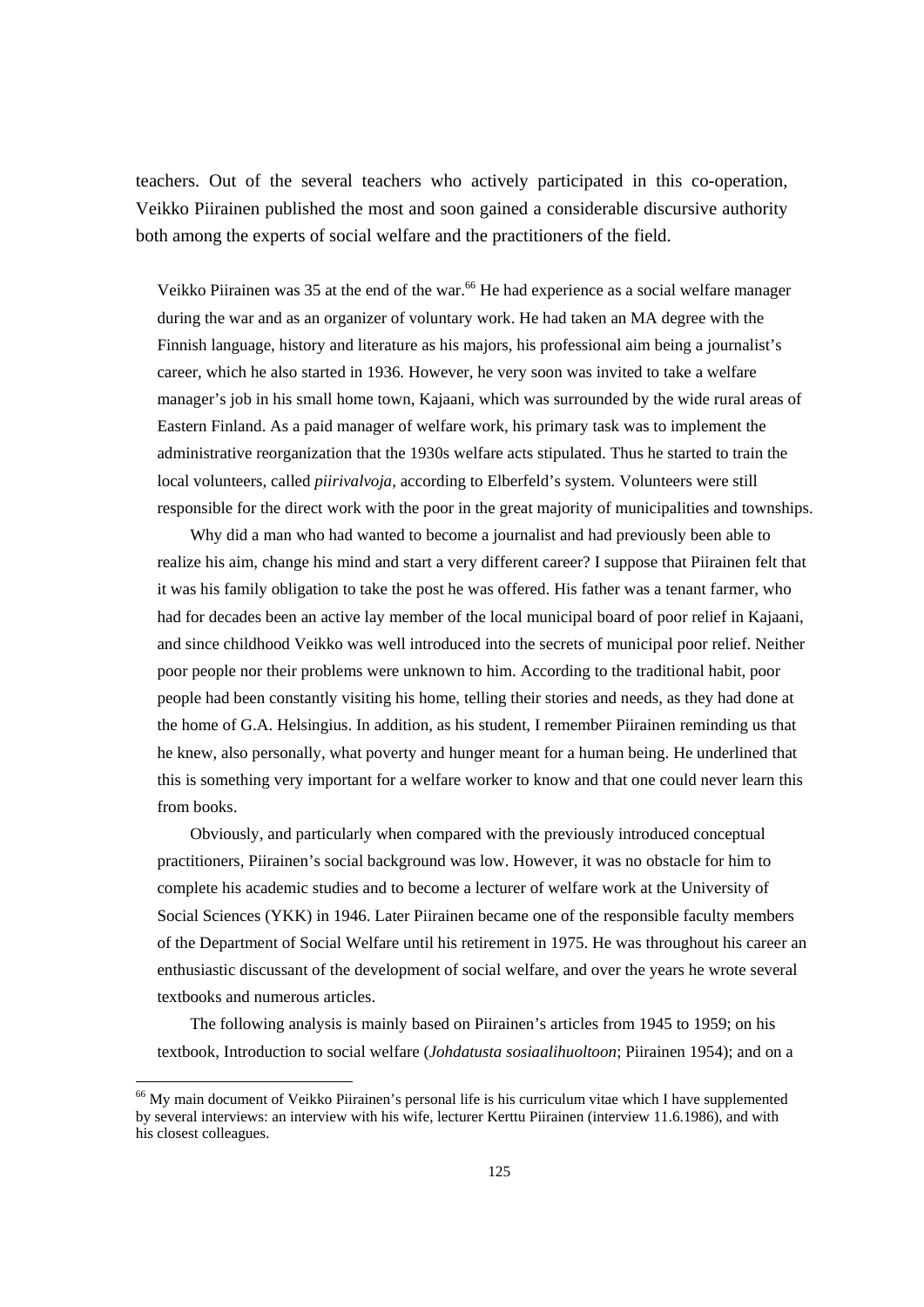teachers. Out of the several teachers who actively participated in this co-operation, Veikko Piirainen published the most and soon gained a considerable discursive authority both among the experts of social welfare and the practitioners of the field.

Veikko Piirainen was 35 at the end of the war.<sup>66</sup> He had experience as a social welfare manager during the war and as an organizer of voluntary work. He had taken an MA degree with the Finnish language, history and literature as his majors, his professional aim being a journalist's career, which he also started in 1936. However, he very soon was invited to take a welfare manager's job in his small home town, Kajaani, which was surrounded by the wide rural areas of Eastern Finland. As a paid manager of welfare work, his primary task was to implement the administrative reorganization that the 1930s welfare acts stipulated. Thus he started to train the local volunteers, called *piirivalvoja*, according to Elberfeld's system. Volunteers were still responsible for the direct work with the poor in the great majority of municipalities and townships.

 Why did a man who had wanted to become a journalist and had previously been able to realize his aim, change his mind and start a very different career? I suppose that Piirainen felt that it was his family obligation to take the post he was offered. His father was a tenant farmer, who had for decades been an active lay member of the local municipal board of poor relief in Kajaani, and since childhood Veikko was well introduced into the secrets of municipal poor relief. Neither poor people nor their problems were unknown to him. According to the traditional habit, poor people had been constantly visiting his home, telling their stories and needs, as they had done at the home of G.A. Helsingius. In addition, as his student, I remember Piirainen reminding us that he knew, also personally, what poverty and hunger meant for a human being. He underlined that this is something very important for a welfare worker to know and that one could never learn this from books.

 Obviously, and particularly when compared with the previously introduced conceptual practitioners, Piirainen's social background was low. However, it was no obstacle for him to complete his academic studies and to become a lecturer of welfare work at the University of Social Sciences (YKK) in 1946. Later Piirainen became one of the responsible faculty members of the Department of Social Welfare until his retirement in 1975. He was throughout his career an enthusiastic discussant of the development of social welfare, and over the years he wrote several textbooks and numerous articles.

 The following analysis is mainly based on Piirainen's articles from 1945 to 1959; on his textbook, Introduction to social welfare (*Johdatusta sosiaalihuoltoon*; Piirainen 1954); and on a

<sup>66</sup> My main document of Veikko Piirainen's personal life is his curriculum vitae which I have supplemented by several interviews: an interview with his wife, lecturer Kerttu Piirainen (interview 11.6.1986), and with his closest colleagues.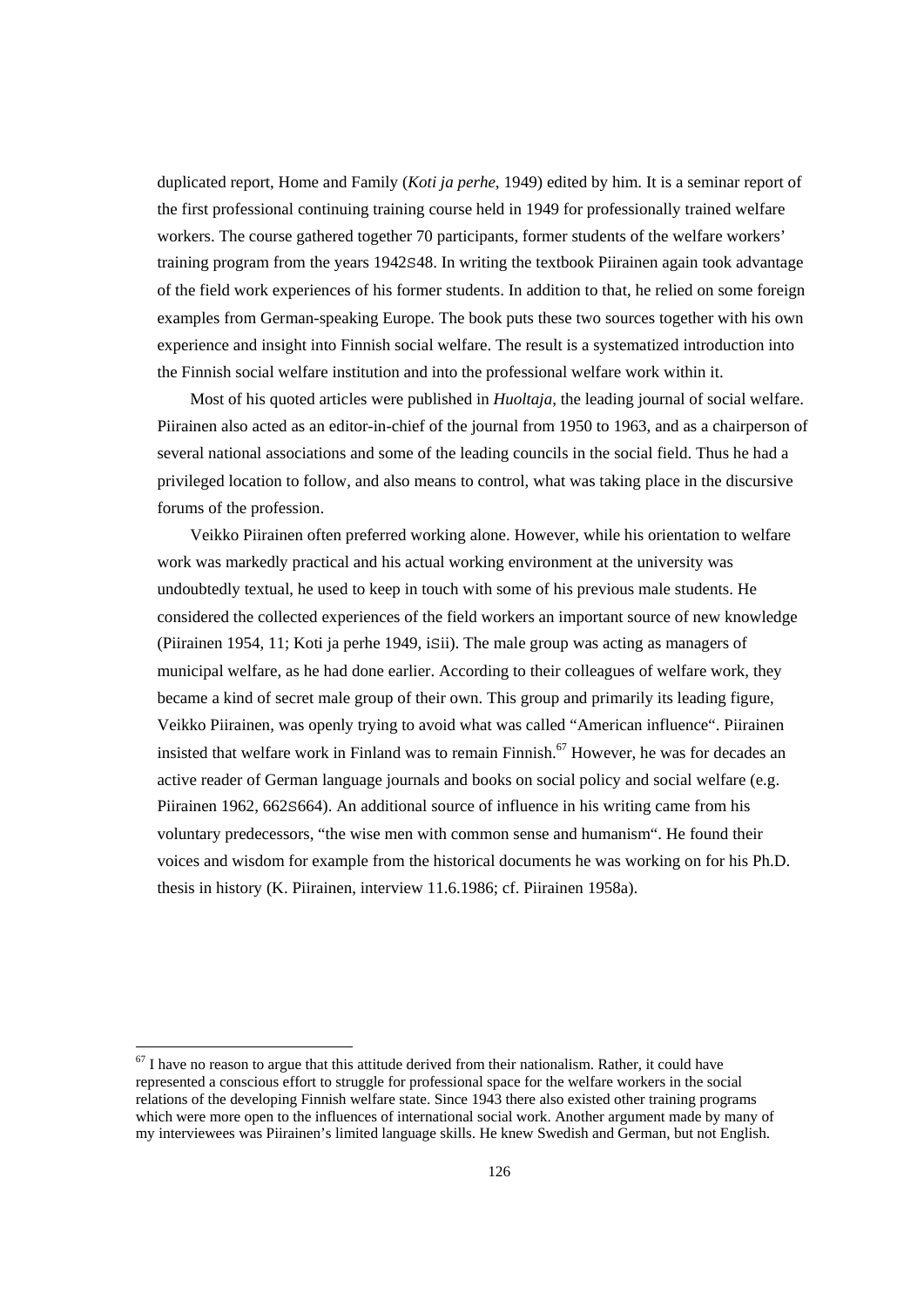duplicated report, Home and Family (*Koti ja perhe*, 1949) edited by him. It is a seminar report of the first professional continuing training course held in 1949 for professionally trained welfare workers. The course gathered together 70 participants, former students of the welfare workers' training program from the years 1942S48. In writing the textbook Piirainen again took advantage of the field work experiences of his former students. In addition to that, he relied on some foreign examples from German-speaking Europe. The book puts these two sources together with his own experience and insight into Finnish social welfare. The result is a systematized introduction into the Finnish social welfare institution and into the professional welfare work within it.

 Most of his quoted articles were published in *Huoltaja*, the leading journal of social welfare. Piirainen also acted as an editor-in-chief of the journal from 1950 to 1963, and as a chairperson of several national associations and some of the leading councils in the social field. Thus he had a privileged location to follow, and also means to control, what was taking place in the discursive forums of the profession.

 Veikko Piirainen often preferred working alone. However, while his orientation to welfare work was markedly practical and his actual working environment at the university was undoubtedly textual, he used to keep in touch with some of his previous male students. He considered the collected experiences of the field workers an important source of new knowledge (Piirainen 1954, 11; Koti ja perhe 1949, iSii). The male group was acting as managers of municipal welfare, as he had done earlier. According to their colleagues of welfare work, they became a kind of secret male group of their own. This group and primarily its leading figure, Veikko Piirainen, was openly trying to avoid what was called "American influence". Piirainen insisted that welfare work in Finland was to remain Finnish.<sup>67</sup> However, he was for decades an active reader of German language journals and books on social policy and social welfare (e.g. Piirainen 1962, 662S664). An additional source of influence in his writing came from his voluntary predecessors, "the wise men with common sense and humanism". He found their voices and wisdom for example from the historical documents he was working on for his Ph.D. thesis in history (K. Piirainen, interview 11.6.1986; cf. Piirainen 1958a).

 $67$  I have no reason to argue that this attitude derived from their nationalism. Rather, it could have represented a conscious effort to struggle for professional space for the welfare workers in the social relations of the developing Finnish welfare state. Since 1943 there also existed other training programs which were more open to the influences of international social work. Another argument made by many of my interviewees was Piirainen's limited language skills. He knew Swedish and German, but not English.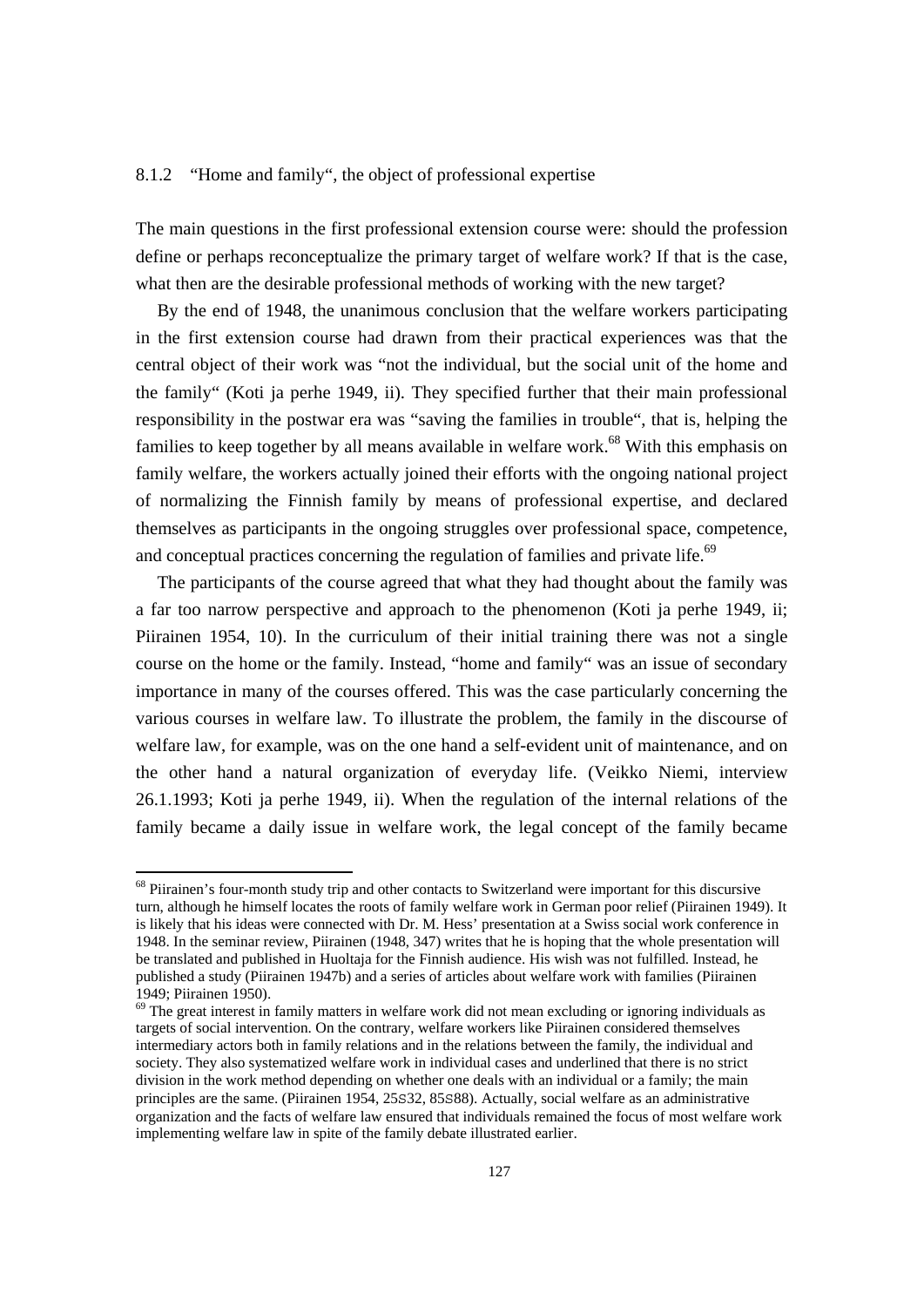## 8.1.2 "Home and family", the object of professional expertise

The main questions in the first professional extension course were: should the profession define or perhaps reconceptualize the primary target of welfare work? If that is the case, what then are the desirable professional methods of working with the new target?

 By the end of 1948, the unanimous conclusion that the welfare workers participating in the first extension course had drawn from their practical experiences was that the central object of their work was "not the individual, but the social unit of the home and the family" (Koti ja perhe 1949, ii). They specified further that their main professional responsibility in the postwar era was "saving the families in trouble", that is, helping the families to keep together by all means available in welfare work.<sup>68</sup> With this emphasis on family welfare, the workers actually joined their efforts with the ongoing national project of normalizing the Finnish family by means of professional expertise, and declared themselves as participants in the ongoing struggles over professional space, competence, and conceptual practices concerning the regulation of families and private life.<sup>69</sup>

 The participants of the course agreed that what they had thought about the family was a far too narrow perspective and approach to the phenomenon (Koti ja perhe 1949, ii; Piirainen 1954, 10). In the curriculum of their initial training there was not a single course on the home or the family. Instead, "home and family" was an issue of secondary importance in many of the courses offered. This was the case particularly concerning the various courses in welfare law. To illustrate the problem, the family in the discourse of welfare law, for example, was on the one hand a self-evident unit of maintenance, and on the other hand a natural organization of everyday life. (Veikko Niemi, interview 26.1.1993; Koti ja perhe 1949, ii). When the regulation of the internal relations of the family became a daily issue in welfare work, the legal concept of the family became

<sup>&</sup>lt;sup>68</sup> Piirainen's four-month study trip and other contacts to Switzerland were important for this discursive turn, although he himself locates the roots of family welfare work in German poor relief (Piirainen 1949). It is likely that his ideas were connected with Dr. M. Hess' presentation at a Swiss social work conference in 1948. In the seminar review, Piirainen (1948, 347) writes that he is hoping that the whole presentation will be translated and published in Huoltaja for the Finnish audience. His wish was not fulfilled. Instead, he published a study (Piirainen 1947b) and a series of articles about welfare work with families (Piirainen 1949; Piirainen 1950).

<sup>&</sup>lt;sup>69</sup> The great interest in family matters in welfare work did not mean excluding or ignoring individuals as targets of social intervention. On the contrary, welfare workers like Piirainen considered themselves intermediary actors both in family relations and in the relations between the family, the individual and society. They also systematized welfare work in individual cases and underlined that there is no strict division in the work method depending on whether one deals with an individual or a family; the main principles are the same. (Piirainen 1954, 25S32, 85S88). Actually, social welfare as an administrative organization and the facts of welfare law ensured that individuals remained the focus of most welfare work implementing welfare law in spite of the family debate illustrated earlier.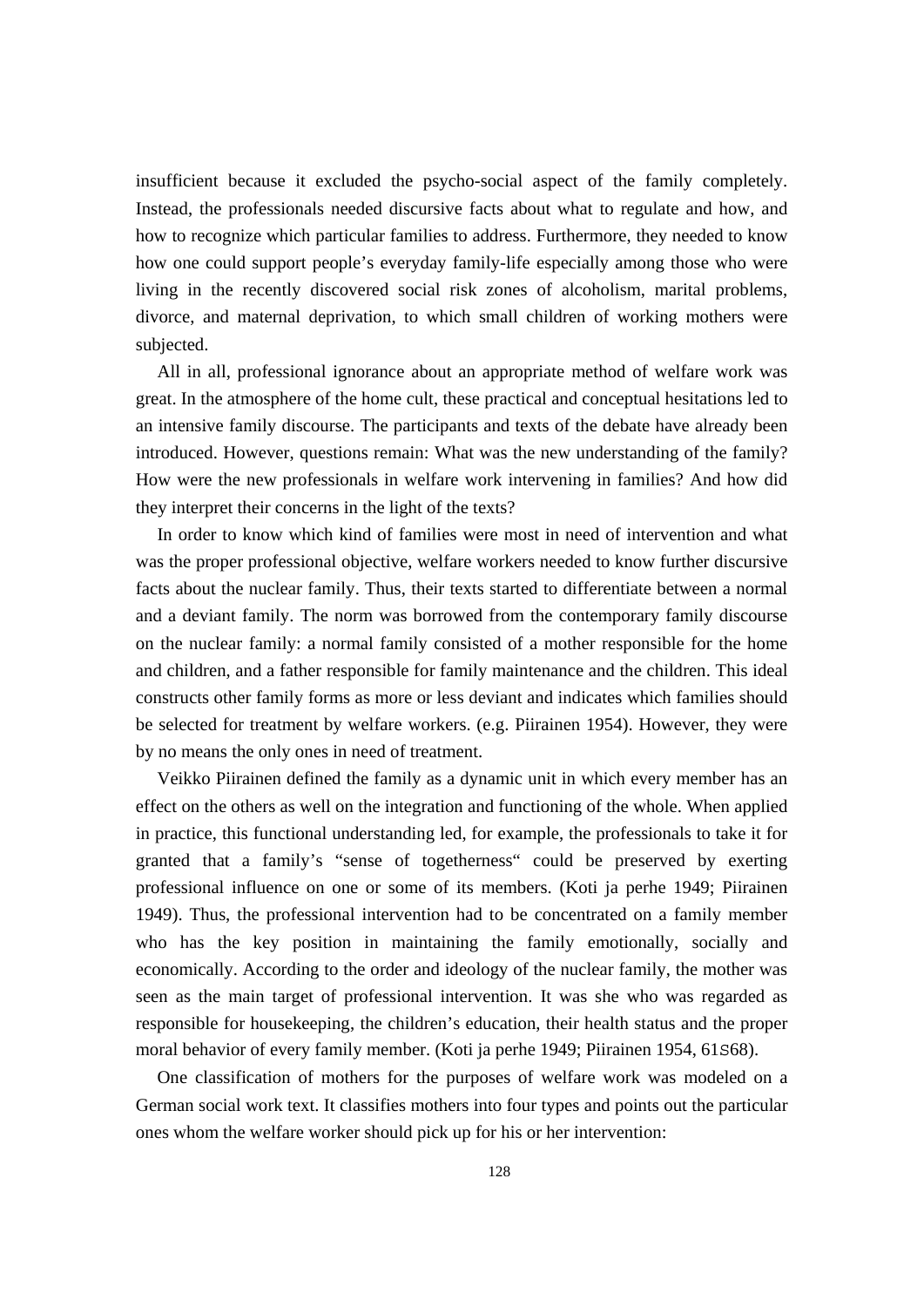insufficient because it excluded the psycho-social aspect of the family completely. Instead, the professionals needed discursive facts about what to regulate and how, and how to recognize which particular families to address. Furthermore, they needed to know how one could support people's everyday family-life especially among those who were living in the recently discovered social risk zones of alcoholism, marital problems, divorce, and maternal deprivation, to which small children of working mothers were subjected.

 All in all, professional ignorance about an appropriate method of welfare work was great. In the atmosphere of the home cult, these practical and conceptual hesitations led to an intensive family discourse. The participants and texts of the debate have already been introduced. However, questions remain: What was the new understanding of the family? How were the new professionals in welfare work intervening in families? And how did they interpret their concerns in the light of the texts?

 In order to know which kind of families were most in need of intervention and what was the proper professional objective, welfare workers needed to know further discursive facts about the nuclear family. Thus, their texts started to differentiate between a normal and a deviant family. The norm was borrowed from the contemporary family discourse on the nuclear family: a normal family consisted of a mother responsible for the home and children, and a father responsible for family maintenance and the children. This ideal constructs other family forms as more or less deviant and indicates which families should be selected for treatment by welfare workers. (e.g. Piirainen 1954). However, they were by no means the only ones in need of treatment.

 Veikko Piirainen defined the family as a dynamic unit in which every member has an effect on the others as well on the integration and functioning of the whole. When applied in practice, this functional understanding led, for example, the professionals to take it for granted that a family's "sense of togetherness" could be preserved by exerting professional influence on one or some of its members. (Koti ja perhe 1949; Piirainen 1949). Thus, the professional intervention had to be concentrated on a family member who has the key position in maintaining the family emotionally, socially and economically. According to the order and ideology of the nuclear family, the mother was seen as the main target of professional intervention. It was she who was regarded as responsible for housekeeping, the children's education, their health status and the proper moral behavior of every family member. (Koti ja perhe 1949; Piirainen 1954, 61S68).

 One classification of mothers for the purposes of welfare work was modeled on a German social work text. It classifies mothers into four types and points out the particular ones whom the welfare worker should pick up for his or her intervention: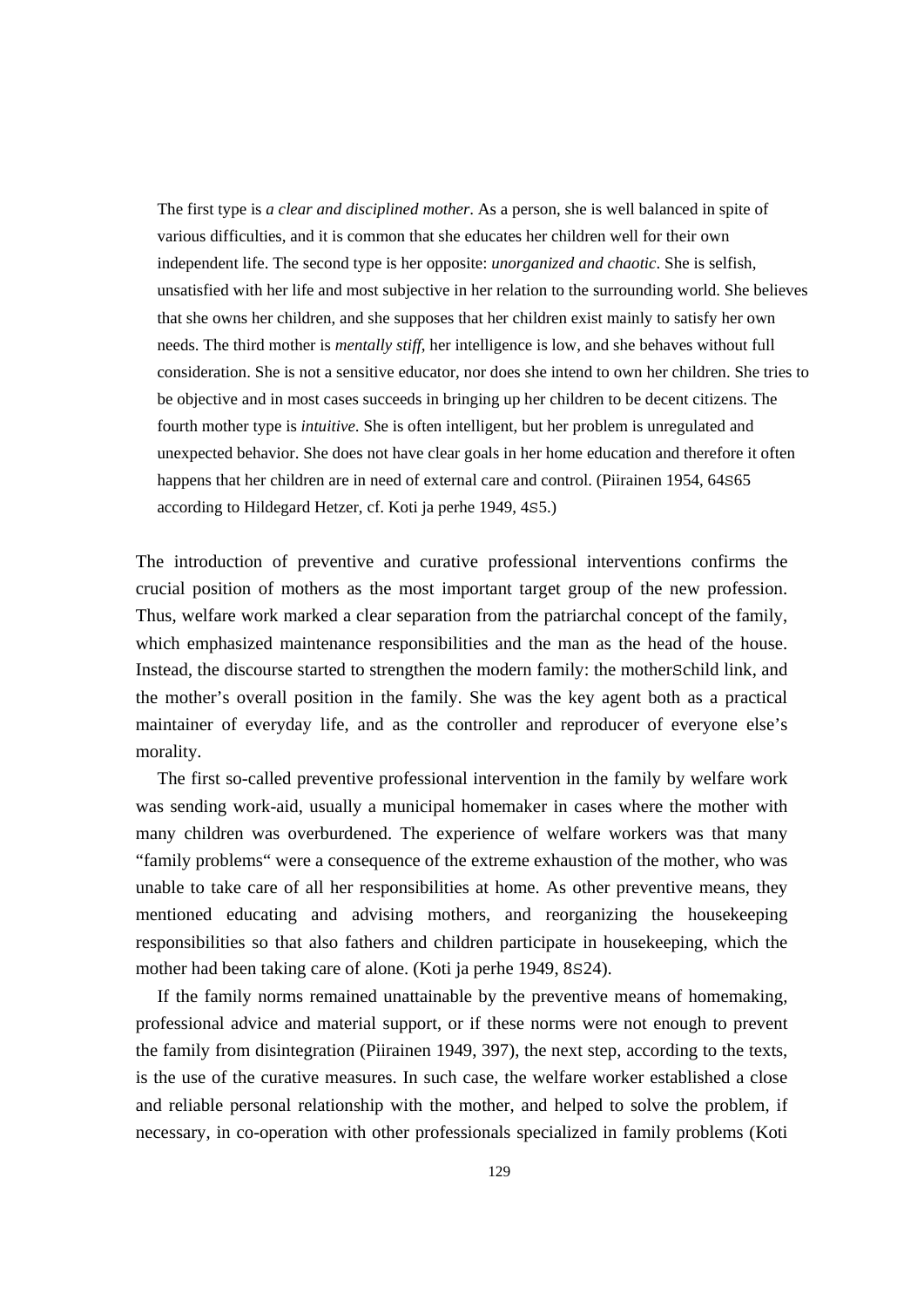The first type is *a clear and disciplined mother*. As a person, she is well balanced in spite of various difficulties, and it is common that she educates her children well for their own independent life. The second type is her opposite: *unorganized and chaotic*. She is selfish, unsatisfied with her life and most subjective in her relation to the surrounding world. She believes that she owns her children, and she supposes that her children exist mainly to satisfy her own needs. The third mother is *mentally stiff*, her intelligence is low, and she behaves without full consideration. She is not a sensitive educator, nor does she intend to own her children. She tries to be objective and in most cases succeeds in bringing up her children to be decent citizens. The fourth mother type is *intuitive*. She is often intelligent, but her problem is unregulated and unexpected behavior. She does not have clear goals in her home education and therefore it often happens that her children are in need of external care and control. (Piirainen 1954, 64S65 according to Hildegard Hetzer, cf. Koti ja perhe 1949, 4S5.)

The introduction of preventive and curative professional interventions confirms the crucial position of mothers as the most important target group of the new profession. Thus, welfare work marked a clear separation from the patriarchal concept of the family, which emphasized maintenance responsibilities and the man as the head of the house. Instead, the discourse started to strengthen the modern family: the motherSchild link, and the mother's overall position in the family. She was the key agent both as a practical maintainer of everyday life, and as the controller and reproducer of everyone else's morality.

 The first so-called preventive professional intervention in the family by welfare work was sending work-aid, usually a municipal homemaker in cases where the mother with many children was overburdened. The experience of welfare workers was that many "family problems" were a consequence of the extreme exhaustion of the mother, who was unable to take care of all her responsibilities at home. As other preventive means, they mentioned educating and advising mothers, and reorganizing the housekeeping responsibilities so that also fathers and children participate in housekeeping, which the mother had been taking care of alone. (Koti ja perhe 1949, 8S24).

 If the family norms remained unattainable by the preventive means of homemaking, professional advice and material support, or if these norms were not enough to prevent the family from disintegration (Piirainen 1949, 397), the next step, according to the texts, is the use of the curative measures. In such case, the welfare worker established a close and reliable personal relationship with the mother, and helped to solve the problem, if necessary, in co-operation with other professionals specialized in family problems (Koti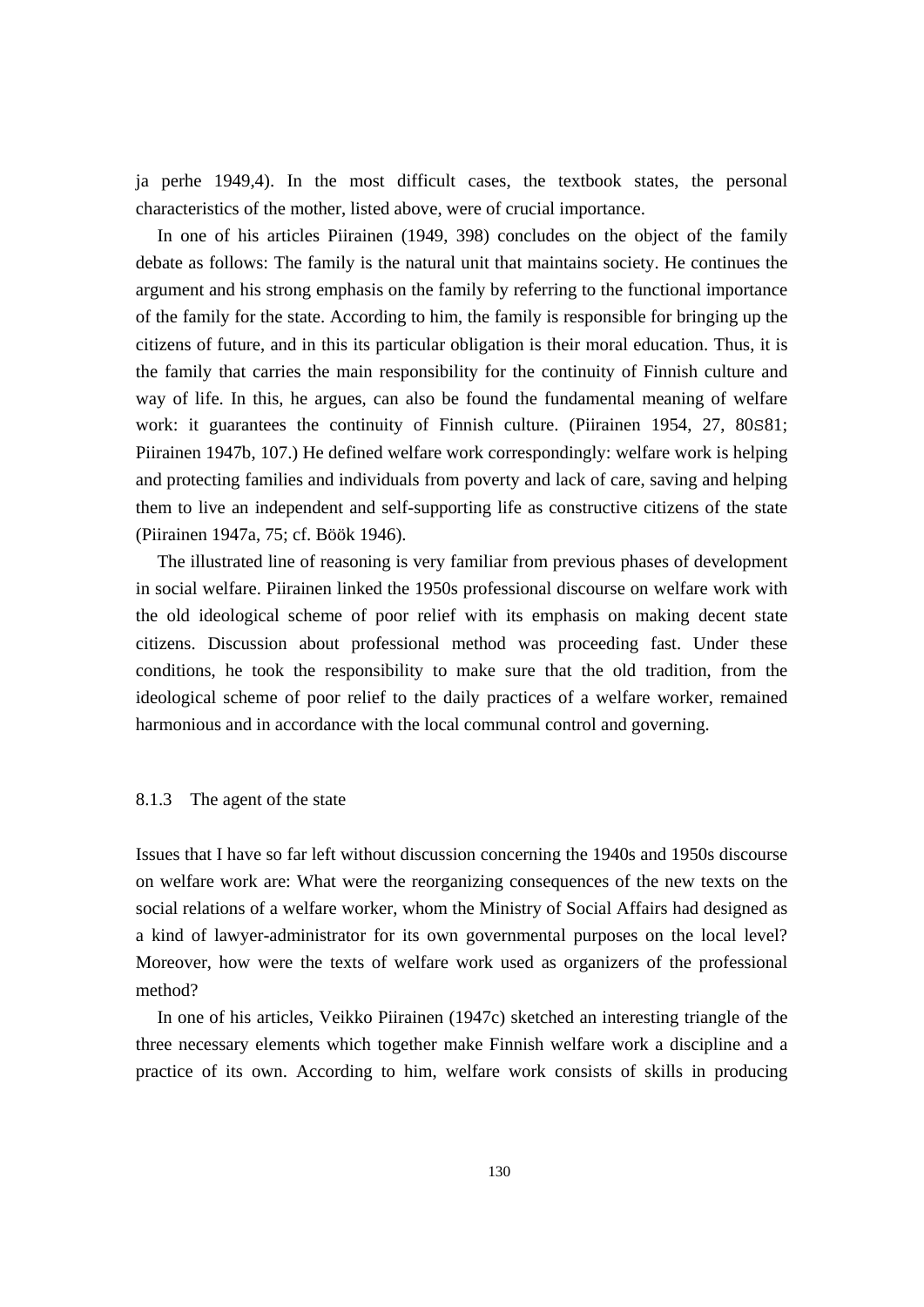ja perhe 1949,4). In the most difficult cases, the textbook states, the personal characteristics of the mother, listed above, were of crucial importance.

 In one of his articles Piirainen (1949, 398) concludes on the object of the family debate as follows: The family is the natural unit that maintains society. He continues the argument and his strong emphasis on the family by referring to the functional importance of the family for the state. According to him, the family is responsible for bringing up the citizens of future, and in this its particular obligation is their moral education. Thus, it is the family that carries the main responsibility for the continuity of Finnish culture and way of life. In this, he argues, can also be found the fundamental meaning of welfare work: it guarantees the continuity of Finnish culture. (Piirainen 1954, 27, 80S81; Piirainen 1947b, 107.) He defined welfare work correspondingly: welfare work is helping and protecting families and individuals from poverty and lack of care, saving and helping them to live an independent and self-supporting life as constructive citizens of the state (Piirainen 1947a, 75; cf. Böök 1946).

 The illustrated line of reasoning is very familiar from previous phases of development in social welfare. Piirainen linked the 1950s professional discourse on welfare work with the old ideological scheme of poor relief with its emphasis on making decent state citizens. Discussion about professional method was proceeding fast. Under these conditions, he took the responsibility to make sure that the old tradition, from the ideological scheme of poor relief to the daily practices of a welfare worker, remained harmonious and in accordance with the local communal control and governing.

#### 8.1.3 The agent of the state

Issues that I have so far left without discussion concerning the 1940s and 1950s discourse on welfare work are: What were the reorganizing consequences of the new texts on the social relations of a welfare worker, whom the Ministry of Social Affairs had designed as a kind of lawyer-administrator for its own governmental purposes on the local level? Moreover, how were the texts of welfare work used as organizers of the professional method?

 In one of his articles, Veikko Piirainen (1947c) sketched an interesting triangle of the three necessary elements which together make Finnish welfare work a discipline and a practice of its own. According to him, welfare work consists of skills in producing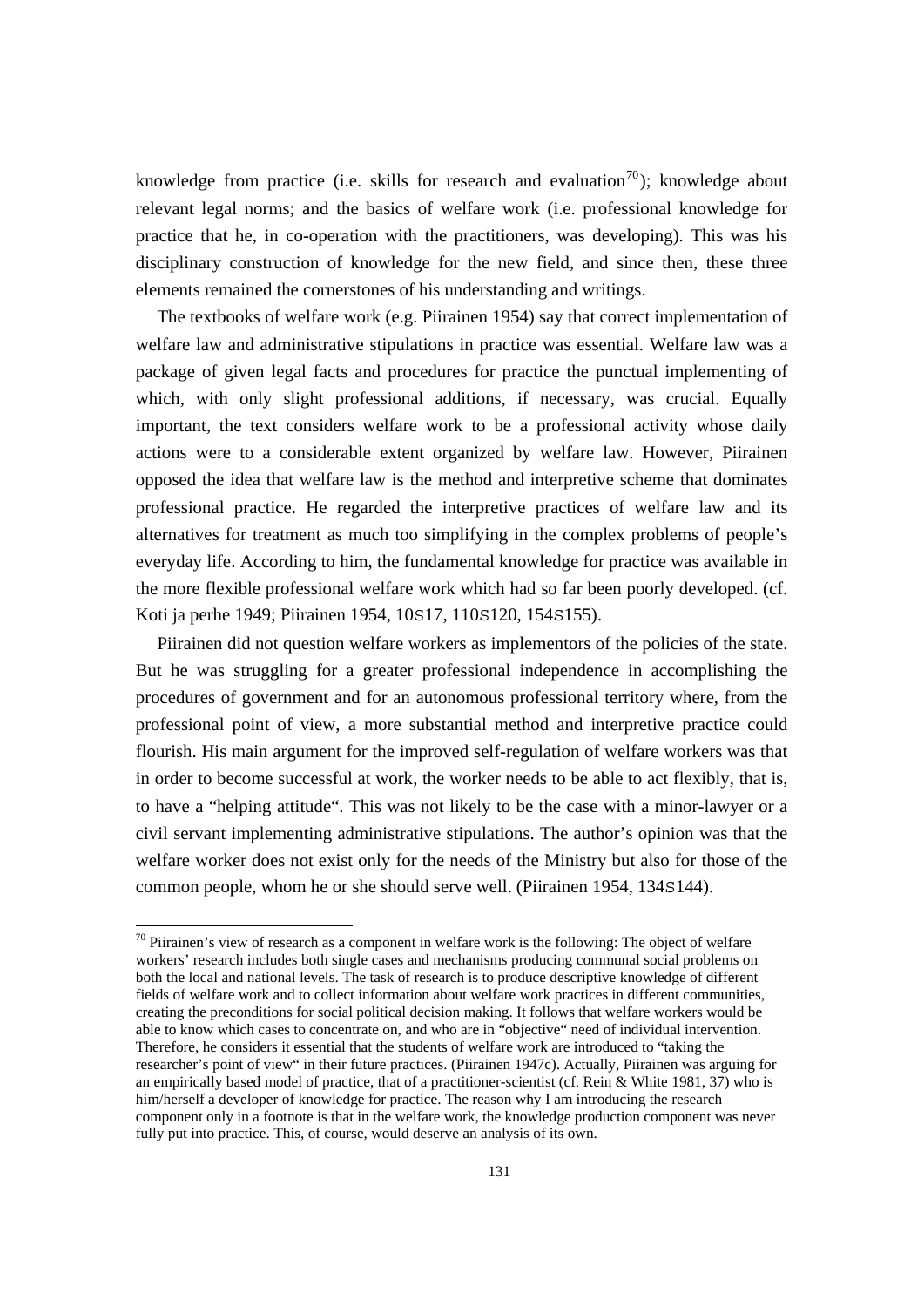knowledge from practice (i.e. skills for research and evaluation<sup>70</sup>); knowledge about relevant legal norms; and the basics of welfare work (i.e. professional knowledge for practice that he, in co-operation with the practitioners, was developing). This was his disciplinary construction of knowledge for the new field, and since then, these three elements remained the cornerstones of his understanding and writings.

 The textbooks of welfare work (e.g. Piirainen 1954) say that correct implementation of welfare law and administrative stipulations in practice was essential. Welfare law was a package of given legal facts and procedures for practice the punctual implementing of which, with only slight professional additions, if necessary, was crucial. Equally important, the text considers welfare work to be a professional activity whose daily actions were to a considerable extent organized by welfare law. However, Piirainen opposed the idea that welfare law is the method and interpretive scheme that dominates professional practice. He regarded the interpretive practices of welfare law and its alternatives for treatment as much too simplifying in the complex problems of people's everyday life. According to him, the fundamental knowledge for practice was available in the more flexible professional welfare work which had so far been poorly developed. (cf. Koti ja perhe 1949; Piirainen 1954, 10S17, 110S120, 154S155).

 Piirainen did not question welfare workers as implementors of the policies of the state. But he was struggling for a greater professional independence in accomplishing the procedures of government and for an autonomous professional territory where, from the professional point of view, a more substantial method and interpretive practice could flourish. His main argument for the improved self-regulation of welfare workers was that in order to become successful at work, the worker needs to be able to act flexibly, that is, to have a "helping attitude". This was not likely to be the case with a minor-lawyer or a civil servant implementing administrative stipulations. The author's opinion was that the welfare worker does not exist only for the needs of the Ministry but also for those of the common people, whom he or she should serve well. (Piirainen 1954, 134S144).

l

 $70$  Piirainen's view of research as a component in welfare work is the following: The object of welfare workers' research includes both single cases and mechanisms producing communal social problems on both the local and national levels. The task of research is to produce descriptive knowledge of different fields of welfare work and to collect information about welfare work practices in different communities, creating the preconditions for social political decision making. It follows that welfare workers would be able to know which cases to concentrate on, and who are in "objective" need of individual intervention. Therefore, he considers it essential that the students of welfare work are introduced to "taking the researcher's point of view" in their future practices. (Piirainen 1947c). Actually, Piirainen was arguing for an empirically based model of practice, that of a practitioner-scientist (cf. Rein & White 1981, 37) who is him/herself a developer of knowledge for practice. The reason why I am introducing the research component only in a footnote is that in the welfare work, the knowledge production component was never fully put into practice. This, of course, would deserve an analysis of its own.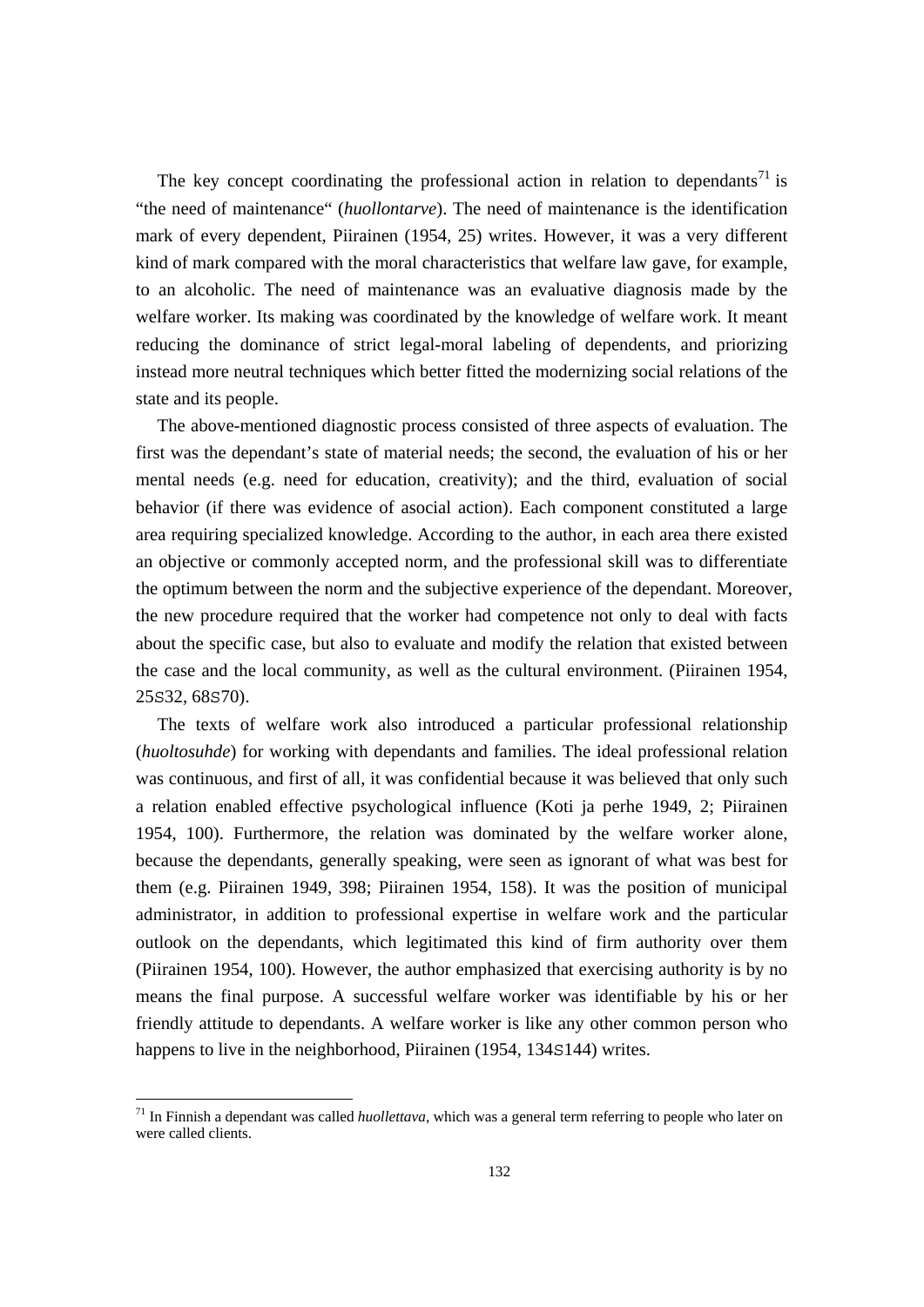The key concept coordinating the professional action in relation to dependants<sup>71</sup> is "the need of maintenance" (*huollontarve*). The need of maintenance is the identification mark of every dependent, Piirainen (1954, 25) writes. However, it was a very different kind of mark compared with the moral characteristics that welfare law gave, for example, to an alcoholic. The need of maintenance was an evaluative diagnosis made by the welfare worker. Its making was coordinated by the knowledge of welfare work. It meant reducing the dominance of strict legal-moral labeling of dependents, and priorizing instead more neutral techniques which better fitted the modernizing social relations of the state and its people.

 The above-mentioned diagnostic process consisted of three aspects of evaluation. The first was the dependant's state of material needs; the second, the evaluation of his or her mental needs (e.g. need for education, creativity); and the third, evaluation of social behavior (if there was evidence of asocial action). Each component constituted a large area requiring specialized knowledge. According to the author, in each area there existed an objective or commonly accepted norm, and the professional skill was to differentiate the optimum between the norm and the subjective experience of the dependant. Moreover, the new procedure required that the worker had competence not only to deal with facts about the specific case, but also to evaluate and modify the relation that existed between the case and the local community, as well as the cultural environment. (Piirainen 1954, 25S32, 68S70).

 The texts of welfare work also introduced a particular professional relationship (*huoltosuhde*) for working with dependants and families. The ideal professional relation was continuous, and first of all, it was confidential because it was believed that only such a relation enabled effective psychological influence (Koti ja perhe 1949, 2; Piirainen 1954, 100). Furthermore, the relation was dominated by the welfare worker alone, because the dependants, generally speaking, were seen as ignorant of what was best for them (e.g. Piirainen 1949, 398; Piirainen 1954, 158). It was the position of municipal administrator, in addition to professional expertise in welfare work and the particular outlook on the dependants, which legitimated this kind of firm authority over them (Piirainen 1954, 100). However, the author emphasized that exercising authority is by no means the final purpose. A successful welfare worker was identifiable by his or her friendly attitude to dependants. A welfare worker is like any other common person who happens to live in the neighborhood, Piirainen (1954, 134S144) writes.

<sup>71</sup> In Finnish a dependant was called *huollettava*, which was a general term referring to people who later on were called clients.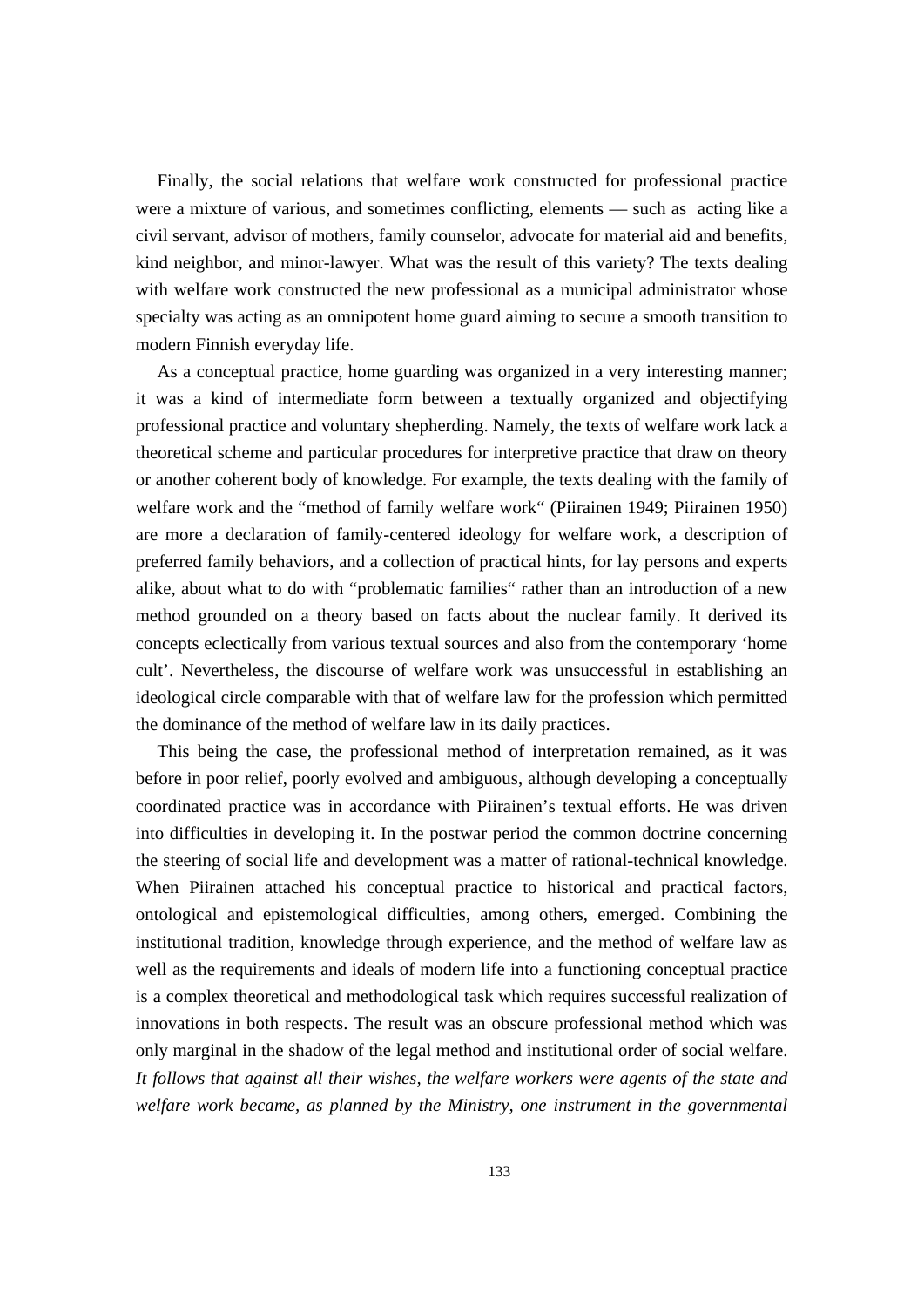Finally, the social relations that welfare work constructed for professional practice were a mixture of various, and sometimes conflicting, elements — such as acting like a civil servant, advisor of mothers, family counselor, advocate for material aid and benefits, kind neighbor, and minor-lawyer. What was the result of this variety? The texts dealing with welfare work constructed the new professional as a municipal administrator whose specialty was acting as an omnipotent home guard aiming to secure a smooth transition to modern Finnish everyday life.

 As a conceptual practice, home guarding was organized in a very interesting manner; it was a kind of intermediate form between a textually organized and objectifying professional practice and voluntary shepherding. Namely, the texts of welfare work lack a theoretical scheme and particular procedures for interpretive practice that draw on theory or another coherent body of knowledge. For example, the texts dealing with the family of welfare work and the "method of family welfare work" (Piirainen 1949; Piirainen 1950) are more a declaration of family-centered ideology for welfare work, a description of preferred family behaviors, and a collection of practical hints, for lay persons and experts alike, about what to do with "problematic families" rather than an introduction of a new method grounded on a theory based on facts about the nuclear family. It derived its concepts eclectically from various textual sources and also from the contemporary 'home cult'. Nevertheless, the discourse of welfare work was unsuccessful in establishing an ideological circle comparable with that of welfare law for the profession which permitted the dominance of the method of welfare law in its daily practices.

 This being the case, the professional method of interpretation remained, as it was before in poor relief, poorly evolved and ambiguous, although developing a conceptually coordinated practice was in accordance with Piirainen's textual efforts. He was driven into difficulties in developing it. In the postwar period the common doctrine concerning the steering of social life and development was a matter of rational-technical knowledge. When Piirainen attached his conceptual practice to historical and practical factors, ontological and epistemological difficulties, among others, emerged. Combining the institutional tradition, knowledge through experience, and the method of welfare law as well as the requirements and ideals of modern life into a functioning conceptual practice is a complex theoretical and methodological task which requires successful realization of innovations in both respects. The result was an obscure professional method which was only marginal in the shadow of the legal method and institutional order of social welfare. *It follows that against all their wishes, the welfare workers were agents of the state and welfare work became, as planned by the Ministry, one instrument in the governmental*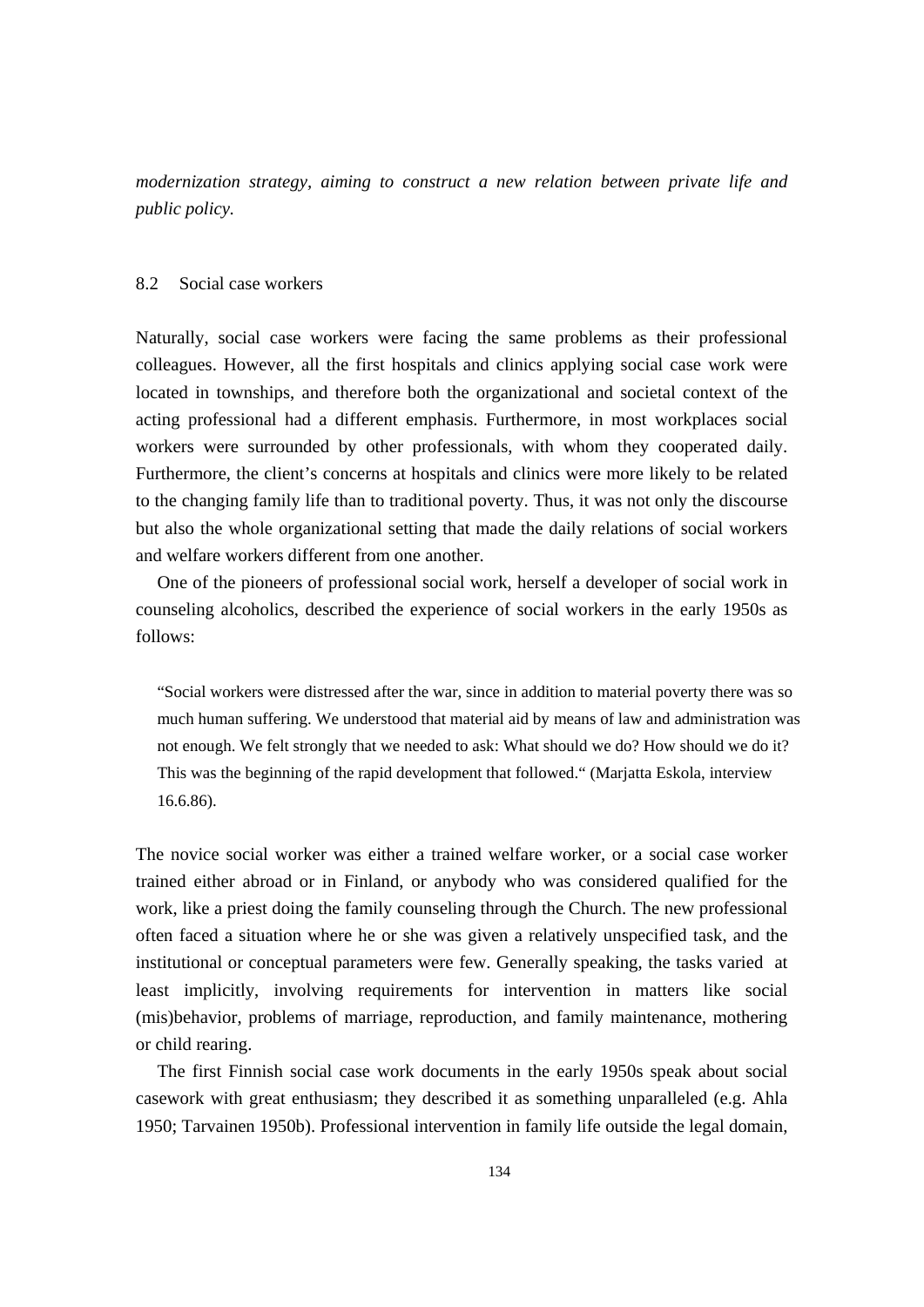*modernization strategy, aiming to construct a new relation between private life and public policy.* 

## 8.2 Social case workers

Naturally, social case workers were facing the same problems as their professional colleagues. However, all the first hospitals and clinics applying social case work were located in townships, and therefore both the organizational and societal context of the acting professional had a different emphasis. Furthermore, in most workplaces social workers were surrounded by other professionals, with whom they cooperated daily. Furthermore, the client's concerns at hospitals and clinics were more likely to be related to the changing family life than to traditional poverty. Thus, it was not only the discourse but also the whole organizational setting that made the daily relations of social workers and welfare workers different from one another.

 One of the pioneers of professional social work, herself a developer of social work in counseling alcoholics, described the experience of social workers in the early 1950s as follows:

"Social workers were distressed after the war, since in addition to material poverty there was so much human suffering. We understood that material aid by means of law and administration was not enough. We felt strongly that we needed to ask: What should we do? How should we do it? This was the beginning of the rapid development that followed." (Marjatta Eskola, interview 16.6.86).

The novice social worker was either a trained welfare worker, or a social case worker trained either abroad or in Finland, or anybody who was considered qualified for the work, like a priest doing the family counseling through the Church. The new professional often faced a situation where he or she was given a relatively unspecified task, and the institutional or conceptual parameters were few. Generally speaking, the tasks varied at least implicitly, involving requirements for intervention in matters like social (mis)behavior, problems of marriage, reproduction, and family maintenance, mothering or child rearing.

 The first Finnish social case work documents in the early 1950s speak about social casework with great enthusiasm; they described it as something unparalleled (e.g. Ahla 1950; Tarvainen 1950b). Professional intervention in family life outside the legal domain,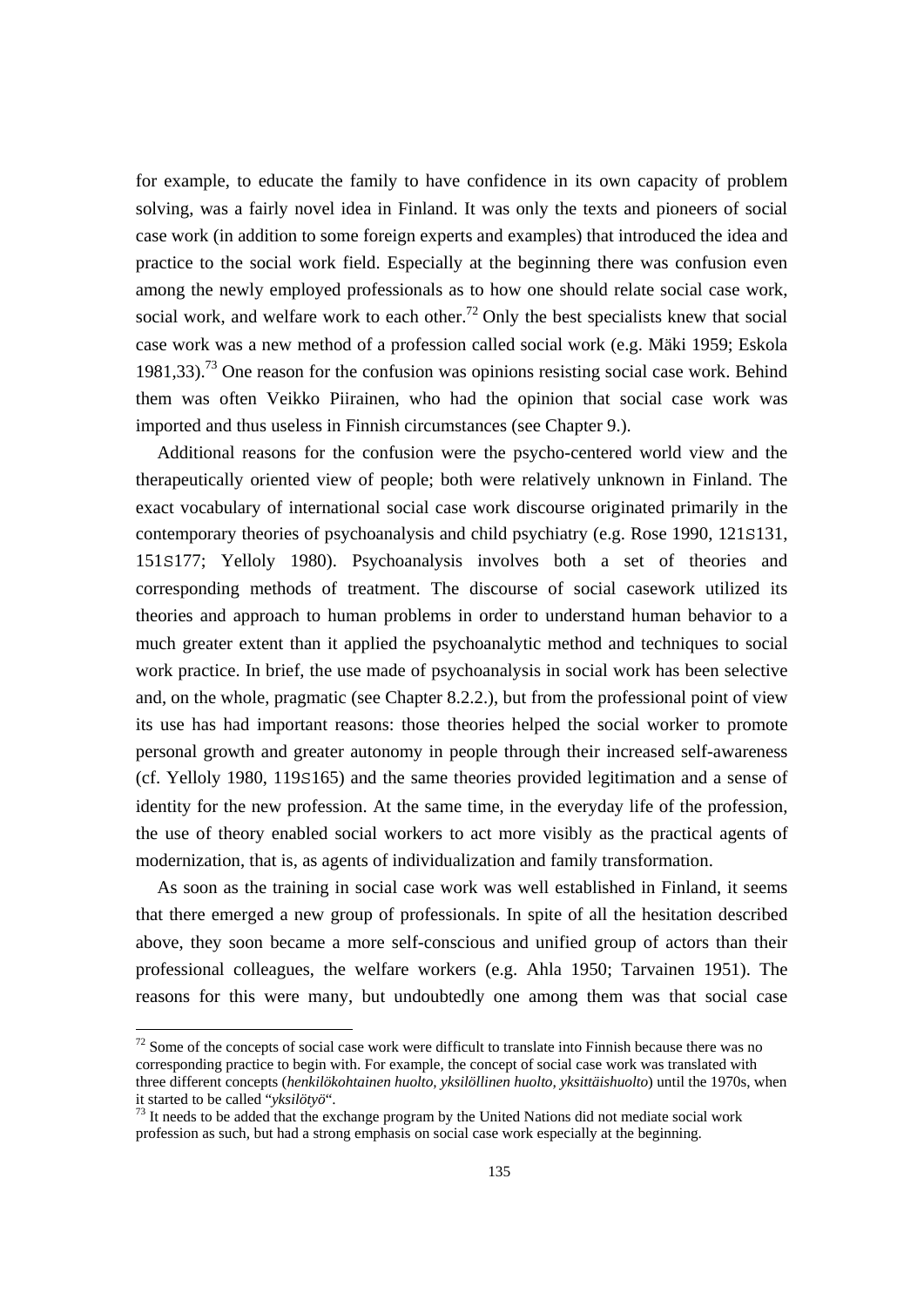for example, to educate the family to have confidence in its own capacity of problem solving, was a fairly novel idea in Finland. It was only the texts and pioneers of social case work (in addition to some foreign experts and examples) that introduced the idea and practice to the social work field. Especially at the beginning there was confusion even among the newly employed professionals as to how one should relate social case work, social work, and welfare work to each other.<sup>72</sup> Only the best specialists knew that social case work was a new method of a profession called social work (e.g. Mäki 1959; Eskola  $1981.33$ ).<sup>73</sup> One reason for the confusion was opinions resisting social case work. Behind them was often Veikko Piirainen, who had the opinion that social case work was imported and thus useless in Finnish circumstances (see Chapter 9.).

 Additional reasons for the confusion were the psycho-centered world view and the therapeutically oriented view of people; both were relatively unknown in Finland. The exact vocabulary of international social case work discourse originated primarily in the contemporary theories of psychoanalysis and child psychiatry (e.g. Rose 1990, 121S131, 151S177; Yelloly 1980). Psychoanalysis involves both a set of theories and corresponding methods of treatment. The discourse of social casework utilized its theories and approach to human problems in order to understand human behavior to a much greater extent than it applied the psychoanalytic method and techniques to social work practice. In brief, the use made of psychoanalysis in social work has been selective and, on the whole, pragmatic (see Chapter 8.2.2.), but from the professional point of view its use has had important reasons: those theories helped the social worker to promote personal growth and greater autonomy in people through their increased self-awareness (cf. Yelloly 1980, 119S165) and the same theories provided legitimation and a sense of identity for the new profession. At the same time, in the everyday life of the profession, the use of theory enabled social workers to act more visibly as the practical agents of modernization, that is, as agents of individualization and family transformation.

 As soon as the training in social case work was well established in Finland, it seems that there emerged a new group of professionals. In spite of all the hesitation described above, they soon became a more self-conscious and unified group of actors than their professional colleagues, the welfare workers (e.g. Ahla 1950; Tarvainen 1951). The reasons for this were many, but undoubtedly one among them was that social case

 $72$  Some of the concepts of social case work were difficult to translate into Finnish because there was no corresponding practice to begin with. For example, the concept of social case work was translated with three different concepts (*henkilökohtainen huolto, yksilöllinen huolto, yksittäishuolto*) until the 1970s, when it started to be called "*yksilötyö*".<br><sup>73</sup> It needs to be added that the exchange program by the United Nations did not mediate social work

profession as such, but had a strong emphasis on social case work especially at the beginning.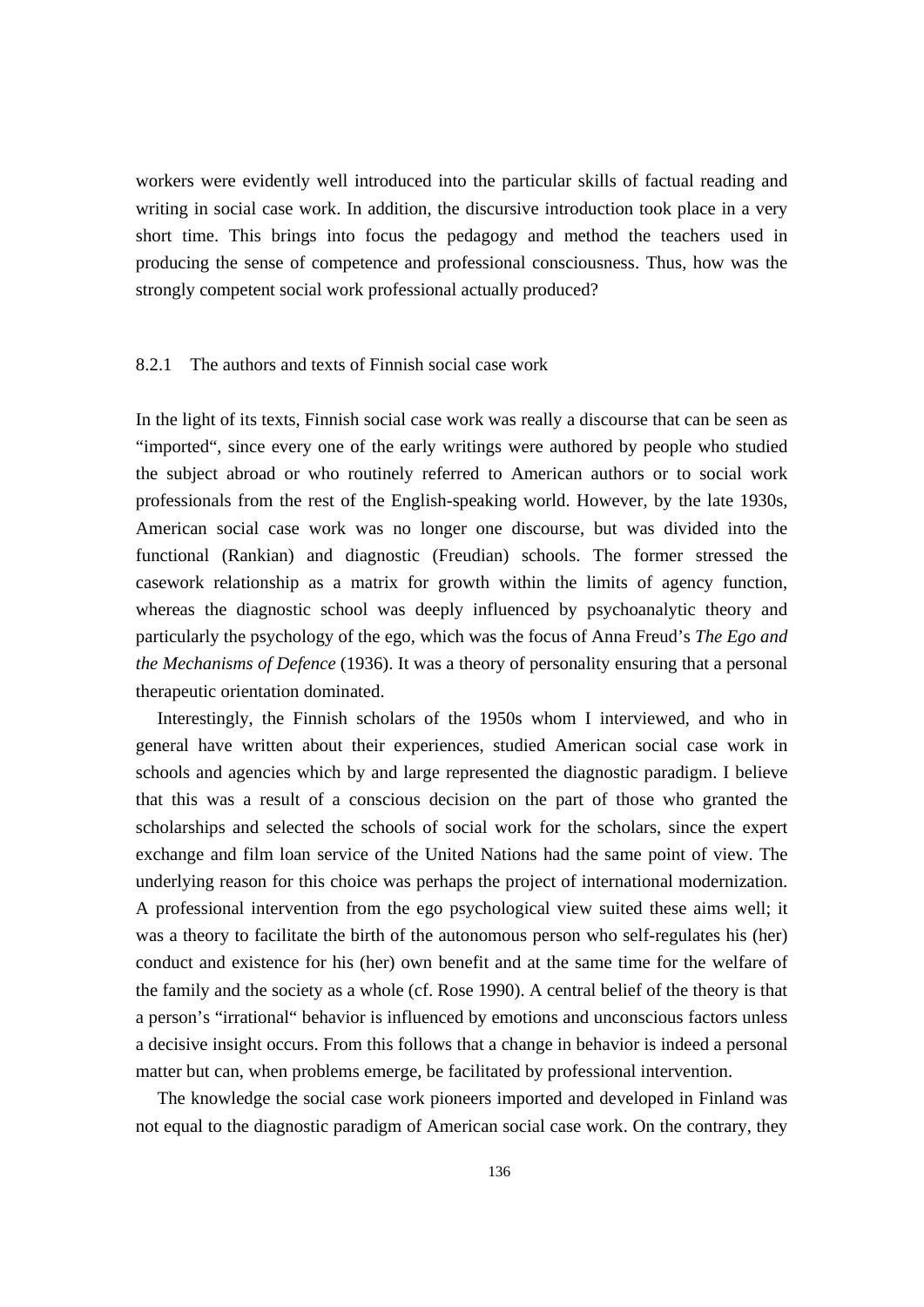workers were evidently well introduced into the particular skills of factual reading and writing in social case work. In addition, the discursive introduction took place in a very short time. This brings into focus the pedagogy and method the teachers used in producing the sense of competence and professional consciousness. Thus, how was the strongly competent social work professional actually produced?

# 8.2.1 The authors and texts of Finnish social case work

In the light of its texts, Finnish social case work was really a discourse that can be seen as "imported", since every one of the early writings were authored by people who studied the subject abroad or who routinely referred to American authors or to social work professionals from the rest of the English-speaking world. However, by the late 1930s, American social case work was no longer one discourse, but was divided into the functional (Rankian) and diagnostic (Freudian) schools. The former stressed the casework relationship as a matrix for growth within the limits of agency function, whereas the diagnostic school was deeply influenced by psychoanalytic theory and particularly the psychology of the ego, which was the focus of Anna Freud's *The Ego and the Mechanisms of Defence* (1936). It was a theory of personality ensuring that a personal therapeutic orientation dominated.

 Interestingly, the Finnish scholars of the 1950s whom I interviewed, and who in general have written about their experiences, studied American social case work in schools and agencies which by and large represented the diagnostic paradigm. I believe that this was a result of a conscious decision on the part of those who granted the scholarships and selected the schools of social work for the scholars, since the expert exchange and film loan service of the United Nations had the same point of view. The underlying reason for this choice was perhaps the project of international modernization. A professional intervention from the ego psychological view suited these aims well; it was a theory to facilitate the birth of the autonomous person who self-regulates his (her) conduct and existence for his (her) own benefit and at the same time for the welfare of the family and the society as a whole (cf. Rose 1990). A central belief of the theory is that a person's "irrational" behavior is influenced by emotions and unconscious factors unless a decisive insight occurs. From this follows that a change in behavior is indeed a personal matter but can, when problems emerge, be facilitated by professional intervention.

 The knowledge the social case work pioneers imported and developed in Finland was not equal to the diagnostic paradigm of American social case work. On the contrary, they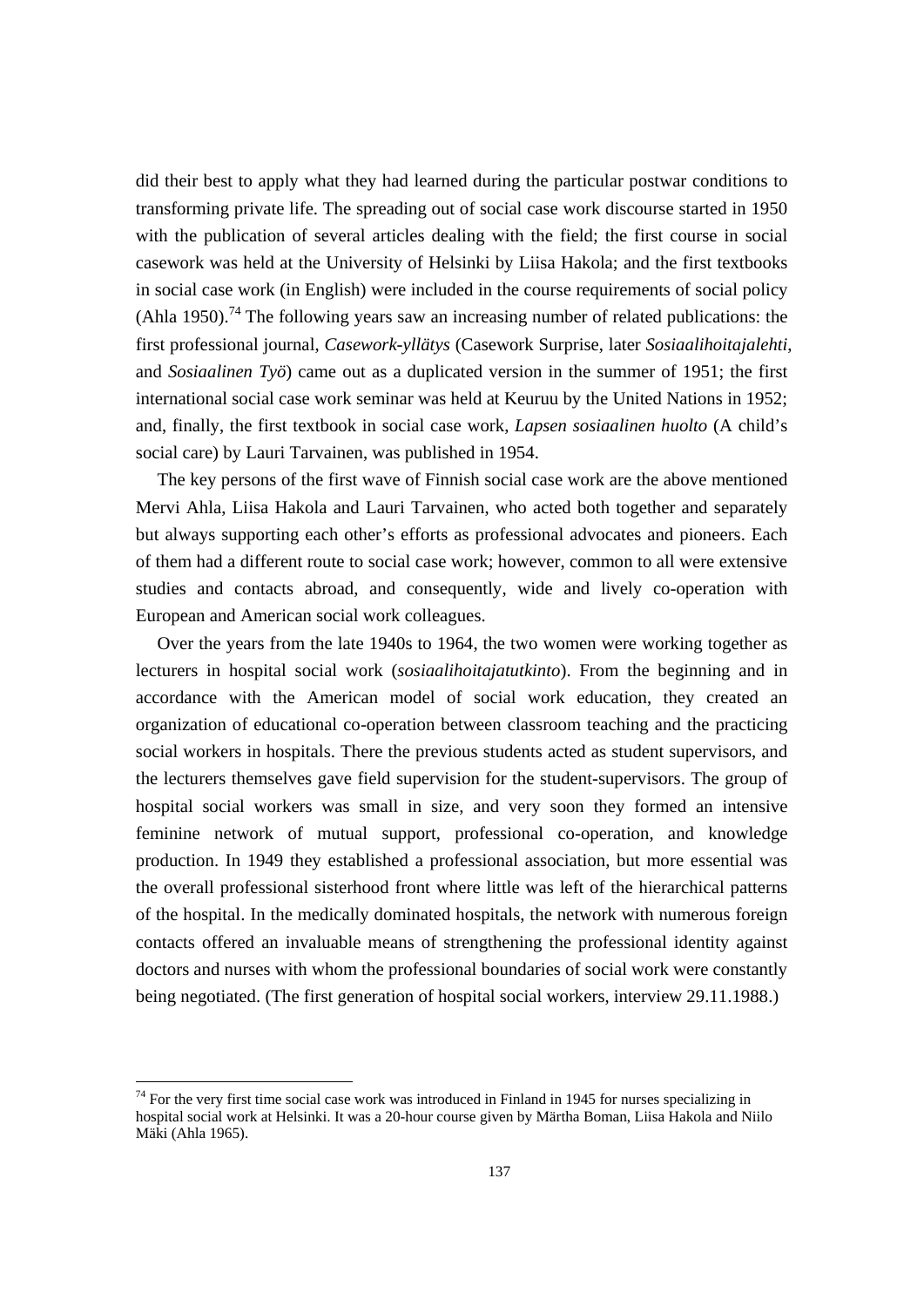did their best to apply what they had learned during the particular postwar conditions to transforming private life. The spreading out of social case work discourse started in 1950 with the publication of several articles dealing with the field; the first course in social casework was held at the University of Helsinki by Liisa Hakola; and the first textbooks in social case work (in English) were included in the course requirements of social policy (Ahla 1950).<sup>74</sup> The following years saw an increasing number of related publications: the first professional journal, *Casework-yllätys* (Casework Surprise, later *Sosiaalihoitajalehti*, and *Sosiaalinen Työ*) came out as a duplicated version in the summer of 1951; the first international social case work seminar was held at Keuruu by the United Nations in 1952; and, finally, the first textbook in social case work, *Lapsen sosiaalinen huolto* (A child's social care) by Lauri Tarvainen, was published in 1954.

 The key persons of the first wave of Finnish social case work are the above mentioned Mervi Ahla, Liisa Hakola and Lauri Tarvainen, who acted both together and separately but always supporting each other's efforts as professional advocates and pioneers. Each of them had a different route to social case work; however, common to all were extensive studies and contacts abroad, and consequently, wide and lively co-operation with European and American social work colleagues.

 Over the years from the late 1940s to 1964, the two women were working together as lecturers in hospital social work (*sosiaalihoitajatutkinto*). From the beginning and in accordance with the American model of social work education, they created an organization of educational co-operation between classroom teaching and the practicing social workers in hospitals. There the previous students acted as student supervisors, and the lecturers themselves gave field supervision for the student-supervisors. The group of hospital social workers was small in size, and very soon they formed an intensive feminine network of mutual support, professional co-operation, and knowledge production. In 1949 they established a professional association, but more essential was the overall professional sisterhood front where little was left of the hierarchical patterns of the hospital. In the medically dominated hospitals, the network with numerous foreign contacts offered an invaluable means of strengthening the professional identity against doctors and nurses with whom the professional boundaries of social work were constantly being negotiated. (The first generation of hospital social workers, interview 29.11.1988.)

 $74$  For the very first time social case work was introduced in Finland in 1945 for nurses specializing in hospital social work at Helsinki. It was a 20-hour course given by Märtha Boman, Liisa Hakola and Niilo Mäki (Ahla 1965).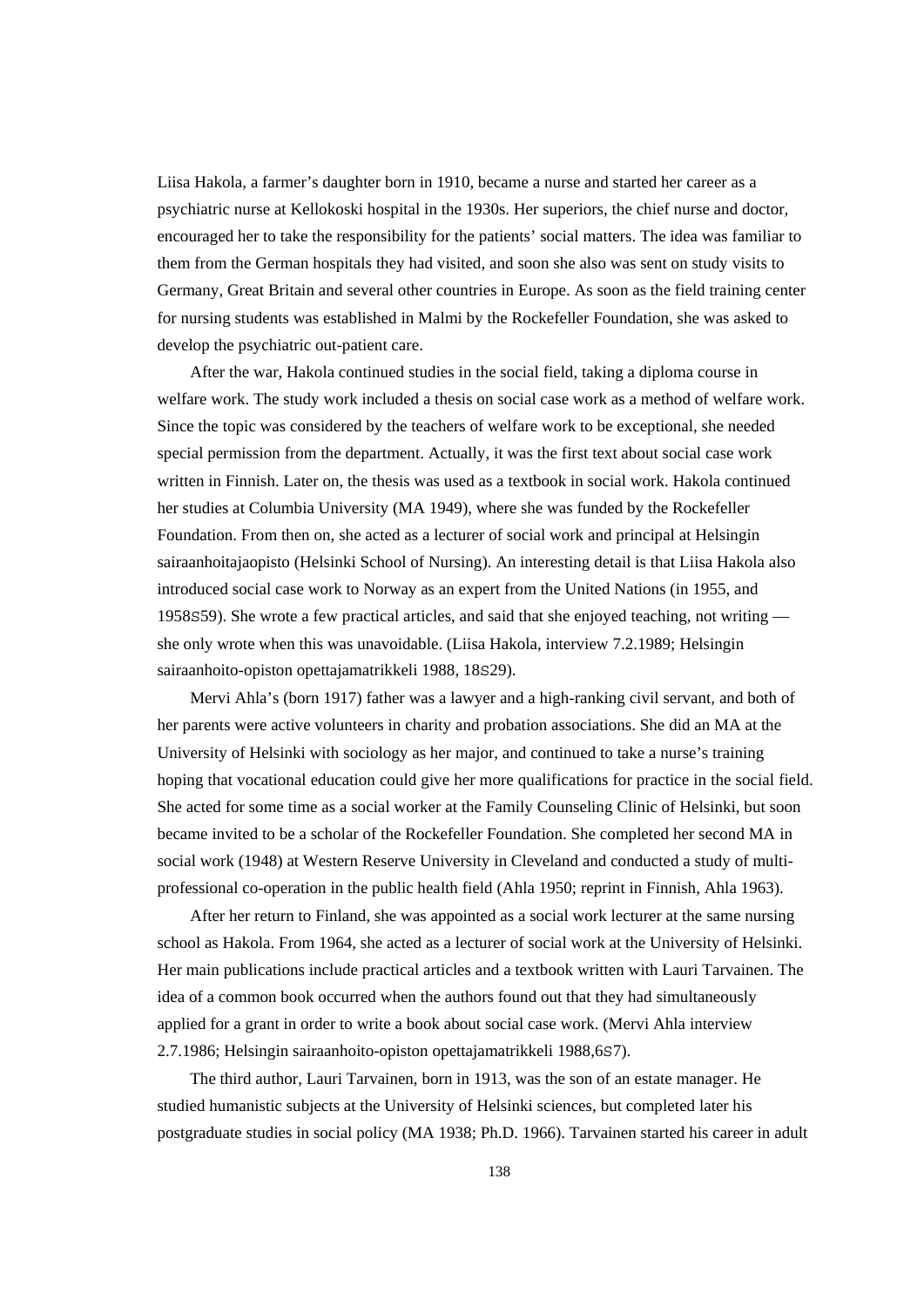Liisa Hakola, a farmer's daughter born in 1910, became a nurse and started her career as a psychiatric nurse at Kellokoski hospital in the 1930s. Her superiors, the chief nurse and doctor, encouraged her to take the responsibility for the patients' social matters. The idea was familiar to them from the German hospitals they had visited, and soon she also was sent on study visits to Germany, Great Britain and several other countries in Europe. As soon as the field training center for nursing students was established in Malmi by the Rockefeller Foundation, she was asked to develop the psychiatric out-patient care.

 After the war, Hakola continued studies in the social field, taking a diploma course in welfare work. The study work included a thesis on social case work as a method of welfare work. Since the topic was considered by the teachers of welfare work to be exceptional, she needed special permission from the department. Actually, it was the first text about social case work written in Finnish. Later on, the thesis was used as a textbook in social work. Hakola continued her studies at Columbia University (MA 1949), where she was funded by the Rockefeller Foundation. From then on, she acted as a lecturer of social work and principal at Helsingin sairaanhoitajaopisto (Helsinki School of Nursing). An interesting detail is that Liisa Hakola also introduced social case work to Norway as an expert from the United Nations (in 1955, and 1958S59). She wrote a few practical articles, and said that she enjoyed teaching, not writing she only wrote when this was unavoidable. (Liisa Hakola, interview 7.2.1989; Helsingin sairaanhoito-opiston opettajamatrikkeli 1988, 18S29).

 Mervi Ahla's (born 1917) father was a lawyer and a high-ranking civil servant, and both of her parents were active volunteers in charity and probation associations. She did an MA at the University of Helsinki with sociology as her major, and continued to take a nurse's training hoping that vocational education could give her more qualifications for practice in the social field. She acted for some time as a social worker at the Family Counseling Clinic of Helsinki, but soon became invited to be a scholar of the Rockefeller Foundation. She completed her second MA in social work (1948) at Western Reserve University in Cleveland and conducted a study of multiprofessional co-operation in the public health field (Ahla 1950; reprint in Finnish, Ahla 1963).

 After her return to Finland, she was appointed as a social work lecturer at the same nursing school as Hakola. From 1964, she acted as a lecturer of social work at the University of Helsinki. Her main publications include practical articles and a textbook written with Lauri Tarvainen. The idea of a common book occurred when the authors found out that they had simultaneously applied for a grant in order to write a book about social case work. (Mervi Ahla interview 2.7.1986; Helsingin sairaanhoito-opiston opettajamatrikkeli 1988,6S7).

 The third author, Lauri Tarvainen, born in 1913, was the son of an estate manager. He studied humanistic subjects at the University of Helsinki sciences, but completed later his postgraduate studies in social policy (MA 1938; Ph.D. 1966). Tarvainen started his career in adult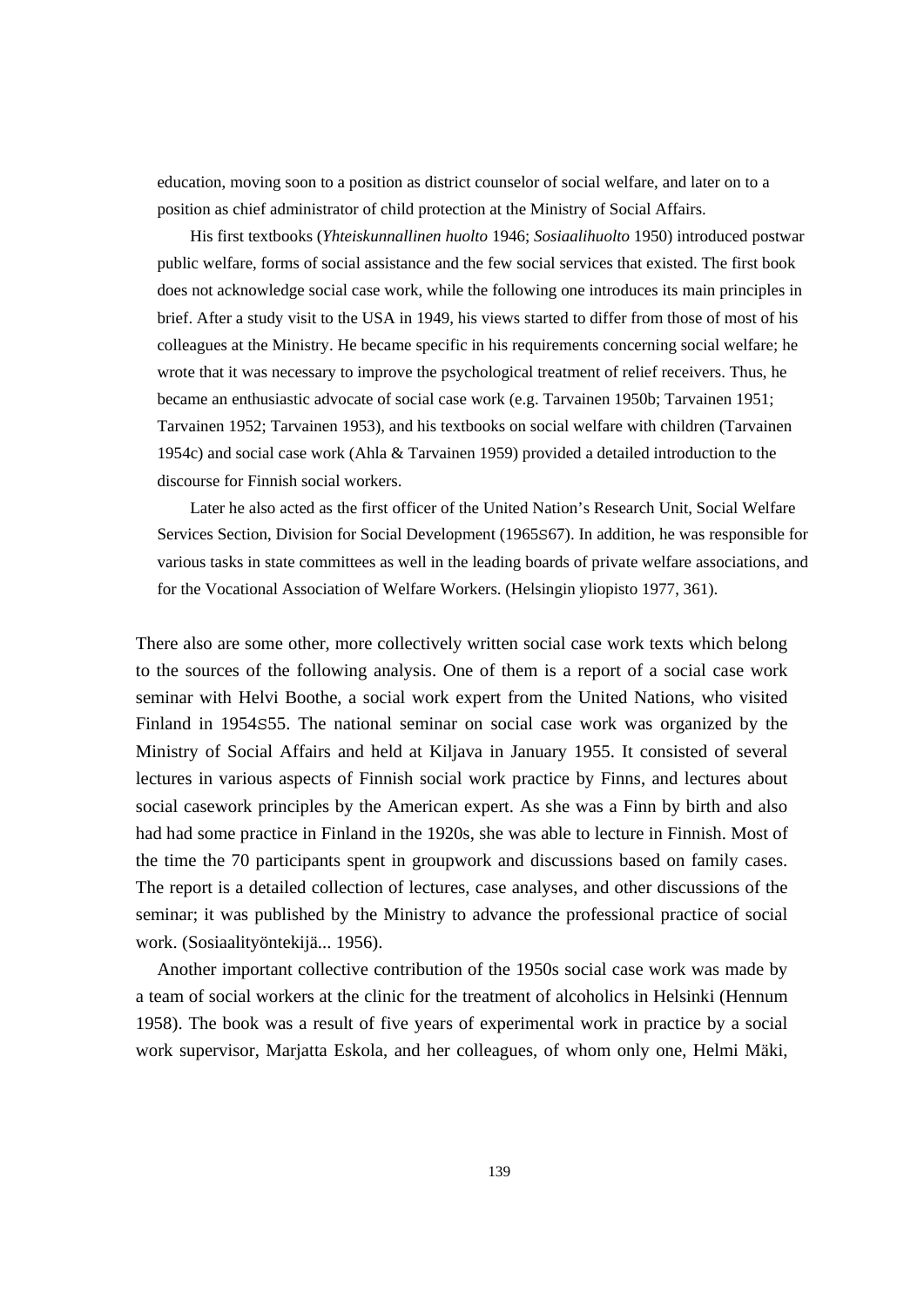education, moving soon to a position as district counselor of social welfare, and later on to a position as chief administrator of child protection at the Ministry of Social Affairs.

 His first textbooks (*Yhteiskunnallinen huolto* 1946; *Sosiaalihuolto* 1950) introduced postwar public welfare, forms of social assistance and the few social services that existed. The first book does not acknowledge social case work, while the following one introduces its main principles in brief. After a study visit to the USA in 1949, his views started to differ from those of most of his colleagues at the Ministry. He became specific in his requirements concerning social welfare; he wrote that it was necessary to improve the psychological treatment of relief receivers. Thus, he became an enthusiastic advocate of social case work (e.g. Tarvainen 1950b; Tarvainen 1951; Tarvainen 1952; Tarvainen 1953), and his textbooks on social welfare with children (Tarvainen 1954c) and social case work (Ahla & Tarvainen 1959) provided a detailed introduction to the discourse for Finnish social workers.

 Later he also acted as the first officer of the United Nation's Research Unit, Social Welfare Services Section, Division for Social Development (1965S67). In addition, he was responsible for various tasks in state committees as well in the leading boards of private welfare associations, and for the Vocational Association of Welfare Workers. (Helsingin yliopisto 1977, 361).

There also are some other, more collectively written social case work texts which belong to the sources of the following analysis. One of them is a report of a social case work seminar with Helvi Boothe, a social work expert from the United Nations, who visited Finland in 1954S55. The national seminar on social case work was organized by the Ministry of Social Affairs and held at Kiljava in January 1955. It consisted of several lectures in various aspects of Finnish social work practice by Finns, and lectures about social casework principles by the American expert. As she was a Finn by birth and also had had some practice in Finland in the 1920s, she was able to lecture in Finnish. Most of the time the 70 participants spent in groupwork and discussions based on family cases. The report is a detailed collection of lectures, case analyses, and other discussions of the seminar; it was published by the Ministry to advance the professional practice of social work. (Sosiaalityöntekijä... 1956).

 Another important collective contribution of the 1950s social case work was made by a team of social workers at the clinic for the treatment of alcoholics in Helsinki (Hennum 1958). The book was a result of five years of experimental work in practice by a social work supervisor, Marjatta Eskola, and her colleagues, of whom only one, Helmi Mäki,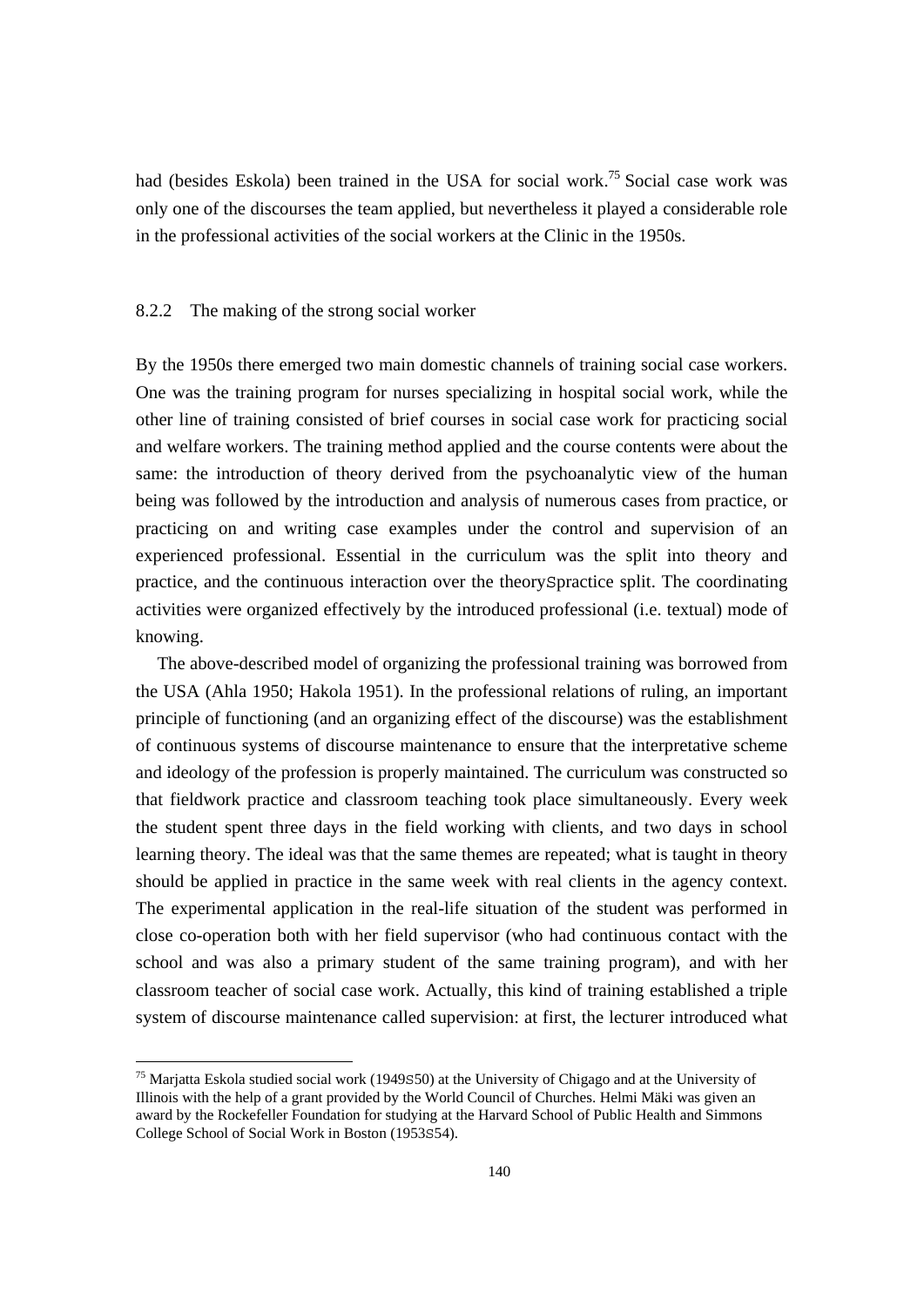had (besides Eskola) been trained in the USA for social work.<sup>75</sup> Social case work was only one of the discourses the team applied, but nevertheless it played a considerable role in the professional activities of the social workers at the Clinic in the 1950s.

#### 8.2.2 The making of the strong social worker

By the 1950s there emerged two main domestic channels of training social case workers. One was the training program for nurses specializing in hospital social work, while the other line of training consisted of brief courses in social case work for practicing social and welfare workers. The training method applied and the course contents were about the same: the introduction of theory derived from the psychoanalytic view of the human being was followed by the introduction and analysis of numerous cases from practice, or practicing on and writing case examples under the control and supervision of an experienced professional. Essential in the curriculum was the split into theory and practice, and the continuous interaction over the theorySpractice split. The coordinating activities were organized effectively by the introduced professional (i.e. textual) mode of knowing.

 The above-described model of organizing the professional training was borrowed from the USA (Ahla 1950; Hakola 1951). In the professional relations of ruling, an important principle of functioning (and an organizing effect of the discourse) was the establishment of continuous systems of discourse maintenance to ensure that the interpretative scheme and ideology of the profession is properly maintained. The curriculum was constructed so that fieldwork practice and classroom teaching took place simultaneously. Every week the student spent three days in the field working with clients, and two days in school learning theory. The ideal was that the same themes are repeated; what is taught in theory should be applied in practice in the same week with real clients in the agency context. The experimental application in the real-life situation of the student was performed in close co-operation both with her field supervisor (who had continuous contact with the school and was also a primary student of the same training program), and with her classroom teacher of social case work. Actually, this kind of training established a triple system of discourse maintenance called supervision: at first, the lecturer introduced what

<sup>75</sup> Marjatta Eskola studied social work (1949S50) at the University of Chigago and at the University of Illinois with the help of a grant provided by the World Council of Churches. Helmi Mäki was given an award by the Rockefeller Foundation for studying at the Harvard School of Public Health and Simmons College School of Social Work in Boston (1953S54).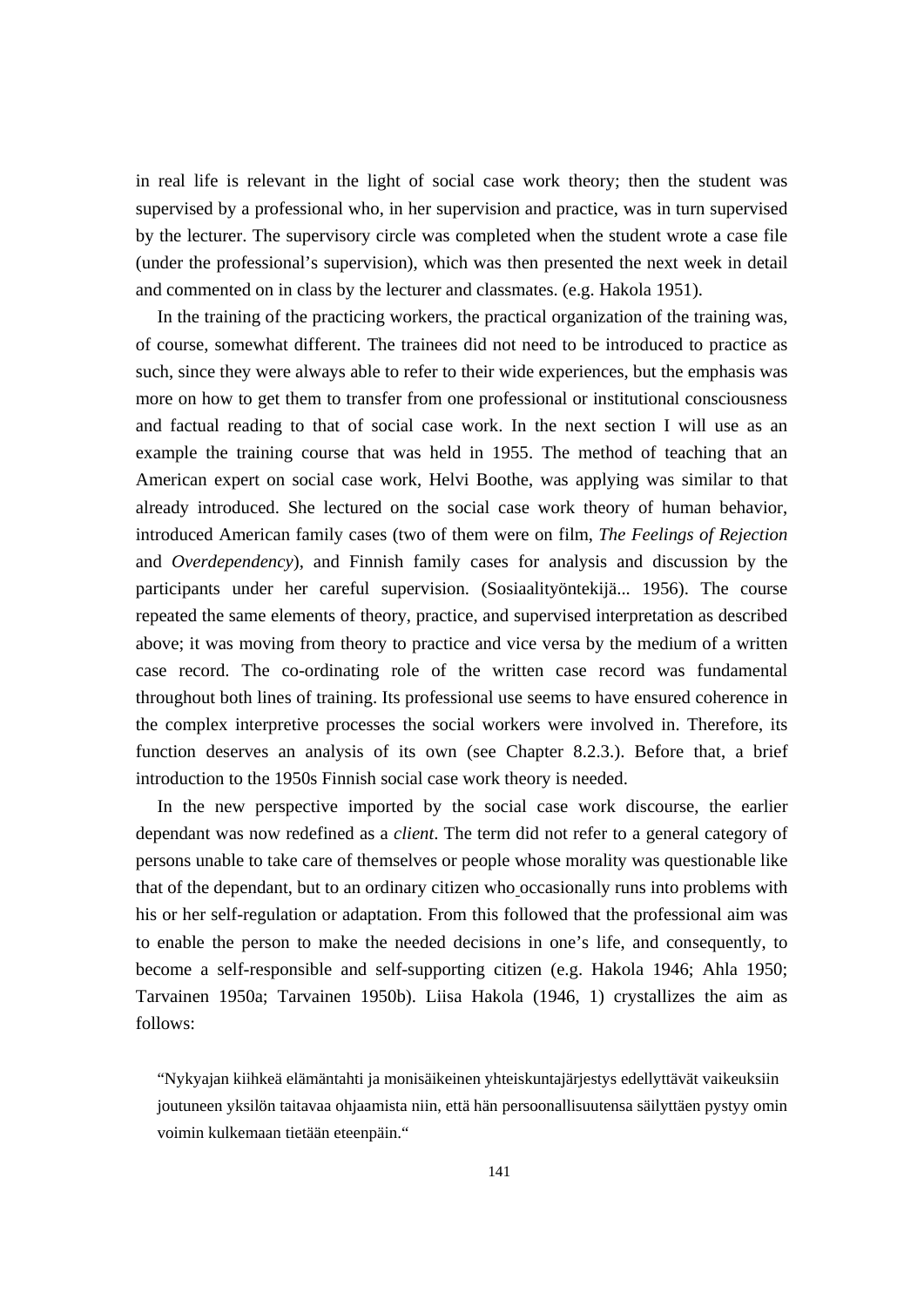in real life is relevant in the light of social case work theory; then the student was supervised by a professional who, in her supervision and practice, was in turn supervised by the lecturer. The supervisory circle was completed when the student wrote a case file (under the professional's supervision), which was then presented the next week in detail and commented on in class by the lecturer and classmates. (e.g. Hakola 1951).

 In the training of the practicing workers, the practical organization of the training was, of course, somewhat different. The trainees did not need to be introduced to practice as such, since they were always able to refer to their wide experiences, but the emphasis was more on how to get them to transfer from one professional or institutional consciousness and factual reading to that of social case work. In the next section I will use as an example the training course that was held in 1955. The method of teaching that an American expert on social case work, Helvi Boothe, was applying was similar to that already introduced. She lectured on the social case work theory of human behavior, introduced American family cases (two of them were on film, *The Feelings of Rejection* and *Overdependency*), and Finnish family cases for analysis and discussion by the participants under her careful supervision. (Sosiaalityöntekijä... 1956). The course repeated the same elements of theory, practice, and supervised interpretation as described above; it was moving from theory to practice and vice versa by the medium of a written case record. The co-ordinating role of the written case record was fundamental throughout both lines of training. Its professional use seems to have ensured coherence in the complex interpretive processes the social workers were involved in. Therefore, its function deserves an analysis of its own (see Chapter 8.2.3.). Before that, a brief introduction to the 1950s Finnish social case work theory is needed.

 In the new perspective imported by the social case work discourse, the earlier dependant was now redefined as a *client*. The term did not refer to a general category of persons unable to take care of themselves or people whose morality was questionable like that of the dependant, but to an ordinary citizen who occasionally runs into problems with his or her self-regulation or adaptation. From this followed that the professional aim was to enable the person to make the needed decisions in one's life, and consequently, to become a self-responsible and self-supporting citizen (e.g. Hakola 1946; Ahla 1950; Tarvainen 1950a; Tarvainen 1950b). Liisa Hakola (1946, 1) crystallizes the aim as follows:

"Nykyajan kiihkeä elämäntahti ja monisäikeinen yhteiskuntajärjestys edellyttävät vaikeuksiin joutuneen yksilön taitavaa ohjaamista niin, että hän persoonallisuutensa säilyttäen pystyy omin voimin kulkemaan tietään eteenpäin."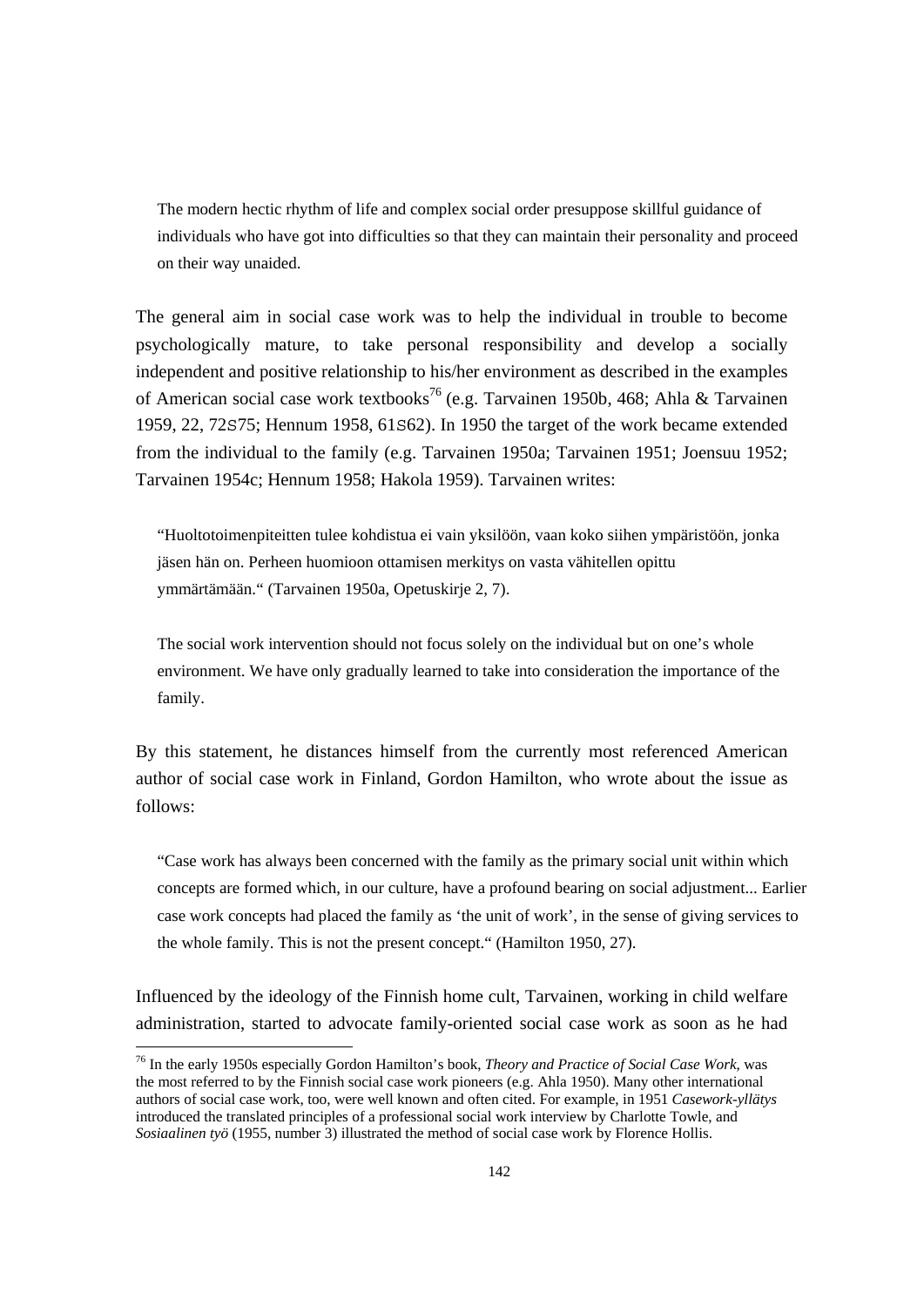The modern hectic rhythm of life and complex social order presuppose skillful guidance of individuals who have got into difficulties so that they can maintain their personality and proceed on their way unaided.

The general aim in social case work was to help the individual in trouble to become psychologically mature, to take personal responsibility and develop a socially independent and positive relationship to his/her environment as described in the examples of American social case work textbooks<sup>76</sup> (e.g. Tarvainen 1950b, 468; Ahla & Tarvainen 1959, 22, 72S75; Hennum 1958, 61S62). In 1950 the target of the work became extended from the individual to the family (e.g. Tarvainen 1950a; Tarvainen 1951; Joensuu 1952; Tarvainen 1954c; Hennum 1958; Hakola 1959). Tarvainen writes:

"Huoltotoimenpiteitten tulee kohdistua ei vain yksilöön, vaan koko siihen ympäristöön, jonka jäsen hän on. Perheen huomioon ottamisen merkitys on vasta vähitellen opittu ymmärtämään." (Tarvainen 1950a, Opetuskirje 2, 7).

The social work intervention should not focus solely on the individual but on one's whole environment. We have only gradually learned to take into consideration the importance of the family.

By this statement, he distances himself from the currently most referenced American author of social case work in Finland, Gordon Hamilton, who wrote about the issue as follows:

"Case work has always been concerned with the family as the primary social unit within which concepts are formed which, in our culture, have a profound bearing on social adjustment... Earlier case work concepts had placed the family as 'the unit of work', in the sense of giving services to the whole family. This is not the present concept." (Hamilton 1950, 27).

Influenced by the ideology of the Finnish home cult, Tarvainen, working in child welfare administration, started to advocate family-oriented social case work as soon as he had

<sup>76</sup> In the early 1950s especially Gordon Hamilton's book, *Theory and Practice of Social Case Work*, was the most referred to by the Finnish social case work pioneers (e.g. Ahla 1950). Many other international authors of social case work, too, were well known and often cited. For example, in 1951 *Casework-yllätys* introduced the translated principles of a professional social work interview by Charlotte Towle, and *Sosiaalinen työ* (1955, number 3) illustrated the method of social case work by Florence Hollis.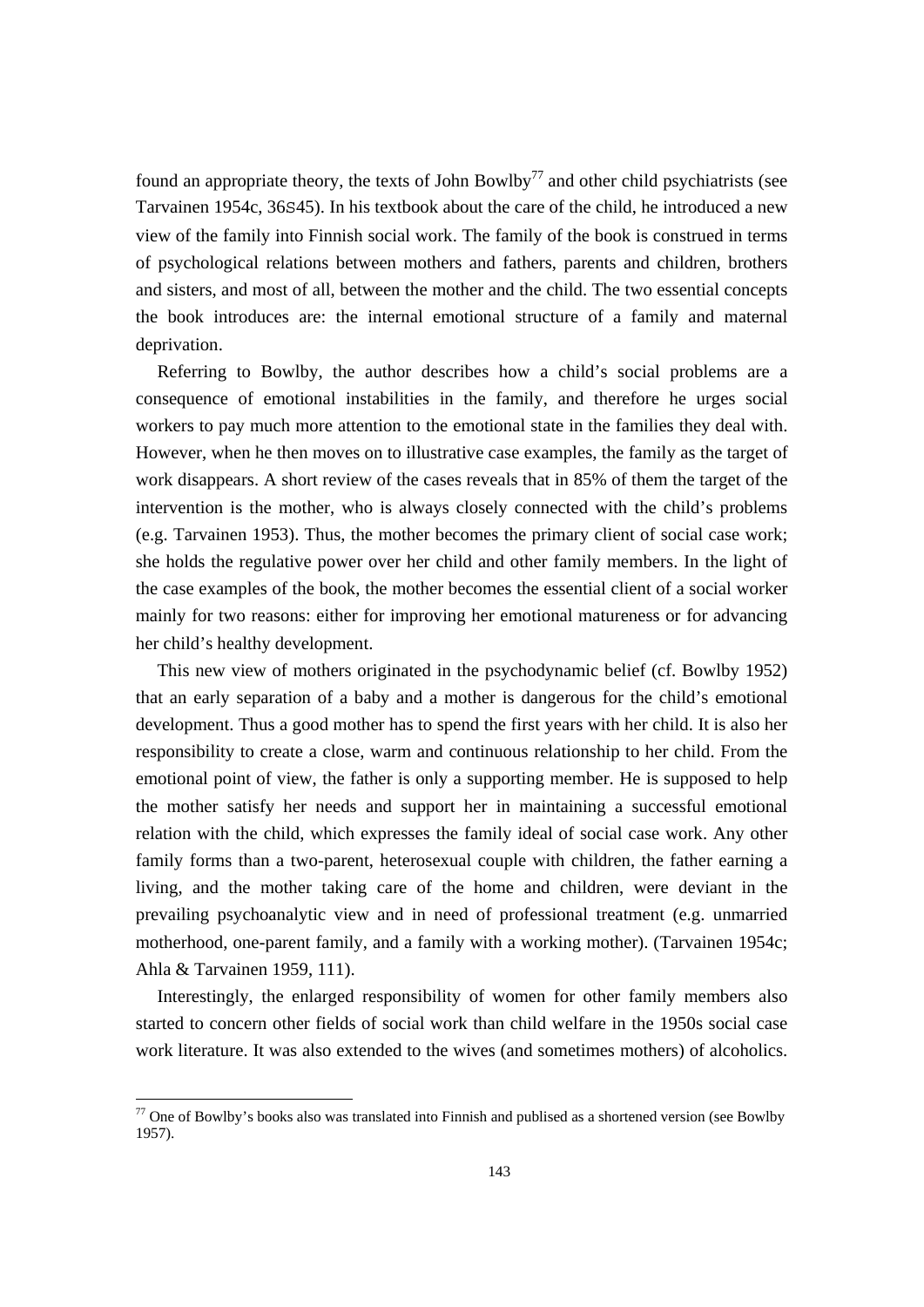found an appropriate theory, the texts of John Bowlby<sup>77</sup> and other child psychiatrists (see Tarvainen 1954c, 36S45). In his textbook about the care of the child, he introduced a new view of the family into Finnish social work. The family of the book is construed in terms of psychological relations between mothers and fathers, parents and children, brothers and sisters, and most of all, between the mother and the child. The two essential concepts the book introduces are: the internal emotional structure of a family and maternal deprivation.

 Referring to Bowlby, the author describes how a child's social problems are a consequence of emotional instabilities in the family, and therefore he urges social workers to pay much more attention to the emotional state in the families they deal with. However, when he then moves on to illustrative case examples, the family as the target of work disappears. A short review of the cases reveals that in 85% of them the target of the intervention is the mother, who is always closely connected with the child's problems (e.g. Tarvainen 1953). Thus, the mother becomes the primary client of social case work; she holds the regulative power over her child and other family members. In the light of the case examples of the book, the mother becomes the essential client of a social worker mainly for two reasons: either for improving her emotional matureness or for advancing her child's healthy development.

 This new view of mothers originated in the psychodynamic belief (cf. Bowlby 1952) that an early separation of a baby and a mother is dangerous for the child's emotional development. Thus a good mother has to spend the first years with her child. It is also her responsibility to create a close, warm and continuous relationship to her child. From the emotional point of view, the father is only a supporting member. He is supposed to help the mother satisfy her needs and support her in maintaining a successful emotional relation with the child, which expresses the family ideal of social case work. Any other family forms than a two-parent, heterosexual couple with children, the father earning a living, and the mother taking care of the home and children, were deviant in the prevailing psychoanalytic view and in need of professional treatment (e.g. unmarried motherhood, one-parent family, and a family with a working mother). (Tarvainen 1954c; Ahla & Tarvainen 1959, 111).

 Interestingly, the enlarged responsibility of women for other family members also started to concern other fields of social work than child welfare in the 1950s social case work literature. It was also extended to the wives (and sometimes mothers) of alcoholics.

 $77$  One of Bowlby's books also was translated into Finnish and publised as a shortened version (see Bowlby 1957).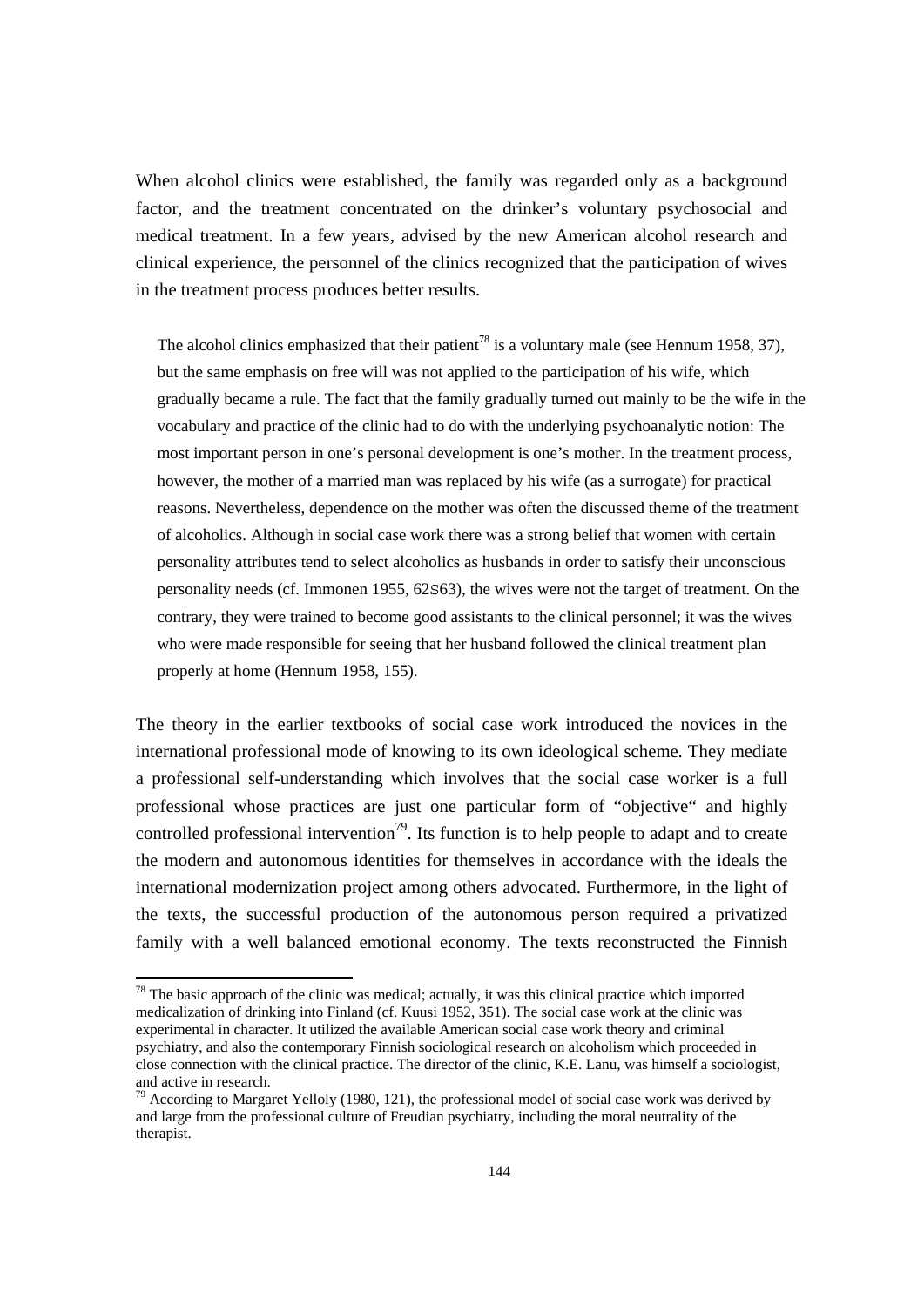When alcohol clinics were established, the family was regarded only as a background factor, and the treatment concentrated on the drinker's voluntary psychosocial and medical treatment. In a few years, advised by the new American alcohol research and clinical experience, the personnel of the clinics recognized that the participation of wives in the treatment process produces better results.

The alcohol clinics emphasized that their patient<sup>78</sup> is a voluntary male (see Hennum 1958, 37), but the same emphasis on free will was not applied to the participation of his wife, which gradually became a rule. The fact that the family gradually turned out mainly to be the wife in the vocabulary and practice of the clinic had to do with the underlying psychoanalytic notion: The most important person in one's personal development is one's mother. In the treatment process, however, the mother of a married man was replaced by his wife (as a surrogate) for practical reasons. Nevertheless, dependence on the mother was often the discussed theme of the treatment of alcoholics. Although in social case work there was a strong belief that women with certain personality attributes tend to select alcoholics as husbands in order to satisfy their unconscious personality needs (cf. Immonen 1955, 62S63), the wives were not the target of treatment. On the contrary, they were trained to become good assistants to the clinical personnel; it was the wives who were made responsible for seeing that her husband followed the clinical treatment plan properly at home (Hennum 1958, 155).

The theory in the earlier textbooks of social case work introduced the novices in the international professional mode of knowing to its own ideological scheme. They mediate a professional self-understanding which involves that the social case worker is a full professional whose practices are just one particular form of "objective" and highly controlled professional intervention<sup>79</sup>. Its function is to help people to adapt and to create the modern and autonomous identities for themselves in accordance with the ideals the international modernization project among others advocated. Furthermore, in the light of the texts, the successful production of the autonomous person required a privatized family with a well balanced emotional economy. The texts reconstructed the Finnish

 $78$  The basic approach of the clinic was medical; actually, it was this clinical practice which imported medicalization of drinking into Finland (cf. Kuusi 1952, 351). The social case work at the clinic was experimental in character. It utilized the available American social case work theory and criminal psychiatry, and also the contemporary Finnish sociological research on alcoholism which proceeded in close connection with the clinical practice. The director of the clinic, K.E. Lanu, was himself a sociologist, and active in research.

<sup>&</sup>lt;sup>79</sup> According to Margaret Yelloly (1980, 121), the professional model of social case work was derived by and large from the professional culture of Freudian psychiatry, including the moral neutrality of the therapist.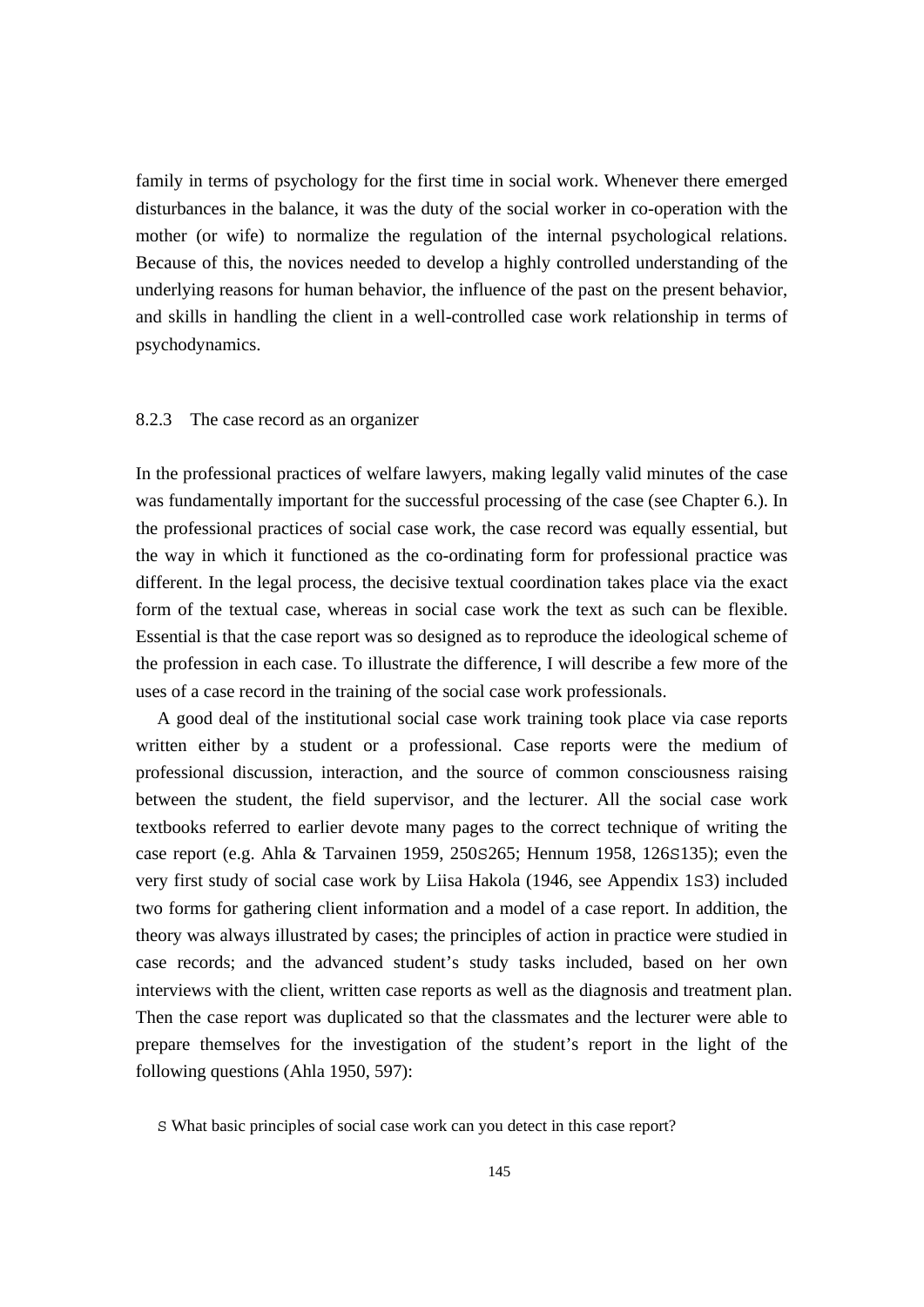family in terms of psychology for the first time in social work. Whenever there emerged disturbances in the balance, it was the duty of the social worker in co-operation with the mother (or wife) to normalize the regulation of the internal psychological relations. Because of this, the novices needed to develop a highly controlled understanding of the underlying reasons for human behavior, the influence of the past on the present behavior, and skills in handling the client in a well-controlled case work relationship in terms of psychodynamics.

## 8.2.3 The case record as an organizer

In the professional practices of welfare lawyers, making legally valid minutes of the case was fundamentally important for the successful processing of the case (see Chapter 6.). In the professional practices of social case work, the case record was equally essential, but the way in which it functioned as the co-ordinating form for professional practice was different. In the legal process, the decisive textual coordination takes place via the exact form of the textual case, whereas in social case work the text as such can be flexible. Essential is that the case report was so designed as to reproduce the ideological scheme of the profession in each case. To illustrate the difference, I will describe a few more of the uses of a case record in the training of the social case work professionals.

 A good deal of the institutional social case work training took place via case reports written either by a student or a professional. Case reports were the medium of professional discussion, interaction, and the source of common consciousness raising between the student, the field supervisor, and the lecturer. All the social case work textbooks referred to earlier devote many pages to the correct technique of writing the case report (e.g. Ahla & Tarvainen 1959, 250S265; Hennum 1958, 126S135); even the very first study of social case work by Liisa Hakola (1946, see Appendix 1S3) included two forms for gathering client information and a model of a case report. In addition, the theory was always illustrated by cases; the principles of action in practice were studied in case records; and the advanced student's study tasks included, based on her own interviews with the client, written case reports as well as the diagnosis and treatment plan. Then the case report was duplicated so that the classmates and the lecturer were able to prepare themselves for the investigation of the student's report in the light of the following questions (Ahla 1950, 597):

S What basic principles of social case work can you detect in this case report?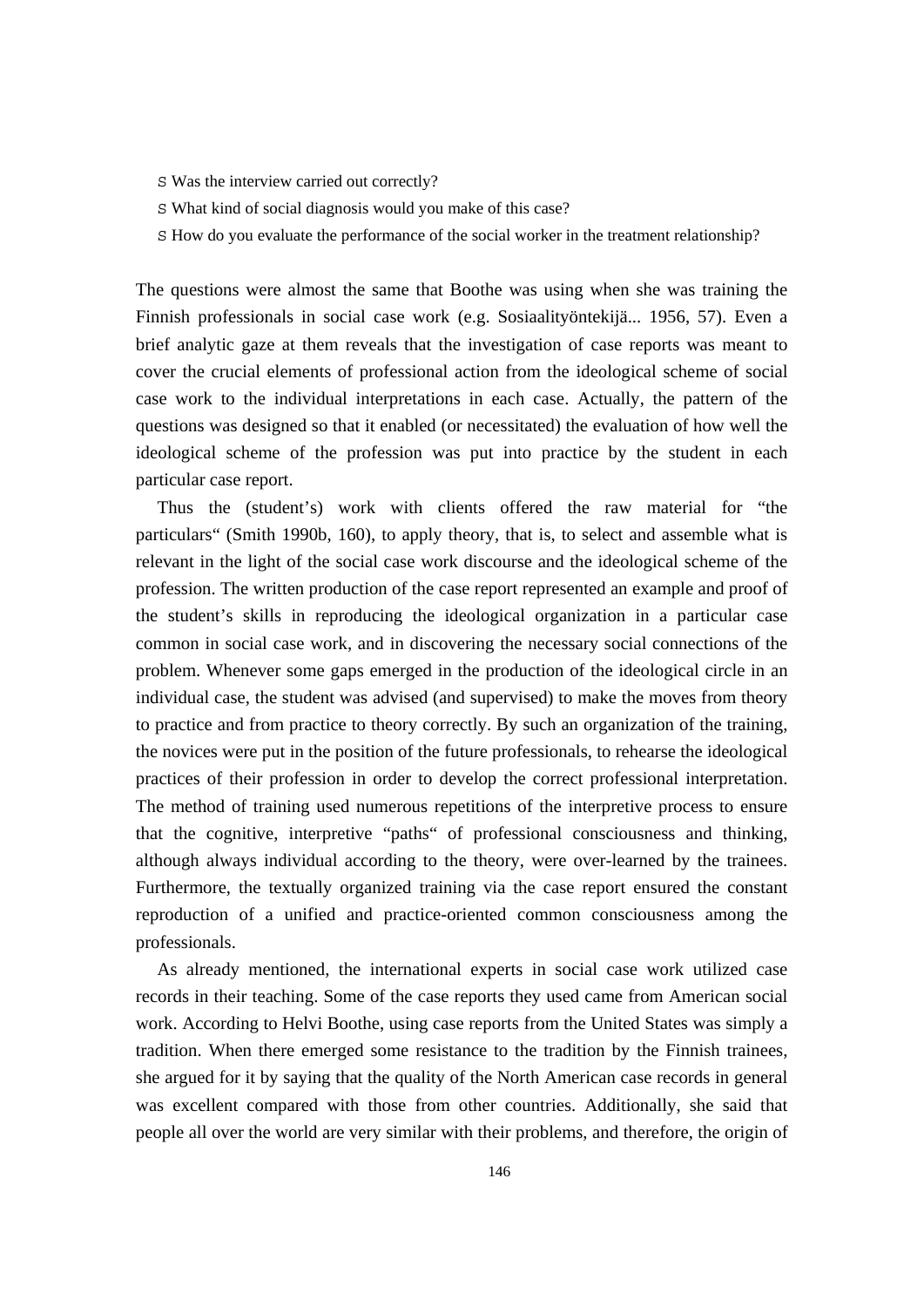- S Was the interview carried out correctly?
- S What kind of social diagnosis would you make of this case?
- S How do you evaluate the performance of the social worker in the treatment relationship?

The questions were almost the same that Boothe was using when she was training the Finnish professionals in social case work (e.g. Sosiaalityöntekijä... 1956, 57). Even a brief analytic gaze at them reveals that the investigation of case reports was meant to cover the crucial elements of professional action from the ideological scheme of social case work to the individual interpretations in each case. Actually, the pattern of the questions was designed so that it enabled (or necessitated) the evaluation of how well the ideological scheme of the profession was put into practice by the student in each particular case report.

 Thus the (student's) work with clients offered the raw material for "the particulars" (Smith 1990b, 160), to apply theory, that is, to select and assemble what is relevant in the light of the social case work discourse and the ideological scheme of the profession. The written production of the case report represented an example and proof of the student's skills in reproducing the ideological organization in a particular case common in social case work, and in discovering the necessary social connections of the problem. Whenever some gaps emerged in the production of the ideological circle in an individual case, the student was advised (and supervised) to make the moves from theory to practice and from practice to theory correctly. By such an organization of the training, the novices were put in the position of the future professionals, to rehearse the ideological practices of their profession in order to develop the correct professional interpretation. The method of training used numerous repetitions of the interpretive process to ensure that the cognitive, interpretive "paths" of professional consciousness and thinking, although always individual according to the theory, were over-learned by the trainees. Furthermore, the textually organized training via the case report ensured the constant reproduction of a unified and practice-oriented common consciousness among the professionals.

 As already mentioned, the international experts in social case work utilized case records in their teaching. Some of the case reports they used came from American social work. According to Helvi Boothe, using case reports from the United States was simply a tradition. When there emerged some resistance to the tradition by the Finnish trainees, she argued for it by saying that the quality of the North American case records in general was excellent compared with those from other countries. Additionally, she said that people all over the world are very similar with their problems, and therefore, the origin of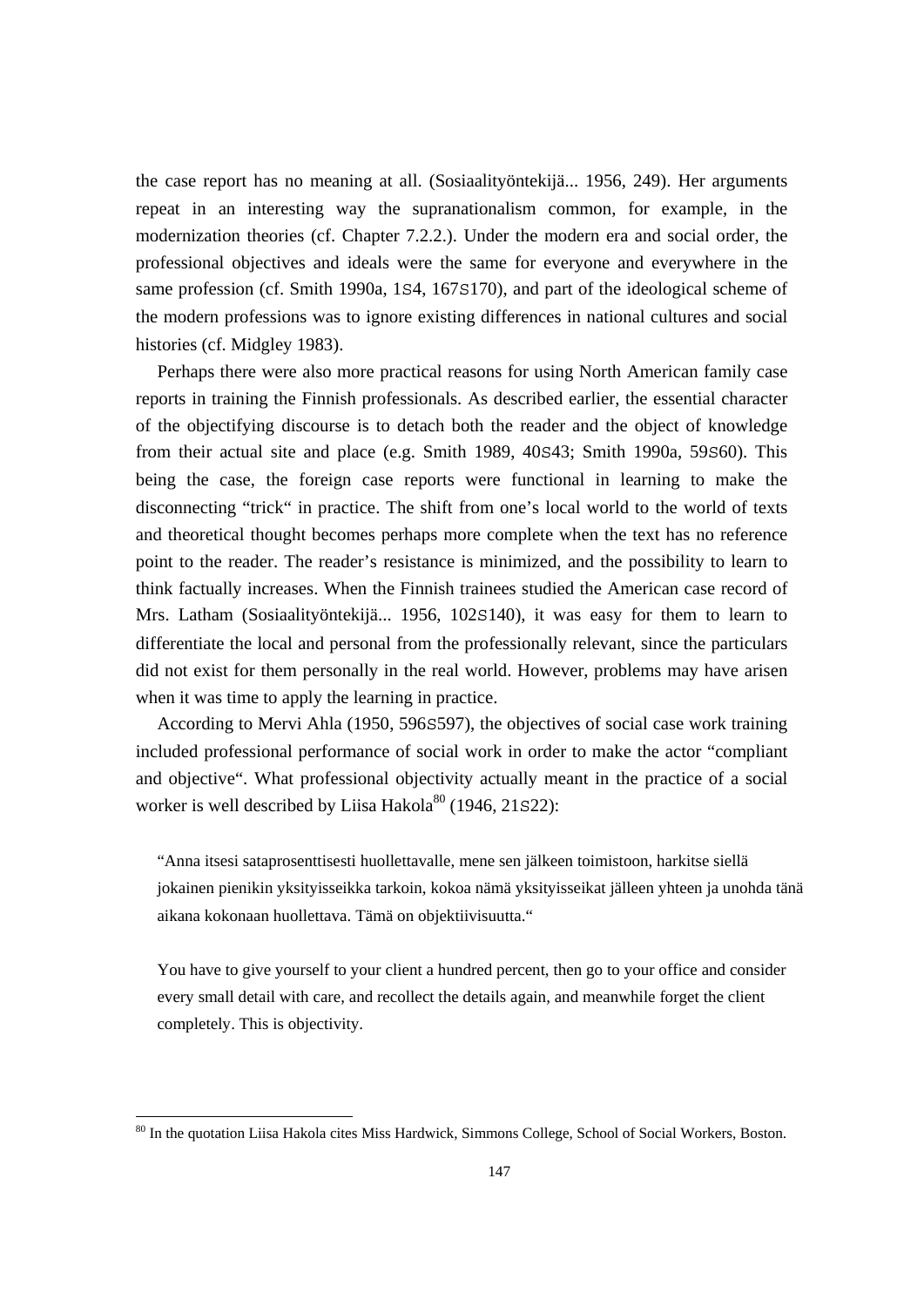the case report has no meaning at all. (Sosiaalityöntekijä... 1956, 249). Her arguments repeat in an interesting way the supranationalism common, for example, in the modernization theories (cf. Chapter 7.2.2.). Under the modern era and social order, the professional objectives and ideals were the same for everyone and everywhere in the same profession (cf. Smith 1990a, 1S4, 167S170), and part of the ideological scheme of the modern professions was to ignore existing differences in national cultures and social histories (cf. Midgley 1983).

 Perhaps there were also more practical reasons for using North American family case reports in training the Finnish professionals. As described earlier, the essential character of the objectifying discourse is to detach both the reader and the object of knowledge from their actual site and place (e.g. Smith 1989, 40S43; Smith 1990a, 59S60). This being the case, the foreign case reports were functional in learning to make the disconnecting "trick" in practice. The shift from one's local world to the world of texts and theoretical thought becomes perhaps more complete when the text has no reference point to the reader. The reader's resistance is minimized, and the possibility to learn to think factually increases. When the Finnish trainees studied the American case record of Mrs. Latham (Sosiaalityöntekijä... 1956, 102S140), it was easy for them to learn to differentiate the local and personal from the professionally relevant, since the particulars did not exist for them personally in the real world. However, problems may have arisen when it was time to apply the learning in practice.

 According to Mervi Ahla (1950, 596S597), the objectives of social case work training included professional performance of social work in order to make the actor "compliant and objective". What professional objectivity actually meant in the practice of a social worker is well described by Liisa Hakola $^{80}$  (1946, 21S22):

"Anna itsesi sataprosenttisesti huollettavalle, mene sen jälkeen toimistoon, harkitse siellä jokainen pienikin yksityisseikka tarkoin, kokoa nämä yksityisseikat jälleen yhteen ja unohda tänä aikana kokonaan huollettava. Tämä on objektiivisuutta."

You have to give yourself to your client a hundred percent, then go to your office and consider every small detail with care, and recollect the details again, and meanwhile forget the client completely. This is objectivity.

 $\overline{a}$ 

<sup>&</sup>lt;sup>80</sup> In the quotation Liisa Hakola cites Miss Hardwick, Simmons College, School of Social Workers, Boston.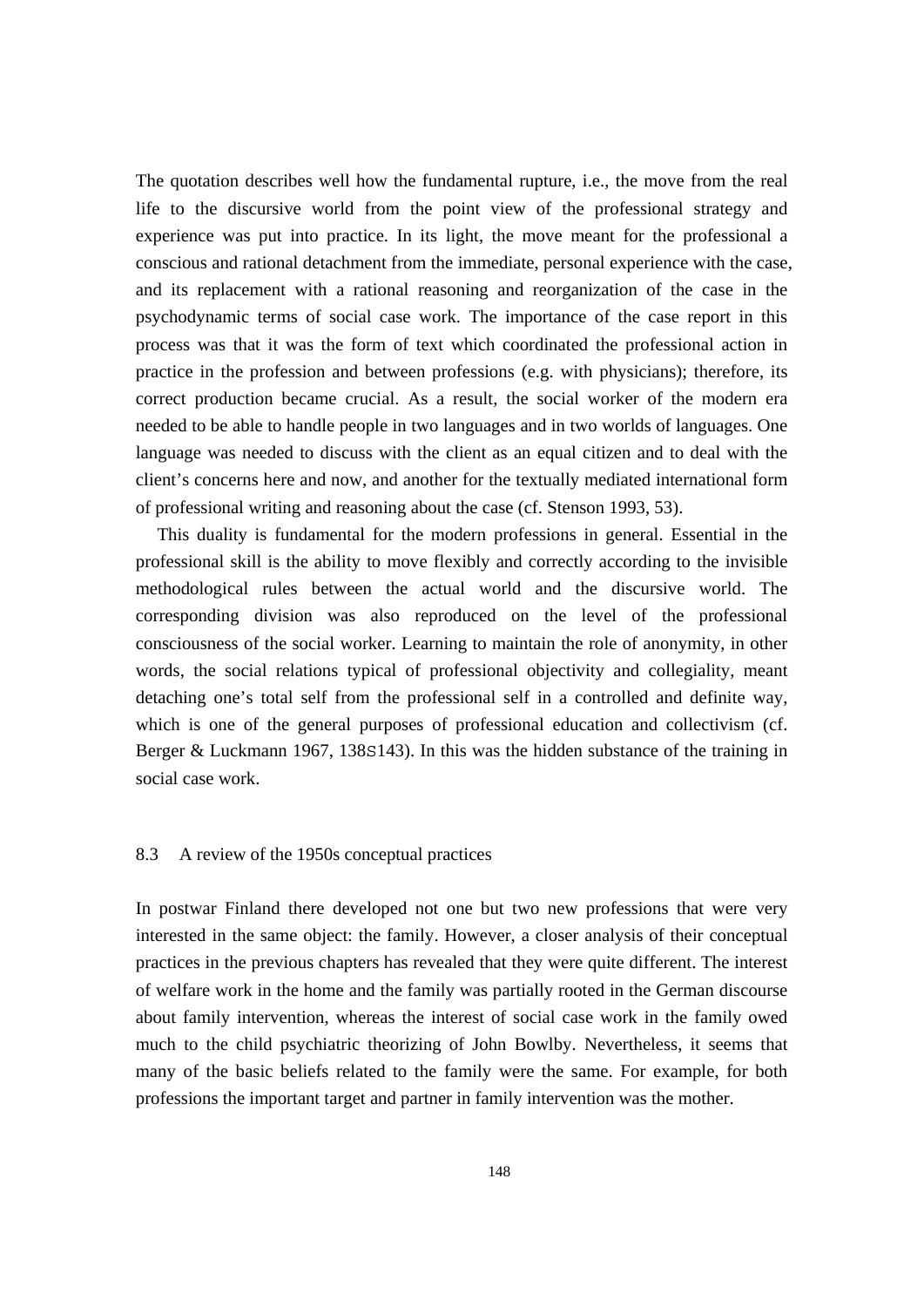The quotation describes well how the fundamental rupture, i.e., the move from the real life to the discursive world from the point view of the professional strategy and experience was put into practice. In its light, the move meant for the professional a conscious and rational detachment from the immediate, personal experience with the case, and its replacement with a rational reasoning and reorganization of the case in the psychodynamic terms of social case work. The importance of the case report in this process was that it was the form of text which coordinated the professional action in practice in the profession and between professions (e.g. with physicians); therefore, its correct production became crucial. As a result, the social worker of the modern era needed to be able to handle people in two languages and in two worlds of languages. One language was needed to discuss with the client as an equal citizen and to deal with the client's concerns here and now, and another for the textually mediated international form of professional writing and reasoning about the case (cf. Stenson 1993, 53).

 This duality is fundamental for the modern professions in general. Essential in the professional skill is the ability to move flexibly and correctly according to the invisible methodological rules between the actual world and the discursive world. The corresponding division was also reproduced on the level of the professional consciousness of the social worker. Learning to maintain the role of anonymity, in other words, the social relations typical of professional objectivity and collegiality, meant detaching one's total self from the professional self in a controlled and definite way, which is one of the general purposes of professional education and collectivism (cf. Berger & Luckmann 1967, 138S143). In this was the hidden substance of the training in social case work.

#### 8.3 A review of the 1950s conceptual practices

In postwar Finland there developed not one but two new professions that were very interested in the same object: the family. However, a closer analysis of their conceptual practices in the previous chapters has revealed that they were quite different. The interest of welfare work in the home and the family was partially rooted in the German discourse about family intervention, whereas the interest of social case work in the family owed much to the child psychiatric theorizing of John Bowlby. Nevertheless, it seems that many of the basic beliefs related to the family were the same. For example, for both professions the important target and partner in family intervention was the mother.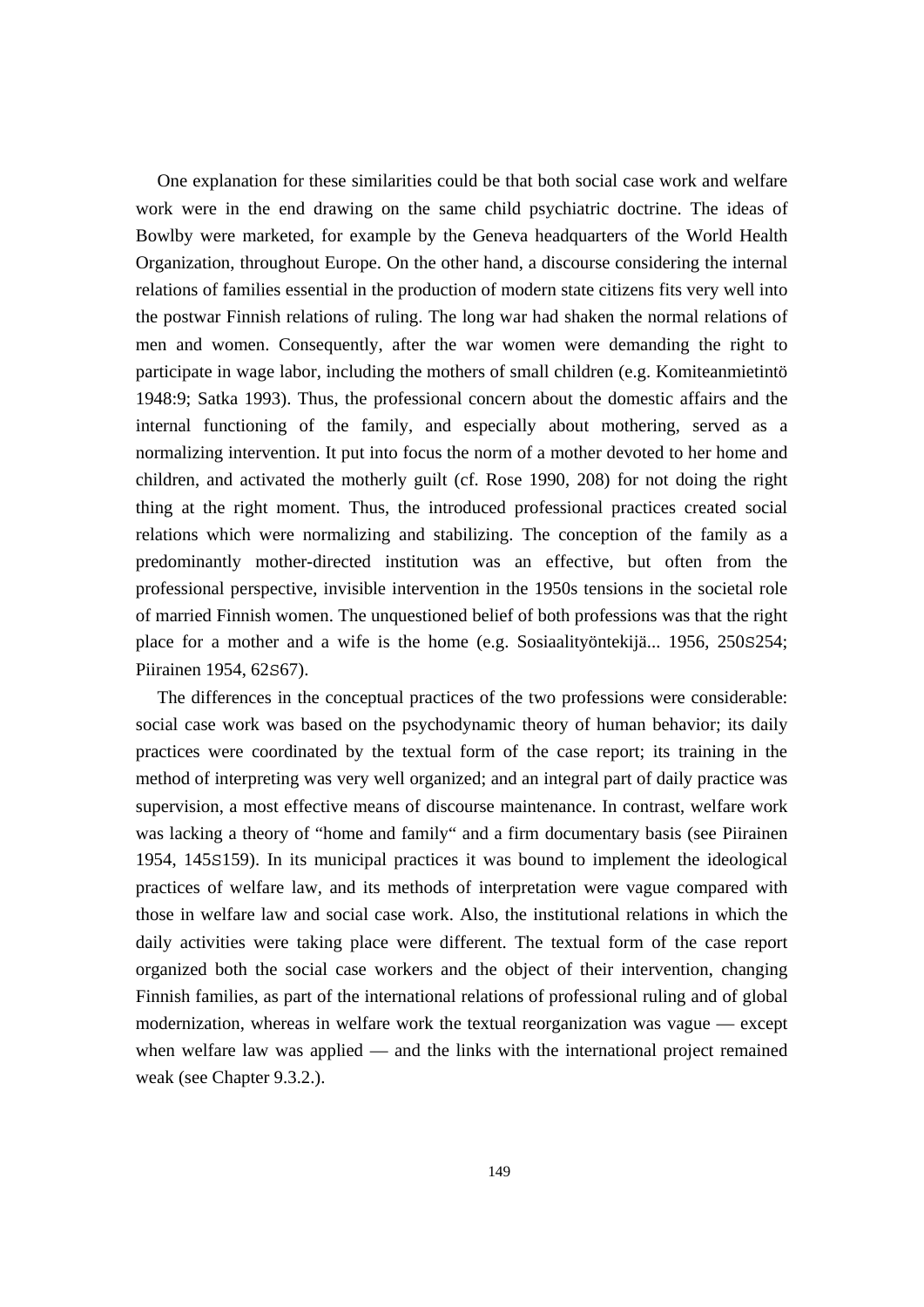One explanation for these similarities could be that both social case work and welfare work were in the end drawing on the same child psychiatric doctrine. The ideas of Bowlby were marketed, for example by the Geneva headquarters of the World Health Organization, throughout Europe. On the other hand, a discourse considering the internal relations of families essential in the production of modern state citizens fits very well into the postwar Finnish relations of ruling. The long war had shaken the normal relations of men and women. Consequently, after the war women were demanding the right to participate in wage labor, including the mothers of small children (e.g. Komiteanmietintö 1948:9; Satka 1993). Thus, the professional concern about the domestic affairs and the internal functioning of the family, and especially about mothering, served as a normalizing intervention. It put into focus the norm of a mother devoted to her home and children, and activated the motherly guilt (cf. Rose 1990, 208) for not doing the right thing at the right moment. Thus, the introduced professional practices created social relations which were normalizing and stabilizing. The conception of the family as a predominantly mother-directed institution was an effective, but often from the professional perspective, invisible intervention in the 1950s tensions in the societal role of married Finnish women. The unquestioned belief of both professions was that the right place for a mother and a wife is the home (e.g. Sosiaalityöntekijä... 1956, 250S254; Piirainen 1954, 62S67).

 The differences in the conceptual practices of the two professions were considerable: social case work was based on the psychodynamic theory of human behavior; its daily practices were coordinated by the textual form of the case report; its training in the method of interpreting was very well organized; and an integral part of daily practice was supervision, a most effective means of discourse maintenance. In contrast, welfare work was lacking a theory of "home and family" and a firm documentary basis (see Piirainen 1954, 145S159). In its municipal practices it was bound to implement the ideological practices of welfare law, and its methods of interpretation were vague compared with those in welfare law and social case work. Also, the institutional relations in which the daily activities were taking place were different. The textual form of the case report organized both the social case workers and the object of their intervention, changing Finnish families, as part of the international relations of professional ruling and of global modernization, whereas in welfare work the textual reorganization was vague — except when welfare law was applied — and the links with the international project remained weak (see Chapter 9.3.2.).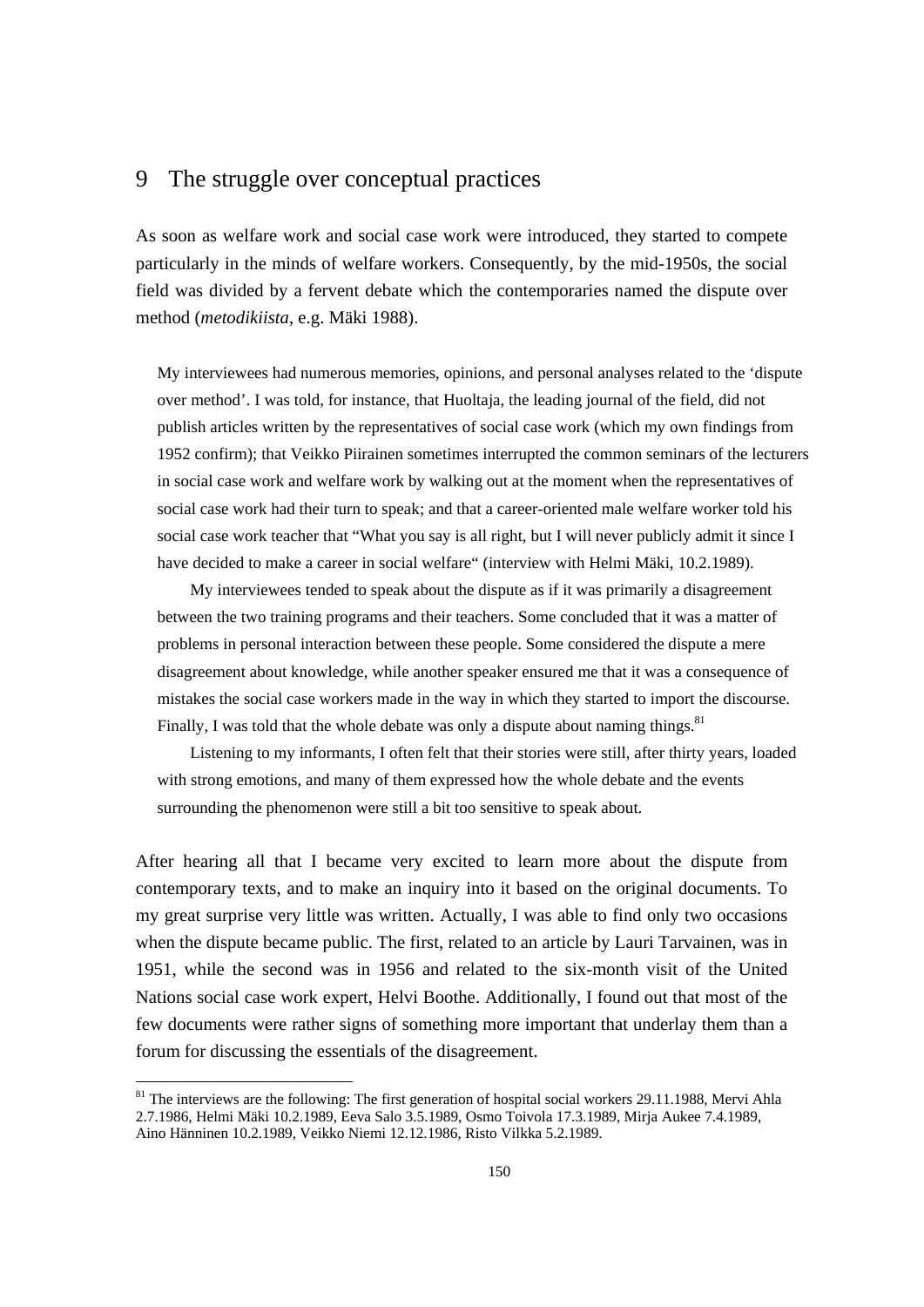# 9 The struggle over conceptual practices

As soon as welfare work and social case work were introduced, they started to compete particularly in the minds of welfare workers. Consequently, by the mid-1950s, the social field was divided by a fervent debate which the contemporaries named the dispute over method (*metodikiista*, e.g. Mäki 1988).

My interviewees had numerous memories, opinions, and personal analyses related to the 'dispute over method'. I was told, for instance, that Huoltaja, the leading journal of the field, did not publish articles written by the representatives of social case work (which my own findings from 1952 confirm); that Veikko Piirainen sometimes interrupted the common seminars of the lecturers in social case work and welfare work by walking out at the moment when the representatives of social case work had their turn to speak; and that a career-oriented male welfare worker told his social case work teacher that "What you say is all right, but I will never publicly admit it since I have decided to make a career in social welfare" (interview with Helmi Mäki, 10.2.1989).

 My interviewees tended to speak about the dispute as if it was primarily a disagreement between the two training programs and their teachers. Some concluded that it was a matter of problems in personal interaction between these people. Some considered the dispute a mere disagreement about knowledge, while another speaker ensured me that it was a consequence of mistakes the social case workers made in the way in which they started to import the discourse. Finally, I was told that the whole debate was only a dispute about naming things.  $81$ 

 Listening to my informants, I often felt that their stories were still, after thirty years, loaded with strong emotions, and many of them expressed how the whole debate and the events surrounding the phenomenon were still a bit too sensitive to speak about.

After hearing all that I became very excited to learn more about the dispute from contemporary texts, and to make an inquiry into it based on the original documents. To my great surprise very little was written. Actually, I was able to find only two occasions when the dispute became public. The first, related to an article by Lauri Tarvainen, was in 1951, while the second was in 1956 and related to the six-month visit of the United Nations social case work expert, Helvi Boothe. Additionally, I found out that most of the few documents were rather signs of something more important that underlay them than a forum for discussing the essentials of the disagreement.

<sup>&</sup>lt;sup>81</sup> The interviews are the following: The first generation of hospital social workers 29.11.1988, Mervi Ahla 2.7.1986, Helmi Mäki 10.2.1989, Eeva Salo 3.5.1989, Osmo Toivola 17.3.1989, Mirja Aukee 7.4.1989, Aino Hänninen 10.2.1989, Veikko Niemi 12.12.1986, Risto Vilkka 5.2.1989.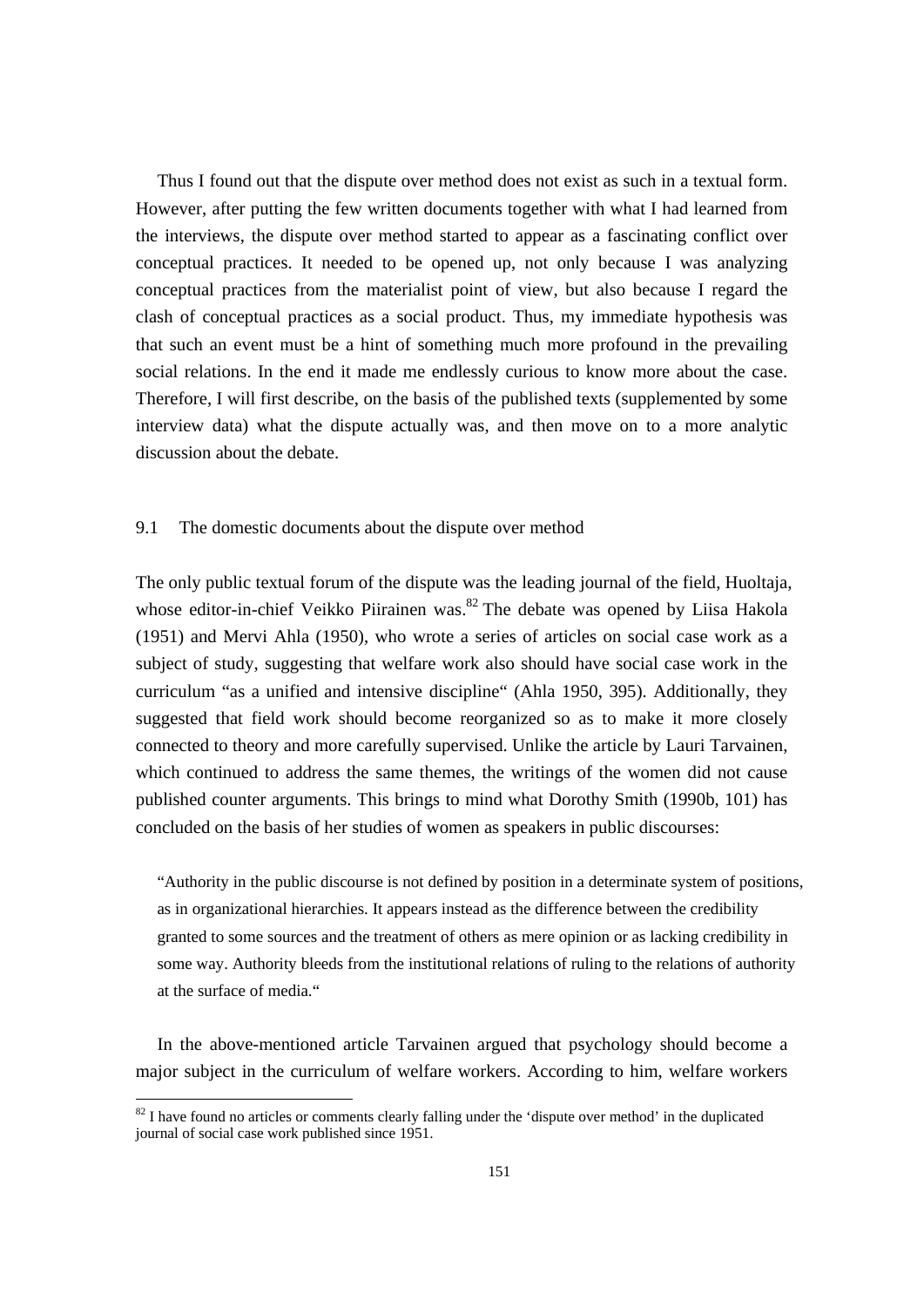Thus I found out that the dispute over method does not exist as such in a textual form. However, after putting the few written documents together with what I had learned from the interviews, the dispute over method started to appear as a fascinating conflict over conceptual practices. It needed to be opened up, not only because I was analyzing conceptual practices from the materialist point of view, but also because I regard the clash of conceptual practices as a social product. Thus, my immediate hypothesis was that such an event must be a hint of something much more profound in the prevailing social relations. In the end it made me endlessly curious to know more about the case. Therefore, I will first describe, on the basis of the published texts (supplemented by some interview data) what the dispute actually was, and then move on to a more analytic discussion about the debate.

#### 9.1 The domestic documents about the dispute over method

The only public textual forum of the dispute was the leading journal of the field, Huoltaja, whose editor-in-chief Veikko Piirainen was.<sup>82</sup> The debate was opened by Liisa Hakola (1951) and Mervi Ahla (1950), who wrote a series of articles on social case work as a subject of study, suggesting that welfare work also should have social case work in the curriculum "as a unified and intensive discipline" (Ahla 1950, 395). Additionally, they suggested that field work should become reorganized so as to make it more closely connected to theory and more carefully supervised. Unlike the article by Lauri Tarvainen, which continued to address the same themes, the writings of the women did not cause published counter arguments. This brings to mind what Dorothy Smith (1990b, 101) has concluded on the basis of her studies of women as speakers in public discourses:

"Authority in the public discourse is not defined by position in a determinate system of positions, as in organizational hierarchies. It appears instead as the difference between the credibility granted to some sources and the treatment of others as mere opinion or as lacking credibility in some way. Authority bleeds from the institutional relations of ruling to the relations of authority at the surface of media."

 In the above-mentioned article Tarvainen argued that psychology should become a major subject in the curriculum of welfare workers. According to him, welfare workers

<sup>&</sup>lt;sup>82</sup> I have found no articles or comments clearly falling under the 'dispute over method' in the duplicated journal of social case work published since 1951.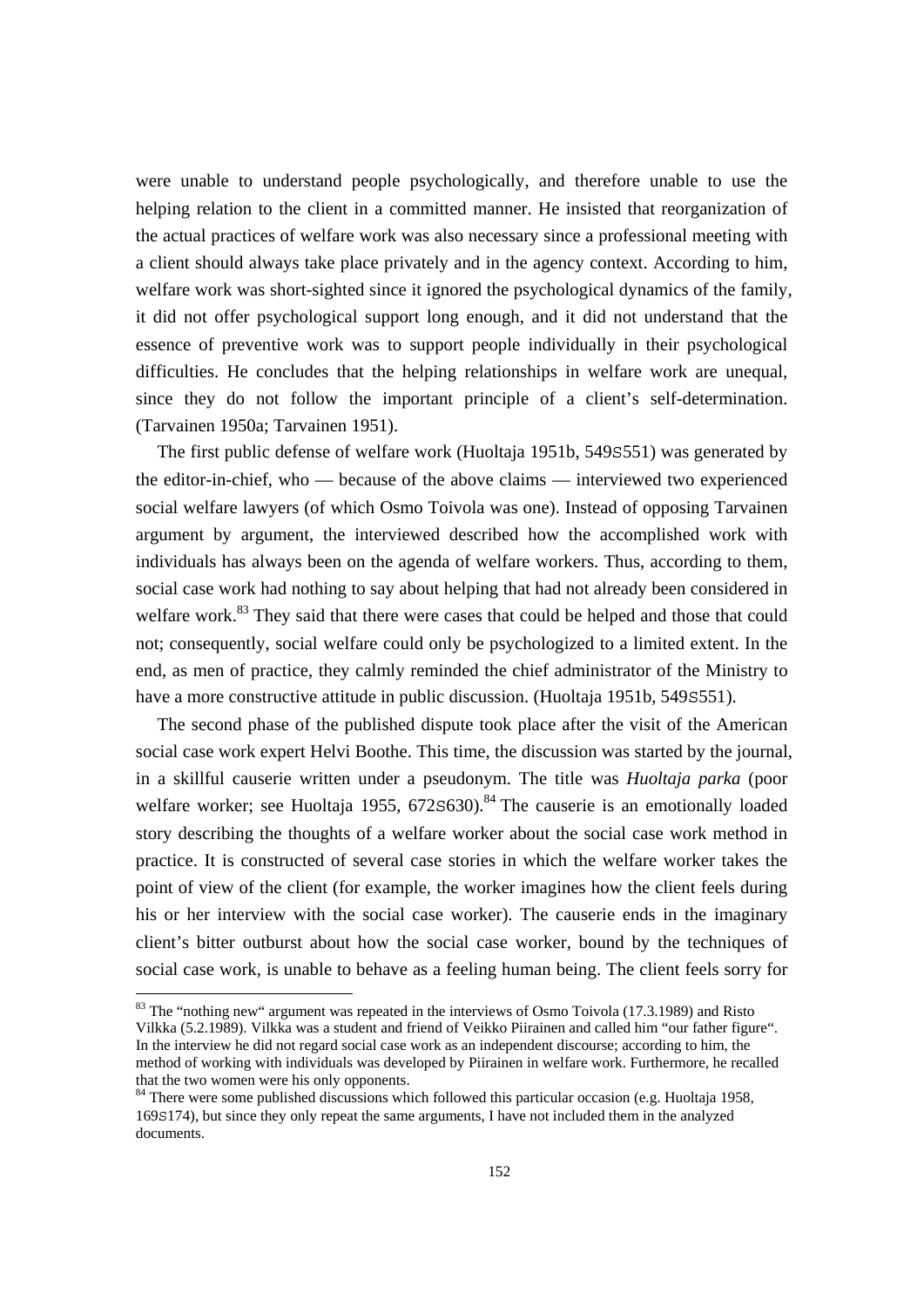were unable to understand people psychologically, and therefore unable to use the helping relation to the client in a committed manner. He insisted that reorganization of the actual practices of welfare work was also necessary since a professional meeting with a client should always take place privately and in the agency context. According to him, welfare work was short-sighted since it ignored the psychological dynamics of the family, it did not offer psychological support long enough, and it did not understand that the essence of preventive work was to support people individually in their psychological difficulties. He concludes that the helping relationships in welfare work are unequal, since they do not follow the important principle of a client's self-determination. (Tarvainen 1950a; Tarvainen 1951).

 The first public defense of welfare work (Huoltaja 1951b, 549S551) was generated by the editor-in-chief, who — because of the above claims — interviewed two experienced social welfare lawyers (of which Osmo Toivola was one). Instead of opposing Tarvainen argument by argument, the interviewed described how the accomplished work with individuals has always been on the agenda of welfare workers. Thus, according to them, social case work had nothing to say about helping that had not already been considered in welfare work.<sup>83</sup> They said that there were cases that could be helped and those that could not; consequently, social welfare could only be psychologized to a limited extent. In the end, as men of practice, they calmly reminded the chief administrator of the Ministry to have a more constructive attitude in public discussion. (Huoltaja 1951b, 549S551).

 The second phase of the published dispute took place after the visit of the American social case work expert Helvi Boothe. This time, the discussion was started by the journal, in a skillful causerie written under a pseudonym. The title was *Huoltaja parka* (poor welfare worker; see Huoltaja 1955,  $672s630$ . <sup>84</sup> The causerie is an emotionally loaded story describing the thoughts of a welfare worker about the social case work method in practice. It is constructed of several case stories in which the welfare worker takes the point of view of the client (for example, the worker imagines how the client feels during his or her interview with the social case worker). The causerie ends in the imaginary client's bitter outburst about how the social case worker, bound by the techniques of social case work, is unable to behave as a feeling human being. The client feels sorry for

 $83$  The "nothing new" argument was repeated in the interviews of Osmo Toivola (17.3.1989) and Risto Vilkka (5.2.1989). Vilkka was a student and friend of Veikko Piirainen and called him "our father figure". In the interview he did not regard social case work as an independent discourse; according to him, the method of working with individuals was developed by Piirainen in welfare work. Furthermore, he recalled that the two women were his only opponents.

<sup>&</sup>lt;sup>84</sup> There were some published discussions which followed this particular occasion (e.g. Huoltaja 1958, 169S174), but since they only repeat the same arguments, I have not included them in the analyzed documents.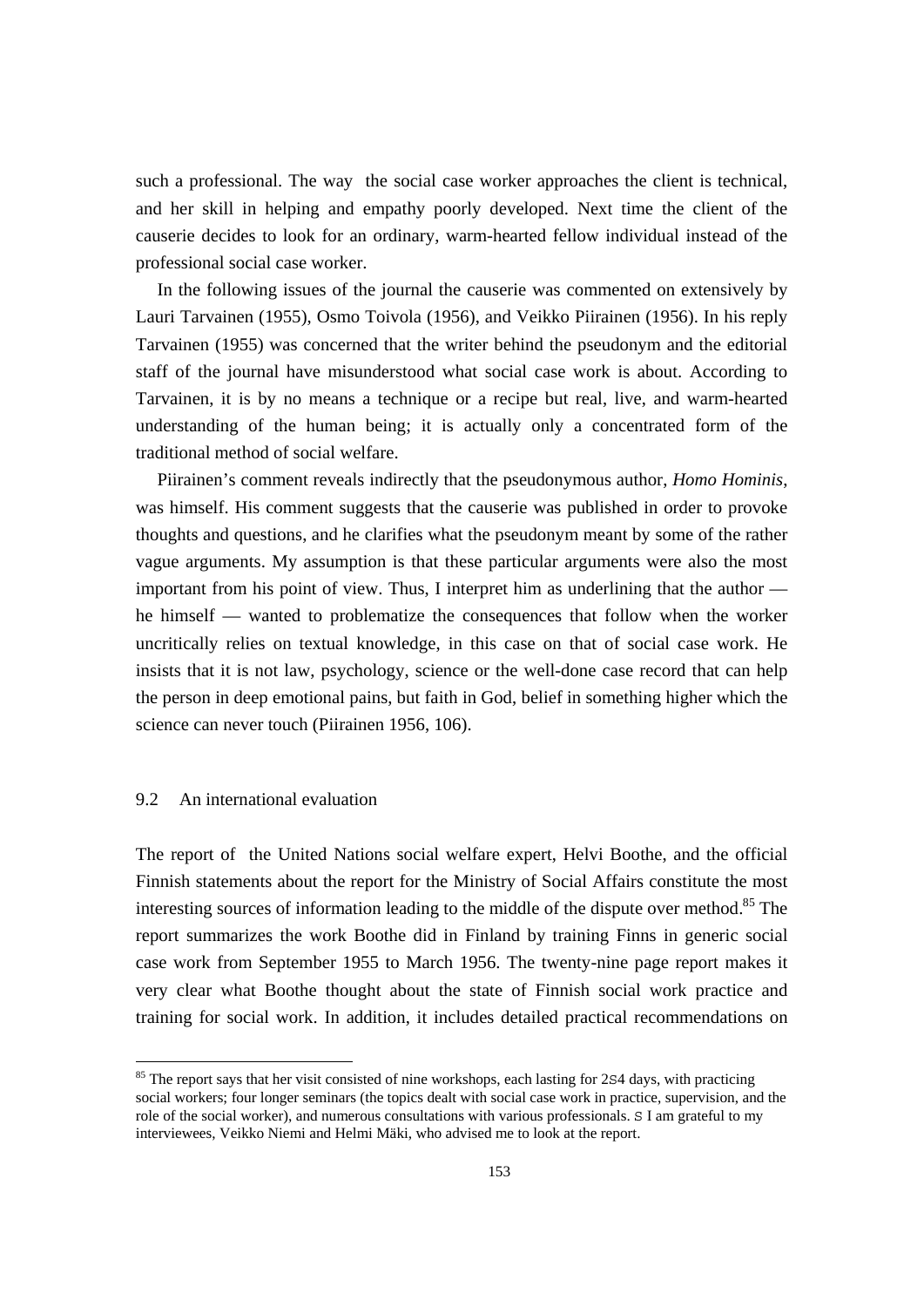such a professional. The way the social case worker approaches the client is technical, and her skill in helping and empathy poorly developed. Next time the client of the causerie decides to look for an ordinary, warm-hearted fellow individual instead of the professional social case worker.

 In the following issues of the journal the causerie was commented on extensively by Lauri Tarvainen (1955), Osmo Toivola (1956), and Veikko Piirainen (1956). In his reply Tarvainen (1955) was concerned that the writer behind the pseudonym and the editorial staff of the journal have misunderstood what social case work is about. According to Tarvainen, it is by no means a technique or a recipe but real, live, and warm-hearted understanding of the human being; it is actually only a concentrated form of the traditional method of social welfare.

 Piirainen's comment reveals indirectly that the pseudonymous author, *Homo Hominis*, was himself. His comment suggests that the causerie was published in order to provoke thoughts and questions, and he clarifies what the pseudonym meant by some of the rather vague arguments. My assumption is that these particular arguments were also the most important from his point of view. Thus, I interpret him as underlining that the author he himself — wanted to problematize the consequences that follow when the worker uncritically relies on textual knowledge, in this case on that of social case work. He insists that it is not law, psychology, science or the well-done case record that can help the person in deep emotional pains, but faith in God, belief in something higher which the science can never touch (Piirainen 1956, 106).

### 9.2 An international evaluation

The report of the United Nations social welfare expert, Helvi Boothe, and the official Finnish statements about the report for the Ministry of Social Affairs constitute the most interesting sources of information leading to the middle of the dispute over method.<sup>85</sup> The report summarizes the work Boothe did in Finland by training Finns in generic social case work from September 1955 to March 1956. The twenty-nine page report makes it very clear what Boothe thought about the state of Finnish social work practice and training for social work. In addition, it includes detailed practical recommendations on

<sup>&</sup>lt;sup>85</sup> The report says that her visit consisted of nine workshops, each lasting for 2S4 days, with practicing social workers; four longer seminars (the topics dealt with social case work in practice, supervision, and the role of the social worker), and numerous consultations with various professionals. S I am grateful to my interviewees, Veikko Niemi and Helmi Mäki, who advised me to look at the report.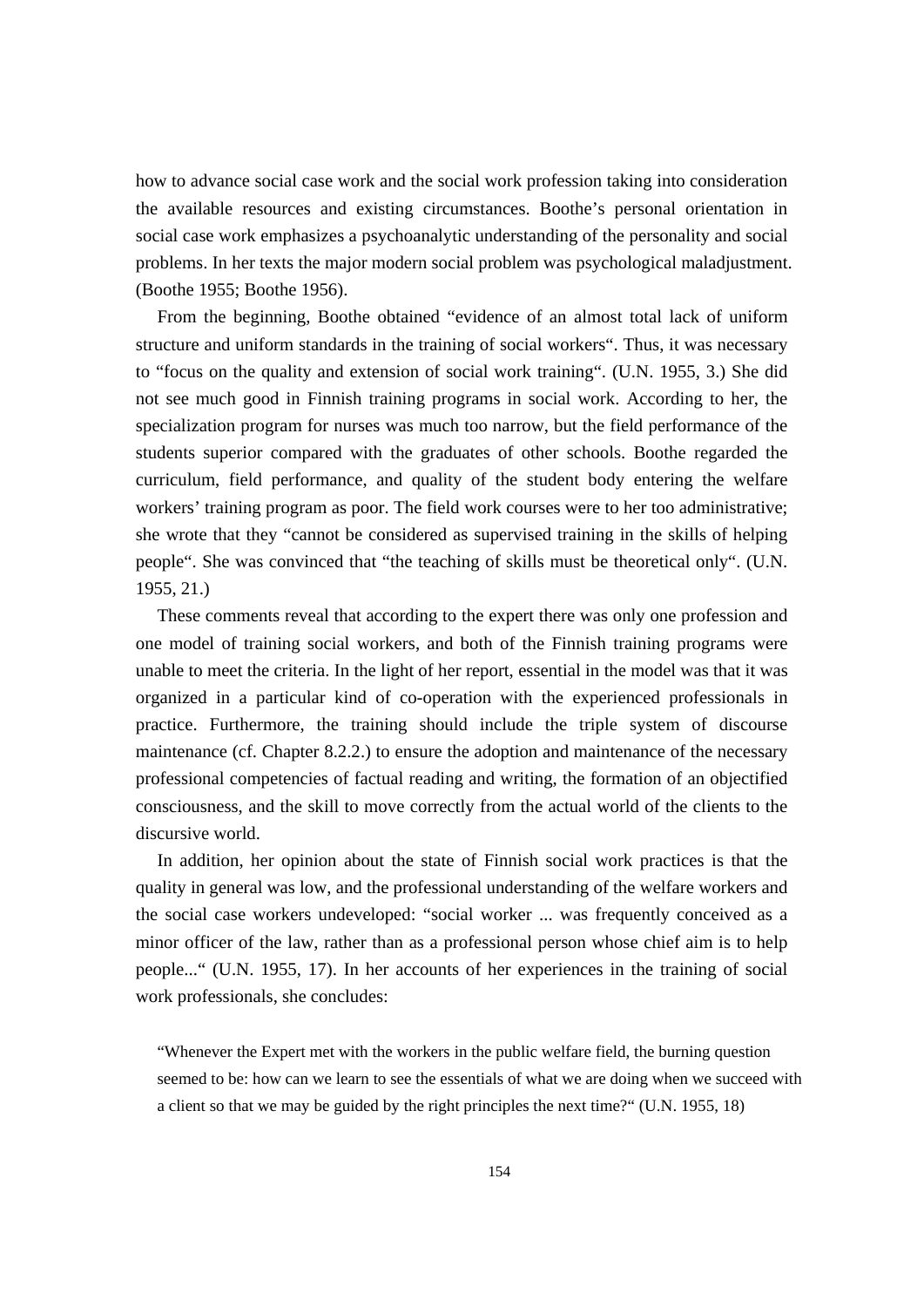how to advance social case work and the social work profession taking into consideration the available resources and existing circumstances. Boothe's personal orientation in social case work emphasizes a psychoanalytic understanding of the personality and social problems. In her texts the major modern social problem was psychological maladjustment. (Boothe 1955; Boothe 1956).

 From the beginning, Boothe obtained "evidence of an almost total lack of uniform structure and uniform standards in the training of social workers". Thus, it was necessary to "focus on the quality and extension of social work training". (U.N. 1955, 3.) She did not see much good in Finnish training programs in social work. According to her, the specialization program for nurses was much too narrow, but the field performance of the students superior compared with the graduates of other schools. Boothe regarded the curriculum, field performance, and quality of the student body entering the welfare workers' training program as poor. The field work courses were to her too administrative; she wrote that they "cannot be considered as supervised training in the skills of helping people". She was convinced that "the teaching of skills must be theoretical only". (U.N. 1955, 21.)

 These comments reveal that according to the expert there was only one profession and one model of training social workers, and both of the Finnish training programs were unable to meet the criteria. In the light of her report, essential in the model was that it was organized in a particular kind of co-operation with the experienced professionals in practice. Furthermore, the training should include the triple system of discourse maintenance (cf. Chapter 8.2.2.) to ensure the adoption and maintenance of the necessary professional competencies of factual reading and writing, the formation of an objectified consciousness, and the skill to move correctly from the actual world of the clients to the discursive world.

 In addition, her opinion about the state of Finnish social work practices is that the quality in general was low, and the professional understanding of the welfare workers and the social case workers undeveloped: "social worker ... was frequently conceived as a minor officer of the law, rather than as a professional person whose chief aim is to help people..." (U.N. 1955, 17). In her accounts of her experiences in the training of social work professionals, she concludes:

"Whenever the Expert met with the workers in the public welfare field, the burning question seemed to be: how can we learn to see the essentials of what we are doing when we succeed with a client so that we may be guided by the right principles the next time?" (U.N. 1955, 18)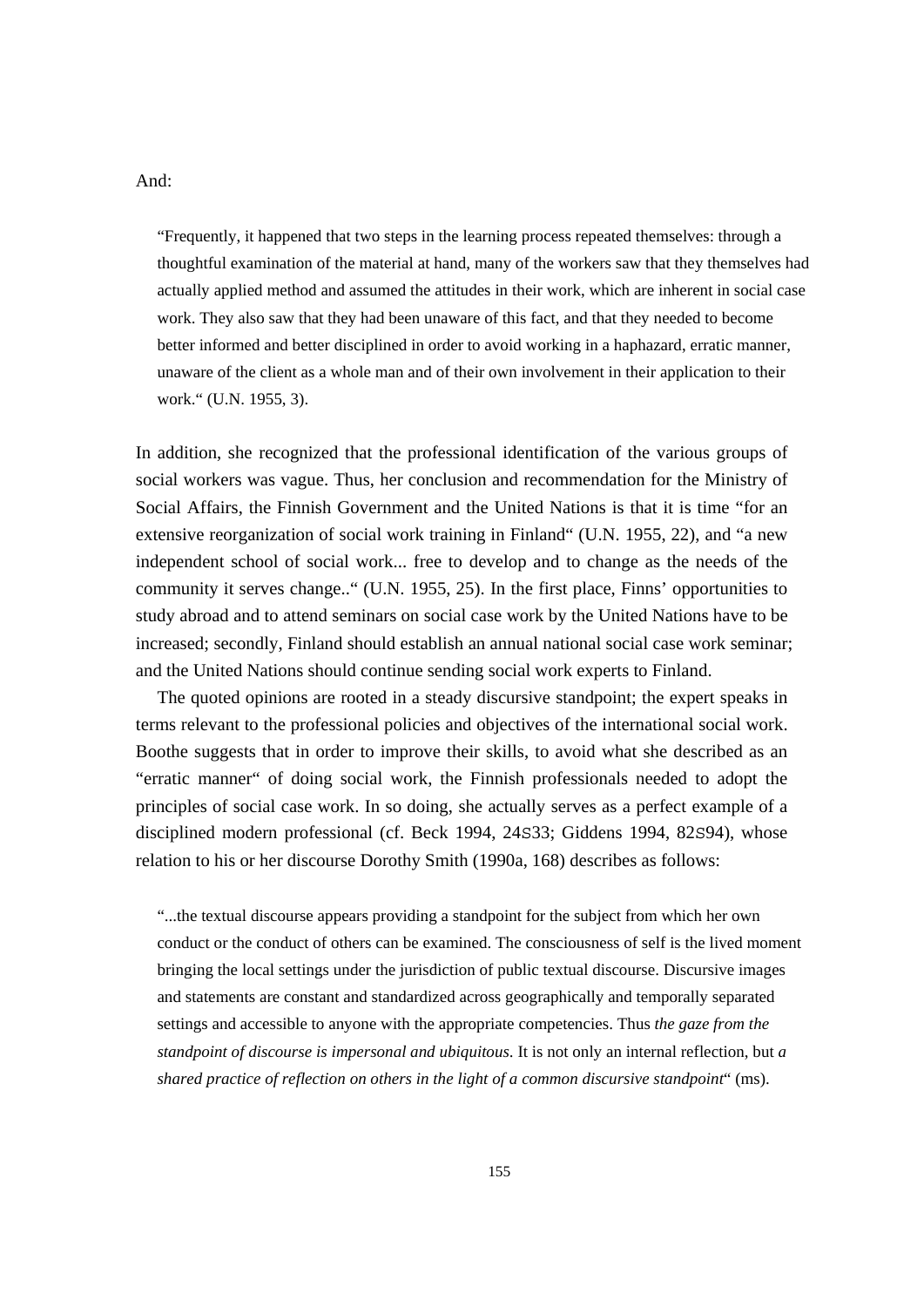#### And:

"Frequently, it happened that two steps in the learning process repeated themselves: through a thoughtful examination of the material at hand, many of the workers saw that they themselves had actually applied method and assumed the attitudes in their work, which are inherent in social case work. They also saw that they had been unaware of this fact, and that they needed to become better informed and better disciplined in order to avoid working in a haphazard, erratic manner, unaware of the client as a whole man and of their own involvement in their application to their work." (U.N. 1955, 3).

In addition, she recognized that the professional identification of the various groups of social workers was vague. Thus, her conclusion and recommendation for the Ministry of Social Affairs, the Finnish Government and the United Nations is that it is time "for an extensive reorganization of social work training in Finland" (U.N. 1955, 22), and "a new independent school of social work... free to develop and to change as the needs of the community it serves change.." (U.N. 1955, 25). In the first place, Finns' opportunities to study abroad and to attend seminars on social case work by the United Nations have to be increased; secondly, Finland should establish an annual national social case work seminar; and the United Nations should continue sending social work experts to Finland.

 The quoted opinions are rooted in a steady discursive standpoint; the expert speaks in terms relevant to the professional policies and objectives of the international social work. Boothe suggests that in order to improve their skills, to avoid what she described as an "erratic manner" of doing social work, the Finnish professionals needed to adopt the principles of social case work. In so doing, she actually serves as a perfect example of a disciplined modern professional (cf. Beck 1994, 24S33; Giddens 1994, 82S94), whose relation to his or her discourse Dorothy Smith (1990a, 168) describes as follows:

"...the textual discourse appears providing a standpoint for the subject from which her own conduct or the conduct of others can be examined. The consciousness of self is the lived moment bringing the local settings under the jurisdiction of public textual discourse. Discursive images and statements are constant and standardized across geographically and temporally separated settings and accessible to anyone with the appropriate competencies. Thus *the gaze from the standpoint of discourse is impersonal and ubiquitous*. It is not only an internal reflection, but *a shared practice of reflection on others in the light of a common discursive standpoint*" (ms).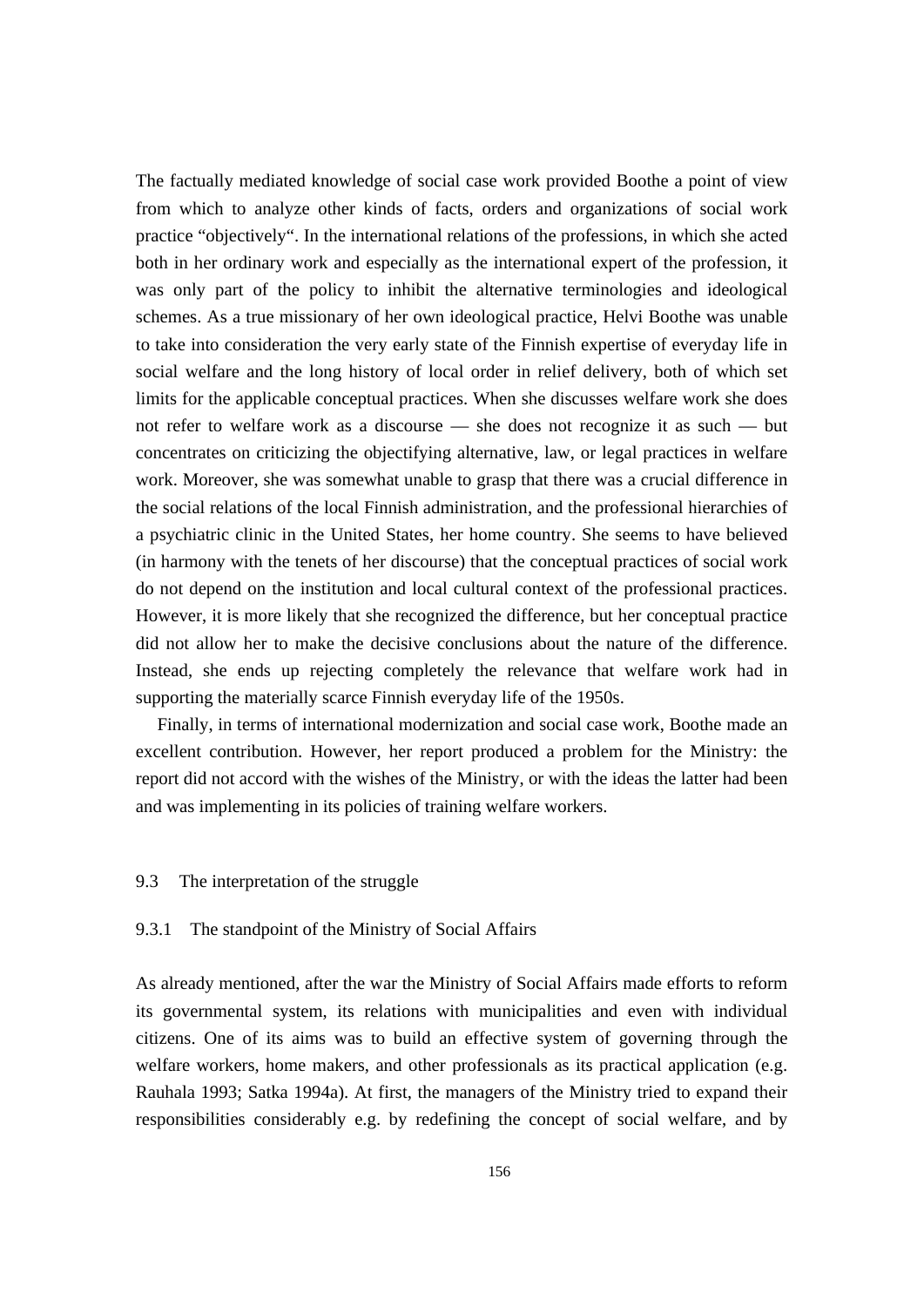The factually mediated knowledge of social case work provided Boothe a point of view from which to analyze other kinds of facts, orders and organizations of social work practice "objectively". In the international relations of the professions, in which she acted both in her ordinary work and especially as the international expert of the profession, it was only part of the policy to inhibit the alternative terminologies and ideological schemes. As a true missionary of her own ideological practice, Helvi Boothe was unable to take into consideration the very early state of the Finnish expertise of everyday life in social welfare and the long history of local order in relief delivery, both of which set limits for the applicable conceptual practices. When she discusses welfare work she does not refer to welfare work as a discourse — she does not recognize it as such — but concentrates on criticizing the objectifying alternative, law, or legal practices in welfare work. Moreover, she was somewhat unable to grasp that there was a crucial difference in the social relations of the local Finnish administration, and the professional hierarchies of a psychiatric clinic in the United States, her home country. She seems to have believed (in harmony with the tenets of her discourse) that the conceptual practices of social work do not depend on the institution and local cultural context of the professional practices. However, it is more likely that she recognized the difference, but her conceptual practice did not allow her to make the decisive conclusions about the nature of the difference. Instead, she ends up rejecting completely the relevance that welfare work had in supporting the materially scarce Finnish everyday life of the 1950s.

 Finally, in terms of international modernization and social case work, Boothe made an excellent contribution. However, her report produced a problem for the Ministry: the report did not accord with the wishes of the Ministry, or with the ideas the latter had been and was implementing in its policies of training welfare workers.

### 9.3 The interpretation of the struggle

### 9.3.1 The standpoint of the Ministry of Social Affairs

As already mentioned, after the war the Ministry of Social Affairs made efforts to reform its governmental system, its relations with municipalities and even with individual citizens. One of its aims was to build an effective system of governing through the welfare workers, home makers, and other professionals as its practical application (e.g. Rauhala 1993; Satka 1994a). At first, the managers of the Ministry tried to expand their responsibilities considerably e.g. by redefining the concept of social welfare, and by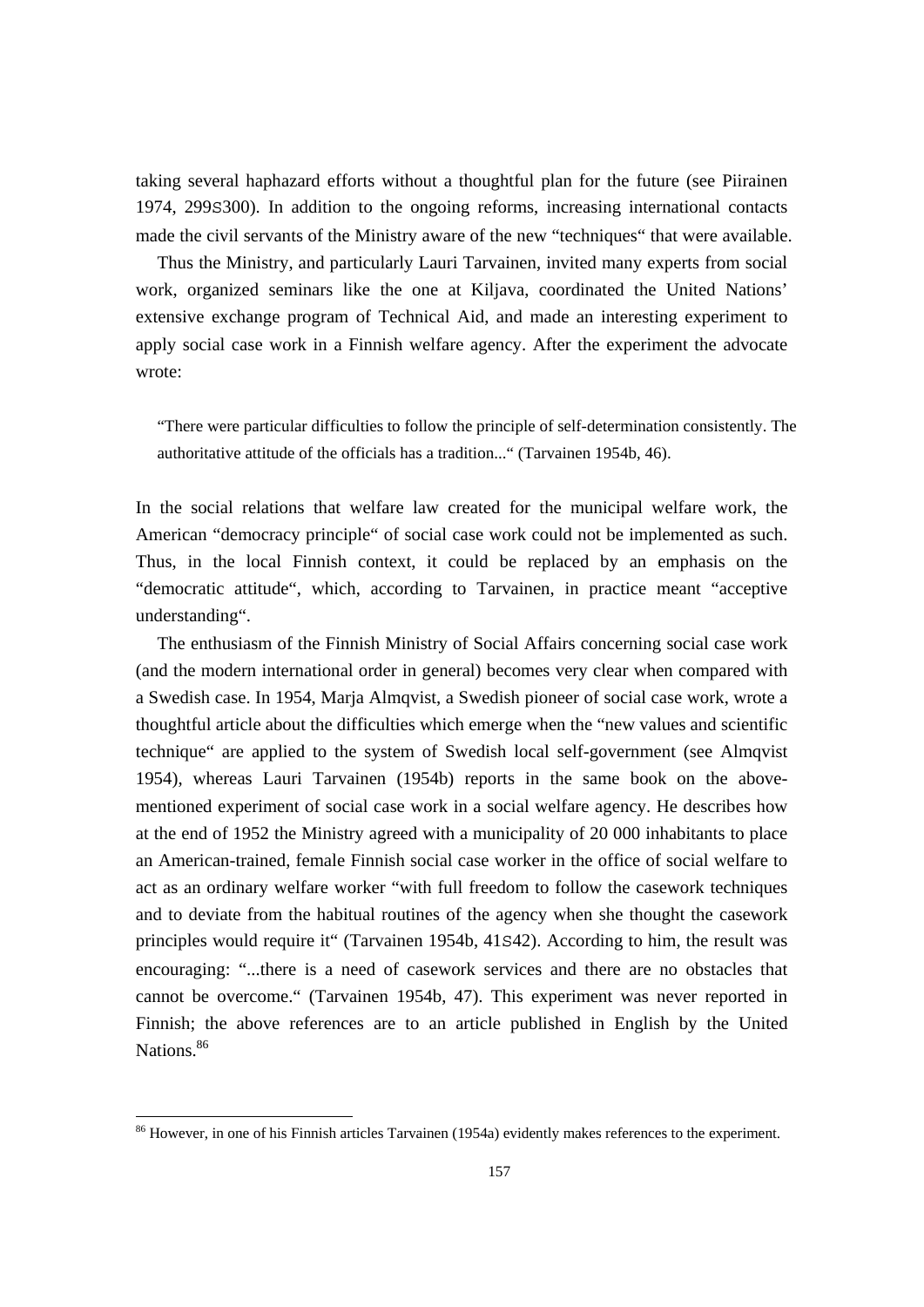taking several haphazard efforts without a thoughtful plan for the future (see Piirainen 1974, 299S300). In addition to the ongoing reforms, increasing international contacts made the civil servants of the Ministry aware of the new "techniques" that were available.

 Thus the Ministry, and particularly Lauri Tarvainen, invited many experts from social work, organized seminars like the one at Kiljava, coordinated the United Nations' extensive exchange program of Technical Aid, and made an interesting experiment to apply social case work in a Finnish welfare agency. After the experiment the advocate wrote:

"There were particular difficulties to follow the principle of self-determination consistently. The authoritative attitude of the officials has a tradition..." (Tarvainen 1954b, 46).

In the social relations that welfare law created for the municipal welfare work, the American "democracy principle" of social case work could not be implemented as such. Thus, in the local Finnish context, it could be replaced by an emphasis on the "democratic attitude", which, according to Tarvainen, in practice meant "acceptive understanding".

 The enthusiasm of the Finnish Ministry of Social Affairs concerning social case work (and the modern international order in general) becomes very clear when compared with a Swedish case. In 1954, Marja Almqvist, a Swedish pioneer of social case work, wrote a thoughtful article about the difficulties which emerge when the "new values and scientific technique" are applied to the system of Swedish local self-government (see Almqvist 1954), whereas Lauri Tarvainen (1954b) reports in the same book on the abovementioned experiment of social case work in a social welfare agency. He describes how at the end of 1952 the Ministry agreed with a municipality of 20 000 inhabitants to place an American-trained, female Finnish social case worker in the office of social welfare to act as an ordinary welfare worker "with full freedom to follow the casework techniques and to deviate from the habitual routines of the agency when she thought the casework principles would require it" (Tarvainen 1954b, 41S42). According to him, the result was encouraging: "...there is a need of casework services and there are no obstacles that cannot be overcome." (Tarvainen 1954b, 47). This experiment was never reported in Finnish; the above references are to an article published in English by the United Nations.<sup>86</sup>

 $\overline{a}$ 

 $86$  However, in one of his Finnish articles Tarvainen (1954a) evidently makes references to the experiment.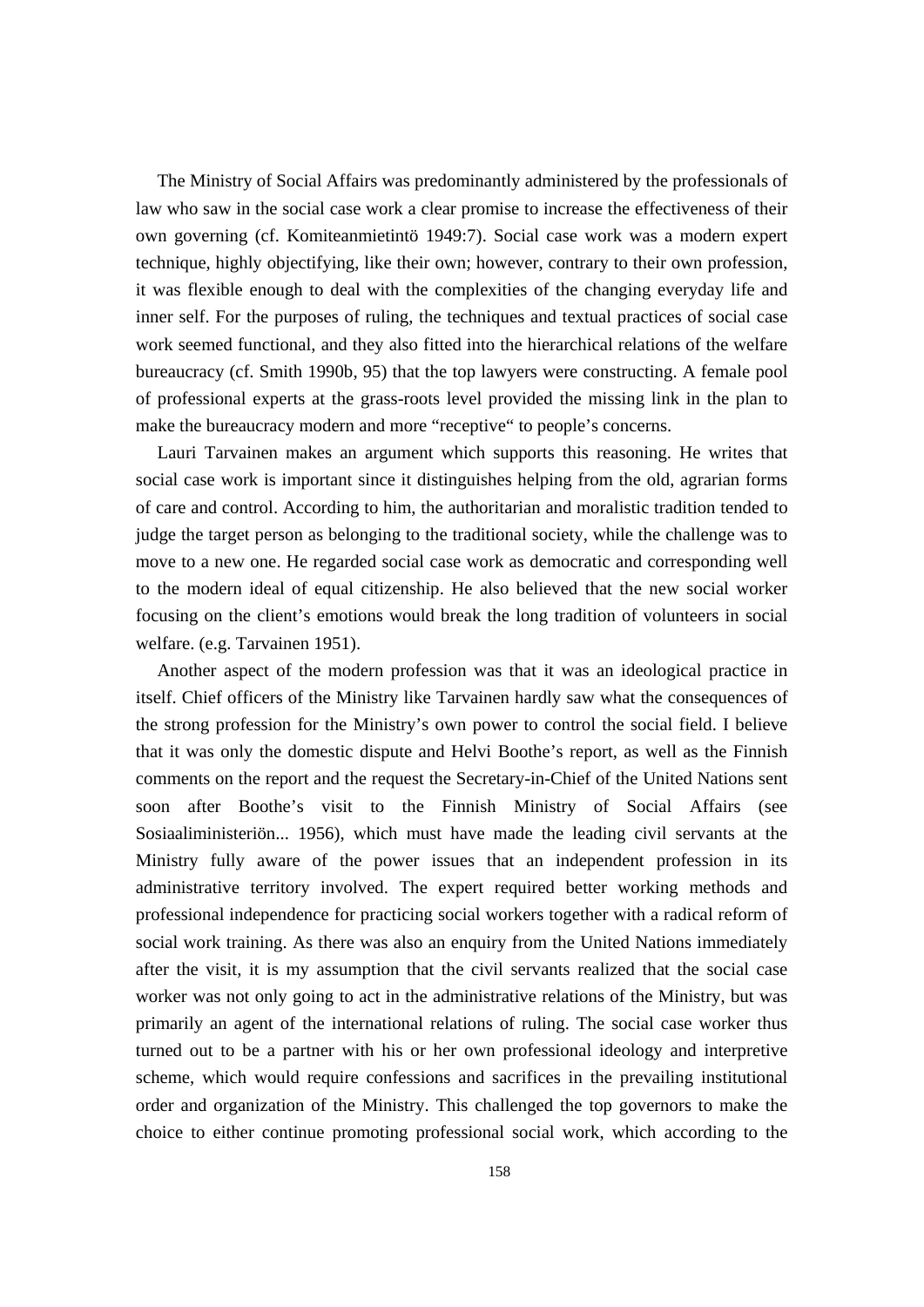The Ministry of Social Affairs was predominantly administered by the professionals of law who saw in the social case work a clear promise to increase the effectiveness of their own governing (cf. Komiteanmietintö 1949:7). Social case work was a modern expert technique, highly objectifying, like their own; however, contrary to their own profession, it was flexible enough to deal with the complexities of the changing everyday life and inner self. For the purposes of ruling, the techniques and textual practices of social case work seemed functional, and they also fitted into the hierarchical relations of the welfare bureaucracy (cf. Smith 1990b, 95) that the top lawyers were constructing. A female pool of professional experts at the grass-roots level provided the missing link in the plan to make the bureaucracy modern and more "receptive" to people's concerns.

 Lauri Tarvainen makes an argument which supports this reasoning. He writes that social case work is important since it distinguishes helping from the old, agrarian forms of care and control. According to him, the authoritarian and moralistic tradition tended to judge the target person as belonging to the traditional society, while the challenge was to move to a new one. He regarded social case work as democratic and corresponding well to the modern ideal of equal citizenship. He also believed that the new social worker focusing on the client's emotions would break the long tradition of volunteers in social welfare. (e.g. Tarvainen 1951).

 Another aspect of the modern profession was that it was an ideological practice in itself. Chief officers of the Ministry like Tarvainen hardly saw what the consequences of the strong profession for the Ministry's own power to control the social field. I believe that it was only the domestic dispute and Helvi Boothe's report, as well as the Finnish comments on the report and the request the Secretary-in-Chief of the United Nations sent soon after Boothe's visit to the Finnish Ministry of Social Affairs (see Sosiaaliministeriön... 1956), which must have made the leading civil servants at the Ministry fully aware of the power issues that an independent profession in its administrative territory involved. The expert required better working methods and professional independence for practicing social workers together with a radical reform of social work training. As there was also an enquiry from the United Nations immediately after the visit, it is my assumption that the civil servants realized that the social case worker was not only going to act in the administrative relations of the Ministry, but was primarily an agent of the international relations of ruling. The social case worker thus turned out to be a partner with his or her own professional ideology and interpretive scheme, which would require confessions and sacrifices in the prevailing institutional order and organization of the Ministry. This challenged the top governors to make the choice to either continue promoting professional social work, which according to the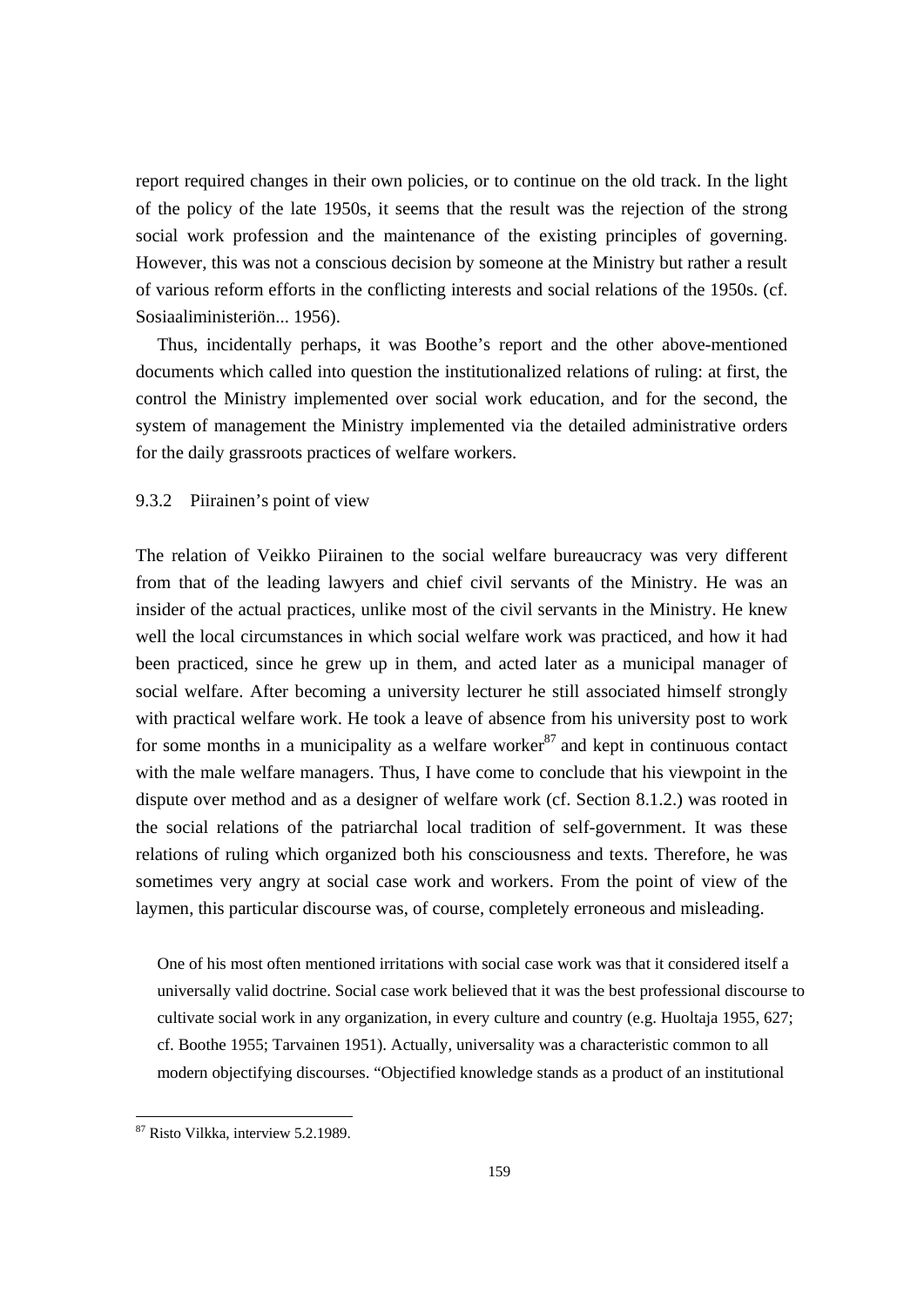report required changes in their own policies, or to continue on the old track. In the light of the policy of the late 1950s, it seems that the result was the rejection of the strong social work profession and the maintenance of the existing principles of governing. However, this was not a conscious decision by someone at the Ministry but rather a result of various reform efforts in the conflicting interests and social relations of the 1950s. (cf. Sosiaaliministeriön... 1956).

 Thus, incidentally perhaps, it was Boothe's report and the other above-mentioned documents which called into question the institutionalized relations of ruling: at first, the control the Ministry implemented over social work education, and for the second, the system of management the Ministry implemented via the detailed administrative orders for the daily grassroots practices of welfare workers.

# 9.3.2 Piirainen's point of view

The relation of Veikko Piirainen to the social welfare bureaucracy was very different from that of the leading lawyers and chief civil servants of the Ministry. He was an insider of the actual practices, unlike most of the civil servants in the Ministry. He knew well the local circumstances in which social welfare work was practiced, and how it had been practiced, since he grew up in them, and acted later as a municipal manager of social welfare. After becoming a university lecturer he still associated himself strongly with practical welfare work. He took a leave of absence from his university post to work for some months in a municipality as a welfare worker  $87$  and kept in continuous contact with the male welfare managers. Thus, I have come to conclude that his viewpoint in the dispute over method and as a designer of welfare work (cf. Section 8.1.2.) was rooted in the social relations of the patriarchal local tradition of self-government. It was these relations of ruling which organized both his consciousness and texts. Therefore, he was sometimes very angry at social case work and workers. From the point of view of the laymen, this particular discourse was, of course, completely erroneous and misleading.

One of his most often mentioned irritations with social case work was that it considered itself a universally valid doctrine. Social case work believed that it was the best professional discourse to cultivate social work in any organization, in every culture and country (e.g. Huoltaja 1955, 627; cf. Boothe 1955; Tarvainen 1951). Actually, universality was a characteristic common to all modern objectifying discourses. "Objectified knowledge stands as a product of an institutional

 $\overline{a}$ 

<sup>&</sup>lt;sup>87</sup> Risto Vilkka, interview 5.2.1989.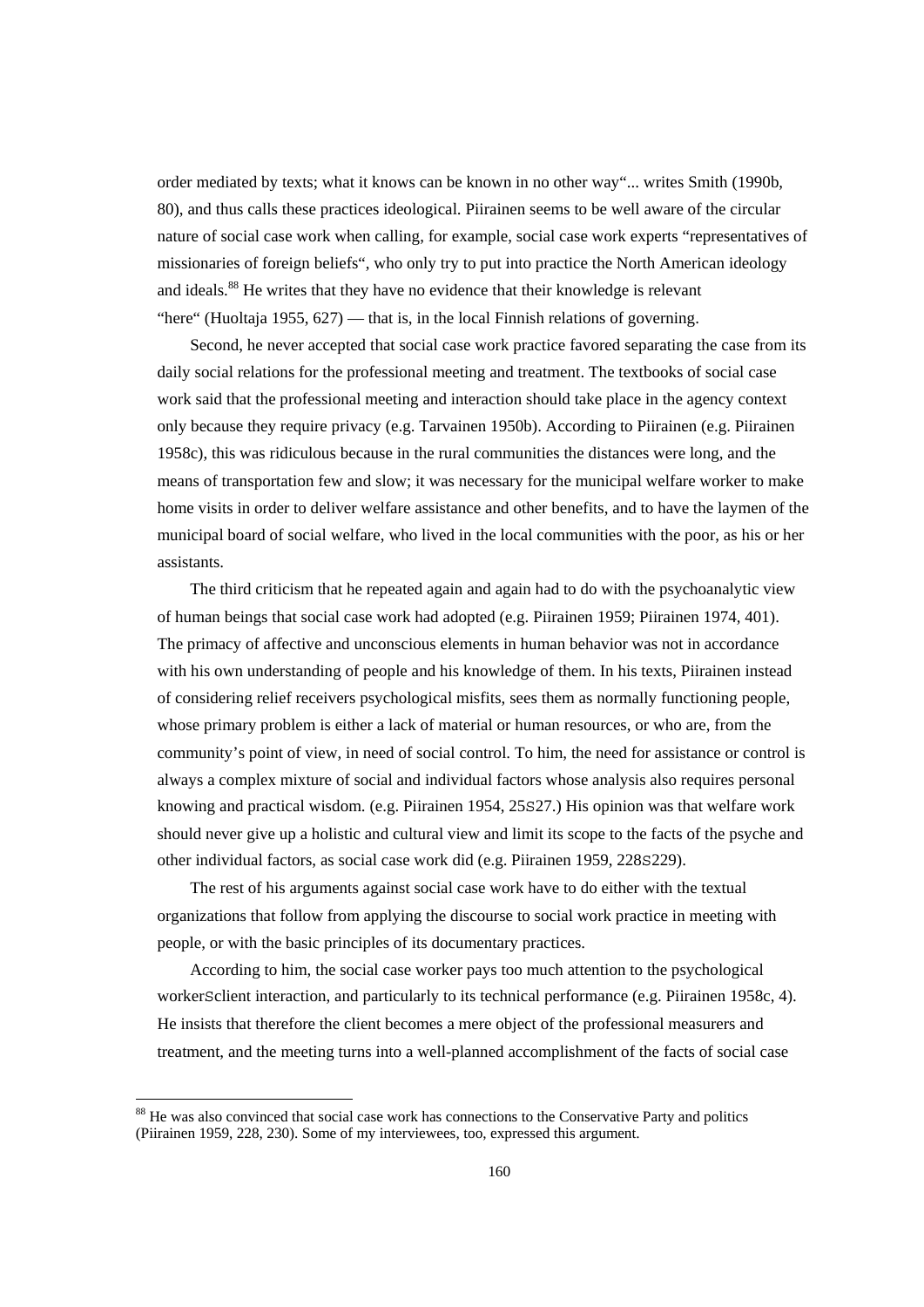order mediated by texts; what it knows can be known in no other way"... writes Smith (1990b, 80), and thus calls these practices ideological. Piirainen seems to be well aware of the circular nature of social case work when calling, for example, social case work experts "representatives of missionaries of foreign beliefs", who only try to put into practice the North American ideology and ideals.88 He writes that they have no evidence that their knowledge is relevant "here" (Huoltaja 1955, 627) — that is, in the local Finnish relations of governing.

 Second, he never accepted that social case work practice favored separating the case from its daily social relations for the professional meeting and treatment. The textbooks of social case work said that the professional meeting and interaction should take place in the agency context only because they require privacy (e.g. Tarvainen 1950b). According to Piirainen (e.g. Piirainen 1958c), this was ridiculous because in the rural communities the distances were long, and the means of transportation few and slow; it was necessary for the municipal welfare worker to make home visits in order to deliver welfare assistance and other benefits, and to have the laymen of the municipal board of social welfare, who lived in the local communities with the poor, as his or her assistants.

 The third criticism that he repeated again and again had to do with the psychoanalytic view of human beings that social case work had adopted (e.g. Piirainen 1959; Piirainen 1974, 401). The primacy of affective and unconscious elements in human behavior was not in accordance with his own understanding of people and his knowledge of them. In his texts, Piirainen instead of considering relief receivers psychological misfits, sees them as normally functioning people, whose primary problem is either a lack of material or human resources, or who are, from the community's point of view, in need of social control. To him, the need for assistance or control is always a complex mixture of social and individual factors whose analysis also requires personal knowing and practical wisdom. (e.g. Piirainen 1954, 25S27.) His opinion was that welfare work should never give up a holistic and cultural view and limit its scope to the facts of the psyche and other individual factors, as social case work did (e.g. Piirainen 1959, 228S229).

 The rest of his arguments against social case work have to do either with the textual organizations that follow from applying the discourse to social work practice in meeting with people, or with the basic principles of its documentary practices.

 According to him, the social case worker pays too much attention to the psychological workerSclient interaction, and particularly to its technical performance (e.g. Piirainen 1958c, 4). He insists that therefore the client becomes a mere object of the professional measurers and treatment, and the meeting turns into a well-planned accomplishment of the facts of social case

<sup>&</sup>lt;sup>88</sup> He was also convinced that social case work has connections to the Conservative Party and politics (Piirainen 1959, 228, 230). Some of my interviewees, too, expressed this argument.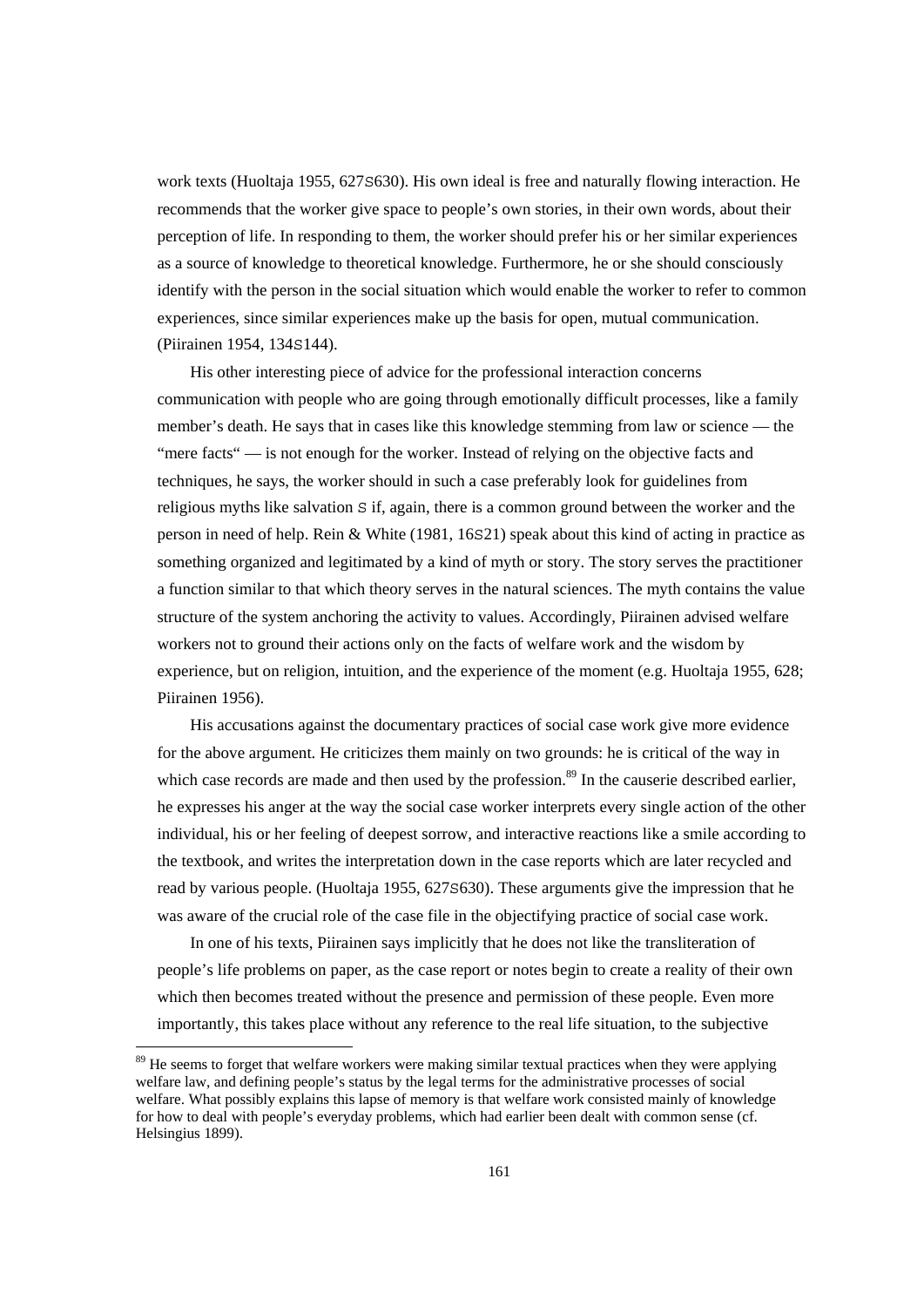work texts (Huoltaja 1955, 627S630). His own ideal is free and naturally flowing interaction. He recommends that the worker give space to people's own stories, in their own words, about their perception of life. In responding to them, the worker should prefer his or her similar experiences as a source of knowledge to theoretical knowledge. Furthermore, he or she should consciously identify with the person in the social situation which would enable the worker to refer to common experiences, since similar experiences make up the basis for open, mutual communication. (Piirainen 1954, 134S144).

 His other interesting piece of advice for the professional interaction concerns communication with people who are going through emotionally difficult processes, like a family member's death. He says that in cases like this knowledge stemming from law or science — the "mere facts" — is not enough for the worker. Instead of relying on the objective facts and techniques, he says, the worker should in such a case preferably look for guidelines from religious myths like salvation S if, again, there is a common ground between the worker and the person in need of help. Rein & White (1981, 16S21) speak about this kind of acting in practice as something organized and legitimated by a kind of myth or story. The story serves the practitioner a function similar to that which theory serves in the natural sciences. The myth contains the value structure of the system anchoring the activity to values. Accordingly, Piirainen advised welfare workers not to ground their actions only on the facts of welfare work and the wisdom by experience, but on religion, intuition, and the experience of the moment (e.g. Huoltaja 1955, 628; Piirainen 1956).

 His accusations against the documentary practices of social case work give more evidence for the above argument. He criticizes them mainly on two grounds: he is critical of the way in which case records are made and then used by the profession.<sup>89</sup> In the causerie described earlier, he expresses his anger at the way the social case worker interprets every single action of the other individual, his or her feeling of deepest sorrow, and interactive reactions like a smile according to the textbook, and writes the interpretation down in the case reports which are later recycled and read by various people. (Huoltaja 1955, 627S630). These arguments give the impression that he was aware of the crucial role of the case file in the objectifying practice of social case work.

 In one of his texts, Piirainen says implicitly that he does not like the transliteration of people's life problems on paper, as the case report or notes begin to create a reality of their own which then becomes treated without the presence and permission of these people. Even more importantly, this takes place without any reference to the real life situation, to the subjective

 $89$  He seems to forget that welfare workers were making similar textual practices when they were applying welfare law, and defining people's status by the legal terms for the administrative processes of social welfare. What possibly explains this lapse of memory is that welfare work consisted mainly of knowledge for how to deal with people's everyday problems, which had earlier been dealt with common sense (cf. Helsingius 1899).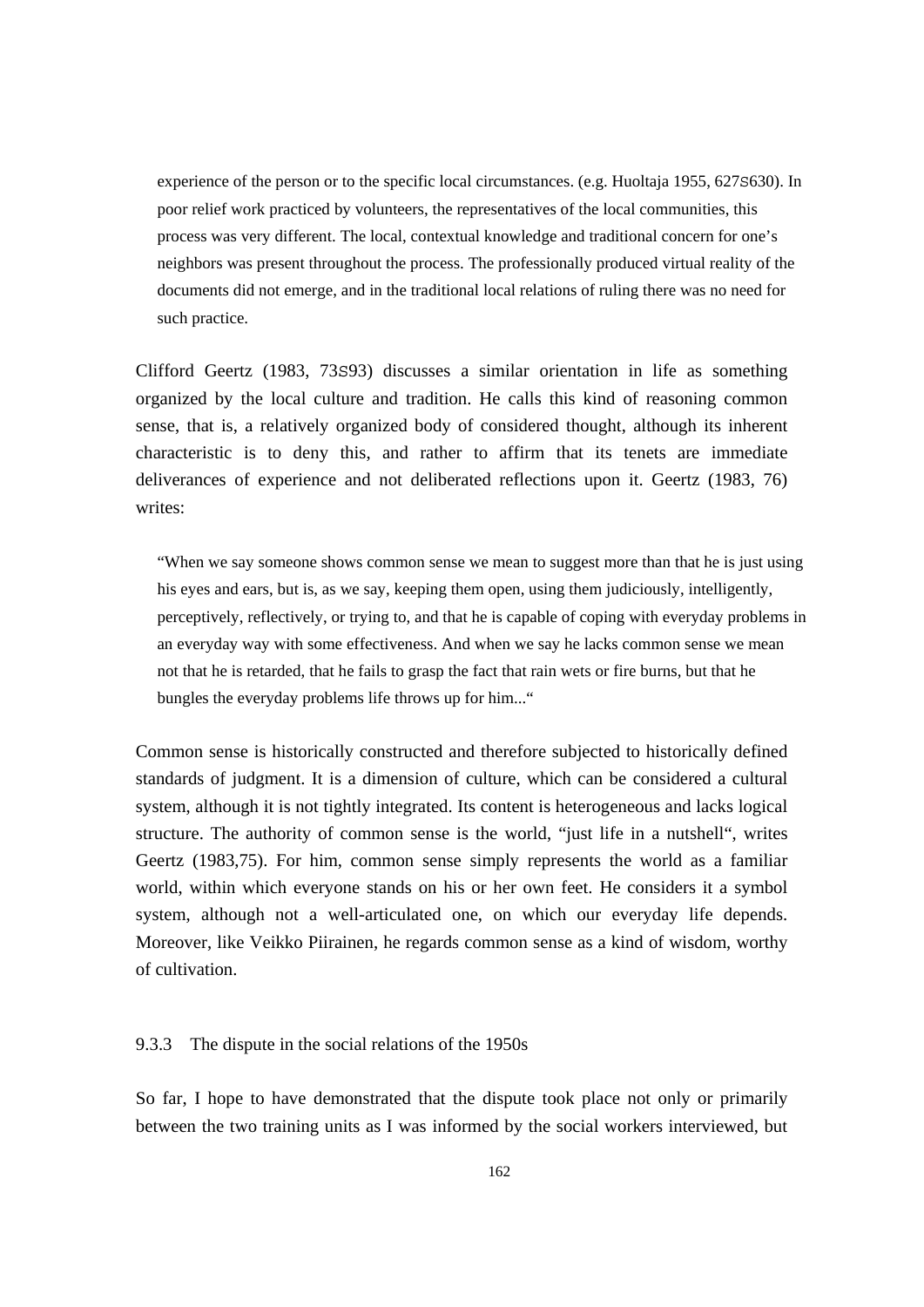experience of the person or to the specific local circumstances. (e.g. Huoltaja 1955, 627S630). In poor relief work practiced by volunteers, the representatives of the local communities, this process was very different. The local, contextual knowledge and traditional concern for one's neighbors was present throughout the process. The professionally produced virtual reality of the documents did not emerge, and in the traditional local relations of ruling there was no need for such practice.

Clifford Geertz (1983, 73S93) discusses a similar orientation in life as something organized by the local culture and tradition. He calls this kind of reasoning common sense, that is, a relatively organized body of considered thought, although its inherent characteristic is to deny this, and rather to affirm that its tenets are immediate deliverances of experience and not deliberated reflections upon it. Geertz (1983, 76) writes:

"When we say someone shows common sense we mean to suggest more than that he is just using his eyes and ears, but is, as we say, keeping them open, using them judiciously, intelligently, perceptively, reflectively, or trying to, and that he is capable of coping with everyday problems in an everyday way with some effectiveness. And when we say he lacks common sense we mean not that he is retarded, that he fails to grasp the fact that rain wets or fire burns, but that he bungles the everyday problems life throws up for him..."

Common sense is historically constructed and therefore subjected to historically defined standards of judgment. It is a dimension of culture, which can be considered a cultural system, although it is not tightly integrated. Its content is heterogeneous and lacks logical structure. The authority of common sense is the world, "just life in a nutshell", writes Geertz (1983,75). For him, common sense simply represents the world as a familiar world, within which everyone stands on his or her own feet. He considers it a symbol system, although not a well-articulated one, on which our everyday life depends. Moreover, like Veikko Piirainen, he regards common sense as a kind of wisdom, worthy of cultivation.

# 9.3.3 The dispute in the social relations of the 1950s

So far, I hope to have demonstrated that the dispute took place not only or primarily between the two training units as I was informed by the social workers interviewed, but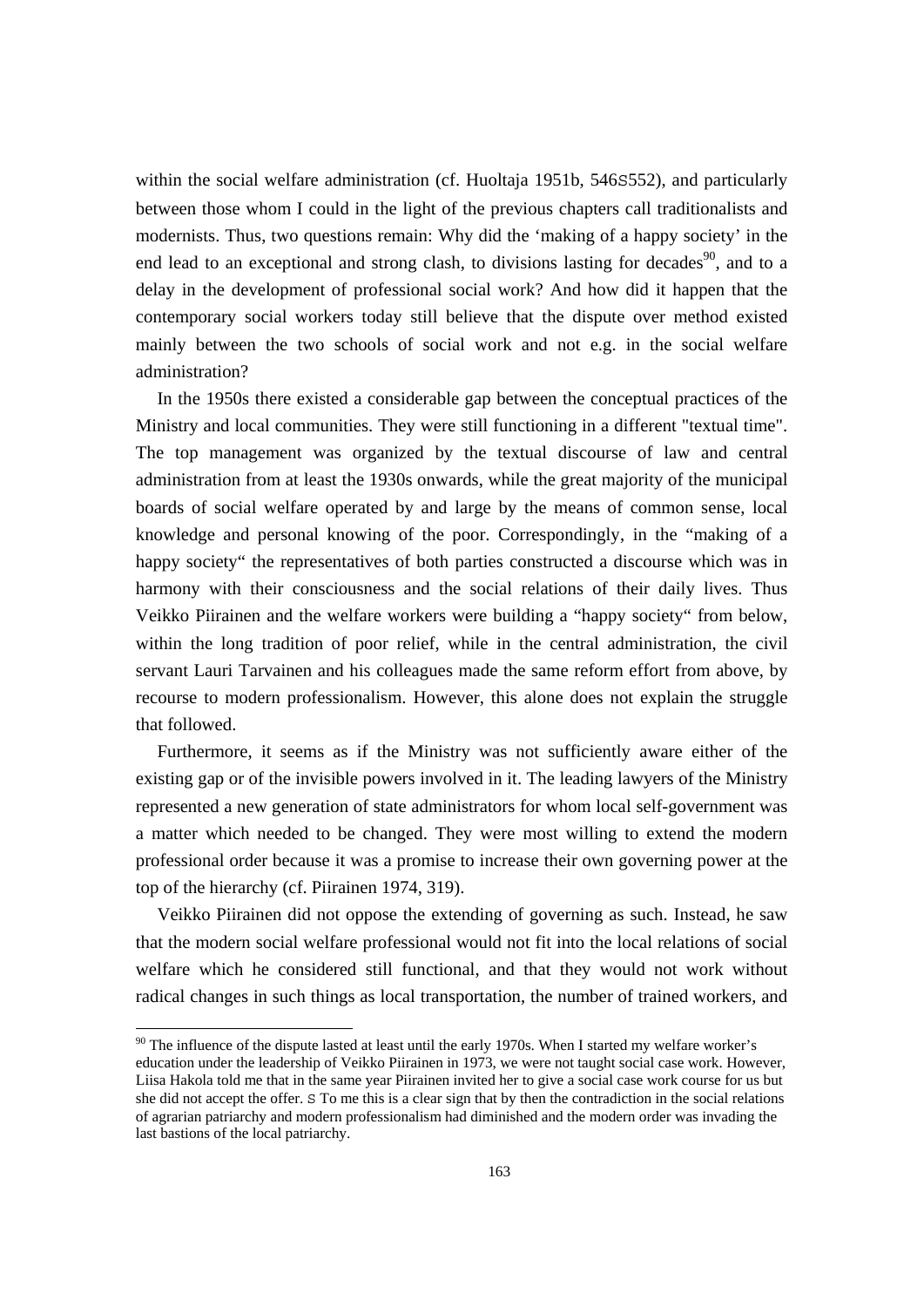within the social welfare administration (cf. Huoltaja 1951b, 546S552), and particularly between those whom I could in the light of the previous chapters call traditionalists and modernists. Thus, two questions remain: Why did the 'making of a happy society' in the end lead to an exceptional and strong clash, to divisions lasting for decades<sup>90</sup>, and to a delay in the development of professional social work? And how did it happen that the contemporary social workers today still believe that the dispute over method existed mainly between the two schools of social work and not e.g. in the social welfare administration?

 In the 1950s there existed a considerable gap between the conceptual practices of the Ministry and local communities. They were still functioning in a different "textual time". The top management was organized by the textual discourse of law and central administration from at least the 1930s onwards, while the great majority of the municipal boards of social welfare operated by and large by the means of common sense, local knowledge and personal knowing of the poor. Correspondingly, in the "making of a happy society" the representatives of both parties constructed a discourse which was in harmony with their consciousness and the social relations of their daily lives. Thus Veikko Piirainen and the welfare workers were building a "happy society" from below, within the long tradition of poor relief, while in the central administration, the civil servant Lauri Tarvainen and his colleagues made the same reform effort from above, by recourse to modern professionalism. However, this alone does not explain the struggle that followed.

 Furthermore, it seems as if the Ministry was not sufficiently aware either of the existing gap or of the invisible powers involved in it. The leading lawyers of the Ministry represented a new generation of state administrators for whom local self-government was a matter which needed to be changed. They were most willing to extend the modern professional order because it was a promise to increase their own governing power at the top of the hierarchy (cf. Piirainen 1974, 319).

 Veikko Piirainen did not oppose the extending of governing as such. Instead, he saw that the modern social welfare professional would not fit into the local relations of social welfare which he considered still functional, and that they would not work without radical changes in such things as local transportation, the number of trained workers, and

<sup>&</sup>lt;sup>90</sup> The influence of the dispute lasted at least until the early 1970s. When I started my welfare worker's education under the leadership of Veikko Piirainen in 1973, we were not taught social case work. However, Liisa Hakola told me that in the same year Piirainen invited her to give a social case work course for us but she did not accept the offer. S To me this is a clear sign that by then the contradiction in the social relations of agrarian patriarchy and modern professionalism had diminished and the modern order was invading the last bastions of the local patriarchy.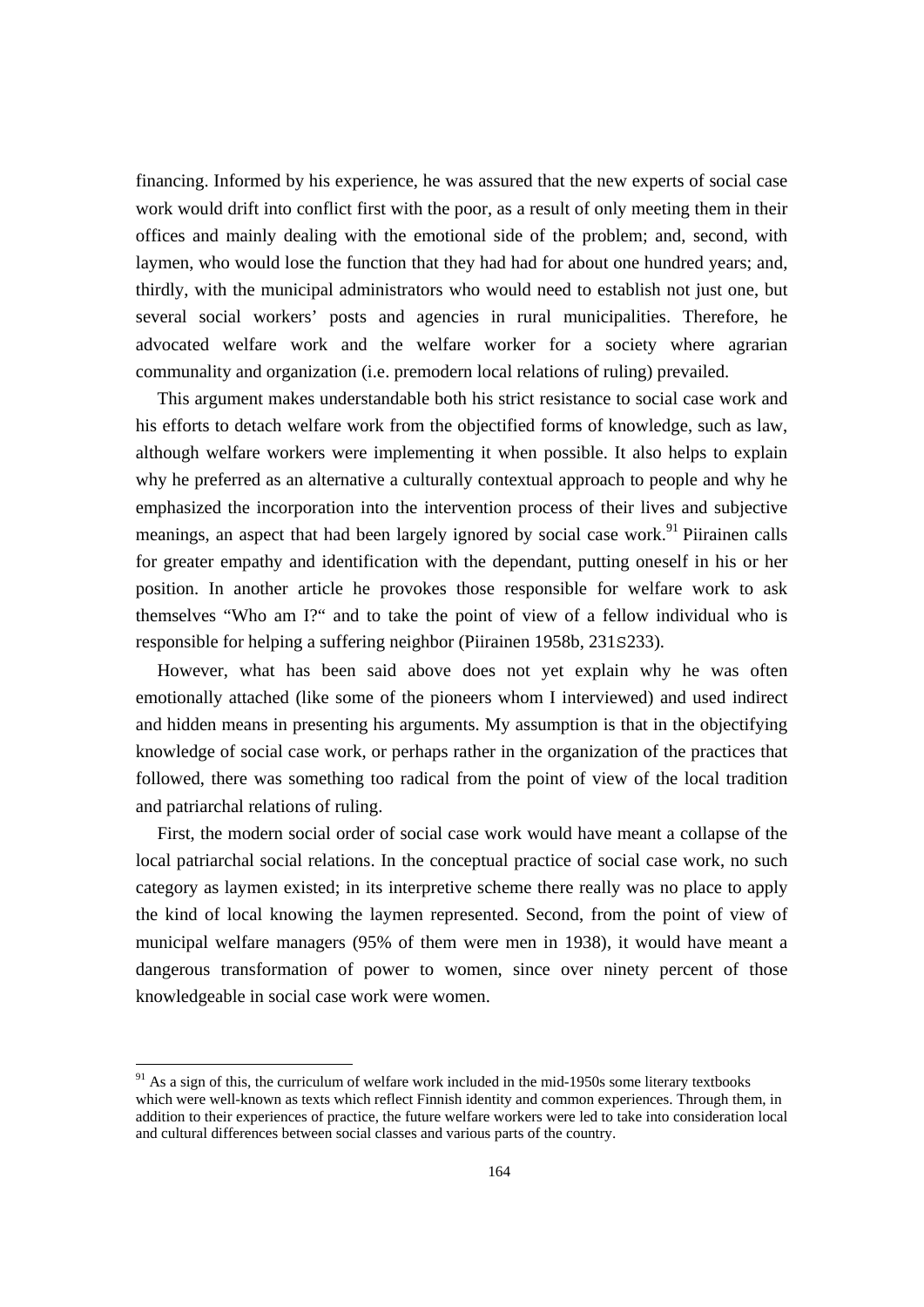financing. Informed by his experience, he was assured that the new experts of social case work would drift into conflict first with the poor, as a result of only meeting them in their offices and mainly dealing with the emotional side of the problem; and, second, with laymen, who would lose the function that they had had for about one hundred years; and, thirdly, with the municipal administrators who would need to establish not just one, but several social workers' posts and agencies in rural municipalities. Therefore, he advocated welfare work and the welfare worker for a society where agrarian communality and organization (i.e. premodern local relations of ruling) prevailed.

 This argument makes understandable both his strict resistance to social case work and his efforts to detach welfare work from the objectified forms of knowledge, such as law, although welfare workers were implementing it when possible. It also helps to explain why he preferred as an alternative a culturally contextual approach to people and why he emphasized the incorporation into the intervention process of their lives and subjective meanings, an aspect that had been largely ignored by social case work.<sup>91</sup> Piirainen calls for greater empathy and identification with the dependant, putting oneself in his or her position. In another article he provokes those responsible for welfare work to ask themselves "Who am I?" and to take the point of view of a fellow individual who is responsible for helping a suffering neighbor (Piirainen 1958b, 231S233).

 However, what has been said above does not yet explain why he was often emotionally attached (like some of the pioneers whom I interviewed) and used indirect and hidden means in presenting his arguments. My assumption is that in the objectifying knowledge of social case work, or perhaps rather in the organization of the practices that followed, there was something too radical from the point of view of the local tradition and patriarchal relations of ruling.

 First, the modern social order of social case work would have meant a collapse of the local patriarchal social relations. In the conceptual practice of social case work, no such category as laymen existed; in its interpretive scheme there really was no place to apply the kind of local knowing the laymen represented. Second, from the point of view of municipal welfare managers (95% of them were men in 1938), it would have meant a dangerous transformation of power to women, since over ninety percent of those knowledgeable in social case work were women.

 $91$  As a sign of this, the curriculum of welfare work included in the mid-1950s some literary textbooks which were well-known as texts which reflect Finnish identity and common experiences. Through them, in addition to their experiences of practice, the future welfare workers were led to take into consideration local and cultural differences between social classes and various parts of the country.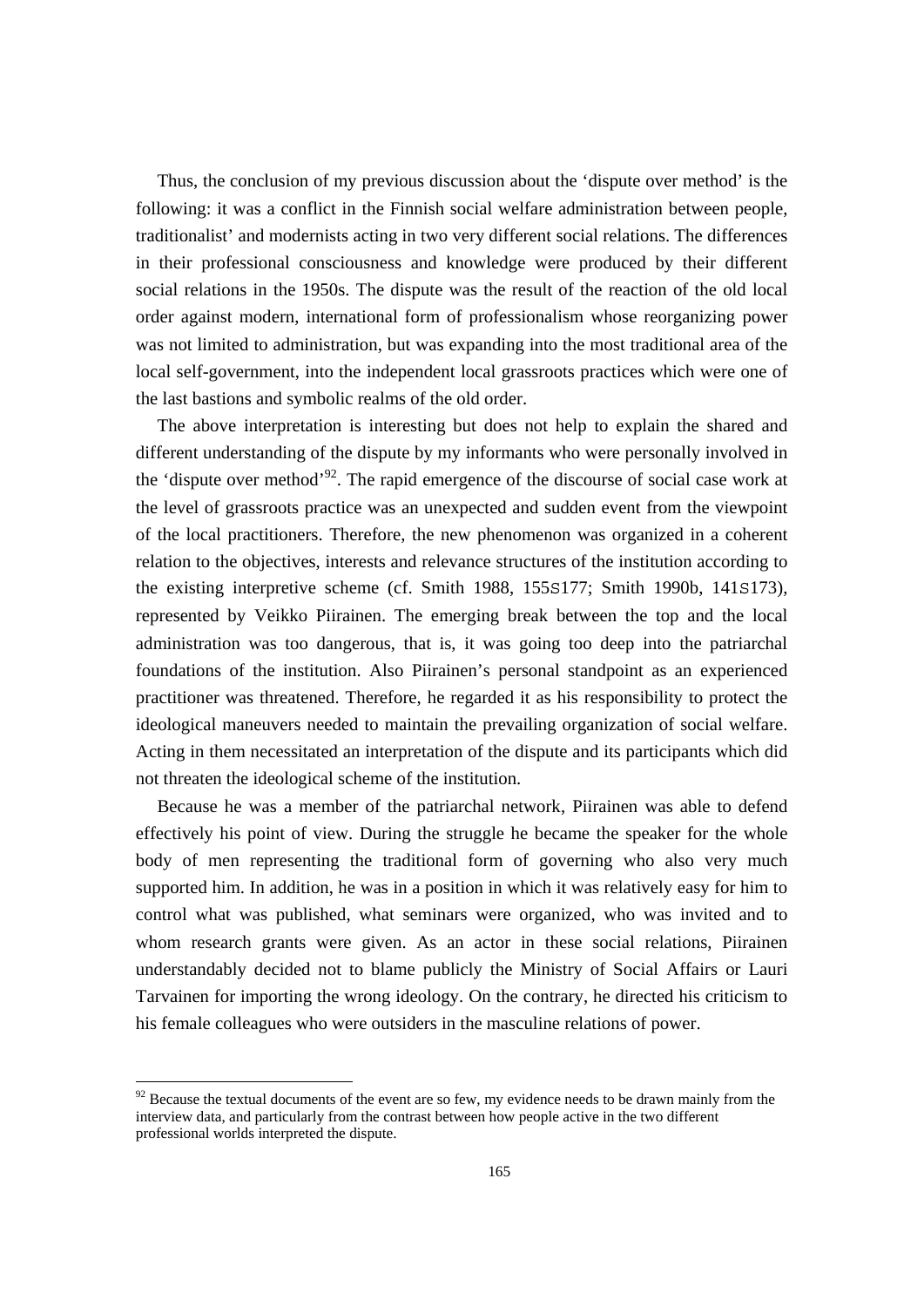Thus, the conclusion of my previous discussion about the 'dispute over method' is the following: it was a conflict in the Finnish social welfare administration between people, traditionalist' and modernists acting in two very different social relations. The differences in their professional consciousness and knowledge were produced by their different social relations in the 1950s. The dispute was the result of the reaction of the old local order against modern, international form of professionalism whose reorganizing power was not limited to administration, but was expanding into the most traditional area of the local self-government, into the independent local grassroots practices which were one of the last bastions and symbolic realms of the old order.

 The above interpretation is interesting but does not help to explain the shared and different understanding of the dispute by my informants who were personally involved in the 'dispute over method'92. The rapid emergence of the discourse of social case work at the level of grassroots practice was an unexpected and sudden event from the viewpoint of the local practitioners. Therefore, the new phenomenon was organized in a coherent relation to the objectives, interests and relevance structures of the institution according to the existing interpretive scheme (cf. Smith 1988, 155S177; Smith 1990b, 141S173), represented by Veikko Piirainen. The emerging break between the top and the local administration was too dangerous, that is, it was going too deep into the patriarchal foundations of the institution. Also Piirainen's personal standpoint as an experienced practitioner was threatened. Therefore, he regarded it as his responsibility to protect the ideological maneuvers needed to maintain the prevailing organization of social welfare. Acting in them necessitated an interpretation of the dispute and its participants which did not threaten the ideological scheme of the institution.

 Because he was a member of the patriarchal network, Piirainen was able to defend effectively his point of view. During the struggle he became the speaker for the whole body of men representing the traditional form of governing who also very much supported him. In addition, he was in a position in which it was relatively easy for him to control what was published, what seminars were organized, who was invited and to whom research grants were given. As an actor in these social relations, Piirainen understandably decided not to blame publicly the Ministry of Social Affairs or Lauri Tarvainen for importing the wrong ideology. On the contrary, he directed his criticism to his female colleagues who were outsiders in the masculine relations of power.

 $92$  Because the textual documents of the event are so few, my evidence needs to be drawn mainly from the interview data, and particularly from the contrast between how people active in the two different professional worlds interpreted the dispute.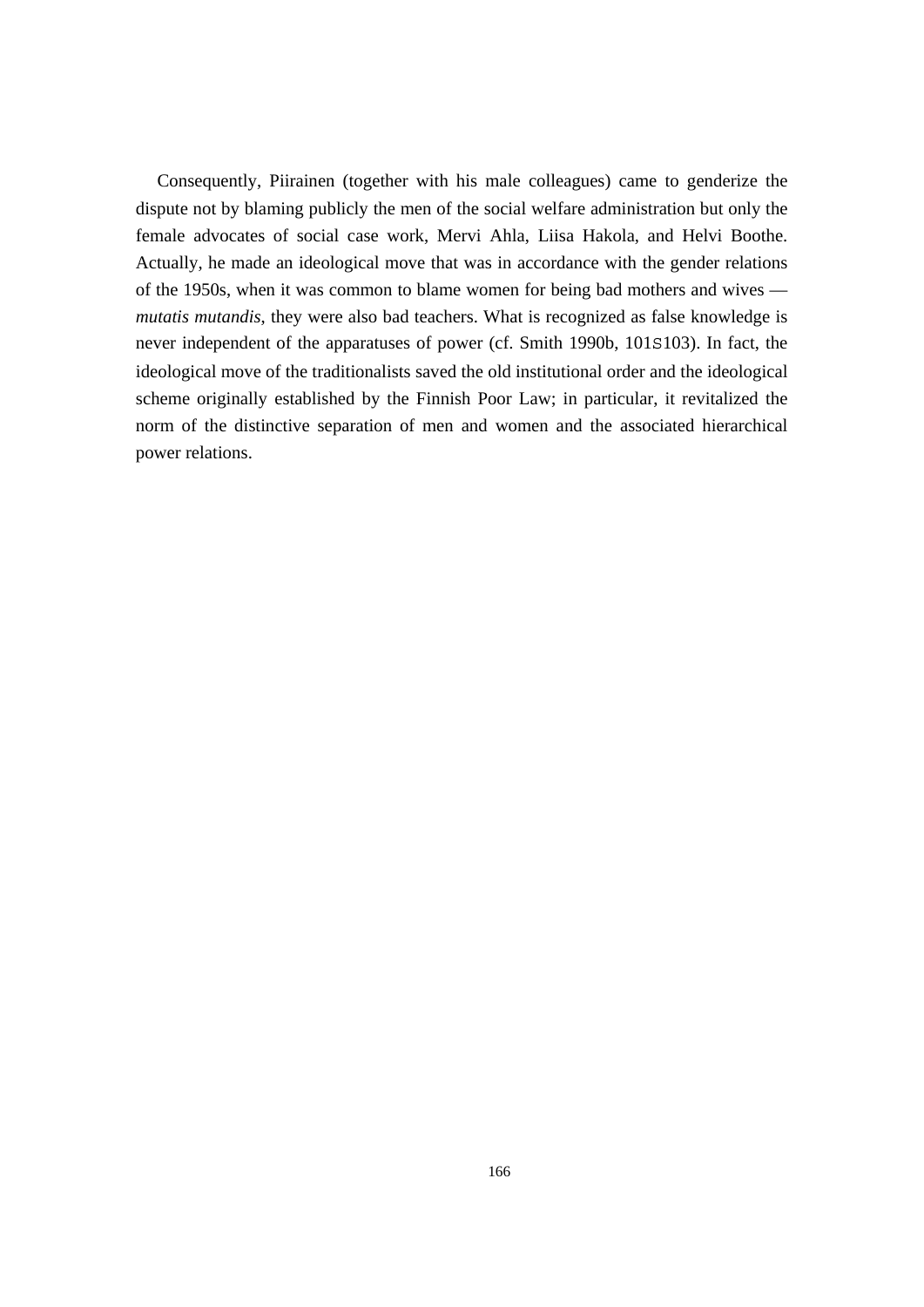Consequently, Piirainen (together with his male colleagues) came to genderize the dispute not by blaming publicly the men of the social welfare administration but only the female advocates of social case work, Mervi Ahla, Liisa Hakola, and Helvi Boothe. Actually, he made an ideological move that was in accordance with the gender relations of the 1950s, when it was common to blame women for being bad mothers and wives *mutatis mutandis*, they were also bad teachers. What is recognized as false knowledge is never independent of the apparatuses of power (cf. Smith 1990b, 101S103). In fact, the ideological move of the traditionalists saved the old institutional order and the ideological scheme originally established by the Finnish Poor Law; in particular, it revitalized the norm of the distinctive separation of men and women and the associated hierarchical power relations.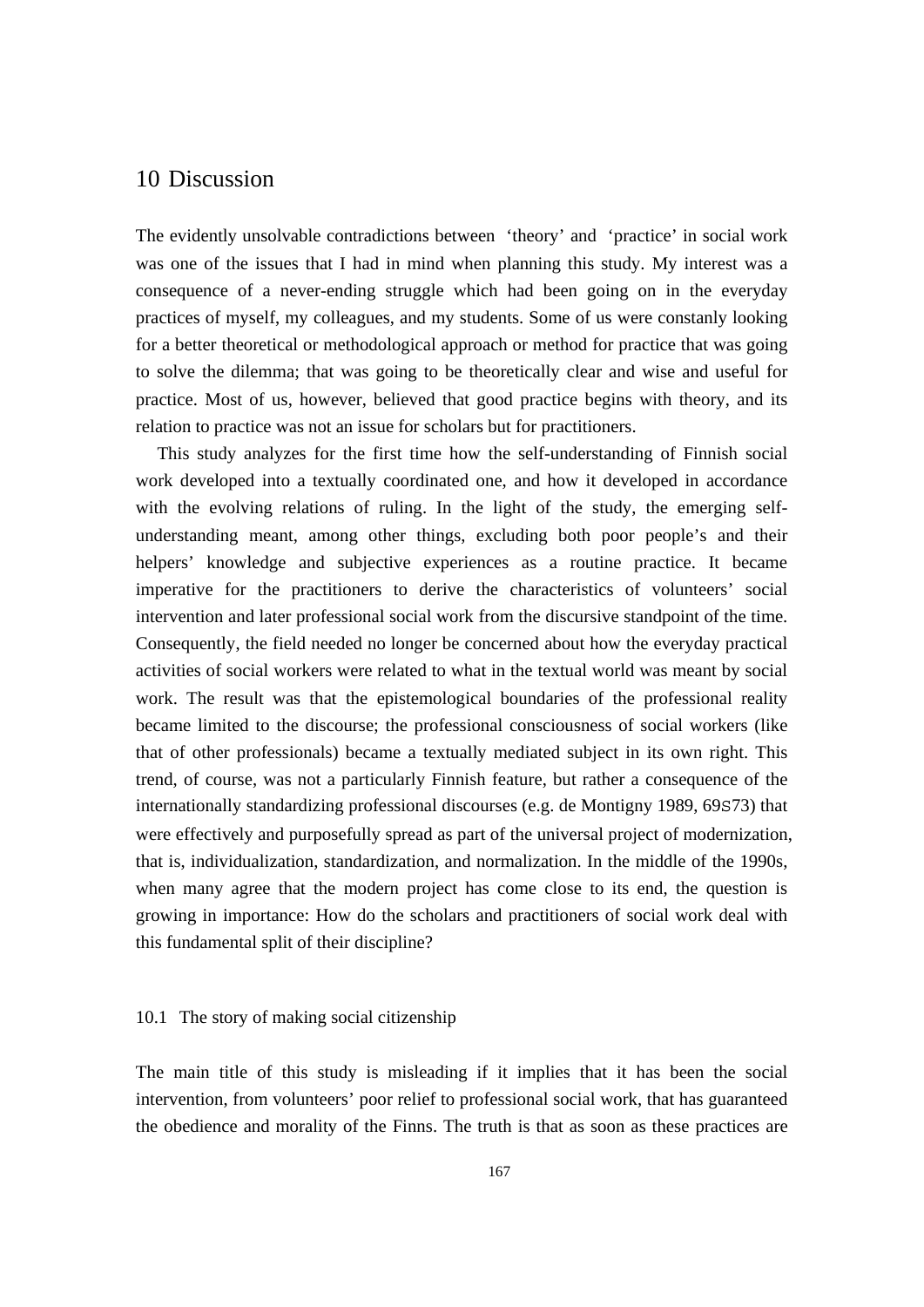# 10 Discussion

The evidently unsolvable contradictions between 'theory' and 'practice' in social work was one of the issues that I had in mind when planning this study. My interest was a consequence of a never-ending struggle which had been going on in the everyday practices of myself, my colleagues, and my students. Some of us were constanly looking for a better theoretical or methodological approach or method for practice that was going to solve the dilemma; that was going to be theoretically clear and wise and useful for practice. Most of us, however, believed that good practice begins with theory, and its relation to practice was not an issue for scholars but for practitioners.

 This study analyzes for the first time how the self-understanding of Finnish social work developed into a textually coordinated one, and how it developed in accordance with the evolving relations of ruling. In the light of the study, the emerging selfunderstanding meant, among other things, excluding both poor people's and their helpers' knowledge and subjective experiences as a routine practice. It became imperative for the practitioners to derive the characteristics of volunteers' social intervention and later professional social work from the discursive standpoint of the time. Consequently, the field needed no longer be concerned about how the everyday practical activities of social workers were related to what in the textual world was meant by social work. The result was that the epistemological boundaries of the professional reality became limited to the discourse; the professional consciousness of social workers (like that of other professionals) became a textually mediated subject in its own right. This trend, of course, was not a particularly Finnish feature, but rather a consequence of the internationally standardizing professional discourses (e.g. de Montigny 1989, 69S73) that were effectively and purposefully spread as part of the universal project of modernization, that is, individualization, standardization, and normalization. In the middle of the 1990s, when many agree that the modern project has come close to its end, the question is growing in importance: How do the scholars and practitioners of social work deal with this fundamental split of their discipline?

#### 10.1 The story of making social citizenship

The main title of this study is misleading if it implies that it has been the social intervention, from volunteers' poor relief to professional social work, that has guaranteed the obedience and morality of the Finns. The truth is that as soon as these practices are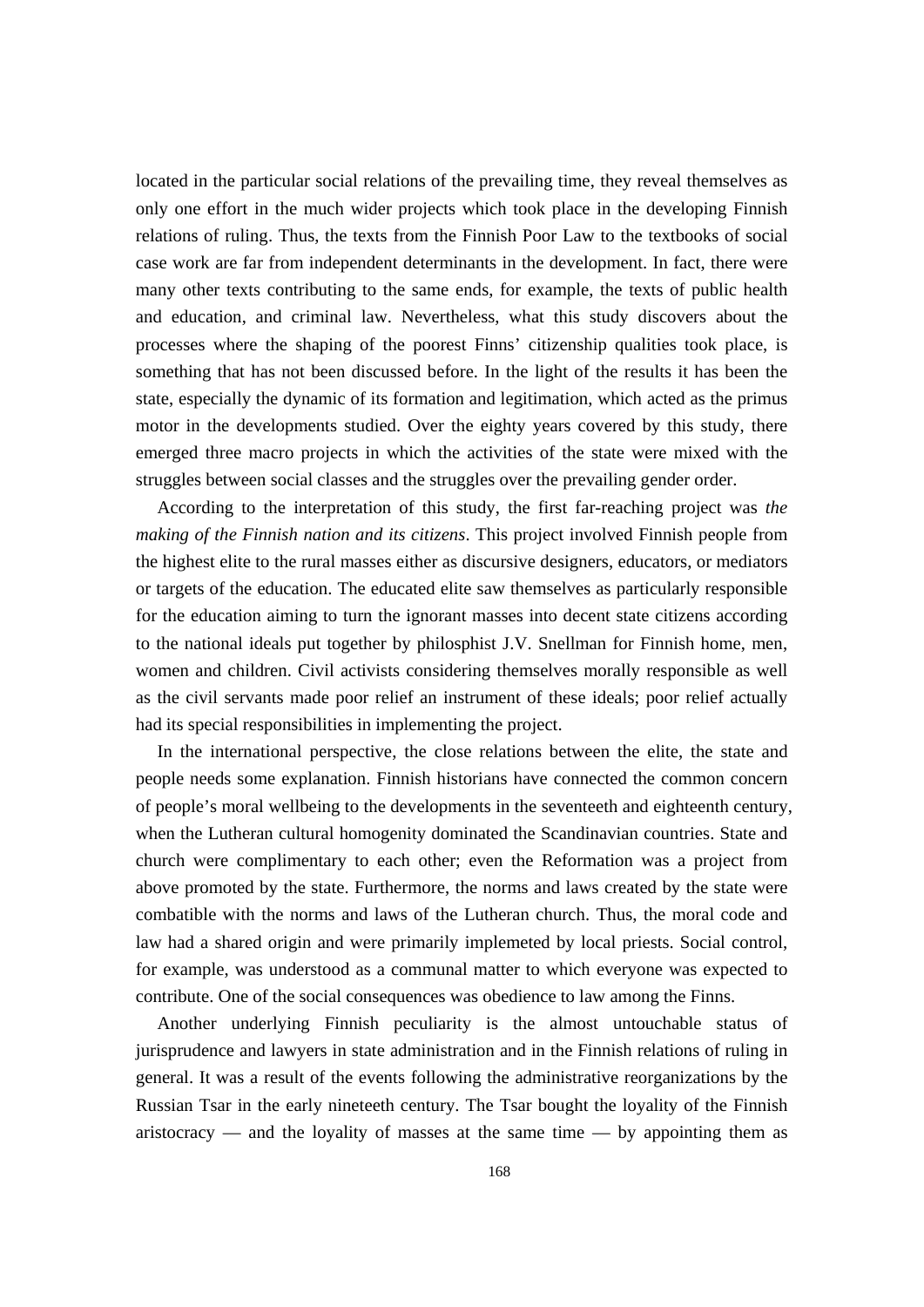located in the particular social relations of the prevailing time, they reveal themselves as only one effort in the much wider projects which took place in the developing Finnish relations of ruling. Thus, the texts from the Finnish Poor Law to the textbooks of social case work are far from independent determinants in the development. In fact, there were many other texts contributing to the same ends, for example, the texts of public health and education, and criminal law. Nevertheless, what this study discovers about the processes where the shaping of the poorest Finns' citizenship qualities took place, is something that has not been discussed before. In the light of the results it has been the state, especially the dynamic of its formation and legitimation, which acted as the primus motor in the developments studied. Over the eighty years covered by this study, there emerged three macro projects in which the activities of the state were mixed with the struggles between social classes and the struggles over the prevailing gender order.

 According to the interpretation of this study, the first far-reaching project was *the making of the Finnish nation and its citizens*. This project involved Finnish people from the highest elite to the rural masses either as discursive designers, educators, or mediators or targets of the education. The educated elite saw themselves as particularly responsible for the education aiming to turn the ignorant masses into decent state citizens according to the national ideals put together by philosphist J.V. Snellman for Finnish home, men, women and children. Civil activists considering themselves morally responsible as well as the civil servants made poor relief an instrument of these ideals; poor relief actually had its special responsibilities in implementing the project.

 In the international perspective, the close relations between the elite, the state and people needs some explanation. Finnish historians have connected the common concern of people's moral wellbeing to the developments in the seventeeth and eighteenth century, when the Lutheran cultural homogenity dominated the Scandinavian countries. State and church were complimentary to each other; even the Reformation was a project from above promoted by the state. Furthermore, the norms and laws created by the state were combatible with the norms and laws of the Lutheran church. Thus, the moral code and law had a shared origin and were primarily implemeted by local priests. Social control, for example, was understood as a communal matter to which everyone was expected to contribute. One of the social consequences was obedience to law among the Finns.

 Another underlying Finnish peculiarity is the almost untouchable status of jurisprudence and lawyers in state administration and in the Finnish relations of ruling in general. It was a result of the events following the administrative reorganizations by the Russian Tsar in the early nineteeth century. The Tsar bought the loyality of the Finnish aristocracy — and the loyality of masses at the same time — by appointing them as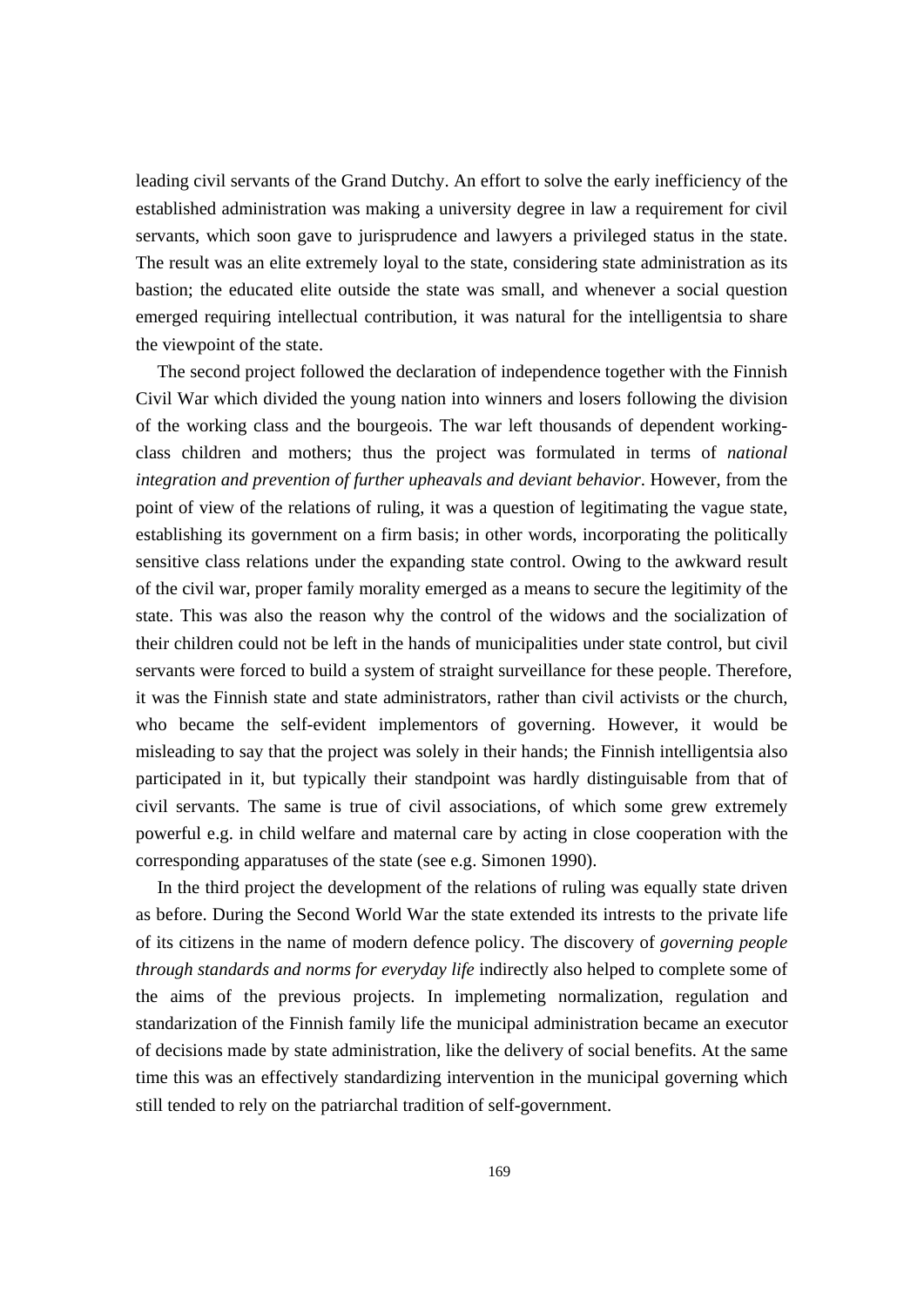leading civil servants of the Grand Dutchy. An effort to solve the early inefficiency of the established administration was making a university degree in law a requirement for civil servants, which soon gave to jurisprudence and lawyers a privileged status in the state. The result was an elite extremely loyal to the state, considering state administration as its bastion; the educated elite outside the state was small, and whenever a social question emerged requiring intellectual contribution, it was natural for the intelligentsia to share the viewpoint of the state.

 The second project followed the declaration of independence together with the Finnish Civil War which divided the young nation into winners and losers following the division of the working class and the bourgeois. The war left thousands of dependent workingclass children and mothers; thus the project was formulated in terms of *national integration and prevention of further upheavals and deviant behavior*. However, from the point of view of the relations of ruling, it was a question of legitimating the vague state, establishing its government on a firm basis; in other words, incorporating the politically sensitive class relations under the expanding state control. Owing to the awkward result of the civil war, proper family morality emerged as a means to secure the legitimity of the state. This was also the reason why the control of the widows and the socialization of their children could not be left in the hands of municipalities under state control, but civil servants were forced to build a system of straight surveillance for these people. Therefore, it was the Finnish state and state administrators, rather than civil activists or the church, who became the self-evident implementors of governing. However, it would be misleading to say that the project was solely in their hands; the Finnish intelligentsia also participated in it, but typically their standpoint was hardly distinguisable from that of civil servants. The same is true of civil associations, of which some grew extremely powerful e.g. in child welfare and maternal care by acting in close cooperation with the corresponding apparatuses of the state (see e.g. Simonen 1990).

 In the third project the development of the relations of ruling was equally state driven as before. During the Second World War the state extended its intrests to the private life of its citizens in the name of modern defence policy. The discovery of *governing people through standards and norms for everyday life* indirectly also helped to complete some of the aims of the previous projects. In implemeting normalization, regulation and standarization of the Finnish family life the municipal administration became an executor of decisions made by state administration, like the delivery of social benefits. At the same time this was an effectively standardizing intervention in the municipal governing which still tended to rely on the patriarchal tradition of self-government.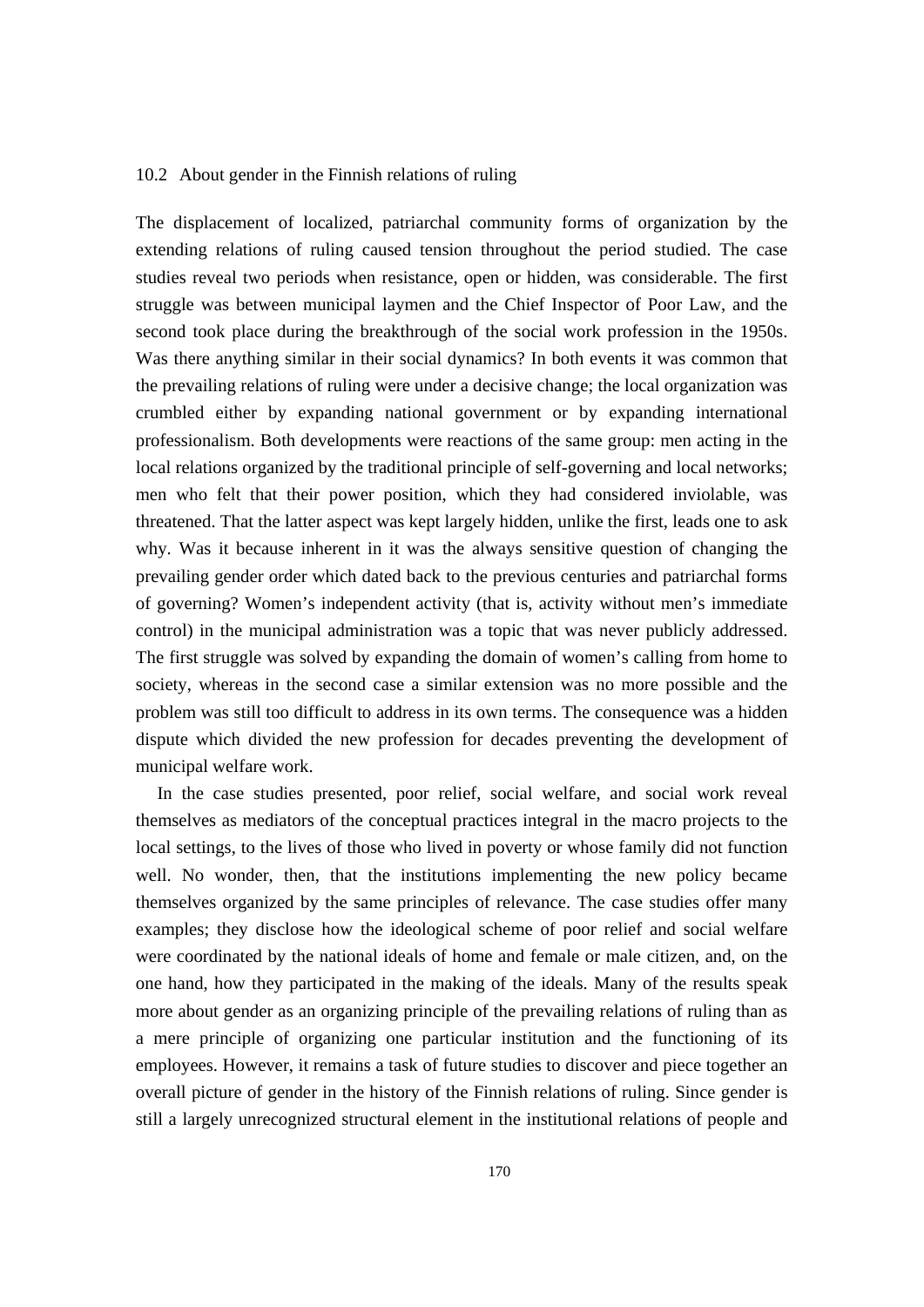#### 10.2 About gender in the Finnish relations of ruling

The displacement of localized, patriarchal community forms of organization by the extending relations of ruling caused tension throughout the period studied. The case studies reveal two periods when resistance, open or hidden, was considerable. The first struggle was between municipal laymen and the Chief Inspector of Poor Law, and the second took place during the breakthrough of the social work profession in the 1950s. Was there anything similar in their social dynamics? In both events it was common that the prevailing relations of ruling were under a decisive change; the local organization was crumbled either by expanding national government or by expanding international professionalism. Both developments were reactions of the same group: men acting in the local relations organized by the traditional principle of self-governing and local networks; men who felt that their power position, which they had considered inviolable, was threatened. That the latter aspect was kept largely hidden, unlike the first, leads one to ask why. Was it because inherent in it was the always sensitive question of changing the prevailing gender order which dated back to the previous centuries and patriarchal forms of governing? Women's independent activity (that is, activity without men's immediate control) in the municipal administration was a topic that was never publicly addressed. The first struggle was solved by expanding the domain of women's calling from home to society, whereas in the second case a similar extension was no more possible and the problem was still too difficult to address in its own terms. The consequence was a hidden dispute which divided the new profession for decades preventing the development of municipal welfare work.

 In the case studies presented, poor relief, social welfare, and social work reveal themselves as mediators of the conceptual practices integral in the macro projects to the local settings, to the lives of those who lived in poverty or whose family did not function well. No wonder, then, that the institutions implementing the new policy became themselves organized by the same principles of relevance. The case studies offer many examples; they disclose how the ideological scheme of poor relief and social welfare were coordinated by the national ideals of home and female or male citizen, and, on the one hand, how they participated in the making of the ideals. Many of the results speak more about gender as an organizing principle of the prevailing relations of ruling than as a mere principle of organizing one particular institution and the functioning of its employees. However, it remains a task of future studies to discover and piece together an overall picture of gender in the history of the Finnish relations of ruling. Since gender is still a largely unrecognized structural element in the institutional relations of people and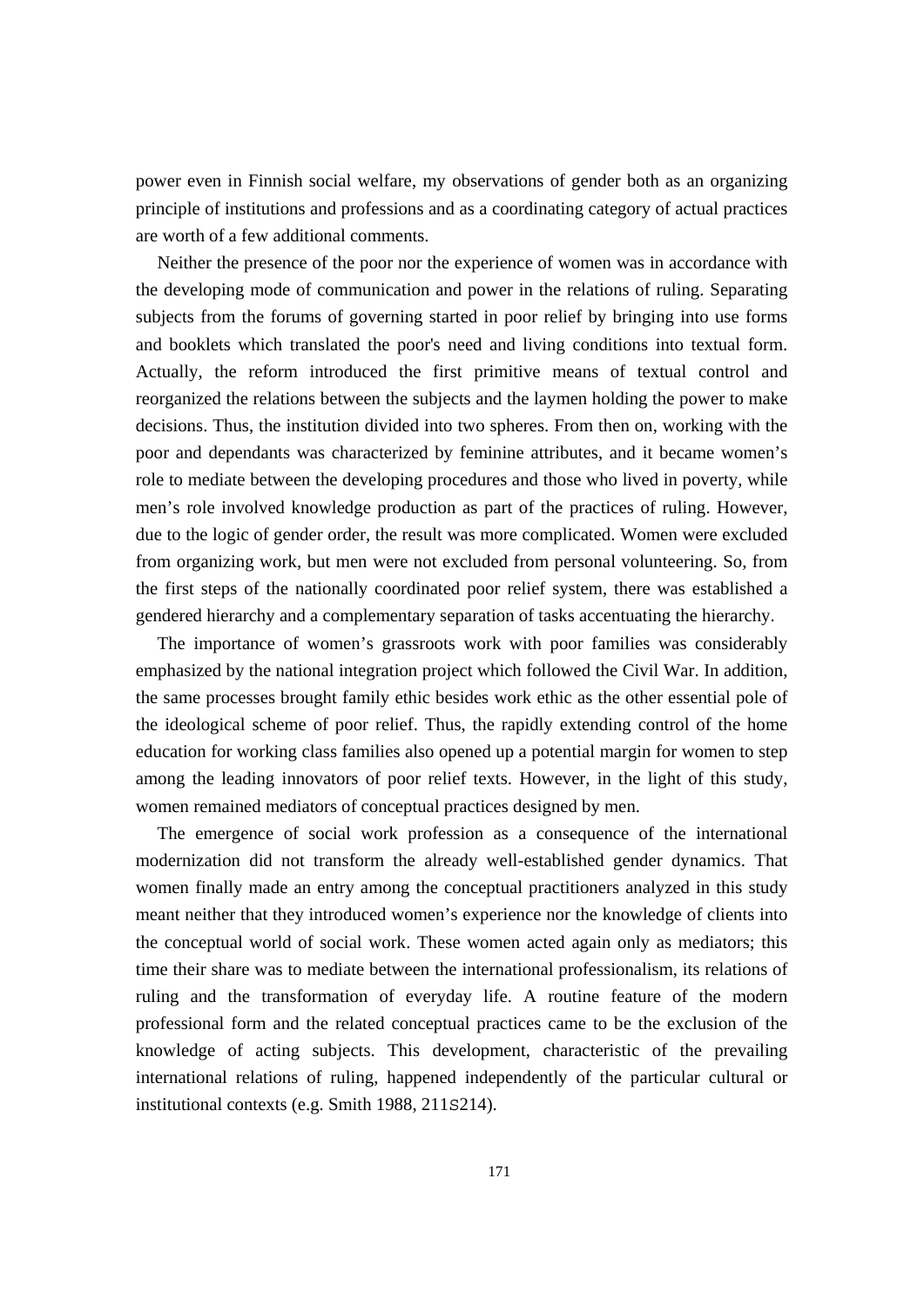power even in Finnish social welfare, my observations of gender both as an organizing principle of institutions and professions and as a coordinating category of actual practices are worth of a few additional comments.

 Neither the presence of the poor nor the experience of women was in accordance with the developing mode of communication and power in the relations of ruling. Separating subjects from the forums of governing started in poor relief by bringing into use forms and booklets which translated the poor's need and living conditions into textual form. Actually, the reform introduced the first primitive means of textual control and reorganized the relations between the subjects and the laymen holding the power to make decisions. Thus, the institution divided into two spheres. From then on, working with the poor and dependants was characterized by feminine attributes, and it became women's role to mediate between the developing procedures and those who lived in poverty, while men's role involved knowledge production as part of the practices of ruling. However, due to the logic of gender order, the result was more complicated. Women were excluded from organizing work, but men were not excluded from personal volunteering. So, from the first steps of the nationally coordinated poor relief system, there was established a gendered hierarchy and a complementary separation of tasks accentuating the hierarchy.

 The importance of women's grassroots work with poor families was considerably emphasized by the national integration project which followed the Civil War. In addition, the same processes brought family ethic besides work ethic as the other essential pole of the ideological scheme of poor relief. Thus, the rapidly extending control of the home education for working class families also opened up a potential margin for women to step among the leading innovators of poor relief texts. However, in the light of this study, women remained mediators of conceptual practices designed by men.

 The emergence of social work profession as a consequence of the international modernization did not transform the already well-established gender dynamics. That women finally made an entry among the conceptual practitioners analyzed in this study meant neither that they introduced women's experience nor the knowledge of clients into the conceptual world of social work. These women acted again only as mediators; this time their share was to mediate between the international professionalism, its relations of ruling and the transformation of everyday life. A routine feature of the modern professional form and the related conceptual practices came to be the exclusion of the knowledge of acting subjects. This development, characteristic of the prevailing international relations of ruling, happened independently of the particular cultural or institutional contexts (e.g. Smith 1988, 211S214).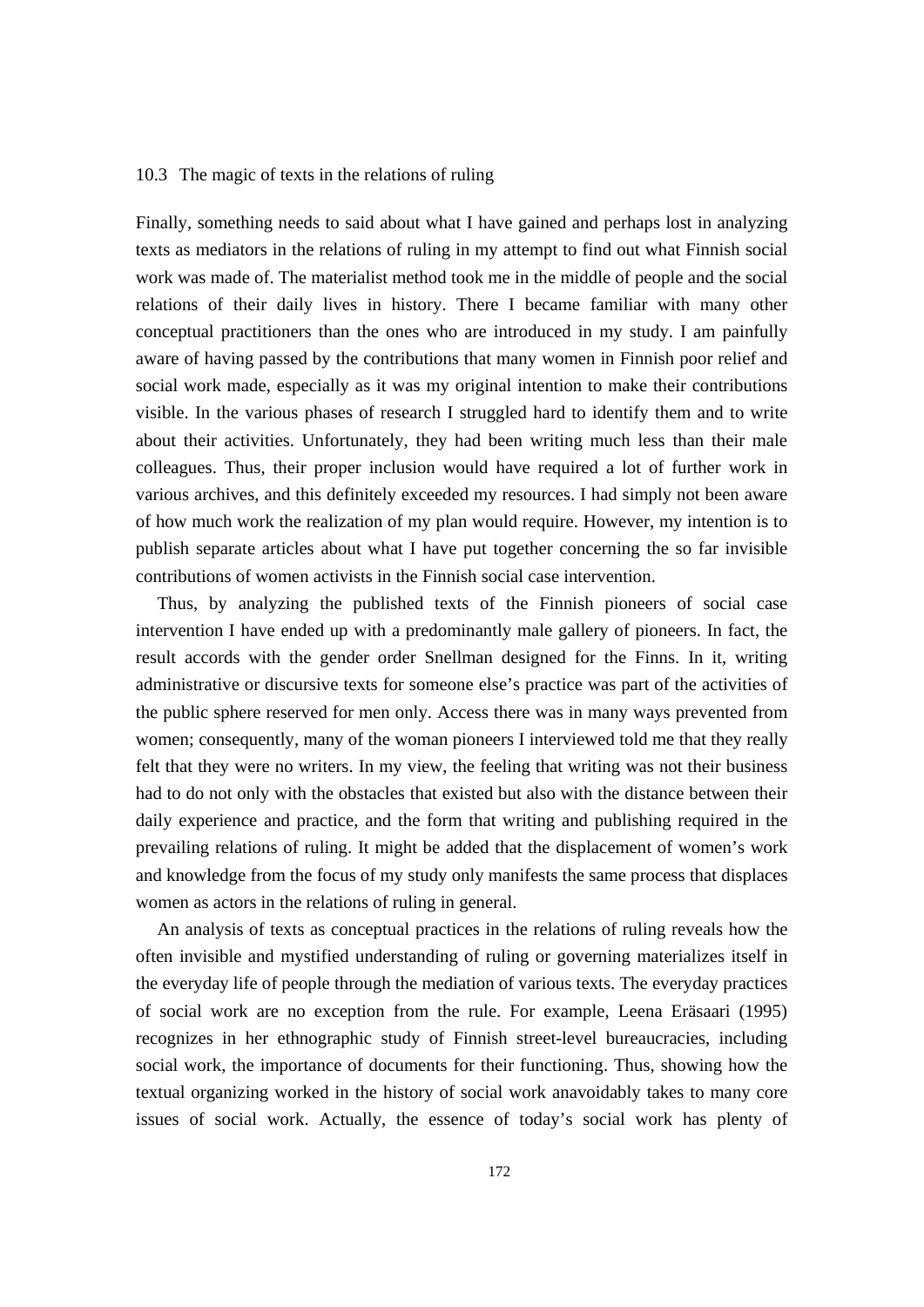#### 10.3 The magic of texts in the relations of ruling

Finally, something needs to said about what I have gained and perhaps lost in analyzing texts as mediators in the relations of ruling in my attempt to find out what Finnish social work was made of. The materialist method took me in the middle of people and the social relations of their daily lives in history. There I became familiar with many other conceptual practitioners than the ones who are introduced in my study. I am painfully aware of having passed by the contributions that many women in Finnish poor relief and social work made, especially as it was my original intention to make their contributions visible. In the various phases of research I struggled hard to identify them and to write about their activities. Unfortunately, they had been writing much less than their male colleagues. Thus, their proper inclusion would have required a lot of further work in various archives, and this definitely exceeded my resources. I had simply not been aware of how much work the realization of my plan would require. However, my intention is to publish separate articles about what I have put together concerning the so far invisible contributions of women activists in the Finnish social case intervention.

 Thus, by analyzing the published texts of the Finnish pioneers of social case intervention I have ended up with a predominantly male gallery of pioneers. In fact, the result accords with the gender order Snellman designed for the Finns. In it, writing administrative or discursive texts for someone else's practice was part of the activities of the public sphere reserved for men only. Access there was in many ways prevented from women; consequently, many of the woman pioneers I interviewed told me that they really felt that they were no writers. In my view, the feeling that writing was not their business had to do not only with the obstacles that existed but also with the distance between their daily experience and practice, and the form that writing and publishing required in the prevailing relations of ruling. It might be added that the displacement of women's work and knowledge from the focus of my study only manifests the same process that displaces women as actors in the relations of ruling in general.

 An analysis of texts as conceptual practices in the relations of ruling reveals how the often invisible and mystified understanding of ruling or governing materializes itself in the everyday life of people through the mediation of various texts. The everyday practices of social work are no exception from the rule. For example, Leena Eräsaari (1995) recognizes in her ethnographic study of Finnish street-level bureaucracies, including social work, the importance of documents for their functioning. Thus, showing how the textual organizing worked in the history of social work anavoidably takes to many core issues of social work. Actually, the essence of today's social work has plenty of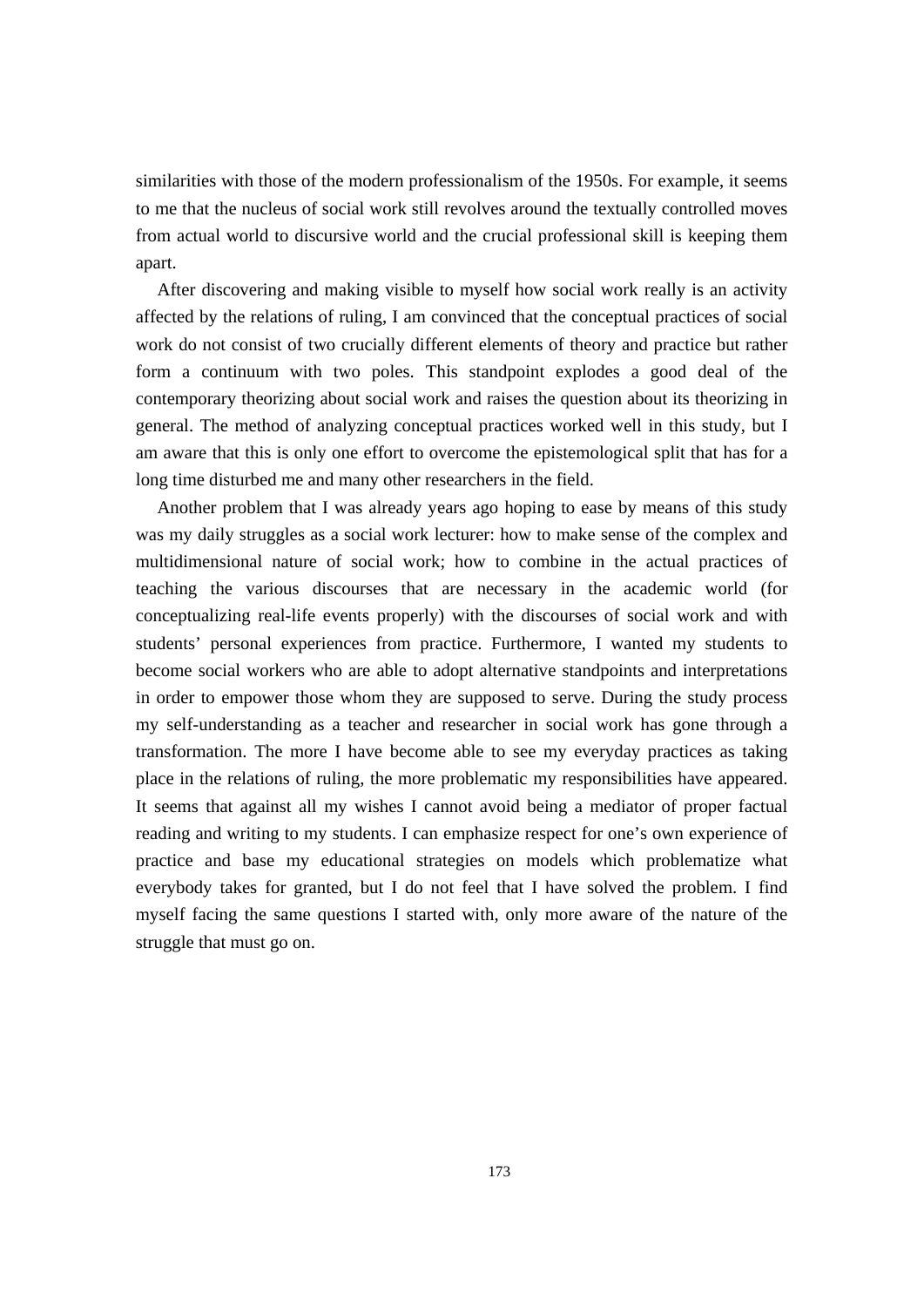similarities with those of the modern professionalism of the 1950s. For example, it seems to me that the nucleus of social work still revolves around the textually controlled moves from actual world to discursive world and the crucial professional skill is keeping them apart.

 After discovering and making visible to myself how social work really is an activity affected by the relations of ruling, I am convinced that the conceptual practices of social work do not consist of two crucially different elements of theory and practice but rather form a continuum with two poles. This standpoint explodes a good deal of the contemporary theorizing about social work and raises the question about its theorizing in general. The method of analyzing conceptual practices worked well in this study, but I am aware that this is only one effort to overcome the epistemological split that has for a long time disturbed me and many other researchers in the field.

 Another problem that I was already years ago hoping to ease by means of this study was my daily struggles as a social work lecturer: how to make sense of the complex and multidimensional nature of social work; how to combine in the actual practices of teaching the various discourses that are necessary in the academic world (for conceptualizing real-life events properly) with the discourses of social work and with students' personal experiences from practice. Furthermore, I wanted my students to become social workers who are able to adopt alternative standpoints and interpretations in order to empower those whom they are supposed to serve. During the study process my self-understanding as a teacher and researcher in social work has gone through a transformation. The more I have become able to see my everyday practices as taking place in the relations of ruling, the more problematic my responsibilities have appeared. It seems that against all my wishes I cannot avoid being a mediator of proper factual reading and writing to my students. I can emphasize respect for one's own experience of practice and base my educational strategies on models which problematize what everybody takes for granted, but I do not feel that I have solved the problem. I find myself facing the same questions I started with, only more aware of the nature of the struggle that must go on.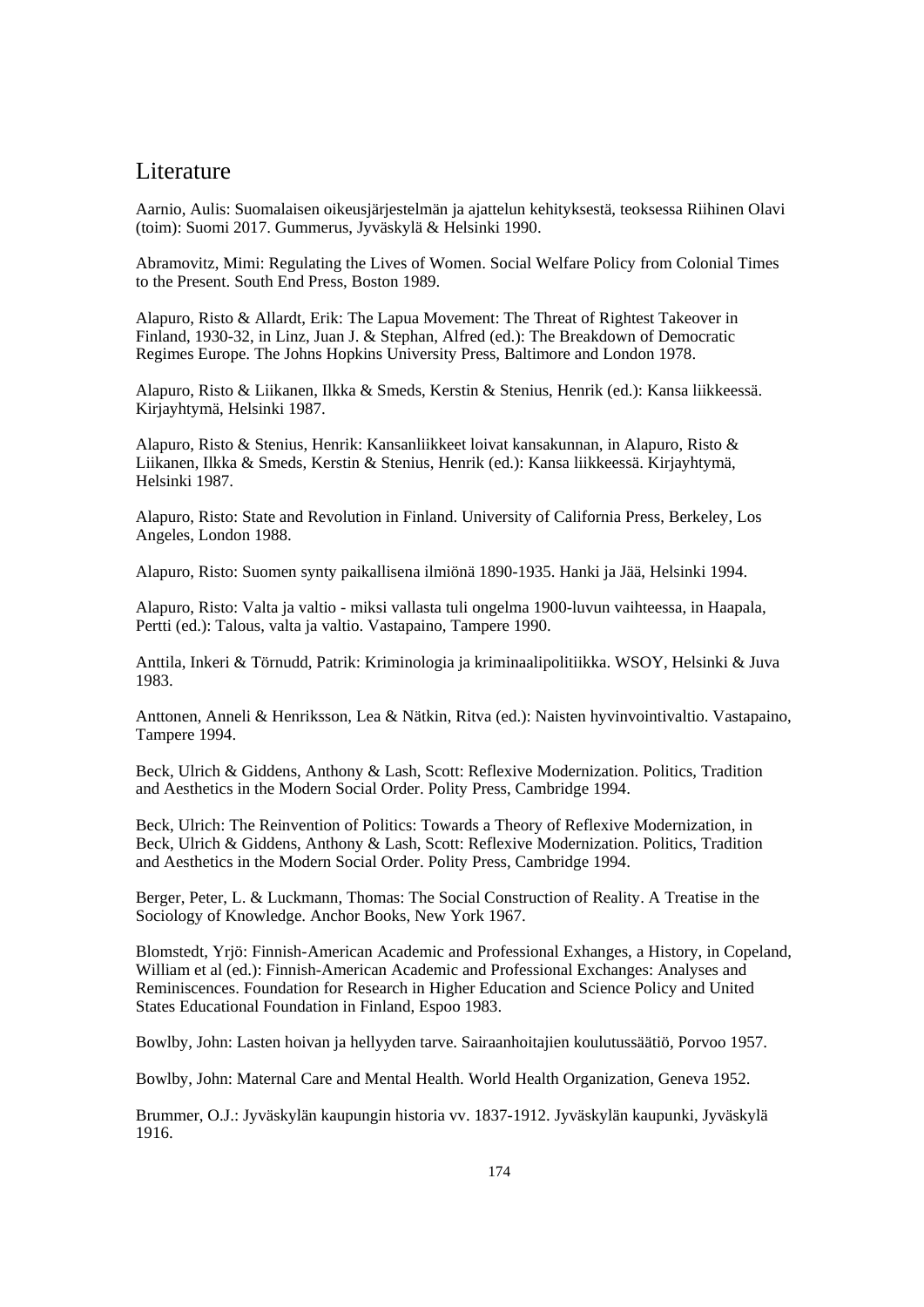# Literature

Aarnio, Aulis: Suomalaisen oikeusjärjestelmän ja ajattelun kehityksestä, teoksessa Riihinen Olavi (toim): Suomi 2017. Gummerus, Jyväskylä & Helsinki 1990.

Abramovitz, Mimi: Regulating the Lives of Women. Social Welfare Policy from Colonial Times to the Present. South End Press, Boston 1989.

Alapuro, Risto & Allardt, Erik: The Lapua Movement: The Threat of Rightest Takeover in Finland, 1930-32, in Linz, Juan J. & Stephan, Alfred (ed.): The Breakdown of Democratic Regimes Europe. The Johns Hopkins University Press, Baltimore and London 1978.

Alapuro, Risto & Liikanen, Ilkka & Smeds, Kerstin & Stenius, Henrik (ed.): Kansa liikkeessä. Kirjayhtymä, Helsinki 1987.

Alapuro, Risto & Stenius, Henrik: Kansanliikkeet loivat kansakunnan, in Alapuro, Risto & Liikanen, Ilkka & Smeds, Kerstin & Stenius, Henrik (ed.): Kansa liikkeessä. Kirjayhtymä, Helsinki 1987.

Alapuro, Risto: State and Revolution in Finland. University of California Press, Berkeley, Los Angeles, London 1988.

Alapuro, Risto: Suomen synty paikallisena ilmiönä 1890-1935. Hanki ja Jää, Helsinki 1994.

Alapuro, Risto: Valta ja valtio - miksi vallasta tuli ongelma 1900-luvun vaihteessa, in Haapala, Pertti (ed.): Talous, valta ja valtio. Vastapaino, Tampere 1990.

Anttila, Inkeri & Törnudd, Patrik: Kriminologia ja kriminaalipolitiikka. WSOY, Helsinki & Juva 1983.

Anttonen, Anneli & Henriksson, Lea & Nätkin, Ritva (ed.): Naisten hyvinvointivaltio. Vastapaino, Tampere 1994.

Beck, Ulrich & Giddens, Anthony & Lash, Scott: Reflexive Modernization. Politics, Tradition and Aesthetics in the Modern Social Order. Polity Press, Cambridge 1994.

Beck, Ulrich: The Reinvention of Politics: Towards a Theory of Reflexive Modernization, in Beck, Ulrich & Giddens, Anthony & Lash, Scott: Reflexive Modernization. Politics, Tradition and Aesthetics in the Modern Social Order. Polity Press, Cambridge 1994.

Berger, Peter, L. & Luckmann, Thomas: The Social Construction of Reality. A Treatise in the Sociology of Knowledge. Anchor Books, New York 1967.

Blomstedt, Yrjö: Finnish-American Academic and Professional Exhanges, a History, in Copeland, William et al (ed.): Finnish-American Academic and Professional Exchanges: Analyses and Reminiscences. Foundation for Research in Higher Education and Science Policy and United States Educational Foundation in Finland, Espoo 1983.

Bowlby, John: Lasten hoivan ja hellyyden tarve. Sairaanhoitajien koulutussäätiö, Porvoo 1957.

Bowlby, John: Maternal Care and Mental Health. World Health Organization, Geneva 1952.

Brummer, O.J.: Jyväskylän kaupungin historia vv. 1837-1912. Jyväskylän kaupunki, Jyväskylä 1916.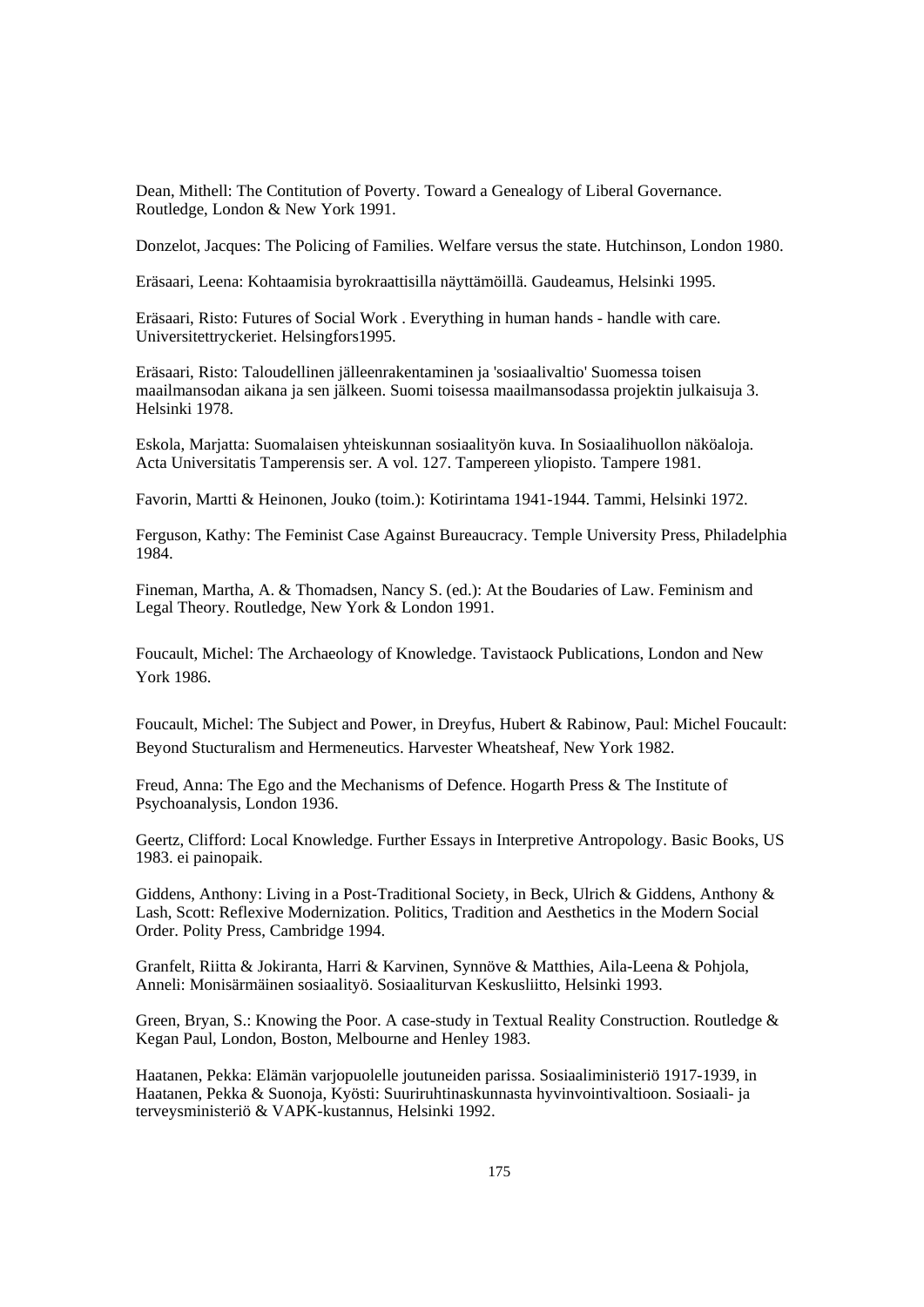Dean, Mithell: The Contitution of Poverty. Toward a Genealogy of Liberal Governance. Routledge, London & New York 1991.

Donzelot, Jacques: The Policing of Families. Welfare versus the state. Hutchinson, London 1980.

Eräsaari, Leena: Kohtaamisia byrokraattisilla näyttämöillä. Gaudeamus, Helsinki 1995.

Eräsaari, Risto: Futures of Social Work . Everything in human hands - handle with care. Universitettryckeriet. Helsingfors1995.

Eräsaari, Risto: Taloudellinen jälleenrakentaminen ja 'sosiaalivaltio' Suomessa toisen maailmansodan aikana ja sen jälkeen. Suomi toisessa maailmansodassa projektin julkaisuja 3. Helsinki 1978.

Eskola, Marjatta: Suomalaisen yhteiskunnan sosiaalityön kuva. In Sosiaalihuollon näköaloja. Acta Universitatis Tamperensis ser. A vol. 127. Tampereen yliopisto. Tampere 1981.

Favorin, Martti & Heinonen, Jouko (toim.): Kotirintama 1941-1944. Tammi, Helsinki 1972.

Ferguson, Kathy: The Feminist Case Against Bureaucracy. Temple University Press, Philadelphia 1984.

Fineman, Martha, A. & Thomadsen, Nancy S. (ed.): At the Boudaries of Law. Feminism and Legal Theory. Routledge, New York & London 1991.

Foucault, Michel: The Archaeology of Knowledge. Tavistaock Publications, London and New York 1986.

Foucault, Michel: The Subject and Power, in Dreyfus, Hubert & Rabinow, Paul: Michel Foucault: Beyond Stucturalism and Hermeneutics. Harvester Wheatsheaf, New York 1982.

Freud, Anna: The Ego and the Mechanisms of Defence. Hogarth Press & The Institute of Psychoanalysis, London 1936.

Geertz, Clifford: Local Knowledge. Further Essays in Interpretive Antropology. Basic Books, US 1983. ei painopaik.

Giddens, Anthony: Living in a Post-Traditional Society, in Beck, Ulrich & Giddens, Anthony & Lash, Scott: Reflexive Modernization. Politics, Tradition and Aesthetics in the Modern Social Order. Polity Press, Cambridge 1994.

Granfelt, Riitta & Jokiranta, Harri & Karvinen, Synnöve & Matthies, Aila-Leena & Pohjola, Anneli: Monisärmäinen sosiaalityö. Sosiaaliturvan Keskusliitto, Helsinki 1993.

Green, Bryan, S.: Knowing the Poor. A case-study in Textual Reality Construction. Routledge & Kegan Paul, London, Boston, Melbourne and Henley 1983.

Haatanen, Pekka: Elämän varjopuolelle joutuneiden parissa. Sosiaaliministeriö 1917-1939, in Haatanen, Pekka & Suonoja, Kyösti: Suuriruhtinaskunnasta hyvinvointivaltioon. Sosiaali- ja terveysministeriö & VAPK-kustannus, Helsinki 1992.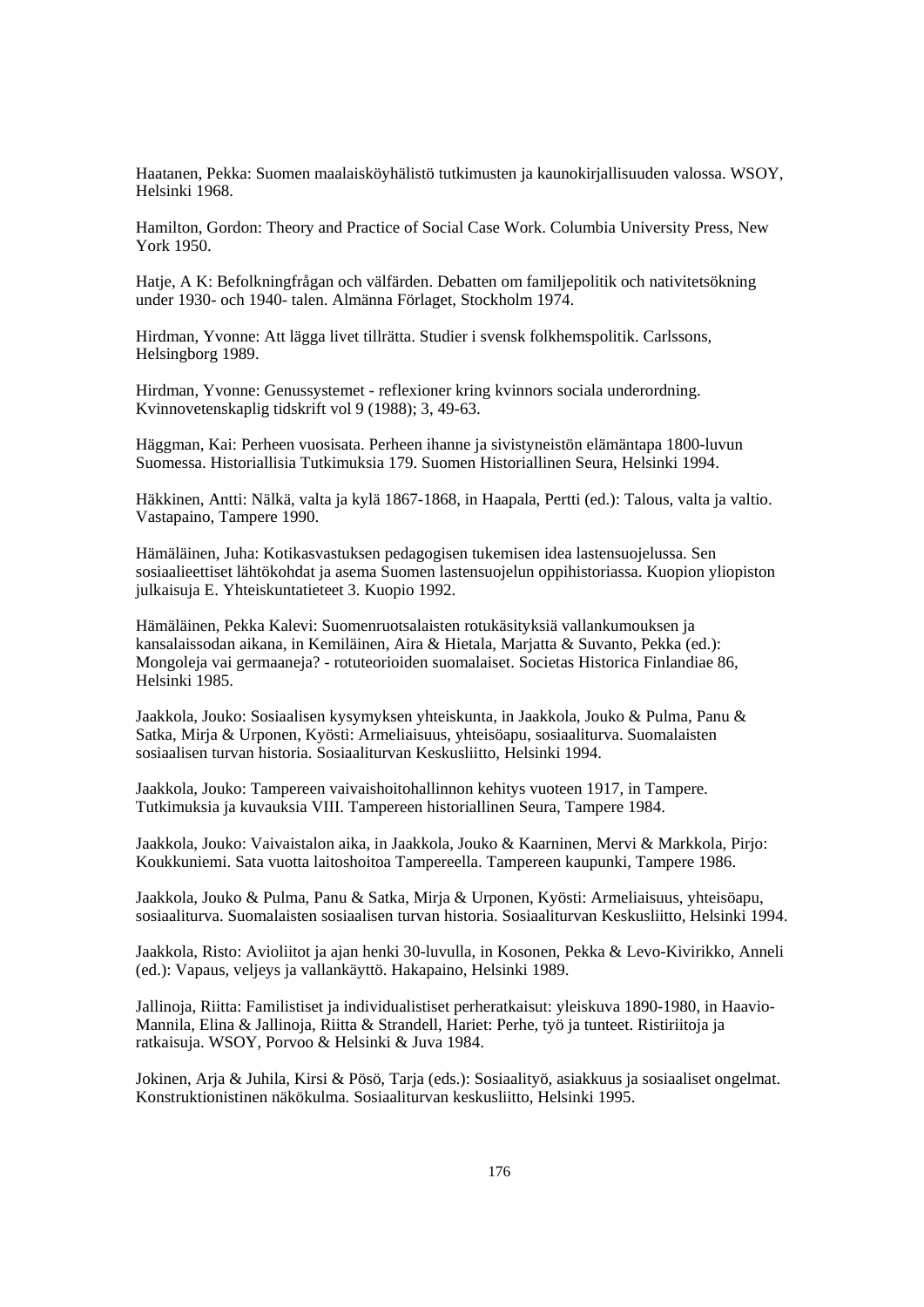Haatanen, Pekka: Suomen maalaisköyhälistö tutkimusten ja kaunokirjallisuuden valossa. WSOY, Helsinki 1968.

Hamilton, Gordon: Theory and Practice of Social Case Work. Columbia University Press, New York 1950.

Hatje, A K: Befolkningfrågan och välfärden. Debatten om familjepolitik och nativitetsökning under 1930- och 1940- talen. Almänna Förlaget, Stockholm 1974.

Hirdman, Yvonne: Att lägga livet tillrätta. Studier i svensk folkhemspolitik. Carlssons, Helsingborg 1989.

Hirdman, Yvonne: Genussystemet - reflexioner kring kvinnors sociala underordning. Kvinnovetenskaplig tidskrift vol 9 (1988); 3, 49-63.

Häggman, Kai: Perheen vuosisata. Perheen ihanne ja sivistyneistön elämäntapa 1800-luvun Suomessa. Historiallisia Tutkimuksia 179. Suomen Historiallinen Seura, Helsinki 1994.

Häkkinen, Antti: Nälkä, valta ja kylä 1867-1868, in Haapala, Pertti (ed.): Talous, valta ja valtio. Vastapaino, Tampere 1990.

Hämäläinen, Juha: Kotikasvastuksen pedagogisen tukemisen idea lastensuojelussa. Sen sosiaalieettiset lähtökohdat ja asema Suomen lastensuojelun oppihistoriassa. Kuopion yliopiston julkaisuja E. Yhteiskuntatieteet 3. Kuopio 1992.

Hämäläinen, Pekka Kalevi: Suomenruotsalaisten rotukäsityksiä vallankumouksen ja kansalaissodan aikana, in Kemiläinen, Aira & Hietala, Marjatta & Suvanto, Pekka (ed.): Mongoleja vai germaaneja? - rotuteorioiden suomalaiset. Societas Historica Finlandiae 86, Helsinki 1985.

Jaakkola, Jouko: Sosiaalisen kysymyksen yhteiskunta, in Jaakkola, Jouko & Pulma, Panu & Satka, Mirja & Urponen, Kyösti: Armeliaisuus, yhteisöapu, sosiaaliturva. Suomalaisten sosiaalisen turvan historia. Sosiaaliturvan Keskusliitto, Helsinki 1994.

Jaakkola, Jouko: Tampereen vaivaishoitohallinnon kehitys vuoteen 1917, in Tampere. Tutkimuksia ja kuvauksia VIII. Tampereen historiallinen Seura, Tampere 1984.

Jaakkola, Jouko: Vaivaistalon aika, in Jaakkola, Jouko & Kaarninen, Mervi & Markkola, Pirjo: Koukkuniemi. Sata vuotta laitoshoitoa Tampereella. Tampereen kaupunki, Tampere 1986.

Jaakkola, Jouko & Pulma, Panu & Satka, Mirja & Urponen, Kyösti: Armeliaisuus, yhteisöapu, sosiaaliturva. Suomalaisten sosiaalisen turvan historia. Sosiaaliturvan Keskusliitto, Helsinki 1994.

Jaakkola, Risto: Avioliitot ja ajan henki 30-luvulla, in Kosonen, Pekka & Levo-Kivirikko, Anneli (ed.): Vapaus, veljeys ja vallankäyttö. Hakapaino, Helsinki 1989.

Jallinoja, Riitta: Familistiset ja individualistiset perheratkaisut: yleiskuva 1890-1980, in Haavio-Mannila, Elina & Jallinoja, Riitta & Strandell, Hariet: Perhe, työ ja tunteet. Ristiriitoja ja ratkaisuja. WSOY, Porvoo & Helsinki & Juva 1984.

Jokinen, Arja & Juhila, Kirsi & Pösö, Tarja (eds.): Sosiaalityö, asiakkuus ja sosiaaliset ongelmat. Konstruktionistinen näkökulma. Sosiaaliturvan keskusliitto, Helsinki 1995.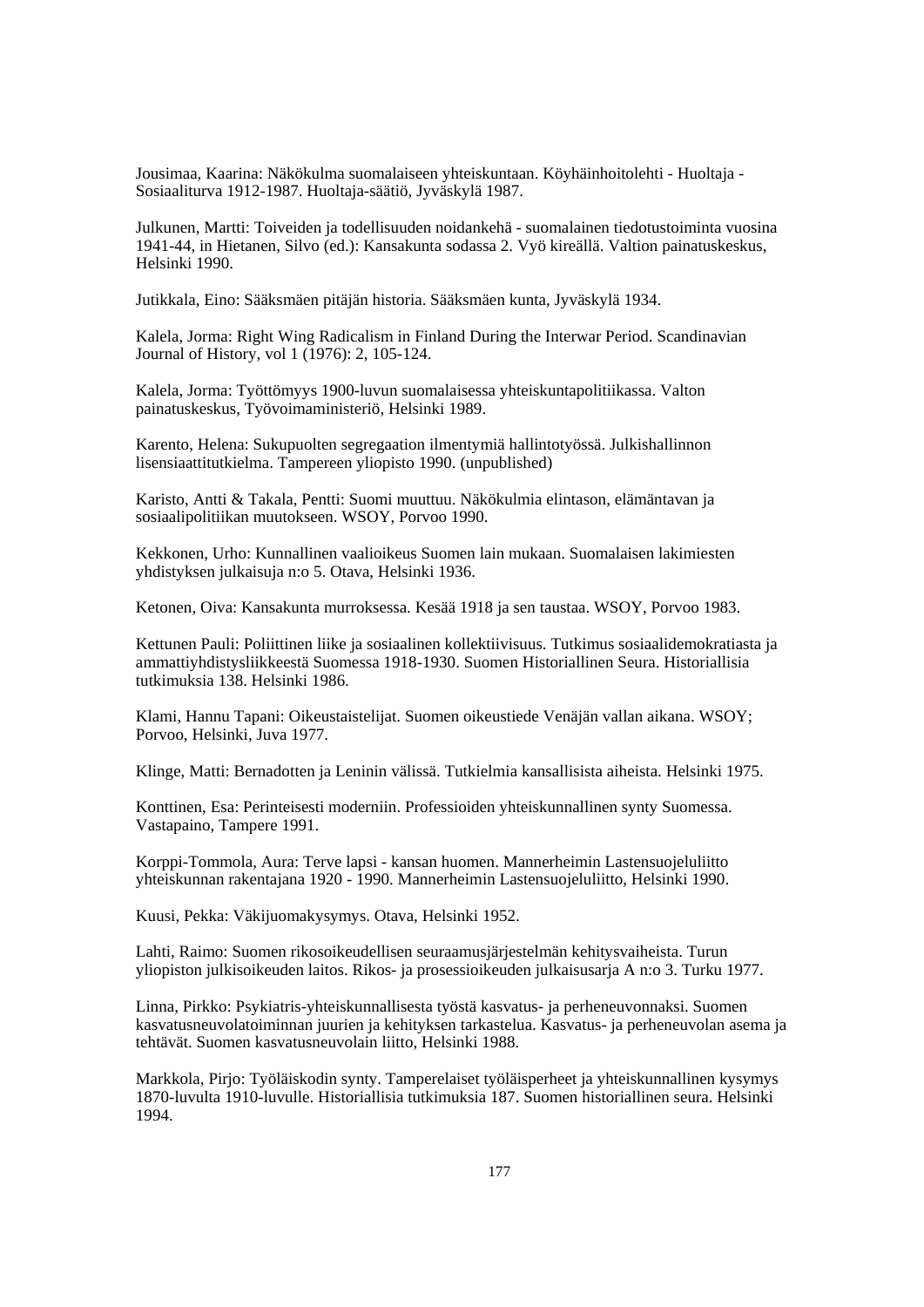Jousimaa, Kaarina: Näkökulma suomalaiseen yhteiskuntaan. Köyhäinhoitolehti - Huoltaja - Sosiaaliturva 1912-1987. Huoltaja-säätiö, Jyväskylä 1987.

Julkunen, Martti: Toiveiden ja todellisuuden noidankehä - suomalainen tiedotustoiminta vuosina 1941-44, in Hietanen, Silvo (ed.): Kansakunta sodassa 2. Vyö kireällä. Valtion painatuskeskus, Helsinki 1990.

Jutikkala, Eino: Sääksmäen pitäjän historia. Sääksmäen kunta, Jyväskylä 1934.

Kalela, Jorma: Right Wing Radicalism in Finland During the Interwar Period. Scandinavian Journal of History, vol 1 (1976): 2, 105-124.

Kalela, Jorma: Työttömyys 1900-luvun suomalaisessa yhteiskuntapolitiikassa. Valton painatuskeskus, Työvoimaministeriö, Helsinki 1989.

Karento, Helena: Sukupuolten segregaation ilmentymiä hallintotyössä. Julkishallinnon lisensiaattitutkielma. Tampereen yliopisto 1990. (unpublished)

Karisto, Antti & Takala, Pentti: Suomi muuttuu. Näkökulmia elintason, elämäntavan ja sosiaalipolitiikan muutokseen. WSOY, Porvoo 1990.

Kekkonen, Urho: Kunnallinen vaalioikeus Suomen lain mukaan. Suomalaisen lakimiesten yhdistyksen julkaisuja n:o 5. Otava, Helsinki 1936.

Ketonen, Oiva: Kansakunta murroksessa. Kesää 1918 ja sen taustaa. WSOY, Porvoo 1983.

Kettunen Pauli: Poliittinen liike ja sosiaalinen kollektiivisuus. Tutkimus sosiaalidemokratiasta ja ammattiyhdistysliikkeestä Suomessa 1918-1930. Suomen Historiallinen Seura. Historiallisia tutkimuksia 138. Helsinki 1986.

Klami, Hannu Tapani: Oikeustaistelijat. Suomen oikeustiede Venäjän vallan aikana. WSOY; Porvoo, Helsinki, Juva 1977.

Klinge, Matti: Bernadotten ja Leninin välissä. Tutkielmia kansallisista aiheista. Helsinki 1975.

Konttinen, Esa: Perinteisesti moderniin. Professioiden yhteiskunnallinen synty Suomessa. Vastapaino, Tampere 1991.

Korppi-Tommola, Aura: Terve lapsi - kansan huomen. Mannerheimin Lastensuojeluliitto yhteiskunnan rakentajana 1920 - 1990. Mannerheimin Lastensuojeluliitto, Helsinki 1990.

Kuusi, Pekka: Väkijuomakysymys. Otava, Helsinki 1952.

Lahti, Raimo: Suomen rikosoikeudellisen seuraamusjärjestelmän kehitysvaiheista. Turun yliopiston julkisoikeuden laitos. Rikos- ja prosessioikeuden julkaisusarja A n:o 3. Turku 1977.

Linna, Pirkko: Psykiatris-yhteiskunnallisesta työstä kasvatus- ja perheneuvonnaksi. Suomen kasvatusneuvolatoiminnan juurien ja kehityksen tarkastelua. Kasvatus- ja perheneuvolan asema ja tehtävät. Suomen kasvatusneuvolain liitto, Helsinki 1988.

Markkola, Pirjo: Työläiskodin synty. Tamperelaiset työläisperheet ja yhteiskunnallinen kysymys 1870-luvulta 1910-luvulle. Historiallisia tutkimuksia 187. Suomen historiallinen seura. Helsinki 1994.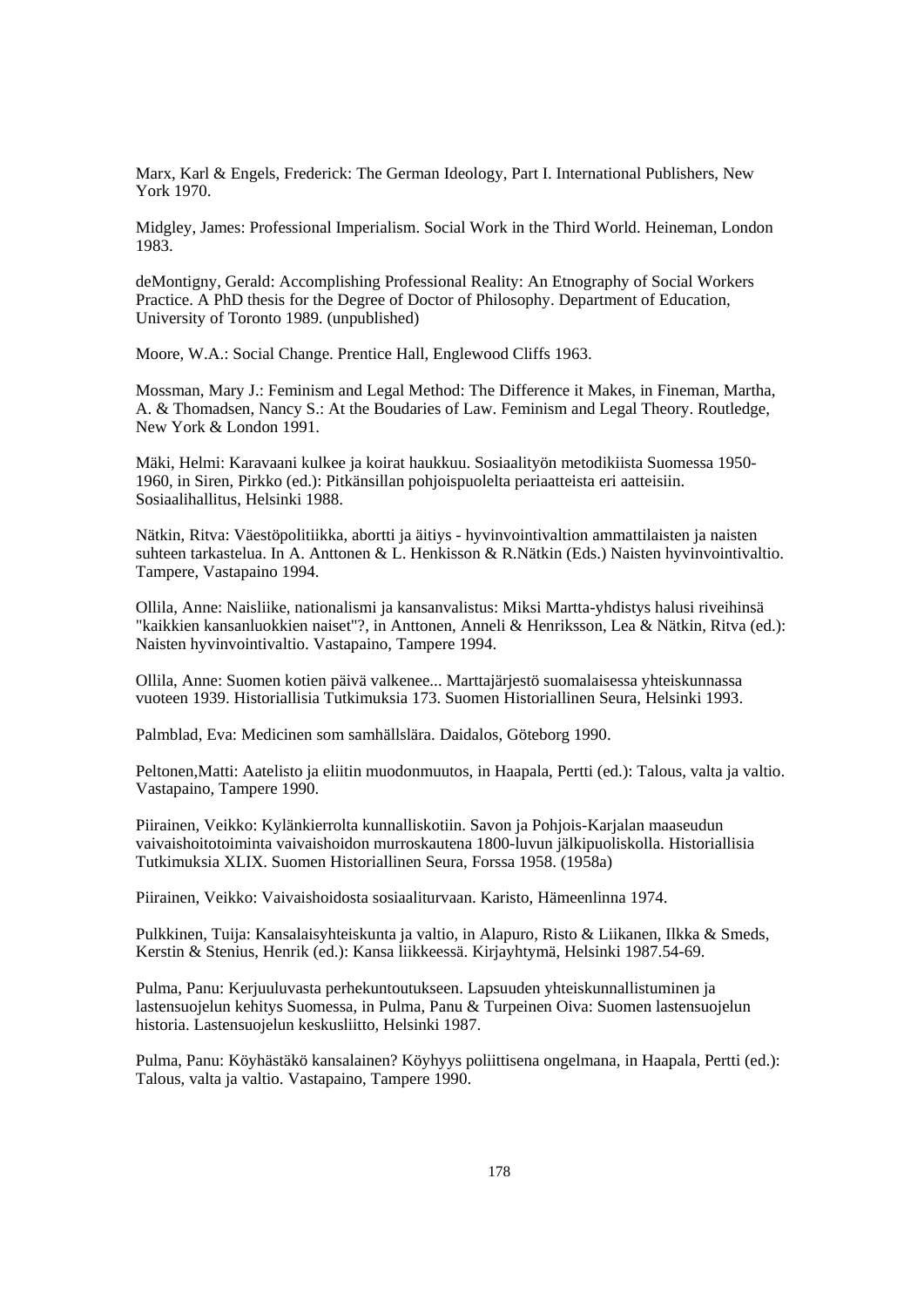Marx, Karl & Engels, Frederick: The German Ideology, Part I. International Publishers, New York 1970.

Midgley, James: Professional Imperialism. Social Work in the Third World. Heineman, London 1983.

deMontigny, Gerald: Accomplishing Professional Reality: An Etnography of Social Workers Practice. A PhD thesis for the Degree of Doctor of Philosophy. Department of Education, University of Toronto 1989. (unpublished)

Moore, W.A.: Social Change. Prentice Hall, Englewood Cliffs 1963.

Mossman, Mary J.: Feminism and Legal Method: The Difference it Makes, in Fineman, Martha, A. & Thomadsen, Nancy S.: At the Boudaries of Law. Feminism and Legal Theory. Routledge, New York & London 1991.

Mäki, Helmi: Karavaani kulkee ja koirat haukkuu. Sosiaalityön metodikiista Suomessa 1950- 1960, in Siren, Pirkko (ed.): Pitkänsillan pohjoispuolelta periaatteista eri aatteisiin. Sosiaalihallitus, Helsinki 1988.

Nätkin, Ritva: Väestöpolitiikka, abortti ja äitiys - hyvinvointivaltion ammattilaisten ja naisten suhteen tarkastelua. In A. Anttonen & L. Henkisson & R.Nätkin (Eds.) Naisten hyvinvointivaltio. Tampere, Vastapaino 1994.

Ollila, Anne: Naisliike, nationalismi ja kansanvalistus: Miksi Martta-yhdistys halusi riveihinsä "kaikkien kansanluokkien naiset"?, in Anttonen, Anneli & Henriksson, Lea & Nätkin, Ritva (ed.): Naisten hyvinvointivaltio. Vastapaino, Tampere 1994.

Ollila, Anne: Suomen kotien päivä valkenee... Marttajärjestö suomalaisessa yhteiskunnassa vuoteen 1939. Historiallisia Tutkimuksia 173. Suomen Historiallinen Seura, Helsinki 1993.

Palmblad, Eva: Medicinen som samhällslära. Daidalos, Göteborg 1990.

Peltonen,Matti: Aatelisto ja eliitin muodonmuutos, in Haapala, Pertti (ed.): Talous, valta ja valtio. Vastapaino, Tampere 1990.

Piirainen, Veikko: Kylänkierrolta kunnalliskotiin. Savon ja Pohjois-Karjalan maaseudun vaivaishoitotoiminta vaivaishoidon murroskautena 1800-luvun jälkipuoliskolla. Historiallisia Tutkimuksia XLIX. Suomen Historiallinen Seura, Forssa 1958. (1958a)

Piirainen, Veikko: Vaivaishoidosta sosiaaliturvaan. Karisto, Hämeenlinna 1974.

Pulkkinen, Tuija: Kansalaisyhteiskunta ja valtio, in Alapuro, Risto & Liikanen, Ilkka & Smeds, Kerstin & Stenius, Henrik (ed.): Kansa liikkeessä. Kirjayhtymä, Helsinki 1987.54-69.

Pulma, Panu: Kerjuuluvasta perhekuntoutukseen. Lapsuuden yhteiskunnallistuminen ja lastensuojelun kehitys Suomessa, in Pulma, Panu & Turpeinen Oiva: Suomen lastensuojelun historia. Lastensuojelun keskusliitto, Helsinki 1987.

Pulma, Panu: Köyhästäkö kansalainen? Köyhyys poliittisena ongelmana, in Haapala, Pertti (ed.): Talous, valta ja valtio. Vastapaino, Tampere 1990.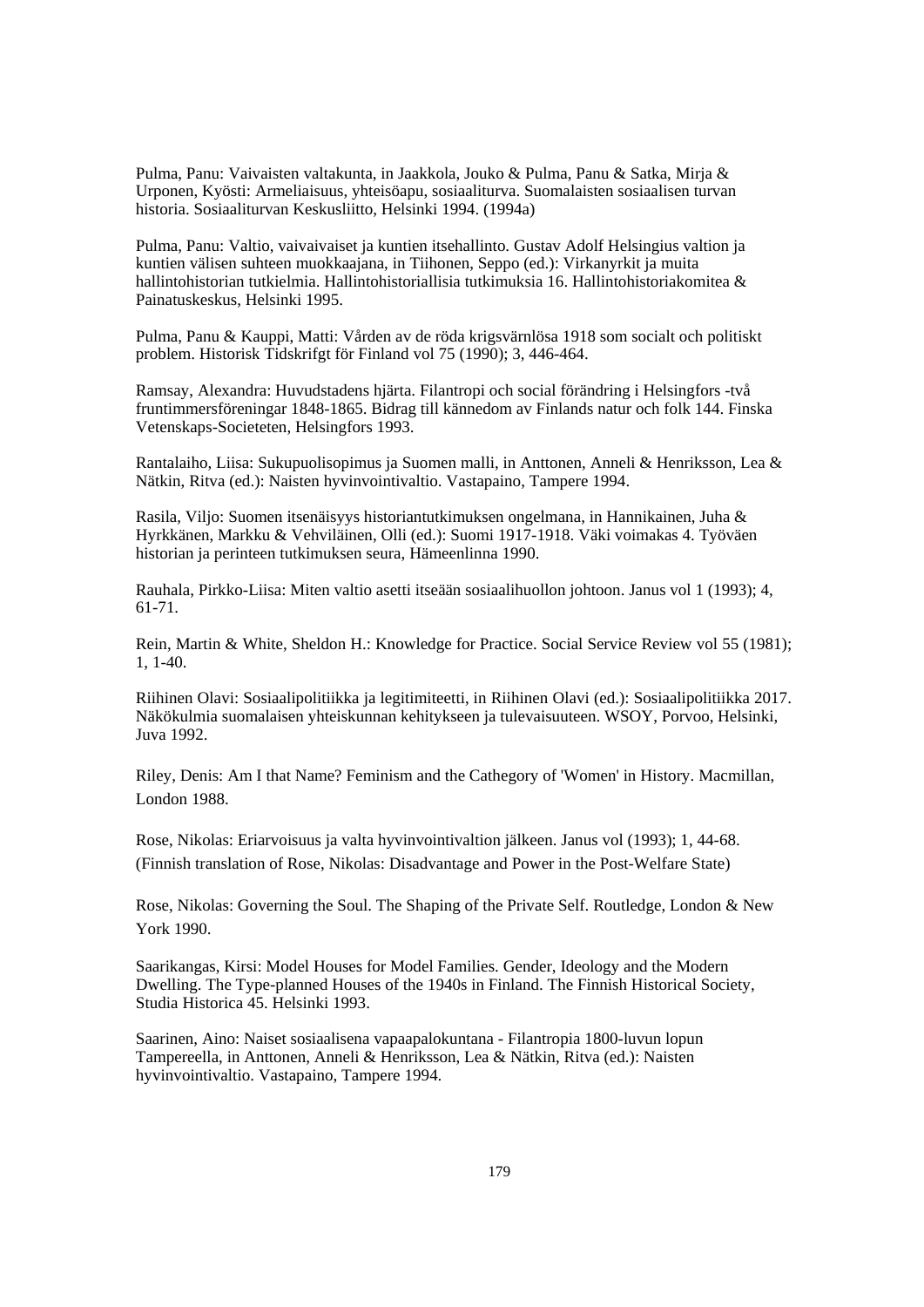Pulma, Panu: Vaivaisten valtakunta, in Jaakkola, Jouko & Pulma, Panu & Satka, Mirja & Urponen, Kyösti: Armeliaisuus, yhteisöapu, sosiaaliturva. Suomalaisten sosiaalisen turvan historia. Sosiaaliturvan Keskusliitto, Helsinki 1994. (1994a)

Pulma, Panu: Valtio, vaivaivaiset ja kuntien itsehallinto. Gustav Adolf Helsingius valtion ja kuntien välisen suhteen muokkaajana, in Tiihonen, Seppo (ed.): Virkanyrkit ja muita hallintohistorian tutkielmia. Hallintohistoriallisia tutkimuksia 16. Hallintohistoriakomitea & Painatuskeskus, Helsinki 1995.

Pulma, Panu & Kauppi, Matti: Vården av de röda krigsvärnlösa 1918 som socialt och politiskt problem. Historisk Tidskrifgt för Finland vol 75 (1990); 3, 446-464.

Ramsay, Alexandra: Huvudstadens hjärta. Filantropi och social förändring i Helsingfors -två fruntimmersföreningar 1848-1865. Bidrag till kännedom av Finlands natur och folk 144. Finska Vetenskaps-Societeten, Helsingfors 1993.

Rantalaiho, Liisa: Sukupuolisopimus ja Suomen malli, in Anttonen, Anneli & Henriksson, Lea & Nätkin, Ritva (ed.): Naisten hyvinvointivaltio. Vastapaino, Tampere 1994.

Rasila, Viljo: Suomen itsenäisyys historiantutkimuksen ongelmana, in Hannikainen, Juha & Hyrkkänen, Markku & Vehviläinen, Olli (ed.): Suomi 1917-1918. Väki voimakas 4. Työväen historian ja perinteen tutkimuksen seura, Hämeenlinna 1990.

Rauhala, Pirkko-Liisa: Miten valtio asetti itseään sosiaalihuollon johtoon. Janus vol 1 (1993); 4, 61-71.

Rein, Martin & White, Sheldon H.: Knowledge for Practice. Social Service Review vol 55 (1981); 1, 1-40.

Riihinen Olavi: Sosiaalipolitiikka ja legitimiteetti, in Riihinen Olavi (ed.): Sosiaalipolitiikka 2017. Näkökulmia suomalaisen yhteiskunnan kehitykseen ja tulevaisuuteen. WSOY, Porvoo, Helsinki, Juva 1992.

Riley, Denis: Am I that Name? Feminism and the Cathegory of 'Women' in History. Macmillan, London 1988.

Rose, Nikolas: Eriarvoisuus ja valta hyvinvointivaltion jälkeen. Janus vol (1993); 1, 44-68. (Finnish translation of Rose, Nikolas: Disadvantage and Power in the Post-Welfare State)

Rose, Nikolas: Governing the Soul. The Shaping of the Private Self. Routledge, London & New York 1990.

Saarikangas, Kirsi: Model Houses for Model Families. Gender, Ideology and the Modern Dwelling. The Type-planned Houses of the 1940s in Finland. The Finnish Historical Society, Studia Historica 45. Helsinki 1993.

Saarinen, Aino: Naiset sosiaalisena vapaapalokuntana - Filantropia 1800-luvun lopun Tampereella, in Anttonen, Anneli & Henriksson, Lea & Nätkin, Ritva (ed.): Naisten hyvinvointivaltio. Vastapaino, Tampere 1994.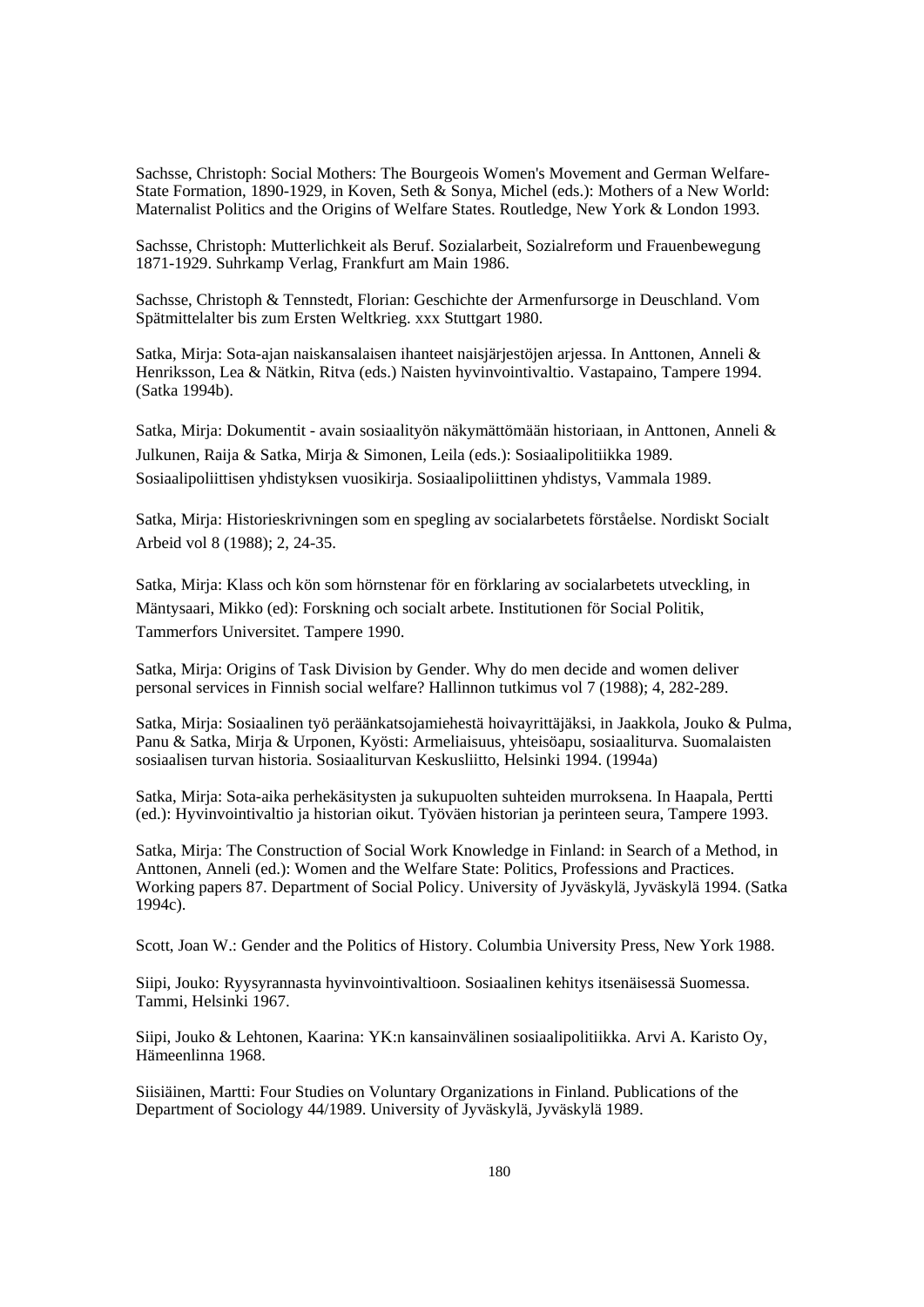Sachsse, Christoph: Social Mothers: The Bourgeois Women's Movement and German Welfare-State Formation, 1890-1929, in Koven, Seth & Sonya, Michel (eds.): Mothers of a New World: Maternalist Politics and the Origins of Welfare States. Routledge, New York & London 1993.

Sachsse, Christoph: Mutterlichkeit als Beruf. Sozialarbeit, Sozialreform und Frauenbewegung 1871-1929. Suhrkamp Verlag, Frankfurt am Main 1986.

Sachsse, Christoph & Tennstedt, Florian: Geschichte der Armenfursorge in Deuschland. Vom Spätmittelalter bis zum Ersten Weltkrieg. xxx Stuttgart 1980.

Satka, Mirja: Sota-ajan naiskansalaisen ihanteet naisjärjestöjen arjessa. In Anttonen, Anneli & Henriksson, Lea & Nätkin, Ritva (eds.) Naisten hyvinvointivaltio. Vastapaino, Tampere 1994. (Satka 1994b).

Satka, Mirja: Dokumentit - avain sosiaalityön näkymättömään historiaan, in Anttonen, Anneli & Julkunen, Raija & Satka, Mirja & Simonen, Leila (eds.): Sosiaalipolitiikka 1989. Sosiaalipoliittisen yhdistyksen vuosikirja. Sosiaalipoliittinen yhdistys, Vammala 1989.

Satka, Mirja: Historieskrivningen som en spegling av socialarbetets förståelse. Nordiskt Socialt Arbeid vol 8 (1988); 2, 24-35.

Satka, Mirja: Klass och kön som hörnstenar för en förklaring av socialarbetets utveckling, in Mäntysaari, Mikko (ed): Forskning och socialt arbete. Institutionen för Social Politik, Tammerfors Universitet. Tampere 1990.

Satka, Mirja: Origins of Task Division by Gender. Why do men decide and women deliver personal services in Finnish social welfare? Hallinnon tutkimus vol 7 (1988); 4, 282-289.

Satka, Mirja: Sosiaalinen työ peräänkatsojamiehestä hoivayrittäjäksi, in Jaakkola, Jouko & Pulma, Panu & Satka, Mirja & Urponen, Kyösti: Armeliaisuus, yhteisöapu, sosiaaliturva. Suomalaisten sosiaalisen turvan historia. Sosiaaliturvan Keskusliitto, Helsinki 1994. (1994a)

Satka, Mirja: Sota-aika perhekäsitysten ja sukupuolten suhteiden murroksena. In Haapala, Pertti (ed.): Hyvinvointivaltio ja historian oikut. Työväen historian ja perinteen seura, Tampere 1993.

Satka, Mirja: The Construction of Social Work Knowledge in Finland: in Search of a Method, in Anttonen, Anneli (ed.): Women and the Welfare State: Politics, Professions and Practices. Working papers 87. Department of Social Policy. University of Jyväskylä, Jyväskylä 1994. (Satka 1994c).

Scott, Joan W.: Gender and the Politics of History. Columbia University Press, New York 1988.

Siipi, Jouko: Ryysyrannasta hyvinvointivaltioon. Sosiaalinen kehitys itsenäisessä Suomessa. Tammi, Helsinki 1967.

Siipi, Jouko & Lehtonen, Kaarina: YK:n kansainvälinen sosiaalipolitiikka. Arvi A. Karisto Oy, Hämeenlinna 1968.

Siisiäinen, Martti: Four Studies on Voluntary Organizations in Finland. Publications of the Department of Sociology 44/1989. University of Jyväskylä, Jyväskylä 1989.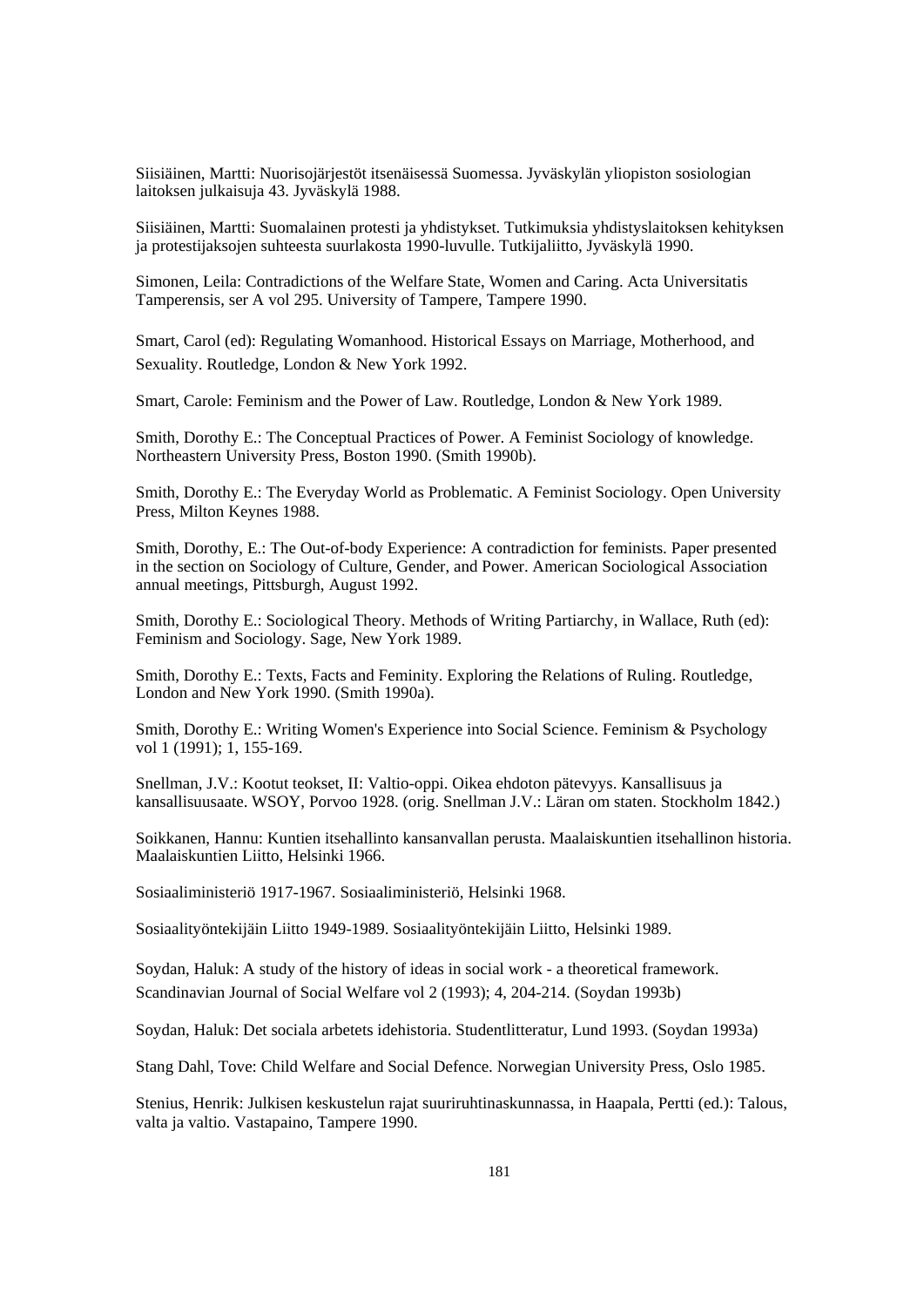Siisiäinen, Martti: Nuorisojärjestöt itsenäisessä Suomessa. Jyväskylän yliopiston sosiologian laitoksen julkaisuja 43. Jyväskylä 1988.

Siisiäinen, Martti: Suomalainen protesti ja yhdistykset. Tutkimuksia yhdistyslaitoksen kehityksen ja protestijaksojen suhteesta suurlakosta 1990-luvulle. Tutkijaliitto, Jyväskylä 1990.

Simonen, Leila: Contradictions of the Welfare State, Women and Caring. Acta Universitatis Tamperensis, ser A vol 295. University of Tampere, Tampere 1990.

Smart, Carol (ed): Regulating Womanhood. Historical Essays on Marriage, Motherhood, and Sexuality. Routledge, London & New York 1992.

Smart, Carole: Feminism and the Power of Law. Routledge, London & New York 1989.

Smith, Dorothy E.: The Conceptual Practices of Power. A Feminist Sociology of knowledge. Northeastern University Press, Boston 1990. (Smith 1990b).

Smith, Dorothy E.: The Everyday World as Problematic. A Feminist Sociology. Open University Press, Milton Keynes 1988.

Smith, Dorothy, E.: The Out-of-body Experience: A contradiction for feminists. Paper presented in the section on Sociology of Culture, Gender, and Power. American Sociological Association annual meetings, Pittsburgh, August 1992.

Smith, Dorothy E.: Sociological Theory. Methods of Writing Partiarchy, in Wallace, Ruth (ed): Feminism and Sociology. Sage, New York 1989.

Smith, Dorothy E.: Texts, Facts and Feminity. Exploring the Relations of Ruling. Routledge, London and New York 1990. (Smith 1990a).

Smith, Dorothy E.: Writing Women's Experience into Social Science. Feminism & Psychology vol 1 (1991); 1, 155-169.

Snellman, J.V.: Kootut teokset, II: Valtio-oppi. Oikea ehdoton pätevyys. Kansallisuus ja kansallisuusaate. WSOY, Porvoo 1928. (orig. Snellman J.V.: Läran om staten. Stockholm 1842.)

Soikkanen, Hannu: Kuntien itsehallinto kansanvallan perusta. Maalaiskuntien itsehallinon historia. Maalaiskuntien Liitto, Helsinki 1966.

Sosiaaliministeriö 1917-1967. Sosiaaliministeriö, Helsinki 1968.

Sosiaalityöntekijäin Liitto 1949-1989. Sosiaalityöntekijäin Liitto, Helsinki 1989.

Soydan, Haluk: A study of the history of ideas in social work - a theoretical framework. Scandinavian Journal of Social Welfare vol 2 (1993); 4, 204-214. (Soydan 1993b)

Soydan, Haluk: Det sociala arbetets idehistoria. Studentlitteratur, Lund 1993. (Soydan 1993a)

Stang Dahl, Tove: Child Welfare and Social Defence. Norwegian University Press, Oslo 1985.

Stenius, Henrik: Julkisen keskustelun rajat suuriruhtinaskunnassa, in Haapala, Pertti (ed.): Talous, valta ja valtio. Vastapaino, Tampere 1990.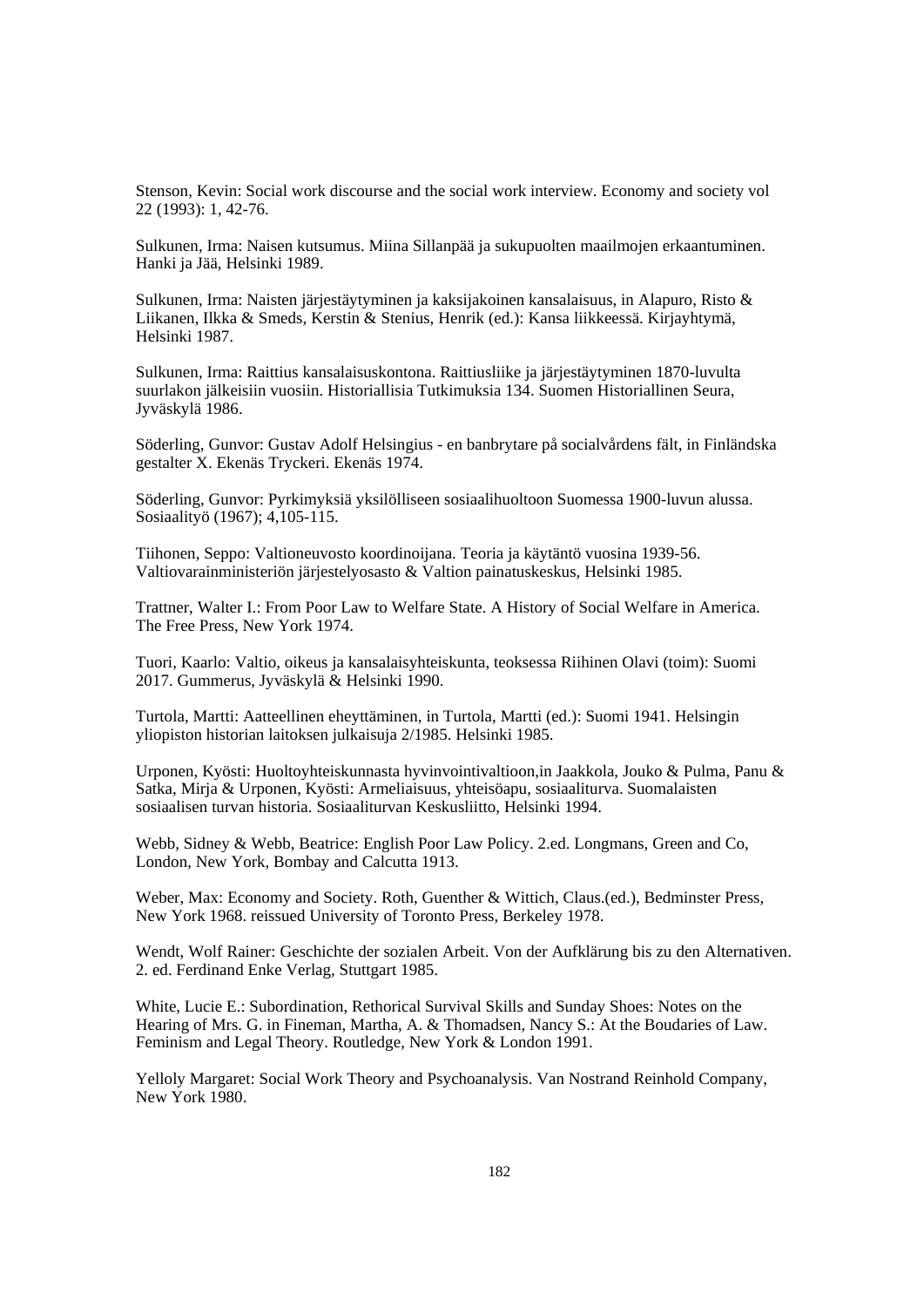Stenson, Kevin: Social work discourse and the social work interview. Economy and society vol 22 (1993): 1, 42-76.

Sulkunen, Irma: Naisen kutsumus. Miina Sillanpää ja sukupuolten maailmojen erkaantuminen. Hanki ja Jää, Helsinki 1989.

Sulkunen, Irma: Naisten järjestäytyminen ja kaksijakoinen kansalaisuus, in Alapuro, Risto & Liikanen, Ilkka & Smeds, Kerstin & Stenius, Henrik (ed.): Kansa liikkeessä. Kirjayhtymä, Helsinki 1987.

Sulkunen, Irma: Raittius kansalaisuskontona. Raittiusliike ja järjestäytyminen 1870-luvulta suurlakon jälkeisiin vuosiin. Historiallisia Tutkimuksia 134. Suomen Historiallinen Seura, Jyväskylä 1986.

Söderling, Gunvor: Gustav Adolf Helsingius - en banbrytare på socialvårdens fält, in Finländska gestalter X. Ekenäs Tryckeri. Ekenäs 1974.

Söderling, Gunvor: Pyrkimyksiä yksilölliseen sosiaalihuoltoon Suomessa 1900-luvun alussa. Sosiaalityö (1967); 4,105-115.

Tiihonen, Seppo: Valtioneuvosto koordinoijana. Teoria ja käytäntö vuosina 1939-56. Valtiovarainministeriön järjestelyosasto & Valtion painatuskeskus, Helsinki 1985.

Trattner, Walter I.: From Poor Law to Welfare State. A History of Social Welfare in America. The Free Press, New York 1974.

Tuori, Kaarlo: Valtio, oikeus ja kansalaisyhteiskunta, teoksessa Riihinen Olavi (toim): Suomi 2017. Gummerus, Jyväskylä & Helsinki 1990.

Turtola, Martti: Aatteellinen eheyttäminen, in Turtola, Martti (ed.): Suomi 1941. Helsingin yliopiston historian laitoksen julkaisuja 2/1985. Helsinki 1985.

Urponen, Kyösti: Huoltoyhteiskunnasta hyvinvointivaltioon,in Jaakkola, Jouko & Pulma, Panu & Satka, Mirja & Urponen, Kyösti: Armeliaisuus, yhteisöapu, sosiaaliturva. Suomalaisten sosiaalisen turvan historia. Sosiaaliturvan Keskusliitto, Helsinki 1994.

Webb, Sidney & Webb, Beatrice: English Poor Law Policy. 2.ed. Longmans, Green and Co, London, New York, Bombay and Calcutta 1913.

Weber, Max: Economy and Society. Roth, Guenther & Wittich, Claus.(ed.), Bedminster Press, New York 1968. reissued University of Toronto Press, Berkeley 1978.

Wendt, Wolf Rainer: Geschichte der sozialen Arbeit. Von der Aufklärung bis zu den Alternativen. 2. ed. Ferdinand Enke Verlag, Stuttgart 1985.

White, Lucie E.: Subordination, Rethorical Survival Skills and Sunday Shoes: Notes on the Hearing of Mrs. G. in Fineman, Martha, A. & Thomadsen, Nancy S.: At the Boudaries of Law. Feminism and Legal Theory. Routledge, New York & London 1991.

Yelloly Margaret: Social Work Theory and Psychoanalysis. Van Nostrand Reinhold Company, New York 1980.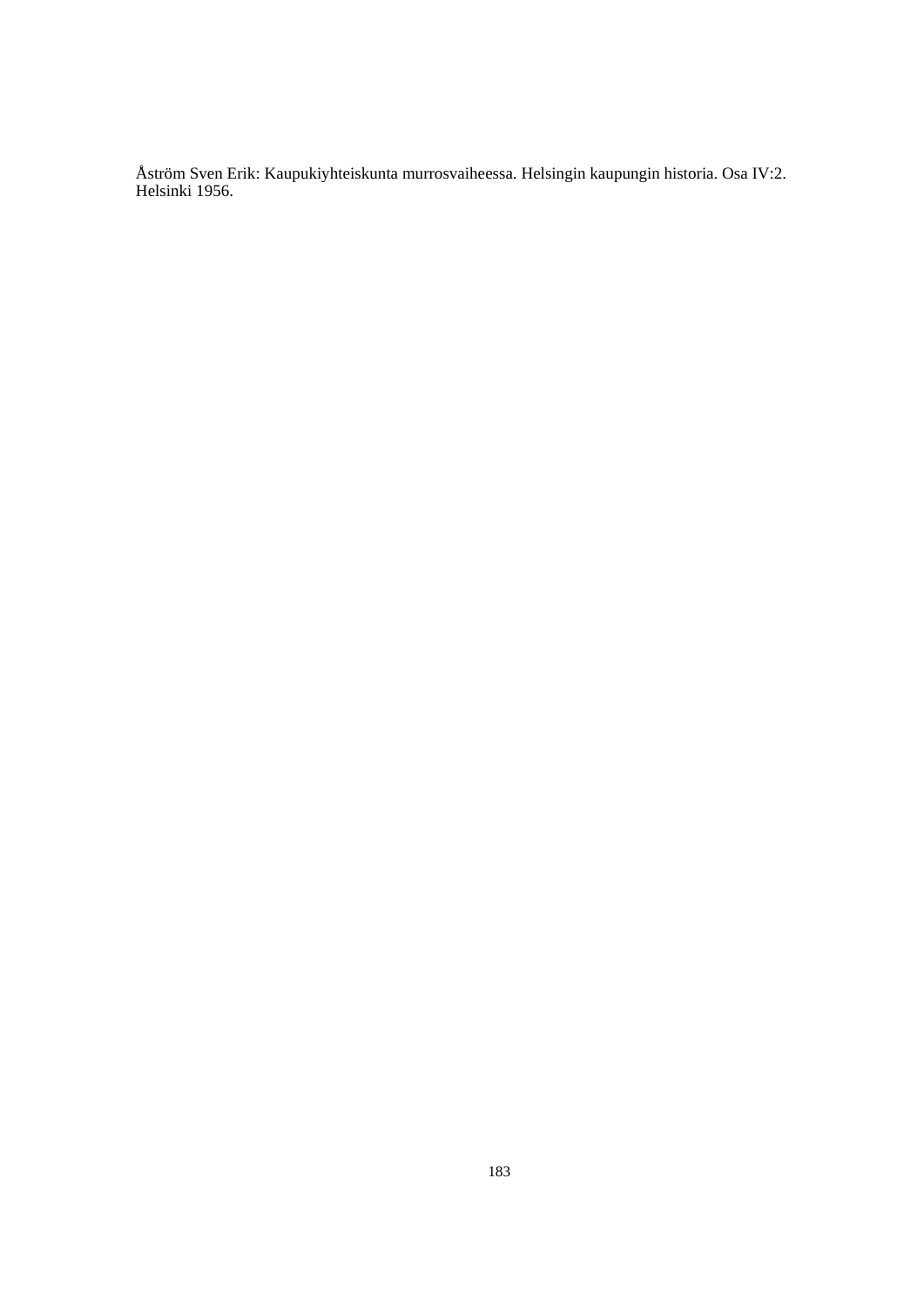Åström Sven Erik: Kaupukiyhteiskunta murrosvaiheessa. Helsingin kaupungin historia. Osa IV:2. Helsinki 1956.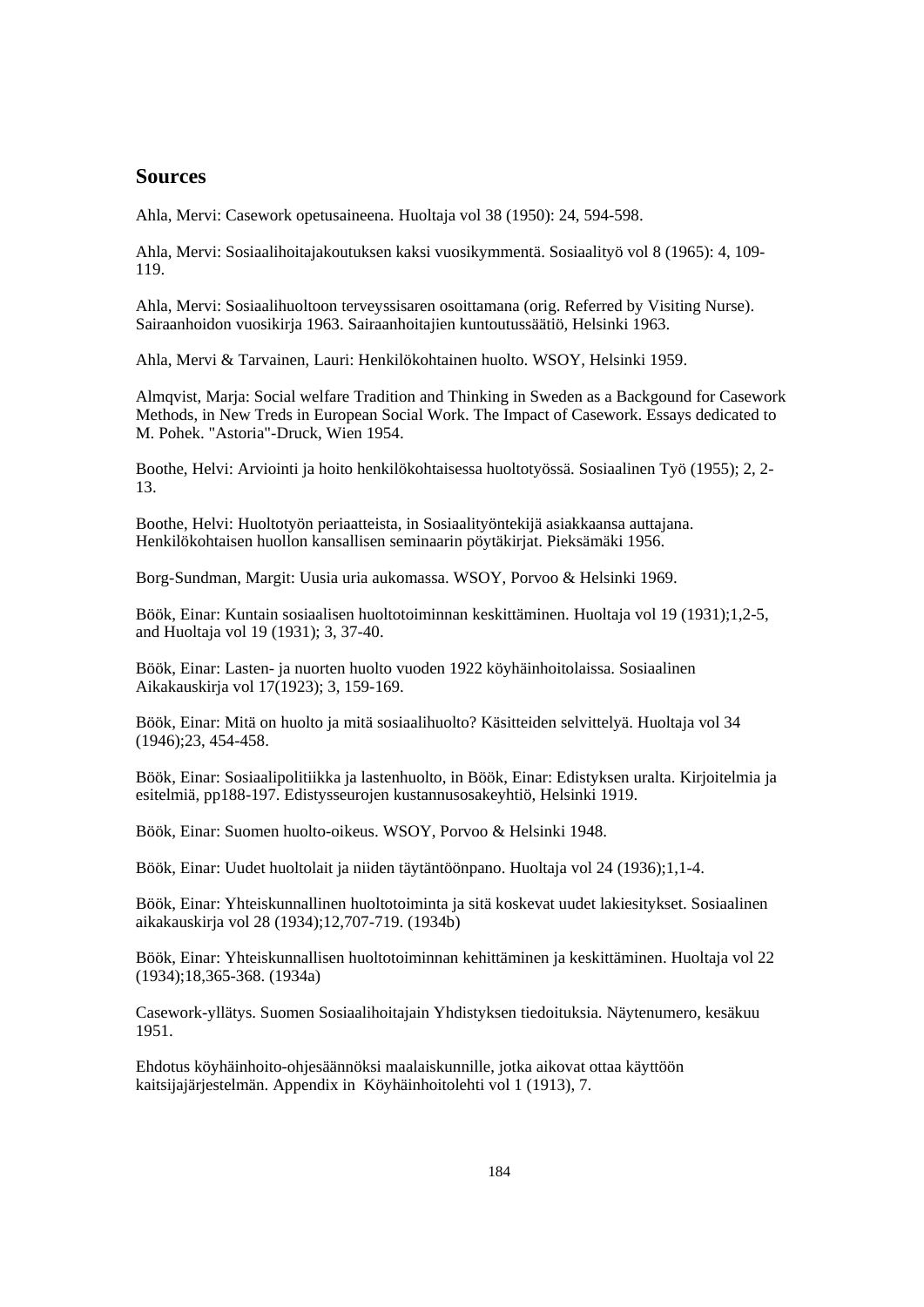## **Sources**

Ahla, Mervi: Casework opetusaineena. Huoltaja vol 38 (1950): 24, 594-598.

Ahla, Mervi: Sosiaalihoitajakoutuksen kaksi vuosikymmentä. Sosiaalityö vol 8 (1965): 4, 109- 119.

Ahla, Mervi: Sosiaalihuoltoon terveyssisaren osoittamana (orig. Referred by Visiting Nurse). Sairaanhoidon vuosikirja 1963. Sairaanhoitajien kuntoutussäätiö, Helsinki 1963.

Ahla, Mervi & Tarvainen, Lauri: Henkilökohtainen huolto. WSOY, Helsinki 1959.

Almqvist, Marja: Social welfare Tradition and Thinking in Sweden as a Backgound for Casework Methods, in New Treds in European Social Work. The Impact of Casework. Essays dedicated to M. Pohek. "Astoria"-Druck, Wien 1954.

Boothe, Helvi: Arviointi ja hoito henkilökohtaisessa huoltotyössä. Sosiaalinen Työ (1955); 2, 2- 13.

Boothe, Helvi: Huoltotyön periaatteista, in Sosiaalityöntekijä asiakkaansa auttajana. Henkilökohtaisen huollon kansallisen seminaarin pöytäkirjat. Pieksämäki 1956.

Borg-Sundman, Margit: Uusia uria aukomassa. WSOY, Porvoo & Helsinki 1969.

Böök, Einar: Kuntain sosiaalisen huoltotoiminnan keskittäminen. Huoltaja vol 19 (1931);1,2-5, and Huoltaja vol 19 (1931); 3, 37-40.

Böök, Einar: Lasten- ja nuorten huolto vuoden 1922 köyhäinhoitolaissa. Sosiaalinen Aikakauskirja vol 17(1923); 3, 159-169.

Böök, Einar: Mitä on huolto ja mitä sosiaalihuolto? Käsitteiden selvittelyä. Huoltaja vol 34 (1946);23, 454-458.

Böök, Einar: Sosiaalipolitiikka ja lastenhuolto, in Böök, Einar: Edistyksen uralta. Kirjoitelmia ja esitelmiä, pp188-197. Edistysseurojen kustannusosakeyhtiö, Helsinki 1919.

Böök, Einar: Suomen huolto-oikeus. WSOY, Porvoo & Helsinki 1948.

Böök, Einar: Uudet huoltolait ja niiden täytäntöönpano. Huoltaja vol 24 (1936);1,1-4.

Böök, Einar: Yhteiskunnallinen huoltotoiminta ja sitä koskevat uudet lakiesitykset. Sosiaalinen aikakauskirja vol 28 (1934);12,707-719. (1934b)

Böök, Einar: Yhteiskunnallisen huoltotoiminnan kehittäminen ja keskittäminen. Huoltaja vol 22 (1934);18,365-368. (1934a)

Casework-yllätys. Suomen Sosiaalihoitajain Yhdistyksen tiedoituksia. Näytenumero, kesäkuu 1951.

Ehdotus köyhäinhoito-ohjesäännöksi maalaiskunnille, jotka aikovat ottaa käyttöön kaitsijajärjestelmän. Appendix in Köyhäinhoitolehti vol 1 (1913), 7.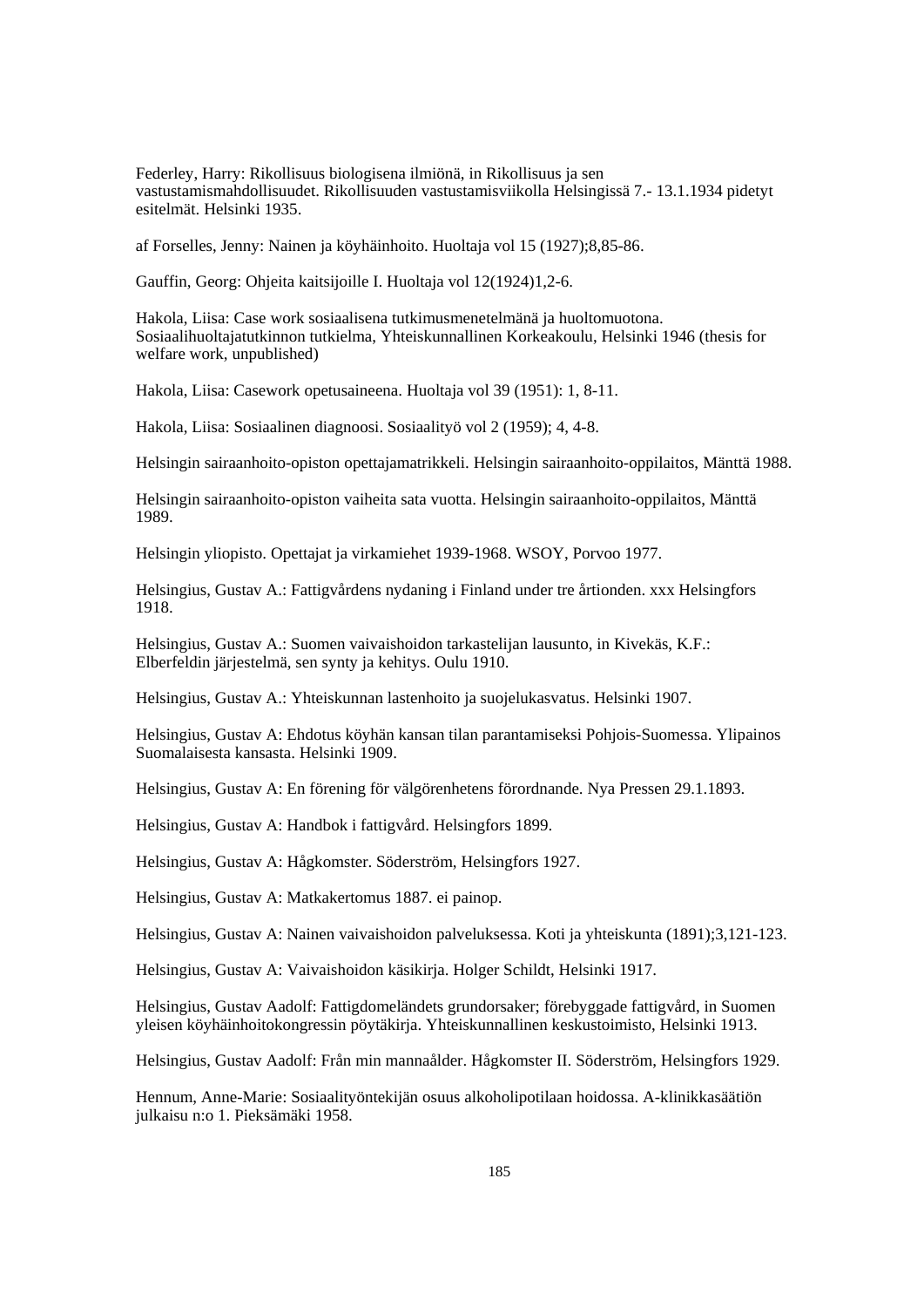Federley, Harry: Rikollisuus biologisena ilmiönä, in Rikollisuus ja sen vastustamismahdollisuudet. Rikollisuuden vastustamisviikolla Helsingissä 7.- 13.1.1934 pidetyt esitelmät. Helsinki 1935.

af Forselles, Jenny: Nainen ja köyhäinhoito. Huoltaja vol 15 (1927);8,85-86.

Gauffin, Georg: Ohjeita kaitsijoille I. Huoltaja vol 12(1924)1,2-6.

Hakola, Liisa: Case work sosiaalisena tutkimusmenetelmänä ja huoltomuotona. Sosiaalihuoltajatutkinnon tutkielma, Yhteiskunnallinen Korkeakoulu, Helsinki 1946 (thesis for welfare work, unpublished)

Hakola, Liisa: Casework opetusaineena. Huoltaja vol 39 (1951): 1, 8-11.

Hakola, Liisa: Sosiaalinen diagnoosi. Sosiaalityö vol 2 (1959); 4, 4-8.

Helsingin sairaanhoito-opiston opettajamatrikkeli. Helsingin sairaanhoito-oppilaitos, Mänttä 1988.

Helsingin sairaanhoito-opiston vaiheita sata vuotta. Helsingin sairaanhoito-oppilaitos, Mänttä 1989.

Helsingin yliopisto. Opettajat ja virkamiehet 1939-1968. WSOY, Porvoo 1977.

Helsingius, Gustav A.: Fattigvårdens nydaning i Finland under tre årtionden. xxx Helsingfors 1918.

Helsingius, Gustav A.: Suomen vaivaishoidon tarkastelijan lausunto, in Kivekäs, K.F.: Elberfeldin järjestelmä, sen synty ja kehitys. Oulu 1910.

Helsingius, Gustav A.: Yhteiskunnan lastenhoito ja suojelukasvatus. Helsinki 1907.

Helsingius, Gustav A: Ehdotus köyhän kansan tilan parantamiseksi Pohjois-Suomessa. Ylipainos Suomalaisesta kansasta. Helsinki 1909.

Helsingius, Gustav A: En förening för välgörenhetens förordnande. Nya Pressen 29.1.1893.

Helsingius, Gustav A: Handbok i fattigvård. Helsingfors 1899.

Helsingius, Gustav A: Hågkomster. Söderström, Helsingfors 1927.

Helsingius, Gustav A: Matkakertomus 1887. ei painop.

Helsingius, Gustav A: Nainen vaivaishoidon palveluksessa. Koti ja yhteiskunta (1891);3,121-123.

Helsingius, Gustav A: Vaivaishoidon käsikirja. Holger Schildt, Helsinki 1917.

Helsingius, Gustav Aadolf: Fattigdomeländets grundorsaker; förebyggade fattigvård, in Suomen yleisen köyhäinhoitokongressin pöytäkirja. Yhteiskunnallinen keskustoimisto, Helsinki 1913.

Helsingius, Gustav Aadolf: Från min mannaålder. Hågkomster II. Söderström, Helsingfors 1929.

Hennum, Anne-Marie: Sosiaalityöntekijän osuus alkoholipotilaan hoidossa. A-klinikkasäätiön julkaisu n:o 1. Pieksämäki 1958.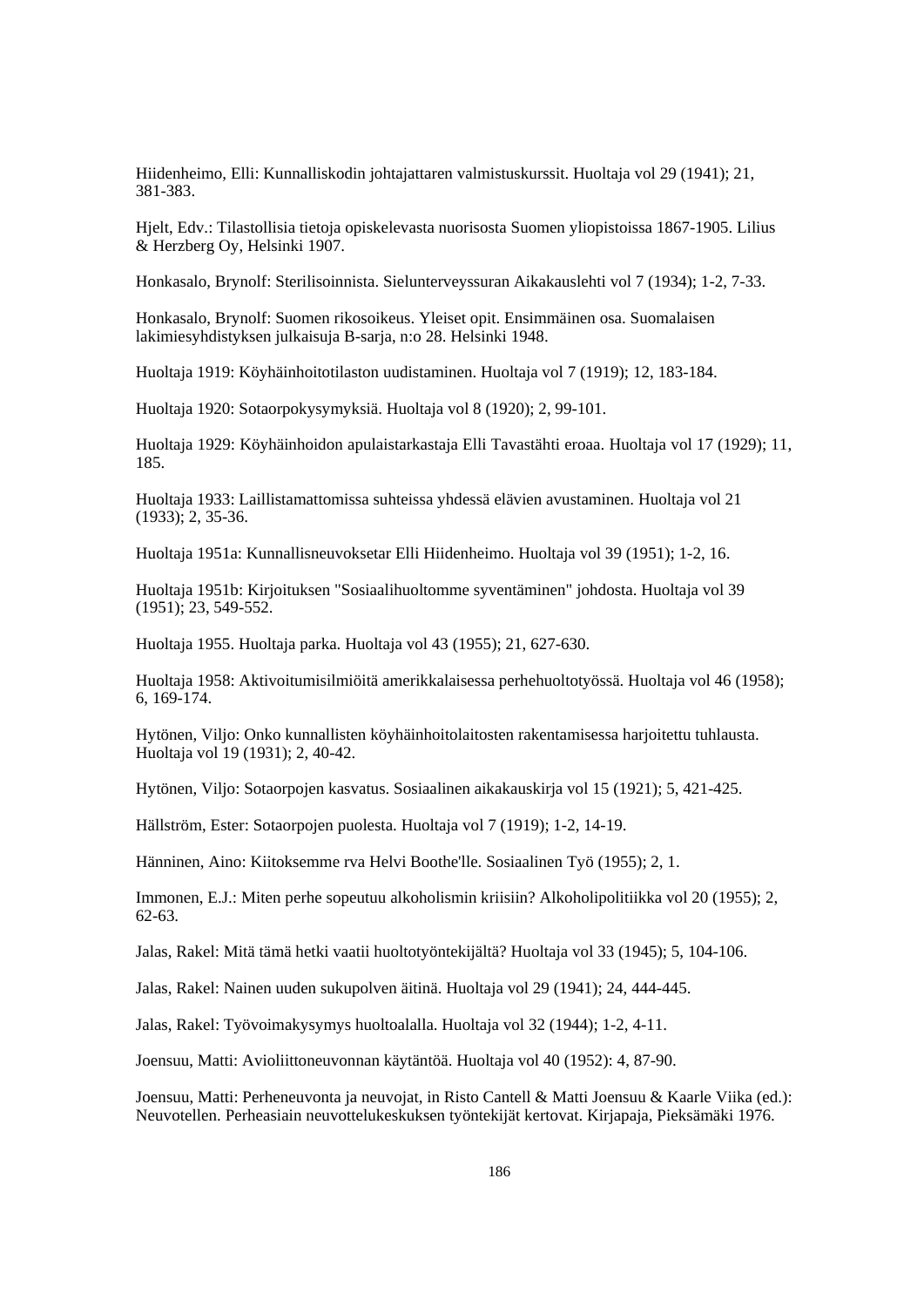Hiidenheimo, Elli: Kunnalliskodin johtajattaren valmistuskurssit. Huoltaja vol 29 (1941); 21, 381-383.

Hjelt, Edv.: Tilastollisia tietoja opiskelevasta nuorisosta Suomen yliopistoissa 1867-1905. Lilius & Herzberg Oy, Helsinki 1907.

Honkasalo, Brynolf: Sterilisoinnista. Sielunterveyssuran Aikakauslehti vol 7 (1934); 1-2, 7-33.

Honkasalo, Brynolf: Suomen rikosoikeus. Yleiset opit. Ensimmäinen osa. Suomalaisen lakimiesyhdistyksen julkaisuja B-sarja, n:o 28. Helsinki 1948.

Huoltaja 1919: Köyhäinhoitotilaston uudistaminen. Huoltaja vol 7 (1919); 12, 183-184.

Huoltaja 1920: Sotaorpokysymyksiä. Huoltaja vol 8 (1920); 2, 99-101.

Huoltaja 1929: Köyhäinhoidon apulaistarkastaja Elli Tavastähti eroaa. Huoltaja vol 17 (1929); 11, 185.

Huoltaja 1933: Laillistamattomissa suhteissa yhdessä elävien avustaminen. Huoltaja vol 21 (1933); 2, 35-36.

Huoltaja 1951a: Kunnallisneuvoksetar Elli Hiidenheimo. Huoltaja vol 39 (1951); 1-2, 16.

Huoltaja 1951b: Kirjoituksen "Sosiaalihuoltomme syventäminen" johdosta. Huoltaja vol 39 (1951); 23, 549-552.

Huoltaja 1955. Huoltaja parka. Huoltaja vol 43 (1955); 21, 627-630.

Huoltaja 1958: Aktivoitumisilmiöitä amerikkalaisessa perhehuoltotyössä. Huoltaja vol 46 (1958); 6, 169-174.

Hytönen, Viljo: Onko kunnallisten köyhäinhoitolaitosten rakentamisessa harjoitettu tuhlausta. Huoltaja vol 19 (1931); 2, 40-42.

Hytönen, Viljo: Sotaorpojen kasvatus. Sosiaalinen aikakauskirja vol 15 (1921); 5, 421-425.

Hällström, Ester: Sotaorpojen puolesta. Huoltaja vol 7 (1919); 1-2, 14-19.

Hänninen, Aino: Kiitoksemme rva Helvi Boothe'lle. Sosiaalinen Työ (1955); 2, 1.

Immonen, E.J.: Miten perhe sopeutuu alkoholismin kriisiin? Alkoholipolitiikka vol 20 (1955); 2, 62-63.

Jalas, Rakel: Mitä tämä hetki vaatii huoltotyöntekijältä? Huoltaja vol 33 (1945); 5, 104-106.

Jalas, Rakel: Nainen uuden sukupolven äitinä. Huoltaja vol 29 (1941); 24, 444-445.

Jalas, Rakel: Työvoimakysymys huoltoalalla. Huoltaja vol 32 (1944); 1-2, 4-11.

Joensuu, Matti: Avioliittoneuvonnan käytäntöä. Huoltaja vol 40 (1952): 4, 87-90.

Joensuu, Matti: Perheneuvonta ja neuvojat, in Risto Cantell & Matti Joensuu & Kaarle Viika (ed.): Neuvotellen. Perheasiain neuvottelukeskuksen työntekijät kertovat. Kirjapaja, Pieksämäki 1976.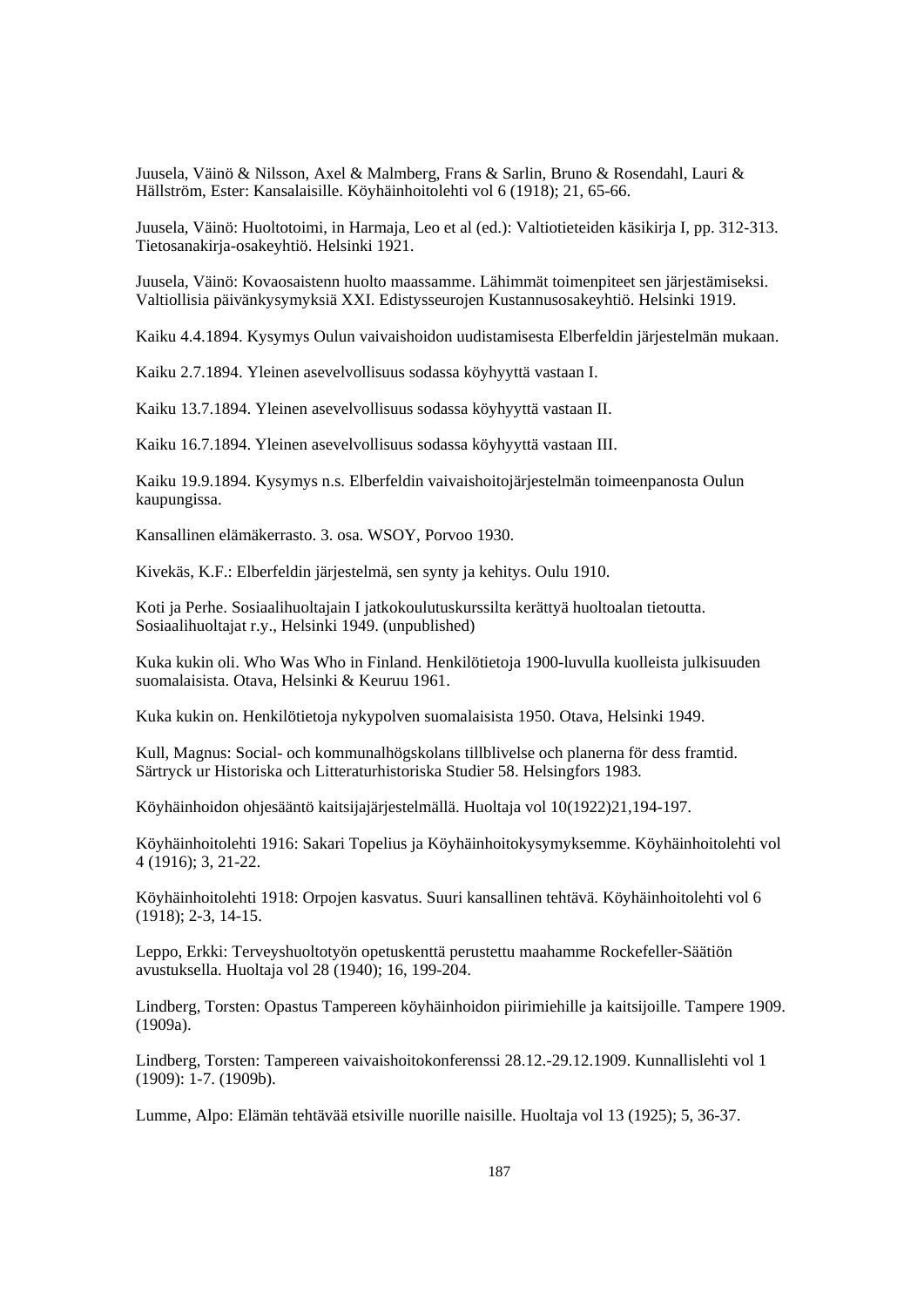Juusela, Väinö & Nilsson, Axel & Malmberg, Frans & Sarlin, Bruno & Rosendahl, Lauri & Hällström, Ester: Kansalaisille. Köyhäinhoitolehti vol 6 (1918); 21, 65-66.

Juusela, Väinö: Huoltotoimi, in Harmaja, Leo et al (ed.): Valtiotieteiden käsikirja I, pp. 312-313. Tietosanakirja-osakeyhtiö. Helsinki 1921.

Juusela, Väinö: Kovaosaistenn huolto maassamme. Lähimmät toimenpiteet sen järjestämiseksi. Valtiollisia päivänkysymyksiä XXI. Edistysseurojen Kustannusosakeyhtiö. Helsinki 1919.

Kaiku 4.4.1894. Kysymys Oulun vaivaishoidon uudistamisesta Elberfeldin järjestelmän mukaan.

Kaiku 2.7.1894. Yleinen asevelvollisuus sodassa köyhyyttä vastaan I.

Kaiku 13.7.1894. Yleinen asevelvollisuus sodassa köyhyyttä vastaan II.

Kaiku 16.7.1894. Yleinen asevelvollisuus sodassa köyhyyttä vastaan III.

Kaiku 19.9.1894. Kysymys n.s. Elberfeldin vaivaishoitojärjestelmän toimeenpanosta Oulun kaupungissa.

Kansallinen elämäkerrasto. 3. osa. WSOY, Porvoo 1930.

Kivekäs, K.F.: Elberfeldin järjestelmä, sen synty ja kehitys. Oulu 1910.

Koti ja Perhe. Sosiaalihuoltajain I jatkokoulutuskurssilta kerättyä huoltoalan tietoutta. Sosiaalihuoltajat r.y., Helsinki 1949. (unpublished)

Kuka kukin oli. Who Was Who in Finland. Henkilötietoja 1900-luvulla kuolleista julkisuuden suomalaisista. Otava, Helsinki & Keuruu 1961.

Kuka kukin on. Henkilötietoja nykypolven suomalaisista 1950. Otava, Helsinki 1949.

Kull, Magnus: Social- och kommunalhögskolans tillblivelse och planerna för dess framtid. Särtryck ur Historiska och Litteraturhistoriska Studier 58. Helsingfors 1983.

Köyhäinhoidon ohjesääntö kaitsijajärjestelmällä. Huoltaja vol 10(1922)21,194-197.

Köyhäinhoitolehti 1916: Sakari Topelius ja Köyhäinhoitokysymyksemme. Köyhäinhoitolehti vol 4 (1916); 3, 21-22.

Köyhäinhoitolehti 1918: Orpojen kasvatus. Suuri kansallinen tehtävä. Köyhäinhoitolehti vol 6 (1918); 2-3, 14-15.

Leppo, Erkki: Terveyshuoltotyön opetuskenttä perustettu maahamme Rockefeller-Säätiön avustuksella. Huoltaja vol 28 (1940); 16, 199-204.

Lindberg, Torsten: Opastus Tampereen köyhäinhoidon piirimiehille ja kaitsijoille. Tampere 1909. (1909a).

Lindberg, Torsten: Tampereen vaivaishoitokonferenssi 28.12.-29.12.1909. Kunnallislehti vol 1 (1909): 1-7. (1909b).

Lumme, Alpo: Elämän tehtävää etsiville nuorille naisille. Huoltaja vol 13 (1925); 5, 36-37.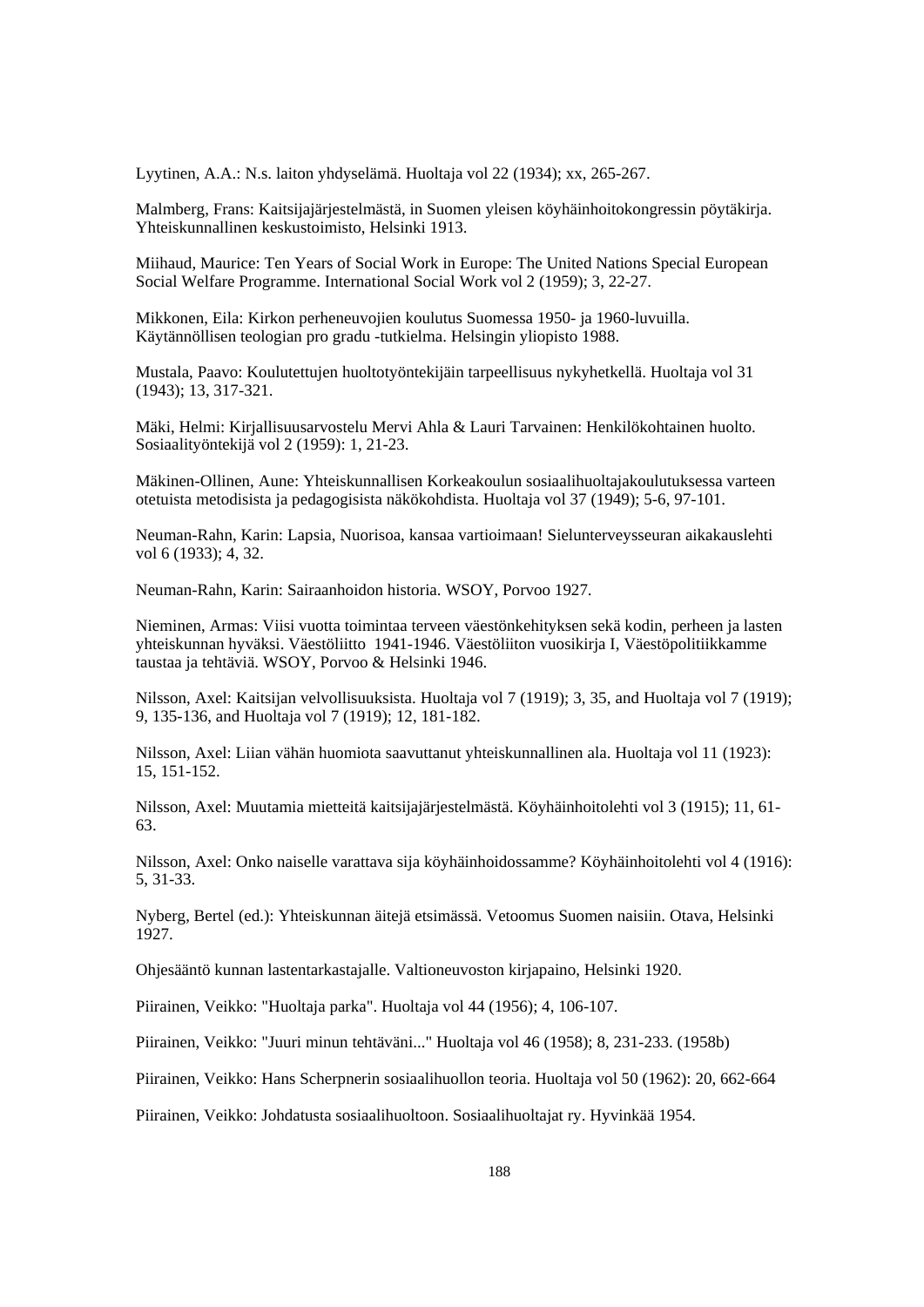Lyytinen, A.A.: N.s. laiton yhdyselämä. Huoltaja vol 22 (1934); xx, 265-267.

Malmberg, Frans: Kaitsijajärjestelmästä, in Suomen yleisen köyhäinhoitokongressin pöytäkirja. Yhteiskunnallinen keskustoimisto, Helsinki 1913.

Miihaud, Maurice: Ten Years of Social Work in Europe: The United Nations Special European Social Welfare Programme. International Social Work vol 2 (1959); 3, 22-27.

Mikkonen, Eila: Kirkon perheneuvojien koulutus Suomessa 1950- ja 1960-luvuilla. Käytännöllisen teologian pro gradu -tutkielma. Helsingin yliopisto 1988.

Mustala, Paavo: Koulutettujen huoltotyöntekijäin tarpeellisuus nykyhetkellä. Huoltaja vol 31 (1943); 13, 317-321.

Mäki, Helmi: Kirjallisuusarvostelu Mervi Ahla & Lauri Tarvainen: Henkilökohtainen huolto. Sosiaalityöntekijä vol 2 (1959): 1, 21-23.

Mäkinen-Ollinen, Aune: Yhteiskunnallisen Korkeakoulun sosiaalihuoltajakoulutuksessa varteen otetuista metodisista ja pedagogisista näkökohdista. Huoltaja vol 37 (1949); 5-6, 97-101.

Neuman-Rahn, Karin: Lapsia, Nuorisoa, kansaa vartioimaan! Sielunterveysseuran aikakauslehti vol 6 (1933); 4, 32.

Neuman-Rahn, Karin: Sairaanhoidon historia. WSOY, Porvoo 1927.

Nieminen, Armas: Viisi vuotta toimintaa terveen väestönkehityksen sekä kodin, perheen ja lasten yhteiskunnan hyväksi. Väestöliitto 1941-1946. Väestöliiton vuosikirja I, Väestöpolitiikkamme taustaa ja tehtäviä. WSOY, Porvoo & Helsinki 1946.

Nilsson, Axel: Kaitsijan velvollisuuksista. Huoltaja vol 7 (1919); 3, 35, and Huoltaja vol 7 (1919); 9, 135-136, and Huoltaja vol 7 (1919); 12, 181-182.

Nilsson, Axel: Liian vähän huomiota saavuttanut yhteiskunnallinen ala. Huoltaja vol 11 (1923): 15, 151-152.

Nilsson, Axel: Muutamia mietteitä kaitsijajärjestelmästä. Köyhäinhoitolehti vol 3 (1915); 11, 61- 63.

Nilsson, Axel: Onko naiselle varattava sija köyhäinhoidossamme? Köyhäinhoitolehti vol 4 (1916): 5, 31-33.

Nyberg, Bertel (ed.): Yhteiskunnan äitejä etsimässä. Vetoomus Suomen naisiin. Otava, Helsinki 1927.

Ohjesääntö kunnan lastentarkastajalle. Valtioneuvoston kirjapaino, Helsinki 1920.

Piirainen, Veikko: "Huoltaja parka". Huoltaja vol 44 (1956); 4, 106-107.

Piirainen, Veikko: "Juuri minun tehtäväni..." Huoltaja vol 46 (1958); 8, 231-233. (1958b)

Piirainen, Veikko: Hans Scherpnerin sosiaalihuollon teoria. Huoltaja vol 50 (1962): 20, 662-664

Piirainen, Veikko: Johdatusta sosiaalihuoltoon. Sosiaalihuoltajat ry. Hyvinkää 1954.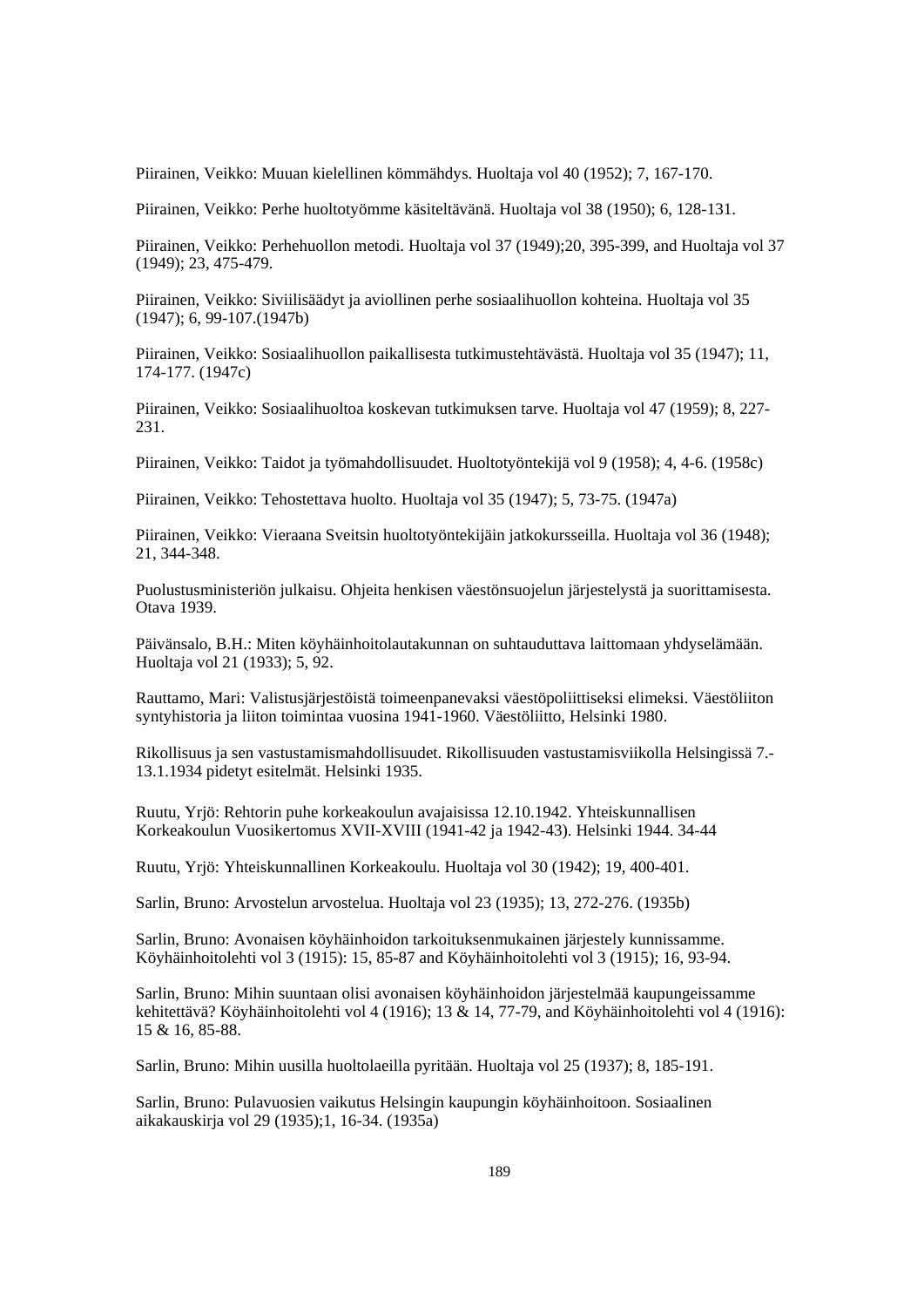Piirainen, Veikko: Muuan kielellinen kömmähdys. Huoltaja vol 40 (1952); 7, 167-170.

Piirainen, Veikko: Perhe huoltotyömme käsiteltävänä. Huoltaja vol 38 (1950); 6, 128-131.

Piirainen, Veikko: Perhehuollon metodi. Huoltaja vol 37 (1949);20, 395-399, and Huoltaja vol 37 (1949); 23, 475-479.

Piirainen, Veikko: Siviilisäädyt ja aviollinen perhe sosiaalihuollon kohteina. Huoltaja vol 35 (1947); 6, 99-107.(1947b)

Piirainen, Veikko: Sosiaalihuollon paikallisesta tutkimustehtävästä. Huoltaja vol 35 (1947); 11, 174-177. (1947c)

Piirainen, Veikko: Sosiaalihuoltoa koskevan tutkimuksen tarve. Huoltaja vol 47 (1959); 8, 227- 231.

Piirainen, Veikko: Taidot ja työmahdollisuudet. Huoltotyöntekijä vol 9 (1958); 4, 4-6. (1958c)

Piirainen, Veikko: Tehostettava huolto. Huoltaja vol 35 (1947); 5, 73-75. (1947a)

Piirainen, Veikko: Vieraana Sveitsin huoltotyöntekijäin jatkokursseilla. Huoltaja vol 36 (1948); 21, 344-348.

Puolustusministeriön julkaisu. Ohjeita henkisen väestönsuojelun järjestelystä ja suorittamisesta. Otava 1939.

Päivänsalo, B.H.: Miten köyhäinhoitolautakunnan on suhtauduttava laittomaan yhdyselämään. Huoltaja vol 21 (1933); 5, 92.

Rauttamo, Mari: Valistusjärjestöistä toimeenpanevaksi väestöpoliittiseksi elimeksi. Väestöliiton syntyhistoria ja liiton toimintaa vuosina 1941-1960. Väestöliitto, Helsinki 1980.

Rikollisuus ja sen vastustamismahdollisuudet. Rikollisuuden vastustamisviikolla Helsingissä 7.- 13.1.1934 pidetyt esitelmät. Helsinki 1935.

Ruutu, Yrjö: Rehtorin puhe korkeakoulun avajaisissa 12.10.1942. Yhteiskunnallisen Korkeakoulun Vuosikertomus XVII-XVIII (1941-42 ja 1942-43). Helsinki 1944. 34-44

Ruutu, Yrjö: Yhteiskunnallinen Korkeakoulu. Huoltaja vol 30 (1942); 19, 400-401.

Sarlin, Bruno: Arvostelun arvostelua. Huoltaja vol 23 (1935); 13, 272-276. (1935b)

Sarlin, Bruno: Avonaisen köyhäinhoidon tarkoituksenmukainen järjestely kunnissamme. Köyhäinhoitolehti vol 3 (1915): 15, 85-87 and Köyhäinhoitolehti vol 3 (1915); 16, 93-94.

Sarlin, Bruno: Mihin suuntaan olisi avonaisen köyhäinhoidon järjestelmää kaupungeissamme kehitettävä? Köyhäinhoitolehti vol 4 (1916); 13 & 14, 77-79, and Köyhäinhoitolehti vol 4 (1916): 15 & 16, 85-88.

Sarlin, Bruno: Mihin uusilla huoltolaeilla pyritään. Huoltaja vol 25 (1937); 8, 185-191.

Sarlin, Bruno: Pulavuosien vaikutus Helsingin kaupungin köyhäinhoitoon. Sosiaalinen aikakauskirja vol 29 (1935);1, 16-34. (1935a)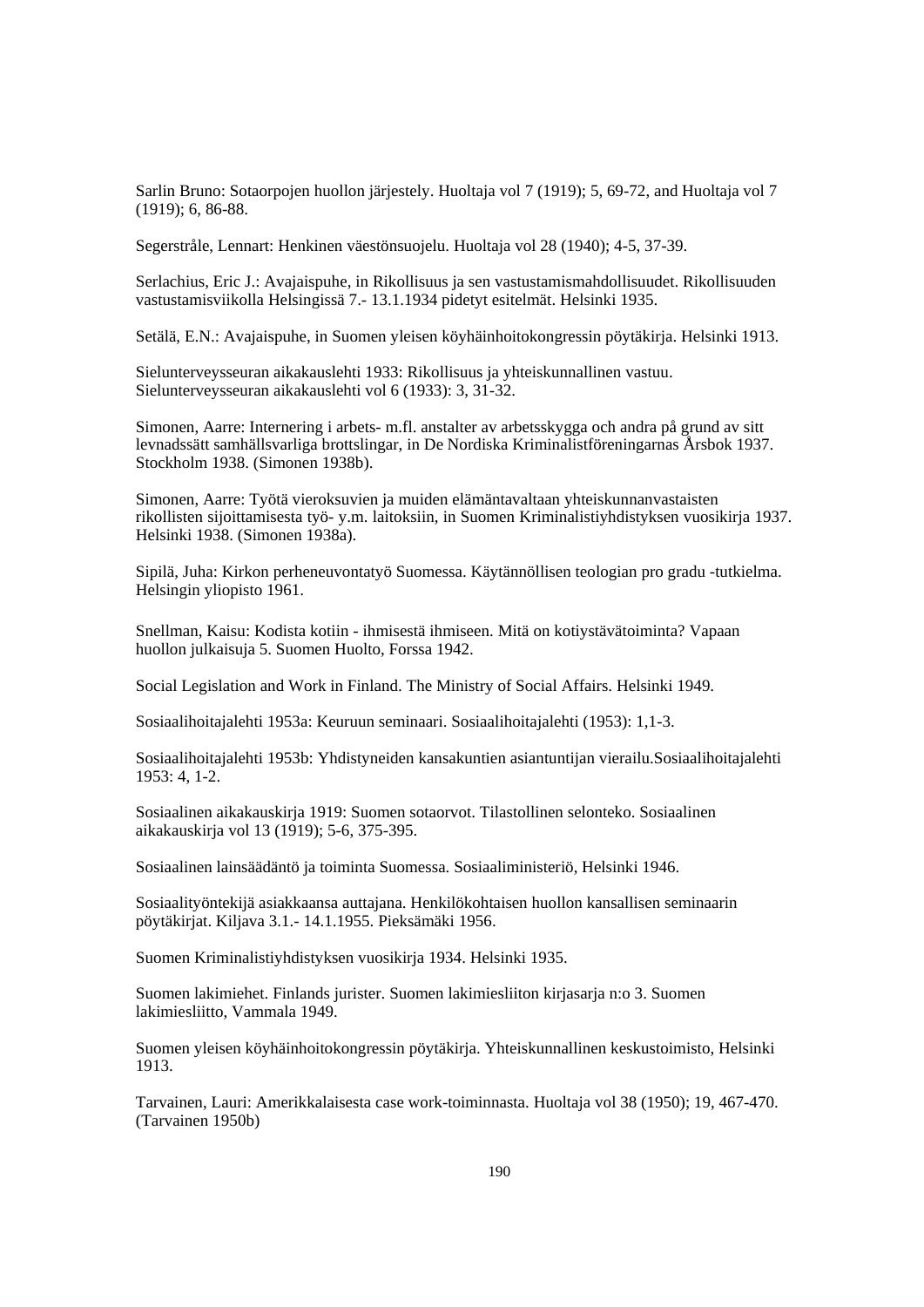Sarlin Bruno: Sotaorpojen huollon järjestely. Huoltaja vol 7 (1919); 5, 69-72, and Huoltaja vol 7 (1919); 6, 86-88.

Segerstråle, Lennart: Henkinen väestönsuojelu. Huoltaja vol 28 (1940); 4-5, 37-39.

Serlachius, Eric J.: Avajaispuhe, in Rikollisuus ja sen vastustamismahdollisuudet. Rikollisuuden vastustamisviikolla Helsingissä 7.- 13.1.1934 pidetyt esitelmät. Helsinki 1935.

Setälä, E.N.: Avajaispuhe, in Suomen yleisen köyhäinhoitokongressin pöytäkirja. Helsinki 1913.

Sielunterveysseuran aikakauslehti 1933: Rikollisuus ja yhteiskunnallinen vastuu. Sielunterveysseuran aikakauslehti vol 6 (1933): 3, 31-32.

Simonen, Aarre: Internering i arbets- m.fl. anstalter av arbetsskygga och andra på grund av sitt levnadssätt samhällsvarliga brottslingar, in De Nordiska Kriminalistföreningarnas Årsbok 1937. Stockholm 1938. (Simonen 1938b).

Simonen, Aarre: Työtä vieroksuvien ja muiden elämäntavaltaan yhteiskunnanvastaisten rikollisten sijoittamisesta työ- y.m. laitoksiin, in Suomen Kriminalistiyhdistyksen vuosikirja 1937. Helsinki 1938. (Simonen 1938a).

Sipilä, Juha: Kirkon perheneuvontatyö Suomessa. Käytännöllisen teologian pro gradu -tutkielma. Helsingin yliopisto 1961.

Snellman, Kaisu: Kodista kotiin - ihmisestä ihmiseen. Mitä on kotiystävätoiminta? Vapaan huollon julkaisuja 5. Suomen Huolto, Forssa 1942.

Social Legislation and Work in Finland. The Ministry of Social Affairs. Helsinki 1949.

Sosiaalihoitajalehti 1953a: Keuruun seminaari. Sosiaalihoitajalehti (1953): 1,1-3.

Sosiaalihoitajalehti 1953b: Yhdistyneiden kansakuntien asiantuntijan vierailu.Sosiaalihoitajalehti 1953: 4, 1-2.

Sosiaalinen aikakauskirja 1919: Suomen sotaorvot. Tilastollinen selonteko. Sosiaalinen aikakauskirja vol 13 (1919); 5-6, 375-395.

Sosiaalinen lainsäädäntö ja toiminta Suomessa. Sosiaaliministeriö, Helsinki 1946.

Sosiaalityöntekijä asiakkaansa auttajana. Henkilökohtaisen huollon kansallisen seminaarin pöytäkirjat. Kiljava 3.1.- 14.1.1955. Pieksämäki 1956.

Suomen Kriminalistiyhdistyksen vuosikirja 1934. Helsinki 1935.

Suomen lakimiehet. Finlands jurister. Suomen lakimiesliiton kirjasarja n:o 3. Suomen lakimiesliitto, Vammala 1949.

Suomen yleisen köyhäinhoitokongressin pöytäkirja. Yhteiskunnallinen keskustoimisto, Helsinki 1913.

Tarvainen, Lauri: Amerikkalaisesta case work-toiminnasta. Huoltaja vol 38 (1950); 19, 467-470. (Tarvainen 1950b)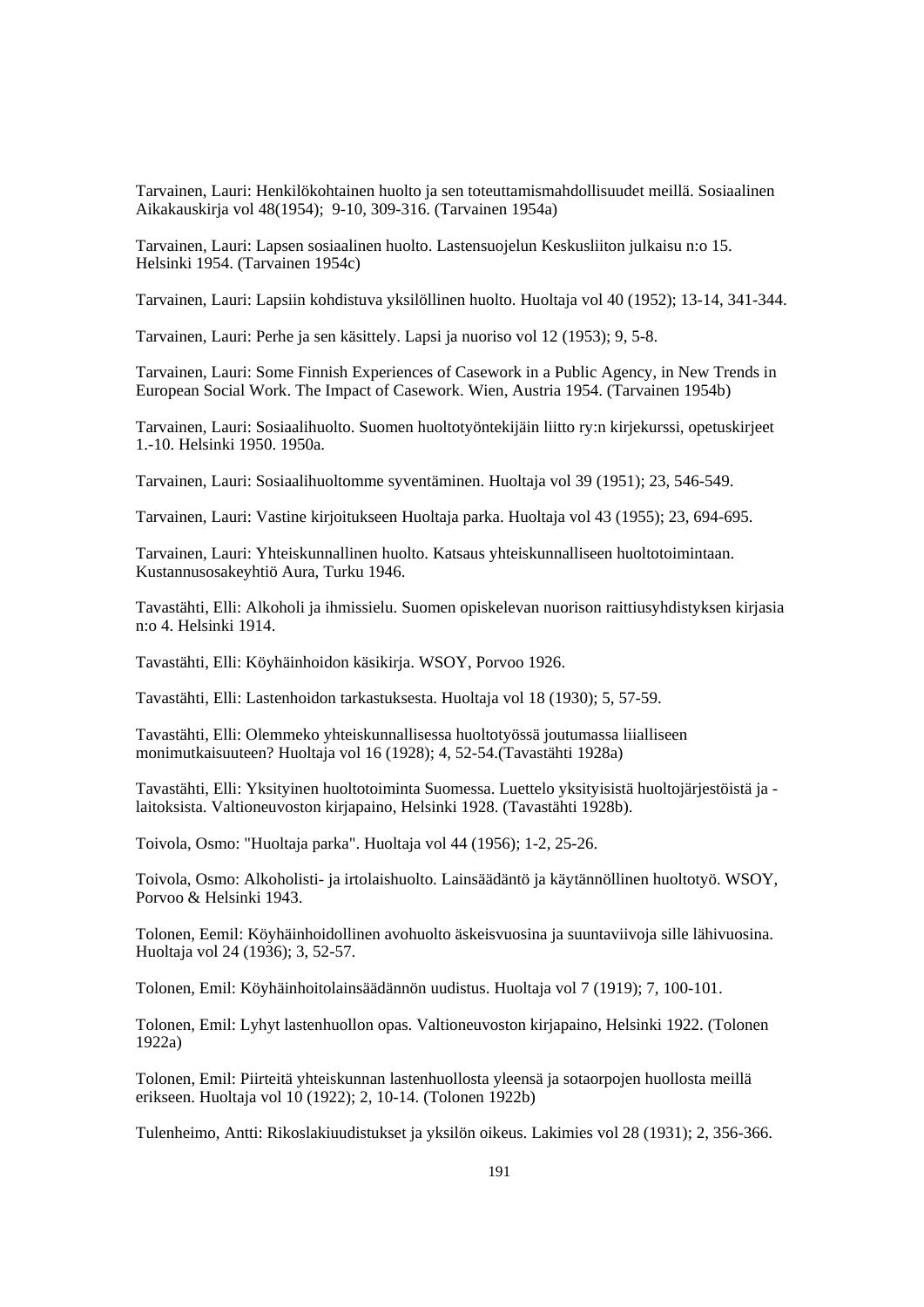Tarvainen, Lauri: Henkilökohtainen huolto ja sen toteuttamismahdollisuudet meillä. Sosiaalinen Aikakauskirja vol 48(1954); 9-10, 309-316. (Tarvainen 1954a)

Tarvainen, Lauri: Lapsen sosiaalinen huolto. Lastensuojelun Keskusliiton julkaisu n:o 15. Helsinki 1954. (Tarvainen 1954c)

Tarvainen, Lauri: Lapsiin kohdistuva yksilöllinen huolto. Huoltaja vol 40 (1952); 13-14, 341-344.

Tarvainen, Lauri: Perhe ja sen käsittely. Lapsi ja nuoriso vol 12 (1953); 9, 5-8.

Tarvainen, Lauri: Some Finnish Experiences of Casework in a Public Agency, in New Trends in European Social Work. The Impact of Casework. Wien, Austria 1954. (Tarvainen 1954b)

Tarvainen, Lauri: Sosiaalihuolto. Suomen huoltotyöntekijäin liitto ry:n kirjekurssi, opetuskirjeet 1.-10. Helsinki 1950. 1950a.

Tarvainen, Lauri: Sosiaalihuoltomme syventäminen. Huoltaja vol 39 (1951); 23, 546-549.

Tarvainen, Lauri: Vastine kirjoitukseen Huoltaja parka. Huoltaja vol 43 (1955); 23, 694-695.

Tarvainen, Lauri: Yhteiskunnallinen huolto. Katsaus yhteiskunnalliseen huoltotoimintaan. Kustannusosakeyhtiö Aura, Turku 1946.

Tavastähti, Elli: Alkoholi ja ihmissielu. Suomen opiskelevan nuorison raittiusyhdistyksen kirjasia n:o 4. Helsinki 1914.

Tavastähti, Elli: Köyhäinhoidon käsikirja. WSOY, Porvoo 1926.

Tavastähti, Elli: Lastenhoidon tarkastuksesta. Huoltaja vol 18 (1930); 5, 57-59.

Tavastähti, Elli: Olemmeko yhteiskunnallisessa huoltotyössä joutumassa liialliseen monimutkaisuuteen? Huoltaja vol 16 (1928); 4, 52-54.(Tavastähti 1928a)

Tavastähti, Elli: Yksityinen huoltotoiminta Suomessa. Luettelo yksityisistä huoltojärjestöistä ja laitoksista. Valtioneuvoston kirjapaino, Helsinki 1928. (Tavastähti 1928b).

Toivola, Osmo: "Huoltaja parka". Huoltaja vol 44 (1956); 1-2, 25-26.

Toivola, Osmo: Alkoholisti- ja irtolaishuolto. Lainsäädäntö ja käytännöllinen huoltotyö. WSOY, Porvoo & Helsinki 1943.

Tolonen, Eemil: Köyhäinhoidollinen avohuolto äskeisvuosina ja suuntaviivoja sille lähivuosina. Huoltaja vol 24 (1936); 3, 52-57.

Tolonen, Emil: Köyhäinhoitolainsäädännön uudistus. Huoltaja vol 7 (1919); 7, 100-101.

Tolonen, Emil: Lyhyt lastenhuollon opas. Valtioneuvoston kirjapaino, Helsinki 1922. (Tolonen 1922a)

Tolonen, Emil: Piirteitä yhteiskunnan lastenhuollosta yleensä ja sotaorpojen huollosta meillä erikseen. Huoltaja vol 10 (1922); 2, 10-14. (Tolonen 1922b)

Tulenheimo, Antti: Rikoslakiuudistukset ja yksilön oikeus. Lakimies vol 28 (1931); 2, 356-366.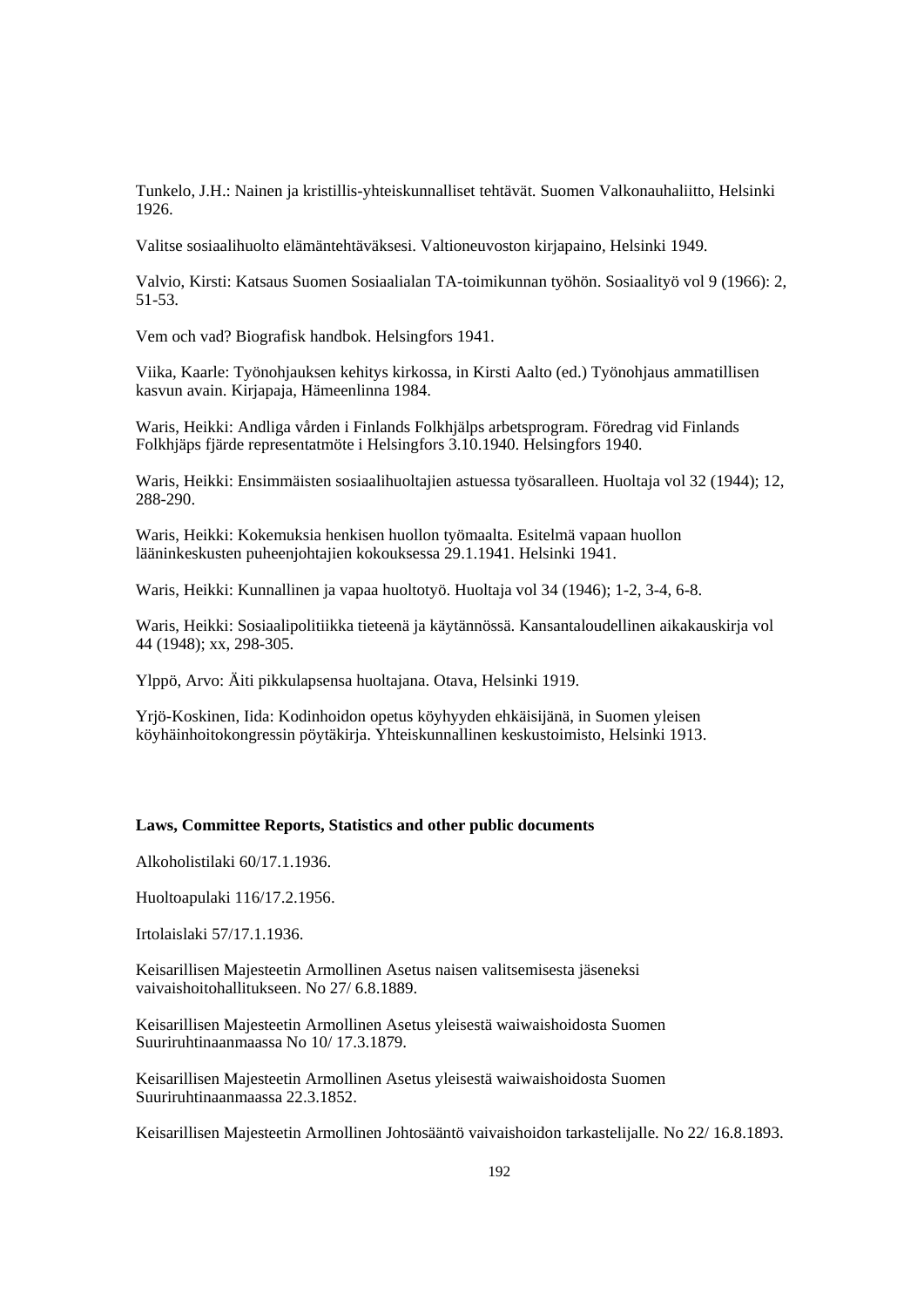Tunkelo, J.H.: Nainen ja kristillis-yhteiskunnalliset tehtävät. Suomen Valkonauhaliitto, Helsinki 1926.

Valitse sosiaalihuolto elämäntehtäväksesi. Valtioneuvoston kirjapaino, Helsinki 1949.

Valvio, Kirsti: Katsaus Suomen Sosiaalialan TA-toimikunnan työhön. Sosiaalityö vol 9 (1966): 2, 51-53.

Vem och vad? Biografisk handbok. Helsingfors 1941.

Viika, Kaarle: Työnohjauksen kehitys kirkossa, in Kirsti Aalto (ed.) Työnohjaus ammatillisen kasvun avain. Kirjapaja, Hämeenlinna 1984.

Waris, Heikki: Andliga vården i Finlands Folkhjälps arbetsprogram. Föredrag vid Finlands Folkhjäps fjärde representatmöte i Helsingfors 3.10.1940. Helsingfors 1940.

Waris, Heikki: Ensimmäisten sosiaalihuoltajien astuessa työsaralleen. Huoltaja vol 32 (1944); 12, 288-290.

Waris, Heikki: Kokemuksia henkisen huollon työmaalta. Esitelmä vapaan huollon lääninkeskusten puheenjohtajien kokouksessa 29.1.1941. Helsinki 1941.

Waris, Heikki: Kunnallinen ja vapaa huoltotyö. Huoltaja vol 34 (1946); 1-2, 3-4, 6-8.

Waris, Heikki: Sosiaalipolitiikka tieteenä ja käytännössä. Kansantaloudellinen aikakauskirja vol 44 (1948); xx, 298-305.

Ylppö, Arvo: Äiti pikkulapsensa huoltajana. Otava, Helsinki 1919.

Yrjö-Koskinen, Iida: Kodinhoidon opetus köyhyyden ehkäisijänä, in Suomen yleisen köyhäinhoitokongressin pöytäkirja. Yhteiskunnallinen keskustoimisto, Helsinki 1913.

### **Laws, Committee Reports, Statistics and other public documents**

Alkoholistilaki 60/17.1.1936.

Huoltoapulaki 116/17.2.1956.

Irtolaislaki 57/17.1.1936.

Keisarillisen Majesteetin Armollinen Asetus naisen valitsemisesta jäseneksi vaivaishoitohallitukseen. No 27/ 6.8.1889.

Keisarillisen Majesteetin Armollinen Asetus yleisestä waiwaishoidosta Suomen Suuriruhtinaanmaassa No 10/ 17.3.1879.

Keisarillisen Majesteetin Armollinen Asetus yleisestä waiwaishoidosta Suomen Suuriruhtinaanmaassa 22.3.1852.

Keisarillisen Majesteetin Armollinen Johtosääntö vaivaishoidon tarkastelijalle. No 22/ 16.8.1893.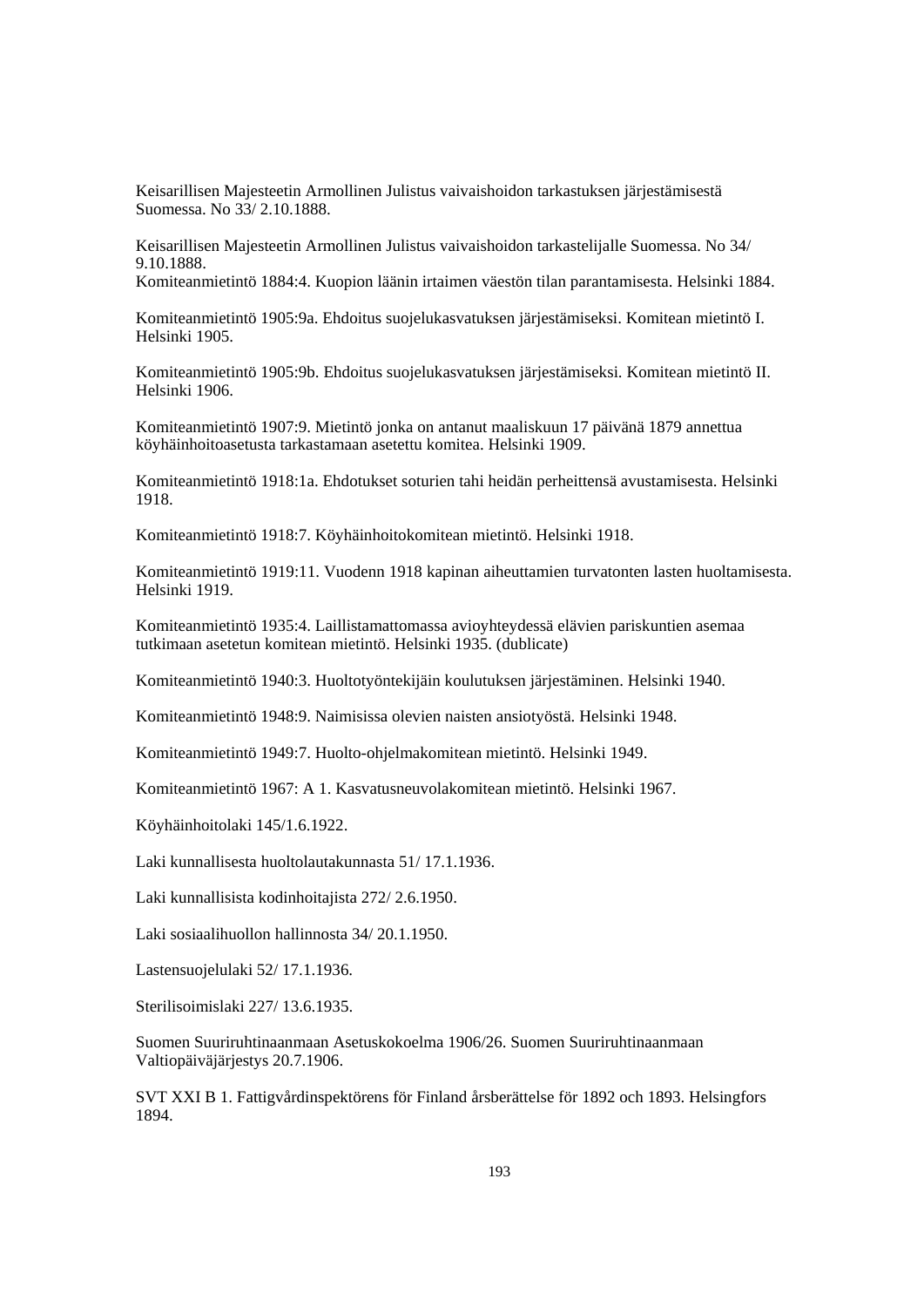Keisarillisen Majesteetin Armollinen Julistus vaivaishoidon tarkastuksen järjestämisestä Suomessa. No 33/ 2.10.1888.

Keisarillisen Majesteetin Armollinen Julistus vaivaishoidon tarkastelijalle Suomessa. No 34/ 9.10.1888.

Komiteanmietintö 1884:4. Kuopion läänin irtaimen väestön tilan parantamisesta. Helsinki 1884.

Komiteanmietintö 1905:9a. Ehdoitus suojelukasvatuksen järjestämiseksi. Komitean mietintö I. Helsinki 1905.

Komiteanmietintö 1905:9b. Ehdoitus suojelukasvatuksen järjestämiseksi. Komitean mietintö II. Helsinki 1906.

Komiteanmietintö 1907:9. Mietintö jonka on antanut maaliskuun 17 päivänä 1879 annettua köyhäinhoitoasetusta tarkastamaan asetettu komitea. Helsinki 1909.

Komiteanmietintö 1918:1a. Ehdotukset soturien tahi heidän perheittensä avustamisesta. Helsinki 1918.

Komiteanmietintö 1918:7. Köyhäinhoitokomitean mietintö. Helsinki 1918.

Komiteanmietintö 1919:11. Vuodenn 1918 kapinan aiheuttamien turvatonten lasten huoltamisesta. Helsinki 1919.

Komiteanmietintö 1935:4. Laillistamattomassa avioyhteydessä elävien pariskuntien asemaa tutkimaan asetetun komitean mietintö. Helsinki 1935. (dublicate)

Komiteanmietintö 1940:3. Huoltotyöntekijäin koulutuksen järjestäminen. Helsinki 1940.

Komiteanmietintö 1948:9. Naimisissa olevien naisten ansiotyöstä. Helsinki 1948.

Komiteanmietintö 1949:7. Huolto-ohjelmakomitean mietintö. Helsinki 1949.

Komiteanmietintö 1967: A 1. Kasvatusneuvolakomitean mietintö. Helsinki 1967.

Köyhäinhoitolaki 145/1.6.1922.

Laki kunnallisesta huoltolautakunnasta 51/ 17.1.1936.

Laki kunnallisista kodinhoitajista 272/ 2.6.1950.

Laki sosiaalihuollon hallinnosta 34/ 20.1.1950.

Lastensuojelulaki 52/ 17.1.1936.

Sterilisoimislaki 227/ 13.6.1935.

Suomen Suuriruhtinaanmaan Asetuskokoelma 1906/26. Suomen Suuriruhtinaanmaan Valtiopäiväjärjestys 20.7.1906.

SVT XXI B 1. Fattigvårdinspektörens för Finland årsberättelse för 1892 och 1893. Helsingfors 1894.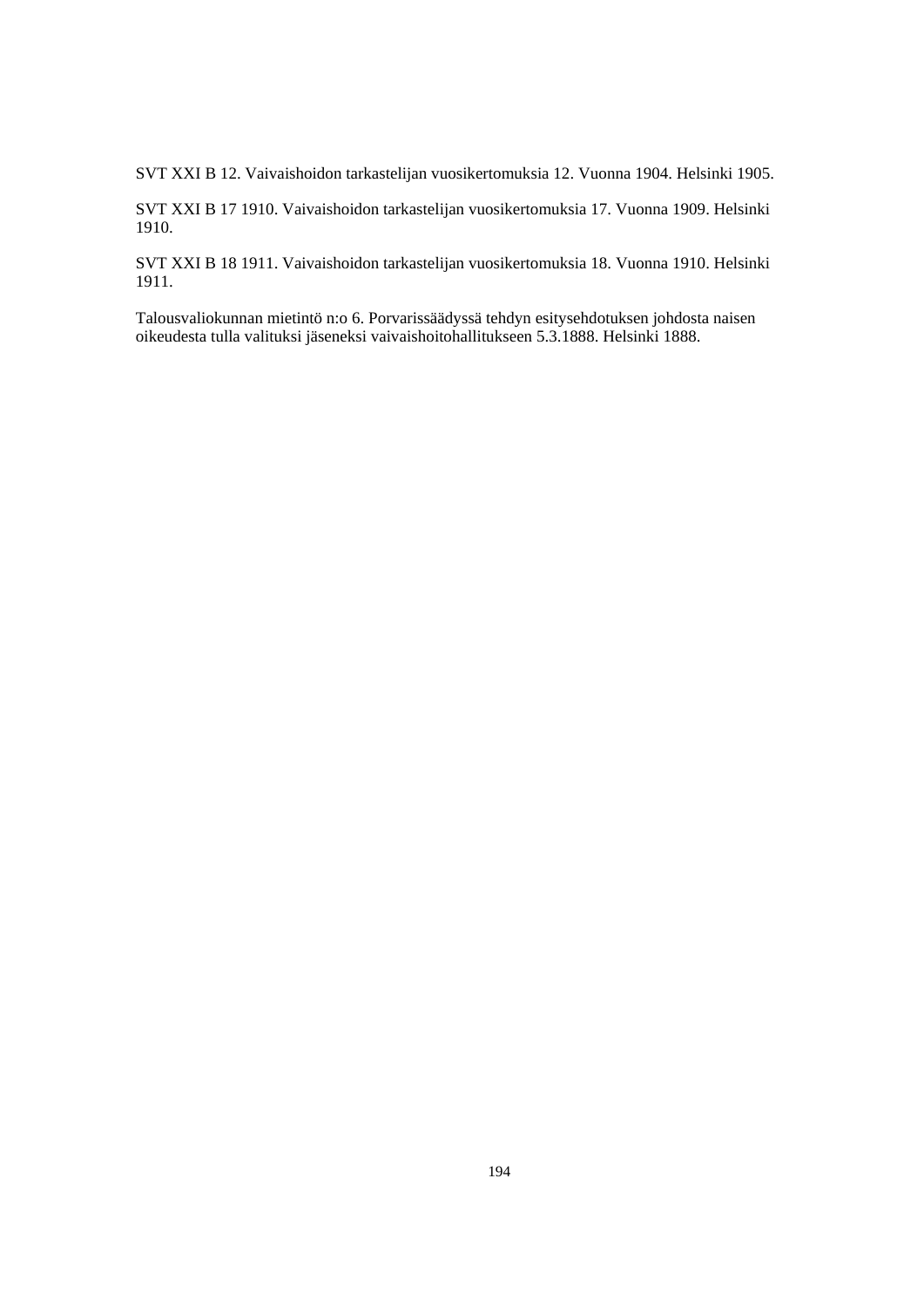SVT XXI B 12. Vaivaishoidon tarkastelijan vuosikertomuksia 12. Vuonna 1904. Helsinki 1905.

SVT XXI B 17 1910. Vaivaishoidon tarkastelijan vuosikertomuksia 17. Vuonna 1909. Helsinki 1910.

SVT XXI B 18 1911. Vaivaishoidon tarkastelijan vuosikertomuksia 18. Vuonna 1910. Helsinki 1911.

Talousvaliokunnan mietintö n:o 6. Porvarissäädyssä tehdyn esitysehdotuksen johdosta naisen oikeudesta tulla valituksi jäseneksi vaivaishoitohallitukseen 5.3.1888. Helsinki 1888.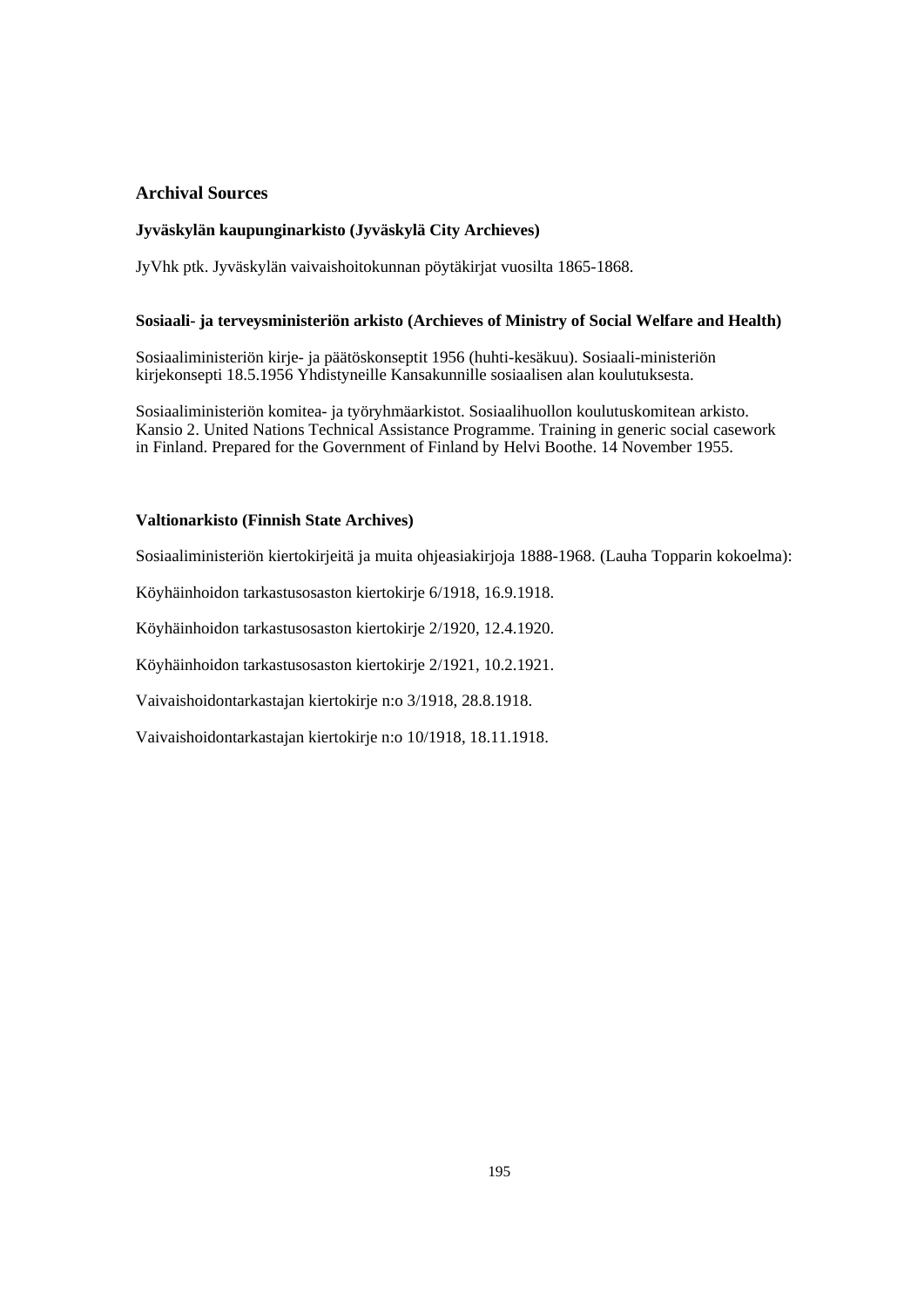# **Archival Sources**

## **Jyväskylän kaupunginarkisto (Jyväskylä City Archieves)**

JyVhk ptk. Jyväskylän vaivaishoitokunnan pöytäkirjat vuosilta 1865-1868.

#### **Sosiaali- ja terveysministeriön arkisto (Archieves of Ministry of Social Welfare and Health)**

Sosiaaliministeriön kirje- ja päätöskonseptit 1956 (huhti-kesäkuu). Sosiaali-ministeriön kirjekonsepti 18.5.1956 Yhdistyneille Kansakunnille sosiaalisen alan koulutuksesta.

Sosiaaliministeriön komitea- ja työryhmäarkistot. Sosiaalihuollon koulutuskomitean arkisto. Kansio 2. United Nations Technical Assistance Programme. Training in generic social casework in Finland. Prepared for the Government of Finland by Helvi Boothe. 14 November 1955.

## **Valtionarkisto (Finnish State Archives)**

Sosiaaliministeriön kiertokirjeitä ja muita ohjeasiakirjoja 1888-1968. (Lauha Topparin kokoelma):

Köyhäinhoidon tarkastusosaston kiertokirje 6/1918, 16.9.1918.

Köyhäinhoidon tarkastusosaston kiertokirje 2/1920, 12.4.1920.

Köyhäinhoidon tarkastusosaston kiertokirje 2/1921, 10.2.1921.

Vaivaishoidontarkastajan kiertokirje n:o 3/1918, 28.8.1918.

Vaivaishoidontarkastajan kiertokirje n:o 10/1918, 18.11.1918.